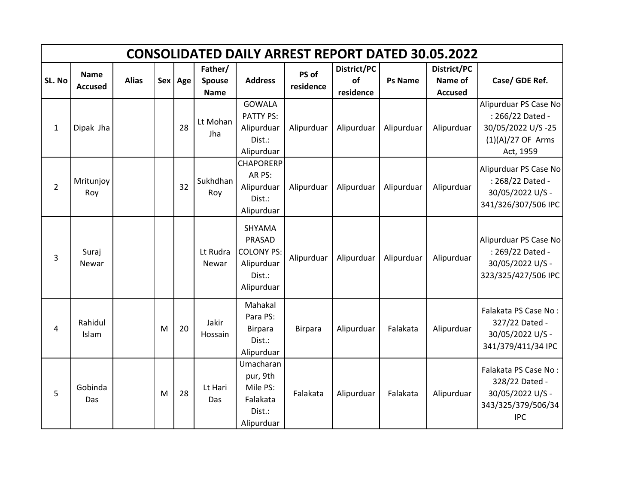|                | <b>CONSOLIDATED DAILY ARREST REPORT DATED 30.05.2022</b> |              |   |          |                   |                  |                |             |                |                  |                       |  |  |  |
|----------------|----------------------------------------------------------|--------------|---|----------|-------------------|------------------|----------------|-------------|----------------|------------------|-----------------------|--|--|--|
|                | <b>Name</b>                                              |              |   |          | Father/           |                  | PS of          | District/PC |                | District/PC      |                       |  |  |  |
| SL. No         | <b>Accused</b>                                           | <b>Alias</b> |   | Sex Age  | <b>Spouse</b>     | <b>Address</b>   | residence      | of          | <b>Ps Name</b> | Name of          | Case/ GDE Ref.        |  |  |  |
|                |                                                          |              |   |          | <b>Name</b>       |                  |                | residence   |                | <b>Accused</b>   |                       |  |  |  |
|                |                                                          |              |   |          |                   | <b>GOWALA</b>    |                |             |                |                  | Alipurduar PS Case No |  |  |  |
|                |                                                          |              |   |          | Lt Mohan          | PATTY PS:        |                |             |                |                  | : 266/22 Dated -      |  |  |  |
| $\mathbf{1}$   | Dipak Jha                                                |              |   | 28       | Jha               | Alipurduar       | Alipurduar     | Alipurduar  | Alipurduar     | Alipurduar       | 30/05/2022 U/S-25     |  |  |  |
|                |                                                          |              |   |          |                   | Dist.:           |                |             |                |                  | $(1)(A)/27$ OF Arms   |  |  |  |
|                |                                                          |              |   |          |                   | Alipurduar       |                |             |                |                  | Act, 1959             |  |  |  |
|                |                                                          |              |   |          |                   | <b>CHAPORERP</b> |                |             |                |                  | Alipurduar PS Case No |  |  |  |
|                | Mritunjoy                                                |              |   |          | Sukhdhan          | AR PS:           |                |             |                |                  | : 268/22 Dated -      |  |  |  |
| $\overline{2}$ | Roy                                                      |              |   | 32       | Roy               | Alipurduar       | Alipurduar     | Alipurduar  | Alipurduar     | Alipurduar       | 30/05/2022 U/S -      |  |  |  |
|                |                                                          |              |   |          |                   | Dist.:           |                |             |                |                  | 341/326/307/506 IPC   |  |  |  |
|                |                                                          |              |   |          |                   | Alipurduar       |                |             |                |                  |                       |  |  |  |
|                |                                                          |              |   |          |                   | SHYAMA           |                |             |                |                  |                       |  |  |  |
|                | Suraj                                                    |              |   |          |                   | PRASAD           |                |             |                |                  | Alipurduar PS Case No |  |  |  |
|                |                                                          |              |   | Lt Rudra | <b>COLONY PS:</b> |                  |                |             |                | : 269/22 Dated - |                       |  |  |  |
| 3              | Newar                                                    |              |   |          | Newar             | Alipurduar       | Alipurduar     | Alipurduar  | Alipurduar     | Alipurduar       | 30/05/2022 U/S -      |  |  |  |
|                |                                                          |              |   |          |                   | Dist.:           |                |             |                |                  | 323/325/427/506 IPC   |  |  |  |
|                |                                                          |              |   |          |                   | Alipurduar       |                |             |                |                  |                       |  |  |  |
|                |                                                          |              |   |          |                   |                  |                |             |                |                  |                       |  |  |  |
|                |                                                          |              |   |          |                   | Mahakal          |                |             |                |                  | Falakata PS Case No:  |  |  |  |
|                | Rahidul                                                  |              |   |          | Jakir             | Para PS:         |                |             |                |                  | 327/22 Dated -        |  |  |  |
| 4              | Islam                                                    |              | M | 20       | Hossain           | Birpara          | <b>Birpara</b> | Alipurduar  | Falakata       | Alipurduar       | 30/05/2022 U/S -      |  |  |  |
|                |                                                          |              |   |          |                   | Dist.:           |                |             |                |                  | 341/379/411/34 IPC    |  |  |  |
|                |                                                          |              |   |          |                   | Alipurduar       |                |             |                |                  |                       |  |  |  |
|                |                                                          |              |   |          |                   | Umacharan        |                |             |                |                  | Falakata PS Case No:  |  |  |  |
|                |                                                          |              |   |          |                   | pur, 9th         |                |             |                |                  | 328/22 Dated -        |  |  |  |
| 5              | Gobinda                                                  |              | M | 28       | Lt Hari           | Mile PS:         | Falakata       | Alipurduar  | Falakata       | Alipurduar       | 30/05/2022 U/S -      |  |  |  |
|                | Das                                                      |              |   |          | Das               | Falakata         |                |             |                |                  | 343/325/379/506/34    |  |  |  |
|                |                                                          |              |   |          |                   | Dist.:           |                |             |                |                  | <b>IPC</b>            |  |  |  |
|                |                                                          |              |   |          |                   | Alipurduar       |                |             |                |                  |                       |  |  |  |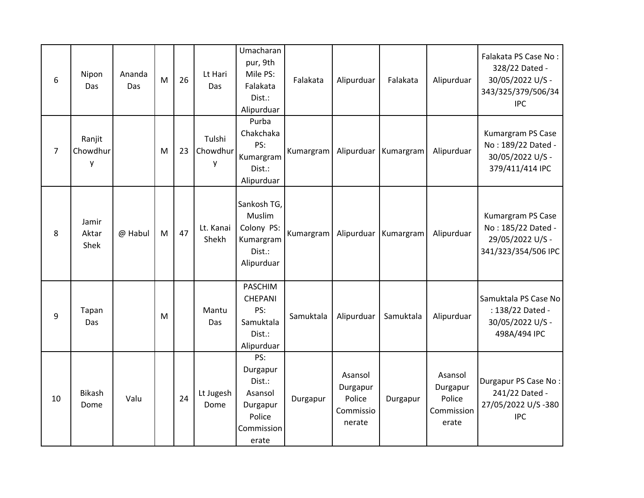| 6              | Nipon<br>Das            | Ananda<br>Das | M | 26 | Lt Hari<br>Das          | Umacharan<br>pur, 9th<br>Mile PS:<br>Falakata<br>Dist.:<br>Alipurduar             | Falakata  | Alipurduar                                           | Falakata  | Alipurduar                                           | Falakata PS Case No:<br>328/22 Dated -<br>30/05/2022 U/S -<br>343/325/379/506/34<br><b>IPC</b> |
|----------------|-------------------------|---------------|---|----|-------------------------|-----------------------------------------------------------------------------------|-----------|------------------------------------------------------|-----------|------------------------------------------------------|------------------------------------------------------------------------------------------------|
| $\overline{7}$ | Ranjit<br>Chowdhur<br>y |               | M | 23 | Tulshi<br>Chowdhur<br>y | Purba<br>Chakchaka<br>PS:<br>Kumargram<br>Dist.:<br>Alipurduar                    | Kumargram | Alipurduar                                           | Kumargram | Alipurduar                                           | Kumargram PS Case<br>No: 189/22 Dated -<br>30/05/2022 U/S -<br>379/411/414 IPC                 |
| 8              | Jamir<br>Aktar<br>Shek  | @ Habul       | M | 47 | Lt. Kanai<br>Shekh      | Sankosh TG,<br>Muslim<br>Colony PS:<br>Kumargram<br>Dist.:<br>Alipurduar          | Kumargram | Alipurduar                                           | Kumargram | Alipurduar                                           | Kumargram PS Case<br>No: 185/22 Dated -<br>29/05/2022 U/S -<br>341/323/354/506 IPC             |
| 9              | Tapan<br>Das            |               | M |    | Mantu<br>Das            | <b>PASCHIM</b><br>CHEPANI<br>PS:<br>Samuktala<br>Dist.:<br>Alipurduar             | Samuktala | Alipurduar                                           | Samuktala | Alipurduar                                           | Samuktala PS Case No<br>: 138/22 Dated -<br>30/05/2022 U/S -<br>498A/494 IPC                   |
| 10             | <b>Bikash</b><br>Dome   | Valu          |   | 24 | Lt Jugesh<br>Dome       | PS:<br>Durgapur<br>Dist.:<br>Asansol<br>Durgapur<br>Police<br>Commission<br>erate | Durgapur  | Asansol<br>Durgapur<br>Police<br>Commissio<br>nerate | Durgapur  | Asansol<br>Durgapur<br>Police<br>Commission<br>erate | Durgapur PS Case No:<br>241/22 Dated -<br>27/05/2022 U/S-380<br><b>IPC</b>                     |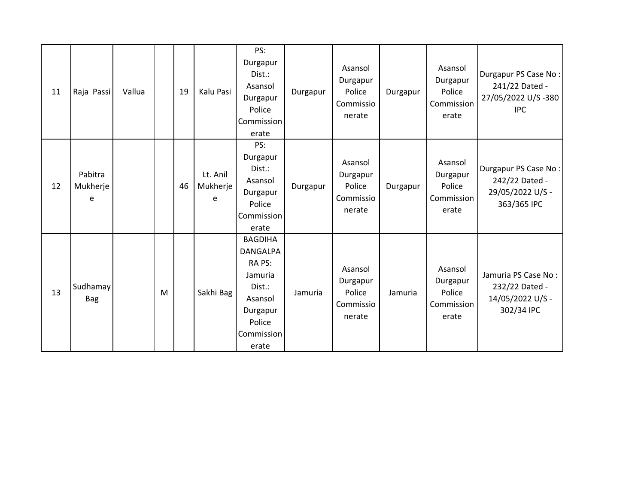| 11 | Raja Passi               | Vallua |   | 19 | Kalu Pasi                 | PS:<br>Durgapur<br>Dist.:<br>Asansol<br>Durgapur<br>Police<br>Commission<br>erate                                        | Durgapur | Asansol<br>Durgapur<br>Police<br>Commissio<br>nerate | Durgapur | Asansol<br>Durgapur<br>Police<br>Commission<br>erate | Durgapur PS Case No:<br>241/22 Dated -<br>27/05/2022 U/S-380<br><b>IPC</b> |
|----|--------------------------|--------|---|----|---------------------------|--------------------------------------------------------------------------------------------------------------------------|----------|------------------------------------------------------|----------|------------------------------------------------------|----------------------------------------------------------------------------|
| 12 | Pabitra<br>Mukherje<br>e |        |   | 46 | Lt. Anil<br>Mukherje<br>e | PS:<br>Durgapur<br>Dist.:<br>Asansol<br>Durgapur<br>Police<br>Commission<br>erate                                        | Durgapur | Asansol<br>Durgapur<br>Police<br>Commissio<br>nerate | Durgapur | Asansol<br>Durgapur<br>Police<br>Commission<br>erate | Durgapur PS Case No:<br>242/22 Dated -<br>29/05/2022 U/S -<br>363/365 IPC  |
| 13 | Sudhamay<br><b>Bag</b>   |        | M |    | Sakhi Bag                 | <b>BAGDIHA</b><br><b>DANGALPA</b><br>RA PS:<br>Jamuria<br>Dist.:<br>Asansol<br>Durgapur<br>Police<br>Commission<br>erate | Jamuria  | Asansol<br>Durgapur<br>Police<br>Commissio<br>nerate | Jamuria  | Asansol<br>Durgapur<br>Police<br>Commission<br>erate | Jamuria PS Case No:<br>232/22 Dated -<br>14/05/2022 U/S -<br>302/34 IPC    |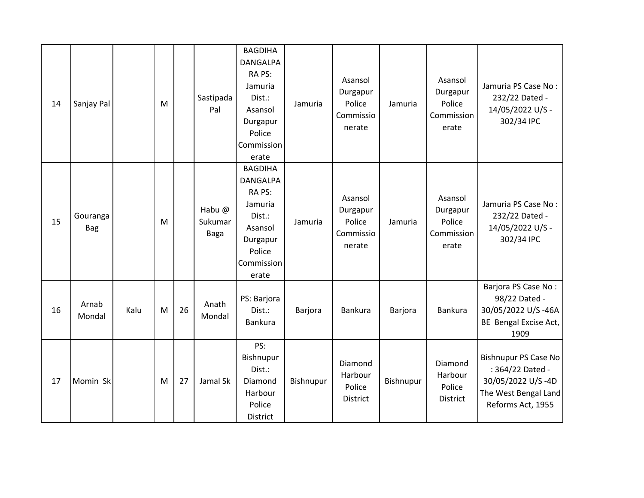| 14 | Sanjay Pal             |      | M |    | Sastipada<br>Pal          | <b>BAGDIHA</b><br><b>DANGALPA</b><br>RA PS:<br>Jamuria<br>Dist.:<br>Asansol<br>Durgapur<br>Police<br>Commission<br>erate | Jamuria   | Asansol<br>Durgapur<br>Police<br>Commissio<br>nerate | Jamuria   | Asansol<br>Durgapur<br>Police<br>Commission<br>erate | Jamuria PS Case No:<br>232/22 Dated -<br>14/05/2022 U/S -<br>302/34 IPC                                    |
|----|------------------------|------|---|----|---------------------------|--------------------------------------------------------------------------------------------------------------------------|-----------|------------------------------------------------------|-----------|------------------------------------------------------|------------------------------------------------------------------------------------------------------------|
| 15 | Gouranga<br><b>Bag</b> |      | M |    | Habu @<br>Sukumar<br>Baga | <b>BAGDIHA</b><br><b>DANGALPA</b><br>RA PS:<br>Jamuria<br>Dist.:<br>Asansol<br>Durgapur<br>Police<br>Commission<br>erate | Jamuria   | Asansol<br>Durgapur<br>Police<br>Commissio<br>nerate | Jamuria   | Asansol<br>Durgapur<br>Police<br>Commission<br>erate | Jamuria PS Case No:<br>232/22 Dated -<br>14/05/2022 U/S -<br>302/34 IPC                                    |
| 16 | Arnab<br>Mondal        | Kalu | M | 26 | Anath<br>Mondal           | PS: Barjora<br>Dist.:<br>Bankura                                                                                         | Barjora   | Bankura                                              | Barjora   | Bankura                                              | Barjora PS Case No:<br>98/22 Dated -<br>30/05/2022 U/S-46A<br>BE Bengal Excise Act,<br>1909                |
| 17 | Momin Sk               |      | M | 27 | Jamal Sk                  | PS:<br>Bishnupur<br>Dist.:<br>Diamond<br>Harbour<br>Police<br><b>District</b>                                            | Bishnupur | Diamond<br>Harbour<br>Police<br><b>District</b>      | Bishnupur | Diamond<br>Harbour<br>Police<br><b>District</b>      | Bishnupur PS Case No<br>: 364/22 Dated -<br>30/05/2022 U/S-4D<br>The West Bengal Land<br>Reforms Act, 1955 |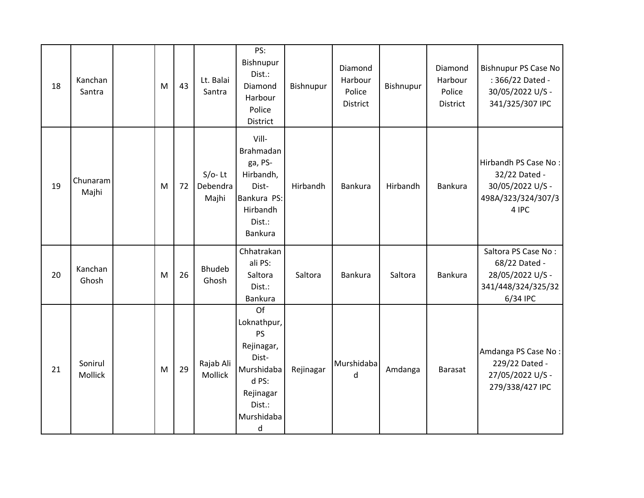| 18 | Kanchan<br>Santra  | M | 43 | Lt. Balai<br>Santra           | PS:<br>Bishnupur<br>Dist.:<br>Diamond<br>Harbour<br>Police<br>District                                                 | Bishnupur | Diamond<br>Harbour<br>Police<br><b>District</b> | Bishnupur | Diamond<br>Harbour<br>Police<br>District | <b>Bishnupur PS Case No</b><br>: 366/22 Dated -<br>30/05/2022 U/S -<br>341/325/307 IPC     |
|----|--------------------|---|----|-------------------------------|------------------------------------------------------------------------------------------------------------------------|-----------|-------------------------------------------------|-----------|------------------------------------------|--------------------------------------------------------------------------------------------|
| 19 | Chunaram<br>Majhi  | M | 72 | $S/O-Lt$<br>Debendra<br>Majhi | Vill-<br>Brahmadan<br>ga, PS-<br>Hirbandh,<br>Dist-<br>Bankura PS:<br>Hirbandh<br>Dist.:<br>Bankura                    | Hirbandh  | Bankura                                         | Hirbandh  | Bankura                                  | Hirbandh PS Case No:<br>32/22 Dated -<br>30/05/2022 U/S -<br>498A/323/324/307/3<br>4 IPC   |
| 20 | Kanchan<br>Ghosh   | M | 26 | <b>Bhudeb</b><br>Ghosh        | Chhatrakan<br>ali PS:<br>Saltora<br>Dist.:<br>Bankura                                                                  | Saltora   | Bankura                                         | Saltora   | Bankura                                  | Saltora PS Case No:<br>68/22 Dated -<br>28/05/2022 U/S -<br>341/448/324/325/32<br>6/34 IPC |
| 21 | Sonirul<br>Mollick | M | 29 | Rajab Ali<br>Mollick          | Of<br>Loknathpur,<br><b>PS</b><br>Rejinagar,<br>Dist-<br>Murshidaba<br>d PS:<br>Rejinagar<br>Dist.:<br>Murshidaba<br>d | Rejinagar | Murshidaba<br>d                                 | Amdanga   | <b>Barasat</b>                           | Amdanga PS Case No:<br>229/22 Dated -<br>27/05/2022 U/S -<br>279/338/427 IPC               |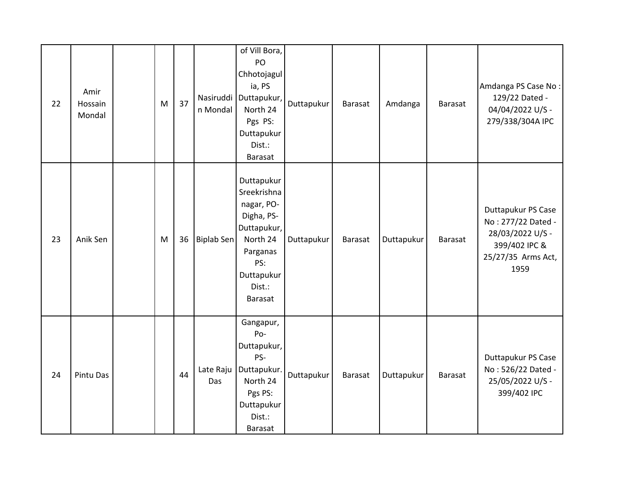| 22 | Amir<br>Hossain<br>Mondal | ${\sf M}$ | 37 | n Mondal          | of Vill Bora,<br>PO<br>Chhotojagul<br>ia, PS<br>Nasiruddi   Duttapukur,<br>North 24<br>Pgs PS:<br>Duttapukur<br>Dist.:<br><b>Barasat</b> | Duttapukur | Barasat        | Amdanga    | Barasat | Amdanga PS Case No:<br>129/22 Dated -<br>04/04/2022 U/S -<br>279/338/304A IPC                               |
|----|---------------------------|-----------|----|-------------------|------------------------------------------------------------------------------------------------------------------------------------------|------------|----------------|------------|---------|-------------------------------------------------------------------------------------------------------------|
| 23 | Anik Sen                  | M         | 36 | <b>Biplab Sen</b> | Duttapukur<br>Sreekrishna<br>nagar, PO-<br>Digha, PS-<br>Duttapukur,<br>North 24<br>Parganas<br>PS:<br>Duttapukur<br>Dist.:<br>Barasat   | Duttapukur | <b>Barasat</b> | Duttapukur | Barasat | Duttapukur PS Case<br>No: 277/22 Dated -<br>28/03/2022 U/S -<br>399/402 IPC &<br>25/27/35 Arms Act,<br>1959 |
| 24 | <b>Pintu Das</b>          |           | 44 | Late Raju<br>Das  | Gangapur,<br>Po-<br>Duttapukur,<br>PS-<br>Duttapukur.<br>North 24<br>Pgs PS:<br>Duttapukur<br>Dist.:<br><b>Barasat</b>                   | Duttapukur | Barasat        | Duttapukur | Barasat | Duttapukur PS Case<br>No: 526/22 Dated -<br>25/05/2022 U/S -<br>399/402 IPC                                 |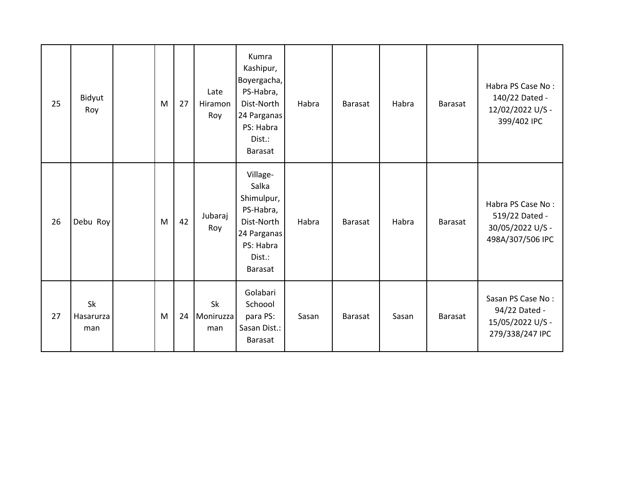| 25 | Bidyut<br>Roy          | M | 27 | Late<br>Hiramon<br>Roy        | Kumra<br>Kashipur,<br>Boyergacha,<br>PS-Habra,<br>Dist-North<br>24 Parganas<br>PS: Habra<br>Dist.:<br><b>Barasat</b> | Habra | Barasat | Habra | Barasat | Habra PS Case No:<br>140/22 Dated -<br>12/02/2022 U/S -<br>399/402 IPC      |
|----|------------------------|---|----|-------------------------------|----------------------------------------------------------------------------------------------------------------------|-------|---------|-------|---------|-----------------------------------------------------------------------------|
| 26 | Debu Roy               | M | 42 | Jubaraj<br>Roy                | Village-<br>Salka<br>Shimulpur,<br>PS-Habra,<br>Dist-North<br>24 Parganas<br>PS: Habra<br>Dist.:<br><b>Barasat</b>   | Habra | Barasat | Habra | Barasat | Habra PS Case No:<br>519/22 Dated -<br>30/05/2022 U/S -<br>498A/307/506 IPC |
| 27 | Sk<br>Hasarurza<br>man | M | 24 | <b>Sk</b><br>Moniruzza<br>man | Golabari<br>Schoool<br>para PS:<br>Sasan Dist.:<br>Barasat                                                           | Sasan | Barasat | Sasan | Barasat | Sasan PS Case No:<br>94/22 Dated -<br>15/05/2022 U/S -<br>279/338/247 IPC   |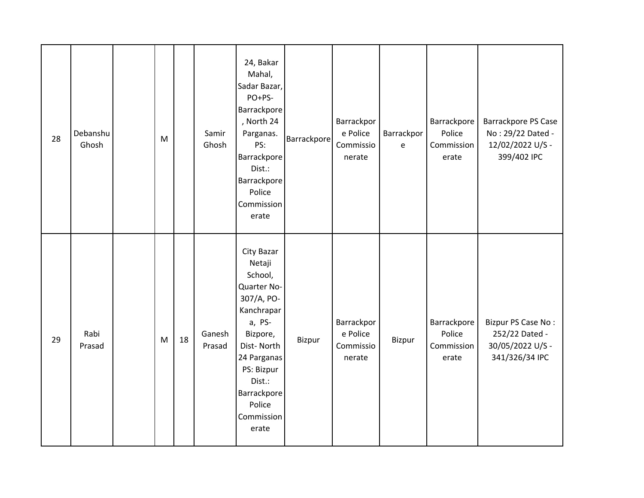| 28 | Debanshu<br>Ghosh | M |    | Samir<br>Ghosh   | 24, Bakar<br>Mahal,<br>Sadar Bazar,<br>PO+PS-<br>Barrackpore<br>, North 24<br>Parganas.<br>PS:<br>Barrackpore<br>Dist.:<br>Barrackpore<br>Police<br>Commission<br>erate                               | Barrackpore | Barrackpor<br>e Police<br>Commissio<br>nerate | Barrackpor<br>e | Barrackpore<br>Police<br>Commission<br>erate | Barrackpore PS Case<br>No: 29/22 Dated -<br>12/02/2022 U/S -<br>399/402 IPC |
|----|-------------------|---|----|------------------|-------------------------------------------------------------------------------------------------------------------------------------------------------------------------------------------------------|-------------|-----------------------------------------------|-----------------|----------------------------------------------|-----------------------------------------------------------------------------|
| 29 | Rabi<br>Prasad    | M | 18 | Ganesh<br>Prasad | City Bazar<br>Netaji<br>School,<br>Quarter No-<br>307/A, PO-<br>Kanchrapar<br>a, PS-<br>Bizpore,<br>Dist-North<br>24 Parganas<br>PS: Bizpur<br>Dist.:<br>Barrackpore<br>Police<br>Commission<br>erate | Bizpur      | Barrackpor<br>e Police<br>Commissio<br>nerate | Bizpur          | Barrackpore<br>Police<br>Commission<br>erate | Bizpur PS Case No:<br>252/22 Dated -<br>30/05/2022 U/S -<br>341/326/34 IPC  |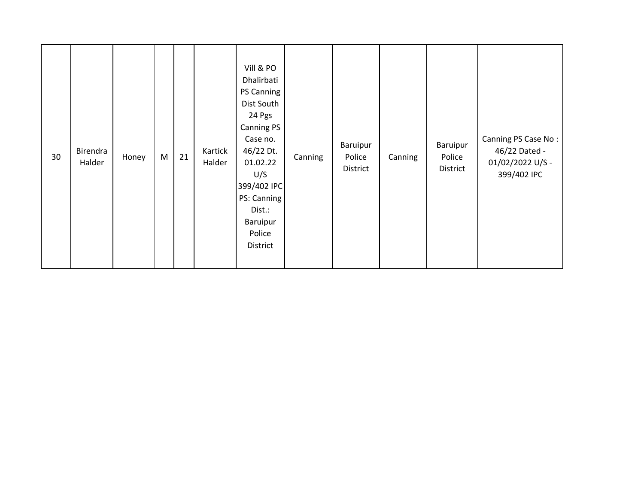| 30 | Birendra<br>Halder | Honey | M | 21 | Kartick<br>Halder | Vill & PO<br>Dhalirbati<br>PS Canning<br>Dist South<br>24 Pgs<br><b>Canning PS</b><br>Case no.<br>46/22 Dt.<br>01.02.22<br>U/S<br>399/402 IPC<br>PS: Canning<br>Dist.:<br>Baruipur<br>Police<br>District | Canning | Baruipur<br>Police<br>District | Canning | Baruipur<br>Police<br>District | Canning PS Case No:<br>46/22 Dated -<br>01/02/2022 U/S -<br>399/402 IPC |
|----|--------------------|-------|---|----|-------------------|----------------------------------------------------------------------------------------------------------------------------------------------------------------------------------------------------------|---------|--------------------------------|---------|--------------------------------|-------------------------------------------------------------------------|
|----|--------------------|-------|---|----|-------------------|----------------------------------------------------------------------------------------------------------------------------------------------------------------------------------------------------------|---------|--------------------------------|---------|--------------------------------|-------------------------------------------------------------------------|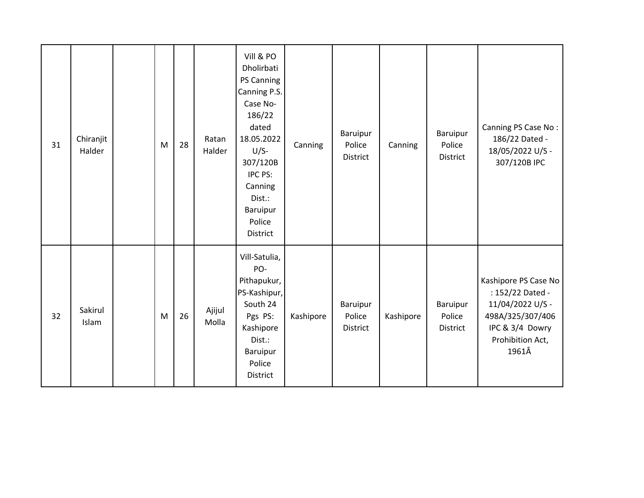| 31 | Chiranjit<br>Halder | M | 28 | Ratan<br>Halder | Vill & PO<br>Dholirbati<br>PS Canning<br>Canning P.S.<br>Case No-<br>186/22<br>dated<br>18.05.2022<br>$U/S-$<br>307/120B<br><b>IPC PS:</b><br>Canning<br>Dist.:<br>Baruipur<br>Police<br>District | Canning   | Baruipur<br>Police<br>District | Canning   | Baruipur<br>Police<br>District | Canning PS Case No:<br>186/22 Dated -<br>18/05/2022 U/S -<br>307/120B IPC                                                        |
|----|---------------------|---|----|-----------------|---------------------------------------------------------------------------------------------------------------------------------------------------------------------------------------------------|-----------|--------------------------------|-----------|--------------------------------|----------------------------------------------------------------------------------------------------------------------------------|
| 32 | Sakirul<br>Islam    | M | 26 | Ajijul<br>Molla | Vill-Satulia,<br>PO-<br>Pithapukur,<br>PS-Kashipur,<br>South 24<br>Pgs PS:<br>Kashipore<br>Dist.:<br>Baruipur<br>Police<br>District                                                               | Kashipore | Baruipur<br>Police<br>District | Kashipore | Baruipur<br>Police<br>District | Kashipore PS Case No<br>: 152/22 Dated -<br>11/04/2022 U/S -<br>498A/325/307/406<br>IPC & 3/4 Dowry<br>Prohibition Act,<br>1961Â |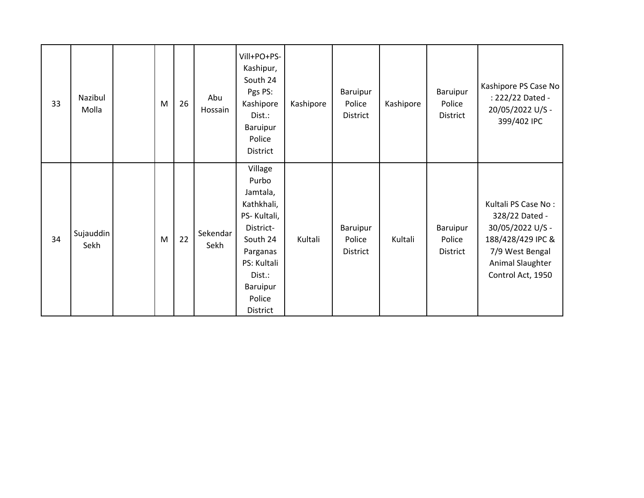| 33 | Nazibul<br>Molla  | M | 26 | Abu<br>Hossain   | Vill+PO+PS-<br>Kashipur,<br>South 24<br>Pgs PS:<br>Kashipore<br>Dist.:<br>Baruipur<br>Police<br><b>District</b>                                           | Kashipore | Baruipur<br>Police<br>District | Kashipore | Baruipur<br>Police<br>District | Kashipore PS Case No<br>: 222/22 Dated -<br>20/05/2022 U/S -<br>399/402 IPC                                                                |
|----|-------------------|---|----|------------------|-----------------------------------------------------------------------------------------------------------------------------------------------------------|-----------|--------------------------------|-----------|--------------------------------|--------------------------------------------------------------------------------------------------------------------------------------------|
| 34 | Sujauddin<br>Sekh | M | 22 | Sekendar<br>Sekh | Village<br>Purbo<br>Jamtala,<br>Kathkhali,<br>PS-Kultali,<br>District-<br>South 24<br>Parganas<br>PS: Kultali<br>Dist.:<br>Baruipur<br>Police<br>District | Kultali   | Baruipur<br>Police<br>District | Kultali   | Baruipur<br>Police<br>District | Kultali PS Case No:<br>328/22 Dated -<br>30/05/2022 U/S -<br>188/428/429 IPC &<br>7/9 West Bengal<br>Animal Slaughter<br>Control Act, 1950 |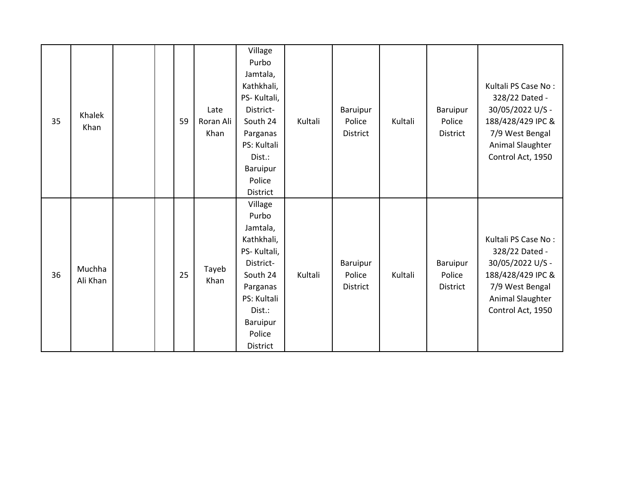| 35 | Khalek<br>Khan     |  | 59 | Late<br>Roran Ali<br>Khan | Village<br>Purbo<br>Jamtala,<br>Kathkhali,<br>PS-Kultali,<br>District-<br>South 24<br>Parganas<br>PS: Kultali<br>Dist.:<br>Baruipur<br>Police<br><b>District</b> | Kultali | <b>Baruipur</b><br>Police<br>District | Kultali | Baruipur<br>Police<br>District        | Kultali PS Case No:<br>328/22 Dated -<br>30/05/2022 U/S -<br>188/428/429 IPC &<br>7/9 West Bengal<br>Animal Slaughter<br>Control Act, 1950 |
|----|--------------------|--|----|---------------------------|------------------------------------------------------------------------------------------------------------------------------------------------------------------|---------|---------------------------------------|---------|---------------------------------------|--------------------------------------------------------------------------------------------------------------------------------------------|
| 36 | Muchha<br>Ali Khan |  | 25 | Tayeb<br>Khan             | Village<br>Purbo<br>Jamtala,<br>Kathkhali,<br>PS-Kultali,<br>District-<br>South 24<br>Parganas<br>PS: Kultali<br>Dist.:<br>Baruipur<br>Police<br>District        | Kultali | Baruipur<br>Police<br><b>District</b> | Kultali | Baruipur<br>Police<br><b>District</b> | Kultali PS Case No:<br>328/22 Dated -<br>30/05/2022 U/S -<br>188/428/429 IPC &<br>7/9 West Bengal<br>Animal Slaughter<br>Control Act, 1950 |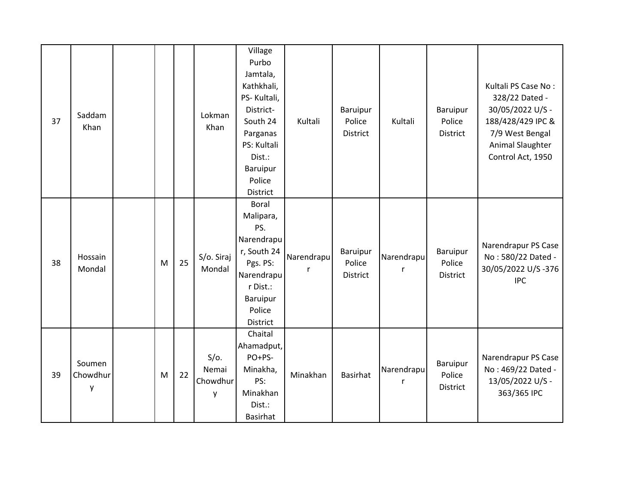| 37 | Saddam<br>Khan          |   |    | Lokman<br>Khan                    | Village<br>Purbo<br>Jamtala,<br>Kathkhali,<br>PS-Kultali,<br>District-<br>South 24<br>Parganas<br>PS: Kultali<br>Dist.:<br>Baruipur<br>Police<br>District | Kultali         | Baruipur<br>Police<br>District        | Kultali         | Baruipur<br>Police<br>District | Kultali PS Case No:<br>328/22 Dated -<br>30/05/2022 U/S -<br>188/428/429 IPC &<br>7/9 West Bengal<br>Animal Slaughter<br>Control Act, 1950 |
|----|-------------------------|---|----|-----------------------------------|-----------------------------------------------------------------------------------------------------------------------------------------------------------|-----------------|---------------------------------------|-----------------|--------------------------------|--------------------------------------------------------------------------------------------------------------------------------------------|
| 38 | Hossain<br>Mondal       | M | 25 | S/o. Siraj<br>Mondal              | Boral<br>Malipara,<br>PS.<br>Narendrapu<br>r, South 24<br>Pgs. PS:<br>Narendrapu<br>r Dist.:<br>Baruipur<br>Police<br>District                            | Narendrapu<br>r | Baruipur<br>Police<br><b>District</b> | Narendrapu      | Baruipur<br>Police<br>District | Narendrapur PS Case<br>No: 580/22 Dated -<br>30/05/2022 U/S-376<br><b>IPC</b>                                                              |
| 39 | Soumen<br>Chowdhur<br>y | M | 22 | $S/O$ .<br>Nemai<br>Chowdhur<br>y | Chaital<br>Ahamadput,<br>PO+PS-<br>Minakha,<br>PS:<br>Minakhan<br>Dist.:<br>Basirhat                                                                      | Minakhan        | <b>Basirhat</b>                       | Narendrapu<br>r | Baruipur<br>Police<br>District | Narendrapur PS Case<br>No: 469/22 Dated -<br>13/05/2022 U/S -<br>363/365 IPC                                                               |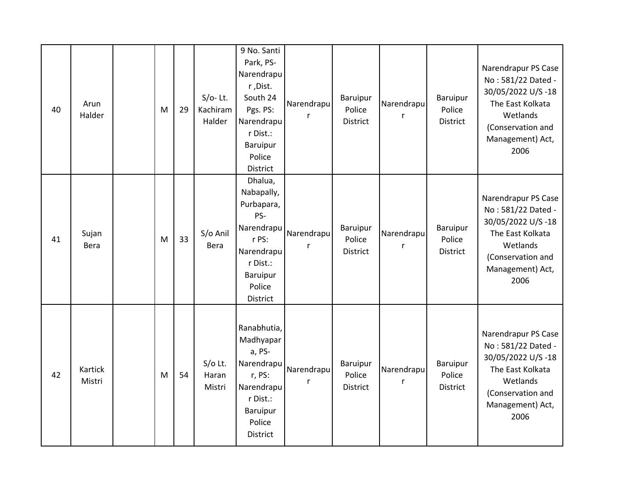| 40 | Arun<br>Halder    | M | 29 | $S/O-$ Lt.<br>Kachiram<br>Halder | 9 No. Santi<br>Park, PS-<br>Narendrapu<br>r, Dist.<br>South 24<br>Pgs. PS:<br>Narendrapu<br>r Dist.:<br>Baruipur<br>Police<br>District | Narendrapu<br>r | Baruipur<br>Police<br>District | Narendrapu<br>r | <b>Baruipur</b><br>Police<br>District | Narendrapur PS Case<br>No: 581/22 Dated -<br>30/05/2022 U/S-18<br>The East Kolkata<br>Wetlands<br>(Conservation and<br>Management) Act,<br>2006 |
|----|-------------------|---|----|----------------------------------|----------------------------------------------------------------------------------------------------------------------------------------|-----------------|--------------------------------|-----------------|---------------------------------------|-------------------------------------------------------------------------------------------------------------------------------------------------|
| 41 | Sujan<br>Bera     | M | 33 | S/o Anil<br>Bera                 | Dhalua,<br>Nabapally,<br>Purbapara,<br>PS-<br>Narendrapu<br>r PS:<br>Narendrapu<br>r Dist.:<br>Baruipur<br>Police<br>District          | Narendrapu<br>r | Baruipur<br>Police<br>District | Narendrapu<br>r | Baruipur<br>Police<br>District        | Narendrapur PS Case<br>No: 581/22 Dated -<br>30/05/2022 U/S-18<br>The East Kolkata<br>Wetlands<br>(Conservation and<br>Management) Act,<br>2006 |
| 42 | Kartick<br>Mistri | M | 54 | $S/O$ Lt.<br>Haran<br>Mistri     | Ranabhutia,<br>Madhyapar<br>a, PS-<br>Narendrapu<br>r, PS:<br>Narendrapu<br>r Dist.:<br>Baruipur<br>Police<br>District                 | Narendrapu<br>r | Baruipur<br>Police<br>District | Narendrapu<br>r | Baruipur<br>Police<br>District        | Narendrapur PS Case<br>No: 581/22 Dated -<br>30/05/2022 U/S-18<br>The East Kolkata<br>Wetlands<br>(Conservation and<br>Management) Act,<br>2006 |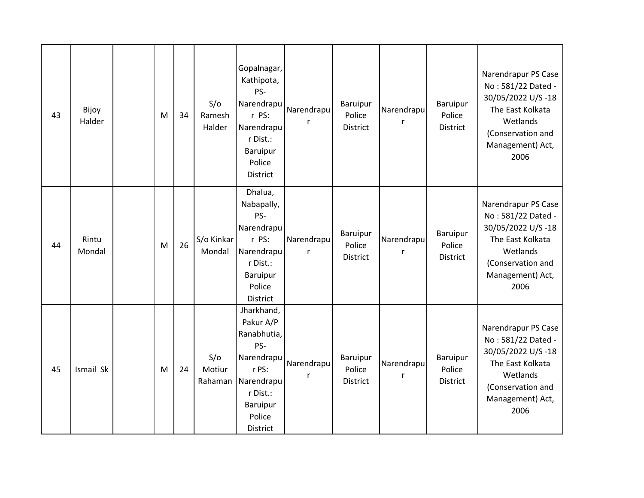| 43 | Bijoy<br>Halder | M | 34 | S/O<br>Ramesh<br>Halder | Gopalnagar,<br>Kathipota,<br>PS-<br>Narendrapu<br>r PS:<br>Narendrapu<br>r Dist.:<br>Baruipur<br>Police<br><b>District</b>                      | Narendrapu<br>r | <b>Baruipur</b><br>Police<br><b>District</b> | Narendrapu<br>r | Baruipur<br>Police<br>District        | Narendrapur PS Case<br>No: 581/22 Dated -<br>30/05/2022 U/S-18<br>The East Kolkata<br>Wetlands<br>(Conservation and<br>Management) Act,<br>2006 |
|----|-----------------|---|----|-------------------------|-------------------------------------------------------------------------------------------------------------------------------------------------|-----------------|----------------------------------------------|-----------------|---------------------------------------|-------------------------------------------------------------------------------------------------------------------------------------------------|
| 44 | Rintu<br>Mondal | M | 26 | S/o Kinkar<br>Mondal    | Dhalua,<br>Nabapally,<br>PS-<br>Narendrapu<br>r PS:<br>Narendrapu<br>r Dist.:<br>Baruipur<br>Police<br>District                                 | Narendrapu<br>r | Baruipur<br>Police<br><b>District</b>        | Narendrapu<br>r | Baruipur<br>Police<br><b>District</b> | Narendrapur PS Case<br>No: 581/22 Dated -<br>30/05/2022 U/S-18<br>The East Kolkata<br>Wetlands<br>(Conservation and<br>Management) Act,<br>2006 |
| 45 | Ismail Sk       | M | 24 | S/O<br>Motiur           | Jharkhand,<br>Pakur A/P<br>Ranabhutia,<br>PS-<br>Narendrapu<br>r PS:<br>Rahaman Narendrapu<br>r Dist.:<br>Baruipur<br>Police<br><b>District</b> | Narendrapu<br>r | <b>Baruipur</b><br>Police<br><b>District</b> | Narendrapu<br>r | Baruipur<br>Police<br><b>District</b> | Narendrapur PS Case<br>No: 581/22 Dated -<br>30/05/2022 U/S-18<br>The East Kolkata<br>Wetlands<br>(Conservation and<br>Management) Act,<br>2006 |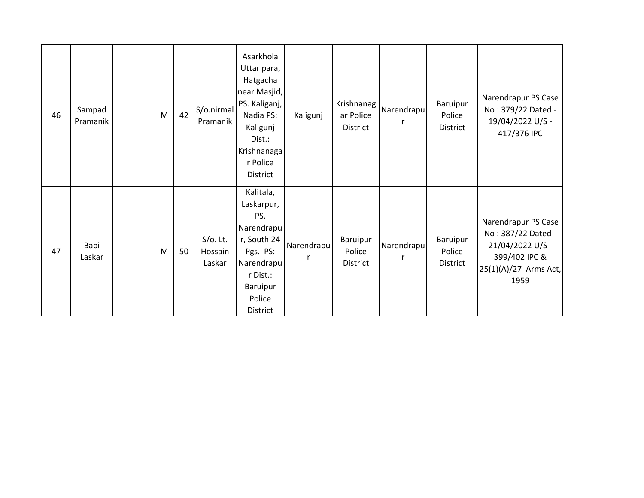| 46 | Sampad         | M | 42 | S/o.nirmal                       | Asarkhola<br>Uttar para,<br>Hatgacha<br>near Masjid,<br>PS. Kaliganj,<br>Nadia PS:                                                  | Kaligunj   | Krishnanag<br>ar Police               | Narendrapu | Baruipur<br>Police             | Narendrapur PS Case<br>No: 379/22 Dated -                                                                       |
|----|----------------|---|----|----------------------------------|-------------------------------------------------------------------------------------------------------------------------------------|------------|---------------------------------------|------------|--------------------------------|-----------------------------------------------------------------------------------------------------------------|
|    | Pramanik       |   |    | Pramanik                         | Kaligunj<br>Dist.:<br>Krishnanaga<br>r Police<br>District                                                                           |            | District                              |            | District                       | 19/04/2022 U/S -<br>417/376 IPC                                                                                 |
| 47 | Bapi<br>Laskar | M | 50 | $S/O$ . Lt.<br>Hossain<br>Laskar | Kalitala,<br>Laskarpur,<br>PS.<br>Narendrapu<br>r, South 24<br>Pgs. PS:<br>Narendrapu<br>r Dist.:<br>Baruipur<br>Police<br>District | Narendrapu | Baruipur<br>Police<br><b>District</b> | Narendrapu | Baruipur<br>Police<br>District | Narendrapur PS Case<br>No: 387/22 Dated -<br>21/04/2022 U/S -<br>399/402 IPC &<br>25(1)(A)/27 Arms Act,<br>1959 |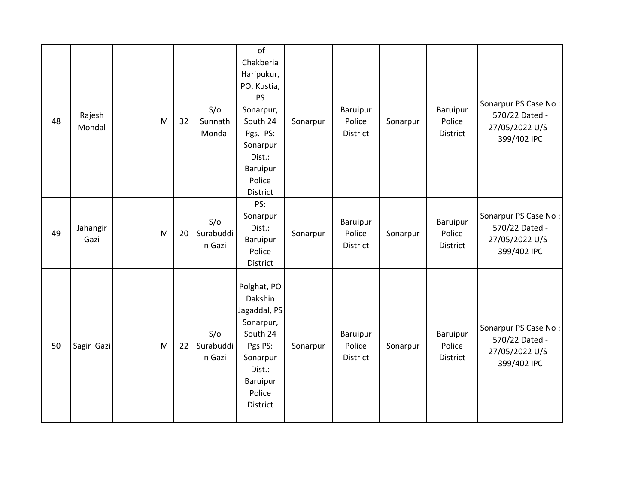| 48 | Rajesh<br>Mondal | M | 32 | S/O<br>Sunnath<br>Mondal   | of<br>Chakberia<br>Haripukur,<br>PO. Kustia,<br><b>PS</b><br>Sonarpur,<br>South 24<br>Pgs. PS:<br>Sonarpur<br>Dist.:<br>Baruipur<br>Police<br>District | Sonarpur | Baruipur<br>Police<br>District        | Sonarpur | Baruipur<br>Police<br>District | Sonarpur PS Case No:<br>570/22 Dated -<br>27/05/2022 U/S -<br>399/402 IPC |
|----|------------------|---|----|----------------------------|--------------------------------------------------------------------------------------------------------------------------------------------------------|----------|---------------------------------------|----------|--------------------------------|---------------------------------------------------------------------------|
| 49 | Jahangir<br>Gazi | M | 20 | S/O<br>Surabuddi<br>n Gazi | PS:<br>Sonarpur<br>Dist.:<br>Baruipur<br>Police<br>District                                                                                            | Sonarpur | Baruipur<br>Police<br>District        | Sonarpur | Baruipur<br>Police<br>District | Sonarpur PS Case No:<br>570/22 Dated -<br>27/05/2022 U/S -<br>399/402 IPC |
| 50 | Sagir Gazi       | M | 22 | S/O<br>Surabuddi<br>n Gazi | Polghat, PO<br>Dakshin<br>Jagaddal, PS<br>Sonarpur,<br>South 24<br>Pgs PS:<br>Sonarpur<br>Dist.:<br>Baruipur<br>Police<br>District                     | Sonarpur | Baruipur<br>Police<br><b>District</b> | Sonarpur | Baruipur<br>Police<br>District | Sonarpur PS Case No:<br>570/22 Dated -<br>27/05/2022 U/S -<br>399/402 IPC |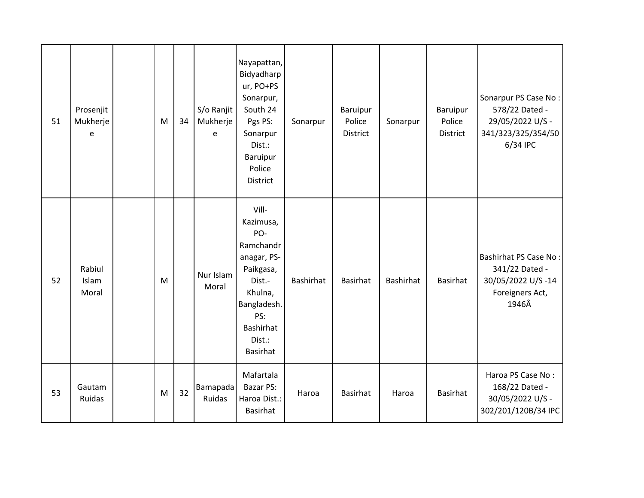| 51 | Prosenjit<br>Mukherje<br>e | M | 34 | S/o Ranjit<br>Mukherje<br>e | Nayapattan,<br>Bidyadharp<br>ur, PO+PS<br>Sonarpur,<br>South 24<br>Pgs PS:<br>Sonarpur<br>Dist.:<br>Baruipur<br>Police<br><b>District</b>        | Sonarpur  | Baruipur<br>Police<br>District | Sonarpur  | Baruipur<br>Police<br>District | Sonarpur PS Case No:<br>578/22 Dated -<br>29/05/2022 U/S -<br>341/323/325/354/50<br>6/34 IPC |
|----|----------------------------|---|----|-----------------------------|--------------------------------------------------------------------------------------------------------------------------------------------------|-----------|--------------------------------|-----------|--------------------------------|----------------------------------------------------------------------------------------------|
| 52 | Rabiul<br>Islam<br>Moral   | M |    | Nur Islam<br>Moral          | Vill-<br>Kazimusa,<br>PO-<br>Ramchandr<br>anagar, PS-<br>Paikgasa,<br>Dist.-<br>Khulna,<br>Bangladesh.<br>PS:<br>Bashirhat<br>Dist.:<br>Basirhat | Bashirhat | Basirhat                       | Bashirhat | Basirhat                       | Bashirhat PS Case No:<br>341/22 Dated -<br>30/05/2022 U/S-14<br>Foreigners Act,<br>1946Â     |
| 53 | Gautam<br>Ruidas           | M | 32 | Bamapada<br>Ruidas          | Mafartala<br>Bazar PS:<br>Haroa Dist.:<br>Basirhat                                                                                               | Haroa     | <b>Basirhat</b>                | Haroa     | Basirhat                       | Haroa PS Case No:<br>168/22 Dated -<br>30/05/2022 U/S -<br>302/201/120B/34 IPC               |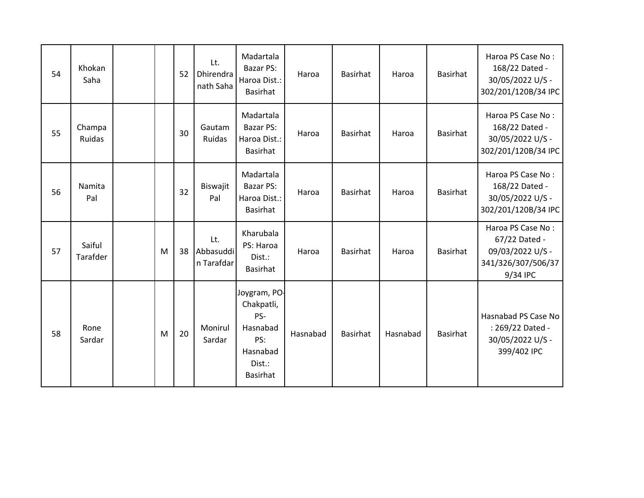| 54 | Khokan<br>Saha     |   | 52 | Lt.<br>Dhirendra<br>nath Saha  | Madartala<br>Bazar PS:<br>Haroa Dist.:<br><b>Basirhat</b>                                     | Haroa    | <b>Basirhat</b> | Haroa    | Basirhat        | Haroa PS Case No:<br>168/22 Dated -<br>30/05/2022 U/S -<br>302/201/120B/34 IPC           |
|----|--------------------|---|----|--------------------------------|-----------------------------------------------------------------------------------------------|----------|-----------------|----------|-----------------|------------------------------------------------------------------------------------------|
| 55 | Champa<br>Ruidas   |   | 30 | Gautam<br>Ruidas               | Madartala<br>Bazar PS:<br>Haroa Dist.:<br><b>Basirhat</b>                                     | Haroa    | <b>Basirhat</b> | Haroa    | Basirhat        | Haroa PS Case No:<br>168/22 Dated -<br>30/05/2022 U/S -<br>302/201/120B/34 IPC           |
| 56 | Namita<br>Pal      |   | 32 | Biswajit<br>Pal                | Madartala<br>Bazar PS:<br>Haroa Dist.:<br><b>Basirhat</b>                                     | Haroa    | <b>Basirhat</b> | Haroa    | Basirhat        | Haroa PS Case No:<br>168/22 Dated -<br>30/05/2022 U/S -<br>302/201/120B/34 IPC           |
| 57 | Saiful<br>Tarafder | M | 38 | Lt.<br>Abbasuddi<br>n Tarafdar | Kharubala<br>PS: Haroa<br>Dist.:<br><b>Basirhat</b>                                           | Haroa    | <b>Basirhat</b> | Haroa    | Basirhat        | Haroa PS Case No:<br>67/22 Dated -<br>09/03/2022 U/S -<br>341/326/307/506/37<br>9/34 IPC |
| 58 | Rone<br>Sardar     | M | 20 | Monirul<br>Sardar              | Joygram, PO-<br>Chakpatli,<br>PS-<br>Hasnabad<br>PS:<br>Hasnabad<br>Dist.:<br><b>Basirhat</b> | Hasnabad | Basirhat        | Hasnabad | <b>Basirhat</b> | Hasnabad PS Case No<br>: 269/22 Dated -<br>30/05/2022 U/S -<br>399/402 IPC               |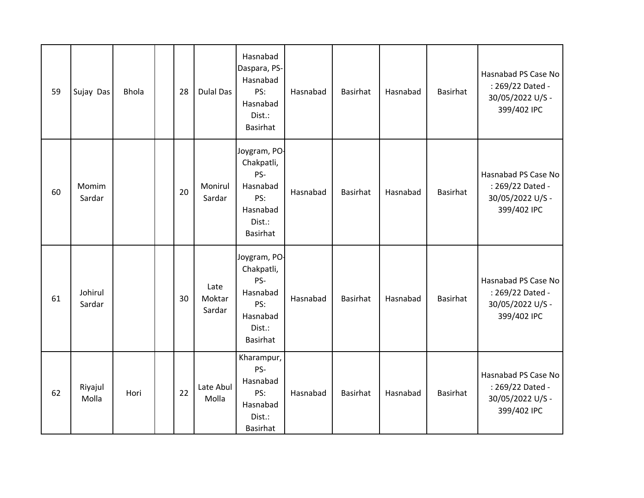| 59 | Sujay Das         | <b>Bhola</b> | 28 | <b>Dulal Das</b>         | Hasnabad<br>Daspara, PS-<br>Hasnabad<br>PS:<br>Hasnabad<br>Dist.:<br>Basirhat                 | Hasnabad | <b>Basirhat</b> | Hasnabad | <b>Basirhat</b> | Hasnabad PS Case No<br>: 269/22 Dated -<br>30/05/2022 U/S -<br>399/402 IPC |
|----|-------------------|--------------|----|--------------------------|-----------------------------------------------------------------------------------------------|----------|-----------------|----------|-----------------|----------------------------------------------------------------------------|
| 60 | Momim<br>Sardar   |              | 20 | Monirul<br>Sardar        | Joygram, PO-<br>Chakpatli,<br>PS-<br>Hasnabad<br>PS:<br>Hasnabad<br>Dist.:<br><b>Basirhat</b> | Hasnabad | <b>Basirhat</b> | Hasnabad | <b>Basirhat</b> | Hasnabad PS Case No<br>: 269/22 Dated -<br>30/05/2022 U/S -<br>399/402 IPC |
| 61 | Johirul<br>Sardar |              | 30 | Late<br>Moktar<br>Sardar | Joygram, PO-<br>Chakpatli,<br>PS-<br>Hasnabad<br>PS:<br>Hasnabad<br>Dist.:<br><b>Basirhat</b> | Hasnabad | <b>Basirhat</b> | Hasnabad | <b>Basirhat</b> | Hasnabad PS Case No<br>: 269/22 Dated -<br>30/05/2022 U/S -<br>399/402 IPC |
| 62 | Riyajul<br>Molla  | Hori         | 22 | Late Abul<br>Molla       | Kharampur,<br>PS-<br>Hasnabad<br>PS:<br>Hasnabad<br>Dist.:<br>Basirhat                        | Hasnabad | <b>Basirhat</b> | Hasnabad | <b>Basirhat</b> | Hasnabad PS Case No<br>: 269/22 Dated -<br>30/05/2022 U/S -<br>399/402 IPC |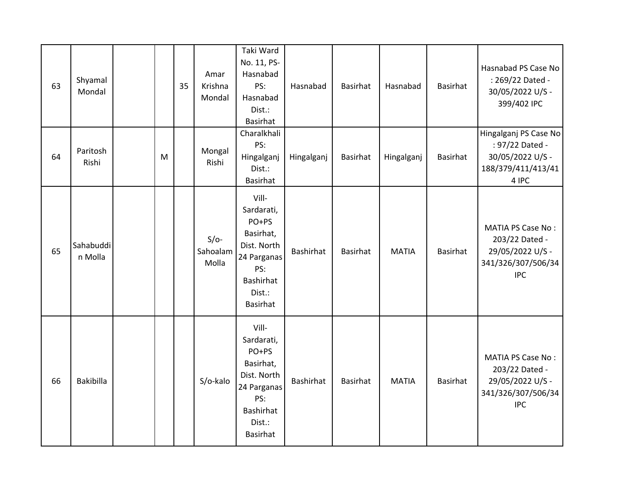| 63 | Shyamal<br>Mondal    |   | 35 | Amar<br>Krishna<br>Mondal   | Taki Ward<br>No. 11, PS-<br>Hasnabad<br>PS:<br>Hasnabad<br>Dist.:<br><b>Basirhat</b>                                     | Hasnabad   | Basirhat        | Hasnabad     | <b>Basirhat</b> | Hasnabad PS Case No<br>: 269/22 Dated -<br>30/05/2022 U/S -<br>399/402 IPC                         |
|----|----------------------|---|----|-----------------------------|--------------------------------------------------------------------------------------------------------------------------|------------|-----------------|--------------|-----------------|----------------------------------------------------------------------------------------------------|
| 64 | Paritosh<br>Rishi    | M |    | Mongal<br>Rishi             | Charalkhali<br>PS:<br>Hingalganj<br>Dist.:<br><b>Basirhat</b>                                                            | Hingalganj | Basirhat        | Hingalganj   | <b>Basirhat</b> | Hingalganj PS Case No<br>: 97/22 Dated -<br>30/05/2022 U/S -<br>188/379/411/413/41<br>4 IPC        |
| 65 | Sahabuddi<br>n Molla |   |    | $S/O-$<br>Sahoalam<br>Molla | Vill-<br>Sardarati,<br>PO+PS<br>Basirhat,<br>Dist. North<br>24 Parganas<br>PS:<br>Bashirhat<br>Dist.:<br><b>Basirhat</b> | Bashirhat  | Basirhat        | <b>MATIA</b> | <b>Basirhat</b> | <b>MATIA PS Case No:</b><br>203/22 Dated -<br>29/05/2022 U/S -<br>341/326/307/506/34<br><b>IPC</b> |
| 66 | Bakibilla            |   |    | S/o-kalo                    | Vill-<br>Sardarati,<br>PO+PS<br>Basirhat,<br>Dist. North<br>24 Parganas<br>PS:<br>Bashirhat<br>Dist.:<br><b>Basirhat</b> | Bashirhat  | <b>Basirhat</b> | <b>MATIA</b> | <b>Basirhat</b> | MATIA PS Case No:<br>203/22 Dated -<br>29/05/2022 U/S -<br>341/326/307/506/34<br><b>IPC</b>        |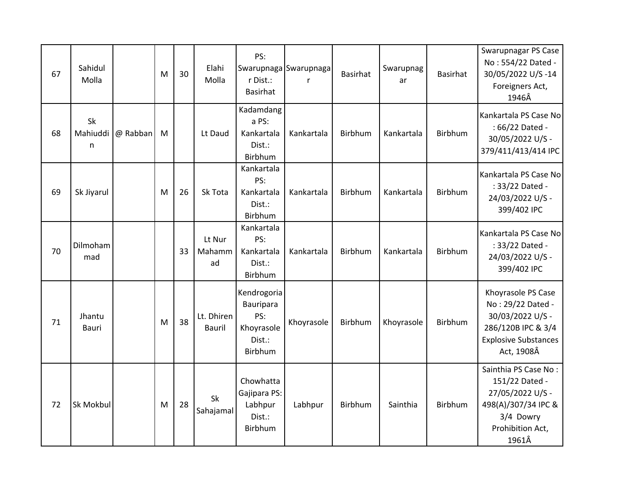| 67 | Sahidul<br>Molla    |          | M | 30 | Elahi<br>Molla         | PS:<br>r Dist.:<br>Basirhat                                        | Swarupnaga Swarupnaga<br>r | Basirhat | Swarupnag<br>ar | Basirhat | Swarupnagar PS Case<br>No: 554/22 Dated -<br>30/05/2022 U/S-14<br>Foreigners Act,<br>1946Â                                     |
|----|---------------------|----------|---|----|------------------------|--------------------------------------------------------------------|----------------------------|----------|-----------------|----------|--------------------------------------------------------------------------------------------------------------------------------|
| 68 | Sk<br>Mahiuddi<br>n | @ Rabban | M |    | Lt Daud                | Kadamdang<br>a PS:<br>Kankartala<br>Dist.:<br>Birbhum              | Kankartala                 | Birbhum  | Kankartala      | Birbhum  | Kankartala PS Case No<br>: 66/22 Dated -<br>30/05/2022 U/S -<br>379/411/413/414 IPC                                            |
| 69 | Sk Jiyarul          |          | M | 26 | Sk Tota                | Kankartala<br>PS:<br>Kankartala<br>Dist.:<br>Birbhum               | Kankartala                 | Birbhum  | Kankartala      | Birbhum  | Kankartala PS Case No<br>: 33/22 Dated -<br>24/03/2022 U/S -<br>399/402 IPC                                                    |
| 70 | Dilmoham<br>mad     |          |   | 33 | Lt Nur<br>Mahamm<br>ad | Kankartala<br>PS:<br>Kankartala<br>Dist.:<br>Birbhum               | Kankartala                 | Birbhum  | Kankartala      | Birbhum  | Kankartala PS Case No<br>: 33/22 Dated -<br>24/03/2022 U/S -<br>399/402 IPC                                                    |
| 71 | Jhantu<br>Bauri     |          | M | 38 | Lt. Dhiren<br>Bauril   | Kendrogoria<br>Bauripara<br>PS:<br>Khoyrasole<br>Dist.:<br>Birbhum | Khoyrasole                 | Birbhum  | Khoyrasole      | Birbhum  | Khoyrasole PS Case<br>No: 29/22 Dated -<br>30/03/2022 U/S -<br>286/120B IPC & 3/4<br><b>Explosive Substances</b><br>Act, 1908Â |
| 72 | Sk Mokbul           |          | M | 28 | Sk<br>Sahajamal        | Chowhatta<br>Gajipara PS:<br>Labhpur<br>Dist.:<br>Birbhum          | Labhpur                    | Birbhum  | Sainthia        | Birbhum  | Sainthia PS Case No:<br>151/22 Dated -<br>27/05/2022 U/S -<br>498(A)/307/34 IPC &<br>3/4 Dowry<br>Prohibition Act,<br>1961Â    |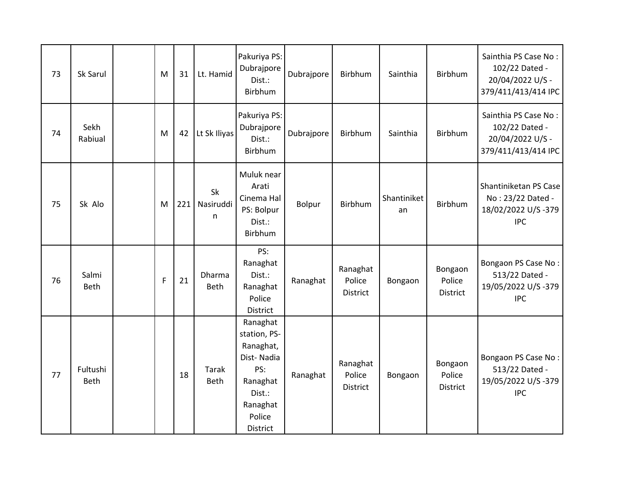| 73 | Sk Sarul         | M | 31  | Lt. Hamid            | Pakuriya PS:<br>Dubrajpore<br>Dist.:<br>Birbhum                                                                    | Dubrajpore | Birbhum                               | Sainthia          | Birbhum                              | Sainthia PS Case No:<br>102/22 Dated -<br>20/04/2022 U/S -<br>379/411/413/414 IPC |
|----|------------------|---|-----|----------------------|--------------------------------------------------------------------------------------------------------------------|------------|---------------------------------------|-------------------|--------------------------------------|-----------------------------------------------------------------------------------|
| 74 | Sekh<br>Rabiual  | M | 42  | Lt Sk Iliyas         | Pakuriya PS:<br>Dubrajpore<br>Dist.:<br>Birbhum                                                                    | Dubrajpore | Birbhum                               | Sainthia          | Birbhum                              | Sainthia PS Case No:<br>102/22 Dated -<br>20/04/2022 U/S -<br>379/411/413/414 IPC |
| 75 | Sk Alo           | M | 221 | Sk<br>Nasiruddi<br>n | Muluk near<br>Arati<br>Cinema Hal<br>PS: Bolpur<br>Dist.:<br>Birbhum                                               | Bolpur     | Birbhum                               | Shantiniket<br>an | Birbhum                              | Shantiniketan PS Case<br>No: 23/22 Dated -<br>18/02/2022 U/S-379<br><b>IPC</b>    |
| 76 | Salmi<br>Beth    | F | 21  | Dharma<br>Beth       | PS:<br>Ranaghat<br>Dist.:<br>Ranaghat<br>Police<br>District                                                        | Ranaghat   | Ranaghat<br>Police<br><b>District</b> | Bongaon           | Bongaon<br>Police<br>District        | Bongaon PS Case No:<br>513/22 Dated -<br>19/05/2022 U/S-379<br><b>IPC</b>         |
| 77 | Fultushi<br>Beth |   | 18  | <b>Tarak</b><br>Beth | Ranaghat<br>station, PS-<br>Ranaghat,<br>Dist-Nadia<br>PS:<br>Ranaghat<br>Dist.:<br>Ranaghat<br>Police<br>District | Ranaghat   | Ranaghat<br>Police<br>District        | Bongaon           | Bongaon<br>Police<br><b>District</b> | Bongaon PS Case No:<br>513/22 Dated -<br>19/05/2022 U/S-379<br><b>IPC</b>         |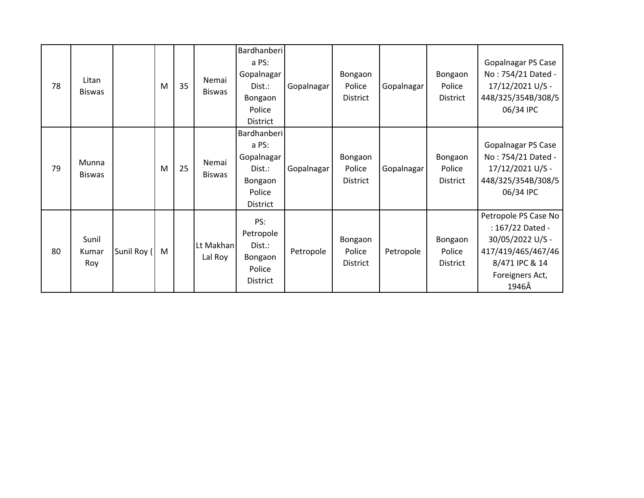| 78 | Litan<br><b>Biswas</b> |             | M | 35 | Nemai<br><b>Biswas</b> | <b>Bardhanberi</b><br>a PS:<br>Gopalnagar<br>Dist.:<br>Bongaon<br>Police<br>District | Gopalnagar | Bongaon<br>Police<br>District | Gopalnagar | Bongaon<br>Police<br>District | <b>Gopalnagar PS Case</b><br>No: 754/21 Dated -<br>17/12/2021 U/S -<br>448/325/354B/308/5<br>06/34 IPC                           |
|----|------------------------|-------------|---|----|------------------------|--------------------------------------------------------------------------------------|------------|-------------------------------|------------|-------------------------------|----------------------------------------------------------------------------------------------------------------------------------|
| 79 | Munna<br><b>Biswas</b> |             | M | 25 | Nemai<br><b>Biswas</b> | Bardhanberi<br>a PS:<br>Gopalnagar<br>Dist.:<br>Bongaon<br>Police<br>District        | Gopalnagar | Bongaon<br>Police<br>District | Gopalnagar | Bongaon<br>Police<br>District | Gopalnagar PS Case<br>No: 754/21 Dated -<br>17/12/2021 U/S -<br>448/325/354B/308/5<br>06/34 IPC                                  |
| 80 | Sunil<br>Kumar<br>Roy  | Sunil Roy ( | M |    | Lt Makhan<br>Lal Roy   | PS:<br>Petropole<br>Dist.:<br>Bongaon<br>Police<br>District                          | Petropole  | Bongaon<br>Police<br>District | Petropole  | Bongaon<br>Police<br>District | Petropole PS Case No<br>: 167/22 Dated -<br>30/05/2022 U/S -<br>417/419/465/467/46<br>8/471 IPC & 14<br>Foreigners Act,<br>1946Â |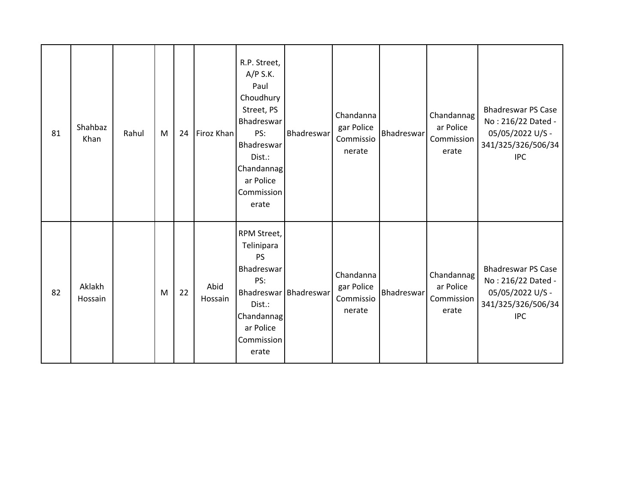| 81 | Shahbaz<br>Khan   | Rahul | M | 24 | Firoz Khan      | R.P. Street,<br>A/P S.K.<br>Paul<br>Choudhury<br>Street, PS<br>Bhadreswar<br>PS:<br>Bhadreswar<br>Dist.:<br>Chandannag<br>ar Police<br>Commission<br>erate | Bhadreswar            | Chandanna<br>gar Police<br>Commissio<br>nerate | Bhadreswar | Chandannag<br>ar Police<br>Commission<br>erate | <b>Bhadreswar PS Case</b><br>No: 216/22 Dated -<br>05/05/2022 U/S -<br>341/325/326/506/34<br><b>IPC</b> |
|----|-------------------|-------|---|----|-----------------|------------------------------------------------------------------------------------------------------------------------------------------------------------|-----------------------|------------------------------------------------|------------|------------------------------------------------|---------------------------------------------------------------------------------------------------------|
| 82 | Aklakh<br>Hossain |       | M | 22 | Abid<br>Hossain | RPM Street,<br>Telinipara<br>PS<br>Bhadreswar<br>PS:<br>Dist.:<br>Chandannag<br>ar Police<br>Commission<br>erate                                           | Bhadreswar Bhadreswar | Chandanna<br>gar Police<br>Commissio<br>nerate | Bhadreswar | Chandannag<br>ar Police<br>Commission<br>erate | <b>Bhadreswar PS Case</b><br>No: 216/22 Dated -<br>05/05/2022 U/S -<br>341/325/326/506/34<br><b>IPC</b> |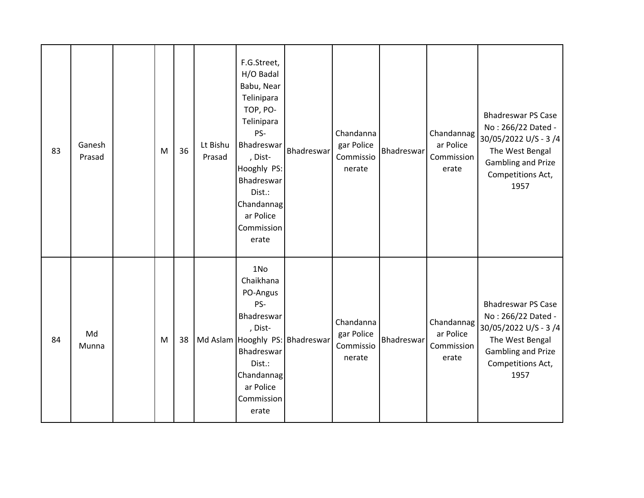| 83 | Ganesh<br>Prasad | M | 36 | Lt Bishu<br>Prasad | F.G.Street,<br>H/O Badal<br>Babu, Near<br>Telinipara<br>TOP, PO-<br>Telinipara<br>PS-<br>Bhadreswar<br>, Dist-<br>Hooghly PS:<br>Bhadreswar<br>Dist.:<br>Chandannag<br>ar Police<br>Commission<br>erate | Bhadreswar | Chandanna<br>gar Police<br>Commissio<br>nerate | Bhadreswar | Chandannag<br>ar Police<br>Commission<br>erate | <b>Bhadreswar PS Case</b><br>No: 266/22 Dated -<br>30/05/2022 U/S - 3/4<br>The West Bengal<br><b>Gambling and Prize</b><br>Competitions Act,<br>1957 |
|----|------------------|---|----|--------------------|---------------------------------------------------------------------------------------------------------------------------------------------------------------------------------------------------------|------------|------------------------------------------------|------------|------------------------------------------------|------------------------------------------------------------------------------------------------------------------------------------------------------|
| 84 | Md<br>Munna      | M | 38 |                    | 1No<br>Chaikhana<br>PO-Angus<br>PS-<br>Bhadreswar<br>, Dist-<br>Md Aslam Hooghly PS: Bhadreswar<br>Bhadreswar<br>Dist.:<br>Chandannag<br>ar Police<br>Commission<br>erate                               |            | Chandanna<br>gar Police<br>Commissio<br>nerate | Bhadreswar | Chandannag<br>ar Police<br>Commission<br>erate | <b>Bhadreswar PS Case</b><br>No: 266/22 Dated -<br>30/05/2022 U/S - 3/4<br>The West Bengal<br><b>Gambling and Prize</b><br>Competitions Act,<br>1957 |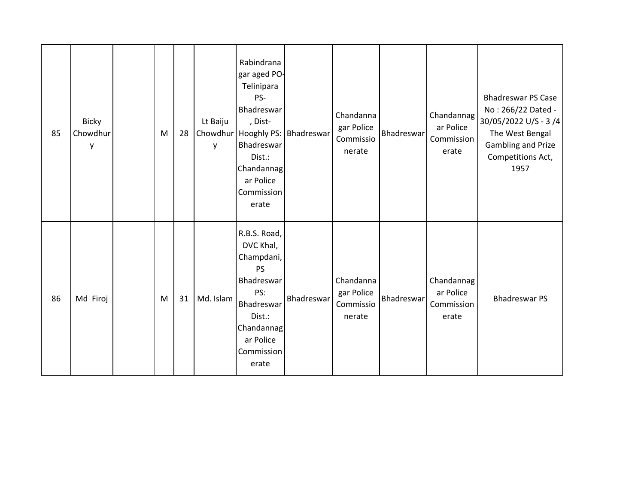| 85 | <b>Bicky</b><br>Chowdhur<br>у | M | 28 | Lt Baiju<br>у | Rabindrana<br>gar aged PO-<br>Telinipara<br>PS-<br>Bhadreswar<br>, Dist-<br>Chowdhur   Hooghly PS:   Bhadreswar<br>Bhadreswar<br>Dist.:<br>Chandannag<br>ar Police<br>Commission<br>erate |            | Chandanna<br>gar Police<br>Commissio<br>nerate | Bhadreswar | Chandannag<br>ar Police<br>Commission<br>erate | <b>Bhadreswar PS Case</b><br>No: 266/22 Dated -<br>30/05/2022 U/S - 3/4<br>The West Bengal<br>Gambling and Prize<br>Competitions Act,<br>1957 |
|----|-------------------------------|---|----|---------------|-------------------------------------------------------------------------------------------------------------------------------------------------------------------------------------------|------------|------------------------------------------------|------------|------------------------------------------------|-----------------------------------------------------------------------------------------------------------------------------------------------|
| 86 | Md Firoj                      | M | 31 | Md. Islam     | R.B.S. Road,<br>DVC Khal,<br>Champdani,<br><b>PS</b><br>Bhadreswar<br>PS:<br>Bhadreswar<br>Dist.:<br>Chandannag<br>ar Police<br>Commission<br>erate                                       | Bhadreswar | Chandanna<br>gar Police<br>Commissio<br>nerate | Bhadreswar | Chandannag<br>ar Police<br>Commission<br>erate | <b>Bhadreswar PS</b>                                                                                                                          |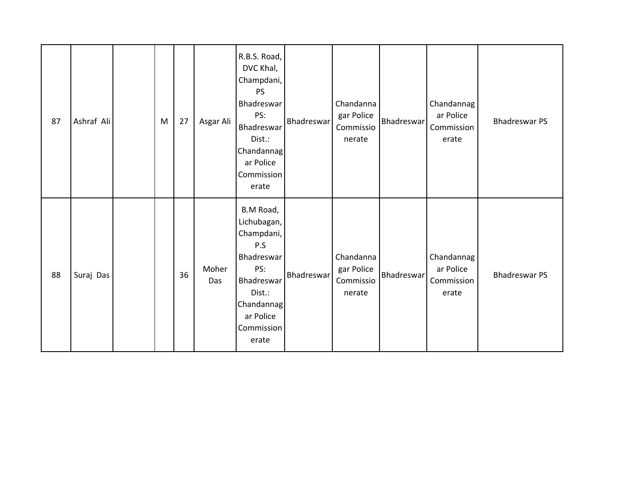| 87 | Ashraf Ali | M | 27 | Asgar Ali    | R.B.S. Road,<br>DVC Khal,<br>Champdani,<br><b>PS</b><br>Bhadreswar<br>PS:<br>Bhadreswar<br>Dist.:<br>Chandannag<br>ar Police<br>Commission<br>erate | Bhadreswar | Chandanna<br>gar Police<br>Commissio<br>nerate | Bhadreswar        | Chandannag<br>ar Police<br>Commission<br>erate | <b>Bhadreswar PS</b> |
|----|------------|---|----|--------------|-----------------------------------------------------------------------------------------------------------------------------------------------------|------------|------------------------------------------------|-------------------|------------------------------------------------|----------------------|
| 88 | Suraj Das  |   | 36 | Moher<br>Das | B.M Road,<br>Lichubagan,<br>Champdani,<br>P.S<br>Bhadreswar<br>PS:<br>Bhadreswar<br>Dist.:<br>Chandannag<br>ar Police<br>Commission<br>erate        | Bhadreswar | Chandanna<br>gar Police<br>Commissio<br>nerate | <b>Bhadreswar</b> | Chandannag<br>ar Police<br>Commission<br>erate | <b>Bhadreswar PS</b> |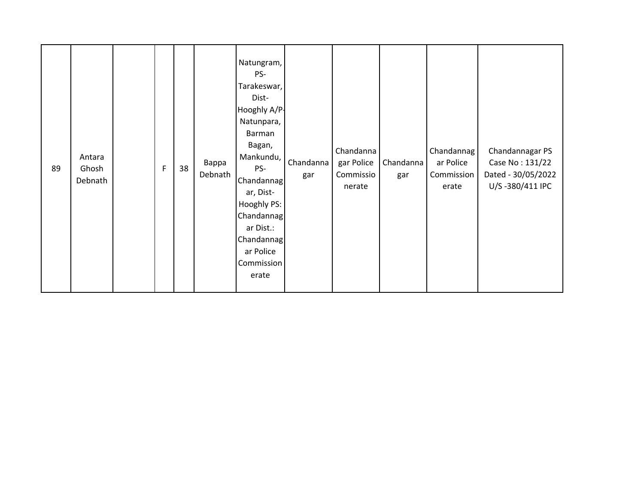| 89 | Antara<br>Ghosh<br>Debnath |  | $\mathsf F$ | 38 | Bappa<br>Debnath | Natungram,<br>PS-<br>Tarakeswar,<br>Dist-<br>Hooghly A/P-<br>Natunpara,<br>Barman<br>Bagan,<br>Mankundu,<br>PS-<br>Chandannag<br>ar, Dist-<br>Hooghly PS:<br>Chandannag<br>ar Dist.:<br>Chandannag<br>ar Police<br>Commission<br>erate | Chandanna<br>gar | Chandanna<br>gar Police<br>Commissio<br>nerate | Chandanna<br>gar | Chandannag<br>ar Police<br>Commission<br>erate | Chandannagar PS<br>Case No: 131/22<br>Dated - 30/05/2022<br>U/S-380/411 IPC |
|----|----------------------------|--|-------------|----|------------------|----------------------------------------------------------------------------------------------------------------------------------------------------------------------------------------------------------------------------------------|------------------|------------------------------------------------|------------------|------------------------------------------------|-----------------------------------------------------------------------------|
|----|----------------------------|--|-------------|----|------------------|----------------------------------------------------------------------------------------------------------------------------------------------------------------------------------------------------------------------------------------|------------------|------------------------------------------------|------------------|------------------------------------------------|-----------------------------------------------------------------------------|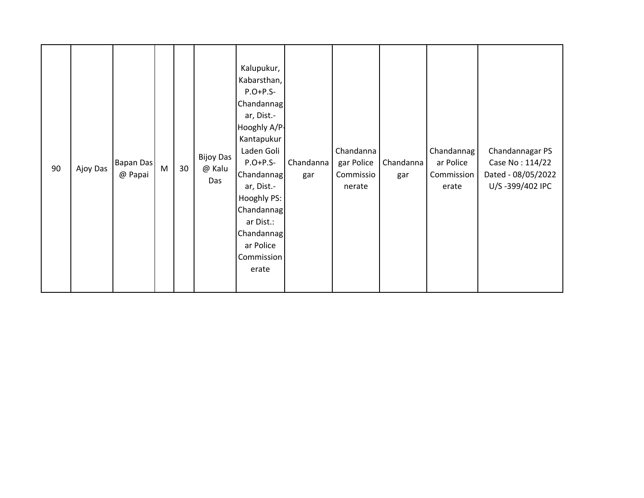| 90 | Ajoy Das | <b>Bapan Das</b><br>@ Papai | M | 30 | <b>Bijoy Das</b><br>@ Kalu<br>Das | Kalupukur,<br>Kabarsthan,<br>$P.O+P.S-$<br>Chandannag<br>ar, Dist.-<br>Hooghly A/P-<br>Kantapukur<br>Laden Goli<br>$P.O+P.S-$<br>Chandannag<br>ar, Dist.-<br>Hooghly PS:<br>Chandannag<br>ar Dist.:<br>Chandannag<br>ar Police<br>Commission<br>erate | Chandanna<br>gar | Chandanna<br>gar Police<br>Commissio<br>nerate | Chandanna<br>gar | Chandannag<br>ar Police<br>Commission<br>erate | Chandannagar PS<br>Case No: 114/22<br>Dated - 08/05/2022<br>U/S-399/402 IPC |
|----|----------|-----------------------------|---|----|-----------------------------------|-------------------------------------------------------------------------------------------------------------------------------------------------------------------------------------------------------------------------------------------------------|------------------|------------------------------------------------|------------------|------------------------------------------------|-----------------------------------------------------------------------------|
|----|----------|-----------------------------|---|----|-----------------------------------|-------------------------------------------------------------------------------------------------------------------------------------------------------------------------------------------------------------------------------------------------------|------------------|------------------------------------------------|------------------|------------------------------------------------|-----------------------------------------------------------------------------|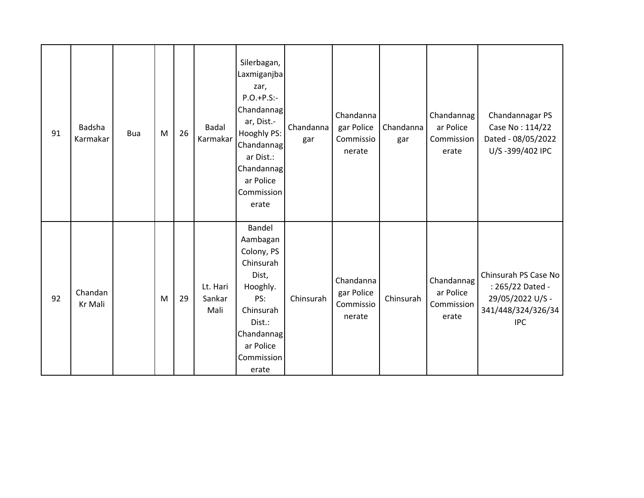| 91 | Badsha<br>Karmakar | Bua | M | 26 | Badal<br>Karmakar          | Silerbagan,<br>Laxmiganjba<br>zar,<br>$P.O.+P.S:-$<br>Chandannag<br>ar, Dist.-<br>Hooghly PS:<br>Chandannag<br>ar Dist.:<br>Chandannag             | Chandanna<br>gar | Chandanna<br>gar Police<br>Commissio<br>nerate | Chandanna<br>gar | Chandannag<br>ar Police<br>Commission<br>erate | Chandannagar PS<br>Case No: 114/22<br>Dated - 08/05/2022<br>U/S-399/402 IPC                      |
|----|--------------------|-----|---|----|----------------------------|----------------------------------------------------------------------------------------------------------------------------------------------------|------------------|------------------------------------------------|------------------|------------------------------------------------|--------------------------------------------------------------------------------------------------|
|    |                    |     |   |    |                            | ar Police<br>Commission<br>erate                                                                                                                   |                  |                                                |                  |                                                |                                                                                                  |
| 92 | Chandan<br>Kr Mali |     | M | 29 | Lt. Hari<br>Sankar<br>Mali | Bandel<br>Aambagan<br>Colony, PS<br>Chinsurah<br>Dist,<br>Hooghly.<br>PS:<br>Chinsurah<br>Dist.:<br>Chandannag<br>ar Police<br>Commission<br>erate | Chinsurah        | Chandanna<br>gar Police<br>Commissio<br>nerate | Chinsurah        | Chandannag<br>ar Police<br>Commission<br>erate | Chinsurah PS Case No<br>: 265/22 Dated -<br>29/05/2022 U/S -<br>341/448/324/326/34<br><b>IPC</b> |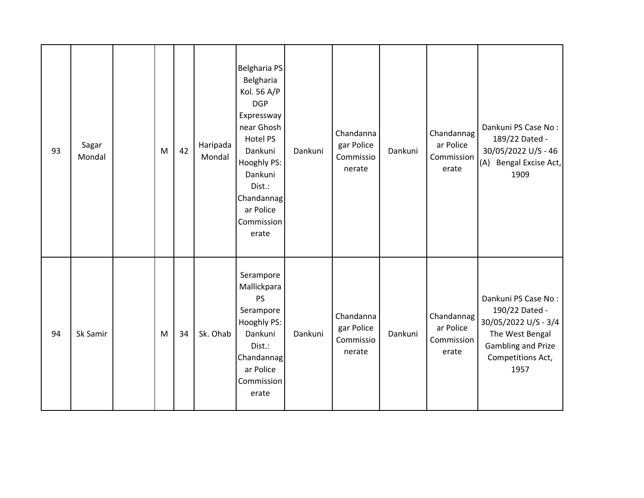| 93 | Sagar<br>Mondal | M | 42 | Haripada<br>Mondal | Belgharia PS<br>Belgharia<br>Kol. 56 A/P<br><b>DGP</b><br>Expressway<br>near Ghosh<br>Hotel PS<br>Dankuni<br>Hooghly PS:<br>Dankuni<br>Dist.:<br>Chandannag<br>ar Police<br>Commission<br>erate | Dankuni | Chandanna<br>gar Police<br>Commissio<br>nerate | Dankuni | Chandannag<br>ar Police<br>Commission<br>erate | Dankuni PS Case No:<br>189/22 Dated -<br>30/05/2022 U/S - 46<br>(A) Bengal Excise Act,<br>1909                                             |
|----|-----------------|---|----|--------------------|-------------------------------------------------------------------------------------------------------------------------------------------------------------------------------------------------|---------|------------------------------------------------|---------|------------------------------------------------|--------------------------------------------------------------------------------------------------------------------------------------------|
| 94 | Sk Samir        | M | 34 | Sk. Ohab           | Serampore<br>Mallickpara<br><b>PS</b><br>Serampore<br>Hooghly PS:<br>Dankuni<br>Dist.:<br>Chandannag<br>ar Police<br>Commission<br>erate                                                        | Dankuni | Chandanna<br>gar Police<br>Commissio<br>nerate | Dankuni | Chandannag<br>ar Police<br>Commission<br>erate | Dankuni PS Case No:<br>190/22 Dated -<br>30/05/2022 U/S - 3/4<br>The West Bengal<br><b>Gambling and Prize</b><br>Competitions Act,<br>1957 |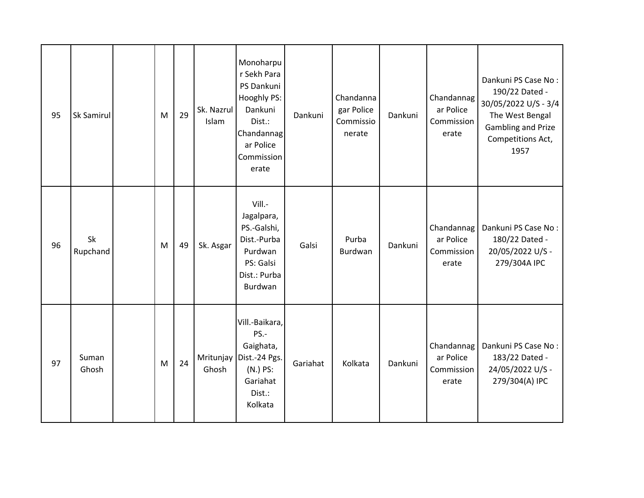| 95 | Sk Samirul     | M | 29 | Sk. Nazrul<br>Islam | Monoharpu<br>r Sekh Para<br>PS Dankuni<br>Hooghly PS:<br>Dankuni<br>Dist.:<br>Chandannag<br>ar Police<br>Commission<br>erate | Dankuni  | Chandanna<br>gar Police<br>Commissio<br>nerate | Dankuni | Chandannag<br>ar Police<br>Commission<br>erate | Dankuni PS Case No:<br>190/22 Dated -<br>30/05/2022 U/S - 3/4<br>The West Bengal<br><b>Gambling and Prize</b><br>Competitions Act,<br>1957 |
|----|----------------|---|----|---------------------|------------------------------------------------------------------------------------------------------------------------------|----------|------------------------------------------------|---------|------------------------------------------------|--------------------------------------------------------------------------------------------------------------------------------------------|
| 96 | Sk<br>Rupchand | M | 49 | Sk. Asgar           | Vill.-<br>Jagalpara,<br>PS.-Galshi,<br>Dist.-Purba<br>Purdwan<br>PS: Galsi<br>Dist.: Purba<br>Burdwan                        | Galsi    | Purba<br>Burdwan                               | Dankuni | Chandannag<br>ar Police<br>Commission<br>erate | Dankuni PS Case No:<br>180/22 Dated -<br>20/05/2022 U/S -<br>279/304A IPC                                                                  |
| 97 | Suman<br>Ghosh | M | 24 | Mritunjay<br>Ghosh  | Vill.-Baikara,<br>PS.-<br>Gaighata,<br>Dist.-24 Pgs.<br>(N.) PS:<br>Gariahat<br>Dist.:<br>Kolkata                            | Gariahat | Kolkata                                        | Dankuni | Chandannag<br>ar Police<br>Commission<br>erate | Dankuni PS Case No:<br>183/22 Dated -<br>24/05/2022 U/S -<br>279/304(A) IPC                                                                |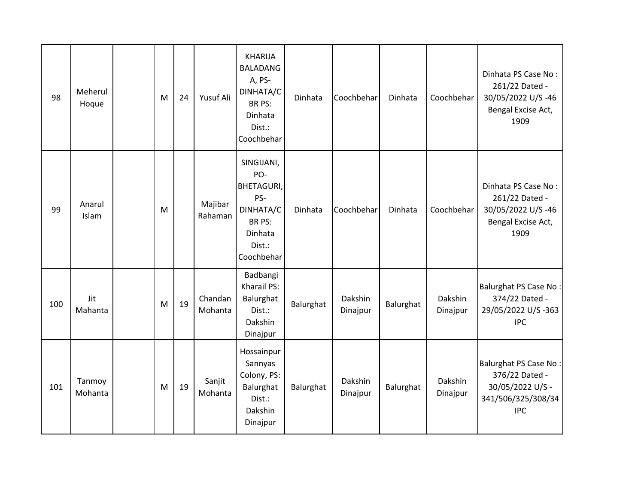| 98  | Meherul<br>Hoque  | M | 24 | Yusuf Ali          | <b>KHARIJA</b><br><b>BALADANG</b><br>A, PS-<br>DINHATA/C<br>BR PS:<br>Dinhata<br>Dist.:<br>Coochbehar          | Dinhata   | Coochbehar          | Dinhata   | Coochbehar          | Dinhata PS Case No:<br>261/22 Dated -<br>30/05/2022 U/S-46<br>Bengal Excise Act,<br>1909               |
|-----|-------------------|---|----|--------------------|----------------------------------------------------------------------------------------------------------------|-----------|---------------------|-----------|---------------------|--------------------------------------------------------------------------------------------------------|
| 99  | Anarul<br>Islam   | M |    | Majibar<br>Rahaman | SINGIJANI,<br>PO-<br><b>BHETAGURI,</b><br>PS-<br>DINHATA/C<br><b>BR PS:</b><br>Dinhata<br>Dist.:<br>Coochbehar | Dinhata   | Coochbehar          | Dinhata   | Coochbehar          | Dinhata PS Case No:<br>261/22 Dated -<br>30/05/2022 U/S-46<br>Bengal Excise Act,<br>1909               |
| 100 | Jit<br>Mahanta    | M | 19 | Chandan<br>Mohanta | Badbangi<br>Kharail PS:<br>Balurghat<br>Dist.:<br>Dakshin<br>Dinajpur                                          | Balurghat | Dakshin<br>Dinajpur | Balurghat | Dakshin<br>Dinajpur | <b>Balurghat PS Case No:</b><br>374/22 Dated -<br>29/05/2022 U/S-363<br><b>IPC</b>                     |
| 101 | Tanmoy<br>Mohanta | M | 19 | Sanjit<br>Mohanta  | Hossainpur<br>Sannyas<br>Colony, PS:<br>Balurghat<br>Dist.:<br>Dakshin<br>Dinajpur                             | Balurghat | Dakshin<br>Dinajpur | Balurghat | Dakshin<br>Dinajpur | <b>Balurghat PS Case No:</b><br>376/22 Dated -<br>30/05/2022 U/S -<br>341/506/325/308/34<br><b>IPC</b> |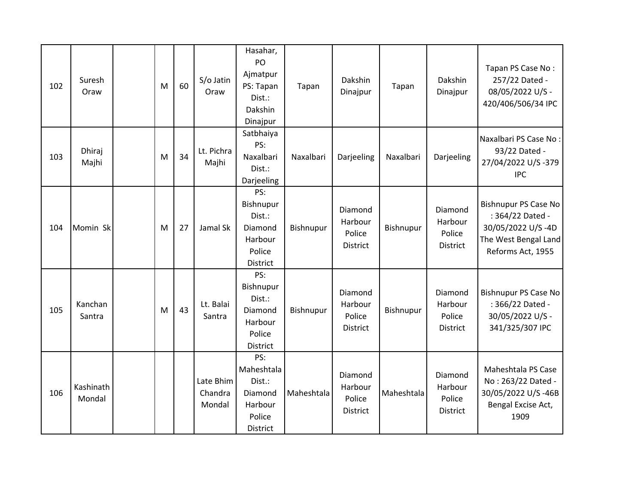| 102 | Suresh<br>Oraw      | M | 60 | S/o Jatin<br>Oraw              | Hasahar,<br>PO<br>Ajmatpur<br>PS: Tapan<br>Dist.:<br>Dakshin<br>Dinajpur      | Tapan      | Dakshin<br>Dinajpur                             | Tapan      | Dakshin<br>Dinajpur                             | Tapan PS Case No:<br>257/22 Dated -<br>08/05/2022 U/S -<br>420/406/506/34 IPC                                     |
|-----|---------------------|---|----|--------------------------------|-------------------------------------------------------------------------------|------------|-------------------------------------------------|------------|-------------------------------------------------|-------------------------------------------------------------------------------------------------------------------|
| 103 | Dhiraj<br>Majhi     | M | 34 | Lt. Pichra<br>Majhi            | Satbhaiya<br>PS:<br>Naxalbari<br>Dist.:<br>Darjeeling                         | Naxalbari  | Darjeeling                                      | Naxalbari  | Darjeeling                                      | Naxalbari PS Case No:<br>93/22 Dated -<br>27/04/2022 U/S-379<br><b>IPC</b>                                        |
| 104 | Momin Sk            | M | 27 | Jamal Sk                       | PS:<br>Bishnupur<br>Dist.:<br>Diamond<br>Harbour<br>Police<br><b>District</b> | Bishnupur  | Diamond<br>Harbour<br>Police<br><b>District</b> | Bishnupur  | Diamond<br>Harbour<br>Police<br><b>District</b> | <b>Bishnupur PS Case No</b><br>: 364/22 Dated -<br>30/05/2022 U/S-4D<br>The West Bengal Land<br>Reforms Act, 1955 |
| 105 | Kanchan<br>Santra   | M | 43 | Lt. Balai<br>Santra            | PS:<br>Bishnupur<br>Dist.:<br>Diamond<br>Harbour<br>Police<br><b>District</b> | Bishnupur  | Diamond<br>Harbour<br>Police<br><b>District</b> | Bishnupur  | Diamond<br>Harbour<br>Police<br><b>District</b> | <b>Bishnupur PS Case No</b><br>: 366/22 Dated -<br>30/05/2022 U/S -<br>341/325/307 IPC                            |
| 106 | Kashinath<br>Mondal |   |    | Late Bhim<br>Chandra<br>Mondal | PS:<br>Maheshtala<br>Dist.:<br>Diamond<br>Harbour<br>Police<br>District       | Maheshtala | Diamond<br>Harbour<br>Police<br><b>District</b> | Maheshtala | Diamond<br>Harbour<br>Police<br><b>District</b> | Maheshtala PS Case<br>No: 263/22 Dated -<br>30/05/2022 U/S-46B<br>Bengal Excise Act,<br>1909                      |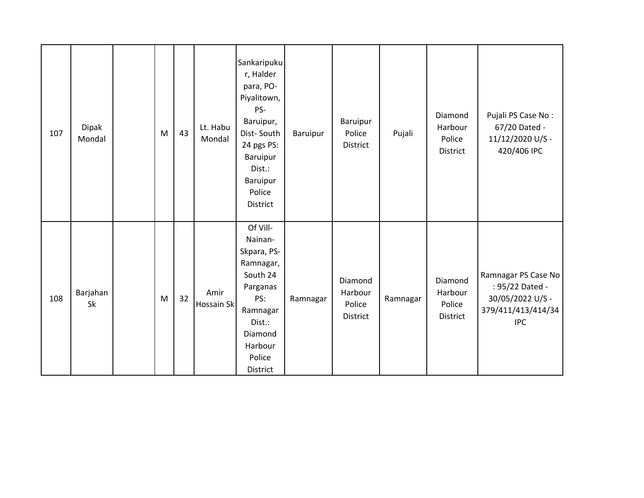| 107 | <b>Dipak</b><br>Mondal | M | 43 | Lt. Habu<br>Mondal | Sankaripuku<br>r, Halder<br>para, PO-<br>Piyalitown,<br>PS-<br>Baruipur,<br>Dist-South<br>24 pgs PS:<br>Baruipur<br>Dist.:<br>Baruipur<br>Police<br>District | Baruipur | Baruipur<br>Police<br><b>District</b>    | Pujali   | Diamond<br>Harbour<br>Police<br>District | Pujali PS Case No:<br>67/20 Dated -<br>11/12/2020 U/S -<br>420/406 IPC                         |
|-----|------------------------|---|----|--------------------|--------------------------------------------------------------------------------------------------------------------------------------------------------------|----------|------------------------------------------|----------|------------------------------------------|------------------------------------------------------------------------------------------------|
| 108 | Barjahan<br>Sk         | M | 32 | Amir<br>Hossain Sk | Of Vill-<br>Nainan-<br>Skpara, PS-<br>Ramnagar,<br>South 24<br>Parganas<br>PS:<br>Ramnagar<br>Dist.:<br>Diamond<br>Harbour<br>Police<br>District             | Ramnagar | Diamond<br>Harbour<br>Police<br>District | Ramnagar | Diamond<br>Harbour<br>Police<br>District | Ramnagar PS Case No<br>: 95/22 Dated -<br>30/05/2022 U/S -<br>379/411/413/414/34<br><b>IPC</b> |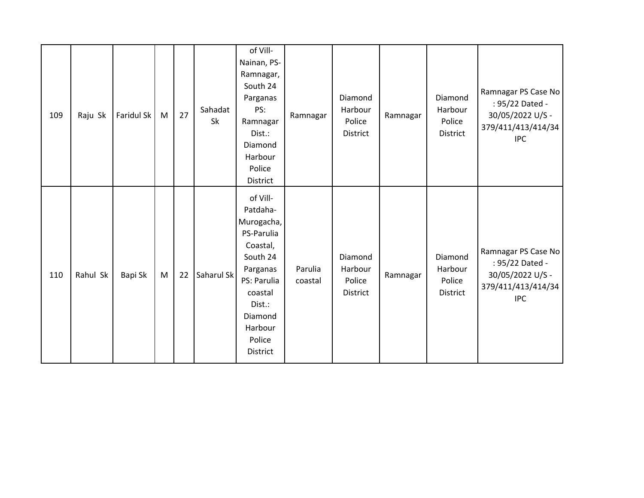| 109 | Raju Sk  | Faridul Sk | M | 27 | Sahadat<br>Sk | of Vill-<br>Nainan, PS-<br>Ramnagar,<br>South 24<br>Parganas<br>PS:<br>Ramnagar<br>Dist.:<br>Diamond<br>Harbour<br>Police<br>District                                | Ramnagar           | Diamond<br>Harbour<br>Police<br>District | Ramnagar | Diamond<br>Harbour<br>Police<br>District | Ramnagar PS Case No<br>: 95/22 Dated -<br>30/05/2022 U/S -<br>379/411/413/414/34<br><b>IPC</b> |
|-----|----------|------------|---|----|---------------|----------------------------------------------------------------------------------------------------------------------------------------------------------------------|--------------------|------------------------------------------|----------|------------------------------------------|------------------------------------------------------------------------------------------------|
| 110 | Rahul Sk | Bapi Sk    | M | 22 | Saharul Sk    | of Vill-<br>Patdaha-<br>Murogacha,<br>PS-Parulia<br>Coastal,<br>South 24<br>Parganas<br>PS: Parulia<br>coastal<br>Dist.:<br>Diamond<br>Harbour<br>Police<br>District | Parulia<br>coastal | Diamond<br>Harbour<br>Police<br>District | Ramnagar | Diamond<br>Harbour<br>Police<br>District | Ramnagar PS Case No<br>: 95/22 Dated -<br>30/05/2022 U/S -<br>379/411/413/414/34<br><b>IPC</b> |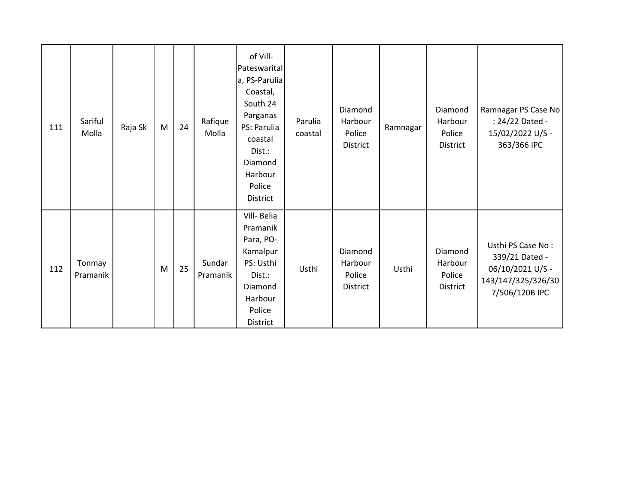| 111 | Sariful<br>Molla   | Raja Sk | M | 24 | Rafique<br>Molla   | of Vill-<br>Pateswarital<br>a, PS-Parulia<br>Coastal,<br>South 24<br>Parganas<br>PS: Parulia<br>coastal<br>Dist.:<br>Diamond<br>Harbour<br>Police<br>District | Parulia<br>coastal | Diamond<br>Harbour<br>Police<br><b>District</b> | Ramnagar | Diamond<br>Harbour<br>Police<br>District        | Ramnagar PS Case No<br>: 24/22 Dated -<br>15/02/2022 U/S -<br>363/366 IPC                       |
|-----|--------------------|---------|---|----|--------------------|---------------------------------------------------------------------------------------------------------------------------------------------------------------|--------------------|-------------------------------------------------|----------|-------------------------------------------------|-------------------------------------------------------------------------------------------------|
| 112 | Tonmay<br>Pramanik |         | M | 25 | Sundar<br>Pramanik | Vill- Belia<br>Pramanik<br>Para, PO-<br>Kamalpur<br>PS: Usthi<br>Dist.:<br>Diamond<br>Harbour<br>Police<br>District                                           | Usthi              | Diamond<br>Harbour<br>Police<br>District        | Usthi    | Diamond<br>Harbour<br>Police<br><b>District</b> | Usthi PS Case No:<br>339/21 Dated -<br>06/10/2021 U/S -<br>143/147/325/326/30<br>7/506/120B IPC |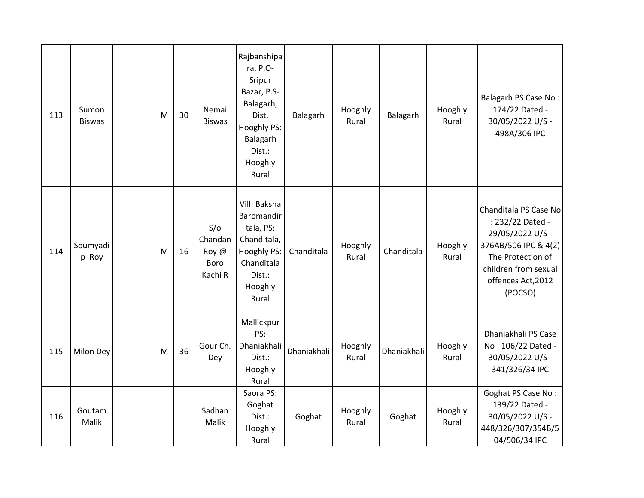| 113 | Sumon<br><b>Biswas</b> | M | 30 | Nemai<br><b>Biswas</b>                     | Rajbanshipa<br>ra, P.O-<br>Sripur<br>Bazar, P.S-<br>Balagarh,<br>Dist.<br>Hooghly PS:<br>Balagarh<br>Dist.:<br>Hooghly<br>Rural | Balagarh    | Hooghly<br>Rural | Balagarh    | Hooghly<br>Rural | Balagarh PS Case No:<br>174/22 Dated -<br>30/05/2022 U/S -<br>498A/306 IPC                                                                                          |
|-----|------------------------|---|----|--------------------------------------------|---------------------------------------------------------------------------------------------------------------------------------|-------------|------------------|-------------|------------------|---------------------------------------------------------------------------------------------------------------------------------------------------------------------|
| 114 | Soumyadi<br>p Roy      | M | 16 | S/O<br>Chandan<br>Roy @<br>Boro<br>Kachi R | Vill: Baksha<br>Baromandir<br>tala, PS:<br>Chanditala,<br>Hooghly PS:<br>Chanditala<br>Dist.:<br>Hooghly<br>Rural               | Chanditala  | Hooghly<br>Rural | Chanditala  | Hooghly<br>Rural | Chanditala PS Case No<br>: 232/22 Dated -<br>29/05/2022 U/S -<br>376AB/506 IPC & 4(2)<br>The Protection of<br>children from sexual<br>offences Act, 2012<br>(POCSO) |
| 115 | Milon Dey              | M | 36 | Gour Ch.<br>Dey                            | Mallickpur<br>PS:<br>Dhaniakhali<br>Dist.:<br>Hooghly<br>Rural                                                                  | Dhaniakhali | Hooghly<br>Rural | Dhaniakhali | Hooghly<br>Rural | Dhaniakhali PS Case<br>No: 106/22 Dated -<br>30/05/2022 U/S -<br>341/326/34 IPC                                                                                     |
| 116 | Goutam<br>Malik        |   |    | Sadhan<br>Malik                            | Saora PS:<br>Goghat<br>Dist.:<br>Hooghly<br>Rural                                                                               | Goghat      | Hooghly<br>Rural | Goghat      | Hooghly<br>Rural | Goghat PS Case No:<br>139/22 Dated -<br>30/05/2022 U/S -<br>448/326/307/354B/5<br>04/506/34 IPC                                                                     |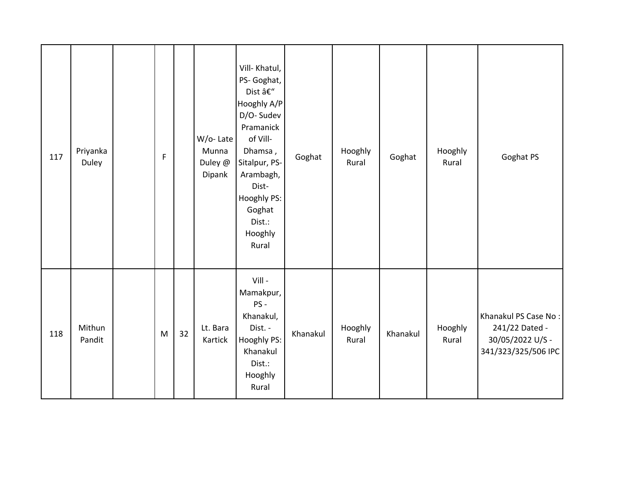| 117 | Priyanka<br>Duley | F |    | W/o-Late<br>Munna<br>Duley @<br>Dipank | Vill-Khatul,<br>PS- Goghat,<br>Dist –<br>Hooghly A/P<br>D/O-Sudev<br>Pramanick<br>of Vill-<br>Dhamsa,<br>Sitalpur, PS-<br>Arambagh,<br>Dist-<br>Hooghly PS:<br>Goghat<br>Dist.:<br>Hooghly<br>Rural | Goghat   | Hooghly<br>Rural | Goghat   | Hooghly<br>Rural | Goghat PS                                                                         |
|-----|-------------------|---|----|----------------------------------------|-----------------------------------------------------------------------------------------------------------------------------------------------------------------------------------------------------|----------|------------------|----------|------------------|-----------------------------------------------------------------------------------|
| 118 | Mithun<br>Pandit  | M | 32 | Lt. Bara<br>Kartick                    | Vill-<br>Mamakpur,<br>PS-<br>Khanakul,<br>Dist. -<br>Hooghly PS:<br>Khanakul<br>Dist.:<br>Hooghly<br>Rural                                                                                          | Khanakul | Hooghly<br>Rural | Khanakul | Hooghly<br>Rural | Khanakul PS Case No:<br>241/22 Dated -<br>30/05/2022 U/S -<br>341/323/325/506 IPC |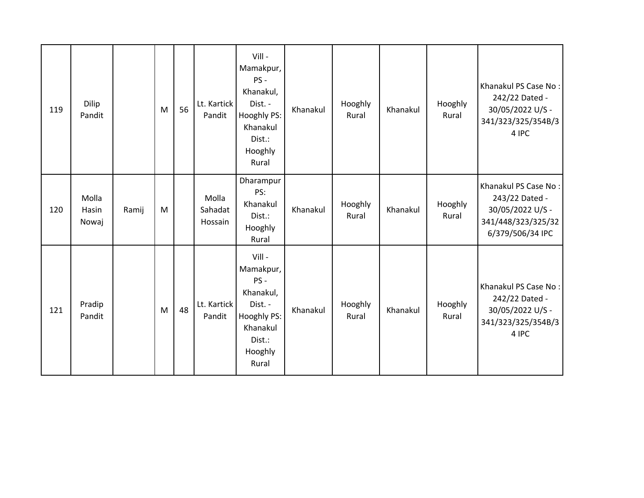| 119 | Dilip<br>Pandit         |       | M | 56 | Lt. Kartick<br>Pandit       | Vill-<br>Mamakpur,<br>PS-<br>Khanakul,<br>Dist. -<br>Hooghly PS:<br>Khanakul<br>Dist.:<br>Hooghly<br>Rural  | Khanakul | Hooghly<br>Rural | Khanakul | Hooghly<br>Rural | Khanakul PS Case No:<br>242/22 Dated -<br>30/05/2022 U/S -<br>341/323/325/354B/3<br>4 IPC            |
|-----|-------------------------|-------|---|----|-----------------------------|-------------------------------------------------------------------------------------------------------------|----------|------------------|----------|------------------|------------------------------------------------------------------------------------------------------|
| 120 | Molla<br>Hasin<br>Nowaj | Ramij | M |    | Molla<br>Sahadat<br>Hossain | Dharampur<br>PS:<br>Khanakul<br>Dist.:<br>Hooghly<br>Rural                                                  | Khanakul | Hooghly<br>Rural | Khanakul | Hooghly<br>Rural | Khanakul PS Case No:<br>243/22 Dated -<br>30/05/2022 U/S -<br>341/448/323/325/32<br>6/379/506/34 IPC |
| 121 | Pradip<br>Pandit        |       | M | 48 | Lt. Kartick<br>Pandit       | Vill -<br>Mamakpur,<br>PS-<br>Khanakul,<br>Dist. -<br>Hooghly PS:<br>Khanakul<br>Dist.:<br>Hooghly<br>Rural | Khanakul | Hooghly<br>Rural | Khanakul | Hooghly<br>Rural | Khanakul PS Case No:<br>242/22 Dated -<br>30/05/2022 U/S -<br>341/323/325/354B/3<br>4 IPC            |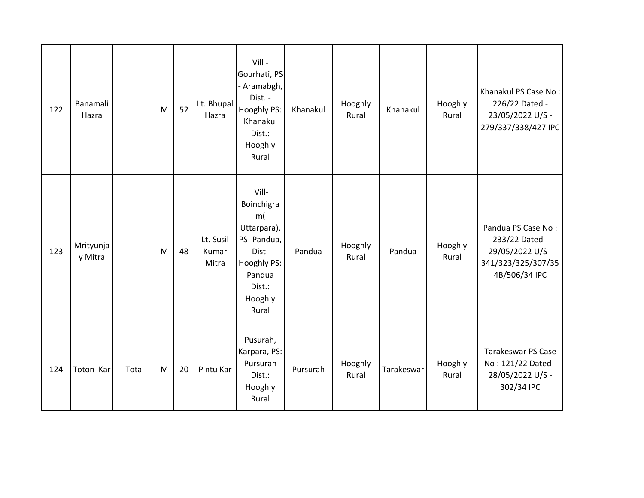| 122 | Banamali<br>Hazra    |      | M | 52 | Lt. Bhupal<br>Hazra         | Vill -<br>Gourhati, PS<br>- Aramabgh,<br>Dist. -<br>Hooghly PS:<br>Khanakul<br>Dist.:<br>Hooghly<br>Rural               | Khanakul | Hooghly<br>Rural | Khanakul   | Hooghly<br>Rural | Khanakul PS Case No:<br>226/22 Dated -<br>23/05/2022 U/S -<br>279/337/338/427 IPC               |
|-----|----------------------|------|---|----|-----------------------------|-------------------------------------------------------------------------------------------------------------------------|----------|------------------|------------|------------------|-------------------------------------------------------------------------------------------------|
| 123 | Mrityunja<br>y Mitra |      | M | 48 | Lt. Susil<br>Kumar<br>Mitra | Vill-<br>Boinchigra<br>m(<br>Uttarpara),<br>PS- Pandua,<br>Dist-<br>Hooghly PS:<br>Pandua<br>Dist.:<br>Hooghly<br>Rural | Pandua   | Hooghly<br>Rural | Pandua     | Hooghly<br>Rural | Pandua PS Case No:<br>233/22 Dated -<br>29/05/2022 U/S -<br>341/323/325/307/35<br>4B/506/34 IPC |
| 124 | Toton Kar            | Tota | M | 20 | Pintu Kar                   | Pusurah,<br>Karpara, PS:<br>Pursurah<br>Dist.:<br>Hooghly<br>Rural                                                      | Pursurah | Hooghly<br>Rural | Tarakeswar | Hooghly<br>Rural | Tarakeswar PS Case<br>No: 121/22 Dated -<br>28/05/2022 U/S -<br>302/34 IPC                      |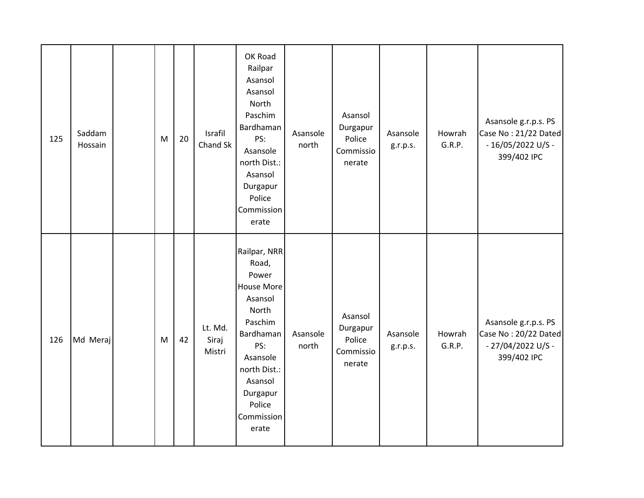| 125 | Saddam<br>Hossain | M | 20 | Israfil<br>Chand Sk        | OK Road<br>Railpar<br>Asansol<br>Asansol<br>North<br>Paschim<br>Bardhaman<br>PS:<br>Asansole<br>north Dist.:<br>Asansol<br>Durgapur<br>Police<br>Commission<br>erate                       | Asansole<br>north | Asansol<br>Durgapur<br>Police<br>Commissio<br>nerate | Asansole<br>g.r.p.s. | Howrah<br>G.R.P. | Asansole g.r.p.s. PS<br>Case No: 21/22 Dated<br>- 16/05/2022 U/S -<br>399/402 IPC |
|-----|-------------------|---|----|----------------------------|--------------------------------------------------------------------------------------------------------------------------------------------------------------------------------------------|-------------------|------------------------------------------------------|----------------------|------------------|-----------------------------------------------------------------------------------|
| 126 | Md Meraj          | M | 42 | Lt. Md.<br>Siraj<br>Mistri | Railpar, NRR<br>Road,<br>Power<br><b>House More</b><br>Asansol<br>North<br>Paschim<br>Bardhaman<br>PS:<br>Asansole<br>north Dist.:<br>Asansol<br>Durgapur<br>Police<br>Commission<br>erate | Asansole<br>north | Asansol<br>Durgapur<br>Police<br>Commissio<br>nerate | Asansole<br>g.r.p.s. | Howrah<br>G.R.P. | Asansole g.r.p.s. PS<br>Case No: 20/22 Dated<br>- 27/04/2022 U/S -<br>399/402 IPC |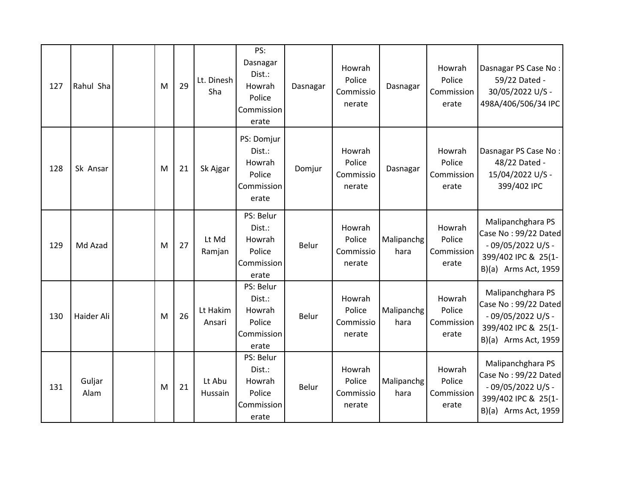| 127 | Rahul Sha      | M | 29 | Lt. Dinesh<br>Sha  | PS:<br>Dasnagar<br>Dist.:<br>Howrah<br>Police<br>Commission<br>erate | Dasnagar | Howrah<br>Police<br>Commissio<br>nerate | Dasnagar           | Howrah<br>Police<br>Commission<br>erate | Dasnagar PS Case No:<br>59/22 Dated -<br>30/05/2022 U/S -<br>498A/406/506/34 IPC                                |
|-----|----------------|---|----|--------------------|----------------------------------------------------------------------|----------|-----------------------------------------|--------------------|-----------------------------------------|-----------------------------------------------------------------------------------------------------------------|
| 128 | Sk Ansar       | M | 21 | Sk Ajgar           | PS: Domjur<br>Dist.:<br>Howrah<br>Police<br>Commission<br>erate      | Domjur   | Howrah<br>Police<br>Commissio<br>nerate | Dasnagar           | Howrah<br>Police<br>Commission<br>erate | Dasnagar PS Case No:<br>48/22 Dated -<br>15/04/2022 U/S -<br>399/402 IPC                                        |
| 129 | Md Azad        | M | 27 | Lt Md<br>Ramjan    | PS: Belur<br>Dist.:<br>Howrah<br>Police<br>Commission<br>erate       | Belur    | Howrah<br>Police<br>Commissio<br>nerate | Malipanchg<br>hara | Howrah<br>Police<br>Commission<br>erate | Malipanchghara PS<br>Case No: 99/22 Dated<br>$-09/05/2022$ U/S -<br>399/402 IPC & 25(1-<br>B)(a) Arms Act, 1959 |
| 130 | Haider Ali     | M | 26 | Lt Hakim<br>Ansari | PS: Belur<br>Dist.:<br>Howrah<br>Police<br>Commission<br>erate       | Belur    | Howrah<br>Police<br>Commissio<br>nerate | Malipanchg<br>hara | Howrah<br>Police<br>Commission<br>erate | Malipanchghara PS<br>Case No: 99/22 Dated<br>$-09/05/2022$ U/S -<br>399/402 IPC & 25(1-<br>B)(a) Arms Act, 1959 |
| 131 | Guljar<br>Alam | M | 21 | Lt Abu<br>Hussain  | PS: Belur<br>Dist.:<br>Howrah<br>Police<br>Commission<br>erate       | Belur    | Howrah<br>Police<br>Commissio<br>nerate | Malipanchg<br>hara | Howrah<br>Police<br>Commission<br>erate | Malipanchghara PS<br>Case No: 99/22 Dated<br>$-09/05/2022$ U/S -<br>399/402 IPC & 25(1-<br>B)(a) Arms Act, 1959 |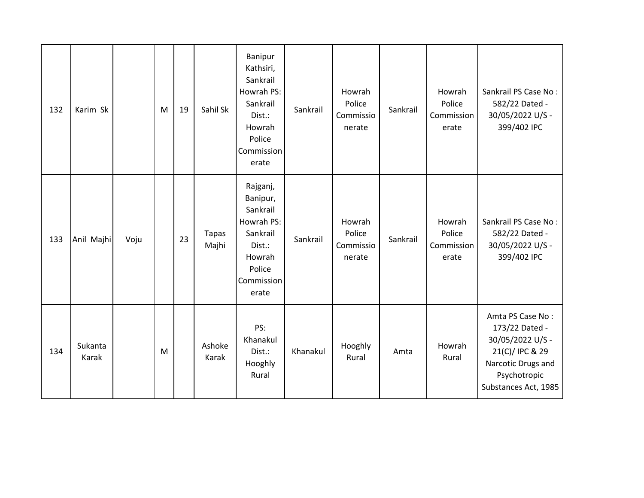| 132 | Karim Sk         |      | M | 19 | Sahil Sk              | Banipur<br>Kathsiri,<br>Sankrail<br>Howrah PS:<br>Sankrail<br>Dist.:<br>Howrah<br>Police<br>Commission<br>erate | Sankrail | Howrah<br>Police<br>Commissio<br>nerate | Sankrail | Howrah<br>Police<br>Commission<br>erate | Sankrail PS Case No:<br>582/22 Dated -<br>30/05/2022 U/S -<br>399/402 IPC                                                               |
|-----|------------------|------|---|----|-----------------------|-----------------------------------------------------------------------------------------------------------------|----------|-----------------------------------------|----------|-----------------------------------------|-----------------------------------------------------------------------------------------------------------------------------------------|
| 133 | Anil Majhi       | Voju |   | 23 | <b>Tapas</b><br>Majhi | Rajganj,<br>Banipur,<br>Sankrail<br>Howrah PS:<br>Sankrail<br>Dist.:<br>Howrah<br>Police<br>Commission<br>erate | Sankrail | Howrah<br>Police<br>Commissio<br>nerate | Sankrail | Howrah<br>Police<br>Commission<br>erate | Sankrail PS Case No:<br>582/22 Dated -<br>30/05/2022 U/S -<br>399/402 IPC                                                               |
| 134 | Sukanta<br>Karak |      | M |    | Ashoke<br>Karak       | PS:<br>Khanakul<br>Dist.:<br>Hooghly<br>Rural                                                                   | Khanakul | Hooghly<br>Rural                        | Amta     | Howrah<br>Rural                         | Amta PS Case No:<br>173/22 Dated -<br>30/05/2022 U/S -<br>21(C)/ IPC & 29<br>Narcotic Drugs and<br>Psychotropic<br>Substances Act, 1985 |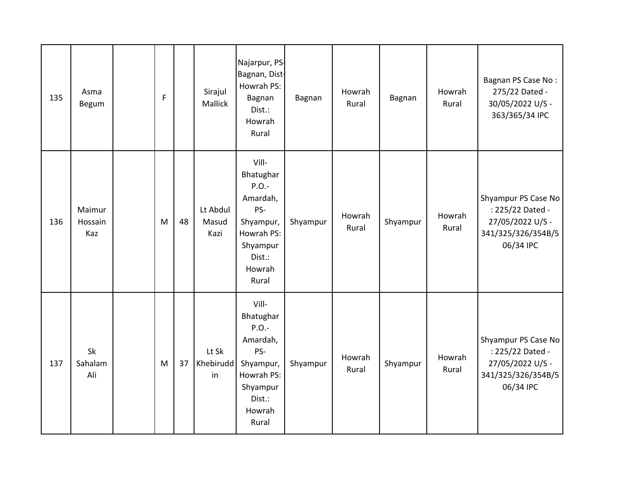| 135 | Asma<br><b>Begum</b>     | F |    | Sirajul<br>Mallick        | Najarpur, PS-<br>Bagnan, Dist-<br>Howrah PS:<br>Bagnan<br>Dist.:<br>Howrah<br>Rural                                   | Bagnan   | Howrah<br>Rural | Bagnan   | Howrah<br>Rural | Bagnan PS Case No:<br>275/22 Dated -<br>30/05/2022 U/S -<br>363/365/34 IPC                     |
|-----|--------------------------|---|----|---------------------------|-----------------------------------------------------------------------------------------------------------------------|----------|-----------------|----------|-----------------|------------------------------------------------------------------------------------------------|
| 136 | Maimur<br>Hossain<br>Kaz | M | 48 | Lt Abdul<br>Masud<br>Kazi | Vill-<br>Bhatughar<br>$P.O.$ -<br>Amardah,<br>PS-<br>Shyampur,<br>Howrah PS:<br>Shyampur<br>Dist.:<br>Howrah<br>Rural | Shyampur | Howrah<br>Rural | Shyampur | Howrah<br>Rural | Shyampur PS Case No<br>: 225/22 Dated -<br>27/05/2022 U/S -<br>341/325/326/354B/5<br>06/34 IPC |
| 137 | Sk<br>Sahalam<br>Ali     | M | 37 | Lt Sk<br>Khebirudd<br>in  | Vill-<br>Bhatughar<br>$P.O.$ -<br>Amardah,<br>PS-<br>Shyampur,<br>Howrah PS:<br>Shyampur<br>Dist.:<br>Howrah<br>Rural | Shyampur | Howrah<br>Rural | Shyampur | Howrah<br>Rural | Shyampur PS Case No<br>: 225/22 Dated -<br>27/05/2022 U/S -<br>341/325/326/354B/5<br>06/34 IPC |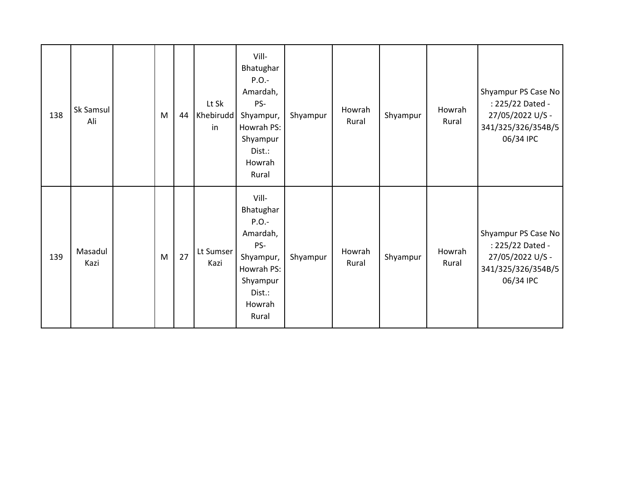| 138 | Sk Samsul<br>Ali | M | 44 | Lt Sk<br>Khebirudd<br>in | Vill-<br>Bhatughar<br>$P.O. -$<br>Amardah,<br>PS-<br>Shyampur,<br>Howrah PS:<br>Shyampur<br>Dist.:<br>Howrah<br>Rural | Shyampur | Howrah<br>Rural | Shyampur | Howrah<br>Rural | Shyampur PS Case No<br>: 225/22 Dated -<br>27/05/2022 U/S -<br>341/325/326/354B/5<br>06/34 IPC |
|-----|------------------|---|----|--------------------------|-----------------------------------------------------------------------------------------------------------------------|----------|-----------------|----------|-----------------|------------------------------------------------------------------------------------------------|
| 139 | Masadul<br>Kazi  | M | 27 | Lt Sumser<br>Kazi        | Vill-<br>Bhatughar<br>$P.O. -$<br>Amardah,<br>PS-<br>Shyampur,<br>Howrah PS:<br>Shyampur<br>Dist.:<br>Howrah<br>Rural | Shyampur | Howrah<br>Rural | Shyampur | Howrah<br>Rural | Shyampur PS Case No<br>: 225/22 Dated -<br>27/05/2022 U/S -<br>341/325/326/354B/5<br>06/34 IPC |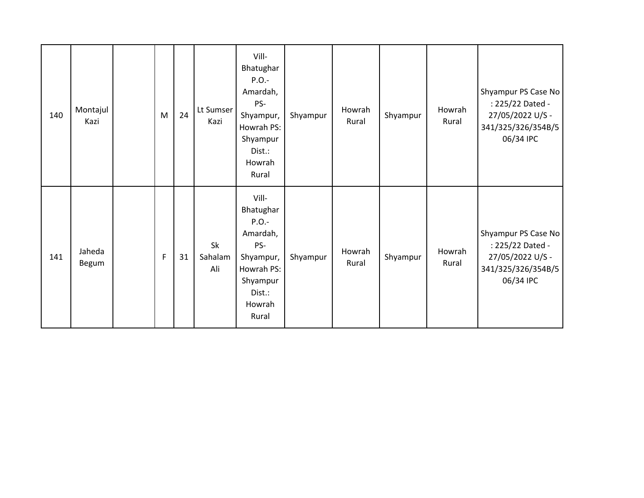| 140 | Montajul<br>Kazi | M | 24 | Lt Sumser<br>Kazi           | Vill-<br>Bhatughar<br>$P.O.-$<br>Amardah,<br>PS-<br>Shyampur,<br>Howrah PS:<br>Shyampur<br>Dist.:<br>Howrah<br>Rural  | Shyampur | Howrah<br>Rural | Shyampur | Howrah<br>Rural | Shyampur PS Case No<br>: 225/22 Dated -<br>27/05/2022 U/S -<br>341/325/326/354B/5<br>06/34 IPC |
|-----|------------------|---|----|-----------------------------|-----------------------------------------------------------------------------------------------------------------------|----------|-----------------|----------|-----------------|------------------------------------------------------------------------------------------------|
| 141 | Jaheda<br>Begum  | F | 31 | <b>Sk</b><br>Sahalam<br>Ali | Vill-<br>Bhatughar<br>$P.O. -$<br>Amardah,<br>PS-<br>Shyampur,<br>Howrah PS:<br>Shyampur<br>Dist.:<br>Howrah<br>Rural | Shyampur | Howrah<br>Rural | Shyampur | Howrah<br>Rural | Shyampur PS Case No<br>: 225/22 Dated -<br>27/05/2022 U/S -<br>341/325/326/354B/5<br>06/34 IPC |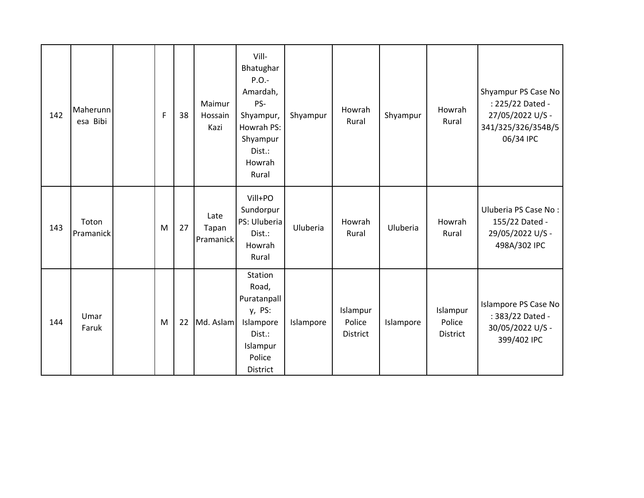| 142 | Maherunn<br>esa Bibi | F | 38 | Maimur<br>Hossain<br>Kazi  | Vill-<br>Bhatughar<br>$P.O. -$<br>Amardah,<br>PS-<br>Shyampur,<br>Howrah PS:<br>Shyampur<br>Dist.:<br>Howrah<br>Rural | Shyampur  | Howrah<br>Rural                       | Shyampur  | Howrah<br>Rural                       | Shyampur PS Case No<br>: 225/22 Dated -<br>27/05/2022 U/S -<br>341/325/326/354B/5<br>06/34 IPC |
|-----|----------------------|---|----|----------------------------|-----------------------------------------------------------------------------------------------------------------------|-----------|---------------------------------------|-----------|---------------------------------------|------------------------------------------------------------------------------------------------|
| 143 | Toton<br>Pramanick   | M | 27 | Late<br>Tapan<br>Pramanick | Vill+PO<br>Sundorpur<br>PS: Uluberia<br>Dist.:<br>Howrah<br>Rural                                                     | Uluberia  | Howrah<br>Rural                       | Uluberia  | Howrah<br>Rural                       | Uluberia PS Case No:<br>155/22 Dated -<br>29/05/2022 U/S -<br>498A/302 IPC                     |
| 144 | Umar<br>Faruk        | M | 22 | Md. Aslam                  | Station<br>Road,<br>Puratanpall<br>y, PS:<br>Islampore<br>Dist.:<br>Islampur<br>Police<br>District                    | Islampore | Islampur<br>Police<br><b>District</b> | Islampore | Islampur<br>Police<br><b>District</b> | Islampore PS Case No<br>: 383/22 Dated -<br>30/05/2022 U/S -<br>399/402 IPC                    |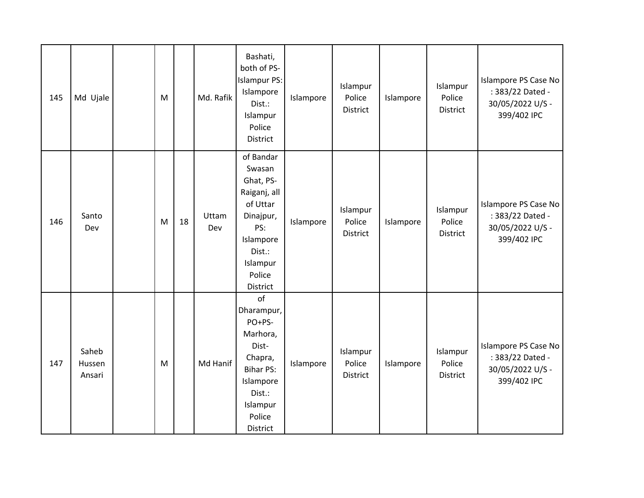| 145 | Md Ujale                  | M |    | Md. Rafik    | Bashati,<br>both of PS-<br><b>Islampur PS:</b><br>Islampore<br>Dist.:<br>Islampur<br>Police<br>District                                   | Islampore | Islampur<br>Police<br><b>District</b> | Islampore | Islampur<br>Police<br>District | Islampore PS Case No<br>: 383/22 Dated -<br>30/05/2022 U/S -<br>399/402 IPC |
|-----|---------------------------|---|----|--------------|-------------------------------------------------------------------------------------------------------------------------------------------|-----------|---------------------------------------|-----------|--------------------------------|-----------------------------------------------------------------------------|
| 146 | Santo<br>Dev              | M | 18 | Uttam<br>Dev | of Bandar<br>Swasan<br>Ghat, PS-<br>Raiganj, all<br>of Uttar<br>Dinajpur,<br>PS:<br>Islampore<br>Dist.:<br>Islampur<br>Police<br>District | Islampore | Islampur<br>Police<br><b>District</b> | Islampore | Islampur<br>Police<br>District | Islampore PS Case No<br>: 383/22 Dated -<br>30/05/2022 U/S -<br>399/402 IPC |
| 147 | Saheb<br>Hussen<br>Ansari | M |    | Md Hanif     | of<br>Dharampur,<br>PO+PS-<br>Marhora,<br>Dist-<br>Chapra,<br><b>Bihar PS:</b><br>Islampore<br>Dist.:<br>Islampur<br>Police<br>District   | Islampore | Islampur<br>Police<br>District        | Islampore | Islampur<br>Police<br>District | Islampore PS Case No<br>: 383/22 Dated -<br>30/05/2022 U/S -<br>399/402 IPC |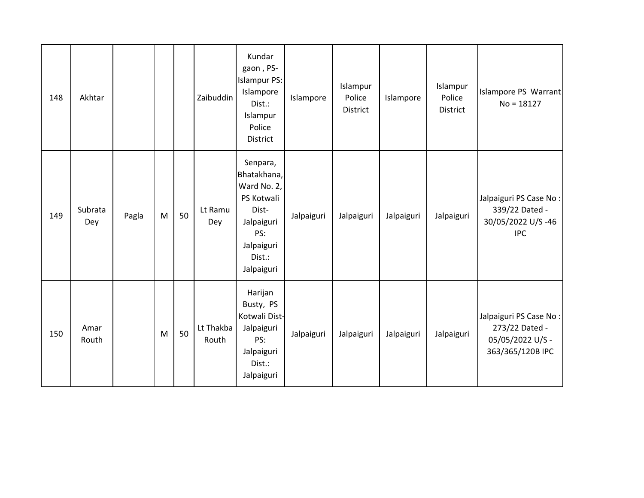| 148 | Akhtar         |       |   |    | Zaibuddin          | Kundar<br>gaon, PS-<br><b>Islampur PS:</b><br>Islampore<br>Dist.:<br>Islampur<br>Police<br>District                      | Islampore  | Islampur<br>Police<br>District | Islampore  | Islampur<br>Police<br>District | Islampore PS Warrant<br>$No = 18127$                                             |
|-----|----------------|-------|---|----|--------------------|--------------------------------------------------------------------------------------------------------------------------|------------|--------------------------------|------------|--------------------------------|----------------------------------------------------------------------------------|
| 149 | Subrata<br>Dey | Pagla | M | 50 | Lt Ramu<br>Dey     | Senpara,<br>Bhatakhana,<br>Ward No. 2,<br>PS Kotwali<br>Dist-<br>Jalpaiguri<br>PS:<br>Jalpaiguri<br>Dist.:<br>Jalpaiguri | Jalpaiguri | Jalpaiguri                     | Jalpaiguri | Jalpaiguri                     | Jalpaiguri PS Case No:<br>339/22 Dated -<br>30/05/2022 U/S-46<br><b>IPC</b>      |
| 150 | Amar<br>Routh  |       | M | 50 | Lt Thakba<br>Routh | Harijan<br>Busty, PS<br>Kotwali Dist-<br>Jalpaiguri<br>PS:<br>Jalpaiguri<br>Dist.:<br>Jalpaiguri                         | Jalpaiguri | Jalpaiguri                     | Jalpaiguri | Jalpaiguri                     | Jalpaiguri PS Case No:<br>273/22 Dated -<br>05/05/2022 U/S -<br>363/365/120B IPC |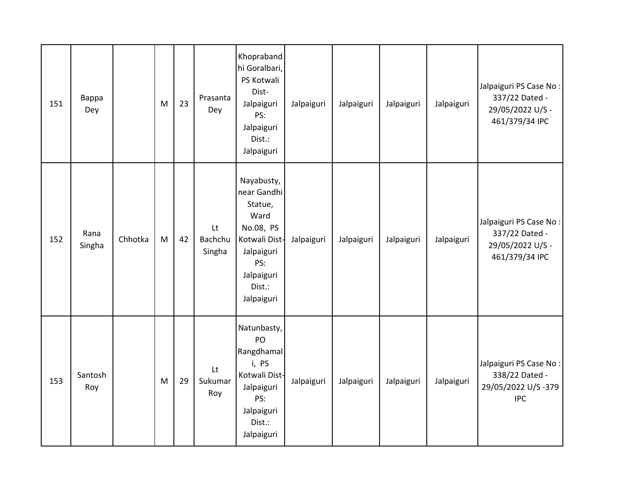| 151 | Bappa<br>Dey   |         | M | 23 | Prasanta<br>Dey         | Khopraband<br>hi Goralbari,<br>PS Kotwali<br>Dist-<br>Jalpaiguri<br>PS:<br>Jalpaiguri<br>Dist.:<br>Jalpaiguri                         | Jalpaiguri | Jalpaiguri | Jalpaiguri | Jalpaiguri | Jalpaiguri PS Case No:<br>337/22 Dated -<br>29/05/2022 U/S -<br>461/379/34 IPC |
|-----|----------------|---------|---|----|-------------------------|---------------------------------------------------------------------------------------------------------------------------------------|------------|------------|------------|------------|--------------------------------------------------------------------------------|
| 152 | Rana<br>Singha | Chhotka | M | 42 | Lt<br>Bachchu<br>Singha | Nayabusty,<br>near Gandhi<br>Statue,<br>Ward<br>No.08, PS<br>Kotwali Dist-<br>Jalpaiguri<br>PS:<br>Jalpaiguri<br>Dist.:<br>Jalpaiguri | Jalpaiguri | Jalpaiguri | Jalpaiguri | Jalpaiguri | Jalpaiguri PS Case No:<br>337/22 Dated -<br>29/05/2022 U/S -<br>461/379/34 IPC |
| 153 | Santosh<br>Roy |         | M | 29 | Lt<br>Sukumar<br>Roy    | Natunbasty,<br>PO<br>Rangdhamal<br>i, PS<br>Kotwali Dist-<br>Jalpaiguri<br>PS:<br>Jalpaiguri<br>Dist.:<br>Jalpaiguri                  | Jalpaiguri | Jalpaiguri | Jalpaiguri | Jalpaiguri | Jalpaiguri PS Case No:<br>338/22 Dated -<br>29/05/2022 U/S-379<br><b>IPC</b>   |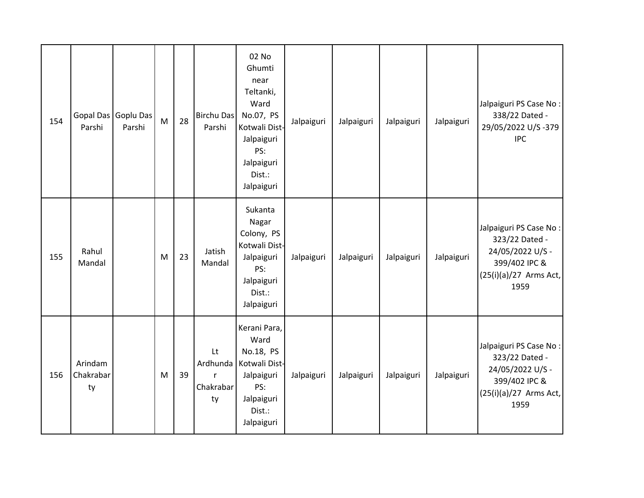| 154 | Parshi                     | Gopal Das Goplu Das<br>Parshi | M | 28 | <b>Birchu Das</b><br>Parshi                       | 02 No<br>Ghumti<br>near<br>Teltanki,<br>Ward<br>No.07, PS<br>Kotwali Dist-<br>Jalpaiguri<br>PS:<br>Jalpaiguri<br>Dist.:<br>Jalpaiguri | Jalpaiguri | Jalpaiguri | Jalpaiguri | Jalpaiguri | Jalpaiguri PS Case No:<br>338/22 Dated -<br>29/05/2022 U/S-379<br><b>IPC</b>                                      |
|-----|----------------------------|-------------------------------|---|----|---------------------------------------------------|---------------------------------------------------------------------------------------------------------------------------------------|------------|------------|------------|------------|-------------------------------------------------------------------------------------------------------------------|
| 155 | Rahul<br>Mandal            |                               | M | 23 | Jatish<br>Mandal                                  | Sukanta<br>Nagar<br>Colony, PS<br>Kotwali Dist-<br>Jalpaiguri<br>PS:<br>Jalpaiguri<br>Dist.:<br>Jalpaiguri                            | Jalpaiguri | Jalpaiguri | Jalpaiguri | Jalpaiguri | Jalpaiguri PS Case No:<br>323/22 Dated -<br>24/05/2022 U/S -<br>399/402 IPC &<br>$(25(i)(a)/27$ Arms Act,<br>1959 |
| 156 | Arindam<br>Chakrabar<br>ty |                               | M | 39 | Lt<br>Ardhunda<br>$\mathsf{r}$<br>Chakrabar<br>ty | Kerani Para,<br>Ward<br>No.18, PS<br>Kotwali Dist-<br>Jalpaiguri<br>PS:<br>Jalpaiguri<br>Dist.:<br>Jalpaiguri                         | Jalpaiguri | Jalpaiguri | Jalpaiguri | Jalpaiguri | Jalpaiguri PS Case No:<br>323/22 Dated -<br>24/05/2022 U/S -<br>399/402 IPC &<br>$(25(i)(a)/27$ Arms Act,<br>1959 |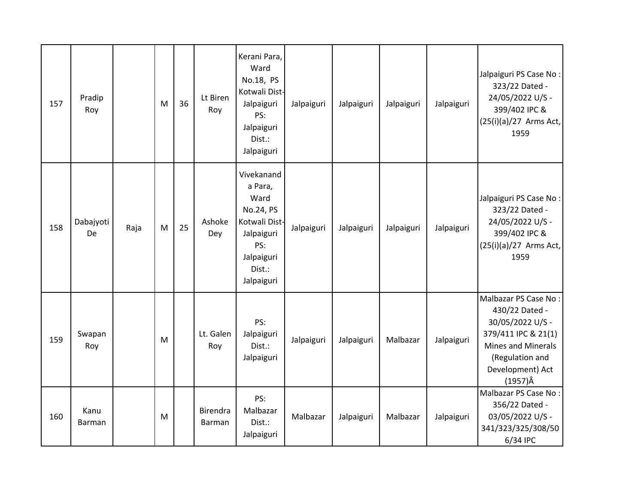| 157 | Pradip<br>Roy   |      | M | 36 | Lt Biren<br>Roy           | Kerani Para,<br>Ward<br>No.18, PS<br>Kotwali Dist-<br>Jalpaiguri<br>PS:<br>Jalpaiguri<br>Dist.:<br>Jalpaiguri          | Jalpaiguri | Jalpaiguri | Jalpaiguri | Jalpaiguri | Jalpaiguri PS Case No:<br>323/22 Dated -<br>24/05/2022 U/S -<br>399/402 IPC &<br>$(25(i)(a)/27$ Arms Act,<br>1959                                                        |
|-----|-----------------|------|---|----|---------------------------|------------------------------------------------------------------------------------------------------------------------|------------|------------|------------|------------|--------------------------------------------------------------------------------------------------------------------------------------------------------------------------|
| 158 | Dabajyoti<br>De | Raja | M | 25 | Ashoke<br>Dey             | Vivekanand<br>a Para,<br>Ward<br>No.24, PS<br>Kotwali Dist-<br>Jalpaiguri<br>PS:<br>Jalpaiguri<br>Dist.:<br>Jalpaiguri | Jalpaiguri | Jalpaiguri | Jalpaiguri | Jalpaiguri | Jalpaiguri PS Case No:<br>323/22 Dated -<br>24/05/2022 U/S -<br>399/402 IPC &<br>$(25(i)(a)/27$ Arms Act,<br>1959                                                        |
| 159 | Swapan<br>Roy   |      | M |    | Lt. Galen<br>Roy          | PS:<br>Jalpaiguri<br>Dist.:<br>Jalpaiguri                                                                              | Jalpaiguri | Jalpaiguri | Malbazar   | Jalpaiguri | Malbazar PS Case No:<br>430/22 Dated -<br>30/05/2022 U/S -<br>379/411 IPC & 21(1)<br><b>Mines and Minerals</b><br>(Regulation and<br>Development) Act<br>$(1957)\hat{A}$ |
| 160 | Kanu<br>Barman  |      | M |    | <b>Birendra</b><br>Barman | PS:<br>Malbazar<br>Dist.:<br>Jalpaiguri                                                                                | Malbazar   | Jalpaiguri | Malbazar   | Jalpaiguri | Malbazar PS Case No:<br>356/22 Dated -<br>03/05/2022 U/S -<br>341/323/325/308/50<br>6/34 IPC                                                                             |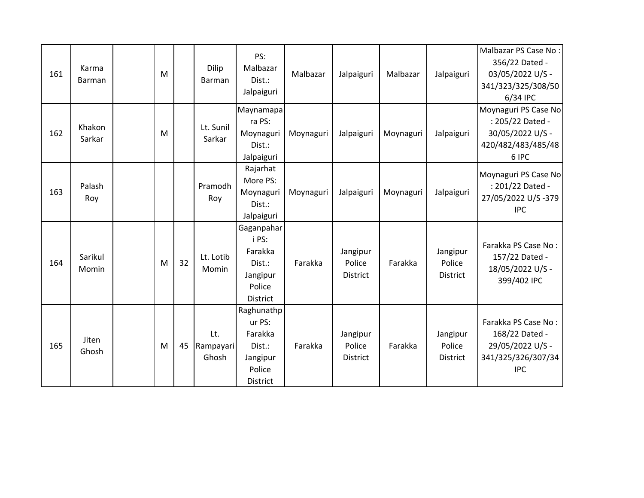| 161 | Karma<br>Barman  | M |    | Dilip<br><b>Barman</b>    | PS:<br>Malbazar<br>Dist.:<br>Jalpaiguri                                     | Malbazar  | Jalpaiguri                            | Malbazar  | Jalpaiguri                            | Malbazar PS Case No:<br>356/22 Dated -<br>03/05/2022 U/S -<br>341/323/325/308/50<br>6/34 IPC  |
|-----|------------------|---|----|---------------------------|-----------------------------------------------------------------------------|-----------|---------------------------------------|-----------|---------------------------------------|-----------------------------------------------------------------------------------------------|
| 162 | Khakon<br>Sarkar | M |    | Lt. Sunil<br>Sarkar       | Maynamapa<br>ra PS:<br>Moynaguri<br>Dist.:<br>Jalpaiguri                    | Moynaguri | Jalpaiguri                            | Moynaguri | Jalpaiguri                            | Moynaguri PS Case No<br>: 205/22 Dated -<br>30/05/2022 U/S -<br>420/482/483/485/48<br>6 IPC   |
| 163 | Palash<br>Roy    |   |    | Pramodh<br>Roy            | Rajarhat<br>More PS:<br>Moynaguri<br>Dist.:<br>Jalpaiguri                   | Moynaguri | Jalpaiguri                            | Moynaguri | Jalpaiguri                            | Moynaguri PS Case No<br>: 201/22 Dated -<br>27/05/2022 U/S-379<br><b>IPC</b>                  |
| 164 | Sarikul<br>Momin | M | 32 | Lt. Lotib<br>Momin        | Gaganpahar<br>i PS:<br>Farakka<br>Dist.:<br>Jangipur<br>Police<br>District  | Farakka   | Jangipur<br>Police<br><b>District</b> | Farakka   | Jangipur<br>Police<br><b>District</b> | Farakka PS Case No:<br>157/22 Dated -<br>18/05/2022 U/S -<br>399/402 IPC                      |
| 165 | Jiten<br>Ghosh   | M | 45 | Lt.<br>Rampayari<br>Ghosh | Raghunathp<br>ur PS:<br>Farakka<br>Dist.:<br>Jangipur<br>Police<br>District | Farakka   | Jangipur<br>Police<br><b>District</b> | Farakka   | Jangipur<br>Police<br><b>District</b> | Farakka PS Case No:<br>168/22 Dated -<br>29/05/2022 U/S -<br>341/325/326/307/34<br><b>IPC</b> |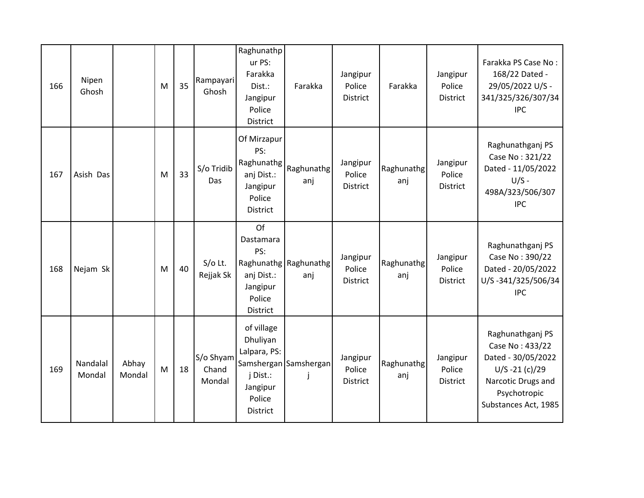| 166 | Nipen<br>Ghosh     |                 | M | 35 | Rampayari<br>Ghosh           | Raghunathp<br>ur PS:<br>Farakka<br>Dist.:<br>Jangipur<br>Police<br>District                 | Farakka                      | Jangipur<br>Police<br><b>District</b> | Farakka           | Jangipur<br>Police<br>District        | Farakka PS Case No:<br>168/22 Dated -<br>29/05/2022 U/S -<br>341/325/326/307/34<br><b>IPC</b>                                               |
|-----|--------------------|-----------------|---|----|------------------------------|---------------------------------------------------------------------------------------------|------------------------------|---------------------------------------|-------------------|---------------------------------------|---------------------------------------------------------------------------------------------------------------------------------------------|
| 167 | Asish Das          |                 | M | 33 | S/o Tridib<br>Das            | Of Mirzapur<br>PS:<br>Raghunathg<br>anj Dist.:<br>Jangipur<br>Police<br>District            | Raghunathg<br>anj            | Jangipur<br>Police<br>District        | Raghunathg<br>anj | Jangipur<br>Police<br>District        | Raghunathganj PS<br>Case No: 321/22<br>Dated - 11/05/2022<br>$U/S -$<br>498A/323/506/307<br><b>IPC</b>                                      |
| 168 | Nejam Sk           |                 | M | 40 | $S/O$ Lt.<br>Rejjak Sk       | Of<br>Dastamara<br>PS:<br>anj Dist.:<br>Jangipur<br>Police<br>District                      | Raghunathg Raghunathg<br>anj | Jangipur<br>Police<br><b>District</b> | Raghunathg<br>anj | Jangipur<br>Police<br><b>District</b> | Raghunathganj PS<br>Case No: 390/22<br>Dated - 20/05/2022<br>U/S-341/325/506/34<br><b>IPC</b>                                               |
| 169 | Nandalal<br>Mondal | Abhay<br>Mondal | M | 18 | S/o Shyam<br>Chand<br>Mondal | of village<br>Dhuliyan<br>Lalpara, PS:<br>j Dist.:<br>Jangipur<br>Police<br><b>District</b> | Samshergan Samshergan<br>j   | Jangipur<br>Police<br><b>District</b> | Raghunathg<br>anj | Jangipur<br>Police<br><b>District</b> | Raghunathganj PS<br>Case No: 433/22<br>Dated - 30/05/2022<br>$U/S - 21(c)/29$<br>Narcotic Drugs and<br>Psychotropic<br>Substances Act, 1985 |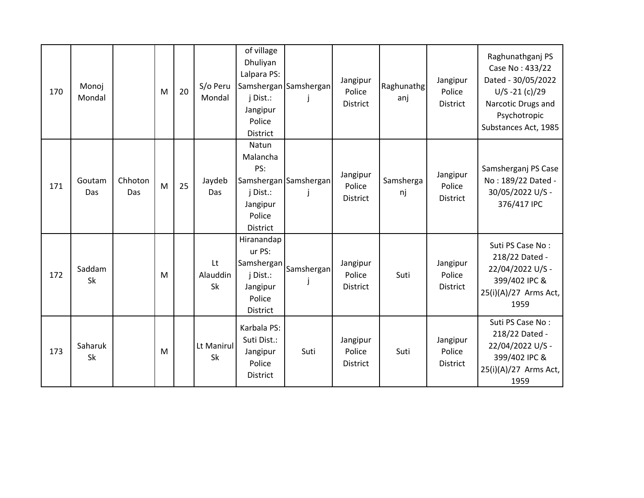| 170 | Monoj<br>Mondal |                | M | 20 | S/o Peru<br>Mondal   | of village<br>Dhuliyan<br>Lalpara PS:<br>j Dist.:<br>Jangipur<br>Police<br><b>District</b> | Samshergan Samshergan<br>$\perp$ | Jangipur<br>Police<br><b>District</b> | Raghunathg<br>anj | Jangipur<br>Police<br><b>District</b> | Raghunathganj PS<br>Case No: 433/22<br>Dated - 30/05/2022<br>$U/S - 21(c)/29$<br>Narcotic Drugs and<br>Psychotropic<br>Substances Act, 1985 |
|-----|-----------------|----------------|---|----|----------------------|--------------------------------------------------------------------------------------------|----------------------------------|---------------------------------------|-------------------|---------------------------------------|---------------------------------------------------------------------------------------------------------------------------------------------|
| 171 | Goutam<br>Das   | Chhoton<br>Das | M | 25 | Jaydeb<br>Das        | Natun<br>Malancha<br>PS:<br>j Dist.:<br>Jangipur<br>Police<br>District                     | Samshergan Samshergan            | Jangipur<br>Police<br>District        | Samsherga<br>nj   | Jangipur<br>Police<br>District        | Samsherganj PS Case<br>No: 189/22 Dated -<br>30/05/2022 U/S -<br>376/417 IPC                                                                |
| 172 | Saddam<br>Sk    |                | M |    | Lt<br>Alauddin<br>Sk | Hiranandap<br>ur PS:<br>Samshergan<br>j Dist.:<br>Jangipur<br>Police<br>District           | Samshergan<br>$\mathbf{I}$       | Jangipur<br>Police<br><b>District</b> | Suti              | Jangipur<br>Police<br><b>District</b> | Suti PS Case No:<br>218/22 Dated -<br>22/04/2022 U/S -<br>399/402 IPC &<br>25(i)(A)/27 Arms Act,<br>1959                                    |
| 173 | Saharuk<br>Sk   |                | M |    | Lt Manirul<br>Sk     | Karbala PS:<br>Suti Dist.:<br>Jangipur<br>Police<br><b>District</b>                        | Suti                             | Jangipur<br>Police<br><b>District</b> | Suti              | Jangipur<br>Police<br>District        | Suti PS Case No:<br>218/22 Dated -<br>22/04/2022 U/S -<br>399/402 IPC &<br>25(i)(A)/27 Arms Act,<br>1959                                    |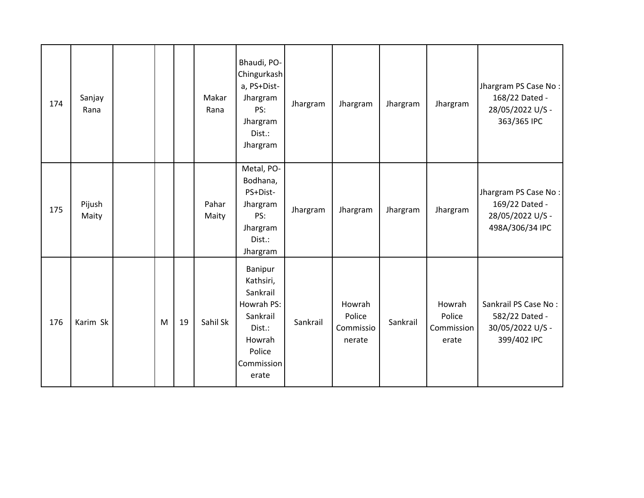| 174 | Sanjay<br>Rana  |   |    | Makar<br>Rana  | Bhaudi, PO-<br>Chingurkash<br>a, PS+Dist-<br>Jhargram<br>PS:<br>Jhargram<br>Dist.:<br>Jhargram                  | Jhargram | Jhargram                                | Jhargram | Jhargram                                | Jhargram PS Case No:<br>168/22 Dated -<br>28/05/2022 U/S -<br>363/365 IPC     |
|-----|-----------------|---|----|----------------|-----------------------------------------------------------------------------------------------------------------|----------|-----------------------------------------|----------|-----------------------------------------|-------------------------------------------------------------------------------|
| 175 | Pijush<br>Maity |   |    | Pahar<br>Maity | Metal, PO-<br>Bodhana,<br>PS+Dist-<br>Jhargram<br>PS:<br>Jhargram<br>Dist.:<br>Jhargram                         | Jhargram | Jhargram                                | Jhargram | Jhargram                                | Jhargram PS Case No:<br>169/22 Dated -<br>28/05/2022 U/S -<br>498A/306/34 IPC |
| 176 | Karim Sk        | M | 19 | Sahil Sk       | Banipur<br>Kathsiri,<br>Sankrail<br>Howrah PS:<br>Sankrail<br>Dist.:<br>Howrah<br>Police<br>Commission<br>erate | Sankrail | Howrah<br>Police<br>Commissio<br>nerate | Sankrail | Howrah<br>Police<br>Commission<br>erate | Sankrail PS Case No:<br>582/22 Dated -<br>30/05/2022 U/S -<br>399/402 IPC     |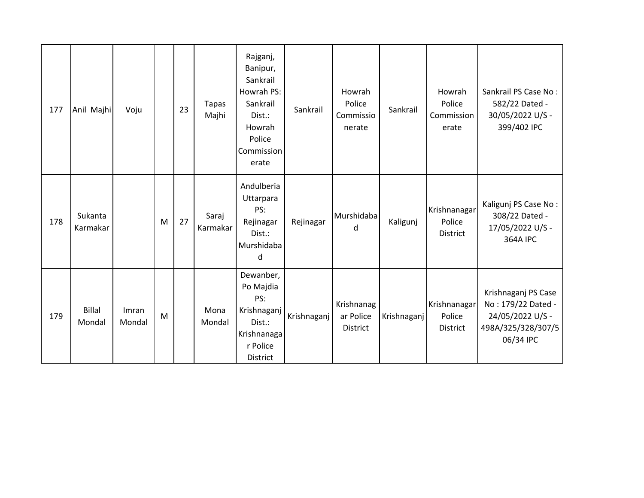| 177 | Anil Majhi              | Voju            |   | 23 | <b>Tapas</b><br>Majhi | Rajganj,<br>Banipur,<br>Sankrail<br>Howrah PS:<br>Sankrail<br>Dist.:<br>Howrah<br>Police<br>Commission<br>erate | Sankrail    | Howrah<br>Police<br>Commissio<br>nerate    | Sankrail    | Howrah<br>Police<br>Commission<br>erate   | Sankrail PS Case No:<br>582/22 Dated -<br>30/05/2022 U/S -<br>399/402 IPC                        |
|-----|-------------------------|-----------------|---|----|-----------------------|-----------------------------------------------------------------------------------------------------------------|-------------|--------------------------------------------|-------------|-------------------------------------------|--------------------------------------------------------------------------------------------------|
| 178 | Sukanta<br>Karmakar     |                 | M | 27 | Saraj<br>Karmakar     | Andulberia<br>Uttarpara<br>PS:<br>Rejinagar<br>Dist.:<br>Murshidaba<br>d                                        | Rejinagar   | Murshidaba<br>d                            | Kaligunj    | Krishnanagar<br>Police<br><b>District</b> | Kaligunj PS Case No:<br>308/22 Dated -<br>17/05/2022 U/S -<br><b>364A IPC</b>                    |
| 179 | <b>Billal</b><br>Mondal | Imran<br>Mondal | M |    | Mona<br>Mondal        | Dewanber,<br>Po Majdia<br>PS:<br>Krishnaganj<br>Dist.:<br>Krishnanaga<br>r Police<br><b>District</b>            | Krishnaganj | Krishnanag<br>ar Police<br><b>District</b> | Krishnaganj | Krishnanagar<br>Police<br><b>District</b> | Krishnaganj PS Case<br>No: 179/22 Dated -<br>24/05/2022 U/S -<br>498A/325/328/307/5<br>06/34 IPC |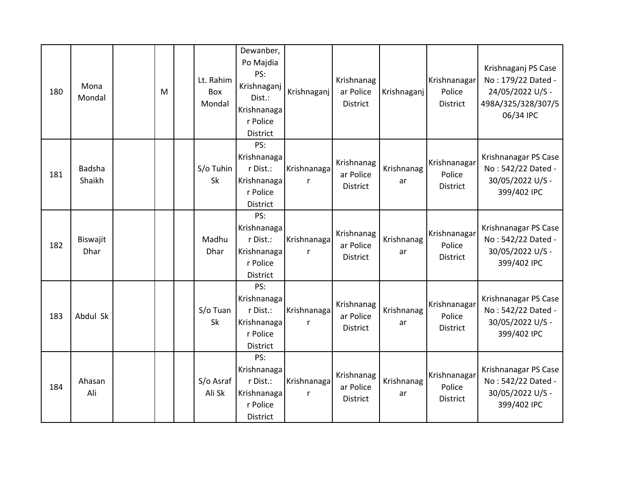| 180 | Mona<br>Mondal   | M | Lt. Rahim<br><b>Box</b><br>Mondal | Dewanber,<br>Po Majdia<br>PS:<br>Krishnaganj<br>Dist.:<br>Krishnanaga<br>r Police<br>District | Krishnaganj      | Krishnanag<br>ar Police<br>District        | Krishnaganj      | Krishnanagar<br>Police<br><b>District</b> | Krishnaganj PS Case<br>No: 179/22 Dated -<br>24/05/2022 U/S -<br>498A/325/328/307/5<br>06/34 IPC |
|-----|------------------|---|-----------------------------------|-----------------------------------------------------------------------------------------------|------------------|--------------------------------------------|------------------|-------------------------------------------|--------------------------------------------------------------------------------------------------|
| 181 | Badsha<br>Shaikh |   | S/o Tuhin<br>Sk                   | PS:<br>Krishnanaga<br>r Dist.:<br>Krishnanaga<br>r Police<br><b>District</b>                  | Krishnanaga<br>r | Krishnanag<br>ar Police<br><b>District</b> | Krishnanag<br>ar | Krishnanagar<br>Police<br><b>District</b> | Krishnanagar PS Case<br>No: 542/22 Dated -<br>30/05/2022 U/S -<br>399/402 IPC                    |
| 182 | Biswajit<br>Dhar |   | Madhu<br>Dhar                     | PS:<br>Krishnanaga<br>r Dist.:<br>Krishnanaga<br>r Police<br>District                         | Krishnanaga<br>r | Krishnanag<br>ar Police<br><b>District</b> | Krishnanag<br>ar | Krishnanagar<br>Police<br><b>District</b> | Krishnanagar PS Case<br>No: 542/22 Dated -<br>30/05/2022 U/S -<br>399/402 IPC                    |
| 183 | Abdul Sk         |   | S/o Tuan<br>Sk                    | PS:<br>Krishnanaga<br>r Dist.:<br>Krishnanaga<br>r Police<br>District                         | Krishnanaga<br>r | Krishnanag<br>ar Police<br>District        | Krishnanag<br>ar | Krishnanagar<br>Police<br><b>District</b> | Krishnanagar PS Case<br>No: 542/22 Dated -<br>30/05/2022 U/S -<br>399/402 IPC                    |
| 184 | Ahasan<br>Ali    |   | S/o Asraf<br>Ali Sk               | PS:<br>Krishnanaga<br>r Dist.:<br>Krishnanaga<br>r Police<br>District                         | Krishnanaga<br>r | Krishnanag<br>ar Police<br><b>District</b> | Krishnanag<br>ar | Krishnanagar<br>Police<br><b>District</b> | Krishnanagar PS Case<br>No: 542/22 Dated -<br>30/05/2022 U/S -<br>399/402 IPC                    |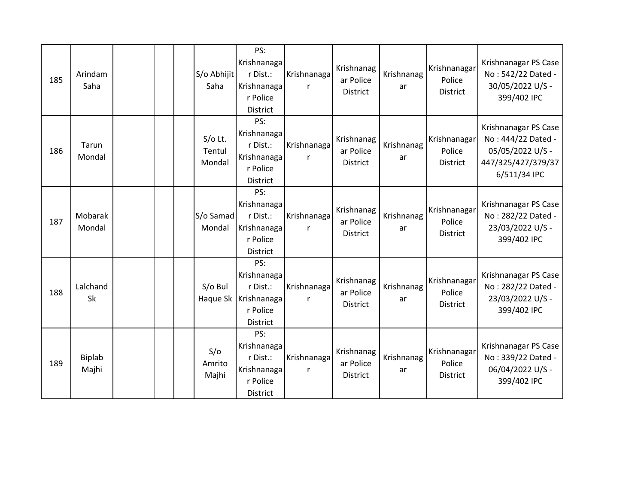| 185 | Arindam<br>Saha        |  | S/o Abhijit<br>Saha           | PS:<br>Krishnanaga<br>r Dist.:<br>Krishnanaga<br>r Police<br><b>District</b>            | Krishnanaga<br>r | Krishnanag<br>ar Police<br><b>District</b> | Krishnanag<br>ar | Krishnanagar<br>Police<br><b>District</b> | Krishnanagar PS Case<br>No: 542/22 Dated -<br>30/05/2022 U/S -<br>399/402 IPC                        |
|-----|------------------------|--|-------------------------------|-----------------------------------------------------------------------------------------|------------------|--------------------------------------------|------------------|-------------------------------------------|------------------------------------------------------------------------------------------------------|
| 186 | Tarun<br>Mondal        |  | $S/O$ Lt.<br>Tentul<br>Mondal | PS:<br>Krishnanaga<br>r Dist.:<br>Krishnanaga<br>r Police<br><b>District</b>            | Krishnanaga<br>r | Krishnanag<br>ar Police<br><b>District</b> | Krishnanag<br>ar | Krishnanagar<br>Police<br>District        | Krishnanagar PS Case<br>No: 444/22 Dated -<br>05/05/2022 U/S -<br>447/325/427/379/37<br>6/511/34 IPC |
| 187 | Mobarak<br>Mondal      |  | S/o Samad<br>Mondal           | PS:<br>Krishnanaga<br>r Dist.:<br>Krishnanaga<br>r Police<br>District                   | Krishnanaga<br>r | Krishnanag<br>ar Police<br>District        | Krishnanag<br>ar | Krishnanagar<br>Police<br>District        | Krishnanagar PS Case<br>No: 282/22 Dated -<br>23/03/2022 U/S -<br>399/402 IPC                        |
| 188 | Lalchand<br>Sk         |  | S/o Bul                       | PS:<br>Krishnanaga<br>r Dist.:<br>Haque Sk   Krishnanaga<br>r Police<br><b>District</b> | Krishnanaga<br>r | Krishnanag<br>ar Police<br>District        | Krishnanag<br>ar | Krishnanagar<br>Police<br><b>District</b> | Krishnanagar PS Case<br>No: 282/22 Dated -<br>23/03/2022 U/S -<br>399/402 IPC                        |
| 189 | <b>Biplab</b><br>Majhi |  | S/O<br>Amrito<br>Majhi        | PS:<br>Krishnanaga<br>r Dist.:<br>Krishnanaga<br>r Police<br>District                   | Krishnanaga<br>r | Krishnanag<br>ar Police<br><b>District</b> | Krishnanag<br>ar | Krishnanagar<br>Police<br><b>District</b> | Krishnanagar PS Case<br>No: 339/22 Dated -<br>06/04/2022 U/S -<br>399/402 IPC                        |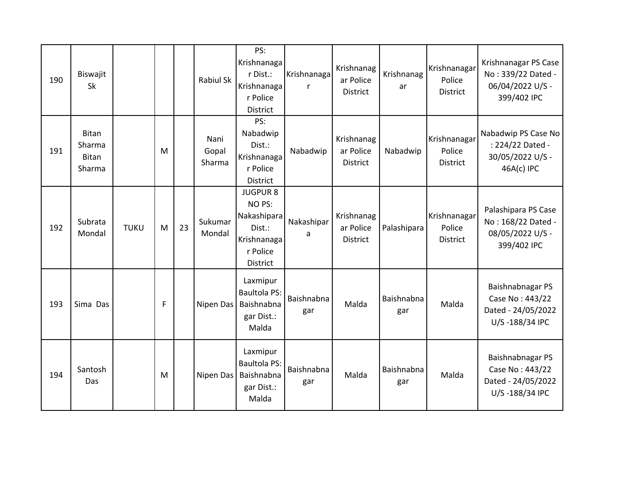| 190 | Biswajit<br>Sk                                   |             |   |    | Rabiul Sk               | PS:<br>Krishnanaga<br>r Dist.:<br>Krishnanaga<br>r Police<br><b>District</b>                                 | Krishnanaga<br>r  | Krishnanag<br>ar Police<br><b>District</b> | Krishnanag<br>ar  | Krishnanagar<br>Police<br><b>District</b> | Krishnanagar PS Case<br>No: 339/22 Dated -<br>06/04/2022 U/S -<br>399/402 IPC |
|-----|--------------------------------------------------|-------------|---|----|-------------------------|--------------------------------------------------------------------------------------------------------------|-------------------|--------------------------------------------|-------------------|-------------------------------------------|-------------------------------------------------------------------------------|
| 191 | <b>Bitan</b><br>Sharma<br><b>Bitan</b><br>Sharma |             | M |    | Nani<br>Gopal<br>Sharma | PS:<br>Nabadwip<br>Dist.:<br>Krishnanaga<br>r Police<br><b>District</b>                                      | Nabadwip          | Krishnanag<br>ar Police<br>District        | Nabadwip          | Krishnanagar<br>Police<br>District        | Nabadwip PS Case No<br>: 224/22 Dated -<br>30/05/2022 U/S -<br>46A(c) IPC     |
| 192 | Subrata<br>Mondal                                | <b>TUKU</b> | M | 23 | Sukumar<br>Mondal       | <b>JUGPUR 8</b><br>NO <sub>PS</sub> :<br>Nakashipara<br>Dist.:<br>Krishnanaga<br>r Police<br><b>District</b> | Nakashipar<br>a   | Krishnanag<br>ar Police<br>District        | Palashipara       | Krishnanagar<br>Police<br><b>District</b> | Palashipara PS Case<br>No: 168/22 Dated -<br>08/05/2022 U/S -<br>399/402 IPC  |
| 193 | Sima Das                                         |             | F |    | Nipen Das               | Laxmipur<br><b>Baultola PS:</b><br>Baishnabna<br>gar Dist.:<br>Malda                                         | Baishnabna<br>gar | Malda                                      | Baishnabna<br>gar | Malda                                     | Baishnabnagar PS<br>Case No: 443/22<br>Dated - 24/05/2022<br>U/S-188/34 IPC   |
| 194 | Santosh<br>Das                                   |             | M |    | Nipen Das               | Laxmipur<br><b>Baultola PS:</b><br>Baishnabna<br>gar Dist.:<br>Malda                                         | Baishnabna<br>gar | Malda                                      | Baishnabna<br>gar | Malda                                     | Baishnabnagar PS<br>Case No: 443/22<br>Dated - 24/05/2022<br>U/S-188/34 IPC   |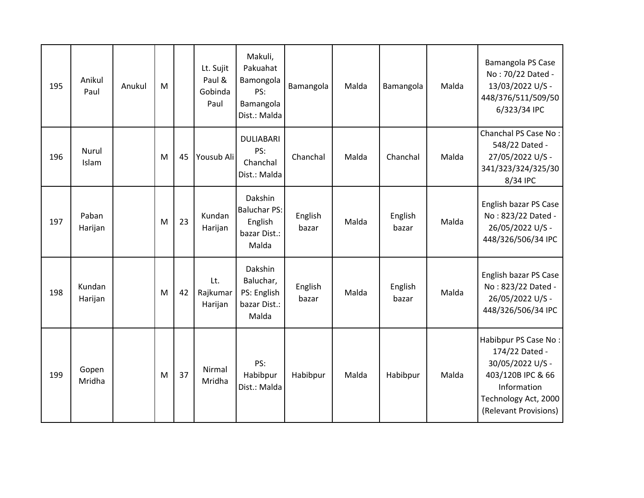| 195 | Anikul<br>Paul    | Anukul | M |    | Lt. Sujit<br>Paul &<br>Gobinda<br>Paul | Makuli,<br>Pakuahat<br>Bamongola<br>PS:<br>Bamangola<br>Dist.: Malda | Bamangola        | Malda | Bamangola        | Malda | Bamangola PS Case<br>No: 70/22 Dated -<br>13/03/2022 U/S -<br>448/376/511/509/50<br>6/323/34 IPC                                                |
|-----|-------------------|--------|---|----|----------------------------------------|----------------------------------------------------------------------|------------------|-------|------------------|-------|-------------------------------------------------------------------------------------------------------------------------------------------------|
| 196 | Nurul<br>Islam    |        | M | 45 | Yousub Ali                             | <b>DULIABARI</b><br>PS:<br>Chanchal<br>Dist.: Malda                  | Chanchal         | Malda | Chanchal         | Malda | Chanchal PS Case No:<br>548/22 Dated -<br>27/05/2022 U/S -<br>341/323/324/325/30<br>8/34 IPC                                                    |
| 197 | Paban<br>Harijan  |        | M | 23 | Kundan<br>Harijan                      | Dakshin<br><b>Baluchar PS:</b><br>English<br>bazar Dist.:<br>Malda   | English<br>bazar | Malda | English<br>bazar | Malda | English bazar PS Case<br>No: 823/22 Dated -<br>26/05/2022 U/S -<br>448/326/506/34 IPC                                                           |
| 198 | Kundan<br>Harijan |        | M | 42 | Lt.<br>Rajkumar<br>Harijan             | Dakshin<br>Baluchar,<br>PS: English<br>bazar Dist.:<br>Malda         | English<br>bazar | Malda | English<br>bazar | Malda | English bazar PS Case<br>No: 823/22 Dated -<br>26/05/2022 U/S -<br>448/326/506/34 IPC                                                           |
| 199 | Gopen<br>Mridha   |        | M | 37 | Nirmal<br>Mridha                       | PS:<br>Habibpur<br>Dist.: Malda                                      | Habibpur         | Malda | Habibpur         | Malda | Habibpur PS Case No:<br>174/22 Dated -<br>30/05/2022 U/S -<br>403/120B IPC & 66<br>Information<br>Technology Act, 2000<br>(Relevant Provisions) |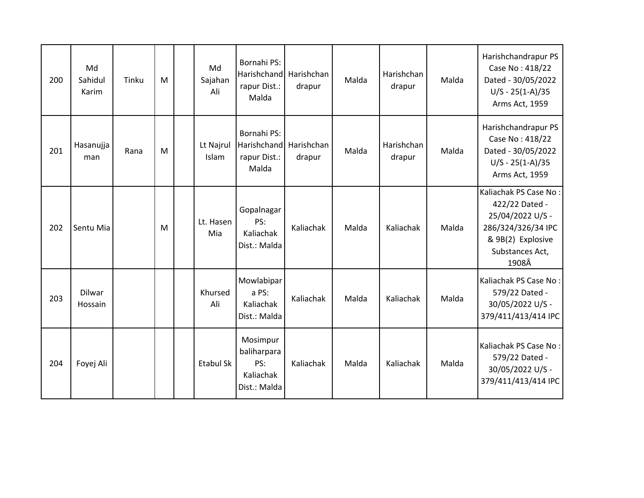| 200 | Md<br>Sahidul<br>Karim | Tinku | M | Md<br>Sajahan<br>Ali | Bornahi PS:<br><b>Harishchand</b><br>rapur Dist.:<br>Malda  | Harishchan<br>drapur | Malda | Harishchan<br>drapur | Malda | Harishchandrapur PS<br>Case No: 418/22<br>Dated - 30/05/2022<br>$U/S - 25(1-A)/35$<br>Arms Act, 1959                               |
|-----|------------------------|-------|---|----------------------|-------------------------------------------------------------|----------------------|-------|----------------------|-------|------------------------------------------------------------------------------------------------------------------------------------|
| 201 | Hasanujja<br>man       | Rana  | M | Lt Najrul<br>Islam   | Bornahi PS:<br>Harishchand<br>rapur Dist.:<br>Malda         | Harishchan<br>drapur | Malda | Harishchan<br>drapur | Malda | Harishchandrapur PS<br>Case No: 418/22<br>Dated - 30/05/2022<br>$U/S - 25(1-A)/35$<br>Arms Act, 1959                               |
| 202 | Sentu Mia              |       | M | Lt. Hasen<br>Mia     | Gopalnagar<br>PS:<br>Kaliachak<br>Dist.: Malda              | Kaliachak            | Malda | Kaliachak            | Malda | Kaliachak PS Case No:<br>422/22 Dated -<br>25/04/2022 U/S -<br>286/324/326/34 IPC<br>& 9B(2) Explosive<br>Substances Act,<br>1908Â |
| 203 | Dilwar<br>Hossain      |       |   | Khursed<br>Ali       | Mowlabipar<br>a PS:<br>Kaliachak<br>Dist.: Malda            | Kaliachak            | Malda | Kaliachak            | Malda | Kaliachak PS Case No:<br>579/22 Dated -<br>30/05/2022 U/S -<br>379/411/413/414 IPC                                                 |
| 204 | Foyej Ali              |       |   | <b>Etabul Sk</b>     | Mosimpur<br>baliharpara<br>PS:<br>Kaliachak<br>Dist.: Malda | Kaliachak            | Malda | Kaliachak            | Malda | Kaliachak PS Case No:<br>579/22 Dated -<br>30/05/2022 U/S -<br>379/411/413/414 IPC                                                 |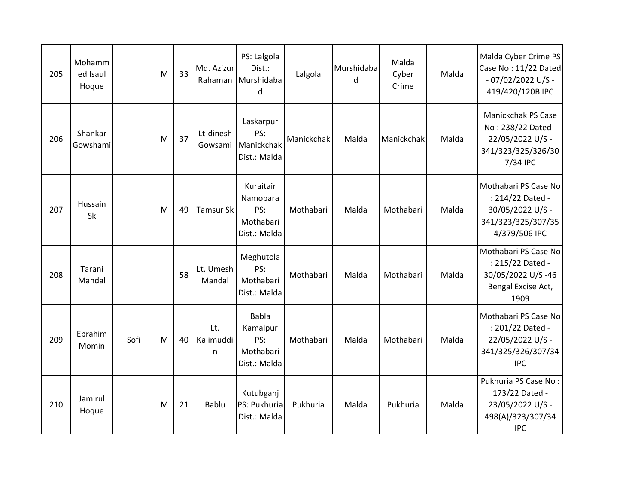| 205 | Mohamm<br>ed Isaul<br>Hoque |      | M | 33 | Md. Azizur<br>Rahaman | PS: Lalgola<br>Dist.:<br>Murshidaba<br>d                     | Lalgola    | Murshidaba<br>d | Malda<br>Cyber<br>Crime | Malda | Malda Cyber Crime PS<br>Case No: 11/22 Dated<br>$-07/02/2022$ U/S -<br>419/420/120B IPC             |
|-----|-----------------------------|------|---|----|-----------------------|--------------------------------------------------------------|------------|-----------------|-------------------------|-------|-----------------------------------------------------------------------------------------------------|
| 206 | Shankar<br>Gowshami         |      | M | 37 | Lt-dinesh<br>Gowsami  | Laskarpur<br>PS:<br>Manickchak<br>Dist.: Malda               | Manickchak | Malda           | Manickchak              | Malda | Manickchak PS Case<br>No: 238/22 Dated -<br>22/05/2022 U/S -<br>341/323/325/326/30<br>7/34 IPC      |
| 207 | Hussain<br>Sk               |      | M | 49 | <b>Tamsur Sk</b>      | Kuraitair<br>Namopara<br>PS:<br>Mothabari<br>Dist.: Malda    | Mothabari  | Malda           | Mothabari               | Malda | Mothabari PS Case No<br>: 214/22 Dated -<br>30/05/2022 U/S -<br>341/323/325/307/35<br>4/379/506 IPC |
| 208 | Tarani<br>Mandal            |      |   | 58 | Lt. Umesh<br>Mandal   | Meghutola<br>PS:<br>Mothabari<br>Dist.: Malda                | Mothabari  | Malda           | Mothabari               | Malda | Mothabari PS Case No<br>: 215/22 Dated -<br>30/05/2022 U/S-46<br>Bengal Excise Act,<br>1909         |
| 209 | Ebrahim<br>Momin            | Sofi | M | 40 | Lt.<br>Kalimuddi<br>n | <b>Babla</b><br>Kamalpur<br>PS:<br>Mothabari<br>Dist.: Malda | Mothabari  | Malda           | Mothabari               | Malda | Mothabari PS Case No<br>: 201/22 Dated -<br>22/05/2022 U/S -<br>341/325/326/307/34<br><b>IPC</b>    |
| 210 | Jamirul<br>Hoque            |      | M | 21 | Bablu                 | Kutubganj<br>PS: Pukhuria<br>Dist.: Malda                    | Pukhuria   | Malda           | Pukhuria                | Malda | Pukhuria PS Case No:<br>173/22 Dated -<br>23/05/2022 U/S -<br>498(A)/323/307/34<br><b>IPC</b>       |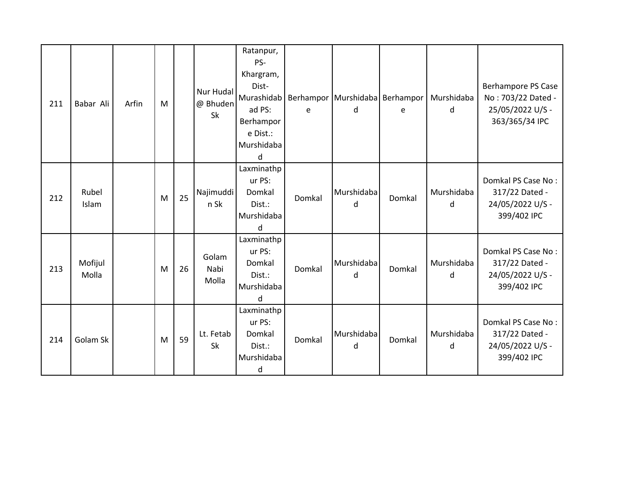| 211 | Babar Ali        | Arfin | M |    | Nur Hudal<br>@ Bhuden<br><b>Sk</b> | Ratanpur,<br>PS-<br>Khargram,<br>Dist-<br>Murashidab<br>ad PS:<br>Berhampor<br>e Dist.:<br>Murshidaba<br>d | e      | Berhampor Murshidaba Berhampor<br>d | e      | Murshidaba<br>d | <b>Berhampore PS Case</b><br>No: 703/22 Dated -<br>25/05/2022 U/S -<br>363/365/34 IPC |
|-----|------------------|-------|---|----|------------------------------------|------------------------------------------------------------------------------------------------------------|--------|-------------------------------------|--------|-----------------|---------------------------------------------------------------------------------------|
| 212 | Rubel<br>Islam   |       | M | 25 | Najimuddi<br>n Sk                  | Laxminathp<br>ur PS:<br>Domkal<br>Dist.:<br>Murshidaba<br>d                                                | Domkal | Murshidaba<br>d                     | Domkal | Murshidaba<br>d | Domkal PS Case No:<br>317/22 Dated -<br>24/05/2022 U/S -<br>399/402 IPC               |
| 213 | Mofijul<br>Molla |       | M | 26 | Golam<br>Nabi<br>Molla             | Laxminathp<br>ur PS:<br>Domkal<br>Dist.:<br>Murshidaba<br>d                                                | Domkal | Murshidaba<br>d                     | Domkal | Murshidaba<br>d | Domkal PS Case No:<br>317/22 Dated -<br>24/05/2022 U/S -<br>399/402 IPC               |
| 214 | Golam Sk         |       | M | 59 | Lt. Fetab<br><b>Sk</b>             | Laxminathp<br>ur PS:<br>Domkal<br>Dist.:<br>Murshidaba<br>d                                                | Domkal | Murshidaba<br>d                     | Domkal | Murshidaba<br>d | Domkal PS Case No:<br>317/22 Dated -<br>24/05/2022 U/S -<br>399/402 IPC               |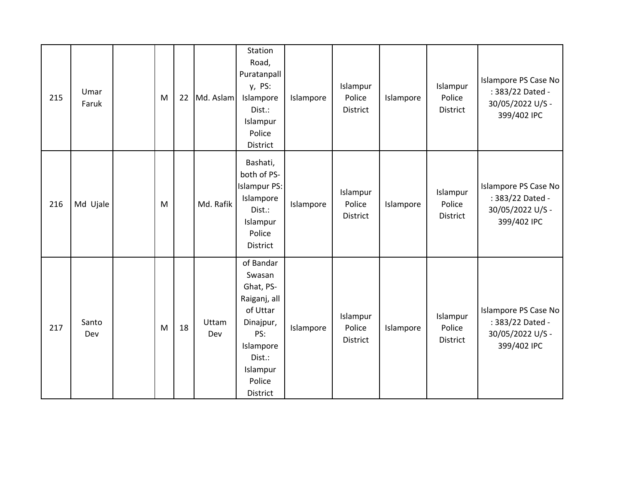| 215 | Umar<br>Faruk | M | 22 | Md. Aslam    | Station<br>Road,<br>Puratanpall<br>y, PS:<br>Islampore<br>Dist.:<br>Islampur<br>Police<br>District                                        | Islampore | Islampur<br>Police<br><b>District</b> | Islampore | Islampur<br>Police<br>District        | Islampore PS Case No<br>: 383/22 Dated -<br>30/05/2022 U/S -<br>399/402 IPC |
|-----|---------------|---|----|--------------|-------------------------------------------------------------------------------------------------------------------------------------------|-----------|---------------------------------------|-----------|---------------------------------------|-----------------------------------------------------------------------------|
| 216 | Md Ujale      | M |    | Md. Rafik    | Bashati,<br>both of PS-<br><b>Islampur PS:</b><br>Islampore<br>Dist.:<br>Islampur<br>Police<br><b>District</b>                            | Islampore | Islampur<br>Police<br>District        | Islampore | Islampur<br>Police<br><b>District</b> | Islampore PS Case No<br>: 383/22 Dated -<br>30/05/2022 U/S -<br>399/402 IPC |
| 217 | Santo<br>Dev  | M | 18 | Uttam<br>Dev | of Bandar<br>Swasan<br>Ghat, PS-<br>Raiganj, all<br>of Uttar<br>Dinajpur,<br>PS:<br>Islampore<br>Dist.:<br>Islampur<br>Police<br>District | Islampore | Islampur<br>Police<br><b>District</b> | Islampore | Islampur<br>Police<br><b>District</b> | Islampore PS Case No<br>: 383/22 Dated -<br>30/05/2022 U/S -<br>399/402 IPC |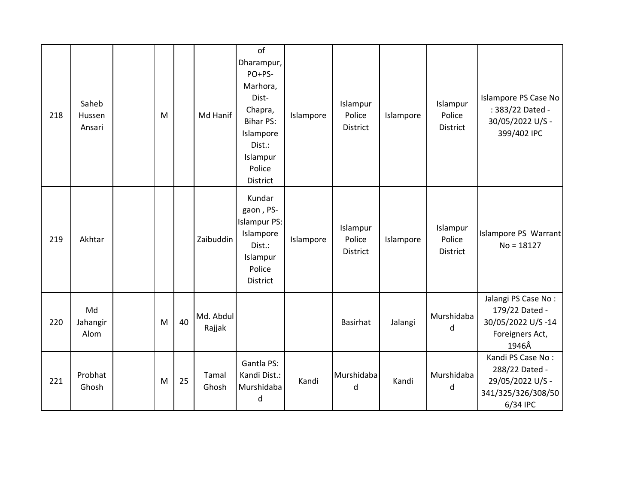| 218 | Saheb<br>Hussen<br>Ansari | M |    | Md Hanif            | of<br>Dharampur,<br>PO+PS-<br>Marhora,<br>Dist-<br>Chapra,<br><b>Bihar PS:</b><br>Islampore<br>Dist.:<br>Islampur<br>Police<br>District | Islampore | Islampur<br>Police<br><b>District</b> | Islampore | Islampur<br>Police<br><b>District</b> | Islampore PS Case No<br>: 383/22 Dated -<br>30/05/2022 U/S -<br>399/402 IPC               |
|-----|---------------------------|---|----|---------------------|-----------------------------------------------------------------------------------------------------------------------------------------|-----------|---------------------------------------|-----------|---------------------------------------|-------------------------------------------------------------------------------------------|
| 219 | Akhtar                    |   |    | Zaibuddin           | Kundar<br>gaon, PS-<br><b>Islampur PS:</b><br>Islampore<br>Dist.:<br>Islampur<br>Police<br>District                                     | Islampore | Islampur<br>Police<br>District        | Islampore | Islampur<br>Police<br><b>District</b> | Islampore PS Warrant<br>$No = 18127$                                                      |
| 220 | Md<br>Jahangir<br>Alom    | M | 40 | Md. Abdul<br>Rajjak |                                                                                                                                         |           | <b>Basirhat</b>                       | Jalangi   | Murshidaba<br>d                       | Jalangi PS Case No:<br>179/22 Dated -<br>30/05/2022 U/S-14<br>Foreigners Act,<br>1946Â    |
| 221 | Probhat<br>Ghosh          | M | 25 | Tamal<br>Ghosh      | Gantla PS:<br>Kandi Dist.:<br>Murshidaba<br>d                                                                                           | Kandi     | Murshidaba<br>d                       | Kandi     | Murshidaba<br>d                       | Kandi PS Case No:<br>288/22 Dated -<br>29/05/2022 U/S -<br>341/325/326/308/50<br>6/34 IPC |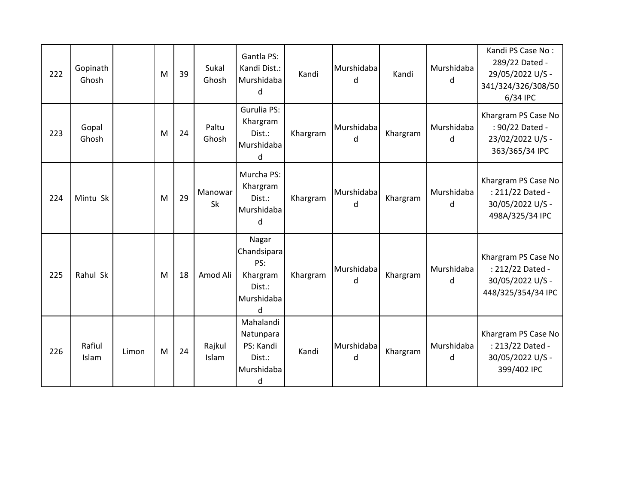| 222 | Gopinath<br>Ghosh |       | M | 39 | Sukal<br>Ghosh       | Gantla PS:<br>Kandi Dist.:<br>Murshidaba<br>d                        | Kandi    | Murshidaba<br>d | Kandi    | Murshidaba<br>d | Kandi PS Case No:<br>289/22 Dated -<br>29/05/2022 U/S -<br>341/324/326/308/50<br>6/34 IPC |
|-----|-------------------|-------|---|----|----------------------|----------------------------------------------------------------------|----------|-----------------|----------|-----------------|-------------------------------------------------------------------------------------------|
| 223 | Gopal<br>Ghosh    |       | M | 24 | Paltu<br>Ghosh       | Gurulia PS:<br>Khargram<br>Dist.:<br>Murshidaba<br>d                 | Khargram | Murshidaba<br>d | Khargram | Murshidaba<br>d | Khargram PS Case No<br>: 90/22 Dated -<br>23/02/2022 U/S -<br>363/365/34 IPC              |
| 224 | Mintu Sk          |       | M | 29 | Manowar<br><b>Sk</b> | Murcha PS:<br>Khargram<br>Dist.:<br>Murshidaba<br>d                  | Khargram | Murshidaba<br>d | Khargram | Murshidaba<br>d | Khargram PS Case No<br>: 211/22 Dated -<br>30/05/2022 U/S -<br>498A/325/34 IPC            |
| 225 | Rahul Sk          |       | M | 18 | Amod Ali             | Nagar<br>Chandsipara<br>PS:<br>Khargram<br>Dist.:<br>Murshidaba<br>d | Khargram | Murshidaba<br>d | Khargram | Murshidaba<br>d | Khargram PS Case No<br>: 212/22 Dated -<br>30/05/2022 U/S -<br>448/325/354/34 IPC         |
| 226 | Rafiul<br>Islam   | Limon | M | 24 | Rajkul<br>Islam      | Mahalandi<br>Natunpara<br>PS: Kandi<br>Dist.:<br>Murshidaba<br>d     | Kandi    | Murshidaba<br>d | Khargram | Murshidaba<br>d | Khargram PS Case No<br>: 213/22 Dated -<br>30/05/2022 U/S -<br>399/402 IPC                |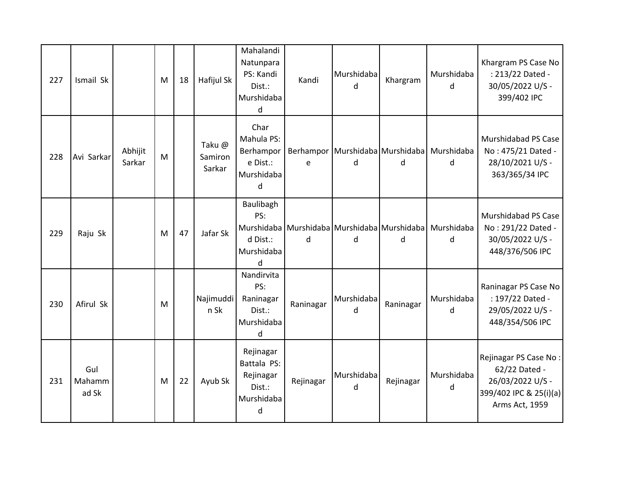| 227 | Ismail Sk              |                   | M | 18 | Hafijul Sk                 | Mahalandi<br>Natunpara<br>PS: Kandi<br>Dist.:<br>Murshidaba<br>d   | Kandi     | Murshidaba<br>d                      | Khargram  | Murshidaba<br>d                                             | Khargram PS Case No<br>: 213/22 Dated -<br>30/05/2022 U/S -<br>399/402 IPC                             |
|-----|------------------------|-------------------|---|----|----------------------------|--------------------------------------------------------------------|-----------|--------------------------------------|-----------|-------------------------------------------------------------|--------------------------------------------------------------------------------------------------------|
| 228 | Avi Sarkar             | Abhijit<br>Sarkar | M |    | Taku@<br>Samiron<br>Sarkar | Char<br>Mahula PS:<br>Berhampor<br>e Dist.:<br>Murshidaba<br>d     | e         | Berhampor Murshidaba Murshidaba<br>d | d         | Murshidaba<br>d                                             | <b>Murshidabad PS Case</b><br>No: 475/21 Dated -<br>28/10/2021 U/S -<br>363/365/34 IPC                 |
| 229 | Raju Sk                |                   | M | 47 | Jafar Sk                   | Baulibagh<br>PS:<br>d Dist.:<br>Murshidaba<br>d                    | d         | d                                    | d         | Murshidaba Murshidaba Murshidaba Murshidaba Murshidaba<br>d | Murshidabad PS Case<br>No: 291/22 Dated -<br>30/05/2022 U/S -<br>448/376/506 IPC                       |
| 230 | Afirul Sk              |                   | M |    | Najimuddi<br>n Sk          | Nandirvita<br>PS:<br>Raninagar<br>Dist.:<br>Murshidaba<br>d        | Raninagar | Murshidaba<br>d                      | Raninagar | Murshidaba<br>d                                             | Raninagar PS Case No<br>: 197/22 Dated -<br>29/05/2022 U/S -<br>448/354/506 IPC                        |
| 231 | Gul<br>Mahamm<br>ad Sk |                   | M | 22 | Ayub Sk                    | Rejinagar<br>Battala PS:<br>Rejinagar<br>Dist.:<br>Murshidaba<br>d | Rejinagar | Murshidaba<br>d                      | Rejinagar | Murshidaba<br>d                                             | Rejinagar PS Case No:<br>62/22 Dated -<br>26/03/2022 U/S -<br>399/402 IPC & 25(i)(a)<br>Arms Act, 1959 |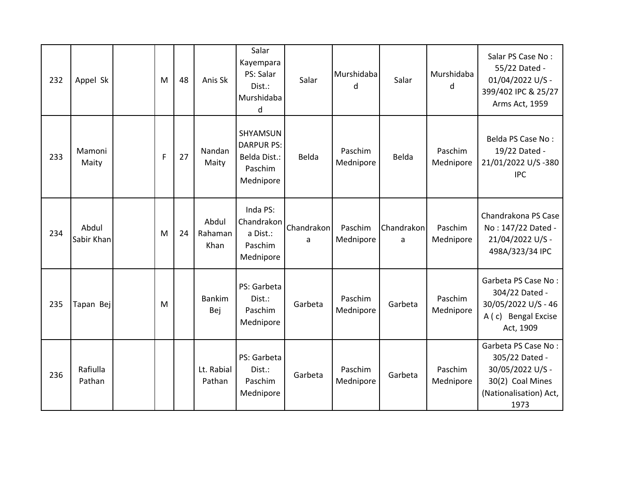| 232 | Appel Sk            | M | 48 | Anis Sk                  | Salar<br>Kayempara<br>PS: Salar<br>Dist.:<br>Murshidaba<br>d          | Salar           | Murshidaba<br>d      | Salar           | Murshidaba<br>d      | Salar PS Case No:<br>55/22 Dated -<br>01/04/2022 U/S -<br>399/402 IPC & 25/27<br>Arms Act, 1959                 |
|-----|---------------------|---|----|--------------------------|-----------------------------------------------------------------------|-----------------|----------------------|-----------------|----------------------|-----------------------------------------------------------------------------------------------------------------|
| 233 | Mamoni<br>Maity     | F | 27 | Nandan<br>Maity          | SHYAMSUN<br><b>DARPUR PS:</b><br>Belda Dist.:<br>Paschim<br>Mednipore | Belda           | Paschim<br>Mednipore | Belda           | Paschim<br>Mednipore | Belda PS Case No:<br>19/22 Dated -<br>21/01/2022 U/S-380<br><b>IPC</b>                                          |
| 234 | Abdul<br>Sabir Khan | M | 24 | Abdul<br>Rahaman<br>Khan | Inda PS:<br>Chandrakon<br>a Dist.:<br>Paschim<br>Mednipore            | Chandrakon<br>a | Paschim<br>Mednipore | Chandrakon<br>a | Paschim<br>Mednipore | Chandrakona PS Case<br>No: 147/22 Dated -<br>21/04/2022 U/S -<br>498A/323/34 IPC                                |
| 235 | Tapan Bej           | M |    | <b>Bankim</b><br>Bej     | PS: Garbeta<br>Dist.:<br>Paschim<br>Mednipore                         | Garbeta         | Paschim<br>Mednipore | Garbeta         | Paschim<br>Mednipore | Garbeta PS Case No:<br>304/22 Dated -<br>30/05/2022 U/S - 46<br>A (c) Bengal Excise<br>Act, 1909                |
| 236 | Rafiulla<br>Pathan  |   |    | Lt. Rabial<br>Pathan     | PS: Garbeta<br>Dist.:<br>Paschim<br>Mednipore                         | Garbeta         | Paschim<br>Mednipore | Garbeta         | Paschim<br>Mednipore | Garbeta PS Case No:<br>305/22 Dated -<br>30/05/2022 U/S -<br>30(2) Coal Mines<br>(Nationalisation) Act,<br>1973 |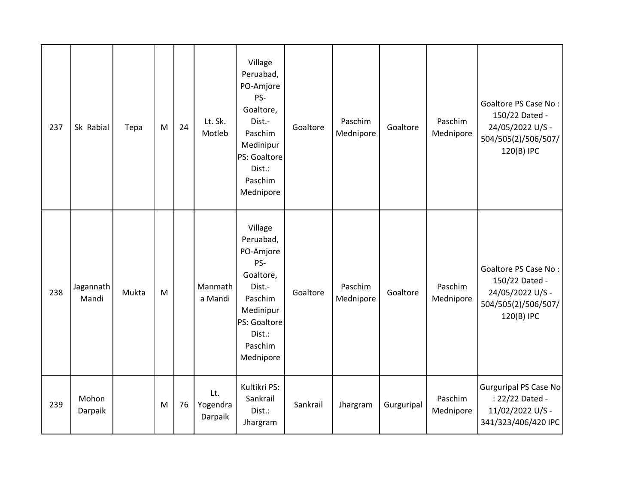| 237 | Sk Rabial          | Tepa  | M | 24 | Lt. Sk.<br>Motleb          | Village<br>Peruabad,<br>PO-Amjore<br>PS-<br>Goaltore,<br>Dist.-<br>Paschim<br>Medinipur<br>PS: Goaltore<br>Dist.:<br>Paschim<br>Mednipore | Goaltore | Paschim<br>Mednipore | Goaltore   | Paschim<br>Mednipore | Goaltore PS Case No:<br>150/22 Dated -<br>24/05/2022 U/S -<br>504/505(2)/506/507/<br>120(B) IPC |
|-----|--------------------|-------|---|----|----------------------------|-------------------------------------------------------------------------------------------------------------------------------------------|----------|----------------------|------------|----------------------|-------------------------------------------------------------------------------------------------|
| 238 | Jagannath<br>Mandi | Mukta | M |    | Manmath<br>a Mandi         | Village<br>Peruabad,<br>PO-Amjore<br>PS-<br>Goaltore,<br>Dist.-<br>Paschim<br>Medinipur<br>PS: Goaltore<br>Dist.:<br>Paschim<br>Mednipore | Goaltore | Paschim<br>Mednipore | Goaltore   | Paschim<br>Mednipore | Goaltore PS Case No:<br>150/22 Dated -<br>24/05/2022 U/S -<br>504/505(2)/506/507/<br>120(B) IPC |
| 239 | Mohon<br>Darpaik   |       | M | 76 | Lt.<br>Yogendra<br>Darpaik | Kultikri PS:<br>Sankrail<br>Dist.:<br>Jhargram                                                                                            | Sankrail | Jhargram             | Gurguripal | Paschim<br>Mednipore | Gurguripal PS Case No<br>: 22/22 Dated -<br>11/02/2022 U/S -<br>341/323/406/420 IPC             |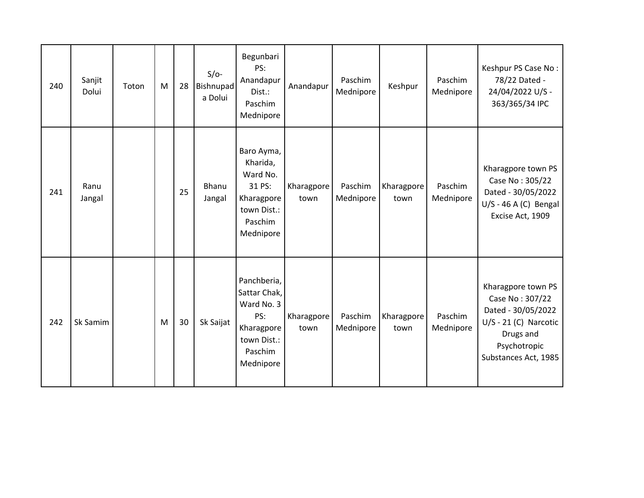| 240 | Sanjit<br>Dolui | Toton | M | 28 | $S/O-$<br>Bishnupad<br>a Dolui | Begunbari<br>PS:<br>Anandapur<br>Dist.:<br>Paschim<br>Mednipore                                       | Anandapur          | Paschim<br>Mednipore | Keshpur            | Paschim<br>Mednipore | Keshpur PS Case No:<br>78/22 Dated -<br>24/04/2022 U/S -<br>363/365/34 IPC                                                                  |
|-----|-----------------|-------|---|----|--------------------------------|-------------------------------------------------------------------------------------------------------|--------------------|----------------------|--------------------|----------------------|---------------------------------------------------------------------------------------------------------------------------------------------|
| 241 | Ranu<br>Jangal  |       |   | 25 | Bhanu<br>Jangal                | Baro Ayma,<br>Kharida,<br>Ward No.<br>31 PS:<br>Kharagpore<br>town Dist.:<br>Paschim<br>Mednipore     | Kharagpore<br>town | Paschim<br>Mednipore | Kharagpore<br>town | Paschim<br>Mednipore | Kharagpore town PS<br>Case No: 305/22<br>Dated - 30/05/2022<br>$U/S - 46 A (C)$ Bengal<br>Excise Act, 1909                                  |
| 242 | Sk Samim        |       | M | 30 | Sk Saijat                      | Panchberia,<br>Sattar Chak,<br>Ward No. 3<br>PS:<br>Kharagpore<br>town Dist.:<br>Paschim<br>Mednipore | Kharagpore<br>town | Paschim<br>Mednipore | Kharagpore<br>town | Paschim<br>Mednipore | Kharagpore town PS<br>Case No: 307/22<br>Dated - 30/05/2022<br>$U/S - 21 (C)$ Narcotic<br>Drugs and<br>Psychotropic<br>Substances Act, 1985 |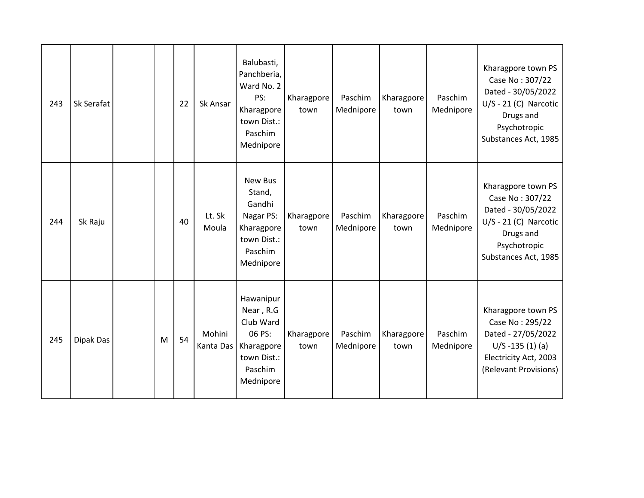| 243 | Sk Serafat |   | 22 | Sk Ansar            | Balubasti,<br>Panchberia,<br>Ward No. 2<br>PS:<br>Kharagpore<br>town Dist.:<br>Paschim<br>Mednipore  | Kharagpore<br>town | Paschim<br>Mednipore | Kharagpore<br>town | Paschim<br>Mednipore | Kharagpore town PS<br>Case No: 307/22<br>Dated - 30/05/2022<br>$U/S - 21 (C)$ Narcotic<br>Drugs and<br>Psychotropic<br>Substances Act, 1985 |
|-----|------------|---|----|---------------------|------------------------------------------------------------------------------------------------------|--------------------|----------------------|--------------------|----------------------|---------------------------------------------------------------------------------------------------------------------------------------------|
| 244 | Sk Raju    |   | 40 | Lt. Sk<br>Moula     | <b>New Bus</b><br>Stand,<br>Gandhi<br>Nagar PS:<br>Kharagpore<br>town Dist.:<br>Paschim<br>Mednipore | Kharagpore<br>town | Paschim<br>Mednipore | Kharagpore<br>town | Paschim<br>Mednipore | Kharagpore town PS<br>Case No: 307/22<br>Dated - 30/05/2022<br>$U/S - 21 (C)$ Narcotic<br>Drugs and<br>Psychotropic<br>Substances Act, 1985 |
| 245 | Dipak Das  | M | 54 | Mohini<br>Kanta Das | Hawanipur<br>Near, R.G<br>Club Ward<br>06 PS:<br>Kharagpore<br>town Dist.:<br>Paschim<br>Mednipore   | Kharagpore<br>town | Paschim<br>Mednipore | Kharagpore<br>town | Paschim<br>Mednipore | Kharagpore town PS<br>Case No: 295/22<br>Dated - 27/05/2022<br>$U/S - 135(1)(a)$<br>Electricity Act, 2003<br>(Relevant Provisions)          |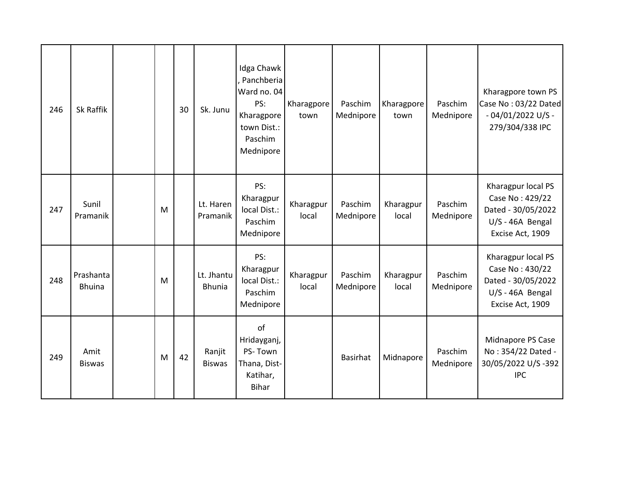| 246 | Sk Raffik                  |   | 30 | Sk. Junu                    | Idga Chawk<br>Panchberia<br>Ward no. 04<br>PS:<br>Kharagpore<br>town Dist.:<br>Paschim<br>Mednipore | Kharagpore<br>town | Paschim<br>Mednipore | Kharagpore<br>town | Paschim<br>Mednipore | Kharagpore town PS<br>Case No: 03/22 Dated<br>$-04/01/2022$ U/S -<br>279/304/338 IPC                  |
|-----|----------------------------|---|----|-----------------------------|-----------------------------------------------------------------------------------------------------|--------------------|----------------------|--------------------|----------------------|-------------------------------------------------------------------------------------------------------|
| 247 | Sunil<br>Pramanik          | M |    | Lt. Haren<br>Pramanik       | PS:<br>Kharagpur<br>local Dist.:<br>Paschim<br>Mednipore                                            | Kharagpur<br>local | Paschim<br>Mednipore | Kharagpur<br>local | Paschim<br>Mednipore | Kharagpur local PS<br>Case No: 429/22<br>Dated - 30/05/2022<br>$U/S - 46A$ Bengal<br>Excise Act, 1909 |
| 248 | Prashanta<br><b>Bhuina</b> | M |    | Lt. Jhantu<br><b>Bhunia</b> | PS:<br>Kharagpur<br>local Dist.:<br>Paschim<br>Mednipore                                            | Kharagpur<br>local | Paschim<br>Mednipore | Kharagpur<br>local | Paschim<br>Mednipore | Kharagpur local PS<br>Case No: 430/22<br>Dated - 30/05/2022<br>U/S - 46A Bengal<br>Excise Act, 1909   |
| 249 | Amit<br><b>Biswas</b>      | M | 42 | Ranjit<br><b>Biswas</b>     | of<br>Hridayganj,<br>PS-Town<br>Thana, Dist-<br>Katihar,<br><b>Bihar</b>                            |                    | <b>Basirhat</b>      | Midnapore          | Paschim<br>Mednipore | Midnapore PS Case<br>No: 354/22 Dated -<br>30/05/2022 U/S-392<br><b>IPC</b>                           |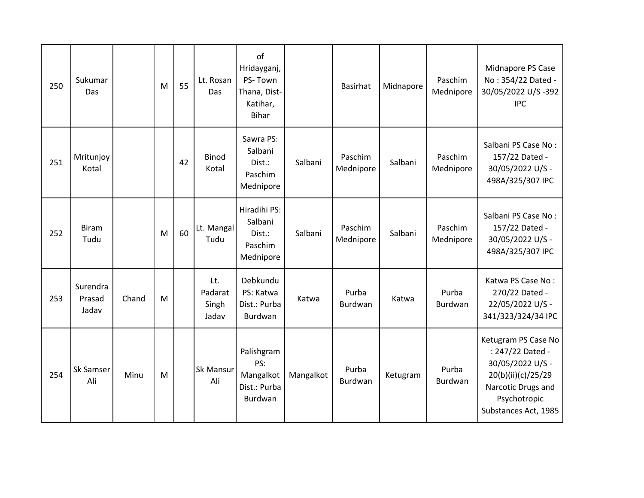| 250 | Sukumar<br>Das              |       | M | 55 | Lt. Rosan<br>Das                 | of<br>Hridayganj,<br>PS-Town<br>Thana, Dist-<br>Katihar,<br><b>Bihar</b> |           | <b>Basirhat</b>      | Midnapore | Paschim<br>Mednipore | Midnapore PS Case<br>No: 354/22 Dated -<br>30/05/2022 U/S-392<br><b>IPC</b>                                                                     |
|-----|-----------------------------|-------|---|----|----------------------------------|--------------------------------------------------------------------------|-----------|----------------------|-----------|----------------------|-------------------------------------------------------------------------------------------------------------------------------------------------|
| 251 | Mritunjoy<br>Kotal          |       |   | 42 | <b>Binod</b><br>Kotal            | Sawra PS:<br>Salbani<br>Dist.:<br>Paschim<br>Mednipore                   | Salbani   | Paschim<br>Mednipore | Salbani   | Paschim<br>Mednipore | Salbani PS Case No:<br>157/22 Dated -<br>30/05/2022 U/S -<br>498A/325/307 IPC                                                                   |
| 252 | <b>Biram</b><br>Tudu        |       | M | 60 | Lt. Mangal<br>Tudu               | Hiradihi PS:<br>Salbani<br>Dist.:<br>Paschim<br>Mednipore                | Salbani   | Paschim<br>Mednipore | Salbani   | Paschim<br>Mednipore | Salbani PS Case No:<br>157/22 Dated -<br>30/05/2022 U/S -<br>498A/325/307 IPC                                                                   |
| 253 | Surendra<br>Prasad<br>Jadav | Chand | M |    | Lt.<br>Padarat<br>Singh<br>Jadav | Debkundu<br>PS: Katwa<br>Dist.: Purba<br>Burdwan                         | Katwa     | Purba<br>Burdwan     | Katwa     | Purba<br>Burdwan     | Katwa PS Case No:<br>270/22 Dated -<br>22/05/2022 U/S -<br>341/323/324/34 IPC                                                                   |
| 254 | Sk Samser<br>Ali            | Minu  | M |    | <b>Sk Mansur</b><br>Ali          | Palishgram<br>PS:<br>Mangalkot<br>Dist.: Purba<br>Burdwan                | Mangalkot | Purba<br>Burdwan     | Ketugram  | Purba<br>Burdwan     | Ketugram PS Case No<br>: 247/22 Dated -<br>30/05/2022 U/S -<br>20(b)(ii)(c)/25/29<br>Narcotic Drugs and<br>Psychotropic<br>Substances Act, 1985 |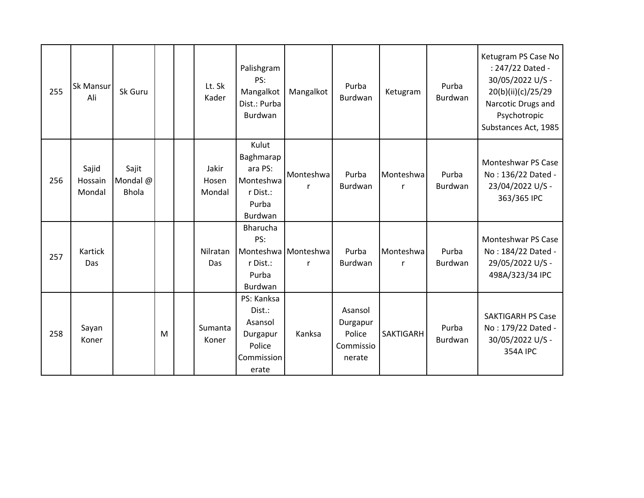| 255 | <b>Sk Mansur</b><br>Ali    | Sk Guru                           |   | Lt. Sk<br>Kader          | Palishgram<br>PS:<br>Mangalkot<br>Dist.: Purba<br>Burdwan                    | Mangalkot                           | Purba<br>Burdwan                                     | Ketugram                  | Purba<br>Burdwan        | Ketugram PS Case No<br>: 247/22 Dated -<br>30/05/2022 U/S -<br>20(b)(ii)(c)/25/29<br>Narcotic Drugs and<br>Psychotropic<br>Substances Act, 1985 |
|-----|----------------------------|-----------------------------------|---|--------------------------|------------------------------------------------------------------------------|-------------------------------------|------------------------------------------------------|---------------------------|-------------------------|-------------------------------------------------------------------------------------------------------------------------------------------------|
| 256 | Sajid<br>Hossain<br>Mondal | Sajit<br>Mondal @<br><b>Bhola</b> |   | Jakir<br>Hosen<br>Mondal | Kulut<br>Baghmarap<br>ara PS:<br>Monteshwa<br>r Dist.:<br>Purba<br>Burdwan   | Monteshwa<br>r                      | Purba<br>Burdwan                                     | Monteshwa<br>r            | Purba<br>Burdwan        | Monteshwar PS Case<br>No: 136/22 Dated -<br>23/04/2022 U/S -<br>363/365 IPC                                                                     |
| 257 | Kartick<br>Das             |                                   |   | Nilratan<br>Das          | <b>Bharucha</b><br>PS:<br>r Dist.:<br>Purba<br>Burdwan                       | Monteshwa Monteshwa<br>$\mathsf{r}$ | Purba<br>Burdwan                                     | Monteshwa<br>$\mathsf{r}$ | Purba<br>Burdwan        | Monteshwar PS Case<br>No: 184/22 Dated -<br>29/05/2022 U/S -<br>498A/323/34 IPC                                                                 |
| 258 | Sayan<br>Koner             |                                   | M | Sumanta<br>Koner         | PS: Kanksa<br>Dist.:<br>Asansol<br>Durgapur<br>Police<br>Commission<br>erate | Kanksa                              | Asansol<br>Durgapur<br>Police<br>Commissio<br>nerate | <b>SAKTIGARH</b>          | Purba<br><b>Burdwan</b> | <b>SAKTIGARH PS Case</b><br>No: 179/22 Dated -<br>30/05/2022 U/S -<br><b>354A IPC</b>                                                           |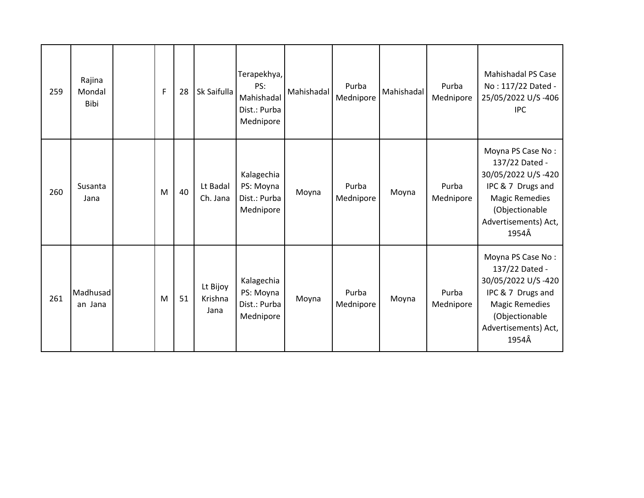| 259 | Rajina<br>Mondal<br>Bibi | F | 28 | Sk Saifulla                 | Terapekhya,<br>PS:<br>Mahishadal<br>Dist.: Purba<br>Mednipore | Mahishadal | Purba<br>Mednipore | Mahishadal | Purba<br>Mednipore | <b>Mahishadal PS Case</b><br>No: 117/22 Dated -<br>25/05/2022 U/S-406<br><b>IPC</b>                                                                        |
|-----|--------------------------|---|----|-----------------------------|---------------------------------------------------------------|------------|--------------------|------------|--------------------|------------------------------------------------------------------------------------------------------------------------------------------------------------|
| 260 | Susanta<br>Jana          | M | 40 | Lt Badal<br>Ch. Jana        | Kalagechia<br>PS: Moyna<br>Dist.: Purba<br>Mednipore          | Moyna      | Purba<br>Mednipore | Moyna      | Purba<br>Mednipore | Moyna PS Case No:<br>137/22 Dated -<br>30/05/2022 U/S-420<br>IPC & 7 Drugs and<br><b>Magic Remedies</b><br>(Objectionable<br>Advertisements) Act,<br>1954Â |
| 261 | Madhusad<br>an Jana      | M | 51 | Lt Bijoy<br>Krishna<br>Jana | Kalagechia<br>PS: Moyna<br>Dist.: Purba<br>Mednipore          | Moyna      | Purba<br>Mednipore | Moyna      | Purba<br>Mednipore | Moyna PS Case No:<br>137/22 Dated -<br>30/05/2022 U/S-420<br>IPC & 7 Drugs and<br><b>Magic Remedies</b><br>(Objectionable<br>Advertisements) Act,<br>1954Â |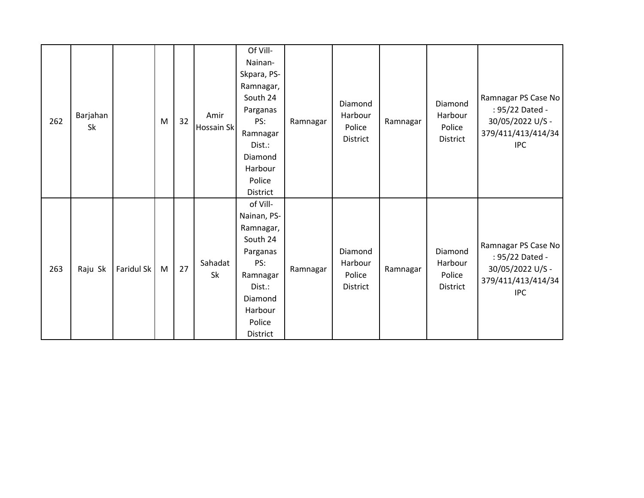| 262 | Barjahan<br>Sk |            | M | 32 | Amir<br>Hossain Sk | Of Vill-<br>Nainan-<br>Skpara, PS-<br>Ramnagar,<br>South 24<br>Parganas<br>PS:<br>Ramnagar<br>Dist.:<br>Diamond<br>Harbour<br>Police<br><b>District</b> | Ramnagar | Diamond<br>Harbour<br>Police<br>District | Ramnagar | Diamond<br>Harbour<br>Police<br>District | Ramnagar PS Case No<br>: 95/22 Dated -<br>30/05/2022 U/S -<br>379/411/413/414/34<br><b>IPC</b> |
|-----|----------------|------------|---|----|--------------------|---------------------------------------------------------------------------------------------------------------------------------------------------------|----------|------------------------------------------|----------|------------------------------------------|------------------------------------------------------------------------------------------------|
| 263 | Raju Sk        | Faridul Sk | M | 27 | Sahadat<br>Sk      | of Vill-<br>Nainan, PS-<br>Ramnagar,<br>South 24<br>Parganas<br>PS:<br>Ramnagar<br>Dist.:<br>Diamond<br>Harbour<br>Police<br>District                   | Ramnagar | Diamond<br>Harbour<br>Police<br>District | Ramnagar | Diamond<br>Harbour<br>Police<br>District | Ramnagar PS Case No<br>: 95/22 Dated -<br>30/05/2022 U/S -<br>379/411/413/414/34<br><b>IPC</b> |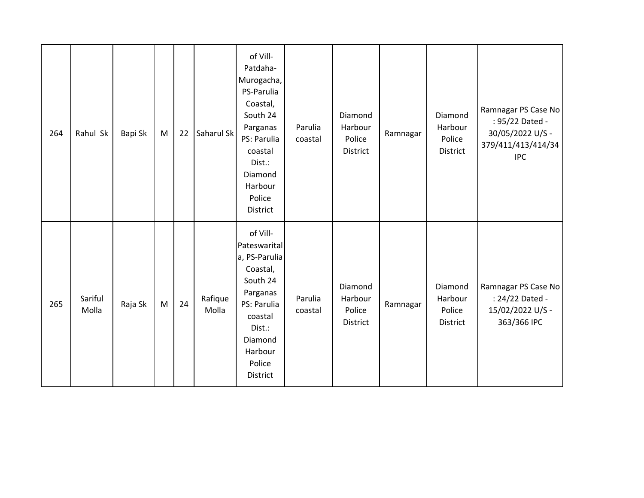| 264 | Rahul Sk         | Bapi Sk | M | 22 | Saharul Sk       | of Vill-<br>Patdaha-<br>Murogacha,<br>PS-Parulia<br>Coastal,<br>South 24<br>Parganas<br>PS: Parulia<br>coastal<br>Dist.:<br>Diamond<br>Harbour<br>Police<br>District | Parulia<br>coastal | Diamond<br>Harbour<br>Police<br>District | Ramnagar | Diamond<br>Harbour<br>Police<br>District | Ramnagar PS Case No<br>: 95/22 Dated -<br>30/05/2022 U/S -<br>379/411/413/414/34<br><b>IPC</b> |
|-----|------------------|---------|---|----|------------------|----------------------------------------------------------------------------------------------------------------------------------------------------------------------|--------------------|------------------------------------------|----------|------------------------------------------|------------------------------------------------------------------------------------------------|
| 265 | Sariful<br>Molla | Raja Sk | M | 24 | Rafique<br>Molla | of Vill-<br>Pateswarital<br>a, PS-Parulia<br>Coastal,<br>South 24<br>Parganas<br>PS: Parulia<br>coastal<br>Dist.:<br>Diamond<br>Harbour<br>Police<br>District        | Parulia<br>coastal | Diamond<br>Harbour<br>Police<br>District | Ramnagar | Diamond<br>Harbour<br>Police<br>District | Ramnagar PS Case No<br>: 24/22 Dated -<br>15/02/2022 U/S -<br>363/366 IPC                      |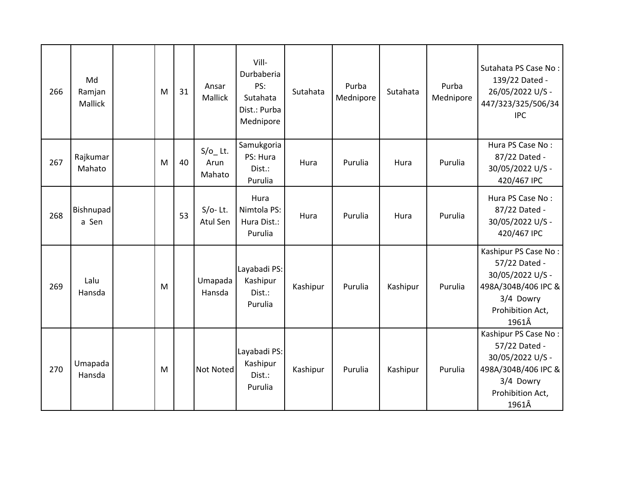| 266 | Md<br>Ramjan<br><b>Mallick</b> | M | 31 | Ansar<br><b>Mallick</b>      | Vill-<br>Durbaberia<br>PS:<br>Sutahata<br>Dist.: Purba<br>Mednipore | Sutahata | Purba<br>Mednipore | Sutahata | Purba<br>Mednipore | Sutahata PS Case No:<br>139/22 Dated -<br>26/05/2022 U/S -<br>447/323/325/506/34<br><b>IPC</b>                             |
|-----|--------------------------------|---|----|------------------------------|---------------------------------------------------------------------|----------|--------------------|----------|--------------------|----------------------------------------------------------------------------------------------------------------------------|
| 267 | Rajkumar<br>Mahato             | M | 40 | $S/O$ _Lt.<br>Arun<br>Mahato | Samukgoria<br>PS: Hura<br>Dist.:<br>Purulia                         | Hura     | Purulia            | Hura     | Purulia            | Hura PS Case No:<br>87/22 Dated -<br>30/05/2022 U/S -<br>420/467 IPC                                                       |
| 268 | <b>Bishnupad</b><br>a Sen      |   | 53 | $S/O-$ Lt.<br>Atul Sen       | Hura<br>Nimtola PS:<br>Hura Dist.:<br>Purulia                       | Hura     | Purulia            | Hura     | Purulia            | Hura PS Case No:<br>87/22 Dated -<br>30/05/2022 U/S -<br>420/467 IPC                                                       |
| 269 | Lalu<br>Hansda                 | M |    | Umapada<br>Hansda            | Layabadi PS:<br>Kashipur<br>Dist.:<br>Purulia                       | Kashipur | Purulia            | Kashipur | Purulia            | Kashipur PS Case No:<br>57/22 Dated -<br>30/05/2022 U/S -<br>498A/304B/406 IPC &<br>3/4 Dowry<br>Prohibition Act,<br>1961Â |
| 270 | Umapada<br>Hansda              | M |    | <b>Not Noted</b>             | Layabadi PS:<br>Kashipur<br>Dist.:<br>Purulia                       | Kashipur | Purulia            | Kashipur | Purulia            | Kashipur PS Case No:<br>57/22 Dated -<br>30/05/2022 U/S -<br>498A/304B/406 IPC &<br>3/4 Dowry<br>Prohibition Act,<br>1961Â |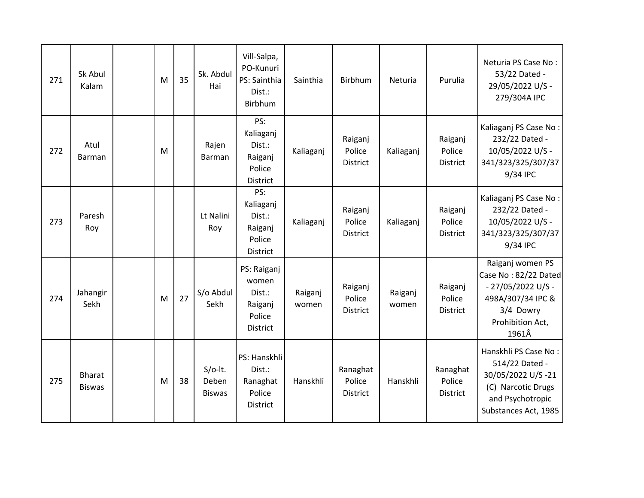| 271 | Sk Abul<br>Kalam        | M | 35 | Sk. Abdul<br>Hai                    | Vill-Salpa,<br>PO-Kunuri<br>PS: Sainthia<br>Dist.:<br>Birbhum          | Sainthia         | Birbhum                               | Neturia          | Purulia                               | Neturia PS Case No:<br>53/22 Dated -<br>29/05/2022 U/S -<br>279/304A IPC                                                      |
|-----|-------------------------|---|----|-------------------------------------|------------------------------------------------------------------------|------------------|---------------------------------------|------------------|---------------------------------------|-------------------------------------------------------------------------------------------------------------------------------|
| 272 | Atul<br>Barman          | M |    | Rajen<br>Barman                     | PS:<br>Kaliaganj<br>Dist.:<br>Raiganj<br>Police<br>District            | Kaliaganj        | Raiganj<br>Police<br><b>District</b>  | Kaliaganj        | Raiganj<br>Police<br><b>District</b>  | Kaliaganj PS Case No:<br>232/22 Dated -<br>10/05/2022 U/S -<br>341/323/325/307/37<br>9/34 IPC                                 |
| 273 | Paresh<br>Roy           |   |    | Lt Nalini<br>Roy                    | PS:<br>Kaliaganj<br>Dist.:<br>Raiganj<br>Police<br><b>District</b>     | Kaliaganj        | Raiganj<br>Police<br><b>District</b>  | Kaliaganj        | Raiganj<br>Police<br><b>District</b>  | Kaliaganj PS Case No:<br>232/22 Dated -<br>10/05/2022 U/S -<br>341/323/325/307/37<br>9/34 IPC                                 |
| 274 | Jahangir<br>Sekh        | M | 27 | S/o Abdul<br>Sekh                   | PS: Raiganj<br>women<br>Dist.:<br>Raiganj<br>Police<br><b>District</b> | Raiganj<br>women | Raiganj<br>Police<br><b>District</b>  | Raiganj<br>women | Raiganj<br>Police<br><b>District</b>  | Raiganj women PS<br>Case No: 82/22 Dated<br>- 27/05/2022 U/S -<br>498A/307/34 IPC &<br>3/4 Dowry<br>Prohibition Act,<br>1961Â |
| 275 | Bharat<br><b>Biswas</b> | M | 38 | $S/O-It.$<br>Deben<br><b>Biswas</b> | PS: Hanskhli<br>Dist.:<br>Ranaghat<br>Police<br>District               | Hanskhli         | Ranaghat<br>Police<br><b>District</b> | Hanskhli         | Ranaghat<br>Police<br><b>District</b> | Hanskhli PS Case No:<br>514/22 Dated -<br>30/05/2022 U/S-21<br>(C) Narcotic Drugs<br>and Psychotropic<br>Substances Act, 1985 |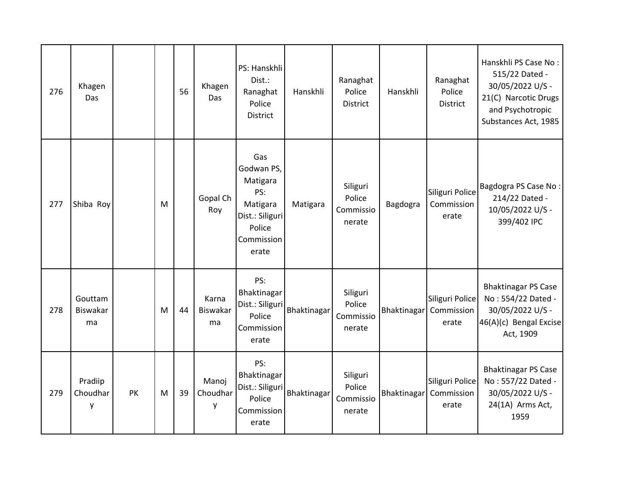| 276 | Khagen<br>Das                    |    |   | 56 | Khagen<br>Das           | PS: Hanskhli<br>Dist.:<br>Ranaghat<br>Police<br><b>District</b>                                      | Hanskhli    | Ranaghat<br>Police<br><b>District</b>     | Hanskhli           | Ranaghat<br>Police<br><b>District</b>  | Hanskhli PS Case No:<br>515/22 Dated -<br>30/05/2022 U/S -<br>21(C) Narcotic Drugs<br>and Psychotropic<br>Substances Act, 1985 |
|-----|----------------------------------|----|---|----|-------------------------|------------------------------------------------------------------------------------------------------|-------------|-------------------------------------------|--------------------|----------------------------------------|--------------------------------------------------------------------------------------------------------------------------------|
| 277 | Shiba Roy                        |    | M |    | Gopal Ch<br>Roy         | Gas<br>Godwan PS,<br>Matigara<br>PS:<br>Matigara<br>Dist.: Siliguri<br>Police<br>Commission<br>erate | Matigara    | Siliguri<br>Police<br>Commissio<br>nerate | Bagdogra           | Siliguri Police<br>Commission<br>erate | Bagdogra PS Case No:<br>214/22 Dated -<br>10/05/2022 U/S -<br>399/402 IPC                                                      |
| 278 | Gouttam<br><b>Biswakar</b><br>ma |    | M | 44 | Karna<br>Biswakar<br>ma | PS:<br>Bhaktinagar<br>Dist.: Siliguri<br>Police<br>Commission<br>erate                               | Bhaktinagar | Siliguri<br>Police<br>Commissio<br>nerate | <b>Bhaktinagar</b> | Siliguri Police<br>Commission<br>erate | <b>Bhaktinagar PS Case</b><br>No: 554/22 Dated -<br>30/05/2022 U/S -<br>46(A)(c) Bengal Excise<br>Act, 1909                    |
| 279 | Pradiip<br>Choudhar<br>у         | PK | M | 39 | Manoj<br>Choudhar<br>у  | PS:<br>Bhaktinagar<br>Dist.: Siliguri<br>Police<br>Commission<br>erate                               | Bhaktinagar | Siliguri<br>Police<br>Commissio<br>nerate | Bhaktinagar        | Siliguri Police<br>Commission<br>erate | <b>Bhaktinagar PS Case</b><br>No: 557/22 Dated -<br>30/05/2022 U/S -<br>24(1A) Arms Act,<br>1959                               |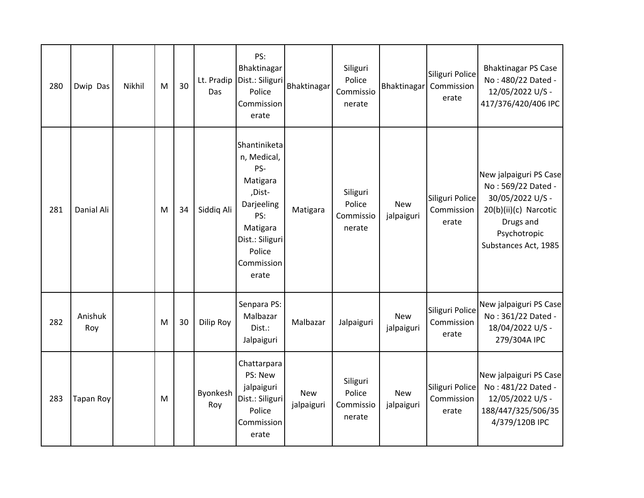| 280 | Dwip Das         | Nikhil | M | 30 | Das             | PS:<br>Bhaktinagar<br>Lt. Pradip Dist.: Siliguri<br>Police<br>Commission<br>erate                                                             | Bhaktinagar              | Siliguri<br>Police<br>Commissio<br>nerate | Bhaktinagar              | Siliguri Police<br>Commission<br>erate | <b>Bhaktinagar PS Case</b><br>No: 480/22 Dated -<br>12/05/2022 U/S -<br>417/376/420/406 IPC                                                    |
|-----|------------------|--------|---|----|-----------------|-----------------------------------------------------------------------------------------------------------------------------------------------|--------------------------|-------------------------------------------|--------------------------|----------------------------------------|------------------------------------------------------------------------------------------------------------------------------------------------|
| 281 | Danial Ali       |        | M | 34 | Siddiq Ali      | Shantiniketa<br>n, Medical,<br>PS-<br>Matigara<br>,Dist-<br>Darjeeling<br>PS:<br>Matigara<br>Dist.: Siliguri<br>Police<br>Commission<br>erate | Matigara                 | Siliguri<br>Police<br>Commissio<br>nerate | <b>New</b><br>jalpaiguri | Siliguri Police<br>Commission<br>erate | New jalpaiguri PS Case<br>No: 569/22 Dated -<br>30/05/2022 U/S -<br>20(b)(ii)(c) Narcotic<br>Drugs and<br>Psychotropic<br>Substances Act, 1985 |
| 282 | Anishuk<br>Roy   |        | M | 30 | Dilip Roy       | Senpara PS:<br>Malbazar<br>Dist.:<br>Jalpaiguri                                                                                               | Malbazar                 | Jalpaiguri                                | New<br>jalpaiguri        | Siliguri Police<br>Commission<br>erate | New jalpaiguri PS Case<br>No: 361/22 Dated -<br>18/04/2022 U/S -<br>279/304A IPC                                                               |
| 283 | <b>Tapan Roy</b> |        | M |    | Byonkesh<br>Roy | Chattarpara<br>PS: New<br>jalpaiguri<br>Dist.: Siliguri<br>Police<br>Commission<br>erate                                                      | <b>New</b><br>jalpaiguri | Siliguri<br>Police<br>Commissio<br>nerate | New<br>jalpaiguri        | Siliguri Police<br>Commission<br>erate | New jalpaiguri PS Case<br>No: 481/22 Dated -<br>12/05/2022 U/S -<br>188/447/325/506/35<br>4/379/120B IPC                                       |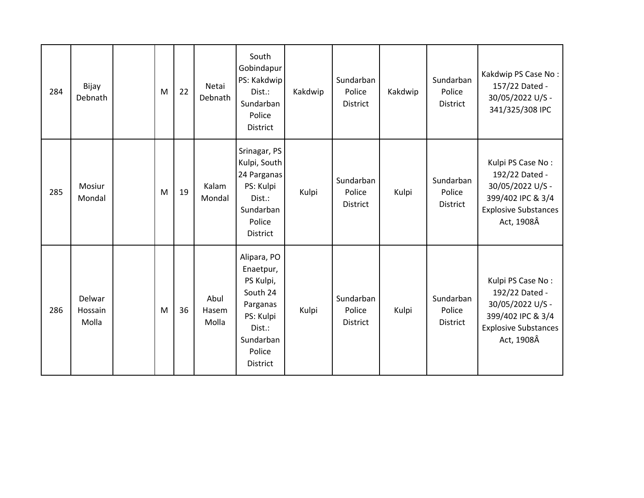| 284 | Bijay<br>Debnath           | M | 22 | Netai<br>Debnath       | South<br>Gobindapur<br>PS: Kakdwip<br>Dist.:<br>Sundarban<br>Police<br><b>District</b>                                         | Kakdwip | Sundarban<br>Police<br><b>District</b> | Kakdwip | Sundarban<br>Police<br><b>District</b> | Kakdwip PS Case No:<br>157/22 Dated -<br>30/05/2022 U/S -<br>341/325/308 IPC                                              |
|-----|----------------------------|---|----|------------------------|--------------------------------------------------------------------------------------------------------------------------------|---------|----------------------------------------|---------|----------------------------------------|---------------------------------------------------------------------------------------------------------------------------|
| 285 | Mosiur<br>Mondal           | M | 19 | Kalam<br>Mondal        | Srinagar, PS<br>Kulpi, South<br>24 Parganas<br>PS: Kulpi<br>Dist.:<br>Sundarban<br>Police<br><b>District</b>                   | Kulpi   | Sundarban<br>Police<br><b>District</b> | Kulpi   | Sundarban<br>Police<br><b>District</b> | Kulpi PS Case No:<br>192/22 Dated -<br>30/05/2022 U/S -<br>399/402 IPC & 3/4<br><b>Explosive Substances</b><br>Act, 1908Â |
| 286 | Delwar<br>Hossain<br>Molla | M | 36 | Abul<br>Hasem<br>Molla | Alipara, PO<br>Enaetpur,<br>PS Kulpi,<br>South 24<br>Parganas<br>PS: Kulpi<br>Dist.:<br>Sundarban<br>Police<br><b>District</b> | Kulpi   | Sundarban<br>Police<br><b>District</b> | Kulpi   | Sundarban<br>Police<br><b>District</b> | Kulpi PS Case No:<br>192/22 Dated -<br>30/05/2022 U/S -<br>399/402 IPC & 3/4<br><b>Explosive Substances</b><br>Act, 1908Â |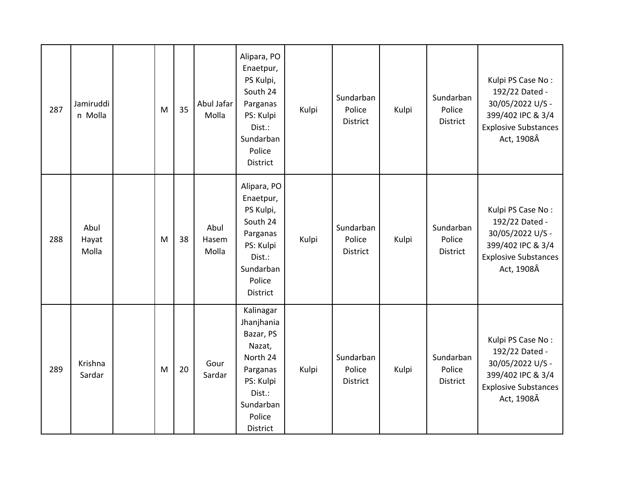| 287 | Jamiruddi<br>n Molla   | M | 35 | Abul Jafar<br>Molla    | Alipara, PO<br>Enaetpur,<br>PS Kulpi,<br>South 24<br>Parganas<br>PS: Kulpi<br>Dist.:<br>Sundarban<br>Police<br>District          | Kulpi | Sundarban<br>Police<br>District        | Kulpi | Sundarban<br>Police<br><b>District</b> | Kulpi PS Case No:<br>192/22 Dated -<br>30/05/2022 U/S -<br>399/402 IPC & 3/4<br><b>Explosive Substances</b><br>Act, 1908Â |
|-----|------------------------|---|----|------------------------|----------------------------------------------------------------------------------------------------------------------------------|-------|----------------------------------------|-------|----------------------------------------|---------------------------------------------------------------------------------------------------------------------------|
| 288 | Abul<br>Hayat<br>Molla | M | 38 | Abul<br>Hasem<br>Molla | Alipara, PO<br>Enaetpur,<br>PS Kulpi,<br>South 24<br>Parganas<br>PS: Kulpi<br>Dist.:<br>Sundarban<br>Police<br><b>District</b>   | Kulpi | Sundarban<br>Police<br>District        | Kulpi | Sundarban<br>Police<br><b>District</b> | Kulpi PS Case No:<br>192/22 Dated -<br>30/05/2022 U/S -<br>399/402 IPC & 3/4<br><b>Explosive Substances</b><br>Act, 1908Â |
| 289 | Krishna<br>Sardar      | M | 20 | Gour<br>Sardar         | Kalinagar<br>Jhanjhania<br>Bazar, PS<br>Nazat,<br>North 24<br>Parganas<br>PS: Kulpi<br>Dist.:<br>Sundarban<br>Police<br>District | Kulpi | Sundarban<br>Police<br><b>District</b> | Kulpi | Sundarban<br>Police<br><b>District</b> | Kulpi PS Case No:<br>192/22 Dated -<br>30/05/2022 U/S -<br>399/402 IPC & 3/4<br><b>Explosive Substances</b><br>Act, 1908Â |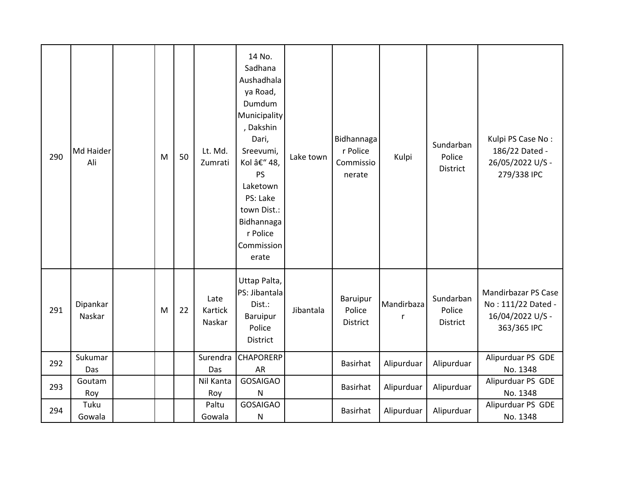| 290 | Md Haider<br>Ali   | M | 50 | Lt. Md.<br>Zumrati        | 14 No.<br>Sadhana<br>Aushadhala<br>ya Road,<br>Dumdum<br>Municipality<br>, Dakshin<br>Dari,<br>Sreevumi,<br>Kol – 48,<br>PS<br>Laketown<br>PS: Lake<br>town Dist.:<br>Bidhannaga<br>r Police<br>Commission<br>erate | Lake town | Bidhannaga<br>r Police<br>Commissio<br>nerate | Kulpi      | Sundarban<br>Police<br><b>District</b> | Kulpi PS Case No:<br>186/22 Dated -<br>26/05/2022 U/S -<br>279/338 IPC       |
|-----|--------------------|---|----|---------------------------|---------------------------------------------------------------------------------------------------------------------------------------------------------------------------------------------------------------------|-----------|-----------------------------------------------|------------|----------------------------------------|------------------------------------------------------------------------------|
| 291 | Dipankar<br>Naskar | M | 22 | Late<br>Kartick<br>Naskar | Uttap Palta,<br>PS: Jibantala<br>Dist.:<br>Baruipur<br>Police<br>District                                                                                                                                           | Jibantala | Baruipur<br>Police<br><b>District</b>         | Mandirbaza | Sundarban<br>Police<br>District        | Mandirbazar PS Case<br>No: 111/22 Dated -<br>16/04/2022 U/S -<br>363/365 IPC |
| 292 | Sukumar<br>Das     |   |    | Surendra<br>Das           | <b>CHAPORERP</b><br>AR                                                                                                                                                                                              |           | <b>Basirhat</b>                               | Alipurduar | Alipurduar                             | Alipurduar PS GDE<br>No. 1348                                                |
| 293 | Goutam<br>Roy      |   |    | Nil Kanta<br>Roy          | <b>GOSAIGAO</b><br>$\mathsf{N}$                                                                                                                                                                                     |           | Basirhat                                      | Alipurduar | Alipurduar                             | Alipurduar PS GDE<br>No. 1348                                                |
| 294 | Tuku<br>Gowala     |   |    | Paltu<br>Gowala           | <b>GOSAIGAO</b><br>$\mathsf{N}$                                                                                                                                                                                     |           | <b>Basirhat</b>                               | Alipurduar | Alipurduar                             | Alipurduar PS GDE<br>No. 1348                                                |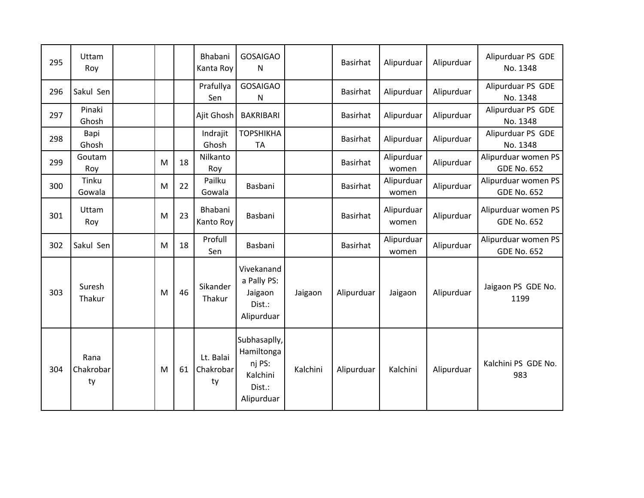| 295 | Uttam<br>Roy            |   |    | Bhabani<br>Kanta Roy         | <b>GOSAIGAO</b><br>$\mathsf{N}$                                          |          | <b>Basirhat</b> | Alipurduar          | Alipurduar | Alipurduar PS GDE<br>No. 1348             |
|-----|-------------------------|---|----|------------------------------|--------------------------------------------------------------------------|----------|-----------------|---------------------|------------|-------------------------------------------|
| 296 | Sakul Sen               |   |    | Prafullya<br>Sen             | <b>GOSAIGAO</b><br>N                                                     |          | <b>Basirhat</b> | Alipurduar          | Alipurduar | Alipurduar PS GDE<br>No. 1348             |
| 297 | Pinaki<br>Ghosh         |   |    | Ajit Ghosh                   | <b>BAKRIBARI</b>                                                         |          | <b>Basirhat</b> | Alipurduar          | Alipurduar | Alipurduar PS GDE<br>No. 1348             |
| 298 | Bapi<br>Ghosh           |   |    | Indrajit<br>Ghosh            | <b>ТОРЅНІКНА</b><br><b>TA</b>                                            |          | <b>Basirhat</b> | Alipurduar          | Alipurduar | Alipurduar PS GDE<br>No. 1348             |
| 299 | Goutam<br>Roy           | M | 18 | Nilkanto<br>Roy              |                                                                          |          | Basirhat        | Alipurduar<br>women | Alipurduar | Alipurduar women PS<br><b>GDE No. 652</b> |
| 300 | Tinku<br>Gowala         | M | 22 | Pailku<br>Gowala             | Basbani                                                                  |          | Basirhat        | Alipurduar<br>women | Alipurduar | Alipurduar women PS<br><b>GDE No. 652</b> |
| 301 | Uttam<br>Roy            | M | 23 | Bhabani<br>Kanto Roy         | Basbani                                                                  |          | <b>Basirhat</b> | Alipurduar<br>women | Alipurduar | Alipurduar women PS<br><b>GDE No. 652</b> |
| 302 | Sakul Sen               | M | 18 | Profull<br>Sen               | Basbani                                                                  |          | <b>Basirhat</b> | Alipurduar<br>women | Alipurduar | Alipurduar women PS<br><b>GDE No. 652</b> |
| 303 | Suresh<br>Thakur        | M | 46 | Sikander<br>Thakur           | Vivekanand<br>a Pally PS:<br>Jaigaon<br>Dist.:<br>Alipurduar             | Jaigaon  | Alipurduar      | Jaigaon             | Alipurduar | Jaigaon PS GDE No.<br>1199                |
| 304 | Rana<br>Chakrobar<br>ty | M | 61 | Lt. Balai<br>Chakrobar<br>ty | Subhasaplly,<br>Hamiltonga<br>nj PS:<br>Kalchini<br>Dist.:<br>Alipurduar | Kalchini | Alipurduar      | Kalchini            | Alipurduar | Kalchini PS GDE No.<br>983                |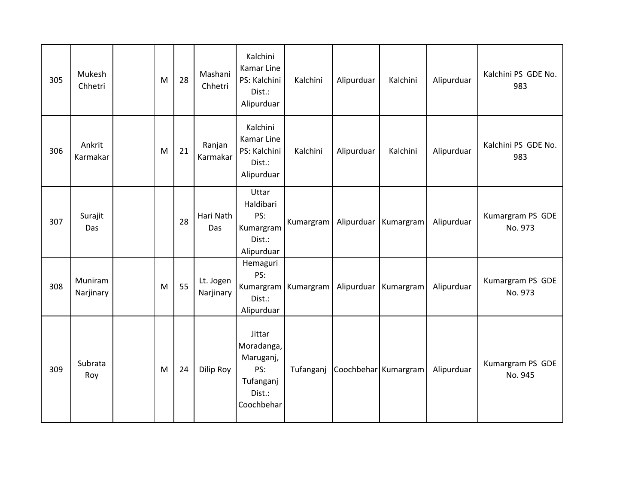| 305 | Mukesh<br>Chhetri    | M | 28 | Mashani<br>Chhetri     | Kalchini<br>Kamar Line<br>PS: Kalchini<br>Dist.:<br>Alipurduar                | Kalchini              | Alipurduar | Kalchini             | Alipurduar | Kalchini PS GDE No.<br>983  |
|-----|----------------------|---|----|------------------------|-------------------------------------------------------------------------------|-----------------------|------------|----------------------|------------|-----------------------------|
| 306 | Ankrit<br>Karmakar   | M | 21 | Ranjan<br>Karmakar     | Kalchini<br>Kamar Line<br>PS: Kalchini<br>Dist.:<br>Alipurduar                | Kalchini              | Alipurduar | Kalchini             | Alipurduar | Kalchini PS GDE No.<br>983  |
| 307 | Surajit<br>Das       |   | 28 | Hari Nath<br>Das       | Uttar<br>Haldibari<br>PS:<br>Kumargram<br>Dist.:<br>Alipurduar                | Kumargram             | Alipurduar | Kumargram            | Alipurduar | Kumargram PS GDE<br>No. 973 |
| 308 | Muniram<br>Narjinary | M | 55 | Lt. Jogen<br>Narjinary | Hemaguri<br>PS:<br>Dist.:<br>Alipurduar                                       | Kumargram   Kumargram | Alipurduar | Kumargram            | Alipurduar | Kumargram PS GDE<br>No. 973 |
| 309 | Subrata<br>Roy       | M | 24 | Dilip Roy              | Jittar<br>Moradanga,<br>Maruganj,<br>PS:<br>Tufanganj<br>Dist.:<br>Coochbehar | Tufanganj             |            | Coochbehar Kumargram | Alipurduar | Kumargram PS GDE<br>No. 945 |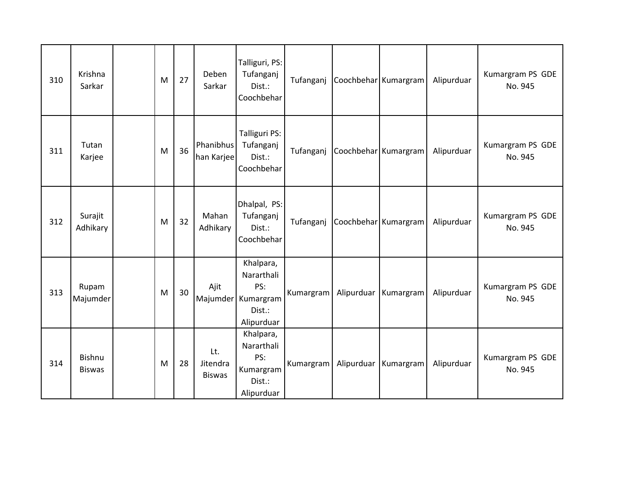| 310 | Krishna<br>Sarkar              | M | 27 | Deben<br>Sarkar                  | Talliguri, PS:<br>Tufanganj<br>Dist.:<br>Coochbehar                          | Tufanganj |                      | Coochbehar Kumargram | Alipurduar | Kumargram PS GDE<br>No. 945 |
|-----|--------------------------------|---|----|----------------------------------|------------------------------------------------------------------------------|-----------|----------------------|----------------------|------------|-----------------------------|
| 311 | Tutan<br>Karjee                | M | 36 | Phanibhus<br>han Karjee          | Talliguri PS:<br>Tufanganj<br>Dist.:<br>Coochbehar                           | Tufanganj |                      | Coochbehar Kumargram | Alipurduar | Kumargram PS GDE<br>No. 945 |
| 312 | Surajit<br>Adhikary            | M | 32 | Mahan<br>Adhikary                | Dhalpal, PS:<br>Tufanganj<br>Dist.:<br>Coochbehar                            | Tufanganj | Coochbehar Kumargram |                      | Alipurduar | Kumargram PS GDE<br>No. 945 |
| 313 | Rupam<br>Majumder              | M | 30 | Ajit                             | Khalpara,<br>Nararthali<br>PS:<br>Majumder Kumargram<br>Dist.:<br>Alipurduar | Kumargram | Alipurduar           | Kumargram            | Alipurduar | Kumargram PS GDE<br>No. 945 |
| 314 | <b>Bishnu</b><br><b>Biswas</b> | M | 28 | Lt.<br>Jitendra<br><b>Biswas</b> | Khalpara,<br>Nararthali<br>PS:<br>Kumargram<br>Dist.:<br>Alipurduar          | Kumargram | Alipurduar           | Kumargram            | Alipurduar | Kumargram PS GDE<br>No. 945 |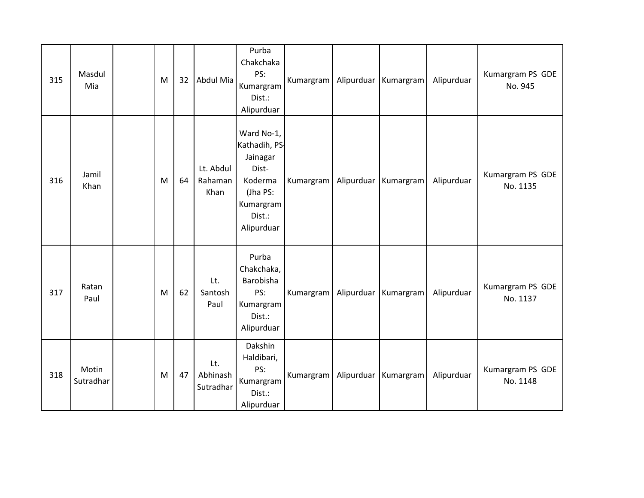| 315 | Masdul<br>Mia      | M | 32 | Abdul Mia                    | Purba<br>Chakchaka<br>PS:<br>Kumargram<br>Dist.:<br>Alipurduar                                               | Kumargram | Alipurduar | Kumargram | Alipurduar | Kumargram PS GDE<br>No. 945  |
|-----|--------------------|---|----|------------------------------|--------------------------------------------------------------------------------------------------------------|-----------|------------|-----------|------------|------------------------------|
| 316 | Jamil<br>Khan      | M | 64 | Lt. Abdul<br>Rahaman<br>Khan | Ward No-1,<br>Kathadih, PS-<br>Jainagar<br>Dist-<br>Koderma<br>(Jha PS:<br>Kumargram<br>Dist.:<br>Alipurduar | Kumargram | Alipurduar | Kumargram | Alipurduar | Kumargram PS GDE<br>No. 1135 |
| 317 | Ratan<br>Paul      | M | 62 | Lt.<br>Santosh<br>Paul       | Purba<br>Chakchaka,<br>Barobisha<br>PS:<br>Kumargram<br>Dist.:<br>Alipurduar                                 | Kumargram | Alipurduar | Kumargram | Alipurduar | Kumargram PS GDE<br>No. 1137 |
| 318 | Motin<br>Sutradhar | M | 47 | Lt.<br>Abhinash<br>Sutradhar | Dakshin<br>Haldibari,<br>PS:<br>Kumargram<br>Dist.:<br>Alipurduar                                            | Kumargram | Alipurduar | Kumargram | Alipurduar | Kumargram PS GDE<br>No. 1148 |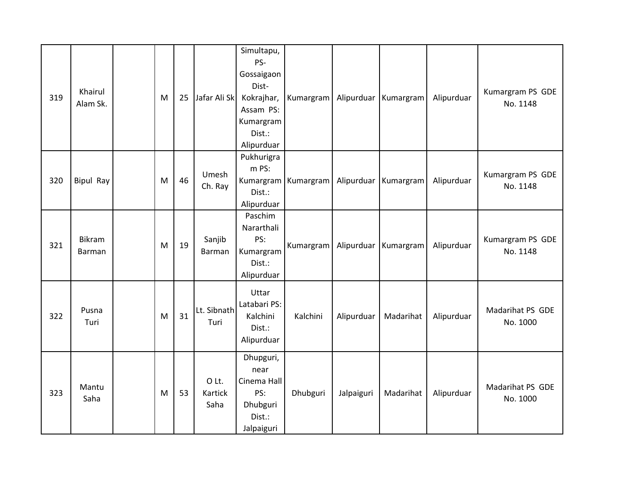| 319 | Khairul<br>Alam Sk.     | M | 25 | Jafar Ali Sk             | Simultapu,<br>PS-<br>Gossaigaon<br>Dist-<br>Kokrajhar,<br>Assam PS:<br>Kumargram<br>Dist.:<br>Alipurduar | Kumargram             | Alipurduar | Kumargram | Alipurduar | Kumargram PS GDE<br>No. 1148 |
|-----|-------------------------|---|----|--------------------------|----------------------------------------------------------------------------------------------------------|-----------------------|------------|-----------|------------|------------------------------|
| 320 | Bipul Ray               | M | 46 | Umesh<br>Ch. Ray         | Pukhurigra<br>m PS:<br>Dist.:<br>Alipurduar                                                              | Kumargram   Kumargram | Alipurduar | Kumargram | Alipurduar | Kumargram PS GDE<br>No. 1148 |
| 321 | <b>Bikram</b><br>Barman | M | 19 | Sanjib<br><b>Barman</b>  | Paschim<br>Nararthali<br>PS:<br>Kumargram<br>Dist.:<br>Alipurduar                                        | Kumargram             | Alipurduar | Kumargram | Alipurduar | Kumargram PS GDE<br>No. 1148 |
| 322 | Pusna<br>Turi           | M | 31 | Lt. Sibnath<br>Turi      | Uttar<br>Latabari PS:<br>Kalchini<br>Dist.:<br>Alipurduar                                                | Kalchini              | Alipurduar | Madarihat | Alipurduar | Madarihat PS GDE<br>No. 1000 |
| 323 | Mantu<br>Saha           | M | 53 | O Lt.<br>Kartick<br>Saha | Dhupguri,<br>near<br>Cinema Hall<br>PS:<br>Dhubguri<br>Dist.:<br>Jalpaiguri                              | Dhubguri              | Jalpaiguri | Madarihat | Alipurduar | Madarihat PS GDE<br>No. 1000 |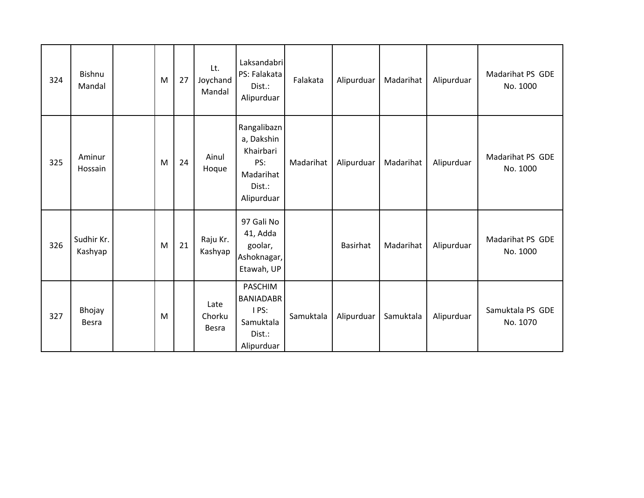| 324 | Bishnu<br>Mandal      | M | 27 | Lt.<br>Joychand<br>Mandal      | Laksandabri<br>PS: Falakata<br>Dist.:<br>Alipurduar                                | Falakata  | Alipurduar      | Madarihat | Alipurduar | Madarihat PS GDE<br>No. 1000 |
|-----|-----------------------|---|----|--------------------------------|------------------------------------------------------------------------------------|-----------|-----------------|-----------|------------|------------------------------|
| 325 | Aminur<br>Hossain     | M | 24 | Ainul<br>Hoque                 | Rangalibazn<br>a, Dakshin<br>Khairbari<br>PS:<br>Madarihat<br>Dist.:<br>Alipurduar | Madarihat | Alipurduar      | Madarihat | Alipurduar | Madarihat PS GDE<br>No. 1000 |
| 326 | Sudhir Kr.<br>Kashyap | M | 21 | Raju Kr.<br>Kashyap            | 97 Gali No<br>41, Adda<br>goolar,<br>Ashoknagar,<br>Etawah, UP                     |           | <b>Basirhat</b> | Madarihat | Alipurduar | Madarihat PS GDE<br>No. 1000 |
| 327 | Bhojay<br>Besra       | M |    | Late<br>Chorku<br><b>Besra</b> | <b>PASCHIM</b><br><b>BANIADABR</b><br>I PS:<br>Samuktala<br>Dist.:<br>Alipurduar   | Samuktala | Alipurduar      | Samuktala | Alipurduar | Samuktala PS GDE<br>No. 1070 |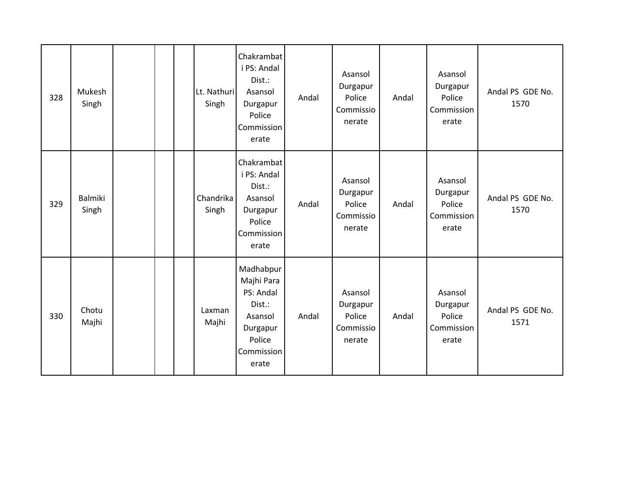| 328 | Mukesh<br>Singh  |  | Lt. Nathuri<br>Singh | Chakrambat<br>i PS: Andal<br>Dist.:<br>Asansol<br>Durgapur<br>Police<br>Commission<br>erate            | Andal | Asansol<br>Durgapur<br>Police<br>Commissio<br>nerate | Andal | Asansol<br>Durgapur<br>Police<br>Commission<br>erate | Andal PS GDE No.<br>1570 |
|-----|------------------|--|----------------------|--------------------------------------------------------------------------------------------------------|-------|------------------------------------------------------|-------|------------------------------------------------------|--------------------------|
| 329 | Balmiki<br>Singh |  | Chandrika<br>Singh   | Chakrambat<br>i PS: Andal<br>Dist.:<br>Asansol<br>Durgapur<br>Police<br>Commission<br>erate            | Andal | Asansol<br>Durgapur<br>Police<br>Commissio<br>nerate | Andal | Asansol<br>Durgapur<br>Police<br>Commission<br>erate | Andal PS GDE No.<br>1570 |
| 330 | Chotu<br>Majhi   |  | Laxman<br>Majhi      | Madhabpur<br>Majhi Para<br>PS: Andal<br>Dist.:<br>Asansol<br>Durgapur<br>Police<br>Commission<br>erate | Andal | Asansol<br>Durgapur<br>Police<br>Commissio<br>nerate | Andal | Asansol<br>Durgapur<br>Police<br>Commission<br>erate | Andal PS GDE No.<br>1571 |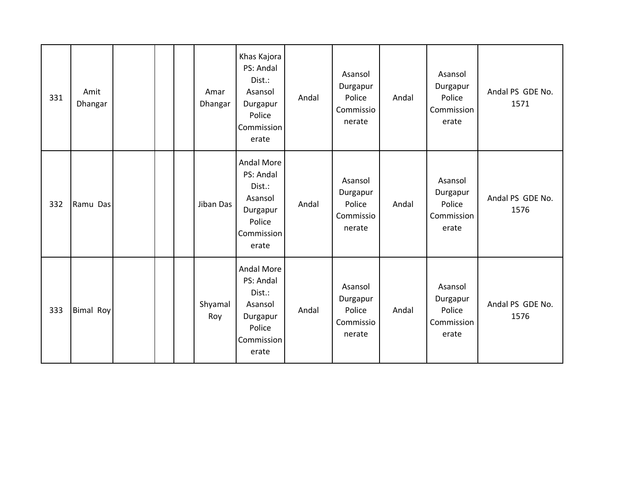| 331 | Amit<br>Dhangar  |  | Amar<br>Dhangar | Khas Kajora<br>PS: Andal<br>Dist.:<br>Asansol<br>Durgapur<br>Police<br>Commission<br>erate       | Andal | Asansol<br>Durgapur<br>Police<br>Commissio<br>nerate | Andal | Asansol<br>Durgapur<br>Police<br>Commission<br>erate | Andal PS GDE No.<br>1571 |
|-----|------------------|--|-----------------|--------------------------------------------------------------------------------------------------|-------|------------------------------------------------------|-------|------------------------------------------------------|--------------------------|
| 332 | Ramu Das         |  | Jiban Das       | <b>Andal More</b><br>PS: Andal<br>Dist.:<br>Asansol<br>Durgapur<br>Police<br>Commission<br>erate | Andal | Asansol<br>Durgapur<br>Police<br>Commissio<br>nerate | Andal | Asansol<br>Durgapur<br>Police<br>Commission<br>erate | Andal PS GDE No.<br>1576 |
| 333 | <b>Bimal Roy</b> |  | Shyamal<br>Roy  | Andal More<br>PS: Andal<br>Dist.:<br>Asansol<br>Durgapur<br>Police<br>Commission<br>erate        | Andal | Asansol<br>Durgapur<br>Police<br>Commissio<br>nerate | Andal | Asansol<br>Durgapur<br>Police<br>Commission<br>erate | Andal PS GDE No.<br>1576 |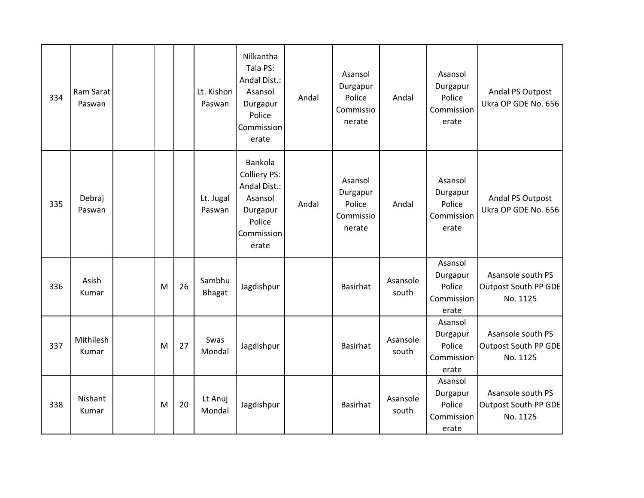| 334 | Ram Sarat<br>Paswan |   |    | Lt. Kishori<br>Paswan | Nilkantha<br>Tala PS:<br>Andal Dist.:<br>Asansol<br>Durgapur<br>Police<br>Commission<br>erate   | Andal | Asansol<br>Durgapur<br>Police<br>Commissio<br>nerate | Andal             | Asansol<br>Durgapur<br>Police<br>Commission<br>erate | Andal PS Outpost<br>Ukra OP GDE No. 656               |
|-----|---------------------|---|----|-----------------------|-------------------------------------------------------------------------------------------------|-------|------------------------------------------------------|-------------------|------------------------------------------------------|-------------------------------------------------------|
| 335 | Debraj<br>Paswan    |   |    | Lt. Jugal<br>Paswan   | Bankola<br>Colliery PS:<br>Andal Dist.:<br>Asansol<br>Durgapur<br>Police<br>Commission<br>erate | Andal | Asansol<br>Durgapur<br>Police<br>Commissio<br>nerate | Andal             | Asansol<br>Durgapur<br>Police<br>Commission<br>erate | Andal PS Outpost<br>Ukra OP GDE No. 656               |
| 336 | Asish<br>Kumar      | M | 26 | Sambhu<br>Bhagat      | Jagdishpur                                                                                      |       | <b>Basirhat</b>                                      | Asansole<br>south | Asansol<br>Durgapur<br>Police<br>Commission<br>erate | Asansole south PS<br>Outpost South PP GDE<br>No. 1125 |
| 337 | Mithilesh<br>Kumar  | M | 27 | Swas<br>Mondal        | Jagdishpur                                                                                      |       | <b>Basirhat</b>                                      | Asansole<br>south | Asansol<br>Durgapur<br>Police<br>Commission<br>erate | Asansole south PS<br>Outpost South PP GDE<br>No. 1125 |
| 338 | Nishant<br>Kumar    | M | 20 | Lt Anuj<br>Mondal     | Jagdishpur                                                                                      |       | <b>Basirhat</b>                                      | Asansole<br>south | Asansol<br>Durgapur<br>Police<br>Commission<br>erate | Asansole south PS<br>Outpost South PP GDE<br>No. 1125 |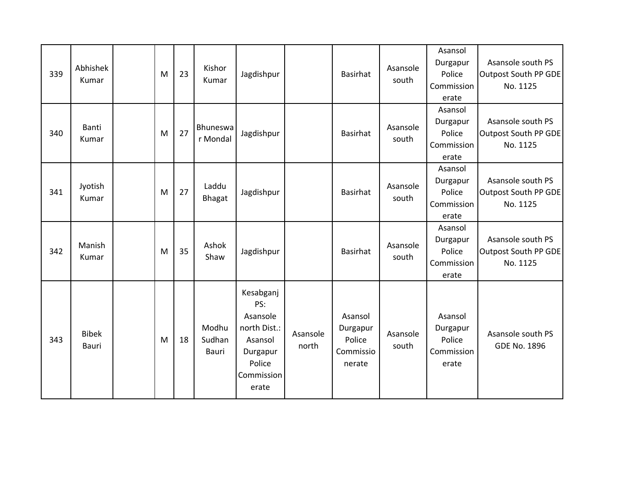| 339 | Abhishek<br>Kumar            | M | 23 | Kishor<br>Kumar          | Jagdishpur                                                                                           |                   | <b>Basirhat</b>                                      | Asansole<br>south | Asansol<br>Durgapur<br>Police<br>Commission<br>erate | Asansole south PS<br>Outpost South PP GDE<br>No. 1125        |
|-----|------------------------------|---|----|--------------------------|------------------------------------------------------------------------------------------------------|-------------------|------------------------------------------------------|-------------------|------------------------------------------------------|--------------------------------------------------------------|
| 340 | Banti<br>Kumar               | M | 27 | Bhuneswa<br>r Mondal     | Jagdishpur                                                                                           |                   | <b>Basirhat</b>                                      | Asansole<br>south | Asansol<br>Durgapur<br>Police<br>Commission<br>erate | Asansole south PS<br><b>Outpost South PP GDE</b><br>No. 1125 |
| 341 | Jyotish<br>Kumar             | M | 27 | Laddu<br>Bhagat          | Jagdishpur                                                                                           |                   | <b>Basirhat</b>                                      | Asansole<br>south | Asansol<br>Durgapur<br>Police<br>Commission<br>erate | Asansole south PS<br>Outpost South PP GDE<br>No. 1125        |
| 342 | Manish<br>Kumar              | M | 35 | Ashok<br>Shaw            | Jagdishpur                                                                                           |                   | <b>Basirhat</b>                                      | Asansole<br>south | Asansol<br>Durgapur<br>Police<br>Commission<br>erate | Asansole south PS<br><b>Outpost South PP GDE</b><br>No. 1125 |
| 343 | <b>Bibek</b><br><b>Bauri</b> | M | 18 | Modhu<br>Sudhan<br>Bauri | Kesabganj<br>PS:<br>Asansole<br>north Dist.:<br>Asansol<br>Durgapur<br>Police<br>Commission<br>erate | Asansole<br>north | Asansol<br>Durgapur<br>Police<br>Commissio<br>nerate | Asansole<br>south | Asansol<br>Durgapur<br>Police<br>Commission<br>erate | Asansole south PS<br><b>GDE No. 1896</b>                     |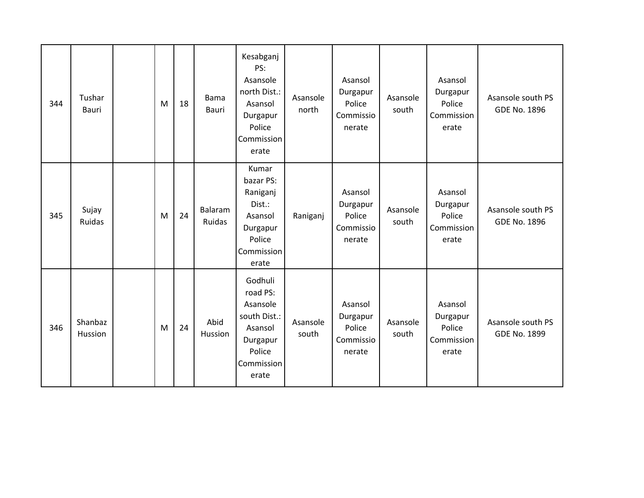| 344 | Tushar<br>Bauri    | M | 18 | Bama<br>Bauri     | Kesabganj<br>PS:<br>Asansole<br>north Dist.:<br>Asansol<br>Durgapur<br>Police<br>Commission<br>erate    | Asansole<br>north | Asansol<br>Durgapur<br>Police<br>Commissio<br>nerate | Asansole<br>south | Asansol<br>Durgapur<br>Police<br>Commission<br>erate | Asansole south PS<br><b>GDE No. 1896</b> |
|-----|--------------------|---|----|-------------------|---------------------------------------------------------------------------------------------------------|-------------------|------------------------------------------------------|-------------------|------------------------------------------------------|------------------------------------------|
| 345 | Sujay<br>Ruidas    | M | 24 | Balaram<br>Ruidas | Kumar<br>bazar PS:<br>Raniganj<br>Dist.:<br>Asansol<br>Durgapur<br>Police<br>Commission<br>erate        | Raniganj          | Asansol<br>Durgapur<br>Police<br>Commissio<br>nerate | Asansole<br>south | Asansol<br>Durgapur<br>Police<br>Commission<br>erate | Asansole south PS<br><b>GDE No. 1896</b> |
| 346 | Shanbaz<br>Hussion | M | 24 | Abid<br>Hussion   | Godhuli<br>road PS:<br>Asansole<br>south Dist.:<br>Asansol<br>Durgapur<br>Police<br>Commission<br>erate | Asansole<br>south | Asansol<br>Durgapur<br>Police<br>Commissio<br>nerate | Asansole<br>south | Asansol<br>Durgapur<br>Police<br>Commission<br>erate | Asansole south PS<br><b>GDE No. 1899</b> |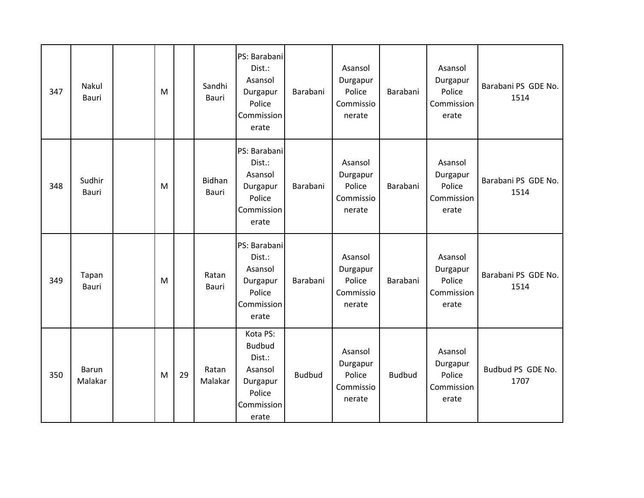| 347 | Nakul<br><b>Bauri</b>   | M |    | Sandhi<br>Bauri  | PS: Barabani<br>Dist.:<br>Asansol<br>Durgapur<br>Police<br>Commission<br>erate              | Barabani      | Asansol<br>Durgapur<br>Police<br>Commissio<br>nerate | Barabani      | Asansol<br>Durgapur<br>Police<br>Commission<br>erate | Barabani PS GDE No.<br>1514 |
|-----|-------------------------|---|----|------------------|---------------------------------------------------------------------------------------------|---------------|------------------------------------------------------|---------------|------------------------------------------------------|-----------------------------|
| 348 | Sudhir<br>Bauri         | M |    | Bidhan<br>Bauri  | PS: Barabani<br>Dist.:<br>Asansol<br>Durgapur<br>Police<br>Commission<br>erate              | Barabani      | Asansol<br>Durgapur<br>Police<br>Commissio<br>nerate | Barabani      | Asansol<br>Durgapur<br>Police<br>Commission<br>erate | Barabani PS GDE No.<br>1514 |
| 349 | Tapan<br>Bauri          | M |    | Ratan<br>Bauri   | PS: Barabani<br>Dist.:<br>Asansol<br>Durgapur<br>Police<br>Commission<br>erate              | Barabani      | Asansol<br>Durgapur<br>Police<br>Commissio<br>nerate | Barabani      | Asansol<br>Durgapur<br>Police<br>Commission<br>erate | Barabani PS GDE No.<br>1514 |
| 350 | <b>Barun</b><br>Malakar | M | 29 | Ratan<br>Malakar | Kota PS:<br><b>Budbud</b><br>Dist.:<br>Asansol<br>Durgapur<br>Police<br>Commission<br>erate | <b>Budbud</b> | Asansol<br>Durgapur<br>Police<br>Commissio<br>nerate | <b>Budbud</b> | Asansol<br>Durgapur<br>Police<br>Commission<br>erate | Budbud PS GDE No.<br>1707   |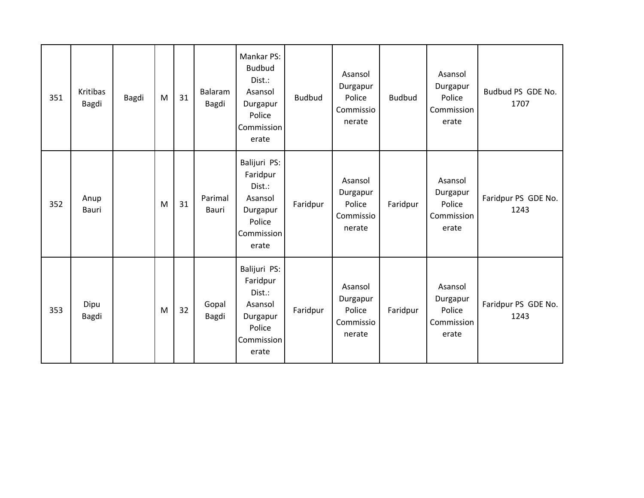| 351 | <b>Kritibas</b><br>Bagdi | Bagdi | M | 31 | Balaram<br>Bagdi | Mankar PS:<br><b>Budbud</b><br>Dist.:<br>Asansol<br>Durgapur<br>Police<br>Commission<br>erate | <b>Budbud</b> | Asansol<br>Durgapur<br>Police<br>Commissio<br>nerate | <b>Budbud</b> | Asansol<br>Durgapur<br>Police<br>Commission<br>erate | Budbud PS GDE No.<br>1707   |
|-----|--------------------------|-------|---|----|------------------|-----------------------------------------------------------------------------------------------|---------------|------------------------------------------------------|---------------|------------------------------------------------------|-----------------------------|
| 352 | Anup<br>Bauri            |       | M | 31 | Parimal<br>Bauri | Balijuri PS:<br>Faridpur<br>Dist.:<br>Asansol<br>Durgapur<br>Police<br>Commission<br>erate    | Faridpur      | Asansol<br>Durgapur<br>Police<br>Commissio<br>nerate | Faridpur      | Asansol<br>Durgapur<br>Police<br>Commission<br>erate | Faridpur PS GDE No.<br>1243 |
| 353 | Dipu<br>Bagdi            |       | M | 32 | Gopal<br>Bagdi   | Balijuri PS:<br>Faridpur<br>Dist.:<br>Asansol<br>Durgapur<br>Police<br>Commission<br>erate    | Faridpur      | Asansol<br>Durgapur<br>Police<br>Commissio<br>nerate | Faridpur      | Asansol<br>Durgapur<br>Police<br>Commission<br>erate | Faridpur PS GDE No.<br>1243 |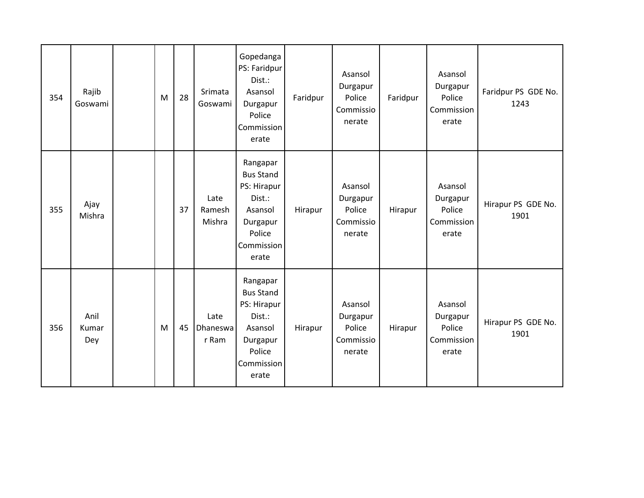| 354 | Rajib<br>Goswami     | M | 28 | Srimata<br>Goswami        | Gopedanga<br>PS: Faridpur<br>Dist.:<br>Asansol<br>Durgapur<br>Police<br>Commission<br>erate                   | Faridpur | Asansol<br>Durgapur<br>Police<br>Commissio<br>nerate | Faridpur | Asansol<br>Durgapur<br>Police<br>Commission<br>erate | Faridpur PS GDE No.<br>1243 |
|-----|----------------------|---|----|---------------------------|---------------------------------------------------------------------------------------------------------------|----------|------------------------------------------------------|----------|------------------------------------------------------|-----------------------------|
| 355 | Ajay<br>Mishra       |   | 37 | Late<br>Ramesh<br>Mishra  | Rangapar<br><b>Bus Stand</b><br>PS: Hirapur<br>Dist.:<br>Asansol<br>Durgapur<br>Police<br>Commission<br>erate | Hirapur  | Asansol<br>Durgapur<br>Police<br>Commissio<br>nerate | Hirapur  | Asansol<br>Durgapur<br>Police<br>Commission<br>erate | Hirapur PS GDE No.<br>1901  |
| 356 | Anil<br>Kumar<br>Dey | M | 45 | Late<br>Dhaneswa<br>r Ram | Rangapar<br><b>Bus Stand</b><br>PS: Hirapur<br>Dist.:<br>Asansol<br>Durgapur<br>Police<br>Commission<br>erate | Hirapur  | Asansol<br>Durgapur<br>Police<br>Commissio<br>nerate | Hirapur  | Asansol<br>Durgapur<br>Police<br>Commission<br>erate | Hirapur PS GDE No.<br>1901  |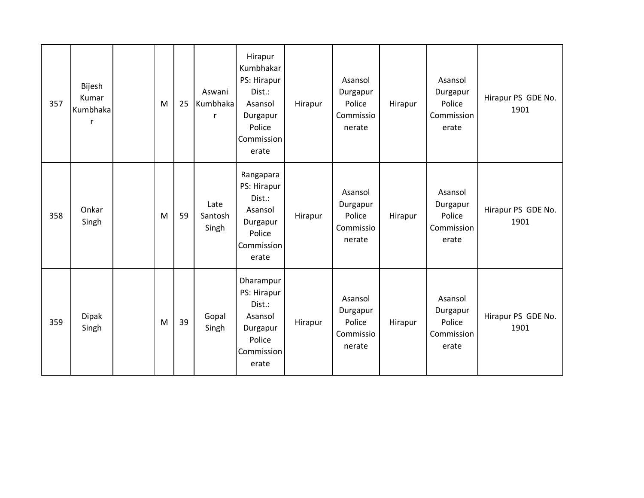| 357 | <b>Bijesh</b><br>Kumar<br>Kumbhaka<br>r | M | 25 | Aswani<br>Kumbhaka<br>r  | Hirapur<br>Kumbhakar<br>PS: Hirapur<br>Dist.:<br>Asansol<br>Durgapur<br>Police<br>Commission<br>erate | Hirapur | Asansol<br>Durgapur<br>Police<br>Commissio<br>nerate | Hirapur | Asansol<br>Durgapur<br>Police<br>Commission<br>erate | Hirapur PS GDE No.<br>1901 |
|-----|-----------------------------------------|---|----|--------------------------|-------------------------------------------------------------------------------------------------------|---------|------------------------------------------------------|---------|------------------------------------------------------|----------------------------|
| 358 | Onkar<br>Singh                          | M | 59 | Late<br>Santosh<br>Singh | Rangapara<br>PS: Hirapur<br>Dist.:<br>Asansol<br>Durgapur<br>Police<br>Commission<br>erate            | Hirapur | Asansol<br>Durgapur<br>Police<br>Commissio<br>nerate | Hirapur | Asansol<br>Durgapur<br>Police<br>Commission<br>erate | Hirapur PS GDE No.<br>1901 |
| 359 | <b>Dipak</b><br>Singh                   | M | 39 | Gopal<br>Singh           | Dharampur<br>PS: Hirapur<br>Dist.:<br>Asansol<br>Durgapur<br>Police<br>Commission<br>erate            | Hirapur | Asansol<br>Durgapur<br>Police<br>Commissio<br>nerate | Hirapur | Asansol<br>Durgapur<br>Police<br>Commission<br>erate | Hirapur PS GDE No.<br>1901 |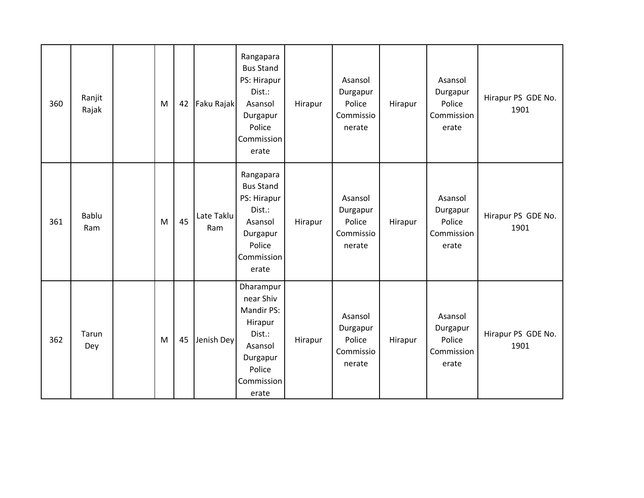| 360 | Ranjit<br>Rajak     | M | 42 | Faku Rajak        | Rangapara<br><b>Bus Stand</b><br>PS: Hirapur<br>Dist.:<br>Asansol<br>Durgapur<br>Police<br>Commission<br>erate    | Hirapur | Asansol<br>Durgapur<br>Police<br>Commissio<br>nerate | Hirapur | Asansol<br>Durgapur<br>Police<br>Commission<br>erate | Hirapur PS GDE No.<br>1901 |
|-----|---------------------|---|----|-------------------|-------------------------------------------------------------------------------------------------------------------|---------|------------------------------------------------------|---------|------------------------------------------------------|----------------------------|
| 361 | <b>Bablu</b><br>Ram | M | 45 | Late Taklu<br>Ram | Rangapara<br><b>Bus Stand</b><br>PS: Hirapur<br>Dist.:<br>Asansol<br>Durgapur<br>Police<br>Commission<br>erate    | Hirapur | Asansol<br>Durgapur<br>Police<br>Commissio<br>nerate | Hirapur | Asansol<br>Durgapur<br>Police<br>Commission<br>erate | Hirapur PS GDE No.<br>1901 |
| 362 | Tarun<br>Dey        | M | 45 | Jenish Dey        | Dharampur<br>near Shiv<br>Mandir PS:<br>Hirapur<br>Dist.:<br>Asansol<br>Durgapur<br>Police<br>Commission<br>erate | Hirapur | Asansol<br>Durgapur<br>Police<br>Commissio<br>nerate | Hirapur | Asansol<br>Durgapur<br>Police<br>Commission<br>erate | Hirapur PS GDE No.<br>1901 |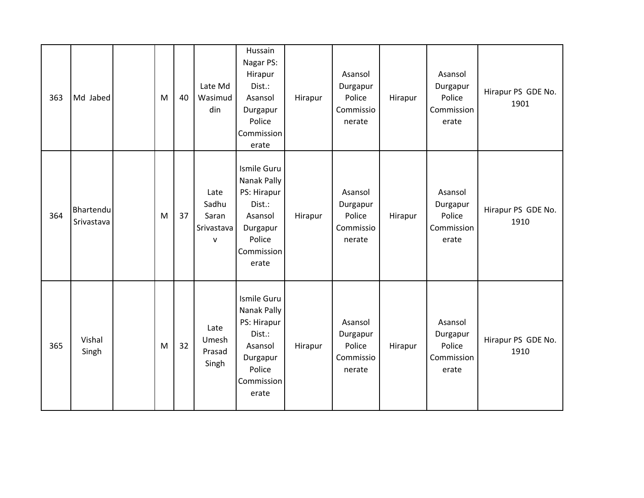| 363 | Md Jabed                | M | 40 | Late Md<br>Wasimud<br>din                            | Hussain<br>Nagar PS:<br>Hirapur<br>Dist.:<br>Asansol<br>Durgapur<br>Police<br>Commission<br>erate           | Hirapur | Asansol<br>Durgapur<br>Police<br>Commissio<br>nerate | Hirapur | Asansol<br>Durgapur<br>Police<br>Commission<br>erate | Hirapur PS GDE No.<br>1901 |
|-----|-------------------------|---|----|------------------------------------------------------|-------------------------------------------------------------------------------------------------------------|---------|------------------------------------------------------|---------|------------------------------------------------------|----------------------------|
| 364 | Bhartendu<br>Srivastava | M | 37 | Late<br>Sadhu<br>Saran<br>Srivastava<br>$\mathsf{v}$ | Ismile Guru<br>Nanak Pally<br>PS: Hirapur<br>Dist.:<br>Asansol<br>Durgapur<br>Police<br>Commission<br>erate | Hirapur | Asansol<br>Durgapur<br>Police<br>Commissio<br>nerate | Hirapur | Asansol<br>Durgapur<br>Police<br>Commission<br>erate | Hirapur PS GDE No.<br>1910 |
| 365 | Vishal<br>Singh         | M | 32 | Late<br>Umesh<br>Prasad<br>Singh                     | Ismile Guru<br>Nanak Pally<br>PS: Hirapur<br>Dist.:<br>Asansol<br>Durgapur<br>Police<br>Commission<br>erate | Hirapur | Asansol<br>Durgapur<br>Police<br>Commissio<br>nerate | Hirapur | Asansol<br>Durgapur<br>Police<br>Commission<br>erate | Hirapur PS GDE No.<br>1910 |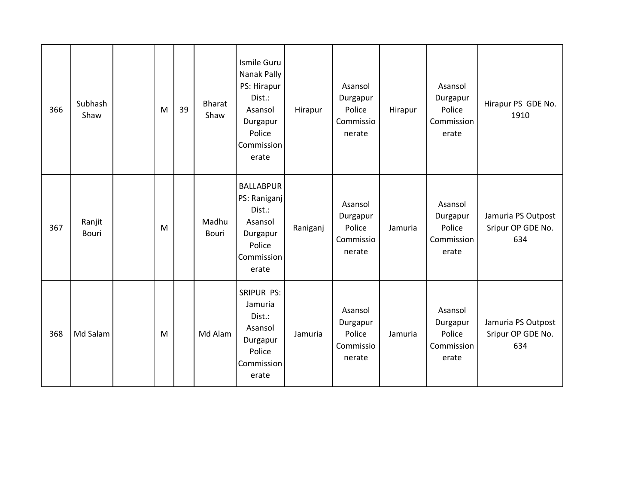| 366 | Subhash<br>Shaw        | M | 39 | <b>Bharat</b><br>Shaw | Ismile Guru<br>Nanak Pally<br>PS: Hirapur<br>Dist.:<br>Asansol<br>Durgapur<br>Police<br>Commission<br>erate | Hirapur  | Asansol<br>Durgapur<br>Police<br>Commissio<br>nerate | Hirapur | Asansol<br>Durgapur<br>Police<br>Commission<br>erate | Hirapur PS GDE No.<br>1910                     |
|-----|------------------------|---|----|-----------------------|-------------------------------------------------------------------------------------------------------------|----------|------------------------------------------------------|---------|------------------------------------------------------|------------------------------------------------|
| 367 | Ranjit<br><b>Bouri</b> | M |    | Madhu<br>Bouri        | <b>BALLABPUR</b><br>PS: Raniganj<br>Dist.:<br>Asansol<br>Durgapur<br>Police<br>Commission<br>erate          | Raniganj | Asansol<br>Durgapur<br>Police<br>Commissio<br>nerate | Jamuria | Asansol<br>Durgapur<br>Police<br>Commission<br>erate | Jamuria PS Outpost<br>Sripur OP GDE No.<br>634 |
| 368 | Md Salam               | M |    | Md Alam               | <b>SRIPUR PS:</b><br>Jamuria<br>Dist.:<br>Asansol<br>Durgapur<br>Police<br>Commission<br>erate              | Jamuria  | Asansol<br>Durgapur<br>Police<br>Commissio<br>nerate | Jamuria | Asansol<br>Durgapur<br>Police<br>Commission<br>erate | Jamuria PS Outpost<br>Sripur OP GDE No.<br>634 |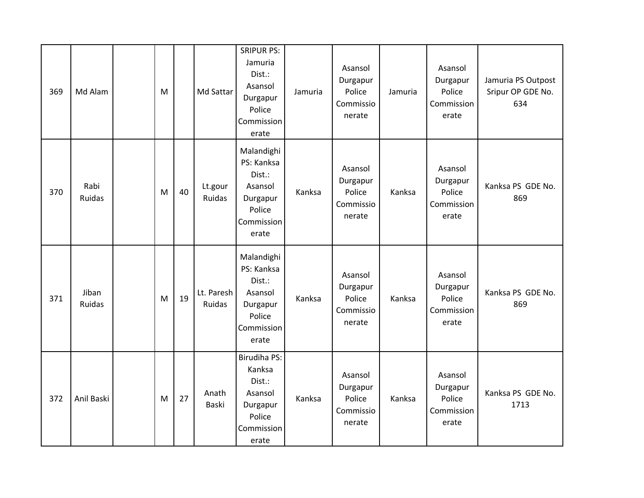| 369 | Md Alam         | M |    | Md Sattar            | <b>SRIPUR PS:</b><br>Jamuria<br>Dist.:<br>Asansol<br>Durgapur<br>Police<br>Commission<br>erate | Jamuria | Asansol<br>Durgapur<br>Police<br>Commissio<br>nerate | Jamuria | Asansol<br>Durgapur<br>Police<br>Commission<br>erate | Jamuria PS Outpost<br>Sripur OP GDE No.<br>634 |
|-----|-----------------|---|----|----------------------|------------------------------------------------------------------------------------------------|---------|------------------------------------------------------|---------|------------------------------------------------------|------------------------------------------------|
| 370 | Rabi<br>Ruidas  | M | 40 | Lt.gour<br>Ruidas    | Malandighi<br>PS: Kanksa<br>Dist.:<br>Asansol<br>Durgapur<br>Police<br>Commission<br>erate     | Kanksa  | Asansol<br>Durgapur<br>Police<br>Commissio<br>nerate | Kanksa  | Asansol<br>Durgapur<br>Police<br>Commission<br>erate | Kanksa PS GDE No.<br>869                       |
| 371 | Jiban<br>Ruidas | M | 19 | Lt. Paresh<br>Ruidas | Malandighi<br>PS: Kanksa<br>Dist.:<br>Asansol<br>Durgapur<br>Police<br>Commission<br>erate     | Kanksa  | Asansol<br>Durgapur<br>Police<br>Commissio<br>nerate | Kanksa  | Asansol<br>Durgapur<br>Police<br>Commission<br>erate | Kanksa PS GDE No.<br>869                       |
| 372 | Anil Baski      | M | 27 | Anath<br>Baski       | Birudiha PS:<br>Kanksa<br>Dist.:<br>Asansol<br>Durgapur<br>Police<br>Commission<br>erate       | Kanksa  | Asansol<br>Durgapur<br>Police<br>Commissio<br>nerate | Kanksa  | Asansol<br>Durgapur<br>Police<br>Commission<br>erate | Kanksa PS GDE No.<br>1713                      |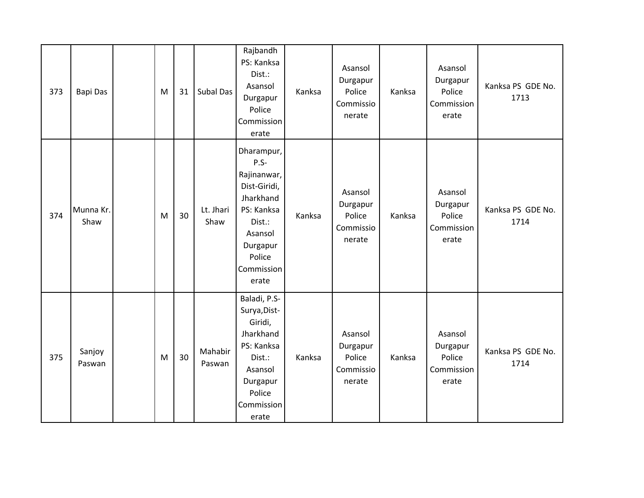| 373 | Bapi Das          | M | 31 | Subal Das         | Rajbandh<br>PS: Kanksa<br>Dist.:<br>Asansol<br>Durgapur<br>Police<br>Commission<br>erate                                                       | Kanksa | Asansol<br>Durgapur<br>Police<br>Commissio<br>nerate | Kanksa | Asansol<br>Durgapur<br>Police<br>Commission<br>erate | Kanksa PS GDE No.<br>1713 |
|-----|-------------------|---|----|-------------------|------------------------------------------------------------------------------------------------------------------------------------------------|--------|------------------------------------------------------|--------|------------------------------------------------------|---------------------------|
| 374 | Munna Kr.<br>Shaw | M | 30 | Lt. Jhari<br>Shaw | Dharampur,<br>P.S-<br>Rajinanwar,<br>Dist-Giridi,<br>Jharkhand<br>PS: Kanksa<br>Dist.:<br>Asansol<br>Durgapur<br>Police<br>Commission<br>erate | Kanksa | Asansol<br>Durgapur<br>Police<br>Commissio<br>nerate | Kanksa | Asansol<br>Durgapur<br>Police<br>Commission<br>erate | Kanksa PS GDE No.<br>1714 |
| 375 | Sanjoy<br>Paswan  | M | 30 | Mahabir<br>Paswan | Baladi, P.S-<br>Surya, Dist-<br>Giridi,<br>Jharkhand<br>PS: Kanksa<br>Dist.:<br>Asansol<br>Durgapur<br>Police<br>Commission<br>erate           | Kanksa | Asansol<br>Durgapur<br>Police<br>Commissio<br>nerate | Kanksa | Asansol<br>Durgapur<br>Police<br>Commission<br>erate | Kanksa PS GDE No.<br>1714 |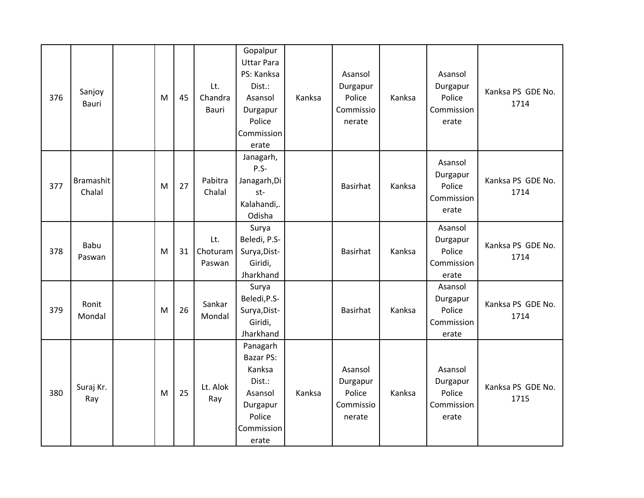| 376 | Sanjoy<br>Bauri     | M | 45 | Lt.<br>Chandra<br>Bauri   | Gopalpur<br><b>Uttar Para</b><br>PS: Kanksa<br>Dist.:<br>Asansol<br>Durgapur<br>Police<br>Commission<br>erate | Kanksa | Asansol<br>Durgapur<br>Police<br>Commissio<br>nerate | Kanksa | Asansol<br>Durgapur<br>Police<br>Commission<br>erate | Kanksa PS GDE No.<br>1714 |
|-----|---------------------|---|----|---------------------------|---------------------------------------------------------------------------------------------------------------|--------|------------------------------------------------------|--------|------------------------------------------------------|---------------------------|
| 377 | Bramashit<br>Chalal | M | 27 | Pabitra<br>Chalal         | Janagarh,<br>P.S-<br>Janagarh, Di<br>st-<br>Kalahandi,.<br>Odisha                                             |        | Basirhat                                             | Kanksa | Asansol<br>Durgapur<br>Police<br>Commission<br>erate | Kanksa PS GDE No.<br>1714 |
| 378 | Babu<br>Paswan      | M | 31 | Lt.<br>Choturam<br>Paswan | Surya<br>Beledi, P.S-<br>Surya, Dist-<br>Giridi,<br>Jharkhand                                                 |        | Basirhat                                             | Kanksa | Asansol<br>Durgapur<br>Police<br>Commission<br>erate | Kanksa PS GDE No.<br>1714 |
| 379 | Ronit<br>Mondal     | M | 26 | Sankar<br>Mondal          | Surya<br>Beledi, P.S-<br>Surya, Dist-<br>Giridi,<br>Jharkhand                                                 |        | <b>Basirhat</b>                                      | Kanksa | Asansol<br>Durgapur<br>Police<br>Commission<br>erate | Kanksa PS GDE No.<br>1714 |
| 380 | Suraj Kr.<br>Ray    | M | 25 | Lt. Alok<br>Ray           | Panagarh<br><b>Bazar PS:</b><br>Kanksa<br>Dist.:<br>Asansol<br>Durgapur<br>Police<br>Commission<br>erate      | Kanksa | Asansol<br>Durgapur<br>Police<br>Commissio<br>nerate | Kanksa | Asansol<br>Durgapur<br>Police<br>Commission<br>erate | Kanksa PS GDE No.<br>1715 |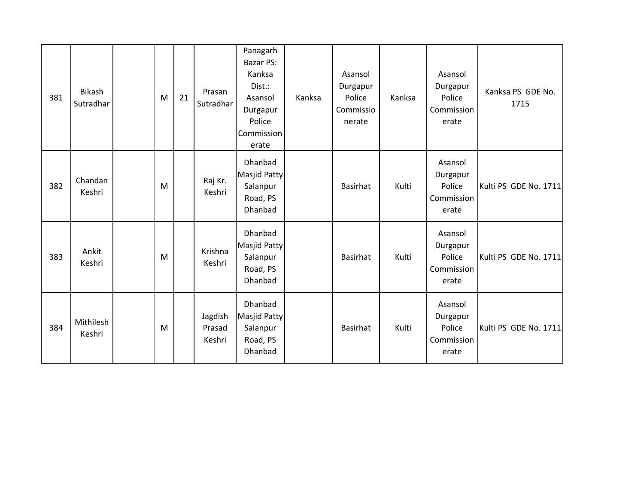| 381 | <b>Bikash</b><br>Sutradhar | M | 21 | Prasan<br>Sutradhar         | Panagarh<br>Bazar PS:<br>Kanksa<br>Dist.:<br>Asansol<br>Durgapur<br>Police<br>Commission<br>erate | Kanksa | Asansol<br>Durgapur<br>Police<br>Commissio<br>nerate | Kanksa | Asansol<br>Durgapur<br>Police<br>Commission<br>erate | Kanksa PS GDE No.<br>1715 |
|-----|----------------------------|---|----|-----------------------------|---------------------------------------------------------------------------------------------------|--------|------------------------------------------------------|--------|------------------------------------------------------|---------------------------|
| 382 | Chandan<br>Keshri          | M |    | Raj Kr.<br>Keshri           | Dhanbad<br>Masjid Patty<br>Salanpur<br>Road, PS<br>Dhanbad                                        |        | <b>Basirhat</b>                                      | Kulti  | Asansol<br>Durgapur<br>Police<br>Commission<br>erate | Kulti PS GDE No. 1711     |
| 383 | Ankit<br>Keshri            | M |    | Krishna<br>Keshri           | Dhanbad<br><b>Masjid Patty</b><br>Salanpur<br>Road, PS<br>Dhanbad                                 |        | <b>Basirhat</b>                                      | Kulti  | Asansol<br>Durgapur<br>Police<br>Commission<br>erate | Kulti PS GDE No. 1711     |
| 384 | Mithilesh<br>Keshri        | M |    | Jagdish<br>Prasad<br>Keshri | Dhanbad<br><b>Masjid Patty</b><br>Salanpur<br>Road, PS<br>Dhanbad                                 |        | <b>Basirhat</b>                                      | Kulti  | Asansol<br>Durgapur<br>Police<br>Commission<br>erate | Kulti PS GDE No. 1711     |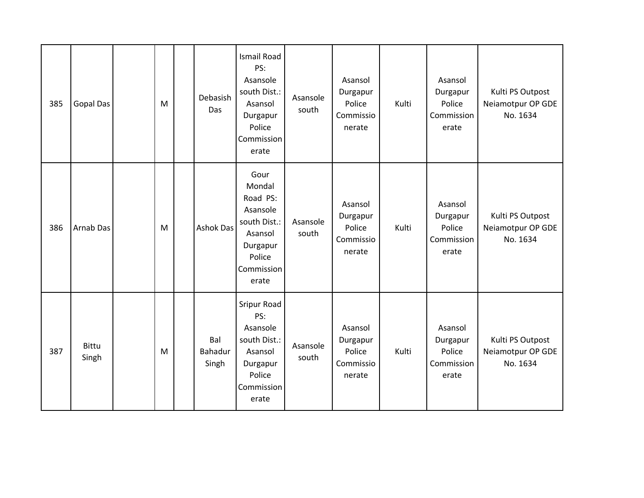| 385 | <b>Gopal Das</b>      | M         | Debasish<br>Das         | <b>Ismail Road</b><br>PS:<br>Asansole<br>south Dist.:<br>Asansol<br>Durgapur<br>Police<br>Commission<br>erate  | Asansole<br>south | Asansol<br>Durgapur<br>Police<br>Commissio<br>nerate | Kulti | Asansol<br>Durgapur<br>Police<br>Commission<br>erate | Kulti PS Outpost<br>Neiamotpur OP GDE<br>No. 1634 |
|-----|-----------------------|-----------|-------------------------|----------------------------------------------------------------------------------------------------------------|-------------------|------------------------------------------------------|-------|------------------------------------------------------|---------------------------------------------------|
| 386 | Arnab Das             | ${\sf M}$ | <b>Ashok Das</b>        | Gour<br>Mondal<br>Road PS:<br>Asansole<br>south Dist.:<br>Asansol<br>Durgapur<br>Police<br>Commission<br>erate | Asansole<br>south | Asansol<br>Durgapur<br>Police<br>Commissio<br>nerate | Kulti | Asansol<br>Durgapur<br>Police<br>Commission<br>erate | Kulti PS Outpost<br>Neiamotpur OP GDE<br>No. 1634 |
| 387 | <b>Bittu</b><br>Singh | M         | Bal<br>Bahadur<br>Singh | Sripur Road<br>PS:<br>Asansole<br>south Dist.:<br>Asansol<br>Durgapur<br>Police<br>Commission<br>erate         | Asansole<br>south | Asansol<br>Durgapur<br>Police<br>Commissio<br>nerate | Kulti | Asansol<br>Durgapur<br>Police<br>Commission<br>erate | Kulti PS Outpost<br>Neiamotpur OP GDE<br>No. 1634 |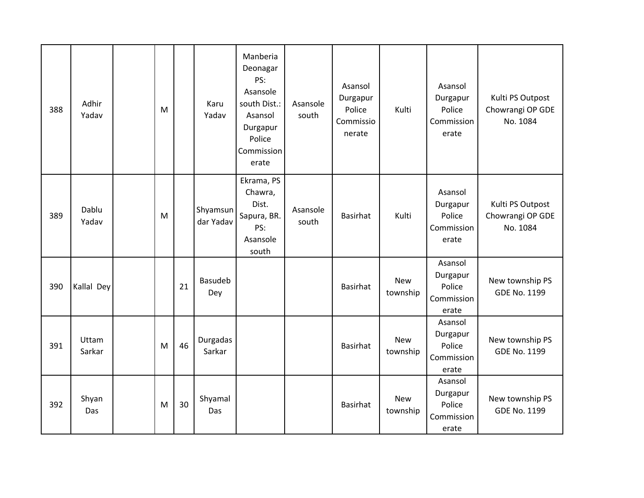| 388 | Adhir<br>Yadav  | M |    | Karu<br>Yadav         | Manberia<br>Deonagar<br>PS:<br>Asansole<br>south Dist.:<br>Asansol<br>Durgapur<br>Police<br>Commission<br>erate | Asansole<br>south | Asansol<br>Durgapur<br>Police<br>Commissio<br>nerate | Kulti                  | Asansol<br>Durgapur<br>Police<br>Commission<br>erate | Kulti PS Outpost<br>Chowrangi OP GDE<br>No. 1084 |
|-----|-----------------|---|----|-----------------------|-----------------------------------------------------------------------------------------------------------------|-------------------|------------------------------------------------------|------------------------|------------------------------------------------------|--------------------------------------------------|
| 389 | Dablu<br>Yadav  | M |    | Shyamsun<br>dar Yadav | Ekrama, PS<br>Chawra,<br>Dist.<br>Sapura, BR.<br>PS:<br>Asansole<br>south                                       | Asansole<br>south | <b>Basirhat</b>                                      | Kulti                  | Asansol<br>Durgapur<br>Police<br>Commission<br>erate | Kulti PS Outpost<br>Chowrangi OP GDE<br>No. 1084 |
| 390 | Kallal Dey      |   | 21 | Basudeb<br>Dey        |                                                                                                                 |                   | <b>Basirhat</b>                                      | <b>New</b><br>township | Asansol<br>Durgapur<br>Police<br>Commission<br>erate | New township PS<br><b>GDE No. 1199</b>           |
| 391 | Uttam<br>Sarkar | M | 46 | Durgadas<br>Sarkar    |                                                                                                                 |                   | Basirhat                                             | New<br>township        | Asansol<br>Durgapur<br>Police<br>Commission<br>erate | New township PS<br><b>GDE No. 1199</b>           |
| 392 | Shyan<br>Das    | M | 30 | Shyamal<br>Das        |                                                                                                                 |                   | <b>Basirhat</b>                                      | <b>New</b><br>township | Asansol<br>Durgapur<br>Police<br>Commission<br>erate | New township PS<br>GDE No. 1199                  |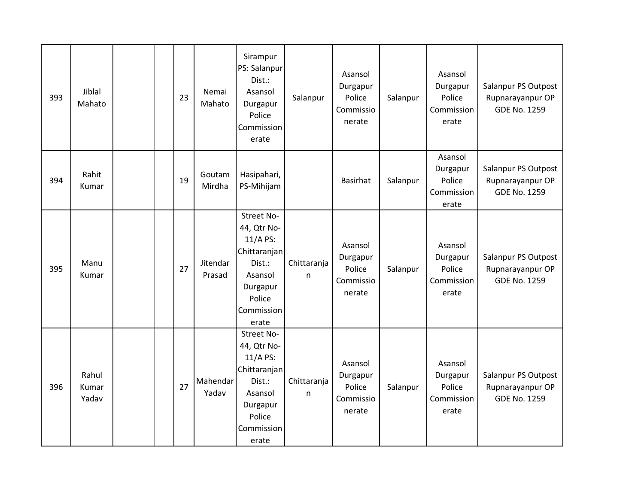| 393 | Jiblal<br>Mahato        | 23 | Nemai<br>Mahato    | Sirampur<br>PS: Salanpur<br>Dist.:<br>Asansol<br>Durgapur<br>Police<br>Commission<br>erate                              | Salanpur         | Asansol<br>Durgapur<br>Police<br>Commissio<br>nerate | Salanpur | Asansol<br>Durgapur<br>Police<br>Commission<br>erate | Salanpur PS Outpost<br>Rupnarayanpur OP<br><b>GDE No. 1259</b> |
|-----|-------------------------|----|--------------------|-------------------------------------------------------------------------------------------------------------------------|------------------|------------------------------------------------------|----------|------------------------------------------------------|----------------------------------------------------------------|
| 394 | Rahit<br>Kumar          | 19 | Goutam<br>Mirdha   | Hasipahari,<br>PS-Mihijam                                                                                               |                  | <b>Basirhat</b>                                      | Salanpur | Asansol<br>Durgapur<br>Police<br>Commission<br>erate | Salanpur PS Outpost<br>Rupnarayanpur OP<br><b>GDE No. 1259</b> |
| 395 | Manu<br>Kumar           | 27 | Jitendar<br>Prasad | Street No-<br>44, Qtr No-<br>11/A PS:<br>Chittaranjan<br>Dist.:<br>Asansol<br>Durgapur<br>Police<br>Commission<br>erate | Chittaranja<br>n | Asansol<br>Durgapur<br>Police<br>Commissio<br>nerate | Salanpur | Asansol<br>Durgapur<br>Police<br>Commission<br>erate | Salanpur PS Outpost<br>Rupnarayanpur OP<br><b>GDE No. 1259</b> |
| 396 | Rahul<br>Kumar<br>Yadav | 27 | Mahendar<br>Yadav  | Street No-<br>44, Qtr No-<br>11/A PS:<br>Chittaranjan<br>Dist.:<br>Asansol<br>Durgapur<br>Police<br>Commission<br>erate | Chittaranja<br>n | Asansol<br>Durgapur<br>Police<br>Commissio<br>nerate | Salanpur | Asansol<br>Durgapur<br>Police<br>Commission<br>erate | Salanpur PS Outpost<br>Rupnarayanpur OP<br><b>GDE No. 1259</b> |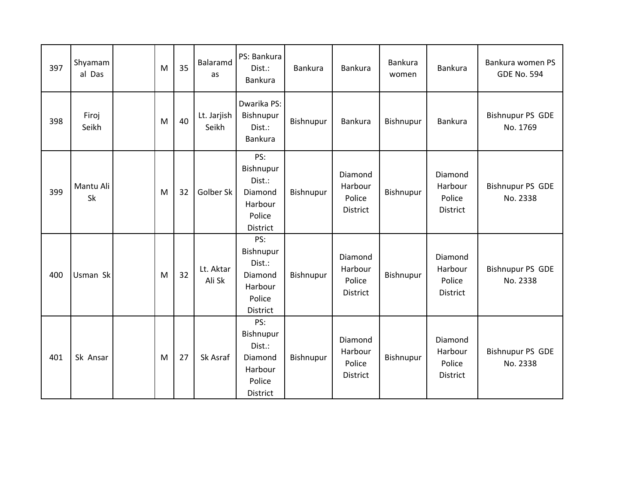| 397 | Shyamam<br>al Das | M | 35 | Balaramd<br>as       | PS: Bankura<br>Dist.:<br>Bankura                                              | Bankura   | Bankura                                  | Bankura<br>women | <b>Bankura</b>                           | Bankura women PS<br><b>GDE No. 594</b> |
|-----|-------------------|---|----|----------------------|-------------------------------------------------------------------------------|-----------|------------------------------------------|------------------|------------------------------------------|----------------------------------------|
| 398 | Firoj<br>Seikh    | M | 40 | Lt. Jarjish<br>Seikh | Dwarika PS:<br>Bishnupur<br>Dist.:<br>Bankura                                 | Bishnupur | Bankura                                  | Bishnupur        | Bankura                                  | <b>Bishnupur PS GDE</b><br>No. 1769    |
| 399 | Mantu Ali<br>Sk   | M | 32 | Golber Sk            | PS:<br>Bishnupur<br>Dist.:<br>Diamond<br>Harbour<br>Police<br>District        | Bishnupur | Diamond<br>Harbour<br>Police<br>District | Bishnupur        | Diamond<br>Harbour<br>Police<br>District | <b>Bishnupur PS GDE</b><br>No. 2338    |
| 400 | Usman Sk          | M | 32 | Lt. Aktar<br>Ali Sk  | PS:<br>Bishnupur<br>Dist.:<br>Diamond<br>Harbour<br>Police<br><b>District</b> | Bishnupur | Diamond<br>Harbour<br>Police<br>District | Bishnupur        | Diamond<br>Harbour<br>Police<br>District | <b>Bishnupur PS GDE</b><br>No. 2338    |
| 401 | Sk Ansar          | M | 27 | Sk Asraf             | PS:<br>Bishnupur<br>Dist.:<br>Diamond<br>Harbour<br>Police<br>District        | Bishnupur | Diamond<br>Harbour<br>Police<br>District | Bishnupur        | Diamond<br>Harbour<br>Police<br>District | <b>Bishnupur PS GDE</b><br>No. 2338    |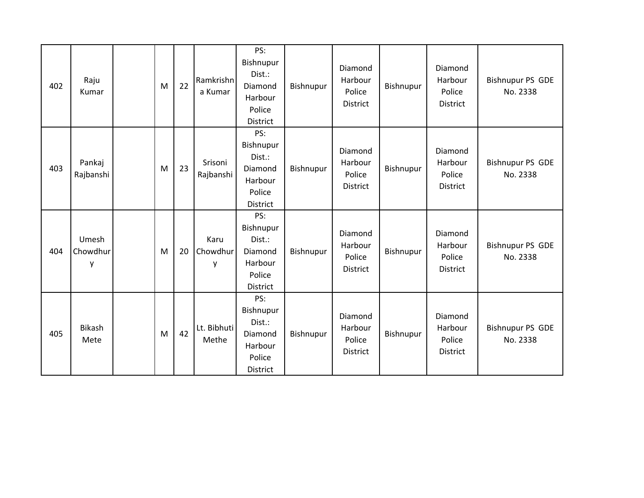| 402 | Raju<br>Kumar          | M | 22 | Ramkrishn<br>a Kumar  | PS:<br>Bishnupur<br>Dist.:<br>Diamond<br>Harbour<br>Police<br>District        | Bishnupur | Diamond<br>Harbour<br>Police<br>District | Bishnupur | Diamond<br>Harbour<br>Police<br>District | <b>Bishnupur PS GDE</b><br>No. 2338 |
|-----|------------------------|---|----|-----------------------|-------------------------------------------------------------------------------|-----------|------------------------------------------|-----------|------------------------------------------|-------------------------------------|
| 403 | Pankaj<br>Rajbanshi    | M | 23 | Srisoni<br>Rajbanshi  | PS:<br>Bishnupur<br>Dist.:<br>Diamond<br>Harbour<br>Police<br><b>District</b> | Bishnupur | Diamond<br>Harbour<br>Police<br>District | Bishnupur | Diamond<br>Harbour<br>Police<br>District | <b>Bishnupur PS GDE</b><br>No. 2338 |
| 404 | Umesh<br>Chowdhur<br>у | M | 20 | Karu<br>Chowdhur<br>у | PS:<br>Bishnupur<br>Dist.:<br>Diamond<br>Harbour<br>Police<br>District        | Bishnupur | Diamond<br>Harbour<br>Police<br>District | Bishnupur | Diamond<br>Harbour<br>Police<br>District | <b>Bishnupur PS GDE</b><br>No. 2338 |
| 405 | <b>Bikash</b><br>Mete  | M | 42 | Lt. Bibhuti<br>Methe  | PS:<br>Bishnupur<br>Dist.:<br>Diamond<br>Harbour<br>Police<br><b>District</b> | Bishnupur | Diamond<br>Harbour<br>Police<br>District | Bishnupur | Diamond<br>Harbour<br>Police<br>District | <b>Bishnupur PS GDE</b><br>No. 2338 |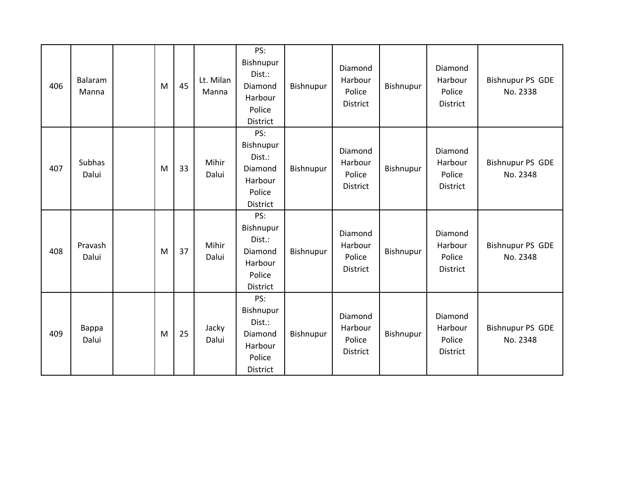| 406 | Balaram<br>Manna | M | 45 | Lt. Milan<br>Manna | PS:<br>Bishnupur<br>Dist.:<br>Diamond<br>Harbour<br>Police<br>District        | Bishnupur | Diamond<br>Harbour<br>Police<br>District | Bishnupur | Diamond<br>Harbour<br>Police<br>District | <b>Bishnupur PS GDE</b><br>No. 2338 |
|-----|------------------|---|----|--------------------|-------------------------------------------------------------------------------|-----------|------------------------------------------|-----------|------------------------------------------|-------------------------------------|
| 407 | Subhas<br>Dalui  | M | 33 | Mihir<br>Dalui     | PS:<br>Bishnupur<br>Dist.:<br>Diamond<br>Harbour<br>Police<br><b>District</b> | Bishnupur | Diamond<br>Harbour<br>Police<br>District | Bishnupur | Diamond<br>Harbour<br>Police<br>District | <b>Bishnupur PS GDE</b><br>No. 2348 |
| 408 | Pravash<br>Dalui | M | 37 | Mihir<br>Dalui     | PS:<br>Bishnupur<br>Dist.:<br>Diamond<br>Harbour<br>Police<br>District        | Bishnupur | Diamond<br>Harbour<br>Police<br>District | Bishnupur | Diamond<br>Harbour<br>Police<br>District | <b>Bishnupur PS GDE</b><br>No. 2348 |
| 409 | Bappa<br>Dalui   | M | 25 | Jacky<br>Dalui     | PS:<br>Bishnupur<br>Dist.:<br>Diamond<br>Harbour<br>Police<br>District        | Bishnupur | Diamond<br>Harbour<br>Police<br>District | Bishnupur | Diamond<br>Harbour<br>Police<br>District | <b>Bishnupur PS GDE</b><br>No. 2348 |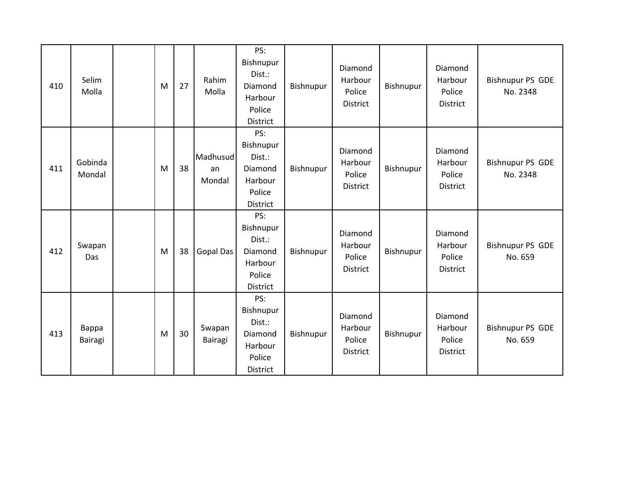| 410 | Selim<br>Molla    | M | 27 | Rahim<br>Molla           | PS:<br>Bishnupur<br>Dist.:<br>Diamond<br>Harbour<br>Police<br>District | Bishnupur | Diamond<br>Harbour<br>Police<br>District | Bishnupur | Diamond<br>Harbour<br>Police<br>District | <b>Bishnupur PS GDE</b><br>No. 2348 |
|-----|-------------------|---|----|--------------------------|------------------------------------------------------------------------|-----------|------------------------------------------|-----------|------------------------------------------|-------------------------------------|
| 411 | Gobinda<br>Mondal | M | 38 | Madhusud<br>an<br>Mondal | PS:<br>Bishnupur<br>Dist.:<br>Diamond<br>Harbour<br>Police<br>District | Bishnupur | Diamond<br>Harbour<br>Police<br>District | Bishnupur | Diamond<br>Harbour<br>Police<br>District | <b>Bishnupur PS GDE</b><br>No. 2348 |
| 412 | Swapan<br>Das     | M | 38 | <b>Gopal Das</b>         | PS:<br>Bishnupur<br>Dist.:<br>Diamond<br>Harbour<br>Police<br>District | Bishnupur | Diamond<br>Harbour<br>Police<br>District | Bishnupur | Diamond<br>Harbour<br>Police<br>District | <b>Bishnupur PS GDE</b><br>No. 659  |
| 413 | Bappa<br>Bairagi  | M | 30 | Swapan<br>Bairagi        | PS:<br>Bishnupur<br>Dist.:<br>Diamond<br>Harbour<br>Police<br>District | Bishnupur | Diamond<br>Harbour<br>Police<br>District | Bishnupur | Diamond<br>Harbour<br>Police<br>District | <b>Bishnupur PS GDE</b><br>No. 659  |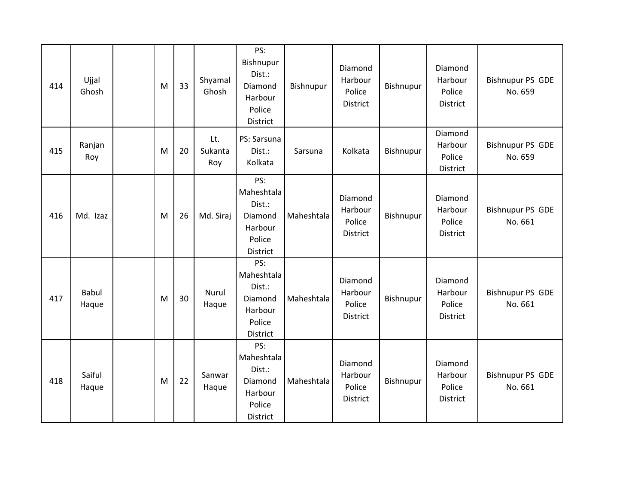| 414 | Ujjal<br>Ghosh        | M | 33 | Shyamal<br>Ghosh      | PS:<br>Bishnupur<br>Dist.:<br>Diamond<br>Harbour<br>Police<br>District  | Bishnupur  | Diamond<br>Harbour<br>Police<br>District | Bishnupur | Diamond<br>Harbour<br>Police<br>District | <b>Bishnupur PS GDE</b><br>No. 659 |
|-----|-----------------------|---|----|-----------------------|-------------------------------------------------------------------------|------------|------------------------------------------|-----------|------------------------------------------|------------------------------------|
| 415 | Ranjan<br>Roy         | M | 20 | Lt.<br>Sukanta<br>Roy | PS: Sarsuna<br>Dist.:<br>Kolkata                                        | Sarsuna    | Kolkata                                  | Bishnupur | Diamond<br>Harbour<br>Police<br>District | <b>Bishnupur PS GDE</b><br>No. 659 |
| 416 | Md. Izaz              | M | 26 | Md. Siraj             | PS:<br>Maheshtala<br>Dist.:<br>Diamond<br>Harbour<br>Police<br>District | Maheshtala | Diamond<br>Harbour<br>Police<br>District | Bishnupur | Diamond<br>Harbour<br>Police<br>District | <b>Bishnupur PS GDE</b><br>No. 661 |
| 417 | <b>Babul</b><br>Haque | M | 30 | Nurul<br>Haque        | PS:<br>Maheshtala<br>Dist.:<br>Diamond<br>Harbour<br>Police<br>District | Maheshtala | Diamond<br>Harbour<br>Police<br>District | Bishnupur | Diamond<br>Harbour<br>Police<br>District | <b>Bishnupur PS GDE</b><br>No. 661 |
| 418 | Saiful<br>Haque       | M | 22 | Sanwar<br>Haque       | PS:<br>Maheshtala<br>Dist.:<br>Diamond<br>Harbour<br>Police<br>District | Maheshtala | Diamond<br>Harbour<br>Police<br>District | Bishnupur | Diamond<br>Harbour<br>Police<br>District | <b>Bishnupur PS GDE</b><br>No. 661 |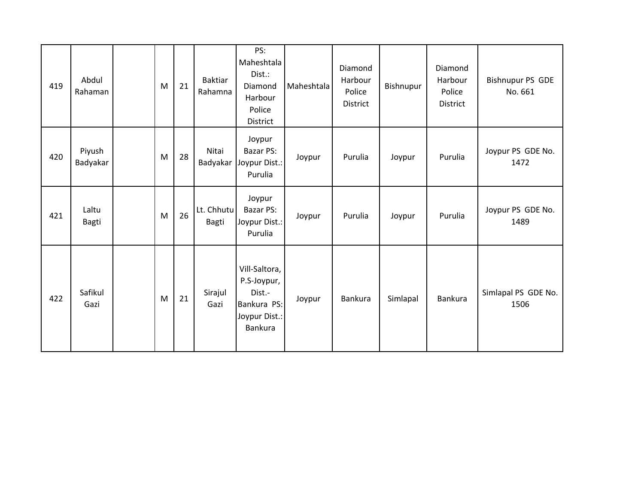| 419 | Abdul<br>Rahaman   | M | 21 | <b>Baktiar</b><br>Rahamna  | PS:<br>Maheshtala<br>Dist.:<br>Diamond<br>Harbour<br>Police<br>District           | Maheshtala | Diamond<br>Harbour<br>Police<br>District | Bishnupur | Diamond<br>Harbour<br>Police<br>District | Bishnupur PS GDE<br>No. 661 |
|-----|--------------------|---|----|----------------------------|-----------------------------------------------------------------------------------|------------|------------------------------------------|-----------|------------------------------------------|-----------------------------|
| 420 | Piyush<br>Badyakar | M | 28 | Nitai                      | Joypur<br><b>Bazar PS:</b><br>Badyakar Joypur Dist.:<br>Purulia                   | Joypur     | Purulia                                  | Joypur    | Purulia                                  | Joypur PS GDE No.<br>1472   |
| 421 | Laltu<br>Bagti     | M | 26 | Lt. Chhutu<br><b>Bagti</b> | Joypur<br><b>Bazar PS:</b><br>Joypur Dist.:<br>Purulia                            | Joypur     | Purulia                                  | Joypur    | Purulia                                  | Joypur PS GDE No.<br>1489   |
| 422 | Safikul<br>Gazi    | M | 21 | Sirajul<br>Gazi            | Vill-Saltora,<br>P.S-Joypur,<br>Dist.-<br>Bankura PS:<br>Joypur Dist.:<br>Bankura | Joypur     | Bankura                                  | Simlapal  | <b>Bankura</b>                           | Simlapal PS GDE No.<br>1506 |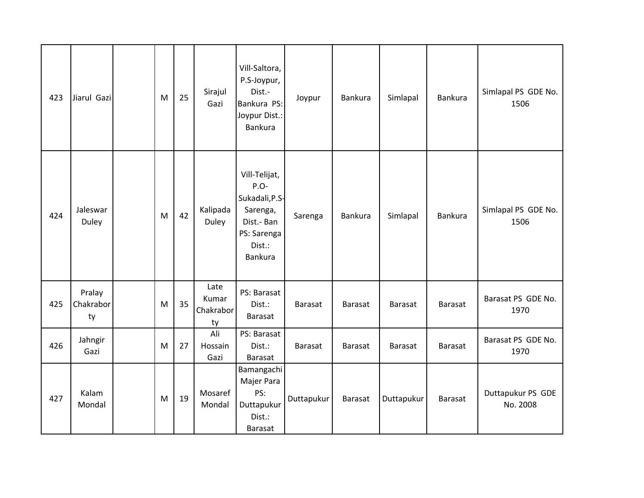| 423 | Jiarul Gazi               | M | 25 | Sirajul<br>Gazi                  | Vill-Saltora,<br>P.S-Joypur,<br>Dist.-<br>Bankura PS:<br>Joypur Dist.:<br><b>Bankura</b>                     | Joypur         | Bankura | Simlapal       | <b>Bankura</b> | Simlapal PS GDE No.<br>1506   |
|-----|---------------------------|---|----|----------------------------------|--------------------------------------------------------------------------------------------------------------|----------------|---------|----------------|----------------|-------------------------------|
| 424 | Jaleswar<br>Duley         | M | 42 | Kalipada<br>Duley                | Vill-Telijat,<br>P.O-<br>Sukadali, P.S-<br>Sarenga,<br>Dist.- Ban<br>PS: Sarenga<br>Dist.:<br><b>Bankura</b> | Sarenga        | Bankura | Simlapal       | <b>Bankura</b> | Simlapal PS GDE No.<br>1506   |
| 425 | Pralay<br>Chakrabor<br>ty | M | 35 | Late<br>Kumar<br>Chakrabor<br>ty | PS: Barasat<br>Dist.:<br>Barasat                                                                             | Barasat        | Barasat | <b>Barasat</b> | Barasat        | Barasat PS GDE No.<br>1970    |
| 426 | Jahngir<br>Gazi           | M | 27 | Ali<br>Hossain<br>Gazi           | PS: Barasat<br>Dist.:<br>Barasat                                                                             | <b>Barasat</b> | Barasat | <b>Barasat</b> | <b>Barasat</b> | Barasat PS GDE No.<br>1970    |
| 427 | Kalam<br>Mondal           | M | 19 | Mosaref<br>Mondal                | Bamangachi<br>Majer Para<br>PS:<br>Duttapukur<br>Dist.:<br>Barasat                                           | Duttapukur     | Barasat | Duttapukur     | Barasat        | Duttapukur PS GDE<br>No. 2008 |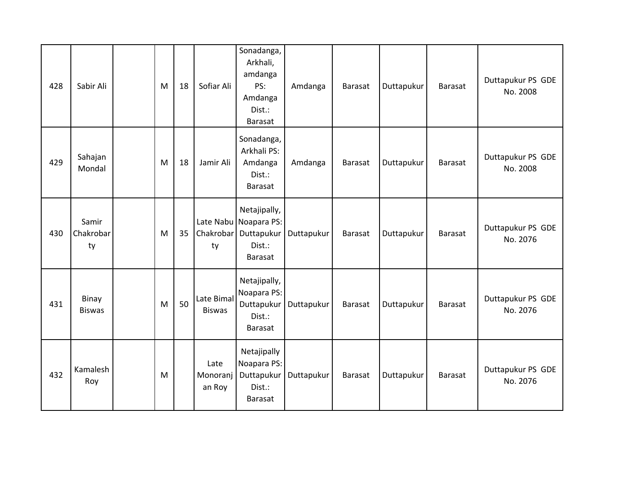| 428 | Sabir Ali                | M | 18 | Sofiar Ali                  | Sonadanga,<br>Arkhali,<br>amdanga<br>PS:<br>Amdanga<br>Dist.:<br>Barasat             | Amdanga    | Barasat        | Duttapukur | Barasat        | Duttapukur PS GDE<br>No. 2008 |
|-----|--------------------------|---|----|-----------------------------|--------------------------------------------------------------------------------------|------------|----------------|------------|----------------|-------------------------------|
| 429 | Sahajan<br>Mondal        | M | 18 | Jamir Ali                   | Sonadanga,<br>Arkhali PS:<br>Amdanga<br>Dist.:<br>Barasat                            | Amdanga    | <b>Barasat</b> | Duttapukur | <b>Barasat</b> | Duttapukur PS GDE<br>No. 2008 |
| 430 | Samir<br>Chakrobar<br>ty | M | 35 | ty                          | Netajipally,<br>Late Nabu Noapara PS:<br>Chakrobar   Duttapukur<br>Dist.:<br>Barasat | Duttapukur | Barasat        | Duttapukur | Barasat        | Duttapukur PS GDE<br>No. 2076 |
| 431 | Binay<br><b>Biswas</b>   | M | 50 | Late Bimal<br><b>Biswas</b> | Netajipally,<br>Noapara PS:<br>Duttapukur<br>Dist.:<br>Barasat                       | Duttapukur | Barasat        | Duttapukur | Barasat        | Duttapukur PS GDE<br>No. 2076 |
| 432 | Kamalesh<br>Roy          | M |    | Late<br>Monoranj<br>an Roy  | Netajipally<br>Noapara PS:<br>Duttapukur<br>Dist.:<br><b>Barasat</b>                 | Duttapukur | Barasat        | Duttapukur | <b>Barasat</b> | Duttapukur PS GDE<br>No. 2076 |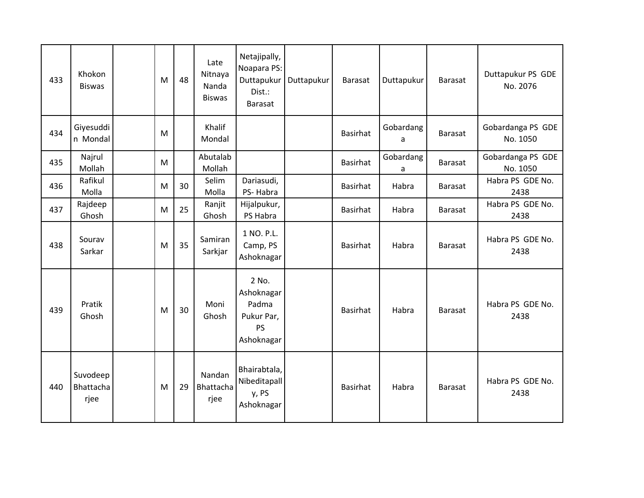| 433 | Khokon<br><b>Biswas</b>       | M | 48 | Late<br>Nitnaya<br>Nanda<br><b>Biswas</b> | Netajipally,<br>Noapara PS:<br>Duttapukur<br>Dist.:<br>Barasat        | Duttapukur | Barasat         | Duttapukur     | Barasat        | Duttapukur PS GDE<br>No. 2076 |
|-----|-------------------------------|---|----|-------------------------------------------|-----------------------------------------------------------------------|------------|-----------------|----------------|----------------|-------------------------------|
| 434 | Giyesuddi<br>n Mondal         | M |    | Khalif<br>Mondal                          |                                                                       |            | <b>Basirhat</b> | Gobardang<br>a | Barasat        | Gobardanga PS GDE<br>No. 1050 |
| 435 | Najrul<br>Mollah              | M |    | Abutalab<br>Mollah                        |                                                                       |            | <b>Basirhat</b> | Gobardang<br>a | Barasat        | Gobardanga PS GDE<br>No. 1050 |
| 436 | Rafikul<br>Molla              | M | 30 | Selim<br>Molla                            | Dariasudi,<br>PS-Habra                                                |            | <b>Basirhat</b> | Habra          | <b>Barasat</b> | Habra PS GDE No.<br>2438      |
| 437 | Rajdeep<br>Ghosh              | M | 25 | Ranjit<br>Ghosh                           | Hijalpukur,<br>PS Habra                                               |            | <b>Basirhat</b> | Habra          | <b>Barasat</b> | Habra PS GDE No.<br>2438      |
| 438 | Sourav<br>Sarkar              | M | 35 | Samiran<br>Sarkjar                        | 1 NO. P.L.<br>Camp, PS<br>Ashoknagar                                  |            | <b>Basirhat</b> | Habra          | <b>Barasat</b> | Habra PS GDE No.<br>2438      |
| 439 | Pratik<br>Ghosh               | M | 30 | Moni<br>Ghosh                             | 2 No.<br>Ashoknagar<br>Padma<br>Pukur Par,<br><b>PS</b><br>Ashoknagar |            | <b>Basirhat</b> | Habra          | <b>Barasat</b> | Habra PS GDE No.<br>2438      |
| 440 | Suvodeep<br>Bhattacha<br>rjee | M | 29 | Nandan<br>Bhattacha<br>rjee               | Bhairabtala,<br>Nibeditapall<br>y, PS<br>Ashoknagar                   |            | <b>Basirhat</b> | Habra          | <b>Barasat</b> | Habra PS GDE No.<br>2438      |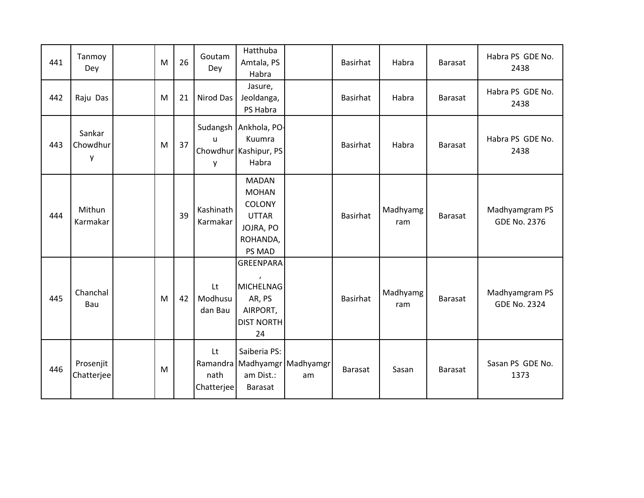| 441 | Tanmoy<br>Dey           | M | 26 | Goutam<br>Dey            | Hatthuba<br>Amtala, PS<br>Habra                                                           |                                    | Basirhat        | Habra           | Barasat        | Habra PS GDE No.<br>2438              |
|-----|-------------------------|---|----|--------------------------|-------------------------------------------------------------------------------------------|------------------------------------|-----------------|-----------------|----------------|---------------------------------------|
| 442 | Raju Das                | M | 21 | Nirod Das                | Jasure,<br>Jeoldanga,<br>PS Habra                                                         |                                    | <b>Basirhat</b> | Habra           | <b>Barasat</b> | Habra PS GDE No.<br>2438              |
| 443 | Sankar<br>Chowdhur<br>у | M | 37 | $\mathsf{u}$<br>y        | Sudangsh Ankhola, PO-<br>Kuumra<br>Chowdhur Kashipur, PS<br>Habra                         |                                    | <b>Basirhat</b> | Habra           | Barasat        | Habra PS GDE No.<br>2438              |
| 444 | Mithun<br>Karmakar      |   | 39 | Kashinath<br>Karmakar    | <b>MADAN</b><br><b>MOHAN</b><br>COLONY<br><b>UTTAR</b><br>JOJRA, PO<br>ROHANDA,<br>PS MAD |                                    | <b>Basirhat</b> | Madhyamg<br>ram | Barasat        | Madhyamgram PS<br><b>GDE No. 2376</b> |
| 445 | Chanchal<br>Bau         | M | 42 | Lt<br>Modhusu<br>dan Bau | <b>GREENPARA</b><br><b>MICHELNAG</b><br>AR, PS<br>AIRPORT,<br><b>DIST NORTH</b><br>24     |                                    | <b>Basirhat</b> | Madhyamg<br>ram | <b>Barasat</b> | Madhyamgram PS<br><b>GDE No. 2324</b> |
| 446 | Prosenjit<br>Chatterjee | M |    | Lt<br>nath<br>Chatterjee | Saiberia PS:<br>am Dist.:<br>Barasat                                                      | Ramandra Madhyamgr Madhyamgr<br>am | Barasat         | Sasan           | <b>Barasat</b> | Sasan PS GDE No.<br>1373              |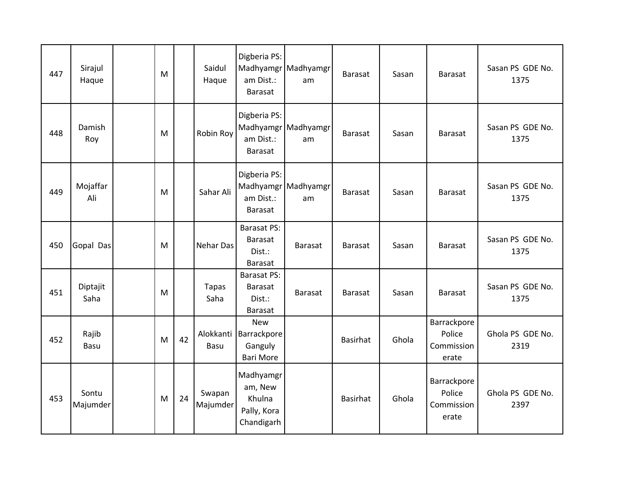| 447 | Sirajul<br>Haque  | M |    | Saidul<br>Haque      | Digberia PS:<br>am Dist.:<br><b>Barasat</b>                        | Madhyamgr Madhyamgr<br>am | <b>Barasat</b>  | Sasan | Barasat                                      | Sasan PS GDE No.<br>1375 |
|-----|-------------------|---|----|----------------------|--------------------------------------------------------------------|---------------------------|-----------------|-------|----------------------------------------------|--------------------------|
| 448 | Damish<br>Roy     | M |    | Robin Roy            | Digberia PS:<br>am Dist.:<br>Barasat                               | Madhyamgr Madhyamgr<br>am | Barasat         | Sasan | <b>Barasat</b>                               | Sasan PS GDE No.<br>1375 |
| 449 | Mojaffar<br>Ali   | M |    | Sahar Ali            | Digberia PS:<br>am Dist.:<br>Barasat                               | Madhyamgr Madhyamgr<br>am | <b>Barasat</b>  | Sasan | <b>Barasat</b>                               | Sasan PS GDE No.<br>1375 |
| 450 | Gopal Das         | M |    | <b>Nehar Das</b>     | Barasat PS:<br><b>Barasat</b><br>Dist.:<br><b>Barasat</b>          | <b>Barasat</b>            | <b>Barasat</b>  | Sasan | <b>Barasat</b>                               | Sasan PS GDE No.<br>1375 |
| 451 | Diptajit<br>Saha  | M |    | <b>Tapas</b><br>Saha | Barasat PS:<br><b>Barasat</b><br>Dist.:<br><b>Barasat</b>          | <b>Barasat</b>            | <b>Barasat</b>  | Sasan | <b>Barasat</b>                               | Sasan PS GDE No.<br>1375 |
| 452 | Rajib<br>Basu     | M | 42 | Basu                 | <b>New</b><br>Alokkanti Barrackpore<br>Ganguly<br><b>Bari More</b> |                           | <b>Basirhat</b> | Ghola | Barrackpore<br>Police<br>Commission<br>erate | Ghola PS GDE No.<br>2319 |
| 453 | Sontu<br>Majumder | M | 24 | Swapan<br>Majumder   | Madhyamgr<br>am, New<br>Khulna<br>Pally, Kora<br>Chandigarh        |                           | <b>Basirhat</b> | Ghola | Barrackpore<br>Police<br>Commission<br>erate | Ghola PS GDE No.<br>2397 |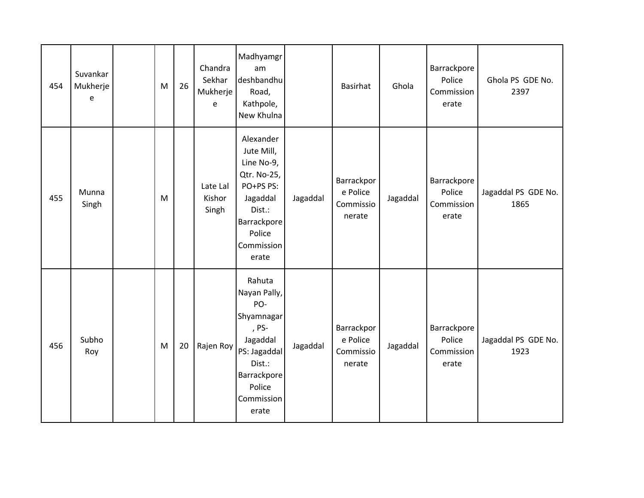| 454 | Suvankar<br>Mukherje<br>e | M | 26 | Chandra<br>Sekhar<br>Mukherje<br>e | Madhyamgr<br>am<br>deshbandhu<br>Road,<br>Kathpole,<br>New Khulna                                                                          |          | <b>Basirhat</b>                               | Ghola    | Barrackpore<br>Police<br>Commission<br>erate | Ghola PS GDE No.<br>2397    |
|-----|---------------------------|---|----|------------------------------------|--------------------------------------------------------------------------------------------------------------------------------------------|----------|-----------------------------------------------|----------|----------------------------------------------|-----------------------------|
| 455 | Munna<br>Singh            | M |    | Late Lal<br>Kishor<br>Singh        | Alexander<br>Jute Mill,<br>Line No-9,<br>Qtr. No-25,<br>PO+PS PS:<br>Jagaddal<br>Dist.:<br>Barrackpore<br>Police<br>Commission<br>erate    | Jagaddal | Barrackpor<br>e Police<br>Commissio<br>nerate | Jagaddal | Barrackpore<br>Police<br>Commission<br>erate | Jagaddal PS GDE No.<br>1865 |
| 456 | Subho<br>Roy              | M | 20 | Rajen Roy                          | Rahuta<br>Nayan Pally,<br>PO-<br>Shyamnagar<br>, PS-<br>Jagaddal<br>PS: Jagaddal<br>Dist.:<br>Barrackpore<br>Police<br>Commission<br>erate | Jagaddal | Barrackpor<br>e Police<br>Commissio<br>nerate | Jagaddal | Barrackpore<br>Police<br>Commission<br>erate | Jagaddal PS GDE No.<br>1923 |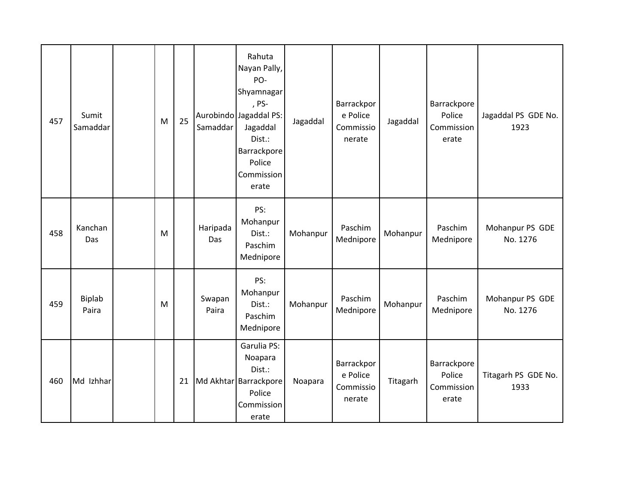| 457 | Sumit<br>Samaddar | M | 25 | Samaddar        | Rahuta<br>Nayan Pally,<br>PO-<br>Shyamnagar<br>, PS-<br>Aurobindo Jagaddal PS:<br>Jagaddal<br>Dist.:<br>Barrackpore<br>Police<br>Commission<br>erate | Jagaddal | Barrackpor<br>e Police<br>Commissio<br>nerate | Jagaddal | Barrackpore<br>Police<br>Commission<br>erate | Jagaddal PS GDE No.<br>1923 |
|-----|-------------------|---|----|-----------------|------------------------------------------------------------------------------------------------------------------------------------------------------|----------|-----------------------------------------------|----------|----------------------------------------------|-----------------------------|
| 458 | Kanchan<br>Das    | M |    | Haripada<br>Das | PS:<br>Mohanpur<br>Dist.:<br>Paschim<br>Mednipore                                                                                                    | Mohanpur | Paschim<br>Mednipore                          | Mohanpur | Paschim<br>Mednipore                         | Mohanpur PS GDE<br>No. 1276 |
| 459 | Biplab<br>Paira   | M |    | Swapan<br>Paira | PS:<br>Mohanpur<br>Dist.:<br>Paschim<br>Mednipore                                                                                                    | Mohanpur | Paschim<br>Mednipore                          | Mohanpur | Paschim<br>Mednipore                         | Mohanpur PS GDE<br>No. 1276 |
| 460 | Md Izhhar         |   | 21 |                 | Garulia PS:<br>Noapara<br>Dist.:<br>Md Akhtar Barrackpore<br>Police<br>Commission<br>erate                                                           | Noapara  | Barrackpor<br>e Police<br>Commissio<br>nerate | Titagarh | Barrackpore<br>Police<br>Commission<br>erate | Titagarh PS GDE No.<br>1933 |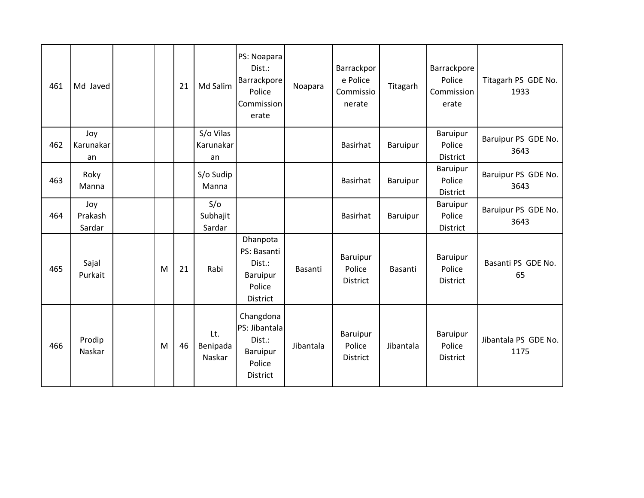| 461 | Md Javed                 |   | 21 | Md Salim                     | PS: Noapara<br>Dist.:<br>Barrackpore<br>Police<br>Commission<br>erate         | Noapara   | Barrackpor<br>e Police<br>Commissio<br>nerate | Titagarh  | Barrackpore<br>Police<br>Commission<br>erate | Titagarh PS GDE No.<br>1933  |
|-----|--------------------------|---|----|------------------------------|-------------------------------------------------------------------------------|-----------|-----------------------------------------------|-----------|----------------------------------------------|------------------------------|
| 462 | Joy<br>Karunakar<br>an   |   |    | S/o Vilas<br>Karunakar<br>an |                                                                               |           | <b>Basirhat</b>                               | Baruipur  | Baruipur<br>Police<br><b>District</b>        | Baruipur PS GDE No.<br>3643  |
| 463 | Roky<br>Manna            |   |    | S/o Sudip<br>Manna           |                                                                               |           | <b>Basirhat</b>                               | Baruipur  | Baruipur<br>Police<br>District               | Baruipur PS GDE No.<br>3643  |
| 464 | Joy<br>Prakash<br>Sardar |   |    | S/O<br>Subhajit<br>Sardar    |                                                                               |           | Basirhat                                      | Baruipur  | Baruipur<br>Police<br>District               | Baruipur PS GDE No.<br>3643  |
| 465 | Sajal<br>Purkait         | M | 21 | Rabi                         | Dhanpota<br>PS: Basanti<br>Dist.:<br>Baruipur<br>Police<br>District           | Basanti   | Baruipur<br>Police<br>District                | Basanti   | Baruipur<br>Police<br>District               | Basanti PS GDE No.<br>65     |
| 466 | Prodip<br>Naskar         | M | 46 | Lt.<br>Benipada<br>Naskar    | Changdona<br>PS: Jibantala<br>Dist.:<br>Baruipur<br>Police<br><b>District</b> | Jibantala | Baruipur<br>Police<br><b>District</b>         | Jibantala | Baruipur<br>Police<br>District               | Jibantala PS GDE No.<br>1175 |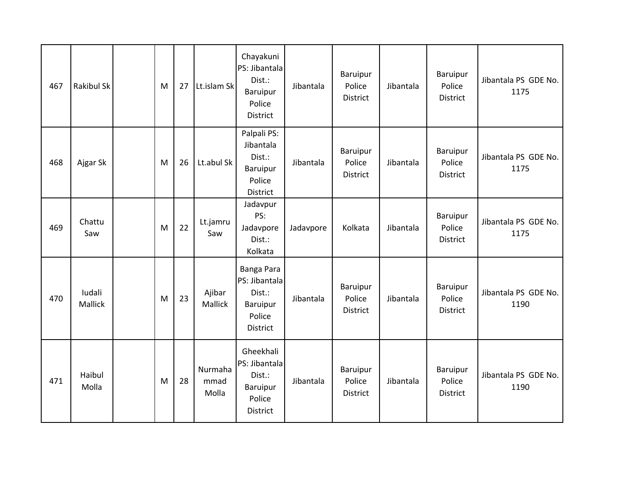| 467 | <b>Rakibul Sk</b> | M | 27 | Lt.islam Sk              | Chayakuni<br>PS: Jibantala<br>Dist.:<br>Baruipur<br>Police<br>District  | Jibantala | Baruipur<br>Police<br>District        | Jibantala | Baruipur<br>Police<br>District        | Jibantala PS GDE No.<br>1175 |
|-----|-------------------|---|----|--------------------------|-------------------------------------------------------------------------|-----------|---------------------------------------|-----------|---------------------------------------|------------------------------|
| 468 | Ajgar Sk          | M | 26 | Lt.abul Sk               | Palpali PS:<br>Jibantala<br>Dist.:<br>Baruipur<br>Police<br>District    | Jibantala | Baruipur<br>Police<br>District        | Jibantala | Baruipur<br>Police<br>District        | Jibantala PS GDE No.<br>1175 |
| 469 | Chattu<br>Saw     | M | 22 | Lt.jamru<br>Saw          | Jadavpur<br>PS:<br>Jadavpore<br>Dist.:<br>Kolkata                       | Jadavpore | Kolkata                               | Jibantala | <b>Baruipur</b><br>Police<br>District | Jibantala PS GDE No.<br>1175 |
| 470 | Iudali<br>Mallick | M | 23 | Ajibar<br>Mallick        | Banga Para<br>PS: Jibantala<br>Dist.:<br>Baruipur<br>Police<br>District | Jibantala | <b>Baruipur</b><br>Police<br>District | Jibantala | <b>Baruipur</b><br>Police<br>District | Jibantala PS GDE No.<br>1190 |
| 471 | Haibul<br>Molla   | M | 28 | Nurmaha<br>mmad<br>Molla | Gheekhali<br>PS: Jibantala<br>Dist.:<br>Baruipur<br>Police<br>District  | Jibantala | Baruipur<br>Police<br>District        | Jibantala | Baruipur<br>Police<br>District        | Jibantala PS GDE No.<br>1190 |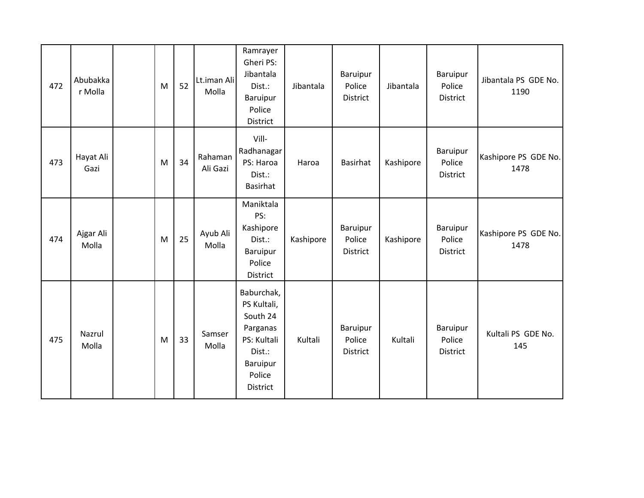| 472 | Abubakka<br>r Molla | ${\sf M}$ | 52 | Lt.iman Ali<br>Molla | Ramrayer<br>Gheri PS:<br>Jibantala<br>Dist.:<br><b>Baruipur</b><br>Police<br>District                        | Jibantala | Baruipur<br>Police<br><b>District</b> | Jibantala | Baruipur<br>Police<br>District | Jibantala PS GDE No.<br>1190 |
|-----|---------------------|-----------|----|----------------------|--------------------------------------------------------------------------------------------------------------|-----------|---------------------------------------|-----------|--------------------------------|------------------------------|
| 473 | Hayat Ali<br>Gazi   | M         | 34 | Rahaman<br>Ali Gazi  | Vill-<br>Radhanagar<br>PS: Haroa<br>Dist.:<br><b>Basirhat</b>                                                | Haroa     | Basirhat                              | Kashipore | Baruipur<br>Police<br>District | Kashipore PS GDE No.<br>1478 |
| 474 | Ajgar Ali<br>Molla  | M         | 25 | Ayub Ali<br>Molla    | Maniktala<br>PS:<br>Kashipore<br>Dist.:<br>Baruipur<br>Police<br>District                                    | Kashipore | Baruipur<br>Police<br><b>District</b> | Kashipore | Baruipur<br>Police<br>District | Kashipore PS GDE No.<br>1478 |
| 475 | Nazrul<br>Molla     | M         | 33 | Samser<br>Molla      | Baburchak,<br>PS Kultali,<br>South 24<br>Parganas<br>PS: Kultali<br>Dist.:<br>Baruipur<br>Police<br>District | Kultali   | Baruipur<br>Police<br>District        | Kultali   | Baruipur<br>Police<br>District | Kultali PS GDE No.<br>145    |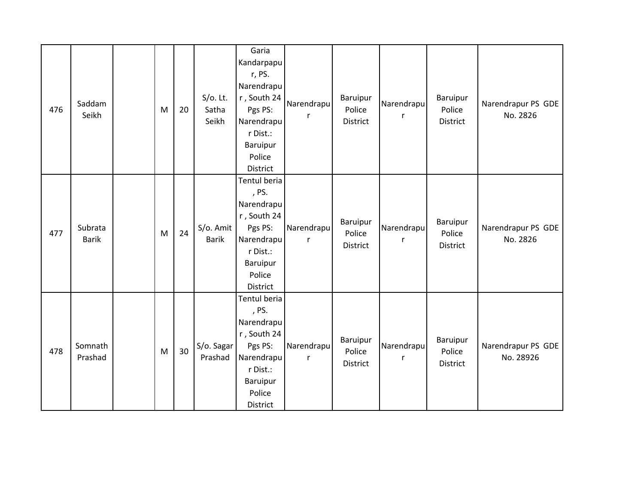| 476 | Saddam<br>Seikh         | M | 20 | $S/O$ . Lt.<br>Satha<br>Seikh | Garia<br>Kandarpapu<br>r, PS.<br>Narendrapu<br>r, South 24<br>Pgs PS:<br>Narendrapu<br>r Dist.:<br>Baruipur<br>Police<br>District | Narendrapu<br>r | <b>Baruipur</b><br>Police<br>District        | Narendrapu      | <b>Baruipur</b><br>Police<br>District | Narendrapur PS GDE<br>No. 2826  |
|-----|-------------------------|---|----|-------------------------------|-----------------------------------------------------------------------------------------------------------------------------------|-----------------|----------------------------------------------|-----------------|---------------------------------------|---------------------------------|
| 477 | Subrata<br><b>Barik</b> | M | 24 | S/o. Amit<br><b>Barik</b>     | Tentul beria<br>, PS.<br>Narendrapu<br>r, South 24<br>Pgs PS:<br>Narendrapu<br>r Dist.:<br>Baruipur<br>Police<br><b>District</b>  | Narendrapu<br>r | <b>Baruipur</b><br>Police<br><b>District</b> | Narendrapu<br>r | Baruipur<br>Police<br>District        | Narendrapur PS GDE<br>No. 2826  |
| 478 | Somnath<br>Prashad      | M | 30 | S/o. Sagar<br>Prashad         | Tentul beria<br>, PS.<br>Narendrapu<br>r, South 24<br>Pgs PS:<br>Narendrapu<br>r Dist.:<br>Baruipur<br>Police<br>District         | Narendrapu<br>r | Baruipur<br>Police<br><b>District</b>        | Narendrapu<br>r | <b>Baruipur</b><br>Police<br>District | Narendrapur PS GDE<br>No. 28926 |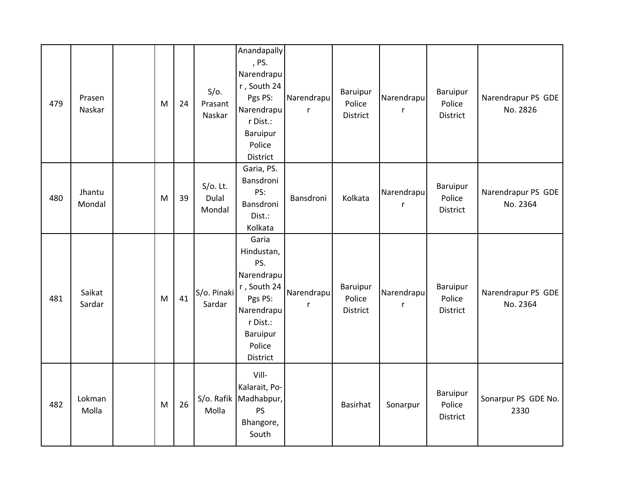| 479 | Prasen<br>Naskar | M | 24 | $S/O$ .<br>Prasant<br>Naskar   | Anandapally<br>, PS.<br>Narendrapu<br>r, South 24<br>Pgs PS:<br>Narendrapu<br>r Dist.:<br>Baruipur<br>Police<br>District       | Narendrapu<br>$\mathsf{r}$ | Baruipur<br>Police<br><b>District</b> | Narendrapu<br>r | Baruipur<br>Police<br><b>District</b> | Narendrapur PS GDE<br>No. 2826 |
|-----|------------------|---|----|--------------------------------|--------------------------------------------------------------------------------------------------------------------------------|----------------------------|---------------------------------------|-----------------|---------------------------------------|--------------------------------|
| 480 | Jhantu<br>Mondal | M | 39 | $S/O$ . Lt.<br>Dulal<br>Mondal | Garia, PS.<br>Bansdroni<br>PS:<br>Bansdroni<br>Dist.:<br>Kolkata                                                               | Bansdroni                  | Kolkata                               | Narendrapu<br>r | Baruipur<br>Police<br>District        | Narendrapur PS GDE<br>No. 2364 |
| 481 | Saikat<br>Sardar | M | 41 | S/o. Pinaki<br>Sardar          | Garia<br>Hindustan,<br>PS.<br>Narendrapu<br>r, South 24<br>Pgs PS:<br>Narendrapu<br>r Dist.:<br>Baruipur<br>Police<br>District | Narendrapu<br>r            | Baruipur<br>Police<br><b>District</b> | Narendrapu<br>r | Baruipur<br>Police<br><b>District</b> | Narendrapur PS GDE<br>No. 2364 |
| 482 | Lokman<br>Molla  | M | 26 | S/o. Rafik<br>Molla            | Vill-<br>Kalarait, Po-<br>Madhabpur,<br>PS<br>Bhangore,<br>South                                                               |                            | Basirhat                              | Sonarpur        | Baruipur<br>Police<br><b>District</b> | Sonarpur PS GDE No.<br>2330    |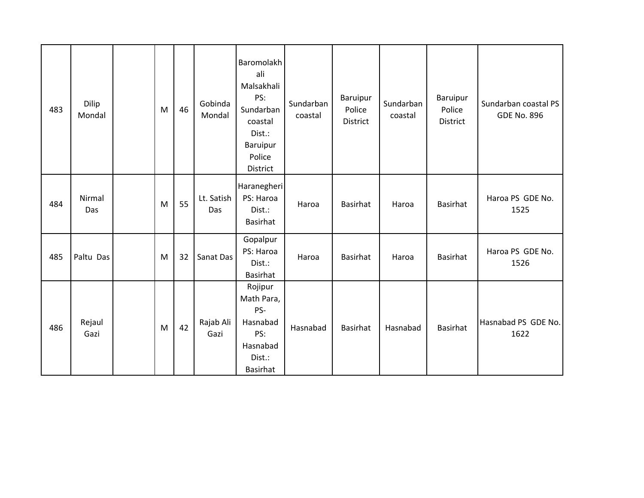| 483 | Dilip<br>Mondal | M | 46 | Gobinda<br>Mondal | Baromolakh<br>ali<br>Malsakhali<br>PS:<br>Sundarban<br>coastal<br>Dist.:<br>Baruipur<br>Police<br>District | Sundarban<br>coastal | Baruipur<br>Police<br><b>District</b> | Sundarban<br>coastal | Baruipur<br>Police<br>District | Sundarban coastal PS<br><b>GDE No. 896</b> |
|-----|-----------------|---|----|-------------------|------------------------------------------------------------------------------------------------------------|----------------------|---------------------------------------|----------------------|--------------------------------|--------------------------------------------|
| 484 | Nirmal<br>Das   | M | 55 | Lt. Satish<br>Das | Haranegheri<br>PS: Haroa<br>Dist.:<br><b>Basirhat</b>                                                      | Haroa                | Basirhat                              | Haroa                | Basirhat                       | Haroa PS GDE No.<br>1525                   |
| 485 | Paltu Das       | M | 32 | Sanat Das         | Gopalpur<br>PS: Haroa<br>Dist.:<br><b>Basirhat</b>                                                         | Haroa                | <b>Basirhat</b>                       | Haroa                | <b>Basirhat</b>                | Haroa PS GDE No.<br>1526                   |
| 486 | Rejaul<br>Gazi  | M | 42 | Rajab Ali<br>Gazi | Rojipur<br>Math Para,<br>PS-<br>Hasnabad<br>PS:<br>Hasnabad<br>Dist.:<br><b>Basirhat</b>                   | Hasnabad             | Basirhat                              | Hasnabad             | <b>Basirhat</b>                | Hasnabad PS GDE No.<br>1622                |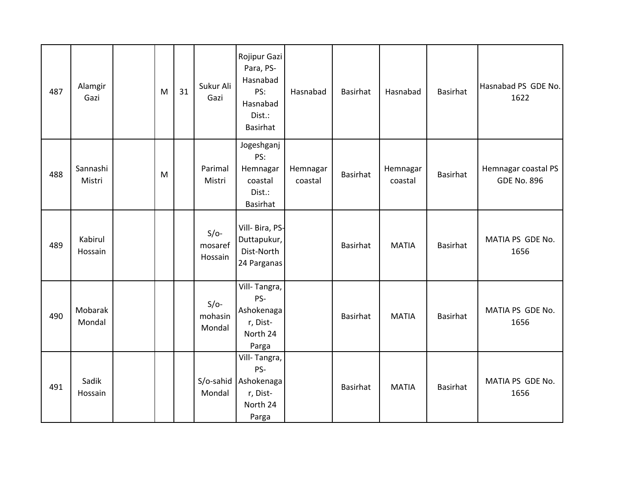| 487 | Alamgir<br>Gazi    | M | 31 | Sukur Ali<br>Gazi            | Rojipur Gazi<br>Para, PS-<br>Hasnabad<br>PS:<br>Hasnabad<br>Dist.:<br>Basirhat | Hasnabad            | <b>Basirhat</b> | Hasnabad            | <b>Basirhat</b> | Hasnabad PS GDE No.<br>1622               |
|-----|--------------------|---|----|------------------------------|--------------------------------------------------------------------------------|---------------------|-----------------|---------------------|-----------------|-------------------------------------------|
| 488 | Sannashi<br>Mistri | M |    | Parimal<br>Mistri            | Jogeshganj<br>PS:<br>Hemnagar<br>coastal<br>Dist.:<br><b>Basirhat</b>          | Hemnagar<br>coastal | Basirhat        | Hemnagar<br>coastal | <b>Basirhat</b> | Hemnagar coastal PS<br><b>GDE No. 896</b> |
| 489 | Kabirul<br>Hossain |   |    | $S/O-$<br>mosaref<br>Hossain | Vill- Bira, PS-<br>Duttapukur,<br>Dist-North<br>24 Parganas                    |                     | Basirhat        | <b>MATIA</b>        | <b>Basirhat</b> | MATIA PS GDE No.<br>1656                  |
| 490 | Mobarak<br>Mondal  |   |    | $S/O-$<br>mohasin<br>Mondal  | Vill-Tangra,<br>PS-<br>Ashokenaga<br>r, Dist-<br>North 24<br>Parga             |                     | Basirhat        | <b>MATIA</b>        | <b>Basirhat</b> | MATIA PS GDE No.<br>1656                  |
| 491 | Sadik<br>Hossain   |   |    | S/o-sahid<br>Mondal          | Vill-Tangra,<br>PS-<br>Ashokenaga<br>r, Dist-<br>North 24<br>Parga             |                     | Basirhat        | <b>MATIA</b>        | <b>Basirhat</b> | MATIA PS GDE No.<br>1656                  |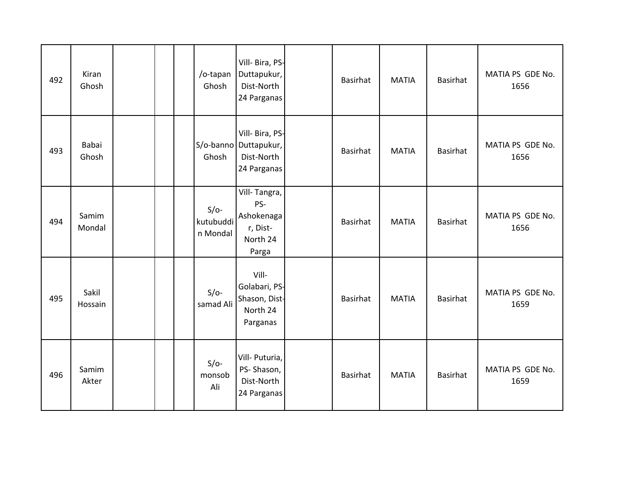| 492 | Kiran<br>Ghosh   |  | /o-tapan<br>Ghosh               | Vill- Bira, PS-<br>Duttapukur,<br>Dist-North<br>24 Parganas             | Basirhat        | <b>MATIA</b> | <b>Basirhat</b> | MATIA PS GDE No.<br>1656 |
|-----|------------------|--|---------------------------------|-------------------------------------------------------------------------|-----------------|--------------|-----------------|--------------------------|
| 493 | Babai<br>Ghosh   |  | Ghosh                           | Vill- Bira, PS-<br>S/o-banno   Duttapukur,<br>Dist-North<br>24 Parganas | <b>Basirhat</b> | <b>MATIA</b> | <b>Basirhat</b> | MATIA PS GDE No.<br>1656 |
| 494 | Samim<br>Mondal  |  | $S/O-$<br>kutubuddi<br>n Mondal | Vill-Tangra,<br>PS-<br>Ashokenaga<br>r, Dist-<br>North 24<br>Parga      | <b>Basirhat</b> | <b>MATIA</b> | <b>Basirhat</b> | MATIA PS GDE No.<br>1656 |
| 495 | Sakil<br>Hossain |  | $S/O-$<br>samad Ali             | Vill-<br>Golabari, PS-<br>Shason, Dist-<br>North 24<br>Parganas         | <b>Basirhat</b> | <b>MATIA</b> | <b>Basirhat</b> | MATIA PS GDE No.<br>1659 |
| 496 | Samim<br>Akter   |  | $S/O-$<br>monsob<br>Ali         | Vill- Puturia,<br>PS-Shason,<br>Dist-North<br>24 Parganas               | Basirhat        | <b>MATIA</b> | <b>Basirhat</b> | MATIA PS GDE No.<br>1659 |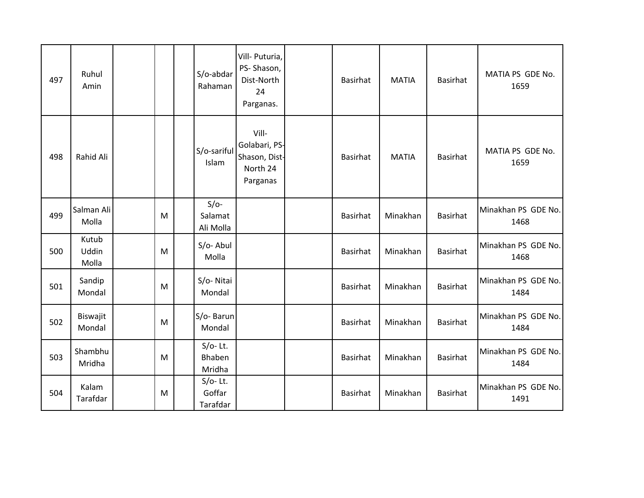| 497 | Ruhul<br>Amin           |   | S/o-abdar<br>Rahaman             | Vill- Puturia,<br>PS-Shason,<br>Dist-North<br>24<br>Parganas.   | <b>Basirhat</b> | <b>MATIA</b> | <b>Basirhat</b> | MATIA PS GDE No.<br>1659    |
|-----|-------------------------|---|----------------------------------|-----------------------------------------------------------------|-----------------|--------------|-----------------|-----------------------------|
| 498 | Rahid Ali               |   | S/o-sariful<br>Islam             | Vill-<br>Golabari, PS-<br>Shason, Dist-<br>North 24<br>Parganas | <b>Basirhat</b> | <b>MATIA</b> | <b>Basirhat</b> | MATIA PS GDE No.<br>1659    |
| 499 | Salman Ali<br>Molla     | M | $S/O-$<br>Salamat<br>Ali Molla   |                                                                 | <b>Basirhat</b> | Minakhan     | <b>Basirhat</b> | Minakhan PS GDE No.<br>1468 |
| 500 | Kutub<br>Uddin<br>Molla | M | S/o-Abul<br>Molla                |                                                                 | <b>Basirhat</b> | Minakhan     | <b>Basirhat</b> | Minakhan PS GDE No.<br>1468 |
| 501 | Sandip<br>Mondal        | M | S/o-Nitai<br>Mondal              |                                                                 | <b>Basirhat</b> | Minakhan     | <b>Basirhat</b> | Minakhan PS GDE No.<br>1484 |
| 502 | Biswajit<br>Mondal      | M | S/o-Barun<br>Mondal              |                                                                 | <b>Basirhat</b> | Minakhan     | <b>Basirhat</b> | Minakhan PS GDE No.<br>1484 |
| 503 | Shambhu<br>Mridha       | M | $S/O-$ Lt.<br>Bhaben<br>Mridha   |                                                                 | <b>Basirhat</b> | Minakhan     | <b>Basirhat</b> | Minakhan PS GDE No.<br>1484 |
| 504 | Kalam<br>Tarafdar       | M | $S/O-$ Lt.<br>Goffar<br>Tarafdar |                                                                 | <b>Basirhat</b> | Minakhan     | <b>Basirhat</b> | Minakhan PS GDE No.<br>1491 |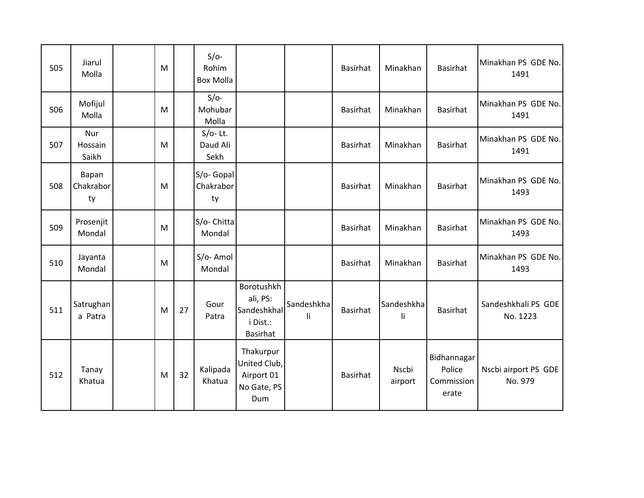| 505 | Jiarul<br>Molla                | M |    | $S/O-$<br>Rohim<br><b>Box Molla</b> |                                                                      |                  | <b>Basirhat</b> | Minakhan         | <b>Basirhat</b>                              | Minakhan PS GDE No.<br>1491     |
|-----|--------------------------------|---|----|-------------------------------------|----------------------------------------------------------------------|------------------|-----------------|------------------|----------------------------------------------|---------------------------------|
| 506 | Mofijul<br>Molla               | M |    | $S/O-$<br>Mohubar<br>Molla          |                                                                      |                  | <b>Basirhat</b> | Minakhan         | <b>Basirhat</b>                              | Minakhan PS GDE No.<br>1491     |
| 507 | <b>Nur</b><br>Hossain<br>Saikh | M |    | $S/O-$ Lt.<br>Daud Ali<br>Sekh      |                                                                      |                  | <b>Basirhat</b> | Minakhan         | <b>Basirhat</b>                              | Minakhan PS GDE No.<br>1491     |
| 508 | Bapan<br>Chakrabor<br>ty       | M |    | S/o- Gopal<br>Chakrabor<br>ty       |                                                                      |                  | <b>Basirhat</b> | Minakhan         | <b>Basirhat</b>                              | Minakhan PS GDE No.<br>1493     |
| 509 | Prosenjit<br>Mondal            | M |    | S/o- Chitta<br>Mondal               |                                                                      |                  | <b>Basirhat</b> | Minakhan         | <b>Basirhat</b>                              | Minakhan PS GDE No.<br>1493     |
| 510 | Jayanta<br>Mondal              | M |    | S/o-Amol<br>Mondal                  |                                                                      |                  | <b>Basirhat</b> | Minakhan         | <b>Basirhat</b>                              | Minakhan PS GDE No.<br>1493     |
| 511 | Satrughan<br>a Patra           | M | 27 | Gour<br>Patra                       | Borotushkh<br>ali, PS:<br>Sandeshkhal<br>i Dist.:<br><b>Basirhat</b> | Sandeshkha<br>li | <b>Basirhat</b> | Sandeshkha<br>li | <b>Basirhat</b>                              | Sandeshkhali PS GDE<br>No. 1223 |
| 512 | Tanay<br>Khatua                | M | 32 | Kalipada<br>Khatua                  | Thakurpur<br>United Club,<br>Airport 01<br>No Gate, PS<br>Dum        |                  | <b>Basirhat</b> | Nscbi<br>airport | Bidhannagar<br>Police<br>Commission<br>erate | Nscbi airport PS GDE<br>No. 979 |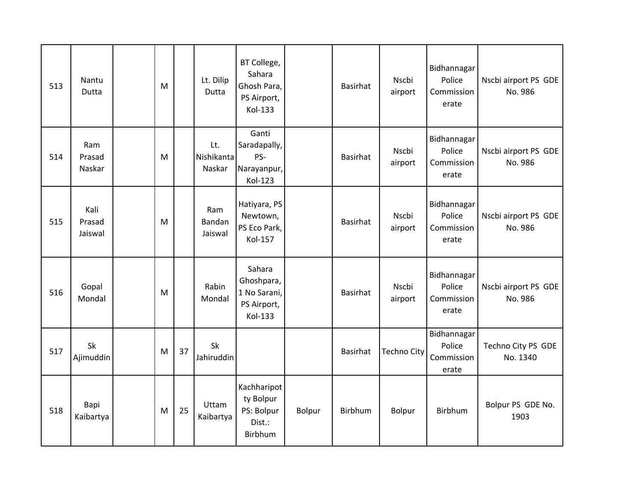| 513 | Nantu<br>Dutta            | M |    | Lt. Dilip<br>Dutta          | BT College,<br>Sahara<br>Ghosh Para,<br>PS Airport,<br>Kol-133 |        | Basirhat        | Nscbi<br>airport   | Bidhannagar<br>Police<br>Commission<br>erate | Nscbi airport PS GDE<br>No. 986 |
|-----|---------------------------|---|----|-----------------------------|----------------------------------------------------------------|--------|-----------------|--------------------|----------------------------------------------|---------------------------------|
| 514 | Ram<br>Prasad<br>Naskar   | M |    | Lt.<br>Nishikanta<br>Naskar | Ganti<br>Saradapally,<br>PS-<br>Narayanpur,<br>Kol-123         |        | <b>Basirhat</b> | Nscbi<br>airport   | Bidhannagar<br>Police<br>Commission<br>erate | Nscbi airport PS GDE<br>No. 986 |
| 515 | Kali<br>Prasad<br>Jaiswal | M |    | Ram<br>Bandan<br>Jaiswal    | Hatiyara, PS<br>Newtown,<br>PS Eco Park,<br>Kol-157            |        | Basirhat        | Nscbi<br>airport   | Bidhannagar<br>Police<br>Commission<br>erate | Nscbi airport PS GDE<br>No. 986 |
| 516 | Gopal<br>Mondal           | M |    | Rabin<br>Mondal             | Sahara<br>Ghoshpara,<br>1 No Sarani,<br>PS Airport,<br>Kol-133 |        | Basirhat        | Nscbi<br>airport   | Bidhannagar<br>Police<br>Commission<br>erate | Nscbi airport PS GDE<br>No. 986 |
| 517 | Sk<br>Ajimuddin           | M | 37 | <b>Sk</b><br>Jahiruddin     |                                                                |        | <b>Basirhat</b> | <b>Techno City</b> | Bidhannagar<br>Police<br>Commission<br>erate | Techno City PS GDE<br>No. 1340  |
| 518 | Bapi<br>Kaibartya         | M | 25 | Uttam<br>Kaibartya          | Kachharipot<br>ty Bolpur<br>PS: Bolpur<br>Dist.:<br>Birbhum    | Bolpur | Birbhum         | Bolpur             | Birbhum                                      | Bolpur PS GDE No.<br>1903       |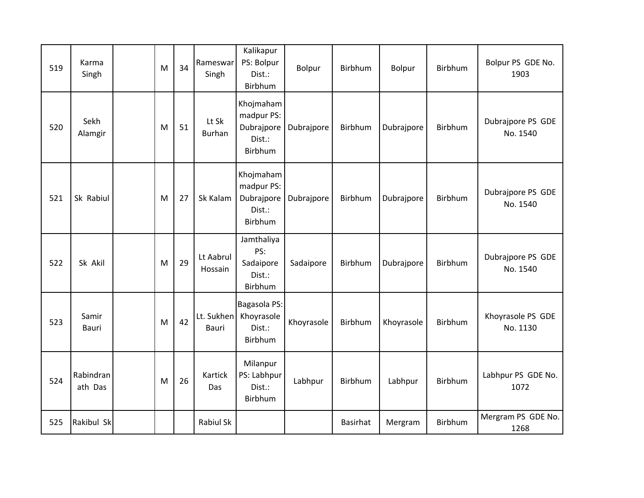| 519 | Karma<br>Singh       | M | 34 | Rameswar<br>Singh          | Kalikapur<br>PS: Bolpur<br>Dist.:<br>Birbhum               | Bolpur     | Birbhum         | Bolpur     | Birbhum        | Bolpur PS GDE No.<br>1903     |
|-----|----------------------|---|----|----------------------------|------------------------------------------------------------|------------|-----------------|------------|----------------|-------------------------------|
| 520 | Sekh<br>Alamgir      | M | 51 | Lt Sk<br>Burhan            | Khojmaham<br>madpur PS:<br>Dubrajpore<br>Dist.:<br>Birbhum | Dubrajpore | Birbhum         | Dubrajpore | <b>Birbhum</b> | Dubrajpore PS GDE<br>No. 1540 |
| 521 | Sk Rabiul            | M | 27 | Sk Kalam                   | Khojmaham<br>madpur PS:<br>Dubrajpore<br>Dist.:<br>Birbhum | Dubrajpore | Birbhum         | Dubrajpore | Birbhum        | Dubrajpore PS GDE<br>No. 1540 |
| 522 | Sk Akil              | M | 29 | Lt Aabrul<br>Hossain       | Jamthaliya<br>PS:<br>Sadaipore<br>Dist.:<br>Birbhum        | Sadaipore  | Birbhum         | Dubrajpore | <b>Birbhum</b> | Dubrajpore PS GDE<br>No. 1540 |
| 523 | Samir<br>Bauri       | M | 42 | Lt. Sukhen<br><b>Bauri</b> | Bagasola PS:<br>Khoyrasole<br>Dist.:<br>Birbhum            | Khoyrasole | Birbhum         | Khoyrasole | Birbhum        | Khoyrasole PS GDE<br>No. 1130 |
| 524 | Rabindran<br>ath Das | M | 26 | Kartick<br>Das             | Milanpur<br>PS: Labhpur<br>Dist.:<br>Birbhum               | Labhpur    | Birbhum         | Labhpur    | Birbhum        | Labhpur PS GDE No.<br>1072    |
| 525 | Rakibul Sk           |   |    | Rabiul Sk                  |                                                            |            | <b>Basirhat</b> | Mergram    | Birbhum        | Mergram PS GDE No.<br>1268    |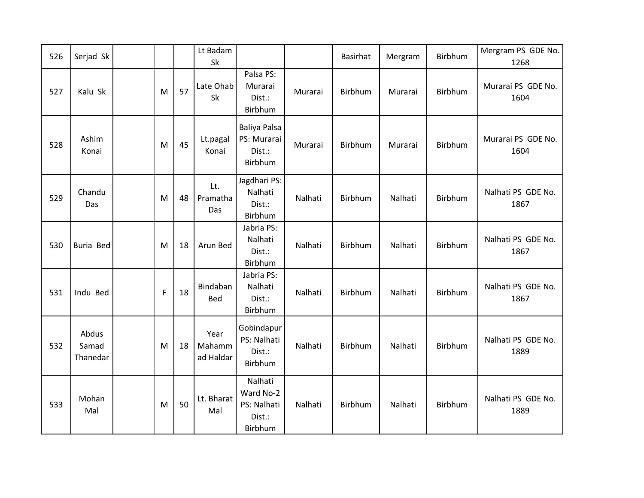| 526 | Serjad Sk                  |              |    | Lt Badam<br>Sk              |                                                          |         | <b>Basirhat</b> | Mergram | Birbhum | Mergram PS GDE No.<br>1268 |
|-----|----------------------------|--------------|----|-----------------------------|----------------------------------------------------------|---------|-----------------|---------|---------|----------------------------|
| 527 | Kalu Sk                    | M            | 57 | Late Ohab<br>Sk             | Palsa PS:<br>Murarai<br>Dist.:<br>Birbhum                | Murarai | Birbhum         | Murarai | Birbhum | Murarai PS GDE No.<br>1604 |
| 528 | Ashim<br>Konai             | M            | 45 | Lt.pagal<br>Konai           | <b>Baliya Palsa</b><br>PS: Murarai<br>Dist.:<br>Birbhum  | Murarai | Birbhum         | Murarai | Birbhum | Murarai PS GDE No.<br>1604 |
| 529 | Chandu<br>Das              | M            | 48 | Lt.<br>Pramatha<br>Das      | Jagdhari PS:<br>Nalhati<br>Dist.:<br>Birbhum             | Nalhati | Birbhum         | Nalhati | Birbhum | Nalhati PS GDE No.<br>1867 |
| 530 | Buria Bed                  | M            | 18 | Arun Bed                    | Jabria PS:<br>Nalhati<br>Dist.:<br>Birbhum               | Nalhati | Birbhum         | Nalhati | Birbhum | Nalhati PS GDE No.<br>1867 |
| 531 | Indu Bed                   | $\mathsf{F}$ | 18 | Bindaban<br>Bed             | Jabria PS:<br>Nalhati<br>Dist.:<br>Birbhum               | Nalhati | Birbhum         | Nalhati | Birbhum | Nalhati PS GDE No.<br>1867 |
| 532 | Abdus<br>Samad<br>Thanedar | M            | 18 | Year<br>Mahamm<br>ad Haldar | Gobindapur<br>PS: Nalhati<br>Dist.:<br>Birbhum           | Nalhati | Birbhum         | Nalhati | Birbhum | Nalhati PS GDE No.<br>1889 |
| 533 | Mohan<br>Mal               | M            | 50 | Lt. Bharat<br>Mal           | Nalhati<br>Ward No-2<br>PS: Nalhati<br>Dist.:<br>Birbhum | Nalhati | Birbhum         | Nalhati | Birbhum | Nalhati PS GDE No.<br>1889 |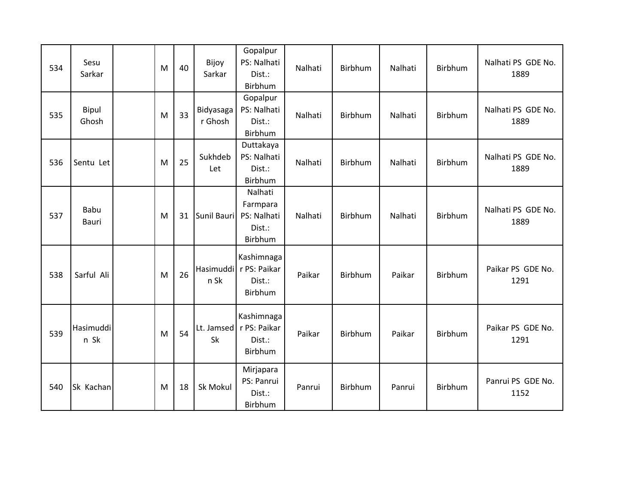| 534 | Sesu<br>Sarkar    | M | 40 | Bijoy<br>Sarkar      | Gopalpur<br>PS: Nalhati<br>Dist.:<br>Birbhum              | Nalhati | Birbhum | Nalhati | Birbhum        | Nalhati PS GDE No.<br>1889 |
|-----|-------------------|---|----|----------------------|-----------------------------------------------------------|---------|---------|---------|----------------|----------------------------|
| 535 | Bipul<br>Ghosh    | M | 33 | Bidyasaga<br>r Ghosh | Gopalpur<br>PS: Nalhati<br>Dist.:<br>Birbhum              | Nalhati | Birbhum | Nalhati | <b>Birbhum</b> | Nalhati PS GDE No.<br>1889 |
| 536 | Sentu Let         | M | 25 | Sukhdeb<br>Let       | Duttakaya<br>PS: Nalhati<br>Dist.:<br>Birbhum             | Nalhati | Birbhum | Nalhati | <b>Birbhum</b> | Nalhati PS GDE No.<br>1889 |
| 537 | Babu<br>Bauri     | M | 31 | Sunil Bauri          | Nalhati<br>Farmpara<br>PS: Nalhati<br>Dist.:<br>Birbhum   | Nalhati | Birbhum | Nalhati | Birbhum        | Nalhati PS GDE No.<br>1889 |
| 538 | Sarful Ali        | M | 26 | n Sk                 | Kashimnaga<br>Hasimuddi r PS: Paikar<br>Dist.:<br>Birbhum | Paikar  | Birbhum | Paikar  | Birbhum        | Paikar PS GDE No.<br>1291  |
| 539 | Hasimuddi<br>n Sk | M | 54 | Lt. Jamsed<br>Sk     | Kashimnaga<br>r PS: Paikar<br>Dist.:<br>Birbhum           | Paikar  | Birbhum | Paikar  | Birbhum        | Paikar PS GDE No.<br>1291  |
| 540 | Sk Kachan         | M | 18 | Sk Mokul             | Mirjapara<br>PS: Panrui<br>Dist.:<br>Birbhum              | Panrui  | Birbhum | Panrui  | Birbhum        | Panrui PS GDE No.<br>1152  |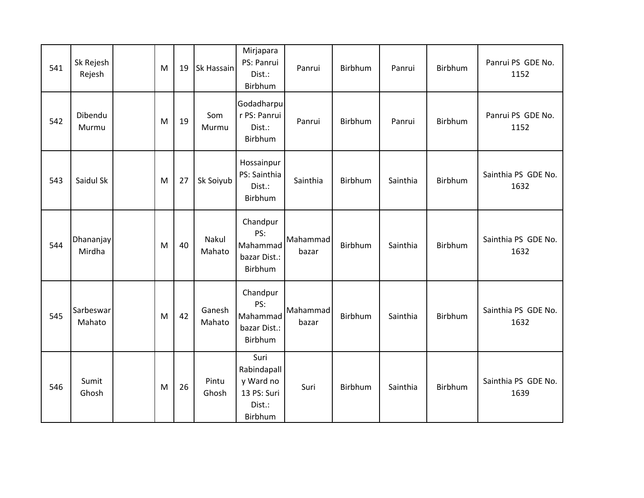| 541 | Sk Rejesh<br>Rejesh | M | 19 | Sk Hassain       | Mirjapara<br>PS: Panrui<br>Dist.:<br>Birbhum                         | Panrui            | Birbhum | Panrui   | Birbhum        | Panrui PS GDE No.<br>1152   |
|-----|---------------------|---|----|------------------|----------------------------------------------------------------------|-------------------|---------|----------|----------------|-----------------------------|
| 542 | Dibendu<br>Murmu    | M | 19 | Som<br>Murmu     | Godadharpu<br>r PS: Panrui<br>Dist.:<br>Birbhum                      | Panrui            | Birbhum | Panrui   | Birbhum        | Panrui PS GDE No.<br>1152   |
| 543 | Saidul Sk           | M | 27 | Sk Soiyub        | Hossainpur<br>PS: Sainthia<br>Dist.:<br>Birbhum                      | Sainthia          | Birbhum | Sainthia | Birbhum        | Sainthia PS GDE No.<br>1632 |
| 544 | Dhananjay<br>Mirdha | M | 40 | Nakul<br>Mahato  | Chandpur<br>PS:<br>Mahammad<br>bazar Dist.:<br>Birbhum               | Mahammad<br>bazar | Birbhum | Sainthia | Birbhum        | Sainthia PS GDE No.<br>1632 |
| 545 | Sarbeswar<br>Mahato | M | 42 | Ganesh<br>Mahato | Chandpur<br>PS:<br>Mahammad<br>bazar Dist.:<br>Birbhum               | Mahammad<br>bazar | Birbhum | Sainthia | Birbhum        | Sainthia PS GDE No.<br>1632 |
| 546 | Sumit<br>Ghosh      | M | 26 | Pintu<br>Ghosh   | Suri<br>Rabindapall<br>y Ward no<br>13 PS: Suri<br>Dist.:<br>Birbhum | Suri              | Birbhum | Sainthia | <b>Birbhum</b> | Sainthia PS GDE No.<br>1639 |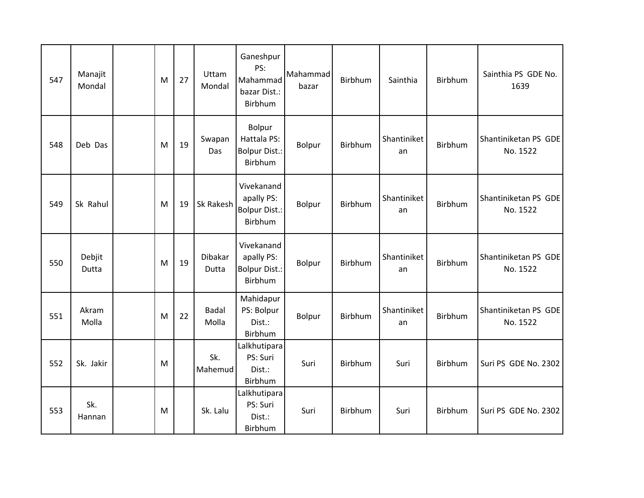| 547 | Manajit<br>Mondal | M | 27 | Uttam<br>Mondal       | Ganeshpur<br>PS:<br>Mahammad<br>bazar Dist.:<br>Birbhum     | Mahammad<br>bazar | Birbhum | Sainthia          | <b>Birbhum</b> | Sainthia PS GDE No.<br>1639      |
|-----|-------------------|---|----|-----------------------|-------------------------------------------------------------|-------------------|---------|-------------------|----------------|----------------------------------|
| 548 | Deb Das           | M | 19 | Swapan<br>Das         | Bolpur<br>Hattala PS:<br><b>Bolpur Dist.:</b><br>Birbhum    | Bolpur            | Birbhum | Shantiniket<br>an | Birbhum        | Shantiniketan PS GDE<br>No. 1522 |
| 549 | Sk Rahul          | M | 19 | Sk Rakesh             | Vivekanand<br>apally PS:<br><b>Bolpur Dist.:</b><br>Birbhum | <b>Bolpur</b>     | Birbhum | Shantiniket<br>an | Birbhum        | Shantiniketan PS GDE<br>No. 1522 |
| 550 | Debjit<br>Dutta   | M | 19 | Dibakar<br>Dutta      | Vivekanand<br>apally PS:<br><b>Bolpur Dist.:</b><br>Birbhum | <b>Bolpur</b>     | Birbhum | Shantiniket<br>an | Birbhum        | Shantiniketan PS GDE<br>No. 1522 |
| 551 | Akram<br>Molla    | M | 22 | <b>Badal</b><br>Molla | Mahidapur<br>PS: Bolpur<br>Dist.:<br>Birbhum                | Bolpur            | Birbhum | Shantiniket<br>an | Birbhum        | Shantiniketan PS GDE<br>No. 1522 |
| 552 | Sk. Jakir         | M |    | Sk.<br>Mahemud        | Lalkhutipara<br>PS: Suri<br>Dist.:<br>Birbhum               | Suri              | Birbhum | Suri              | Birbhum        | Suri PS GDE No. 2302             |
| 553 | Sk.<br>Hannan     | M |    | Sk. Lalu              | Lalkhutipara<br>PS: Suri<br>Dist.:<br>Birbhum               | Suri              | Birbhum | Suri              | Birbhum        | Suri PS GDE No. 2302             |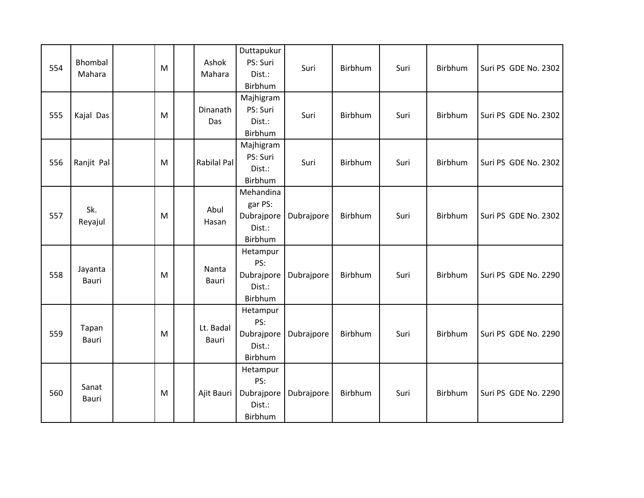| 554 | Bhombal<br>Mahara | M | Ashok<br>Mahara    | Duttapukur<br>PS: Suri<br>Dist.:<br>Birbhum             | Suri       | Birbhum | Suri | Birbhum | Suri PS GDE No. 2302 |
|-----|-------------------|---|--------------------|---------------------------------------------------------|------------|---------|------|---------|----------------------|
| 555 | Kajal Das         | M | Dinanath<br>Das    | Majhigram<br>PS: Suri<br>Dist.:<br>Birbhum              | Suri       | Birbhum | Suri | Birbhum | Suri PS GDE No. 2302 |
| 556 | Ranjit Pal        | M | Rabilal Pal        | Majhigram<br>PS: Suri<br>Dist.:<br>Birbhum              | Suri       | Birbhum | Suri | Birbhum | Suri PS GDE No. 2302 |
| 557 | Sk.<br>Reyajul    | M | Abul<br>Hasan      | Mehandina<br>gar PS:<br>Dubrajpore<br>Dist.:<br>Birbhum | Dubrajpore | Birbhum | Suri | Birbhum | Suri PS GDE No. 2302 |
| 558 | Jayanta<br>Bauri  | M | Nanta<br>Bauri     | Hetampur<br>PS:<br>Dubrajpore<br>Dist.:<br>Birbhum      | Dubrajpore | Birbhum | Suri | Birbhum | Suri PS GDE No. 2290 |
| 559 | Tapan<br>Bauri    | M | Lt. Badal<br>Bauri | Hetampur<br>PS:<br>Dubrajpore<br>Dist.:<br>Birbhum      | Dubrajpore | Birbhum | Suri | Birbhum | Suri PS GDE No. 2290 |
| 560 | Sanat<br>Bauri    | M | Ajit Bauri         | Hetampur<br>PS:<br>Dubrajpore<br>Dist.:<br>Birbhum      | Dubrajpore | Birbhum | Suri | Birbhum | Suri PS GDE No. 2290 |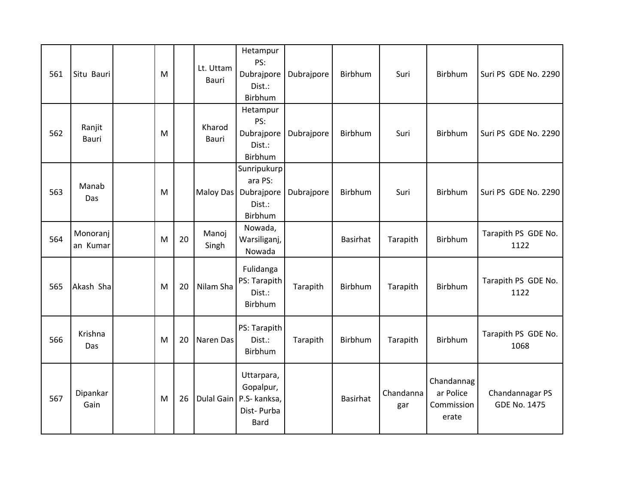| 561 | Situ Bauri           | M |    | Lt. Uttam<br>Bauri | Hetampur<br>PS:<br>Dubrajpore<br>Dist.:<br>Birbhum                   | Dubrajpore | Birbhum         | Suri             | Birbhum                                        | Suri PS GDE No. 2290                   |
|-----|----------------------|---|----|--------------------|----------------------------------------------------------------------|------------|-----------------|------------------|------------------------------------------------|----------------------------------------|
| 562 | Ranjit<br>Bauri      | M |    | Kharod<br>Bauri    | Hetampur<br>PS:<br>Dubrajpore<br>Dist.:<br>Birbhum                   | Dubrajpore | Birbhum         | Suri             | Birbhum                                        | Suri PS GDE No. 2290                   |
| 563 | Manab<br>Das         | M |    | <b>Maloy Das</b>   | Sunripukurp<br>ara PS:<br>Dubrajpore<br>Dist.:<br>Birbhum            | Dubrajpore | Birbhum         | Suri             | Birbhum                                        | Suri PS GDE No. 2290                   |
| 564 | Monoranj<br>an Kumar | M | 20 | Manoj<br>Singh     | Nowada,<br>Warsiliganj,<br>Nowada                                    |            | <b>Basirhat</b> | Tarapith         | Birbhum                                        | Tarapith PS GDE No.<br>1122            |
| 565 | Akash Sha            | M | 20 | Nilam Sha          | Fulidanga<br>PS: Tarapith<br>Dist.:<br>Birbhum                       | Tarapith   | Birbhum         | Tarapith         | <b>Birbhum</b>                                 | Tarapith PS GDE No.<br>1122            |
| 566 | Krishna<br>Das       | M | 20 | Naren Das          | PS: Tarapith<br>Dist.:<br>Birbhum                                    | Tarapith   | Birbhum         | Tarapith         | Birbhum                                        | Tarapith PS GDE No.<br>1068            |
| 567 | Dipankar<br>Gain     | M | 26 | Dulal Gain         | Uttarpara,<br>Gopalpur,<br>P.S- kanksa,<br>Dist-Purba<br><b>Bard</b> |            | Basirhat        | Chandanna<br>gar | Chandannag<br>ar Police<br>Commission<br>erate | Chandannagar PS<br><b>GDE No. 1475</b> |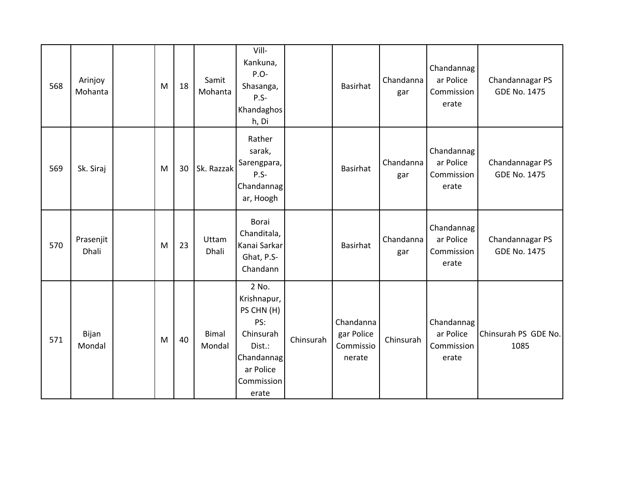| 568 | Arinjoy<br>Mohanta | M | 18 | Samit<br>Mohanta       | Vill-<br>Kankuna,<br>P.O-<br>Shasanga,<br>$P.S -$<br>Khandaghos<br>h, Di                                           |           | Basirhat                                       | Chandanna<br>gar | Chandannag<br>ar Police<br>Commission<br>erate | Chandannagar PS<br><b>GDE No. 1475</b> |
|-----|--------------------|---|----|------------------------|--------------------------------------------------------------------------------------------------------------------|-----------|------------------------------------------------|------------------|------------------------------------------------|----------------------------------------|
| 569 | Sk. Siraj          | M | 30 | Sk. Razzak             | Rather<br>sarak,<br>Sarengpara,<br>$P.S-$<br>Chandannag<br>ar, Hoogh                                               |           | Basirhat                                       | Chandanna<br>gar | Chandannag<br>ar Police<br>Commission<br>erate | Chandannagar PS<br><b>GDE No. 1475</b> |
| 570 | Prasenjit<br>Dhali | M | 23 | Uttam<br>Dhali         | Borai<br>Chanditala,<br>Kanai Sarkar<br>Ghat, P.S-<br>Chandann                                                     |           | <b>Basirhat</b>                                | Chandanna<br>gar | Chandannag<br>ar Police<br>Commission<br>erate | Chandannagar PS<br><b>GDE No. 1475</b> |
| 571 | Bijan<br>Mondal    | M | 40 | <b>Bimal</b><br>Mondal | 2 No.<br>Krishnapur,<br>PS CHN (H)<br>PS:<br>Chinsurah<br>Dist.:<br>Chandannag<br>ar Police<br>Commission<br>erate | Chinsurah | Chandanna<br>gar Police<br>Commissio<br>nerate | Chinsurah        | Chandannag<br>ar Police<br>Commission<br>erate | Chinsurah PS GDE No.<br>1085           |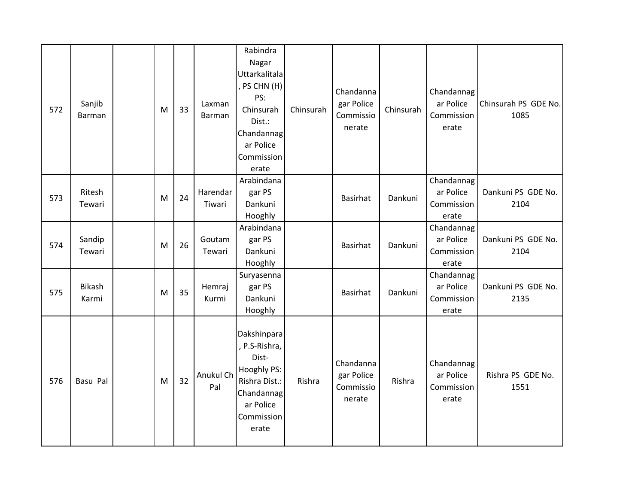| 572 | Sanjib<br><b>Barman</b> | M | 33 | Laxman<br>Barman   | Rabindra<br>Nagar<br>Uttarkalitala<br>, PS CHN (H)<br>PS:<br>Chinsurah<br>Dist.:<br>Chandannag<br>ar Police<br>Commission<br>erate | Chinsurah | Chandanna<br>gar Police<br>Commissio<br>nerate | Chinsurah | Chandannag<br>ar Police<br>Commission<br>erate | Chinsurah PS GDE No.<br>1085 |
|-----|-------------------------|---|----|--------------------|------------------------------------------------------------------------------------------------------------------------------------|-----------|------------------------------------------------|-----------|------------------------------------------------|------------------------------|
| 573 | Ritesh<br>Tewari        | M | 24 | Harendar<br>Tiwari | Arabindana<br>gar PS<br>Dankuni<br>Hooghly                                                                                         |           | <b>Basirhat</b>                                | Dankuni   | Chandannag<br>ar Police<br>Commission<br>erate | Dankuni PS GDE No.<br>2104   |
| 574 | Sandip<br>Tewari        | M | 26 | Goutam<br>Tewari   | Arabindana<br>gar PS<br>Dankuni<br>Hooghly                                                                                         |           | <b>Basirhat</b>                                | Dankuni   | Chandannag<br>ar Police<br>Commission<br>erate | Dankuni PS GDE No.<br>2104   |
| 575 | Bikash<br>Karmi         | M | 35 | Hemraj<br>Kurmi    | Suryasenna<br>gar PS<br>Dankuni<br>Hooghly                                                                                         |           | <b>Basirhat</b>                                | Dankuni   | Chandannag<br>ar Police<br>Commission<br>erate | Dankuni PS GDE No.<br>2135   |
| 576 | Basu Pal                | M | 32 | Anukul Ch<br>Pal   | Dakshinpara<br>, P.S-Rishra,<br>Dist-<br>Hooghly PS:<br>Rishra Dist.:<br>Chandannag<br>ar Police<br>Commission<br>erate            | Rishra    | Chandanna<br>gar Police<br>Commissio<br>nerate | Rishra    | Chandannag<br>ar Police<br>Commission<br>erate | Rishra PS GDE No.<br>1551    |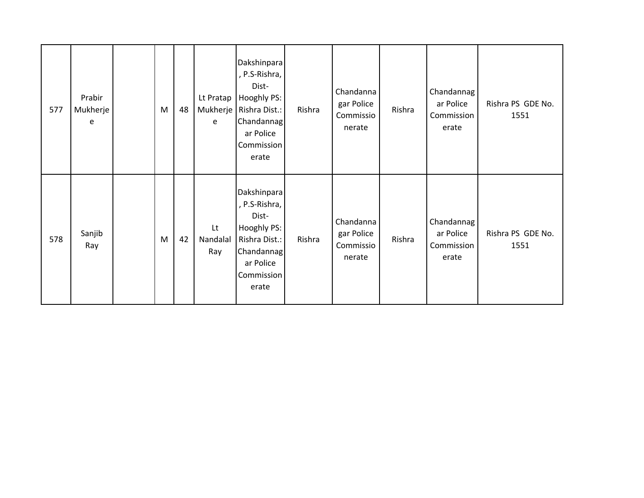| 577 | Prabir<br>Mukherje<br>e | M | 48 | e                     | Dakshinpara<br>, P.S-Rishra,<br>Dist-<br>Lt Pratap   Hooghly PS:<br>Mukherje   Rishra Dist.:<br>Chandannag<br>ar Police<br>Commission<br>erate | Rishra | Chandanna<br>gar Police<br>Commissio<br>nerate | Rishra | Chandannag<br>ar Police<br>Commission<br>erate | Rishra PS GDE No.<br>1551 |
|-----|-------------------------|---|----|-----------------------|------------------------------------------------------------------------------------------------------------------------------------------------|--------|------------------------------------------------|--------|------------------------------------------------|---------------------------|
| 578 | Sanjib<br>Ray           | M | 42 | Lt<br>Nandalal<br>Ray | Dakshinpara<br>, P.S-Rishra,<br>Dist-<br>Hooghly PS:<br>Rishra Dist.:<br>Chandannag<br>ar Police<br>Commission<br>erate                        | Rishra | Chandanna<br>gar Police<br>Commissio<br>nerate | Rishra | Chandannag<br>ar Police<br>Commission<br>erate | Rishra PS GDE No.<br>1551 |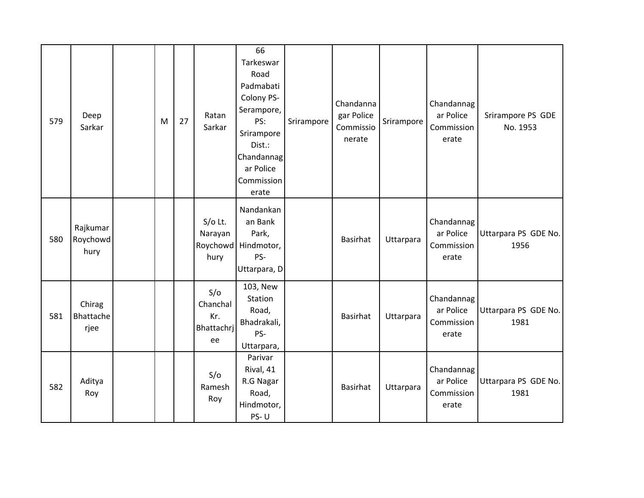| 579 | Deep<br>Sarkar               | M | 27 | Ratan<br>Sarkar                            | 66<br>Tarkeswar<br>Road<br>Padmabati<br>Colony PS-<br>Serampore,<br>PS:<br>Srirampore<br>Dist.:<br>Chandannag<br>ar Police<br>Commission<br>erate | Srirampore | Chandanna<br>gar Police<br>Commissio<br>nerate | Srirampore | Chandannag<br>ar Police<br>Commission<br>erate | Srirampore PS GDE<br>No. 1953 |
|-----|------------------------------|---|----|--------------------------------------------|---------------------------------------------------------------------------------------------------------------------------------------------------|------------|------------------------------------------------|------------|------------------------------------------------|-------------------------------|
| 580 | Rajkumar<br>Roychowd<br>hury |   |    | $S/O$ Lt.<br>Narayan<br>Roychowd<br>hury   | Nandankan<br>an Bank<br>Park,<br>Hindmotor,<br>PS-<br>Uttarpara, D                                                                                |            | <b>Basirhat</b>                                | Uttarpara  | Chandannag<br>ar Police<br>Commission<br>erate | Uttarpara PS GDE No.<br>1956  |
| 581 | Chirag<br>Bhattache<br>rjee  |   |    | S/O<br>Chanchal<br>Kr.<br>Bhattachri<br>ee | 103, New<br>Station<br>Road,<br>Bhadrakali,<br>PS-<br>Uttarpara,                                                                                  |            | Basirhat                                       | Uttarpara  | Chandannag<br>ar Police<br>Commission<br>erate | Uttarpara PS GDE No.<br>1981  |
| 582 | Aditya<br>Roy                |   |    | S/O<br>Ramesh<br>Roy                       | Parivar<br>Rival, 41<br>R.G Nagar<br>Road,<br>Hindmotor,<br>PS-U                                                                                  |            | Basirhat                                       | Uttarpara  | Chandannag<br>ar Police<br>Commission<br>erate | Uttarpara PS GDE No.<br>1981  |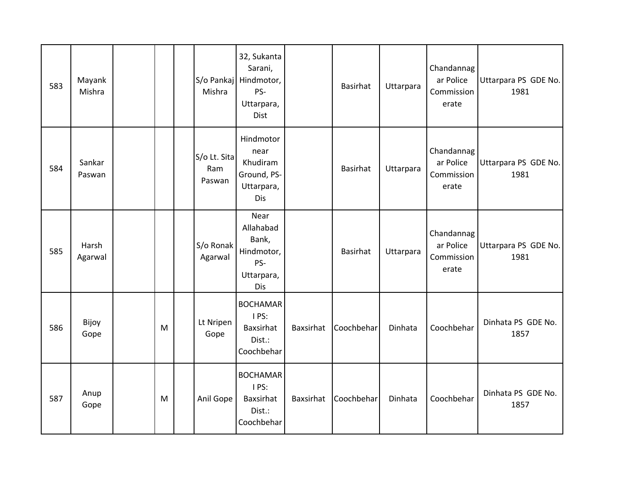| 583 | Mayank<br>Mishra |   | Mishra                        | 32, Sukanta<br>Sarani,<br>S/o Pankaj Hindmotor,<br>PS-<br>Uttarpara,<br>Dist |           | <b>Basirhat</b> | Uttarpara | Chandannag<br>ar Police<br>Commission<br>erate | Uttarpara PS GDE No.<br>1981 |
|-----|------------------|---|-------------------------------|------------------------------------------------------------------------------|-----------|-----------------|-----------|------------------------------------------------|------------------------------|
| 584 | Sankar<br>Paswan |   | S/o Lt. Sita<br>Ram<br>Paswan | Hindmotor<br>near<br>Khudiram<br>Ground, PS-<br>Uttarpara,<br>Dis            |           | Basirhat        | Uttarpara | Chandannag<br>ar Police<br>Commission<br>erate | Uttarpara PS GDE No.<br>1981 |
| 585 | Harsh<br>Agarwal |   | S/o Ronak<br>Agarwal          | Near<br>Allahabad<br>Bank,<br>Hindmotor,<br>PS-<br>Uttarpara,<br>Dis         |           | <b>Basirhat</b> | Uttarpara | Chandannag<br>ar Police<br>Commission<br>erate | Uttarpara PS GDE No.<br>1981 |
| 586 | Bijoy<br>Gope    | M | Lt Nripen<br>Gope             | <b>BOCHAMAR</b><br>I PS:<br>Baxsirhat<br>Dist.:<br>Coochbehar                | Baxsirhat | Coochbehar      | Dinhata   | Coochbehar                                     | Dinhata PS GDE No.<br>1857   |
| 587 | Anup<br>Gope     | M | Anil Gope                     | <b>BOCHAMAR</b><br>I PS:<br>Baxsirhat<br>Dist.:<br>Coochbehar                | Baxsirhat | Coochbehar      | Dinhata   | Coochbehar                                     | Dinhata PS GDE No.<br>1857   |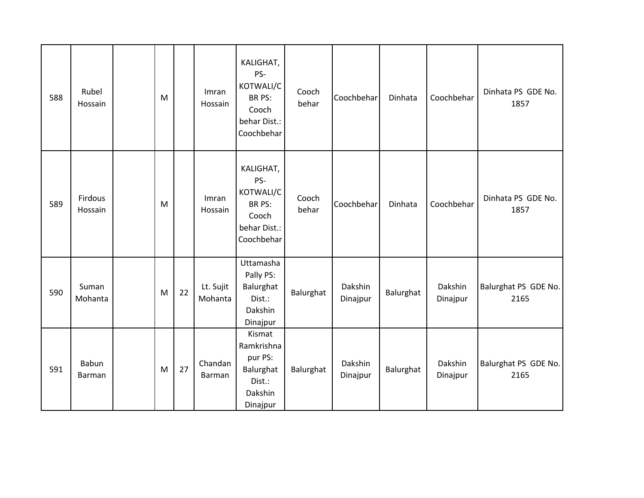| 588 | Rubel<br>Hossain   | M |    | Imran<br>Hossain     | KALIGHAT,<br>PS-<br>KOTWALI/C<br>BR PS:<br>Cooch<br>behar Dist.:<br>Coochbehar | Cooch<br>behar | Coochbehar          | Dinhata   | Coochbehar          | Dinhata PS GDE No.<br>1857   |
|-----|--------------------|---|----|----------------------|--------------------------------------------------------------------------------|----------------|---------------------|-----------|---------------------|------------------------------|
| 589 | Firdous<br>Hossain | M |    | Imran<br>Hossain     | KALIGHAT,<br>PS-<br>KOTWALI/C<br>BR PS:<br>Cooch<br>behar Dist.:<br>Coochbehar | Cooch<br>behar | Coochbehar          | Dinhata   | Coochbehar          | Dinhata PS GDE No.<br>1857   |
| 590 | Suman<br>Mohanta   | M | 22 | Lt. Sujit<br>Mohanta | Uttamasha<br>Pally PS:<br>Balurghat<br>Dist.:<br>Dakshin<br>Dinajpur           | Balurghat      | Dakshin<br>Dinajpur | Balurghat | Dakshin<br>Dinajpur | Balurghat PS GDE No.<br>2165 |
| 591 | Babun<br>Barman    | M | 27 | Chandan<br>Barman    | Kismat<br>Ramkrishna<br>pur PS:<br>Balurghat<br>Dist.:<br>Dakshin<br>Dinajpur  | Balurghat      | Dakshin<br>Dinajpur | Balurghat | Dakshin<br>Dinajpur | Balurghat PS GDE No.<br>2165 |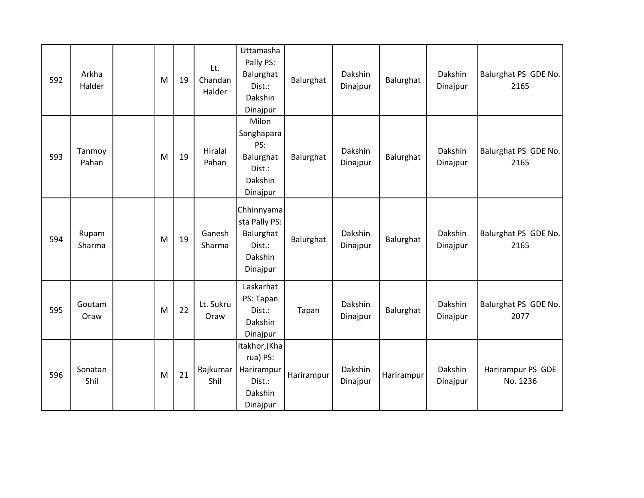| 592 | Arkha<br>Halder | M | 19 | Lt.<br>Chandan<br>Halder | Uttamasha<br>Pally PS:<br>Balurghat<br>Dist.:<br>Dakshin<br>Dinajpur      | Balurghat  | Dakshin<br>Dinajpur | Balurghat  | Dakshin<br>Dinajpur | Balurghat PS GDE No.<br>2165  |
|-----|-----------------|---|----|--------------------------|---------------------------------------------------------------------------|------------|---------------------|------------|---------------------|-------------------------------|
| 593 | Tanmoy<br>Pahan | M | 19 | Hiralal<br>Pahan         | Milon<br>Sanghapara<br>PS:<br>Balurghat<br>Dist.:<br>Dakshin<br>Dinajpur  | Balurghat  | Dakshin<br>Dinajpur | Balurghat  | Dakshin<br>Dinajpur | Balurghat PS GDE No.<br>2165  |
| 594 | Rupam<br>Sharma | M | 19 | Ganesh<br>Sharma         | Chhinnyama<br>sta Pally PS:<br>Balurghat<br>Dist.:<br>Dakshin<br>Dinajpur | Balurghat  | Dakshin<br>Dinajpur | Balurghat  | Dakshin<br>Dinajpur | Balurghat PS GDE No.<br>2165  |
| 595 | Goutam<br>Oraw  | M | 22 | Lt. Sukru<br>Oraw        | Laskarhat<br>PS: Tapan<br>Dist.:<br>Dakshin<br>Dinajpur                   | Tapan      | Dakshin<br>Dinajpur | Balurghat  | Dakshin<br>Dinajpur | Balurghat PS GDE No.<br>2077  |
| 596 | Sonatan<br>Shil | M | 21 | Rajkumar<br>Shil         | Itakhor, (Kha<br>rua) PS:<br>Harirampur<br>Dist.:<br>Dakshin<br>Dinajpur  | Harirampur | Dakshin<br>Dinajpur | Harirampur | Dakshin<br>Dinajpur | Harirampur PS GDE<br>No. 1236 |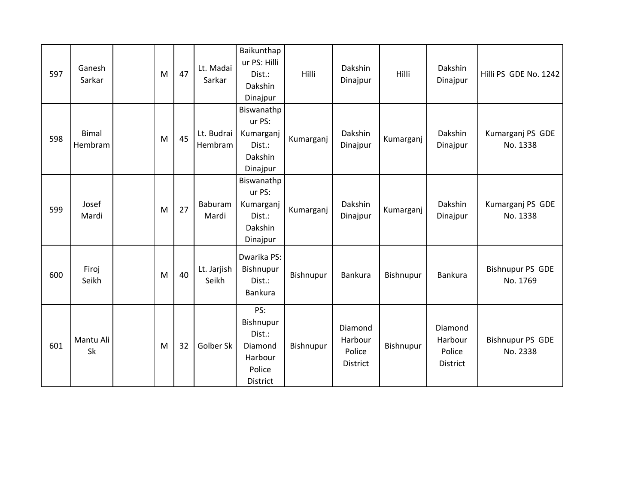| 597 | Ganesh<br>Sarkar        | M | 47 | Lt. Madai<br>Sarkar   | Baikunthap<br>ur PS: Hilli<br>Dist.:<br>Dakshin<br>Dinajpur            | Hilli     | Dakshin<br>Dinajpur                             | Hilli     | Dakshin<br>Dinajpur                             | Hilli PS GDE No. 1242               |
|-----|-------------------------|---|----|-----------------------|------------------------------------------------------------------------|-----------|-------------------------------------------------|-----------|-------------------------------------------------|-------------------------------------|
| 598 | <b>Bimal</b><br>Hembram | M | 45 | Lt. Budrai<br>Hembram | Biswanathp<br>ur PS:<br>Kumarganj<br>Dist.:<br>Dakshin<br>Dinajpur     | Kumarganj | Dakshin<br>Dinajpur                             | Kumarganj | Dakshin<br>Dinajpur                             | Kumarganj PS GDE<br>No. 1338        |
| 599 | Josef<br>Mardi          | M | 27 | Baburam<br>Mardi      | Biswanathp<br>ur PS:<br>Kumarganj<br>Dist.:<br>Dakshin<br>Dinajpur     | Kumarganj | Dakshin<br>Dinajpur                             | Kumarganj | Dakshin<br>Dinajpur                             | Kumarganj PS GDE<br>No. 1338        |
| 600 | Firoj<br>Seikh          | M | 40 | Lt. Jarjish<br>Seikh  | Dwarika PS:<br>Bishnupur<br>Dist.:<br><b>Bankura</b>                   | Bishnupur | Bankura                                         | Bishnupur | <b>Bankura</b>                                  | <b>Bishnupur PS GDE</b><br>No. 1769 |
| 601 | Mantu Ali<br>Sk         | M | 32 | Golber Sk             | PS:<br>Bishnupur<br>Dist.:<br>Diamond<br>Harbour<br>Police<br>District | Bishnupur | Diamond<br>Harbour<br>Police<br><b>District</b> | Bishnupur | Diamond<br>Harbour<br>Police<br><b>District</b> | <b>Bishnupur PS GDE</b><br>No. 2338 |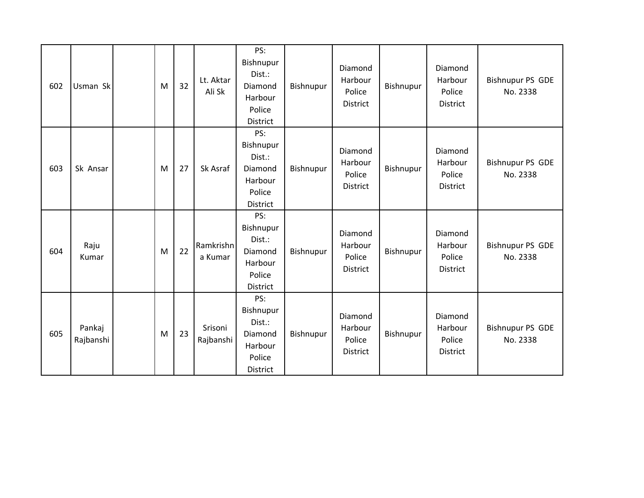| 602 | Usman Sk            | M | 32 | Lt. Aktar<br>Ali Sk  | PS:<br>Bishnupur<br>Dist.:<br>Diamond<br>Harbour<br>Police<br>District | Bishnupur | Diamond<br>Harbour<br>Police<br>District        | Bishnupur | Diamond<br>Harbour<br>Police<br>District | <b>Bishnupur PS GDE</b><br>No. 2338 |
|-----|---------------------|---|----|----------------------|------------------------------------------------------------------------|-----------|-------------------------------------------------|-----------|------------------------------------------|-------------------------------------|
| 603 | Sk Ansar            | M | 27 | Sk Asraf             | PS:<br>Bishnupur<br>Dist.:<br>Diamond<br>Harbour<br>Police<br>District | Bishnupur | Diamond<br>Harbour<br>Police<br><b>District</b> | Bishnupur | Diamond<br>Harbour<br>Police<br>District | <b>Bishnupur PS GDE</b><br>No. 2338 |
| 604 | Raju<br>Kumar       | M | 22 | Ramkrishn<br>a Kumar | PS:<br>Bishnupur<br>Dist.:<br>Diamond<br>Harbour<br>Police<br>District | Bishnupur | Diamond<br>Harbour<br>Police<br>District        | Bishnupur | Diamond<br>Harbour<br>Police<br>District | <b>Bishnupur PS GDE</b><br>No. 2338 |
| 605 | Pankaj<br>Rajbanshi | M | 23 | Srisoni<br>Rajbanshi | PS:<br>Bishnupur<br>Dist.:<br>Diamond<br>Harbour<br>Police<br>District | Bishnupur | Diamond<br>Harbour<br>Police<br><b>District</b> | Bishnupur | Diamond<br>Harbour<br>Police<br>District | <b>Bishnupur PS GDE</b><br>No. 2338 |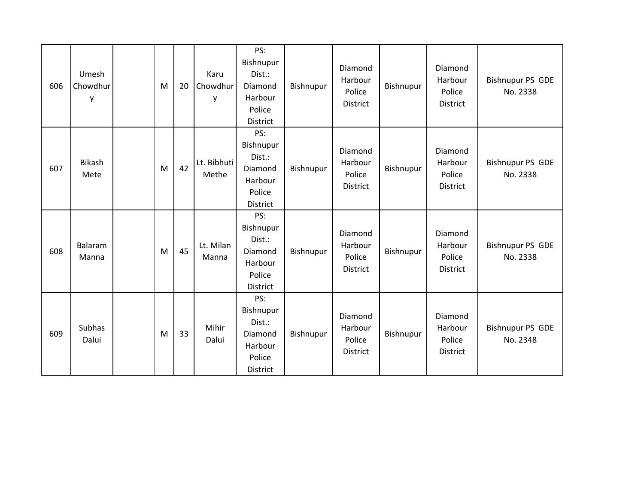| 606 | Umesh<br>Chowdhur<br>y | M | 20 | Karu<br>Chowdhur<br>V | PS:<br>Bishnupur<br>Dist.:<br>Diamond<br>Harbour<br>Police<br>District | Bishnupur | Diamond<br>Harbour<br>Police<br>District        | Bishnupur | Diamond<br>Harbour<br>Police<br>District | <b>Bishnupur PS GDE</b><br>No. 2338 |
|-----|------------------------|---|----|-----------------------|------------------------------------------------------------------------|-----------|-------------------------------------------------|-----------|------------------------------------------|-------------------------------------|
| 607 | <b>Bikash</b><br>Mete  | M | 42 | Lt. Bibhuti<br>Methe  | PS:<br>Bishnupur<br>Dist.:<br>Diamond<br>Harbour<br>Police<br>District | Bishnupur | Diamond<br>Harbour<br>Police<br>District        | Bishnupur | Diamond<br>Harbour<br>Police<br>District | <b>Bishnupur PS GDE</b><br>No. 2338 |
| 608 | Balaram<br>Manna       | M | 45 | Lt. Milan<br>Manna    | PS:<br>Bishnupur<br>Dist.:<br>Diamond<br>Harbour<br>Police<br>District | Bishnupur | Diamond<br>Harbour<br>Police<br><b>District</b> | Bishnupur | Diamond<br>Harbour<br>Police<br>District | <b>Bishnupur PS GDE</b><br>No. 2338 |
| 609 | Subhas<br>Dalui        | M | 33 | Mihir<br>Dalui        | PS:<br>Bishnupur<br>Dist.:<br>Diamond<br>Harbour<br>Police<br>District | Bishnupur | Diamond<br>Harbour<br>Police<br>District        | Bishnupur | Diamond<br>Harbour<br>Police<br>District | <b>Bishnupur PS GDE</b><br>No. 2348 |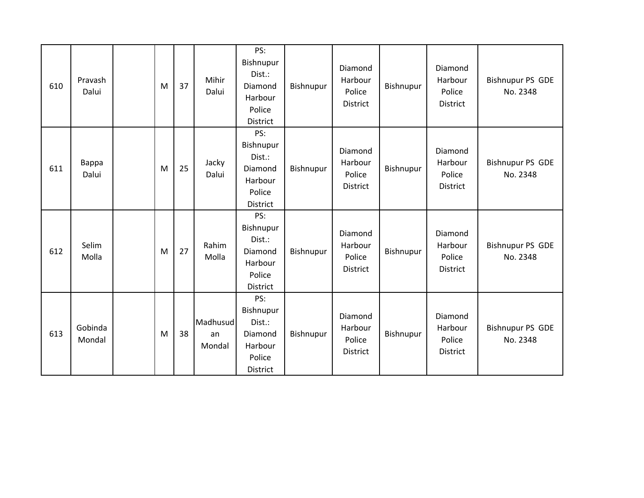| 610 | Pravash<br>Dalui  | M | 37 | Mihir<br>Dalui           | PS:<br>Bishnupur<br>Dist.:<br>Diamond<br>Harbour<br>Police<br>District | Bishnupur | Diamond<br>Harbour<br>Police<br><b>District</b> | Bishnupur | Diamond<br>Harbour<br>Police<br>District | <b>Bishnupur PS GDE</b><br>No. 2348 |
|-----|-------------------|---|----|--------------------------|------------------------------------------------------------------------|-----------|-------------------------------------------------|-----------|------------------------------------------|-------------------------------------|
| 611 | Bappa<br>Dalui    | M | 25 | Jacky<br>Dalui           | PS:<br>Bishnupur<br>Dist.:<br>Diamond<br>Harbour<br>Police<br>District | Bishnupur | Diamond<br>Harbour<br>Police<br>District        | Bishnupur | Diamond<br>Harbour<br>Police<br>District | <b>Bishnupur PS GDE</b><br>No. 2348 |
| 612 | Selim<br>Molla    | M | 27 | Rahim<br>Molla           | PS:<br>Bishnupur<br>Dist.:<br>Diamond<br>Harbour<br>Police<br>District | Bishnupur | Diamond<br>Harbour<br>Police<br><b>District</b> | Bishnupur | Diamond<br>Harbour<br>Police<br>District | <b>Bishnupur PS GDE</b><br>No. 2348 |
| 613 | Gobinda<br>Mondal | M | 38 | Madhusud<br>an<br>Mondal | PS:<br>Bishnupur<br>Dist.:<br>Diamond<br>Harbour<br>Police<br>District | Bishnupur | Diamond<br>Harbour<br>Police<br>District        | Bishnupur | Diamond<br>Harbour<br>Police<br>District | <b>Bishnupur PS GDE</b><br>No. 2348 |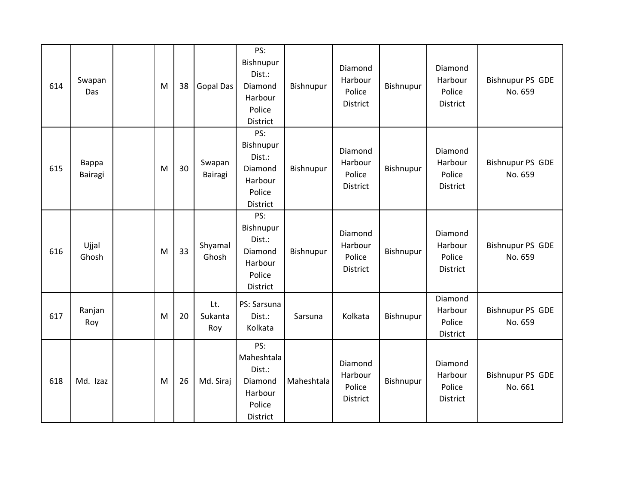| 614 | Swapan<br>Das    | M | 38 | Gopal Das             | PS:<br>Bishnupur<br>Dist.:<br>Diamond<br>Harbour<br>Police<br>District        | Bishnupur  | Diamond<br>Harbour<br>Police<br>District | Bishnupur | Diamond<br>Harbour<br>Police<br>District | <b>Bishnupur PS GDE</b><br>No. 659 |
|-----|------------------|---|----|-----------------------|-------------------------------------------------------------------------------|------------|------------------------------------------|-----------|------------------------------------------|------------------------------------|
| 615 | Bappa<br>Bairagi | M | 30 | Swapan<br>Bairagi     | PS:<br>Bishnupur<br>Dist.:<br>Diamond<br>Harbour<br>Police<br><b>District</b> | Bishnupur  | Diamond<br>Harbour<br>Police<br>District | Bishnupur | Diamond<br>Harbour<br>Police<br>District | <b>Bishnupur PS GDE</b><br>No. 659 |
| 616 | Ujjal<br>Ghosh   | M | 33 | Shyamal<br>Ghosh      | PS:<br>Bishnupur<br>Dist.:<br>Diamond<br>Harbour<br>Police<br>District        | Bishnupur  | Diamond<br>Harbour<br>Police<br>District | Bishnupur | Diamond<br>Harbour<br>Police<br>District | <b>Bishnupur PS GDE</b><br>No. 659 |
| 617 | Ranjan<br>Roy    | M | 20 | Lt.<br>Sukanta<br>Roy | PS: Sarsuna<br>Dist.:<br>Kolkata                                              | Sarsuna    | Kolkata                                  | Bishnupur | Diamond<br>Harbour<br>Police<br>District | <b>Bishnupur PS GDE</b><br>No. 659 |
| 618 | Md. Izaz         | M | 26 | Md. Siraj             | PS:<br>Maheshtala<br>Dist.:<br>Diamond<br>Harbour<br>Police<br>District       | Maheshtala | Diamond<br>Harbour<br>Police<br>District | Bishnupur | Diamond<br>Harbour<br>Police<br>District | <b>Bishnupur PS GDE</b><br>No. 661 |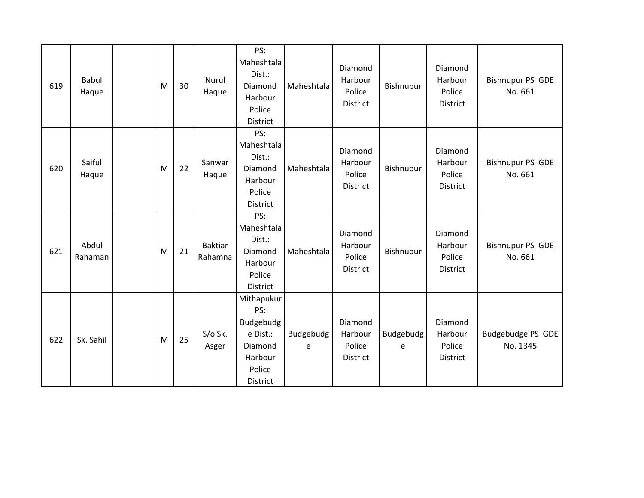| 619 | <b>Babul</b><br>Haque | M | 30 | Nurul<br>Haque            | PS:<br>Maheshtala<br>Dist.:<br>Diamond<br>Harbour<br>Police<br>District                | Maheshtala     | Diamond<br>Harbour<br>Police<br><b>District</b> | Bishnupur      | Diamond<br>Harbour<br>Police<br>District | <b>Bishnupur PS GDE</b><br>No. 661 |
|-----|-----------------------|---|----|---------------------------|----------------------------------------------------------------------------------------|----------------|-------------------------------------------------|----------------|------------------------------------------|------------------------------------|
| 620 | Saiful<br>Haque       | M | 22 | Sanwar<br>Haque           | PS:<br>Maheshtala<br>Dist.:<br>Diamond<br>Harbour<br>Police<br>District                | Maheshtala     | Diamond<br>Harbour<br>Police<br>District        | Bishnupur      | Diamond<br>Harbour<br>Police<br>District | <b>Bishnupur PS GDE</b><br>No. 661 |
| 621 | Abdul<br>Rahaman      | M | 21 | <b>Baktiar</b><br>Rahamna | PS:<br>Maheshtala<br>Dist.:<br>Diamond<br>Harbour<br>Police<br>District                | Maheshtala     | Diamond<br>Harbour<br>Police<br>District        | Bishnupur      | Diamond<br>Harbour<br>Police<br>District | <b>Bishnupur PS GDE</b><br>No. 661 |
| 622 | Sk. Sahil             | M | 25 | $S/O$ Sk.<br>Asger        | Mithapukur<br>PS:<br>Budgebudg<br>e Dist.:<br>Diamond<br>Harbour<br>Police<br>District | Budgebudg<br>e | Diamond<br>Harbour<br>Police<br>District        | Budgebudg<br>e | Diamond<br>Harbour<br>Police<br>District | Budgebudge PS GDE<br>No. 1345      |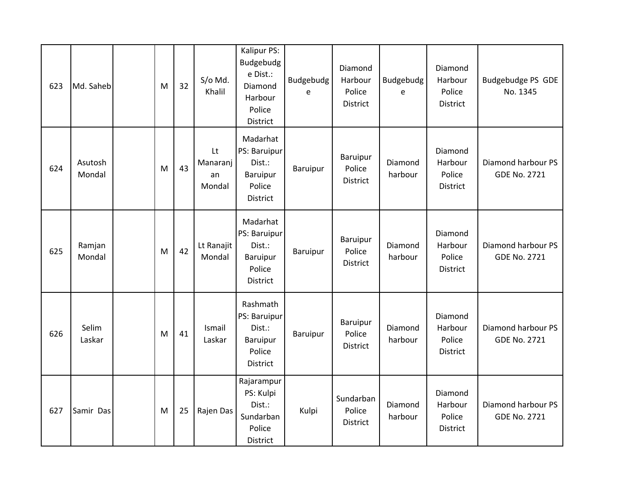| 623 | Md. Saheb         | M | 32 | S/o Md.<br>Khalil              | Kalipur PS:<br>Budgebudg<br>e Dist.:<br>Diamond<br>Harbour<br>Police<br>District | Budgebudg<br>e  | Diamond<br>Harbour<br>Police<br>District | Budgebudg<br>e     | Diamond<br>Harbour<br>Police<br>District | Budgebudge PS GDE<br>No. 1345             |
|-----|-------------------|---|----|--------------------------------|----------------------------------------------------------------------------------|-----------------|------------------------------------------|--------------------|------------------------------------------|-------------------------------------------|
| 624 | Asutosh<br>Mondal | M | 43 | Lt<br>Manaranj<br>an<br>Mondal | Madarhat<br>PS: Baruipur<br>Dist.:<br>Baruipur<br>Police<br>District             | Baruipur        | Baruipur<br>Police<br>District           | Diamond<br>harbour | Diamond<br>Harbour<br>Police<br>District | Diamond harbour PS<br><b>GDE No. 2721</b> |
| 625 | Ramjan<br>Mondal  | M | 42 | Lt Ranajit<br>Mondal           | Madarhat<br>PS: Baruipur<br>Dist.:<br>Baruipur<br>Police<br>District             | <b>Baruipur</b> | Baruipur<br>Police<br>District           | Diamond<br>harbour | Diamond<br>Harbour<br>Police<br>District | Diamond harbour PS<br><b>GDE No. 2721</b> |
| 626 | Selim<br>Laskar   | M | 41 | Ismail<br>Laskar               | Rashmath<br>PS: Baruipur<br>Dist.:<br>Baruipur<br>Police<br>District             | <b>Baruipur</b> | Baruipur<br>Police<br>District           | Diamond<br>harbour | Diamond<br>Harbour<br>Police<br>District | Diamond harbour PS<br><b>GDE No. 2721</b> |
| 627 | Samir Das         | M | 25 | Rajen Das                      | Rajarampur<br>PS: Kulpi<br>Dist.:<br>Sundarban<br>Police<br>District             | Kulpi           | Sundarban<br>Police<br>District          | Diamond<br>harbour | Diamond<br>Harbour<br>Police<br>District | Diamond harbour PS<br><b>GDE No. 2721</b> |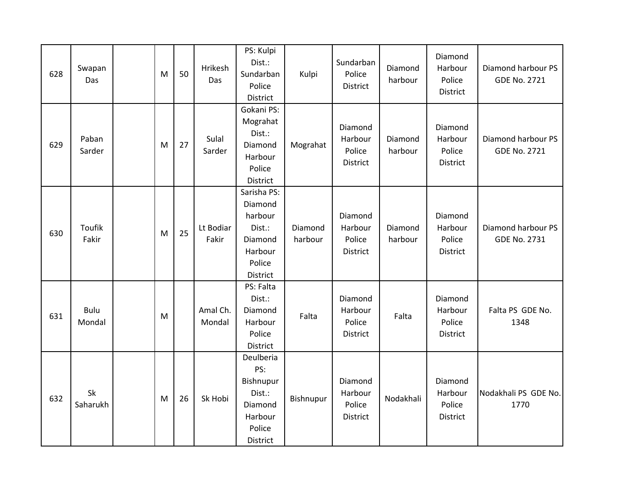| 628 | Swapan<br>Das          | M | 50 | Hrikesh<br>Das     | PS: Kulpi<br>Dist.:<br>Sundarban<br>Police<br>District                                  | Kulpi              | Sundarban<br>Police<br>District                 | Diamond<br>harbour | Diamond<br>Harbour<br>Police<br>District | Diamond harbour PS<br><b>GDE No. 2721</b> |
|-----|------------------------|---|----|--------------------|-----------------------------------------------------------------------------------------|--------------------|-------------------------------------------------|--------------------|------------------------------------------|-------------------------------------------|
| 629 | Paban<br>Sarder        | M | 27 | Sulal<br>Sarder    | Gokani PS:<br>Mograhat<br>Dist.:<br>Diamond<br>Harbour<br>Police<br>District            | Mograhat           | Diamond<br>Harbour<br>Police<br>District        | Diamond<br>harbour | Diamond<br>Harbour<br>Police<br>District | Diamond harbour PS<br><b>GDE No. 2721</b> |
| 630 | <b>Toufik</b><br>Fakir | M | 25 | Lt Bodiar<br>Fakir | Sarisha PS:<br>Diamond<br>harbour<br>Dist.:<br>Diamond<br>Harbour<br>Police<br>District | Diamond<br>harbour | Diamond<br>Harbour<br>Police<br>District        | Diamond<br>harbour | Diamond<br>Harbour<br>Police<br>District | Diamond harbour PS<br><b>GDE No. 2731</b> |
| 631 | Bulu<br>Mondal         | M |    | Amal Ch.<br>Mondal | PS: Falta<br>Dist.:<br>Diamond<br>Harbour<br>Police<br>District                         | Falta              | Diamond<br>Harbour<br>Police<br><b>District</b> | Falta              | Diamond<br>Harbour<br>Police<br>District | Falta PS GDE No.<br>1348                  |
| 632 | Sk<br>Saharukh         | M | 26 | Sk Hobi            | Deulberia<br>PS:<br>Bishnupur<br>Dist.:<br>Diamond<br>Harbour<br>Police<br>District     | Bishnupur          | Diamond<br>Harbour<br>Police<br><b>District</b> | Nodakhali          | Diamond<br>Harbour<br>Police<br>District | Nodakhali PS GDE No.<br>1770              |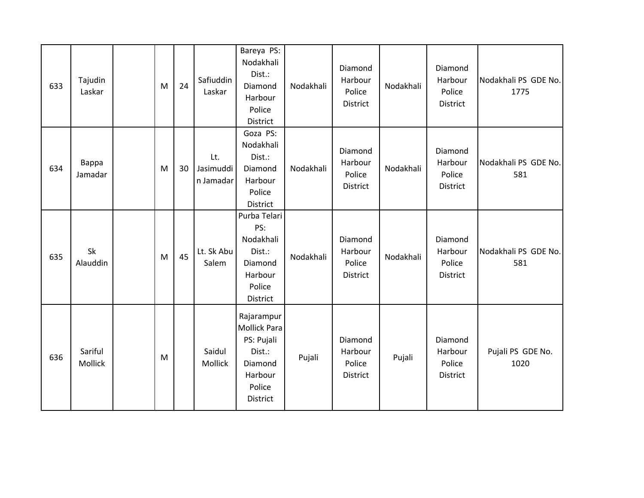| 633 | Tajudin<br>Laskar  | M | 24 | Safiuddin<br>Laskar           | Bareya PS:<br>Nodakhali<br>Dist.:<br>Diamond<br>Harbour<br>Police<br>District                         | Nodakhali | Diamond<br>Harbour<br>Police<br>District        | Nodakhali | Diamond<br>Harbour<br>Police<br>District | Nodakhali PS GDE No.<br>1775 |
|-----|--------------------|---|----|-------------------------------|-------------------------------------------------------------------------------------------------------|-----------|-------------------------------------------------|-----------|------------------------------------------|------------------------------|
| 634 | Bappa<br>Jamadar   | M | 30 | Lt.<br>Jasimuddi<br>n Jamadar | Goza PS:<br>Nodakhali<br>Dist.:<br>Diamond<br>Harbour<br>Police<br>District                           | Nodakhali | Diamond<br>Harbour<br>Police<br><b>District</b> | Nodakhali | Diamond<br>Harbour<br>Police<br>District | Nodakhali PS GDE No.<br>581  |
| 635 | Sk<br>Alauddin     | M | 45 | Lt. Sk Abu<br>Salem           | Purba Telari<br>PS:<br>Nodakhali<br>Dist.:<br>Diamond<br>Harbour<br>Police<br>District                | Nodakhali | Diamond<br>Harbour<br>Police<br><b>District</b> | Nodakhali | Diamond<br>Harbour<br>Police<br>District | Nodakhali PS GDE No.<br>581  |
| 636 | Sariful<br>Mollick | M |    | Saidul<br>Mollick             | Rajarampur<br><b>Mollick Para</b><br>PS: Pujali<br>Dist.:<br>Diamond<br>Harbour<br>Police<br>District | Pujali    | Diamond<br>Harbour<br>Police<br>District        | Pujali    | Diamond<br>Harbour<br>Police<br>District | Pujali PS GDE No.<br>1020    |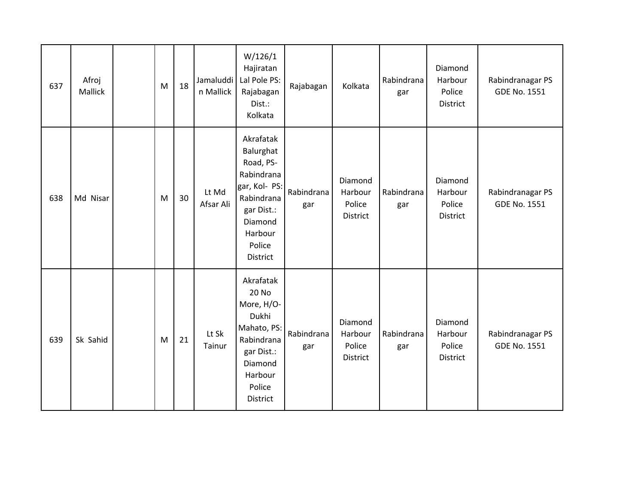| 637 | Afroj<br>Mallick | M | 18 | Jamaluddi<br>n Mallick | W/126/1<br>Hajiratan<br>Lal Pole PS:<br>Rajabagan<br>Dist.:<br>Kolkata                                                                     | Rajabagan         | Kolkata                                         | Rabindrana<br>gar | Diamond<br>Harbour<br>Police<br>District | Rabindranagar PS<br><b>GDE No. 1551</b> |
|-----|------------------|---|----|------------------------|--------------------------------------------------------------------------------------------------------------------------------------------|-------------------|-------------------------------------------------|-------------------|------------------------------------------|-----------------------------------------|
| 638 | Md Nisar         | M | 30 | Lt Md<br>Afsar Ali     | Akrafatak<br>Balurghat<br>Road, PS-<br>Rabindrana<br>gar, Kol- PS:<br>Rabindrana<br>gar Dist.:<br>Diamond<br>Harbour<br>Police<br>District | Rabindrana<br>gar | Diamond<br>Harbour<br>Police<br><b>District</b> | Rabindrana<br>gar | Diamond<br>Harbour<br>Police<br>District | Rabindranagar PS<br>GDE No. 1551        |
| 639 | Sk Sahid         | M | 21 | Lt Sk<br>Tainur        | Akrafatak<br>20 No<br>More, H/O-<br>Dukhi<br>Mahato, PS:<br>Rabindrana<br>gar Dist.:<br>Diamond<br>Harbour<br>Police<br>District           | Rabindrana<br>gar | Diamond<br>Harbour<br>Police<br>District        | Rabindrana<br>gar | Diamond<br>Harbour<br>Police<br>District | Rabindranagar PS<br><b>GDE No. 1551</b> |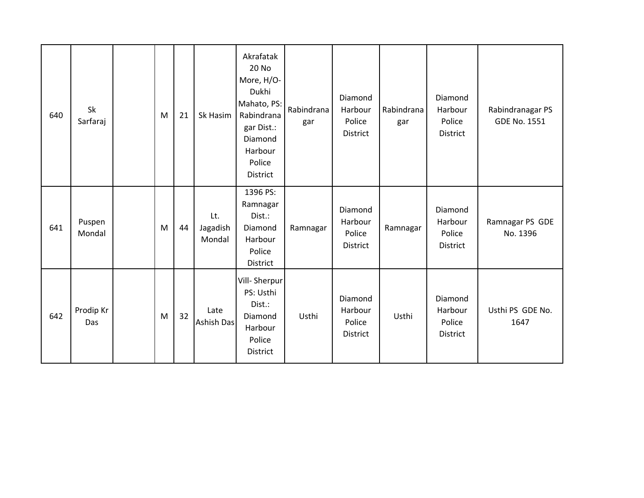| 640 | Sk<br>Sarfaraj   | M | 21 | Sk Hasim                  | Akrafatak<br>20 No<br>More, H/O-<br>Dukhi<br>Mahato, PS:<br>Rabindrana<br>gar Dist.:<br>Diamond<br>Harbour<br>Police<br>District | Rabindrana<br>gar | Diamond<br>Harbour<br>Police<br>District | Rabindrana<br>gar | Diamond<br>Harbour<br>Police<br>District | Rabindranagar PS<br>GDE No. 1551 |
|-----|------------------|---|----|---------------------------|----------------------------------------------------------------------------------------------------------------------------------|-------------------|------------------------------------------|-------------------|------------------------------------------|----------------------------------|
| 641 | Puspen<br>Mondal | M | 44 | Lt.<br>Jagadish<br>Mondal | 1396 PS:<br>Ramnagar<br>Dist.:<br>Diamond<br>Harbour<br>Police<br>District                                                       | Ramnagar          | Diamond<br>Harbour<br>Police<br>District | Ramnagar          | Diamond<br>Harbour<br>Police<br>District | Ramnagar PS GDE<br>No. 1396      |
| 642 | Prodip Kr<br>Das | M | 32 | Late<br><b>Ashish Das</b> | Vill-Sherpur<br>PS: Usthi<br>Dist.:<br>Diamond<br>Harbour<br>Police<br>District                                                  | Usthi             | Diamond<br>Harbour<br>Police<br>District | Usthi             | Diamond<br>Harbour<br>Police<br>District | Usthi PS GDE No.<br>1647         |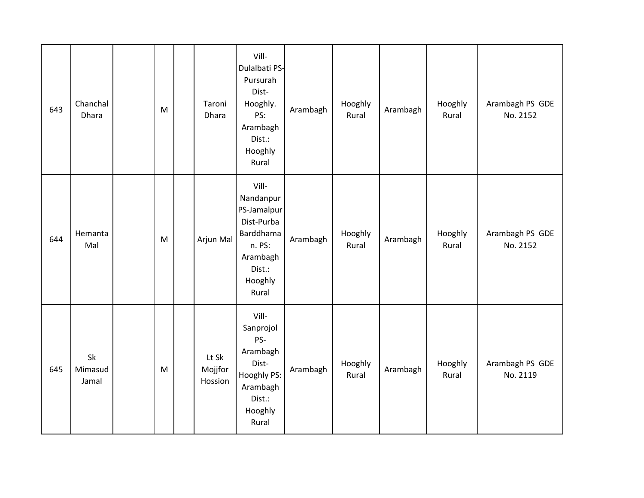| 643 | Chanchal<br>Dhara      | M         | Taroni<br>Dhara             | Vill-<br>Dulalbati PS-<br>Pursurah<br>Dist-<br>Hooghly.<br>PS:<br>Arambagh<br>Dist.:<br>Hooghly<br>Rural         | Arambagh | Hooghly<br>Rural | Arambagh | Hooghly<br>Rural | Arambagh PS GDE<br>No. 2152 |
|-----|------------------------|-----------|-----------------------------|------------------------------------------------------------------------------------------------------------------|----------|------------------|----------|------------------|-----------------------------|
| 644 | Hemanta<br>Mal         | ${\sf M}$ | Arjun Mal                   | Vill-<br>Nandanpur<br>PS-Jamalpur<br>Dist-Purba<br>Barddhama<br>n. PS:<br>Arambagh<br>Dist.:<br>Hooghly<br>Rural | Arambagh | Hooghly<br>Rural | Arambagh | Hooghly<br>Rural | Arambagh PS GDE<br>No. 2152 |
| 645 | Sk<br>Mimasud<br>Jamal | ${\sf M}$ | Lt Sk<br>Mojjfor<br>Hossion | Vill-<br>Sanprojol<br>PS-<br>Arambagh<br>Dist-<br>Hooghly PS:<br>Arambagh<br>Dist.:<br>Hooghly<br>Rural          | Arambagh | Hooghly<br>Rural | Arambagh | Hooghly<br>Rural | Arambagh PS GDE<br>No. 2119 |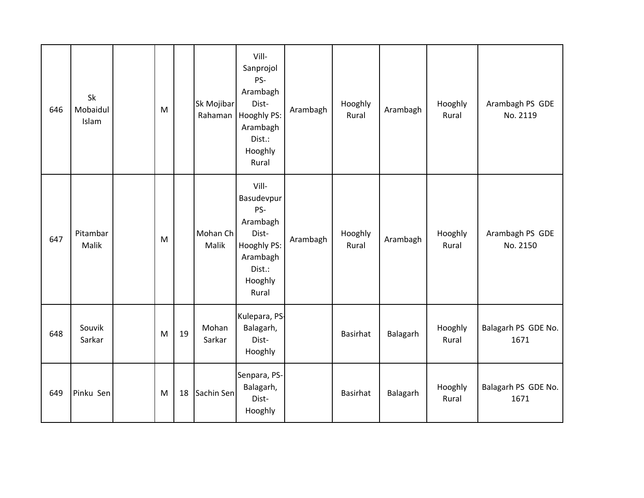| 646 | Sk<br>Mobaidul<br>Islam | M |    | Sk Mojibar<br>Rahaman | Vill-<br>Sanprojol<br>PS-<br>Arambagh<br>Dist-<br>Hooghly PS:<br>Arambagh<br>Dist.:<br>Hooghly<br>Rural  | Arambagh | Hooghly<br>Rural | Arambagh | Hooghly<br>Rural | Arambagh PS GDE<br>No. 2119 |
|-----|-------------------------|---|----|-----------------------|----------------------------------------------------------------------------------------------------------|----------|------------------|----------|------------------|-----------------------------|
| 647 | Pitambar<br>Malik       | M |    | Mohan Ch<br>Malik     | Vill-<br>Basudevpur<br>PS-<br>Arambagh<br>Dist-<br>Hooghly PS:<br>Arambagh<br>Dist.:<br>Hooghly<br>Rural | Arambagh | Hooghly<br>Rural | Arambagh | Hooghly<br>Rural | Arambagh PS GDE<br>No. 2150 |
| 648 | Souvik<br>Sarkar        | M | 19 | Mohan<br>Sarkar       | Kulepara, PS-<br>Balagarh,<br>Dist-<br>Hooghly                                                           |          | Basirhat         | Balagarh | Hooghly<br>Rural | Balagarh PS GDE No.<br>1671 |
| 649 | Pinku Sen               | M | 18 | Sachin Sen            | Senpara, PS-<br>Balagarh,<br>Dist-<br>Hooghly                                                            |          | Basirhat         | Balagarh | Hooghly<br>Rural | Balagarh PS GDE No.<br>1671 |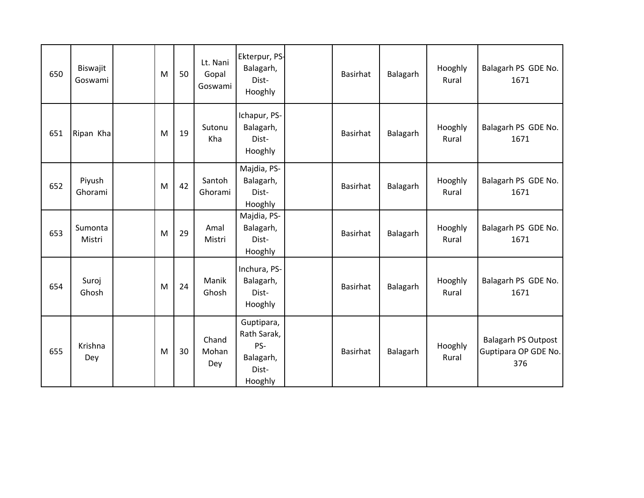| 650 | Biswajit<br>Goswami | M | 50 | Lt. Nani<br>Gopal<br>Goswami | Ekterpur, PS-<br>Balagarh,<br>Dist-<br>Hooghly                    | Basirhat        | Balagarh | Hooghly<br>Rural | Balagarh PS GDE No.<br>1671                               |
|-----|---------------------|---|----|------------------------------|-------------------------------------------------------------------|-----------------|----------|------------------|-----------------------------------------------------------|
| 651 | Ripan Kha           | M | 19 | Sutonu<br>Kha                | Ichapur, PS-<br>Balagarh,<br>Dist-<br>Hooghly                     | Basirhat        | Balagarh | Hooghly<br>Rural | Balagarh PS GDE No.<br>1671                               |
| 652 | Piyush<br>Ghorami   | M | 42 | Santoh<br>Ghorami            | Majdia, PS-<br>Balagarh,<br>Dist-<br>Hooghly                      | Basirhat        | Balagarh | Hooghly<br>Rural | Balagarh PS GDE No.<br>1671                               |
| 653 | Sumonta<br>Mistri   | M | 29 | Amal<br>Mistri               | Majdia, PS-<br>Balagarh,<br>Dist-<br>Hooghly                      | <b>Basirhat</b> | Balagarh | Hooghly<br>Rural | Balagarh PS GDE No.<br>1671                               |
| 654 | Suroj<br>Ghosh      | M | 24 | Manik<br>Ghosh               | Inchura, PS-<br>Balagarh,<br>Dist-<br>Hooghly                     | Basirhat        | Balagarh | Hooghly<br>Rural | Balagarh PS GDE No.<br>1671                               |
| 655 | Krishna<br>Dey      | M | 30 | Chand<br>Mohan<br>Dey        | Guptipara,<br>Rath Sarak,<br>PS-<br>Balagarh,<br>Dist-<br>Hooghly | <b>Basirhat</b> | Balagarh | Hooghly<br>Rural | <b>Balagarh PS Outpost</b><br>Guptipara OP GDE No.<br>376 |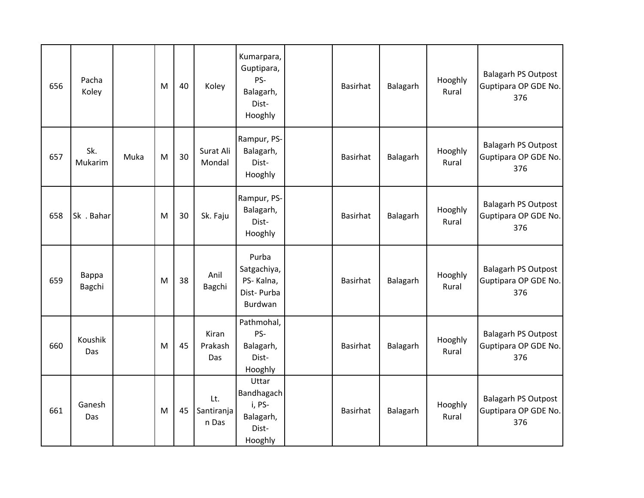| 656 | Pacha<br>Koley  |      | M | 40 | Koley                      | Kumarpara,<br>Guptipara,<br>PS-<br>Balagarh,<br>Dist-<br>Hooghly | <b>Basirhat</b> | Balagarh | Hooghly<br>Rural | <b>Balagarh PS Outpost</b><br>Guptipara OP GDE No.<br>376 |
|-----|-----------------|------|---|----|----------------------------|------------------------------------------------------------------|-----------------|----------|------------------|-----------------------------------------------------------|
| 657 | Sk.<br>Mukarim  | Muka | M | 30 | Surat Ali<br>Mondal        | Rampur, PS-<br>Balagarh,<br>Dist-<br>Hooghly                     | <b>Basirhat</b> | Balagarh | Hooghly<br>Rural | <b>Balagarh PS Outpost</b><br>Guptipara OP GDE No.<br>376 |
| 658 | Sk . Bahar      |      | M | 30 | Sk. Faju                   | Rampur, PS-<br>Balagarh,<br>Dist-<br>Hooghly                     | <b>Basirhat</b> | Balagarh | Hooghly<br>Rural | <b>Balagarh PS Outpost</b><br>Guptipara OP GDE No.<br>376 |
| 659 | Bappa<br>Bagchi |      | M | 38 | Anil<br>Bagchi             | Purba<br>Satgachiya,<br>PS-Kalna,<br>Dist-Purba<br>Burdwan       | <b>Basirhat</b> | Balagarh | Hooghly<br>Rural | <b>Balagarh PS Outpost</b><br>Guptipara OP GDE No.<br>376 |
| 660 | Koushik<br>Das  |      | M | 45 | Kiran<br>Prakash<br>Das    | Pathmohal,<br>PS-<br>Balagarh,<br>Dist-<br>Hooghly               | <b>Basirhat</b> | Balagarh | Hooghly<br>Rural | <b>Balagarh PS Outpost</b><br>Guptipara OP GDE No.<br>376 |
| 661 | Ganesh<br>Das   |      | M | 45 | Lt.<br>Santiranja<br>n Das | Uttar<br>Bandhagach<br>i, PS-<br>Balagarh,<br>Dist-<br>Hooghly   | <b>Basirhat</b> | Balagarh | Hooghly<br>Rural | <b>Balagarh PS Outpost</b><br>Guptipara OP GDE No.<br>376 |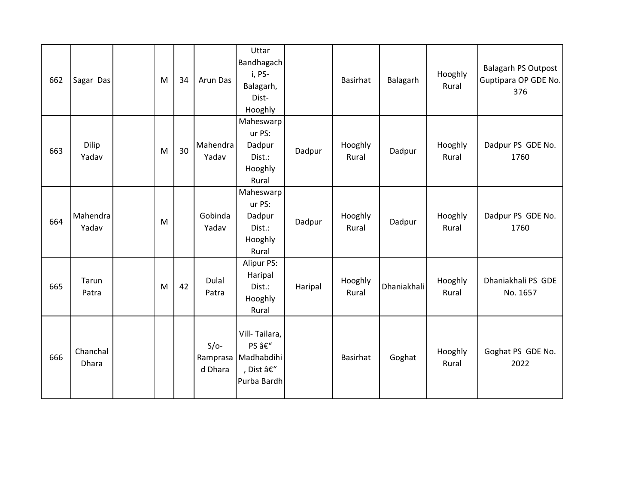| 662 | Sagar Das         | M | 34 | Arun Das          | Uttar<br>Bandhagach<br>i, PS-<br>Balagarh,<br>Dist-<br>Hooghly          |         | Basirhat         | Balagarh    | Hooghly<br>Rural | <b>Balagarh PS Outpost</b><br>Guptipara OP GDE No.<br>376 |
|-----|-------------------|---|----|-------------------|-------------------------------------------------------------------------|---------|------------------|-------------|------------------|-----------------------------------------------------------|
| 663 | Dilip<br>Yadav    | M | 30 | Mahendra<br>Yadav | Maheswarp<br>ur PS:<br>Dadpur<br>Dist.:<br>Hooghly<br>Rural             | Dadpur  | Hooghly<br>Rural | Dadpur      | Hooghly<br>Rural | Dadpur PS GDE No.<br>1760                                 |
| 664 | Mahendra<br>Yadav | M |    | Gobinda<br>Yadav  | Maheswarp<br>ur PS:<br>Dadpur<br>Dist.:<br>Hooghly<br>Rural             | Dadpur  | Hooghly<br>Rural | Dadpur      | Hooghly<br>Rural | Dadpur PS GDE No.<br>1760                                 |
| 665 | Tarun<br>Patra    | M | 42 | Dulal<br>Patra    | Alipur PS:<br>Haripal<br>Dist.:<br>Hooghly<br>Rural                     | Haripal | Hooghly<br>Rural | Dhaniakhali | Hooghly<br>Rural | Dhaniakhali PS GDE<br>No. 1657                            |
| 666 | Chanchal<br>Dhara |   |    | $S/O-$<br>d Dhara | Vill-Tailara,<br>PS –<br>Ramprasa Madhabdihi<br>, Dist –<br>Purba Bardh |         | <b>Basirhat</b>  | Goghat      | Hooghly<br>Rural | Goghat PS GDE No.<br>2022                                 |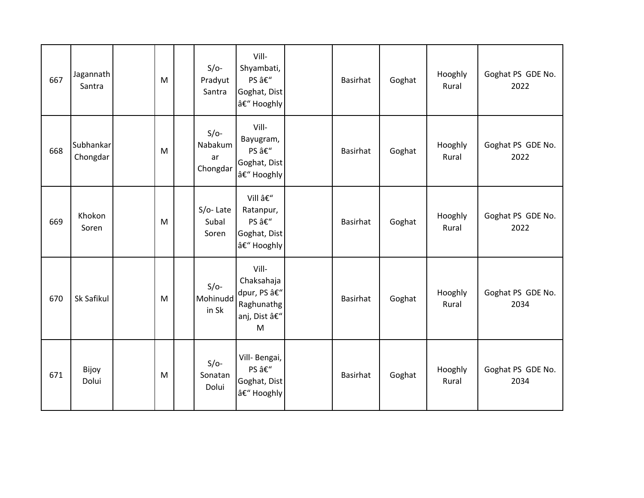| 667 | Jagannath<br>Santra   | M | $S/O-$<br>Pradyut<br>Santra         | Vill-<br>Shyambati,<br>PS –<br>Goghat, Dist<br>– Hooghly            | Basirhat        | Goghat | Hooghly<br>Rural | Goghat PS GDE No.<br>2022 |
|-----|-----------------------|---|-------------------------------------|---------------------------------------------------------------------|-----------------|--------|------------------|---------------------------|
| 668 | Subhankar<br>Chongdar | M | $S/O-$<br>Nabakum<br>ar<br>Chongdar | Vill-<br>Bayugram,<br>PS –<br>Goghat, Dist<br>– Hooghly             | Basirhat        | Goghat | Hooghly<br>Rural | Goghat PS GDE No.<br>2022 |
| 669 | Khokon<br>Soren       | M | S/o-Late<br>Subal<br>Soren          | Vill –<br>Ratanpur,<br>PS –<br>Goghat, Dist<br>– Hooghly            | Basirhat        | Goghat | Hooghly<br>Rural | Goghat PS GDE No.<br>2022 |
| 670 | Sk Safikul            | M | $S/O-$<br>Mohinudd<br>in Sk         | Vill-<br>Chaksahaja<br>dpur, PS –<br>Raghunathg<br>anj, Dist –<br>M | Basirhat        | Goghat | Hooghly<br>Rural | Goghat PS GDE No.<br>2034 |
| 671 | Bijoy<br>Dolui        | M | $S/O-$<br>Sonatan<br>Dolui          | Vill-Bengai,<br>PS –<br>Goghat, Dist<br>– Hooghly                   | <b>Basirhat</b> | Goghat | Hooghly<br>Rural | Goghat PS GDE No.<br>2034 |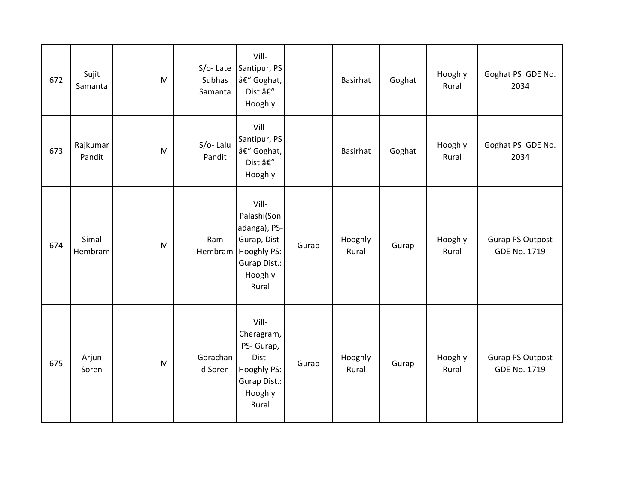| 672 | Sujit<br>Samanta   | M | $S/O-$ Late<br>Subhas<br>Samanta | Vill-<br>Santipur, PS<br>– Goghat,<br>Dist –<br>Hooghly                                                           |       | <b>Basirhat</b>  | Goghat | Hooghly<br>Rural | Goghat PS GDE No.<br>2034                      |
|-----|--------------------|---|----------------------------------|-------------------------------------------------------------------------------------------------------------------|-------|------------------|--------|------------------|------------------------------------------------|
| 673 | Rajkumar<br>Pandit | M | S/o-Lalu<br>Pandit               | Vill-<br>Santipur, PS<br>– Goghat,<br>Dist –<br>Hooghly                                                           |       | Basirhat         | Goghat | Hooghly<br>Rural | Goghat PS GDE No.<br>2034                      |
| 674 | Simal<br>Hembram   | M | Ram                              | Vill-<br>Palashi(Son<br>adanga), PS-<br>Gurap, Dist-<br>Hembram   Hooghly PS:<br>Gurap Dist.:<br>Hooghly<br>Rural | Gurap | Hooghly<br>Rural | Gurap  | Hooghly<br>Rural | <b>Gurap PS Outpost</b><br><b>GDE No. 1719</b> |
| 675 | Arjun<br>Soren     | M | Gorachan<br>d Soren              | Vill-<br>Cheragram,<br>PS- Gurap,<br>Dist-<br>Hooghly PS:<br>Gurap Dist.:<br>Hooghly<br>Rural                     | Gurap | Hooghly<br>Rural | Gurap  | Hooghly<br>Rural | <b>Gurap PS Outpost</b><br><b>GDE No. 1719</b> |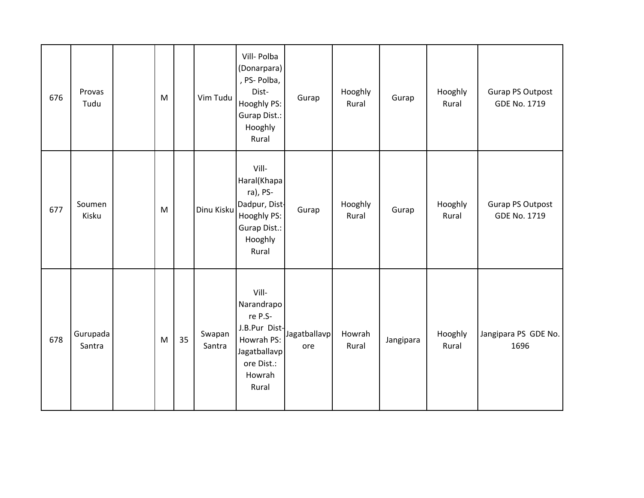| 676 | Provas<br>Tudu     | ${\sf M}$ |    | Vim Tudu         | Vill- Polba<br>(Donarpara)<br>, PS- Polba,<br>Dist-<br>Hooghly PS:<br>Gurap Dist.:<br>Hooghly<br>Rural         | Gurap               | Hooghly<br>Rural | Gurap     | Hooghly<br>Rural | <b>Gurap PS Outpost</b><br><b>GDE No. 1719</b> |
|-----|--------------------|-----------|----|------------------|----------------------------------------------------------------------------------------------------------------|---------------------|------------------|-----------|------------------|------------------------------------------------|
| 677 | Soumen<br>Kisku    | ${\sf M}$ |    | Dinu Kisku       | Vill-<br>Haral(Khapa<br>ra), PS-<br>Dadpur, Dist-<br>Hooghly PS:<br>Gurap Dist.:<br>Hooghly<br>Rural           | Gurap               | Hooghly<br>Rural | Gurap     | Hooghly<br>Rural | <b>Gurap PS Outpost</b><br><b>GDE No. 1719</b> |
| 678 | Gurupada<br>Santra | M         | 35 | Swapan<br>Santra | Vill-<br>Narandrapo<br>re P.S-<br>J.B.Pur Dist-<br>Howrah PS:<br>Jagatballavp<br>ore Dist.:<br>Howrah<br>Rural | Jagatballavp<br>ore | Howrah<br>Rural  | Jangipara | Hooghly<br>Rural | Jangipara PS GDE No.<br>1696                   |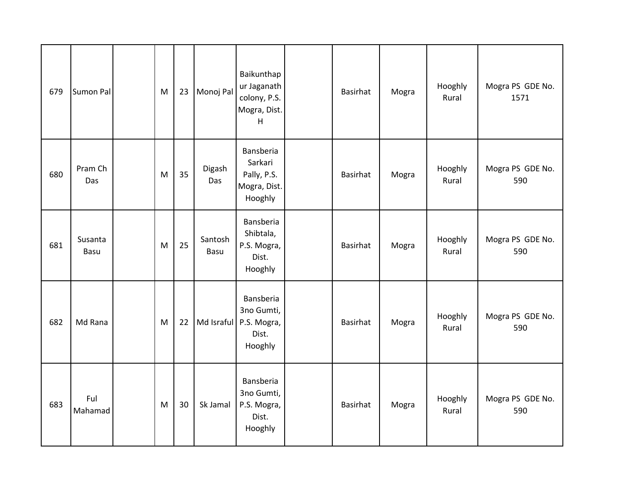| 679 | Sumon Pal       | M         | 23 | Monoj Pal       | Baikunthap<br>ur Jaganath<br>colony, P.S.<br>Mogra, Dist.<br>H          | <b>Basirhat</b> | Mogra | Hooghly<br>Rural | Mogra PS GDE No.<br>1571 |
|-----|-----------------|-----------|----|-----------------|-------------------------------------------------------------------------|-----------------|-------|------------------|--------------------------|
| 680 | Pram Ch<br>Das  | M         | 35 | Digash<br>Das   | Bansberia<br>Sarkari<br>Pally, P.S.<br>Mogra, Dist.<br>Hooghly          | <b>Basirhat</b> | Mogra | Hooghly<br>Rural | Mogra PS GDE No.<br>590  |
| 681 | Susanta<br>Basu | M         | 25 | Santosh<br>Basu | Bansberia<br>Shibtala,<br>P.S. Mogra,<br>Dist.<br>Hooghly               | Basirhat        | Mogra | Hooghly<br>Rural | Mogra PS GDE No.<br>590  |
| 682 | Md Rana         | M         | 22 |                 | Bansberia<br>3no Gumti,<br>Md Israful   P.S. Mogra,<br>Dist.<br>Hooghly | Basirhat        | Mogra | Hooghly<br>Rural | Mogra PS GDE No.<br>590  |
| 683 | Ful<br>Mahamad  | ${\sf M}$ | 30 | Sk Jamal        | Bansberia<br>3no Gumti,<br>P.S. Mogra,<br>Dist.<br>Hooghly              | <b>Basirhat</b> | Mogra | Hooghly<br>Rural | Mogra PS GDE No.<br>590  |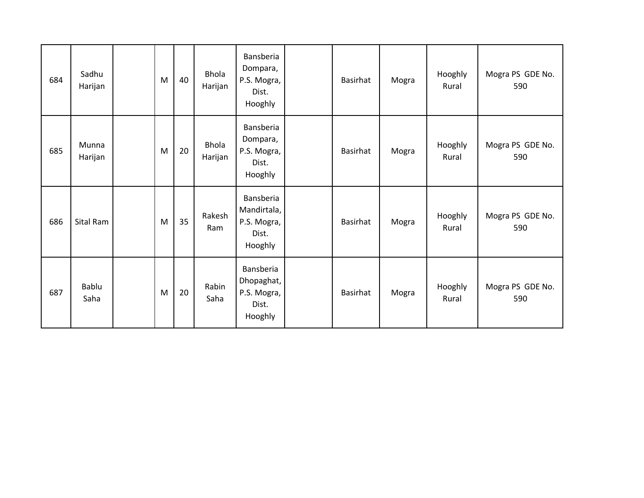| 684 | Sadhu<br>Harijan | M | 40 | <b>Bhola</b><br>Harijan | Bansberia<br>Dompara,<br>P.S. Mogra,<br>Dist.<br>Hooghly    | Basirhat | Mogra | Hooghly<br>Rural | Mogra PS GDE No.<br>590 |
|-----|------------------|---|----|-------------------------|-------------------------------------------------------------|----------|-------|------------------|-------------------------|
| 685 | Munna<br>Harijan | M | 20 | <b>Bhola</b><br>Harijan | Bansberia<br>Dompara,<br>P.S. Mogra,<br>Dist.<br>Hooghly    | Basirhat | Mogra | Hooghly<br>Rural | Mogra PS GDE No.<br>590 |
| 686 | Sital Ram        | M | 35 | Rakesh<br>Ram           | Bansberia<br>Mandirtala,<br>P.S. Mogra,<br>Dist.<br>Hooghly | Basirhat | Mogra | Hooghly<br>Rural | Mogra PS GDE No.<br>590 |
| 687 | Bablu<br>Saha    | M | 20 | Rabin<br>Saha           | Bansberia<br>Dhopaghat,<br>P.S. Mogra,<br>Dist.<br>Hooghly  | Basirhat | Mogra | Hooghly<br>Rural | Mogra PS GDE No.<br>590 |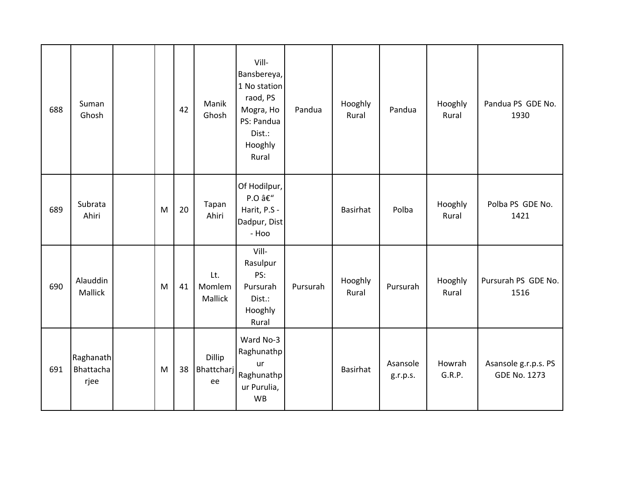| 688 | Suman<br>Ghosh                 |   | 42 | Manik<br>Ghosh             | Vill-<br>Bansbereya,<br>1 No station<br>raod, PS<br>Mogra, Ho<br>PS: Pandua<br>Dist.:<br>Hooghly<br>Rural | Pandua   | Hooghly<br>Rural | Pandua               | Hooghly<br>Rural | Pandua PS GDE No.<br>1930                   |
|-----|--------------------------------|---|----|----------------------------|-----------------------------------------------------------------------------------------------------------|----------|------------------|----------------------|------------------|---------------------------------------------|
| 689 | Subrata<br>Ahiri               | M | 20 | Tapan<br>Ahiri             | Of Hodilpur,<br>P.O –<br>Harit, P.S -<br>Dadpur, Dist<br>- Hoo                                            |          | Basirhat         | Polba                | Hooghly<br>Rural | Polba PS GDE No.<br>1421                    |
| 690 | Alauddin<br>Mallick            | M | 41 | Lt.<br>Momlem<br>Mallick   | Vill-<br>Rasulpur<br>PS:<br>Pursurah<br>Dist.:<br>Hooghly<br>Rural                                        | Pursurah | Hooghly<br>Rural | Pursurah             | Hooghly<br>Rural | Pursurah PS GDE No.<br>1516                 |
| 691 | Raghanath<br>Bhattacha<br>rjee | M | 38 | Dillip<br>Bhattcharj<br>ee | Ward No-3<br>Raghunathp<br>ur<br>Raghunathp<br>ur Purulia,<br><b>WB</b>                                   |          | <b>Basirhat</b>  | Asansole<br>g.r.p.s. | Howrah<br>G.R.P. | Asansole g.r.p.s. PS<br><b>GDE No. 1273</b> |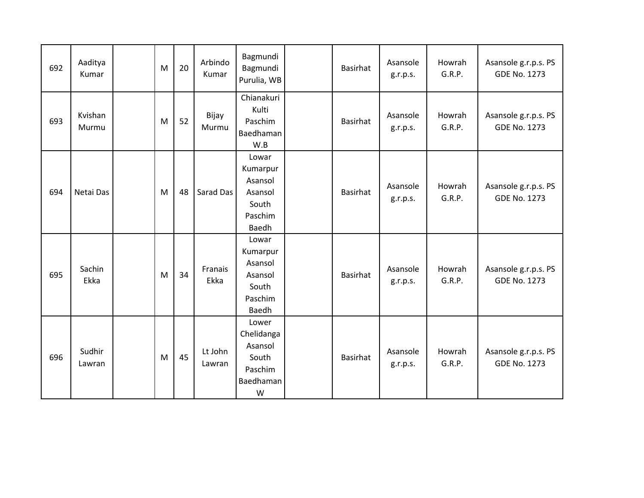| 692 | Aaditya<br>Kumar | M | 20 | Arbindo<br>Kumar  | Bagmundi<br>Bagmundi<br>Purulia, WB                                  | Basirhat        | Asansole<br>g.r.p.s. | Howrah<br>G.R.P. | Asansole g.r.p.s. PS<br><b>GDE No. 1273</b> |
|-----|------------------|---|----|-------------------|----------------------------------------------------------------------|-----------------|----------------------|------------------|---------------------------------------------|
| 693 | Kvishan<br>Murmu | M | 52 | Bijay<br>Murmu    | Chianakuri<br>Kulti<br>Paschim<br>Baedhaman<br>W.B                   | <b>Basirhat</b> | Asansole<br>g.r.p.s. | Howrah<br>G.R.P. | Asansole g.r.p.s. PS<br><b>GDE No. 1273</b> |
| 694 | Netai Das        | M | 48 | Sarad Das         | Lowar<br>Kumarpur<br>Asansol<br>Asansol<br>South<br>Paschim<br>Baedh | Basirhat        | Asansole<br>g.r.p.s. | Howrah<br>G.R.P. | Asansole g.r.p.s. PS<br><b>GDE No. 1273</b> |
| 695 | Sachin<br>Ekka   | M | 34 | Franais<br>Ekka   | Lowar<br>Kumarpur<br>Asansol<br>Asansol<br>South<br>Paschim<br>Baedh | <b>Basirhat</b> | Asansole<br>g.r.p.s. | Howrah<br>G.R.P. | Asansole g.r.p.s. PS<br><b>GDE No. 1273</b> |
| 696 | Sudhir<br>Lawran | M | 45 | Lt John<br>Lawran | Lower<br>Chelidanga<br>Asansol<br>South<br>Paschim<br>Baedhaman<br>W | <b>Basirhat</b> | Asansole<br>g.r.p.s. | Howrah<br>G.R.P. | Asansole g.r.p.s. PS<br><b>GDE No. 1273</b> |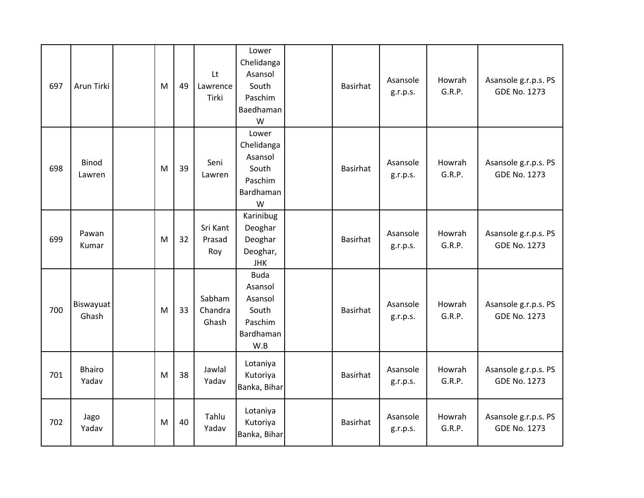| 697 | Arun Tirki             | M | 49 | Lt<br>Lawrence<br>Tirki    | Lower<br>Chelidanga<br>Asansol<br>South<br>Paschim<br>Baedhaman<br>W      | Basirhat        | Asansole<br>g.r.p.s. | Howrah<br>G.R.P. | Asansole g.r.p.s. PS<br><b>GDE No. 1273</b> |
|-----|------------------------|---|----|----------------------------|---------------------------------------------------------------------------|-----------------|----------------------|------------------|---------------------------------------------|
| 698 | <b>Binod</b><br>Lawren | M | 39 | Seni<br>Lawren             | Lower<br>Chelidanga<br>Asansol<br>South<br>Paschim<br>Bardhaman<br>W      | <b>Basirhat</b> | Asansole<br>g.r.p.s. | Howrah<br>G.R.P. | Asansole g.r.p.s. PS<br><b>GDE No. 1273</b> |
| 699 | Pawan<br>Kumar         | M | 32 | Sri Kant<br>Prasad<br>Roy  | Karinibug<br>Deoghar<br>Deoghar<br>Deoghar,<br><b>JHK</b>                 | <b>Basirhat</b> | Asansole<br>g.r.p.s. | Howrah<br>G.R.P. | Asansole g.r.p.s. PS<br><b>GDE No. 1273</b> |
| 700 | Biswayuat<br>Ghash     | M | 33 | Sabham<br>Chandra<br>Ghash | <b>Buda</b><br>Asansol<br>Asansol<br>South<br>Paschim<br>Bardhaman<br>W.B | Basirhat        | Asansole<br>g.r.p.s. | Howrah<br>G.R.P. | Asansole g.r.p.s. PS<br><b>GDE No. 1273</b> |
| 701 | <b>Bhairo</b><br>Yadav | M | 38 | Jawlal<br>Yadav            | Lotaniya<br>Kutoriya<br>Banka, Bihar                                      | <b>Basirhat</b> | Asansole<br>g.r.p.s. | Howrah<br>G.R.P. | Asansole g.r.p.s. PS<br><b>GDE No. 1273</b> |
| 702 | Jago<br>Yadav          | M | 40 | Tahlu<br>Yadav             | Lotaniya<br>Kutoriya<br>Banka, Bihar                                      | <b>Basirhat</b> | Asansole<br>g.r.p.s. | Howrah<br>G.R.P. | Asansole g.r.p.s. PS<br><b>GDE No. 1273</b> |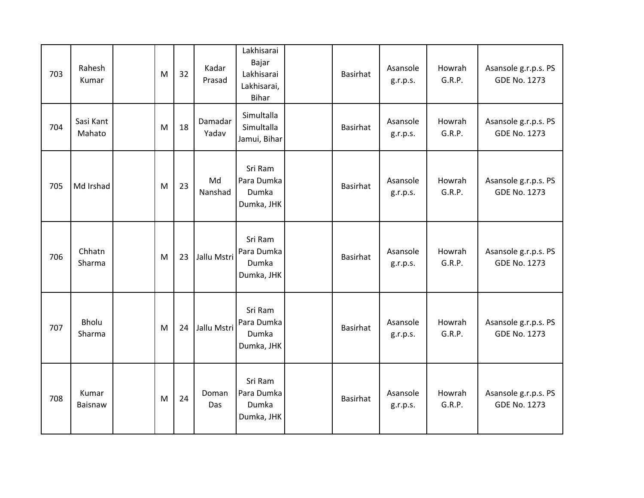| 703 | Rahesh<br>Kumar        | M | 32 | Kadar<br>Prasad  | Lakhisarai<br>Bajar<br>Lakhisarai<br>Lakhisarai,<br><b>Bihar</b> | <b>Basirhat</b> | Asansole<br>g.r.p.s. | Howrah<br>G.R.P. | Asansole g.r.p.s. PS<br><b>GDE No. 1273</b> |
|-----|------------------------|---|----|------------------|------------------------------------------------------------------|-----------------|----------------------|------------------|---------------------------------------------|
| 704 | Sasi Kant<br>Mahato    | M | 18 | Damadar<br>Yadav | Simultalla<br>Simultalla<br>Jamui, Bihar                         | <b>Basirhat</b> | Asansole<br>g.r.p.s. | Howrah<br>G.R.P. | Asansole g.r.p.s. PS<br><b>GDE No. 1273</b> |
| 705 | Md Irshad              | M | 23 | Md<br>Nanshad    | Sri Ram<br>Para Dumka<br>Dumka<br>Dumka, JHK                     | <b>Basirhat</b> | Asansole<br>g.r.p.s. | Howrah<br>G.R.P. | Asansole g.r.p.s. PS<br><b>GDE No. 1273</b> |
| 706 | Chhatn<br>Sharma       | M | 23 | Jallu Mstri      | Sri Ram<br>Para Dumka<br>Dumka<br>Dumka, JHK                     | <b>Basirhat</b> | Asansole<br>g.r.p.s. | Howrah<br>G.R.P. | Asansole g.r.p.s. PS<br><b>GDE No. 1273</b> |
| 707 | <b>Bholu</b><br>Sharma | M | 24 | Jallu Mstri      | Sri Ram<br>Para Dumka<br>Dumka<br>Dumka, JHK                     | <b>Basirhat</b> | Asansole<br>g.r.p.s. | Howrah<br>G.R.P. | Asansole g.r.p.s. PS<br><b>GDE No. 1273</b> |
| 708 | Kumar<br>Baisnaw       | M | 24 | Doman<br>Das     | Sri Ram<br>Para Dumka<br>Dumka<br>Dumka, JHK                     | <b>Basirhat</b> | Asansole<br>g.r.p.s. | Howrah<br>G.R.P. | Asansole g.r.p.s. PS<br><b>GDE No. 1273</b> |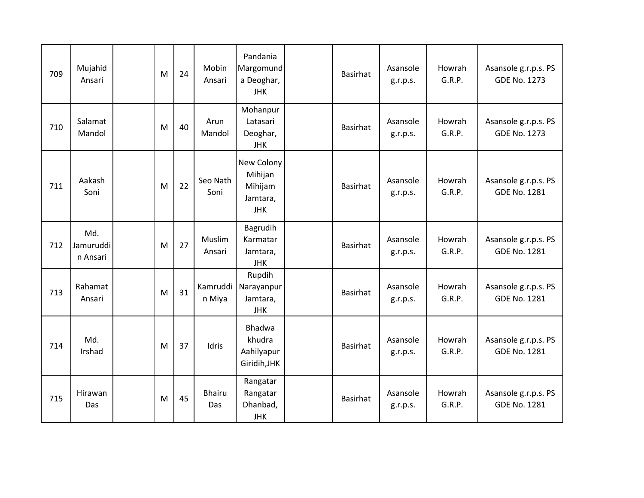| 709 | Mujahid<br>Ansari            | M | 24 | Mobin<br>Ansari         | Pandania<br>Margomund<br>a Deoghar,<br><b>JHK</b>          | <b>Basirhat</b> | Asansole<br>g.r.p.s. | Howrah<br>G.R.P. | Asansole g.r.p.s. PS<br><b>GDE No. 1273</b> |
|-----|------------------------------|---|----|-------------------------|------------------------------------------------------------|-----------------|----------------------|------------------|---------------------------------------------|
| 710 | Salamat<br>Mandol            | M | 40 | Arun<br>Mandol          | Mohanpur<br>Latasari<br>Deoghar,<br><b>JHK</b>             | <b>Basirhat</b> | Asansole<br>g.r.p.s. | Howrah<br>G.R.P. | Asansole g.r.p.s. PS<br><b>GDE No. 1273</b> |
| 711 | Aakash<br>Soni               | M | 22 | Seo Nath<br>Soni        | New Colony<br>Mihijan<br>Mihijam<br>Jamtara,<br><b>JHK</b> | <b>Basirhat</b> | Asansole<br>g.r.p.s. | Howrah<br>G.R.P. | Asansole g.r.p.s. PS<br><b>GDE No. 1281</b> |
| 712 | Md.<br>Jamuruddi<br>n Ansari | M | 27 | <b>Muslim</b><br>Ansari | Bagrudih<br>Karmatar<br>Jamtara,<br><b>JHK</b>             | <b>Basirhat</b> | Asansole<br>g.r.p.s. | Howrah<br>G.R.P. | Asansole g.r.p.s. PS<br><b>GDE No. 1281</b> |
| 713 | Rahamat<br>Ansari            | M | 31 | Kamruddi<br>n Miya      | Rupdih<br>Narayanpur<br>Jamtara,<br><b>JHK</b>             | <b>Basirhat</b> | Asansole<br>g.r.p.s. | Howrah<br>G.R.P. | Asansole g.r.p.s. PS<br>GDE No. 1281        |
| 714 | Md.<br>Irshad                | M | 37 | Idris                   | Bhadwa<br>khudra<br>Aahilyapur<br>Giridih, JHK             | <b>Basirhat</b> | Asansole<br>g.r.p.s. | Howrah<br>G.R.P. | Asansole g.r.p.s. PS<br><b>GDE No. 1281</b> |
| 715 | Hirawan<br>Das               | M | 45 | <b>Bhairu</b><br>Das    | Rangatar<br>Rangatar<br>Dhanbad,<br><b>JHK</b>             | <b>Basirhat</b> | Asansole<br>g.r.p.s. | Howrah<br>G.R.P. | Asansole g.r.p.s. PS<br><b>GDE No. 1281</b> |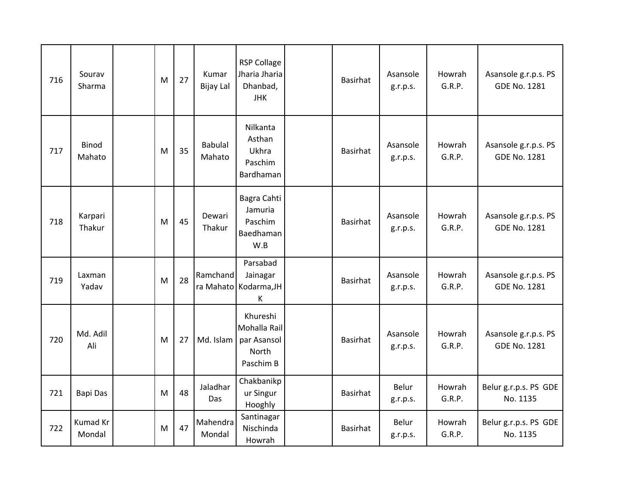| 716 | Sourav<br>Sharma          | M | 27 | Kumar<br><b>Bijay Lal</b> | <b>RSP Collage</b><br>Jharia Jharia<br>Dhanbad,<br><b>JHK</b> | <b>Basirhat</b> | Asansole<br>g.r.p.s. | Howrah<br>G.R.P. | Asansole g.r.p.s. PS<br><b>GDE No. 1281</b> |
|-----|---------------------------|---|----|---------------------------|---------------------------------------------------------------|-----------------|----------------------|------------------|---------------------------------------------|
| 717 | Binod<br>Mahato           | M | 35 | <b>Babulal</b><br>Mahato  | Nilkanta<br>Asthan<br>Ukhra<br>Paschim<br>Bardhaman           | <b>Basirhat</b> | Asansole<br>g.r.p.s. | Howrah<br>G.R.P. | Asansole g.r.p.s. PS<br><b>GDE No. 1281</b> |
| 718 | Karpari<br>Thakur         | M | 45 | Dewari<br>Thakur          | Bagra Cahti<br>Jamuria<br>Paschim<br>Baedhaman<br>W.B         | <b>Basirhat</b> | Asansole<br>g.r.p.s. | Howrah<br>G.R.P. | Asansole g.r.p.s. PS<br><b>GDE No. 1281</b> |
| 719 | Laxman<br>Yadav           | M | 28 | Ramchand                  | Parsabad<br>Jainagar<br>ra Mahato Kodarma, JH<br>K            | <b>Basirhat</b> | Asansole<br>g.r.p.s. | Howrah<br>G.R.P. | Asansole g.r.p.s. PS<br><b>GDE No. 1281</b> |
| 720 | Md. Adil<br>Ali           | M | 27 | Md. Islam                 | Khureshi<br>Mohalla Rail<br>par Asansol<br>North<br>Paschim B | <b>Basirhat</b> | Asansole<br>g.r.p.s. | Howrah<br>G.R.P. | Asansole g.r.p.s. PS<br><b>GDE No. 1281</b> |
| 721 | Bapi Das                  | M | 48 | Jaladhar<br>Das           | Chakbanikp<br>ur Singur<br>Hooghly                            | <b>Basirhat</b> | Belur<br>g.r.p.s.    | Howrah<br>G.R.P. | Belur g.r.p.s. PS GDE<br>No. 1135           |
| 722 | <b>Kumad Kr</b><br>Mondal | M | 47 | Mahendra<br>Mondal        | Santinagar<br>Nischinda<br>Howrah                             | <b>Basirhat</b> | Belur<br>g.r.p.s.    | Howrah<br>G.R.P. | Belur g.r.p.s. PS GDE<br>No. 1135           |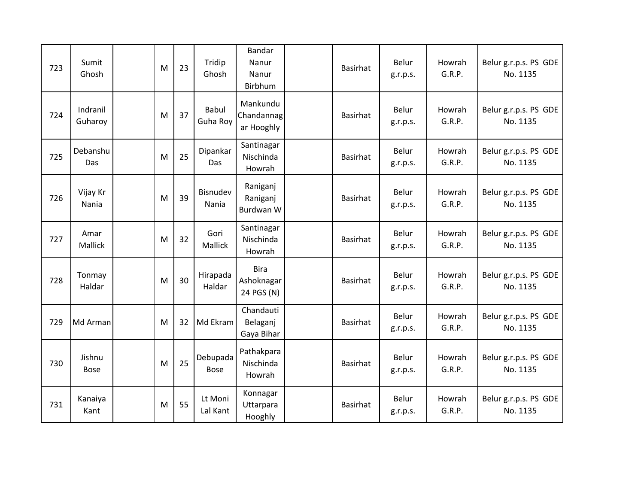| 723 | Sumit<br>Ghosh        | M | 23 | Tridip<br>Ghosh          | Bandar<br>Nanur<br>Nanur<br>Birbhum     | <b>Basirhat</b> | Belur<br>g.r.p.s.        | Howrah<br>G.R.P. | Belur g.r.p.s. PS GDE<br>No. 1135 |
|-----|-----------------------|---|----|--------------------------|-----------------------------------------|-----------------|--------------------------|------------------|-----------------------------------|
| 724 | Indranil<br>Guharoy   | M | 37 | <b>Babul</b><br>Guha Roy | Mankundu<br>Chandannag<br>ar Hooghly    | <b>Basirhat</b> | Belur<br>g.r.p.s.        | Howrah<br>G.R.P. | Belur g.r.p.s. PS GDE<br>No. 1135 |
| 725 | Debanshu<br>Das       | M | 25 | Dipankar<br>Das          | Santinagar<br>Nischinda<br>Howrah       | <b>Basirhat</b> | Belur<br>g.r.p.s.        | Howrah<br>G.R.P. | Belur g.r.p.s. PS GDE<br>No. 1135 |
| 726 | Vijay Kr<br>Nania     | M | 39 | Bisnudev<br>Nania        | Raniganj<br>Raniganj<br>Burdwan W       | <b>Basirhat</b> | Belur<br>g.r.p.s.        | Howrah<br>G.R.P. | Belur g.r.p.s. PS GDE<br>No. 1135 |
| 727 | Amar<br>Mallick       | M | 32 | Gori<br>Mallick          | Santinagar<br>Nischinda<br>Howrah       | <b>Basirhat</b> | <b>Belur</b><br>g.r.p.s. | Howrah<br>G.R.P. | Belur g.r.p.s. PS GDE<br>No. 1135 |
| 728 | Tonmay<br>Haldar      | M | 30 | Hirapada<br>Haldar       | <b>Bira</b><br>Ashoknagar<br>24 PGS (N) | <b>Basirhat</b> | Belur<br>g.r.p.s.        | Howrah<br>G.R.P. | Belur g.r.p.s. PS GDE<br>No. 1135 |
| 729 | Md Arman              | M | 32 | Md Ekram                 | Chandauti<br>Belaganj<br>Gaya Bihar     | <b>Basirhat</b> | Belur<br>g.r.p.s.        | Howrah<br>G.R.P. | Belur g.r.p.s. PS GDE<br>No. 1135 |
| 730 | Jishnu<br><b>Bose</b> | M | 25 | Debupada<br>Bose         | Pathakpara<br>Nischinda<br>Howrah       | <b>Basirhat</b> | Belur<br>g.r.p.s.        | Howrah<br>G.R.P. | Belur g.r.p.s. PS GDE<br>No. 1135 |
| 731 | Kanaiya<br>Kant       | M | 55 | Lt Moni<br>Lal Kant      | Konnagar<br>Uttarpara<br>Hooghly        | <b>Basirhat</b> | Belur<br>g.r.p.s.        | Howrah<br>G.R.P. | Belur g.r.p.s. PS GDE<br>No. 1135 |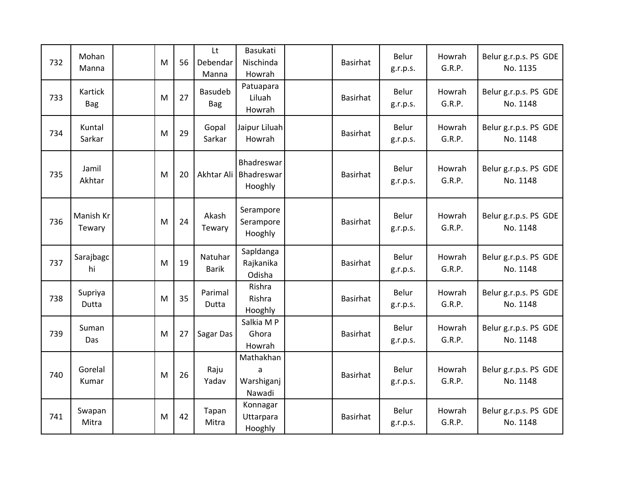| 732 | Mohan<br>Manna        | M | 56 | Lt<br>Debendar<br>Manna | Basukati<br>Nischinda<br>Howrah                | <b>Basirhat</b> | Belur<br>g.r.p.s.        | Howrah<br>G.R.P. | Belur g.r.p.s. PS GDE<br>No. 1135 |
|-----|-----------------------|---|----|-------------------------|------------------------------------------------|-----------------|--------------------------|------------------|-----------------------------------|
| 733 | Kartick<br><b>Bag</b> | M | 27 | Basudeb<br>Bag          | Patuapara<br>Liluah<br>Howrah                  | <b>Basirhat</b> | Belur<br>g.r.p.s.        | Howrah<br>G.R.P. | Belur g.r.p.s. PS GDE<br>No. 1148 |
| 734 | Kuntal<br>Sarkar      | M | 29 | Gopal<br>Sarkar         | Jaipur Liluah<br>Howrah                        | <b>Basirhat</b> | Belur<br>g.r.p.s.        | Howrah<br>G.R.P. | Belur g.r.p.s. PS GDE<br>No. 1148 |
| 735 | Jamil<br>Akhtar       | M | 20 |                         | Bhadreswar<br>Akhtar Ali Bhadreswar<br>Hooghly | <b>Basirhat</b> | Belur<br>g.r.p.s.        | Howrah<br>G.R.P. | Belur g.r.p.s. PS GDE<br>No. 1148 |
| 736 | Manish Kr<br>Tewary   | M | 24 | Akash<br>Tewary         | Serampore<br>Serampore<br>Hooghly              | <b>Basirhat</b> | Belur<br>g.r.p.s.        | Howrah<br>G.R.P. | Belur g.r.p.s. PS GDE<br>No. 1148 |
| 737 | Sarajbagc<br>hi       | M | 19 | Natuhar<br><b>Barik</b> | SapIdanga<br>Rajkanika<br>Odisha               | <b>Basirhat</b> | Belur<br>g.r.p.s.        | Howrah<br>G.R.P. | Belur g.r.p.s. PS GDE<br>No. 1148 |
| 738 | Supriya<br>Dutta      | M | 35 | Parimal<br>Dutta        | Rishra<br>Rishra<br>Hooghly                    | <b>Basirhat</b> | <b>Belur</b><br>g.r.p.s. | Howrah<br>G.R.P. | Belur g.r.p.s. PS GDE<br>No. 1148 |
| 739 | Suman<br>Das          | M | 27 | Sagar Das               | Salkia M P<br>Ghora<br>Howrah                  | <b>Basirhat</b> | Belur<br>g.r.p.s.        | Howrah<br>G.R.P. | Belur g.r.p.s. PS GDE<br>No. 1148 |
| 740 | Gorelal<br>Kumar      | M | 26 | Raju<br>Yadav           | Mathakhan<br>a<br>Warshiganj<br>Nawadi         | <b>Basirhat</b> | Belur<br>g.r.p.s.        | Howrah<br>G.R.P. | Belur g.r.p.s. PS GDE<br>No. 1148 |
| 741 | Swapan<br>Mitra       | M | 42 | Tapan<br>Mitra          | Konnagar<br>Uttarpara<br>Hooghly               | <b>Basirhat</b> | Belur<br>g.r.p.s.        | Howrah<br>G.R.P. | Belur g.r.p.s. PS GDE<br>No. 1148 |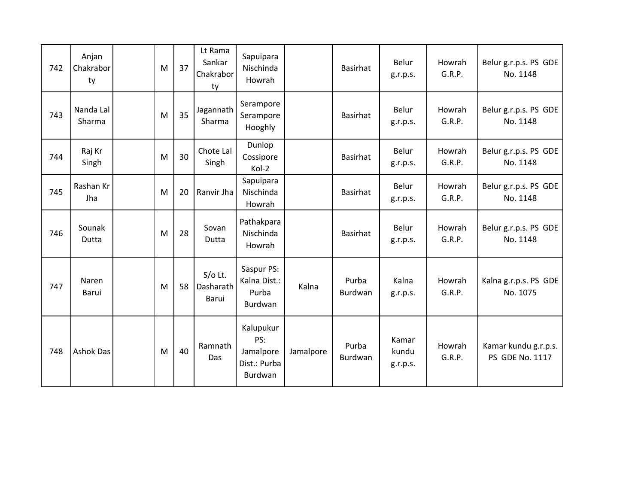| 742 | Anjan<br>Chakrabor<br>ty | M | 37 | Lt Rama<br>Sankar<br>Chakrabor<br>ty | Sapuipara<br>Nischinda<br>Howrah                         |           | <b>Basirhat</b>  | Belur<br>g.r.p.s.          | Howrah<br>G.R.P. | Belur g.r.p.s. PS GDE<br>No. 1148       |
|-----|--------------------------|---|----|--------------------------------------|----------------------------------------------------------|-----------|------------------|----------------------------|------------------|-----------------------------------------|
| 743 | Nanda Lal<br>Sharma      | M | 35 | Jagannath<br>Sharma                  | Serampore<br>Serampore<br>Hooghly                        |           | <b>Basirhat</b>  | Belur<br>g.r.p.s.          | Howrah<br>G.R.P. | Belur g.r.p.s. PS GDE<br>No. 1148       |
| 744 | Raj Kr<br>Singh          | M | 30 | Chote Lal<br>Singh                   | Dunlop<br>Cossipore<br>Kol-2                             |           | <b>Basirhat</b>  | <b>Belur</b><br>g.r.p.s.   | Howrah<br>G.R.P. | Belur g.r.p.s. PS GDE<br>No. 1148       |
| 745 | Rashan Kr<br>Jha         | M | 20 | Ranvir Jha                           | Sapuipara<br>Nischinda<br>Howrah                         |           | <b>Basirhat</b>  | Belur<br>g.r.p.s.          | Howrah<br>G.R.P. | Belur g.r.p.s. PS GDE<br>No. 1148       |
| 746 | Sounak<br>Dutta          | M | 28 | Sovan<br>Dutta                       | Pathakpara<br>Nischinda<br>Howrah                        |           | <b>Basirhat</b>  | Belur<br>g.r.p.s.          | Howrah<br>G.R.P. | Belur g.r.p.s. PS GDE<br>No. 1148       |
| 747 | Naren<br>Barui           | M | 58 | $S/O$ Lt.<br>Dasharath<br>Barui      | Saspur PS:<br>Kalna Dist.:<br>Purba<br>Burdwan           | Kalna     | Purba<br>Burdwan | Kalna<br>g.r.p.s.          | Howrah<br>G.R.P. | Kalna g.r.p.s. PS GDE<br>No. 1075       |
| 748 | Ashok Das                | M | 40 | Ramnath<br>Das                       | Kalupukur<br>PS:<br>Jamalpore<br>Dist.: Purba<br>Burdwan | Jamalpore | Purba<br>Burdwan | Kamar<br>kundu<br>g.r.p.s. | Howrah<br>G.R.P. | Kamar kundu g.r.p.s.<br>PS GDE No. 1117 |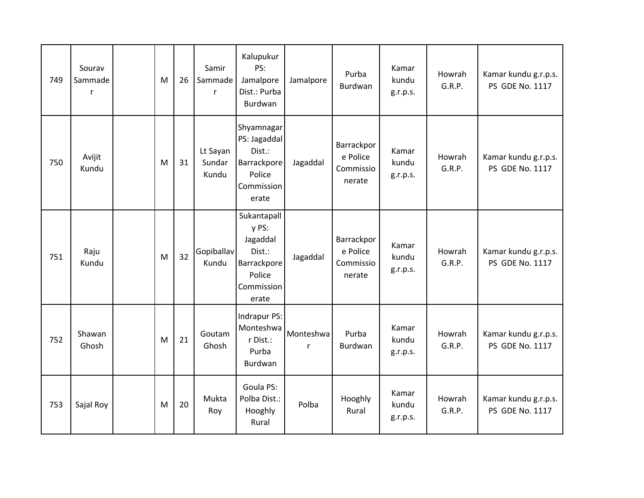| 749 | Sourav<br>Sammade<br>$\mathsf{r}$ | M | 26 | Samir<br>Sammade<br>r       | Kalupukur<br>PS:<br>Jamalpore<br>Dist.: Purba<br>Burdwan                                   | Jamalpore      | Purba<br>Burdwan                              | Kamar<br>kundu<br>g.r.p.s. | Howrah<br>G.R.P. | Kamar kundu g.r.p.s.<br>PS GDE No. 1117 |
|-----|-----------------------------------|---|----|-----------------------------|--------------------------------------------------------------------------------------------|----------------|-----------------------------------------------|----------------------------|------------------|-----------------------------------------|
| 750 | Avijit<br>Kundu                   | M | 31 | Lt Sayan<br>Sundar<br>Kundu | Shyamnagar<br>PS: Jagaddal<br>Dist.:<br>Barrackpore<br>Police<br>Commission<br>erate       | Jagaddal       | Barrackpor<br>e Police<br>Commissio<br>nerate | Kamar<br>kundu<br>g.r.p.s. | Howrah<br>G.R.P. | Kamar kundu g.r.p.s.<br>PS GDE No. 1117 |
| 751 | Raju<br>Kundu                     | M | 32 | Gopiballav<br>Kundu         | Sukantapall<br>y PS:<br>Jagaddal<br>Dist.:<br>Barrackpore<br>Police<br>Commission<br>erate | Jagaddal       | Barrackpor<br>e Police<br>Commissio<br>nerate | Kamar<br>kundu<br>g.r.p.s. | Howrah<br>G.R.P. | Kamar kundu g.r.p.s.<br>PS GDE No. 1117 |
| 752 | Shawan<br>Ghosh                   | M | 21 | Goutam<br>Ghosh             | Indrapur PS:<br>Monteshwa<br>r Dist.:<br>Purba<br>Burdwan                                  | Monteshwa<br>r | Purba<br>Burdwan                              | Kamar<br>kundu<br>g.r.p.s. | Howrah<br>G.R.P. | Kamar kundu g.r.p.s.<br>PS GDE No. 1117 |
| 753 | Sajal Roy                         | M | 20 | Mukta<br>Roy                | Goula PS:<br>Polba Dist.:<br>Hooghly<br>Rural                                              | Polba          | Hooghly<br>Rural                              | Kamar<br>kundu<br>g.r.p.s. | Howrah<br>G.R.P. | Kamar kundu g.r.p.s.<br>PS GDE No. 1117 |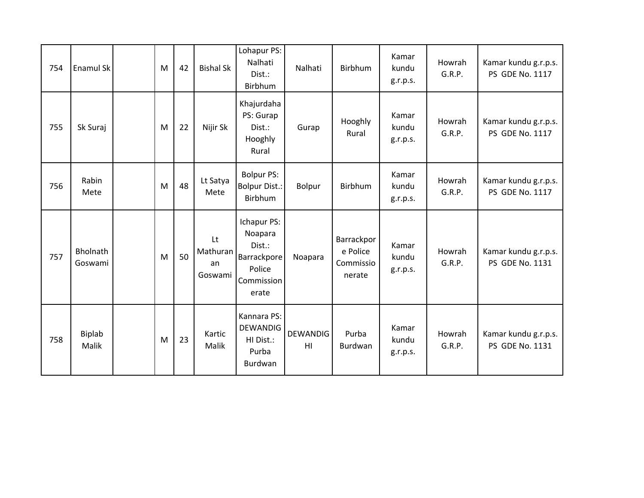| 754 | Enamul Sk              | M | 42 | <b>Bishal Sk</b>                | Lohapur PS:<br>Nalhati<br>Dist.:<br>Birbhum                                      | Nalhati               | Birbhum                                       | Kamar<br>kundu<br>g.r.p.s. | Howrah<br>G.R.P. | Kamar kundu g.r.p.s.<br>PS GDE No. 1117 |
|-----|------------------------|---|----|---------------------------------|----------------------------------------------------------------------------------|-----------------------|-----------------------------------------------|----------------------------|------------------|-----------------------------------------|
| 755 | Sk Suraj               | M | 22 | Nijir Sk                        | Khajurdaha<br>PS: Gurap<br>Dist.:<br>Hooghly<br>Rural                            | Gurap                 | Hooghly<br>Rural                              | Kamar<br>kundu<br>g.r.p.s. | Howrah<br>G.R.P. | Kamar kundu g.r.p.s.<br>PS GDE No. 1117 |
| 756 | Rabin<br>Mete          | M | 48 | Lt Satya<br>Mete                | <b>Bolpur PS:</b><br><b>Bolpur Dist.:</b><br>Birbhum                             | Bolpur                | Birbhum                                       | Kamar<br>kundu<br>g.r.p.s. | Howrah<br>G.R.P. | Kamar kundu g.r.p.s.<br>PS GDE No. 1117 |
| 757 | Bholnath<br>Goswami    | M | 50 | Lt<br>Mathuran<br>an<br>Goswami | Ichapur PS:<br>Noapara<br>Dist.:<br>Barrackpore<br>Police<br>Commission<br>erate | Noapara               | Barrackpor<br>e Police<br>Commissio<br>nerate | Kamar<br>kundu<br>g.r.p.s. | Howrah<br>G.R.P. | Kamar kundu g.r.p.s.<br>PS GDE No. 1131 |
| 758 | <b>Biplab</b><br>Malik | M | 23 | Kartic<br>Malik                 | Kannara PS:<br><b>DEWANDIG</b><br>HI Dist.:<br>Purba<br>Burdwan                  | <b>DEWANDIG</b><br>HI | Purba<br>Burdwan                              | Kamar<br>kundu<br>g.r.p.s. | Howrah<br>G.R.P. | Kamar kundu g.r.p.s.<br>PS GDE No. 1131 |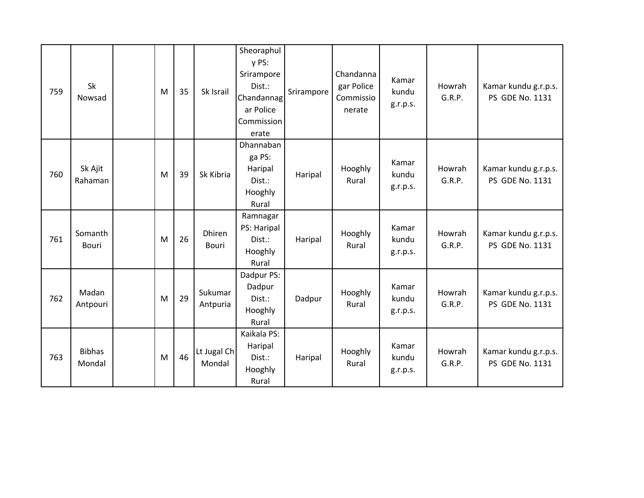| 759 | Sk<br>Nowsad            | M | 35 | Sk Israil              | Sheoraphul<br>y PS:<br>Srirampore<br>Dist.:<br>Chandannag<br>ar Police<br>Commission<br>erate | Srirampore | Chandanna<br>gar Police<br>Commissio<br>nerate | Kamar<br>kundu<br>g.r.p.s. | Howrah<br>G.R.P. | Kamar kundu g.r.p.s.<br>PS GDE No. 1131 |
|-----|-------------------------|---|----|------------------------|-----------------------------------------------------------------------------------------------|------------|------------------------------------------------|----------------------------|------------------|-----------------------------------------|
| 760 | Sk Ajit<br>Rahaman      | M | 39 | Sk Kibria              | Dhannaban<br>ga PS:<br>Haripal<br>Dist.:<br>Hooghly<br>Rural                                  | Haripal    | Hooghly<br>Rural                               | Kamar<br>kundu<br>g.r.p.s. | Howrah<br>G.R.P. | Kamar kundu g.r.p.s.<br>PS GDE No. 1131 |
| 761 | Somanth<br><b>Bouri</b> | M | 26 | <b>Dhiren</b><br>Bouri | Ramnagar<br>PS: Haripal<br>Dist.:<br>Hooghly<br>Rural                                         | Haripal    | Hooghly<br>Rural                               | Kamar<br>kundu<br>g.r.p.s. | Howrah<br>G.R.P. | Kamar kundu g.r.p.s.<br>PS GDE No. 1131 |
| 762 | Madan<br>Antpouri       | M | 29 | Sukumar<br>Antpuria    | Dadpur PS:<br>Dadpur<br>Dist.:<br>Hooghly<br>Rural                                            | Dadpur     | Hooghly<br>Rural                               | Kamar<br>kundu<br>g.r.p.s. | Howrah<br>G.R.P. | Kamar kundu g.r.p.s.<br>PS GDE No. 1131 |
| 763 | <b>Bibhas</b><br>Mondal | M | 46 | Lt Jugal Ch<br>Mondal  | Kaikala PS:<br>Haripal<br>Dist.:<br>Hooghly<br>Rural                                          | Haripal    | Hooghly<br>Rural                               | Kamar<br>kundu<br>g.r.p.s. | Howrah<br>G.R.P. | Kamar kundu g.r.p.s.<br>PS GDE No. 1131 |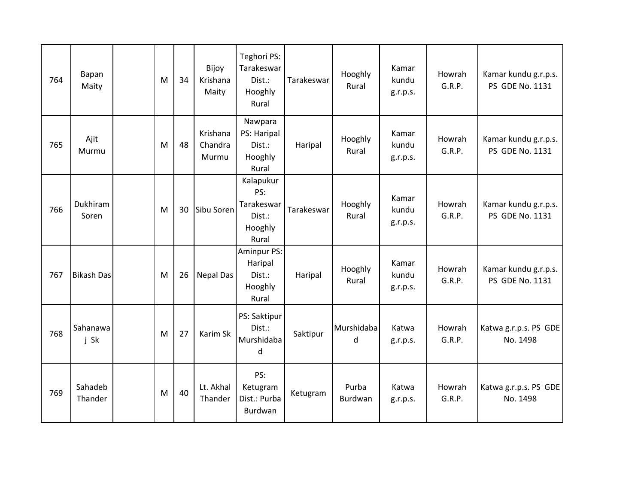| 764 | Bapan<br>Maity     | M | 34 | Bijoy<br>Krishana<br>Maity   | Teghori PS:<br>Tarakeswar<br>Dist.:<br>Hooghly<br>Rural      | Tarakeswar | Hooghly<br>Rural | Kamar<br>kundu<br>g.r.p.s. | Howrah<br>G.R.P. | Kamar kundu g.r.p.s.<br>PS GDE No. 1131 |
|-----|--------------------|---|----|------------------------------|--------------------------------------------------------------|------------|------------------|----------------------------|------------------|-----------------------------------------|
| 765 | Ajit<br>Murmu      | M | 48 | Krishana<br>Chandra<br>Murmu | Nawpara<br>PS: Haripal<br>Dist.:<br>Hooghly<br>Rural         | Haripal    | Hooghly<br>Rural | Kamar<br>kundu<br>g.r.p.s. | Howrah<br>G.R.P. | Kamar kundu g.r.p.s.<br>PS GDE No. 1131 |
| 766 | Dukhiram<br>Soren  | M | 30 | Sibu Soren                   | Kalapukur<br>PS:<br>Tarakeswar<br>Dist.:<br>Hooghly<br>Rural | Tarakeswar | Hooghly<br>Rural | Kamar<br>kundu<br>g.r.p.s. | Howrah<br>G.R.P. | Kamar kundu g.r.p.s.<br>PS GDE No. 1131 |
| 767 | <b>Bikash Das</b>  | M | 26 | <b>Nepal Das</b>             | Aminpur PS:<br>Haripal<br>Dist.:<br>Hooghly<br>Rural         | Haripal    | Hooghly<br>Rural | Kamar<br>kundu<br>g.r.p.s. | Howrah<br>G.R.P. | Kamar kundu g.r.p.s.<br>PS GDE No. 1131 |
| 768 | Sahanawa<br>j Sk   | M | 27 | Karim Sk                     | PS: Saktipur<br>Dist.:<br>Murshidaba<br>d                    | Saktipur   | Murshidaba<br>d  | Katwa<br>g.r.p.s.          | Howrah<br>G.R.P. | Katwa g.r.p.s. PS GDE<br>No. 1498       |
| 769 | Sahadeb<br>Thander | M | 40 | Lt. Akhal<br>Thander         | PS:<br>Ketugram<br>Dist.: Purba<br>Burdwan                   | Ketugram   | Purba<br>Burdwan | Katwa<br>g.r.p.s.          | Howrah<br>G.R.P. | Katwa g.r.p.s. PS GDE<br>No. 1498       |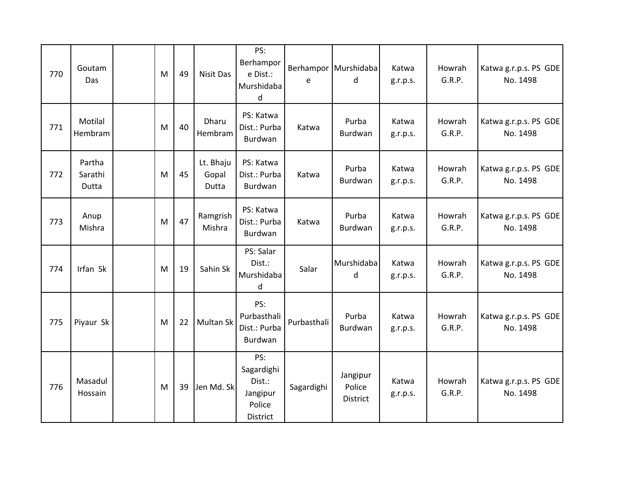| 770 | Goutam<br>Das              | M | 49 | <b>Nisit Das</b>            | PS:<br>Berhampor<br>e Dist.:<br>Murshidaba<br>d               | e           | Berhampor Murshidaba<br>d             | Katwa<br>g.r.p.s. | Howrah<br>G.R.P. | Katwa g.r.p.s. PS GDE<br>No. 1498 |
|-----|----------------------------|---|----|-----------------------------|---------------------------------------------------------------|-------------|---------------------------------------|-------------------|------------------|-----------------------------------|
| 771 | Motilal<br>Hembram         | M | 40 | Dharu<br>Hembram            | PS: Katwa<br>Dist.: Purba<br>Burdwan                          | Katwa       | Purba<br>Burdwan                      | Katwa<br>g.r.p.s. | Howrah<br>G.R.P. | Katwa g.r.p.s. PS GDE<br>No. 1498 |
| 772 | Partha<br>Sarathi<br>Dutta | M | 45 | Lt. Bhaju<br>Gopal<br>Dutta | PS: Katwa<br>Dist.: Purba<br>Burdwan                          | Katwa       | Purba<br>Burdwan                      | Katwa<br>g.r.p.s. | Howrah<br>G.R.P. | Katwa g.r.p.s. PS GDE<br>No. 1498 |
| 773 | Anup<br>Mishra             | M | 47 | Ramgrish<br>Mishra          | PS: Katwa<br>Dist.: Purba<br>Burdwan                          | Katwa       | Purba<br>Burdwan                      | Katwa<br>g.r.p.s. | Howrah<br>G.R.P. | Katwa g.r.p.s. PS GDE<br>No. 1498 |
| 774 | Irfan Sk                   | M | 19 | Sahin Sk                    | PS: Salar<br>Dist.:<br>Murshidaba<br>d                        | Salar       | Murshidaba<br>d                       | Katwa<br>g.r.p.s. | Howrah<br>G.R.P. | Katwa g.r.p.s. PS GDE<br>No. 1498 |
| 775 | Piyaur Sk                  | M | 22 | Multan Sk                   | PS:<br>Purbasthali<br>Dist.: Purba<br>Burdwan                 | Purbasthali | Purba<br>Burdwan                      | Katwa<br>g.r.p.s. | Howrah<br>G.R.P. | Katwa g.r.p.s. PS GDE<br>No. 1498 |
| 776 | Masadul<br>Hossain         | M | 39 | Jen Md. Sk                  | PS:<br>Sagardighi<br>Dist.:<br>Jangipur<br>Police<br>District | Sagardighi  | Jangipur<br>Police<br><b>District</b> | Katwa<br>g.r.p.s. | Howrah<br>G.R.P. | Katwa g.r.p.s. PS GDE<br>No. 1498 |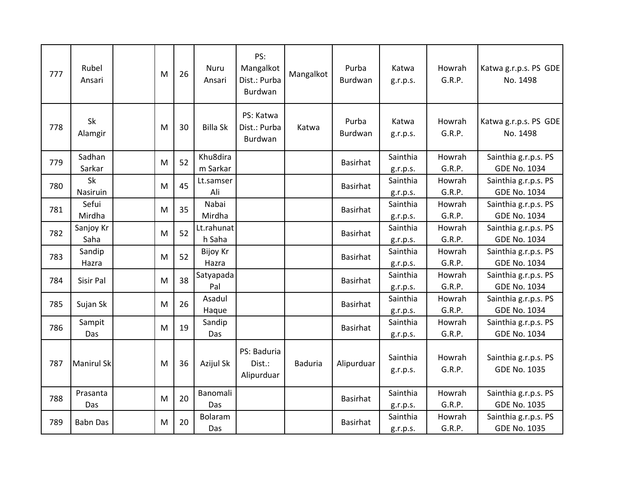| 777 | Rubel<br>Ansari   | M | 26 | Nuru<br>Ansari           | PS:<br>Mangalkot<br>Dist.: Purba<br>Burdwan | Mangalkot      | Purba<br>Burdwan | Katwa<br>g.r.p.s.    | Howrah<br>G.R.P. | Katwa g.r.p.s. PS GDE<br>No. 1498           |
|-----|-------------------|---|----|--------------------------|---------------------------------------------|----------------|------------------|----------------------|------------------|---------------------------------------------|
| 778 | Sk<br>Alamgir     | M | 30 | <b>Billa Sk</b>          | PS: Katwa<br>Dist.: Purba<br>Burdwan        | Katwa          | Purba<br>Burdwan | Katwa<br>g.r.p.s.    | Howrah<br>G.R.P. | Katwa g.r.p.s. PS GDE<br>No. 1498           |
| 779 | Sadhan<br>Sarkar  | M | 52 | Khu8dira<br>m Sarkar     |                                             |                | Basirhat         | Sainthia<br>g.r.p.s. | Howrah<br>G.R.P. | Sainthia g.r.p.s. PS<br><b>GDE No. 1034</b> |
| 780 | Sk<br>Nasiruin    | M | 45 | Lt.samser<br>Ali         |                                             |                | Basirhat         | Sainthia<br>g.r.p.s. | Howrah<br>G.R.P. | Sainthia g.r.p.s. PS<br><b>GDE No. 1034</b> |
| 781 | Sefui<br>Mirdha   | M | 35 | Nabai<br>Mirdha          |                                             |                | <b>Basirhat</b>  | Sainthia<br>g.r.p.s. | Howrah<br>G.R.P. | Sainthia g.r.p.s. PS<br><b>GDE No. 1034</b> |
| 782 | Sanjoy Kr<br>Saha | M | 52 | Lt.rahunat<br>h Saha     |                                             |                | Basirhat         | Sainthia<br>g.r.p.s. | Howrah<br>G.R.P. | Sainthia g.r.p.s. PS<br><b>GDE No. 1034</b> |
| 783 | Sandip<br>Hazra   | M | 52 | <b>Bijoy Kr</b><br>Hazra |                                             |                | <b>Basirhat</b>  | Sainthia<br>g.r.p.s. | Howrah<br>G.R.P. | Sainthia g.r.p.s. PS<br><b>GDE No. 1034</b> |
| 784 | Sisir Pal         | M | 38 | Satyapada<br>Pal         |                                             |                | <b>Basirhat</b>  | Sainthia<br>g.r.p.s. | Howrah<br>G.R.P. | Sainthia g.r.p.s. PS<br><b>GDE No. 1034</b> |
| 785 | Sujan Sk          | M | 26 | Asadul<br>Haque          |                                             |                | <b>Basirhat</b>  | Sainthia<br>g.r.p.s. | Howrah<br>G.R.P. | Sainthia g.r.p.s. PS<br><b>GDE No. 1034</b> |
| 786 | Sampit<br>Das     | M | 19 | Sandip<br>Das            |                                             |                | Basirhat         | Sainthia<br>g.r.p.s. | Howrah<br>G.R.P. | Sainthia g.r.p.s. PS<br><b>GDE No. 1034</b> |
| 787 | <b>Manirul Sk</b> | M | 36 | Azijul Sk                | PS: Baduria<br>Dist.:<br>Alipurduar         | <b>Baduria</b> | Alipurduar       | Sainthia<br>g.r.p.s. | Howrah<br>G.R.P. | Sainthia g.r.p.s. PS<br><b>GDE No. 1035</b> |
| 788 | Prasanta<br>Das   | M | 20 | Banomali<br>Das          |                                             |                | <b>Basirhat</b>  | Sainthia<br>g.r.p.s. | Howrah<br>G.R.P. | Sainthia g.r.p.s. PS<br><b>GDE No. 1035</b> |
| 789 | <b>Babn Das</b>   | M | 20 | Bolaram<br>Das           |                                             |                | <b>Basirhat</b>  | Sainthia<br>g.r.p.s. | Howrah<br>G.R.P. | Sainthia g.r.p.s. PS<br><b>GDE No. 1035</b> |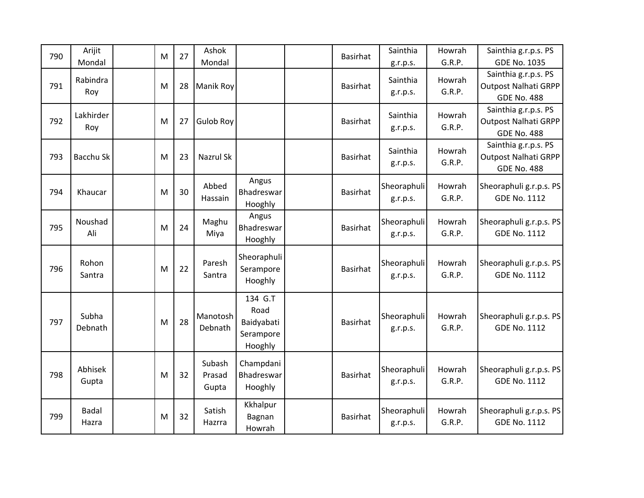| 790 | Arijit<br>Mondal      | M | 27 | Ashok<br>Mondal           |                                                       | <b>Basirhat</b> | Sainthia<br>g.r.p.s.    | Howrah<br>G.R.P. | Sainthia g.r.p.s. PS<br><b>GDE No. 1035</b>                               |
|-----|-----------------------|---|----|---------------------------|-------------------------------------------------------|-----------------|-------------------------|------------------|---------------------------------------------------------------------------|
| 791 | Rabindra<br>Roy       | M | 28 | <b>Manik Roy</b>          |                                                       | <b>Basirhat</b> | Sainthia<br>g.r.p.s.    | Howrah<br>G.R.P. | Sainthia g.r.p.s. PS<br><b>Outpost Nalhati GRPP</b><br><b>GDE No. 488</b> |
| 792 | Lakhirder<br>Roy      | M | 27 | <b>Gulob Roy</b>          |                                                       | Basirhat        | Sainthia<br>g.r.p.s.    | Howrah<br>G.R.P. | Sainthia g.r.p.s. PS<br><b>Outpost Nalhati GRPP</b><br><b>GDE No. 488</b> |
| 793 | Bacchu Sk             | M | 23 | Nazrul Sk                 |                                                       | <b>Basirhat</b> | Sainthia<br>g.r.p.s.    | Howrah<br>G.R.P. | Sainthia g.r.p.s. PS<br><b>Outpost Nalhati GRPP</b><br><b>GDE No. 488</b> |
| 794 | Khaucar               | M | 30 | Abbed<br>Hassain          | Angus<br>Bhadreswar<br>Hooghly                        | <b>Basirhat</b> | Sheoraphuli<br>g.r.p.s. | Howrah<br>G.R.P. | Sheoraphuli g.r.p.s. PS<br><b>GDE No. 1112</b>                            |
| 795 | Noushad<br>Ali        | M | 24 | Maghu<br>Miya             | Angus<br>Bhadreswar<br>Hooghly                        | <b>Basirhat</b> | Sheoraphuli<br>g.r.p.s. | Howrah<br>G.R.P. | Sheoraphuli g.r.p.s. PS<br><b>GDE No. 1112</b>                            |
| 796 | Rohon<br>Santra       | M | 22 | Paresh<br>Santra          | Sheoraphuli<br>Serampore<br>Hooghly                   | <b>Basirhat</b> | Sheoraphuli<br>g.r.p.s. | Howrah<br>G.R.P. | Sheoraphuli g.r.p.s. PS<br><b>GDE No. 1112</b>                            |
| 797 | Subha<br>Debnath      | M | 28 | Manotosh<br>Debnath       | 134 G.T<br>Road<br>Baidyabati<br>Serampore<br>Hooghly | <b>Basirhat</b> | Sheoraphuli<br>g.r.p.s. | Howrah<br>G.R.P. | Sheoraphuli g.r.p.s. PS<br><b>GDE No. 1112</b>                            |
| 798 | Abhisek<br>Gupta      | M | 32 | Subash<br>Prasad<br>Gupta | Champdani<br>Bhadreswar<br>Hooghly                    | <b>Basirhat</b> | Sheoraphuli<br>g.r.p.s. | Howrah<br>G.R.P. | Sheoraphuli g.r.p.s. PS<br><b>GDE No. 1112</b>                            |
| 799 | <b>Badal</b><br>Hazra | M | 32 | Satish<br>Hazrra          | Kkhalpur<br>Bagnan<br>Howrah                          | <b>Basirhat</b> | Sheoraphuli<br>g.r.p.s. | Howrah<br>G.R.P. | Sheoraphuli g.r.p.s. PS<br><b>GDE No. 1112</b>                            |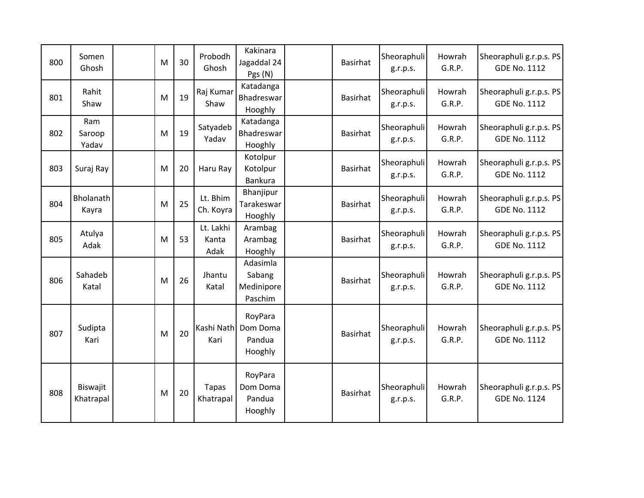| 800 | Somen<br>Ghosh         | M | 30 | Probodh<br>Ghosh           | Kakinara<br>Jagaddal 24<br>Pgs (N)          | <b>Basirhat</b> | Sheoraphuli<br>g.r.p.s. | Howrah<br>G.R.P. | Sheoraphuli g.r.p.s. PS<br><b>GDE No. 1112</b> |
|-----|------------------------|---|----|----------------------------|---------------------------------------------|-----------------|-------------------------|------------------|------------------------------------------------|
| 801 | Rahit<br>Shaw          | M | 19 | Raj Kumar<br>Shaw          | Katadanga<br>Bhadreswar<br>Hooghly          | <b>Basirhat</b> | Sheoraphuli<br>g.r.p.s. | Howrah<br>G.R.P. | Sheoraphuli g.r.p.s. PS<br><b>GDE No. 1112</b> |
| 802 | Ram<br>Saroop<br>Yadav | M | 19 | Satyadeb<br>Yadav          | Katadanga<br>Bhadreswar<br>Hooghly          | <b>Basirhat</b> | Sheoraphuli<br>g.r.p.s. | Howrah<br>G.R.P. | Sheoraphuli g.r.p.s. PS<br><b>GDE No. 1112</b> |
| 803 | Suraj Ray              | M | 20 | Haru Ray                   | Kotolpur<br>Kotolpur<br>Bankura             | <b>Basirhat</b> | Sheoraphuli<br>g.r.p.s. | Howrah<br>G.R.P. | Sheoraphuli g.r.p.s. PS<br><b>GDE No. 1112</b> |
| 804 | Bholanath<br>Kayra     | M | 25 | Lt. Bhim<br>Ch. Koyra      | Bhanjipur<br>Tarakeswar<br>Hooghly          | <b>Basirhat</b> | Sheoraphuli<br>g.r.p.s. | Howrah<br>G.R.P. | Sheoraphuli g.r.p.s. PS<br><b>GDE No. 1112</b> |
| 805 | Atulya<br>Adak         | M | 53 | Lt. Lakhi<br>Kanta<br>Adak | Arambag<br>Arambag<br>Hooghly               | <b>Basirhat</b> | Sheoraphuli<br>g.r.p.s. | Howrah<br>G.R.P. | Sheoraphuli g.r.p.s. PS<br><b>GDE No. 1112</b> |
| 806 | Sahadeb<br>Katal       | M | 26 | Jhantu<br>Katal            | Adasimla<br>Sabang<br>Medinipore<br>Paschim | <b>Basirhat</b> | Sheoraphuli<br>g.r.p.s. | Howrah<br>G.R.P. | Sheoraphuli g.r.p.s. PS<br><b>GDE No. 1112</b> |
| 807 | Sudipta<br>Kari        | M | 20 | Kashi Nath<br>Kari         | RoyPara<br>Dom Doma<br>Pandua<br>Hooghly    | <b>Basirhat</b> | Sheoraphuli<br>g.r.p.s. | Howrah<br>G.R.P. | Sheoraphuli g.r.p.s. PS<br><b>GDE No. 1112</b> |
| 808 | Biswajit<br>Khatrapal  | M | 20 | <b>Tapas</b><br>Khatrapal  | RoyPara<br>Dom Doma<br>Pandua<br>Hooghly    | <b>Basirhat</b> | Sheoraphuli<br>g.r.p.s. | Howrah<br>G.R.P. | Sheoraphuli g.r.p.s. PS<br><b>GDE No. 1124</b> |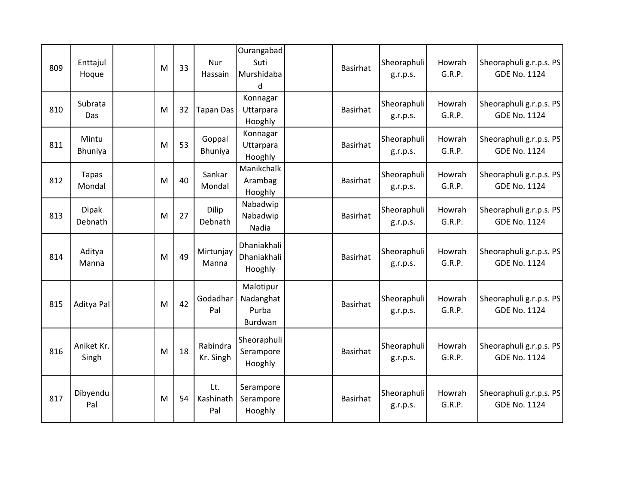| 809 | Enttajul<br>Hoque       | M | 33 | Nur<br>Hassain          | Ourangabad<br>Suti<br>Murshidaba<br>d      | <b>Basirhat</b> | Sheoraphuli<br>g.r.p.s. | Howrah<br>G.R.P. | Sheoraphuli g.r.p.s. PS<br><b>GDE No. 1124</b> |
|-----|-------------------------|---|----|-------------------------|--------------------------------------------|-----------------|-------------------------|------------------|------------------------------------------------|
| 810 | Subrata<br>Das          | M | 32 | <b>Tapan Das</b>        | Konnagar<br>Uttarpara<br>Hooghly           | <b>Basirhat</b> | Sheoraphuli<br>g.r.p.s. | Howrah<br>G.R.P. | Sheoraphuli g.r.p.s. PS<br><b>GDE No. 1124</b> |
| 811 | Mintu<br><b>Bhuniya</b> | M | 53 | Goppal<br>Bhuniya       | Konnagar<br>Uttarpara<br>Hooghly           | <b>Basirhat</b> | Sheoraphuli<br>g.r.p.s. | Howrah<br>G.R.P. | Sheoraphuli g.r.p.s. PS<br><b>GDE No. 1124</b> |
| 812 | <b>Tapas</b><br>Mondal  | M | 40 | Sankar<br>Mondal        | Manikchalk<br>Arambag<br>Hooghly           | <b>Basirhat</b> | Sheoraphuli<br>g.r.p.s. | Howrah<br>G.R.P. | Sheoraphuli g.r.p.s. PS<br><b>GDE No. 1124</b> |
| 813 | <b>Dipak</b><br>Debnath | M | 27 | Dilip<br>Debnath        | Nabadwip<br>Nabadwip<br>Nadia              | <b>Basirhat</b> | Sheoraphuli<br>g.r.p.s. | Howrah<br>G.R.P. | Sheoraphuli g.r.p.s. PS<br><b>GDE No. 1124</b> |
| 814 | Aditya<br>Manna         | M | 49 | Mirtunjay<br>Manna      | Dhaniakhali<br>Dhaniakhali<br>Hooghly      | <b>Basirhat</b> | Sheoraphuli<br>g.r.p.s. | Howrah<br>G.R.P. | Sheoraphuli g.r.p.s. PS<br><b>GDE No. 1124</b> |
| 815 | Aditya Pal              | M | 42 | Godadhar<br>Pal         | Malotipur<br>Nadanghat<br>Purba<br>Burdwan | <b>Basirhat</b> | Sheoraphuli<br>g.r.p.s. | Howrah<br>G.R.P. | Sheoraphuli g.r.p.s. PS<br><b>GDE No. 1124</b> |
| 816 | Aniket Kr.<br>Singh     | M | 18 | Rabindra<br>Kr. Singh   | Sheoraphuli<br>Serampore<br>Hooghly        | <b>Basirhat</b> | Sheoraphuli<br>g.r.p.s. | Howrah<br>G.R.P. | Sheoraphuli g.r.p.s. PS<br><b>GDE No. 1124</b> |
| 817 | Dibyendu<br>Pal         | M | 54 | Lt.<br>Kashinath<br>Pal | Serampore<br>Serampore<br>Hooghly          | Basirhat        | Sheoraphuli<br>g.r.p.s. | Howrah<br>G.R.P. | Sheoraphuli g.r.p.s. PS<br><b>GDE No. 1124</b> |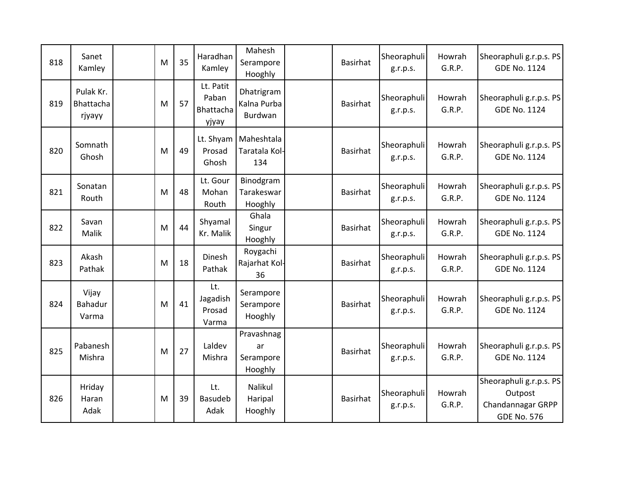| 818 | Sanet<br>Kamley                  | M | 35 | Haradhan<br>Kamley                       | Mahesh<br>Serampore<br>Hooghly           | <b>Basirhat</b> | Sheoraphuli<br>g.r.p.s. | Howrah<br>G.R.P. | Sheoraphuli g.r.p.s. PS<br><b>GDE No. 1124</b>                                |
|-----|----------------------------------|---|----|------------------------------------------|------------------------------------------|-----------------|-------------------------|------------------|-------------------------------------------------------------------------------|
| 819 | Pulak Kr.<br>Bhattacha<br>rjyayy | M | 57 | Lt. Patit<br>Paban<br>Bhattacha<br>yjyay | Dhatrigram<br>Kalna Purba<br>Burdwan     | <b>Basirhat</b> | Sheoraphuli<br>g.r.p.s. | Howrah<br>G.R.P. | Sheoraphuli g.r.p.s. PS<br><b>GDE No. 1124</b>                                |
| 820 | Somnath<br>Ghosh                 | M | 49 | Lt. Shyam<br>Prosad<br>Ghosh             | Maheshtala<br>Taratala Kol-<br>134       | <b>Basirhat</b> | Sheoraphuli<br>g.r.p.s. | Howrah<br>G.R.P. | Sheoraphuli g.r.p.s. PS<br><b>GDE No. 1124</b>                                |
| 821 | Sonatan<br>Routh                 | M | 48 | Lt. Gour<br>Mohan<br>Routh               | Binodgram<br>Tarakeswar<br>Hooghly       | <b>Basirhat</b> | Sheoraphuli<br>g.r.p.s. | Howrah<br>G.R.P. | Sheoraphuli g.r.p.s. PS<br><b>GDE No. 1124</b>                                |
| 822 | Savan<br>Malik                   | M | 44 | Shyamal<br>Kr. Malik                     | Ghala<br>Singur<br>Hooghly               | <b>Basirhat</b> | Sheoraphuli<br>g.r.p.s. | Howrah<br>G.R.P. | Sheoraphuli g.r.p.s. PS<br><b>GDE No. 1124</b>                                |
| 823 | Akash<br>Pathak                  | M | 18 | Dinesh<br>Pathak                         | Roygachi<br>Rajarhat Kol-<br>36          | <b>Basirhat</b> | Sheoraphuli<br>g.r.p.s. | Howrah<br>G.R.P. | Sheoraphuli g.r.p.s. PS<br><b>GDE No. 1124</b>                                |
| 824 | Vijay<br>Bahadur<br>Varma        | M | 41 | Lt.<br>Jagadish<br>Prosad<br>Varma       | Serampore<br>Serampore<br>Hooghly        | <b>Basirhat</b> | Sheoraphuli<br>g.r.p.s. | Howrah<br>G.R.P. | Sheoraphuli g.r.p.s. PS<br><b>GDE No. 1124</b>                                |
| 825 | Pabanesh<br>Mishra               | M | 27 | Laldev<br>Mishra                         | Pravashnag<br>ar<br>Serampore<br>Hooghly | <b>Basirhat</b> | Sheoraphuli<br>g.r.p.s. | Howrah<br>G.R.P. | Sheoraphuli g.r.p.s. PS<br><b>GDE No. 1124</b>                                |
| 826 | Hriday<br>Haran<br>Adak          | M | 39 | Lt.<br><b>Basudeb</b><br>Adak            | Nalikul<br>Haripal<br>Hooghly            | <b>Basirhat</b> | Sheoraphuli<br>g.r.p.s. | Howrah<br>G.R.P. | Sheoraphuli g.r.p.s. PS<br>Outpost<br>Chandannagar GRPP<br><b>GDE No. 576</b> |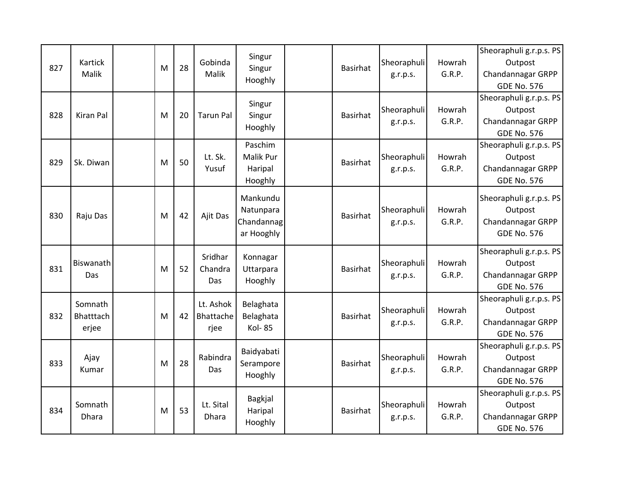| 827 | Kartick<br>Malik              | M | 28 | Gobinda<br>Malik               | Singur<br>Singur<br>Hooghly                       | <b>Basirhat</b> | Sheoraphuli<br>g.r.p.s. | Howrah<br>G.R.P. | Sheoraphuli g.r.p.s. PS<br>Outpost<br>Chandannagar GRPP<br><b>GDE No. 576</b> |
|-----|-------------------------------|---|----|--------------------------------|---------------------------------------------------|-----------------|-------------------------|------------------|-------------------------------------------------------------------------------|
| 828 | <b>Kiran Pal</b>              | M | 20 | <b>Tarun Pal</b>               | Singur<br>Singur<br>Hooghly                       | <b>Basirhat</b> | Sheoraphuli<br>g.r.p.s. | Howrah<br>G.R.P. | Sheoraphuli g.r.p.s. PS<br>Outpost<br>Chandannagar GRPP<br><b>GDE No. 576</b> |
| 829 | Sk. Diwan                     | M | 50 | Lt. Sk.<br>Yusuf               | Paschim<br>Malik Pur<br>Haripal<br>Hooghly        | <b>Basirhat</b> | Sheoraphuli<br>g.r.p.s. | Howrah<br>G.R.P. | Sheoraphuli g.r.p.s. PS<br>Outpost<br>Chandannagar GRPP<br><b>GDE No. 576</b> |
| 830 | Raju Das                      | M | 42 | Ajit Das                       | Mankundu<br>Natunpara<br>Chandannag<br>ar Hooghly | <b>Basirhat</b> | Sheoraphuli<br>g.r.p.s. | Howrah<br>G.R.P. | Sheoraphuli g.r.p.s. PS<br>Outpost<br>Chandannagar GRPP<br><b>GDE No. 576</b> |
| 831 | Biswanath<br>Das              | M | 52 | Sridhar<br>Chandra<br>Das      | Konnagar<br>Uttarpara<br>Hooghly                  | <b>Basirhat</b> | Sheoraphuli<br>g.r.p.s. | Howrah<br>G.R.P. | Sheoraphuli g.r.p.s. PS<br>Outpost<br>Chandannagar GRPP<br><b>GDE No. 576</b> |
| 832 | Somnath<br>Bhatttach<br>erjee | M | 42 | Lt. Ashok<br>Bhattache<br>rjee | Belaghata<br>Belaghata<br><b>Kol-85</b>           | <b>Basirhat</b> | Sheoraphuli<br>g.r.p.s. | Howrah<br>G.R.P. | Sheoraphuli g.r.p.s. PS<br>Outpost<br>Chandannagar GRPP<br><b>GDE No. 576</b> |
| 833 | Ajay<br>Kumar                 | M | 28 | Rabindra<br>Das                | Baidyabati<br>Serampore<br>Hooghly                | <b>Basirhat</b> | Sheoraphuli<br>g.r.p.s. | Howrah<br>G.R.P. | Sheoraphuli g.r.p.s. PS<br>Outpost<br>Chandannagar GRPP<br><b>GDE No. 576</b> |
| 834 | Somnath<br><b>Dhara</b>       | M | 53 | Lt. Sital<br>Dhara             | Bagkjal<br>Haripal<br>Hooghly                     | <b>Basirhat</b> | Sheoraphuli<br>g.r.p.s. | Howrah<br>G.R.P. | Sheoraphuli g.r.p.s. PS<br>Outpost<br>Chandannagar GRPP<br><b>GDE No. 576</b> |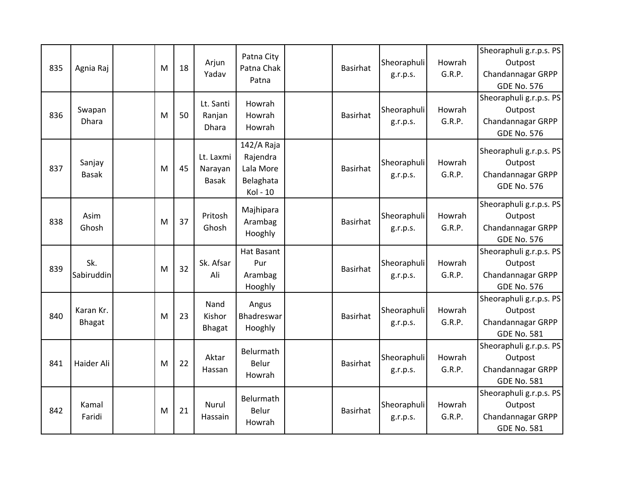| 835 | Agnia Raj                  | M | 18 | Arjun<br>Yadav                       | Patna City<br>Patna Chak<br>Patna                            | <b>Basirhat</b> | Sheoraphuli<br>g.r.p.s. | Howrah<br>G.R.P. | Sheoraphuli g.r.p.s. PS<br>Outpost<br>Chandannagar GRPP<br><b>GDE No. 576</b> |
|-----|----------------------------|---|----|--------------------------------------|--------------------------------------------------------------|-----------------|-------------------------|------------------|-------------------------------------------------------------------------------|
| 836 | Swapan<br>Dhara            | M | 50 | Lt. Santi<br>Ranjan<br>Dhara         | Howrah<br>Howrah<br>Howrah                                   | <b>Basirhat</b> | Sheoraphuli<br>g.r.p.s. | Howrah<br>G.R.P. | Sheoraphuli g.r.p.s. PS<br>Outpost<br>Chandannagar GRPP<br><b>GDE No. 576</b> |
| 837 | Sanjay<br><b>Basak</b>     | M | 45 | Lt. Laxmi<br>Narayan<br><b>Basak</b> | 142/A Raja<br>Rajendra<br>Lala More<br>Belaghata<br>Kol - 10 | <b>Basirhat</b> | Sheoraphuli<br>g.r.p.s. | Howrah<br>G.R.P. | Sheoraphuli g.r.p.s. PS<br>Outpost<br>Chandannagar GRPP<br><b>GDE No. 576</b> |
| 838 | Asim<br>Ghosh              | M | 37 | Pritosh<br>Ghosh                     | Majhipara<br>Arambag<br>Hooghly                              | <b>Basirhat</b> | Sheoraphuli<br>g.r.p.s. | Howrah<br>G.R.P. | Sheoraphuli g.r.p.s. PS<br>Outpost<br>Chandannagar GRPP<br><b>GDE No. 576</b> |
| 839 | Sk.<br>Sabiruddin          | M | 32 | Sk. Afsar<br>Ali                     | <b>Hat Basant</b><br>Pur<br>Arambag<br>Hooghly               | <b>Basirhat</b> | Sheoraphuli<br>g.r.p.s. | Howrah<br>G.R.P. | Sheoraphuli g.r.p.s. PS<br>Outpost<br>Chandannagar GRPP<br><b>GDE No. 576</b> |
| 840 | Karan Kr.<br><b>Bhagat</b> | M | 23 | Nand<br>Kishor<br><b>Bhagat</b>      | Angus<br>Bhadreswar<br>Hooghly                               | <b>Basirhat</b> | Sheoraphuli<br>g.r.p.s. | Howrah<br>G.R.P. | Sheoraphuli g.r.p.s. PS<br>Outpost<br>Chandannagar GRPP<br><b>GDE No. 581</b> |
| 841 | Haider Ali                 | M | 22 | Aktar<br>Hassan                      | Belurmath<br>Belur<br>Howrah                                 | <b>Basirhat</b> | Sheoraphuli<br>g.r.p.s. | Howrah<br>G.R.P. | Sheoraphuli g.r.p.s. PS<br>Outpost<br>Chandannagar GRPP<br><b>GDE No. 581</b> |
| 842 | Kamal<br>Faridi            | M | 21 | Nurul<br>Hassain                     | Belurmath<br>Belur<br>Howrah                                 | Basirhat        | Sheoraphuli<br>g.r.p.s. | Howrah<br>G.R.P. | Sheoraphuli g.r.p.s. PS<br>Outpost<br>Chandannagar GRPP<br><b>GDE No. 581</b> |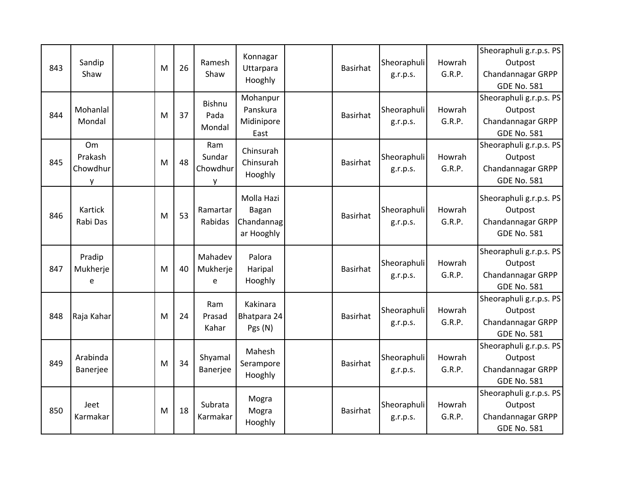| 843 | Sandip<br>Shaw                 | M | 26 | Ramesh<br>Shaw                  | Konnagar<br>Uttarpara<br>Hooghly                | <b>Basirhat</b> | Sheoraphuli<br>g.r.p.s. | Howrah<br>G.R.P. | Sheoraphuli g.r.p.s. PS<br>Outpost<br>Chandannagar GRPP<br><b>GDE No. 581</b> |
|-----|--------------------------------|---|----|---------------------------------|-------------------------------------------------|-----------------|-------------------------|------------------|-------------------------------------------------------------------------------|
| 844 | Mohanlal<br>Mondal             | M | 37 | <b>Bishnu</b><br>Pada<br>Mondal | Mohanpur<br>Panskura<br>Midinipore<br>East      | <b>Basirhat</b> | Sheoraphuli<br>g.r.p.s. | Howrah<br>G.R.P. | Sheoraphuli g.r.p.s. PS<br>Outpost<br>Chandannagar GRPP<br><b>GDE No. 581</b> |
| 845 | Om<br>Prakash<br>Chowdhur<br>y | M | 48 | Ram<br>Sundar<br>Chowdhur<br>V  | Chinsurah<br>Chinsurah<br>Hooghly               | <b>Basirhat</b> | Sheoraphuli<br>g.r.p.s. | Howrah<br>G.R.P. | Sheoraphuli g.r.p.s. PS<br>Outpost<br>Chandannagar GRPP<br><b>GDE No. 581</b> |
| 846 | Kartick<br>Rabi Das            | M | 53 | Ramartar<br>Rabidas             | Molla Hazi<br>Bagan<br>Chandannag<br>ar Hooghly | <b>Basirhat</b> | Sheoraphuli<br>g.r.p.s. | Howrah<br>G.R.P. | Sheoraphuli g.r.p.s. PS<br>Outpost<br>Chandannagar GRPP<br><b>GDE No. 581</b> |
| 847 | Pradip<br>Mukherje<br>e        | M | 40 | Mahadev<br>Mukherje<br>e        | Palora<br>Haripal<br>Hooghly                    | <b>Basirhat</b> | Sheoraphuli<br>g.r.p.s. | Howrah<br>G.R.P. | Sheoraphuli g.r.p.s. PS<br>Outpost<br>Chandannagar GRPP<br><b>GDE No. 581</b> |
| 848 | Raja Kahar                     | M | 24 | Ram<br>Prasad<br>Kahar          | Kakinara<br>Bhatpara 24<br>Pgs (N)              | <b>Basirhat</b> | Sheoraphuli<br>g.r.p.s. | Howrah<br>G.R.P. | Sheoraphuli g.r.p.s. PS<br>Outpost<br>Chandannagar GRPP<br><b>GDE No. 581</b> |
| 849 | Arabinda<br>Banerjee           | M | 34 | Shyamal<br>Banerjee             | Mahesh<br>Serampore<br>Hooghly                  | <b>Basirhat</b> | Sheoraphuli<br>g.r.p.s. | Howrah<br>G.R.P. | Sheoraphuli g.r.p.s. PS<br>Outpost<br>Chandannagar GRPP<br><b>GDE No. 581</b> |
| 850 | Jeet<br>Karmakar               | M | 18 | Subrata<br>Karmakar             | Mogra<br>Mogra<br>Hooghly                       | <b>Basirhat</b> | Sheoraphuli<br>g.r.p.s. | Howrah<br>G.R.P. | Sheoraphuli g.r.p.s. PS<br>Outpost<br>Chandannagar GRPP<br><b>GDE No. 581</b> |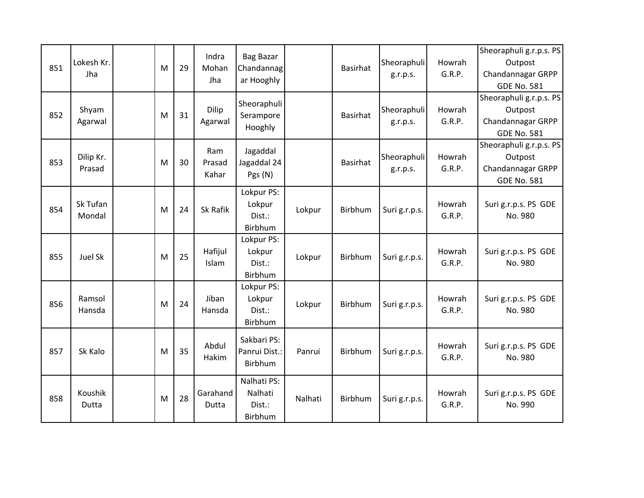| 851 | Lokesh Kr.<br>Jha   | M | 29 | Indra<br>Mohan<br>Jha  | <b>Bag Bazar</b><br>Chandannag<br>ar Hooghly |         | <b>Basirhat</b> | Sheoraphuli<br>g.r.p.s. | Howrah<br>G.R.P. | Sheoraphuli g.r.p.s. PS<br>Outpost<br>Chandannagar GRPP<br><b>GDE No. 581</b> |
|-----|---------------------|---|----|------------------------|----------------------------------------------|---------|-----------------|-------------------------|------------------|-------------------------------------------------------------------------------|
| 852 | Shyam<br>Agarwal    | M | 31 | Dilip<br>Agarwal       | Sheoraphuli<br>Serampore<br>Hooghly          |         | <b>Basirhat</b> | Sheoraphuli<br>g.r.p.s. | Howrah<br>G.R.P. | Sheoraphuli g.r.p.s. PS<br>Outpost<br>Chandannagar GRPP<br><b>GDE No. 581</b> |
| 853 | Dilip Kr.<br>Prasad | M | 30 | Ram<br>Prasad<br>Kahar | Jagaddal<br>Jagaddal 24<br>Pgs (N)           |         | <b>Basirhat</b> | Sheoraphuli<br>g.r.p.s. | Howrah<br>G.R.P. | Sheoraphuli g.r.p.s. PS<br>Outpost<br>Chandannagar GRPP<br><b>GDE No. 581</b> |
| 854 | Sk Tufan<br>Mondal  | M | 24 | Sk Rafik               | Lokpur PS:<br>Lokpur<br>Dist.:<br>Birbhum    | Lokpur  | Birbhum         | Suri g.r.p.s.           | Howrah<br>G.R.P. | Suri g.r.p.s. PS GDE<br>No. 980                                               |
| 855 | Juel Sk             | M | 25 | Hafijul<br>Islam       | Lokpur PS:<br>Lokpur<br>Dist.:<br>Birbhum    | Lokpur  | Birbhum         | Suri g.r.p.s.           | Howrah<br>G.R.P. | Suri g.r.p.s. PS GDE<br>No. 980                                               |
| 856 | Ramsol<br>Hansda    | M | 24 | Jiban<br>Hansda        | Lokpur PS:<br>Lokpur<br>Dist.:<br>Birbhum    | Lokpur  | Birbhum         | Suri g.r.p.s.           | Howrah<br>G.R.P. | Suri g.r.p.s. PS GDE<br>No. 980                                               |
| 857 | Sk Kalo             | M | 35 | Abdul<br>Hakim         | Sakbari PS:<br>Panrui Dist.:<br>Birbhum      | Panrui  | Birbhum         | Suri g.r.p.s.           | Howrah<br>G.R.P. | Suri g.r.p.s. PS GDE<br>No. 980                                               |
| 858 | Koushik<br>Dutta    | M | 28 | Garahand<br>Dutta      | Nalhati PS:<br>Nalhati<br>Dist.:<br>Birbhum  | Nalhati | Birbhum         | Suri g.r.p.s.           | Howrah<br>G.R.P. | Suri g.r.p.s. PS GDE<br>No. 990                                               |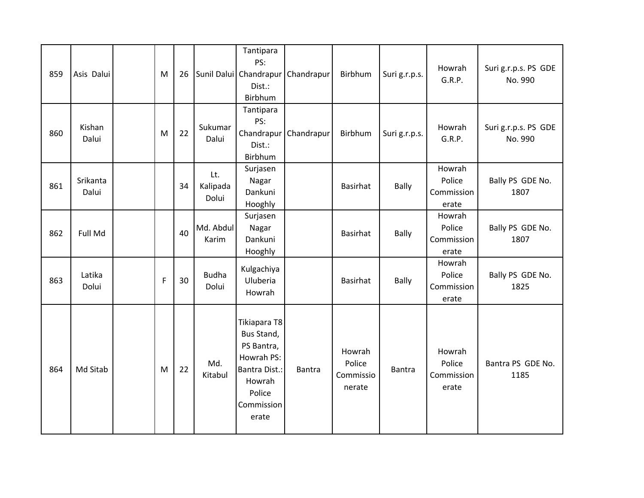| 859 | Asis Dalui        | M | 26 |                          | Tantipara<br>PS:<br>Sunil Dalui Chandrapur Chandrapur<br>Dist.:<br>Birbhum                                                |               | Birbhum                                 | Suri g.r.p.s. | Howrah<br>G.R.P.                        | Suri g.r.p.s. PS GDE<br>No. 990 |
|-----|-------------------|---|----|--------------------------|---------------------------------------------------------------------------------------------------------------------------|---------------|-----------------------------------------|---------------|-----------------------------------------|---------------------------------|
| 860 | Kishan<br>Dalui   | M | 22 | Sukumar<br>Dalui         | Tantipara<br>PS:<br>Chandrapur<br>Dist.:<br>Birbhum                                                                       | Chandrapur    | Birbhum                                 | Suri g.r.p.s. | Howrah<br>G.R.P.                        | Suri g.r.p.s. PS GDE<br>No. 990 |
| 861 | Srikanta<br>Dalui |   | 34 | Lt.<br>Kalipada<br>Dolui | Surjasen<br>Nagar<br>Dankuni<br>Hooghly                                                                                   |               | <b>Basirhat</b>                         | Bally         | Howrah<br>Police<br>Commission<br>erate | Bally PS GDE No.<br>1807        |
| 862 | Full Md           |   | 40 | Md. Abdul<br>Karim       | Surjasen<br>Nagar<br>Dankuni<br>Hooghly                                                                                   |               | Basirhat                                | Bally         | Howrah<br>Police<br>Commission<br>erate | Bally PS GDE No.<br>1807        |
| 863 | Latika<br>Dolui   | F | 30 | <b>Budha</b><br>Dolui    | Kulgachiya<br>Uluberia<br>Howrah                                                                                          |               | <b>Basirhat</b>                         | Bally         | Howrah<br>Police<br>Commission<br>erate | Bally PS GDE No.<br>1825        |
| 864 | Md Sitab          | M | 22 | Md.<br>Kitabul           | Tikiapara T8<br>Bus Stand,<br>PS Bantra,<br>Howrah PS:<br><b>Bantra Dist.:</b><br>Howrah<br>Police<br>Commission<br>erate | <b>Bantra</b> | Howrah<br>Police<br>Commissio<br>nerate | <b>Bantra</b> | Howrah<br>Police<br>Commission<br>erate | Bantra PS GDE No.<br>1185       |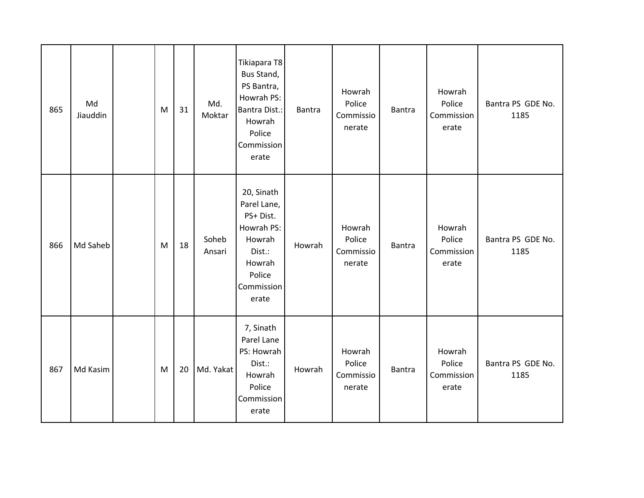| 865 | Md<br>Jiauddin | M | 31 | Md.<br>Moktar   | Tikiapara T8<br>Bus Stand,<br>PS Bantra,<br>Howrah PS:<br><b>Bantra Dist.:</b><br>Howrah<br>Police<br>Commission<br>erate | <b>Bantra</b> | Howrah<br>Police<br>Commissio<br>nerate | <b>Bantra</b> | Howrah<br>Police<br>Commission<br>erate | Bantra PS GDE No.<br>1185 |
|-----|----------------|---|----|-----------------|---------------------------------------------------------------------------------------------------------------------------|---------------|-----------------------------------------|---------------|-----------------------------------------|---------------------------|
| 866 | Md Saheb       | M | 18 | Soheb<br>Ansari | 20, Sinath<br>Parel Lane,<br>PS+ Dist.<br>Howrah PS:<br>Howrah<br>Dist.:<br>Howrah<br>Police<br>Commission<br>erate       | Howrah        | Howrah<br>Police<br>Commissio<br>nerate | Bantra        | Howrah<br>Police<br>Commission<br>erate | Bantra PS GDE No.<br>1185 |
| 867 | Md Kasim       | M | 20 | Md. Yakat       | 7, Sinath<br>Parel Lane<br>PS: Howrah<br>Dist.:<br>Howrah<br>Police<br>Commission<br>erate                                | Howrah        | Howrah<br>Police<br>Commissio<br>nerate | <b>Bantra</b> | Howrah<br>Police<br>Commission<br>erate | Bantra PS GDE No.<br>1185 |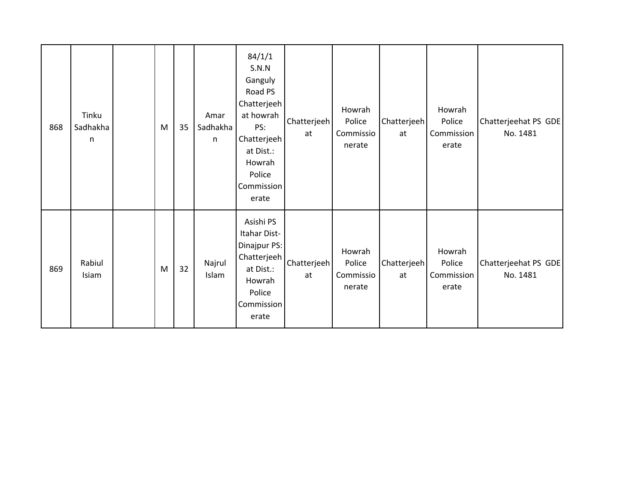| 868 | Tinku<br>Sadhakha<br>n | M | 35 | Amar<br>Sadhakha<br>n | 84/1/1<br>S.N.N<br>Ganguly<br>Road PS<br>Chatterjeeh<br>at howrah<br>PS:<br>Chatterjeeh<br>at Dist.:<br>Howrah<br>Police<br>Commission<br>erate | Chatterjeeh<br>at | Howrah<br>Police<br>Commissio<br>nerate | Chatterjeeh<br>at | Howrah<br>Police<br>Commission<br>erate | Chatterjeehat PS GDE<br>No. 1481 |
|-----|------------------------|---|----|-----------------------|-------------------------------------------------------------------------------------------------------------------------------------------------|-------------------|-----------------------------------------|-------------------|-----------------------------------------|----------------------------------|
| 869 | Rabiul<br>Isiam        | M | 32 | Najrul<br>Islam       | Asishi PS<br>Itahar Dist-<br>Dinajpur PS:<br>Chatterjeeh<br>at Dist.:<br>Howrah<br>Police<br>Commission<br>erate                                | Chatterjeeh<br>at | Howrah<br>Police<br>Commissio<br>nerate | Chatterjeeh<br>at | Howrah<br>Police<br>Commission<br>erate | Chatterjeehat PS GDE<br>No. 1481 |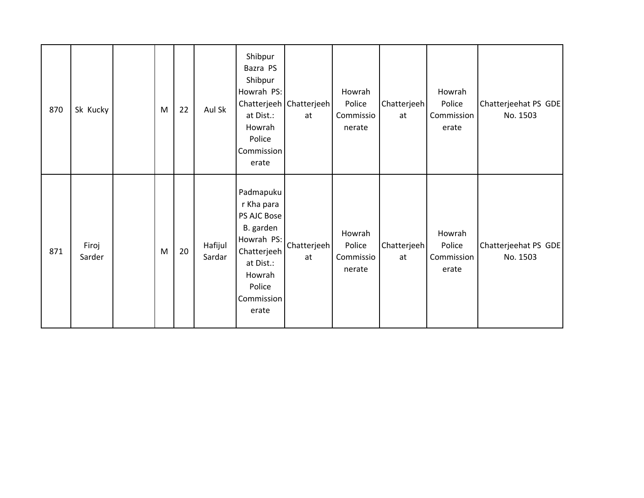| 870 | Sk Kucky        | M | 22 | Aul Sk            | Shibpur<br>Bazra PS<br>Shibpur<br>Howrah PS:<br>at Dist.:<br>Howrah<br>Police<br>Commission<br>erate                                     | Chatterjeeh   Chatterjeeh  <br>at | Howrah<br>Police<br>Commissio<br>nerate | Chatterjeeh<br>at | Howrah<br>Police<br>Commission<br>erate | Chatterjeehat PS GDE<br>No. 1503 |
|-----|-----------------|---|----|-------------------|------------------------------------------------------------------------------------------------------------------------------------------|-----------------------------------|-----------------------------------------|-------------------|-----------------------------------------|----------------------------------|
| 871 | Firoj<br>Sarder | M | 20 | Hafijul<br>Sardar | Padmapuku<br>r Kha para<br>PS AJC Bose<br>B. garden<br>Howrah PS:<br>Chatterjeeh<br>at Dist.:<br>Howrah<br>Police<br>Commission<br>erate | Chatterjeeh<br>at                 | Howrah<br>Police<br>Commissio<br>nerate | Chatterjeeh<br>at | Howrah<br>Police<br>Commission<br>erate | Chatterjeehat PS GDE<br>No. 1503 |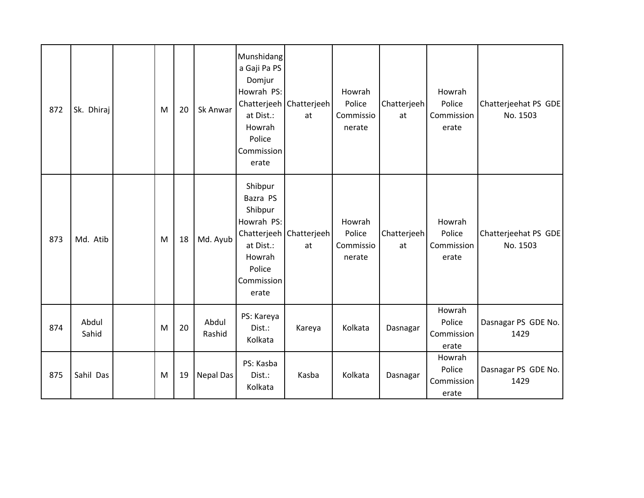| 872 | Sk. Dhiraj     | M | 20 | Sk Anwar         | Munshidang<br>a Gaji Pa PS<br>Domjur<br>Howrah PS:<br>at Dist.:<br>Howrah<br>Police<br>Commission<br>erate | Chatterjeeh   Chatterjeeh  <br>at | Howrah<br>Police<br>Commissio<br>nerate | Chatterjeeh<br>at | Howrah<br>Police<br>Commission<br>erate | Chatterjeehat PS GDE<br>No. 1503 |
|-----|----------------|---|----|------------------|------------------------------------------------------------------------------------------------------------|-----------------------------------|-----------------------------------------|-------------------|-----------------------------------------|----------------------------------|
| 873 | Md. Atib       | M | 18 | Md. Ayub         | Shibpur<br>Bazra PS<br>Shibpur<br>Howrah PS:<br>at Dist.:<br>Howrah<br>Police<br>Commission<br>erate       | Chatterjeeh   Chatterjeeh  <br>at | Howrah<br>Police<br>Commissio<br>nerate | Chatterjeeh<br>at | Howrah<br>Police<br>Commission<br>erate | Chatterjeehat PS GDE<br>No. 1503 |
| 874 | Abdul<br>Sahid | M | 20 | Abdul<br>Rashid  | PS: Kareya<br>Dist.:<br>Kolkata                                                                            | Kareya                            | Kolkata                                 | Dasnagar          | Howrah<br>Police<br>Commission<br>erate | Dasnagar PS GDE No.<br>1429      |
| 875 | Sahil Das      | M | 19 | <b>Nepal Das</b> | PS: Kasba<br>Dist.:<br>Kolkata                                                                             | Kasba                             | Kolkata                                 | Dasnagar          | Howrah<br>Police<br>Commission<br>erate | Dasnagar PS GDE No.<br>1429      |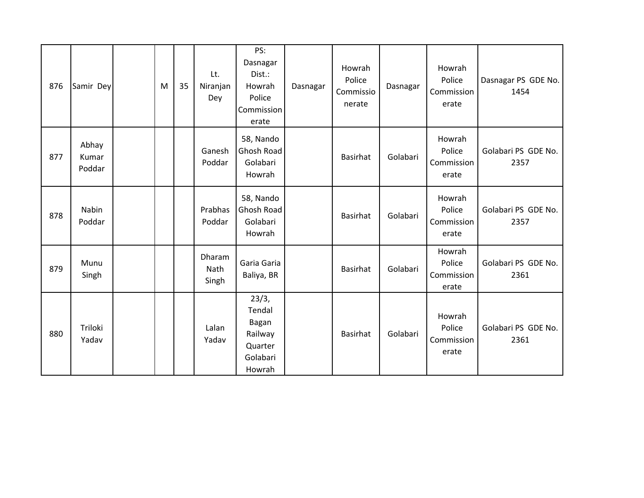| 876 | Samir Dey                | M | 35 | Lt.<br>Niranjan<br>Dey  | PS:<br>Dasnagar<br>Dist.:<br>Howrah<br>Police<br>Commission<br>erate | Dasnagar | Howrah<br>Police<br>Commissio<br>nerate | Dasnagar | Howrah<br>Police<br>Commission<br>erate | Dasnagar PS GDE No.<br>1454 |
|-----|--------------------------|---|----|-------------------------|----------------------------------------------------------------------|----------|-----------------------------------------|----------|-----------------------------------------|-----------------------------|
| 877 | Abhay<br>Kumar<br>Poddar |   |    | Ganesh<br>Poddar        | 58, Nando<br><b>Ghosh Road</b><br>Golabari<br>Howrah                 |          | Basirhat                                | Golabari | Howrah<br>Police<br>Commission<br>erate | Golabari PS GDE No.<br>2357 |
| 878 | Nabin<br>Poddar          |   |    | Prabhas<br>Poddar       | 58, Nando<br>Ghosh Road<br>Golabari<br>Howrah                        |          | Basirhat                                | Golabari | Howrah<br>Police<br>Commission<br>erate | Golabari PS GDE No.<br>2357 |
| 879 | Munu<br>Singh            |   |    | Dharam<br>Nath<br>Singh | Garia Garia<br>Baliya, BR                                            |          | Basirhat                                | Golabari | Howrah<br>Police<br>Commission<br>erate | Golabari PS GDE No.<br>2361 |
| 880 | Triloki<br>Yadav         |   |    | Lalan<br>Yadav          | 23/3,<br>Tendal<br>Bagan<br>Railway<br>Quarter<br>Golabari<br>Howrah |          | <b>Basirhat</b>                         | Golabari | Howrah<br>Police<br>Commission<br>erate | Golabari PS GDE No.<br>2361 |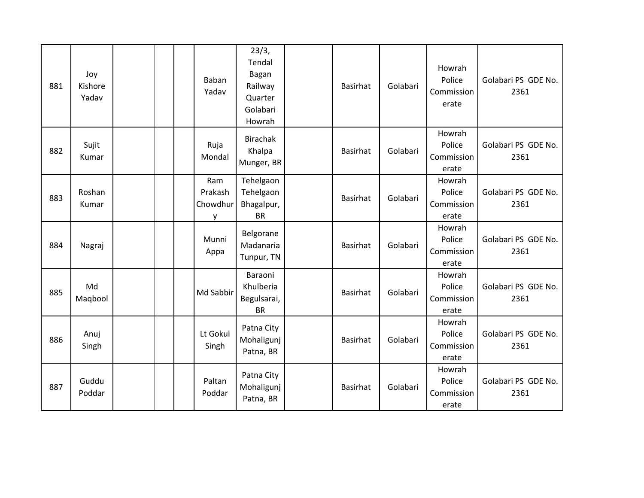| 881 | Joy<br>Kishore<br>Yadav |  | Baban<br>Yadav                  | 23/3,<br>Tendal<br>Bagan<br>Railway<br>Quarter<br>Golabari<br>Howrah | Basirhat        | Golabari | Howrah<br>Police<br>Commission<br>erate | Golabari PS GDE No.<br>2361 |
|-----|-------------------------|--|---------------------------------|----------------------------------------------------------------------|-----------------|----------|-----------------------------------------|-----------------------------|
| 882 | Sujit<br>Kumar          |  | Ruja<br>Mondal                  | <b>Birachak</b><br>Khalpa<br>Munger, BR                              | <b>Basirhat</b> | Golabari | Howrah<br>Police<br>Commission<br>erate | Golabari PS GDE No.<br>2361 |
| 883 | Roshan<br>Kumar         |  | Ram<br>Prakash<br>Chowdhur<br>۷ | Tehelgaon<br>Tehelgaon<br>Bhagalpur,<br><b>BR</b>                    | <b>Basirhat</b> | Golabari | Howrah<br>Police<br>Commission<br>erate | Golabari PS GDE No.<br>2361 |
| 884 | Nagraj                  |  | Munni<br>Appa                   | Belgorane<br>Madanaria<br>Tunpur, TN                                 | <b>Basirhat</b> | Golabari | Howrah<br>Police<br>Commission<br>erate | Golabari PS GDE No.<br>2361 |
| 885 | Md<br>Magbool           |  | Md Sabbir                       | Baraoni<br>Khulberia<br>Begulsarai,<br><b>BR</b>                     | <b>Basirhat</b> | Golabari | Howrah<br>Police<br>Commission<br>erate | Golabari PS GDE No.<br>2361 |
| 886 | Anuj<br>Singh           |  | Lt Gokul<br>Singh               | Patna City<br>Mohaligunj<br>Patna, BR                                | <b>Basirhat</b> | Golabari | Howrah<br>Police<br>Commission<br>erate | Golabari PS GDE No.<br>2361 |
| 887 | Guddu<br>Poddar         |  | Paltan<br>Poddar                | Patna City<br>Mohaligunj<br>Patna, BR                                | <b>Basirhat</b> | Golabari | Howrah<br>Police<br>Commission<br>erate | Golabari PS GDE No.<br>2361 |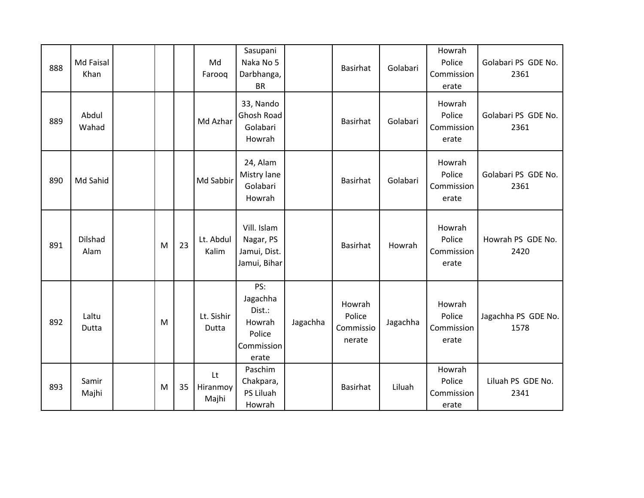| 888 | Md Faisal<br>Khan |   |    | Md<br>Farooq            | Sasupani<br>Naka No 5<br>Darbhanga,<br><b>BR</b>                     |          | Basirhat                                | Golabari | Howrah<br>Police<br>Commission<br>erate | Golabari PS GDE No.<br>2361 |
|-----|-------------------|---|----|-------------------------|----------------------------------------------------------------------|----------|-----------------------------------------|----------|-----------------------------------------|-----------------------------|
| 889 | Abdul<br>Wahad    |   |    | Md Azhar                | 33, Nando<br>Ghosh Road<br>Golabari<br>Howrah                        |          | <b>Basirhat</b>                         | Golabari | Howrah<br>Police<br>Commission<br>erate | Golabari PS GDE No.<br>2361 |
| 890 | Md Sahid          |   |    | Md Sabbir               | 24, Alam<br>Mistry lane<br>Golabari<br>Howrah                        |          | <b>Basirhat</b>                         | Golabari | Howrah<br>Police<br>Commission<br>erate | Golabari PS GDE No.<br>2361 |
| 891 | Dilshad<br>Alam   | M | 23 | Lt. Abdul<br>Kalim      | Vill. Islam<br>Nagar, PS<br>Jamui, Dist.<br>Jamui, Bihar             |          | <b>Basirhat</b>                         | Howrah   | Howrah<br>Police<br>Commission<br>erate | Howrah PS GDE No.<br>2420   |
| 892 | Laltu<br>Dutta    | M |    | Lt. Sishir<br>Dutta     | PS:<br>Jagachha<br>Dist.:<br>Howrah<br>Police<br>Commission<br>erate | Jagachha | Howrah<br>Police<br>Commissio<br>nerate | Jagachha | Howrah<br>Police<br>Commission<br>erate | Jagachha PS GDE No.<br>1578 |
| 893 | Samir<br>Majhi    | M | 35 | Lt<br>Hiranmoy<br>Majhi | Paschim<br>Chakpara,<br>PS Liluah<br>Howrah                          |          | <b>Basirhat</b>                         | Liluah   | Howrah<br>Police<br>Commission<br>erate | Liluah PS GDE No.<br>2341   |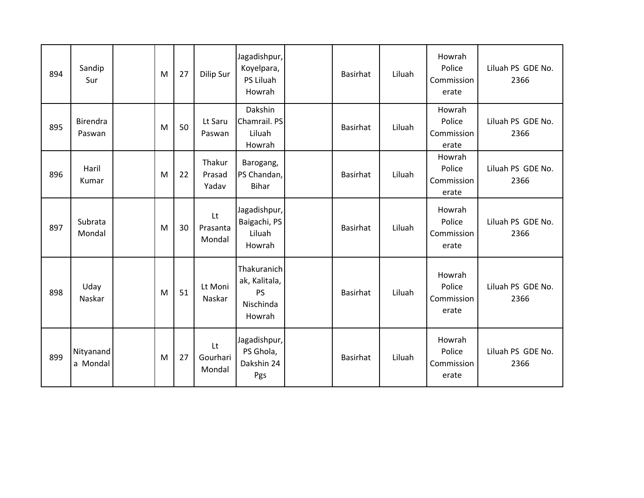| 894 | Sandip<br>Sur         | M | 27 | Dilip Sur                 | Jagadishpur,<br>Koyelpara,<br>PS Liluah<br>Howrah         | <b>Basirhat</b> | Liluah | Howrah<br>Police<br>Commission<br>erate | Liluah PS GDE No.<br>2366 |
|-----|-----------------------|---|----|---------------------------|-----------------------------------------------------------|-----------------|--------|-----------------------------------------|---------------------------|
| 895 | Birendra<br>Paswan    | M | 50 | Lt Saru<br>Paswan         | Dakshin<br>Chamrail. PS<br>Liluah<br>Howrah               | <b>Basirhat</b> | Liluah | Howrah<br>Police<br>Commission<br>erate | Liluah PS GDE No.<br>2366 |
| 896 | Haril<br>Kumar        | M | 22 | Thakur<br>Prasad<br>Yadav | Barogang,<br>PS Chandan,<br><b>Bihar</b>                  | <b>Basirhat</b> | Liluah | Howrah<br>Police<br>Commission<br>erate | Liluah PS GDE No.<br>2366 |
| 897 | Subrata<br>Mondal     | M | 30 | Lt<br>Prasanta<br>Mondal  | Jagadishpur,<br>Baigachi, PS<br>Liluah<br>Howrah          | <b>Basirhat</b> | Liluah | Howrah<br>Police<br>Commission<br>erate | Liluah PS GDE No.<br>2366 |
| 898 | Uday<br>Naskar        | M | 51 | Lt Moni<br>Naskar         | Thakuranich<br>ak, Kalitala,<br>PS<br>Nischinda<br>Howrah | <b>Basirhat</b> | Liluah | Howrah<br>Police<br>Commission<br>erate | Liluah PS GDE No.<br>2366 |
| 899 | Nityanand<br>a Mondal | M | 27 | Lt<br>Gourhari<br>Mondal  | Jagadishpur,<br>PS Ghola,<br>Dakshin 24<br>Pgs            | <b>Basirhat</b> | Liluah | Howrah<br>Police<br>Commission<br>erate | Liluah PS GDE No.<br>2366 |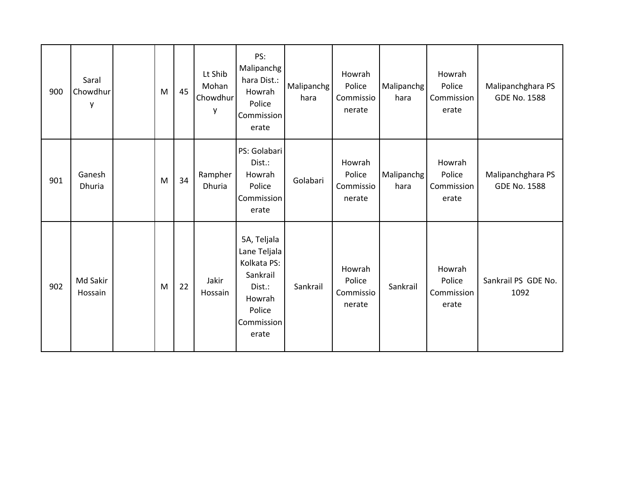| 900 | Saral<br>Chowdhur<br>у  | M | 45 | Lt Shib<br>Mohan<br>Chowdhur<br>у | PS:<br>Malipanchg<br>hara Dist.:<br>Howrah<br>Police<br>Commission<br>erate                                 | Malipanchg<br>hara | Howrah<br>Police<br>Commissio<br>nerate | Malipanchg<br>hara | Howrah<br>Police<br>Commission<br>erate | Malipanchghara PS<br><b>GDE No. 1588</b> |
|-----|-------------------------|---|----|-----------------------------------|-------------------------------------------------------------------------------------------------------------|--------------------|-----------------------------------------|--------------------|-----------------------------------------|------------------------------------------|
| 901 | Ganesh<br><b>Dhuria</b> | M | 34 | Rampher<br><b>Dhuria</b>          | PS: Golabari<br>Dist.:<br>Howrah<br>Police<br>Commission<br>erate                                           | Golabari           | Howrah<br>Police<br>Commissio<br>nerate | Malipanchg<br>hara | Howrah<br>Police<br>Commission<br>erate | Malipanchghara PS<br><b>GDE No. 1588</b> |
| 902 | Md Sakir<br>Hossain     | M | 22 | Jakir<br>Hossain                  | 5A, Teljala<br>Lane Teljala<br>Kolkata PS:<br>Sankrail<br>Dist.:<br>Howrah<br>Police<br>Commission<br>erate | Sankrail           | Howrah<br>Police<br>Commissio<br>nerate | Sankrail           | Howrah<br>Police<br>Commission<br>erate | Sankrail PS GDE No.<br>1092              |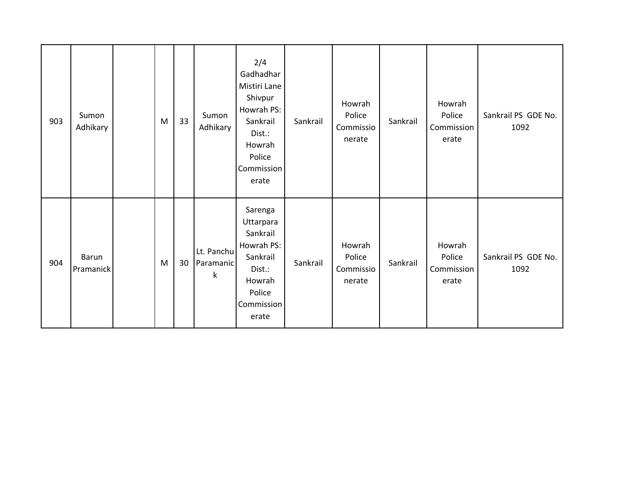| 903 | Sumon<br>Adhikary  | M | 33 | Sumon<br>Adhikary            | 2/4<br>Gadhadhar<br>Mistiri Lane<br>Shivpur<br>Howrah PS:<br>Sankrail<br>Dist.:<br>Howrah<br>Police<br>Commission<br>erate | Sankrail | Howrah<br>Police<br>Commissio<br>nerate | Sankrail | Howrah<br>Police<br>Commission<br>erate | Sankrail PS GDE No.<br>1092 |
|-----|--------------------|---|----|------------------------------|----------------------------------------------------------------------------------------------------------------------------|----------|-----------------------------------------|----------|-----------------------------------------|-----------------------------|
| 904 | Barun<br>Pramanick | M | 30 | Lt. Panchu<br>Paramanic<br>k | Sarenga<br>Uttarpara<br>Sankrail<br>Howrah PS:<br>Sankrail<br>Dist.:<br>Howrah<br>Police<br>Commission<br>erate            | Sankrail | Howrah<br>Police<br>Commissio<br>nerate | Sankrail | Howrah<br>Police<br>Commission<br>erate | Sankrail PS GDE No.<br>1092 |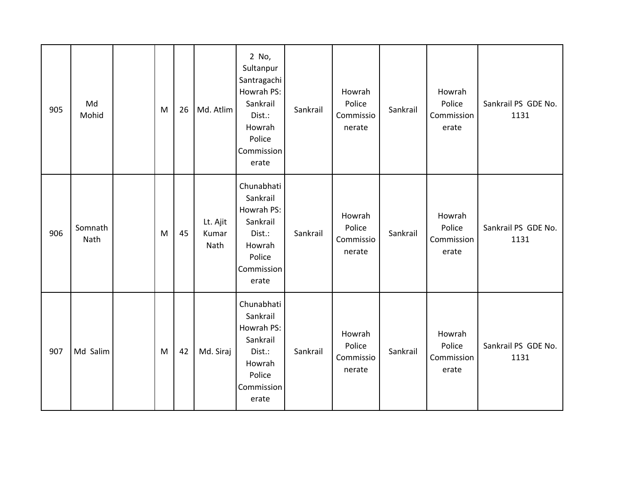| 905 | Md<br>Mohid     | M | 26 | Md. Atlim                 | 2 No,<br>Sultanpur<br>Santragachi<br>Howrah PS:<br>Sankrail<br>Dist.:<br>Howrah<br>Police<br>Commission<br>erate | Sankrail | Howrah<br>Police<br>Commissio<br>nerate | Sankrail | Howrah<br>Police<br>Commission<br>erate | Sankrail PS GDE No.<br>1131 |
|-----|-----------------|---|----|---------------------------|------------------------------------------------------------------------------------------------------------------|----------|-----------------------------------------|----------|-----------------------------------------|-----------------------------|
| 906 | Somnath<br>Nath | M | 45 | Lt. Ajit<br>Kumar<br>Nath | Chunabhati<br>Sankrail<br>Howrah PS:<br>Sankrail<br>Dist.:<br>Howrah<br>Police<br>Commission<br>erate            | Sankrail | Howrah<br>Police<br>Commissio<br>nerate | Sankrail | Howrah<br>Police<br>Commission<br>erate | Sankrail PS GDE No.<br>1131 |
| 907 | Md Salim        | M | 42 | Md. Siraj                 | Chunabhati<br>Sankrail<br>Howrah PS:<br>Sankrail<br>Dist.:<br>Howrah<br>Police<br>Commission<br>erate            | Sankrail | Howrah<br>Police<br>Commissio<br>nerate | Sankrail | Howrah<br>Police<br>Commission<br>erate | Sankrail PS GDE No.<br>1131 |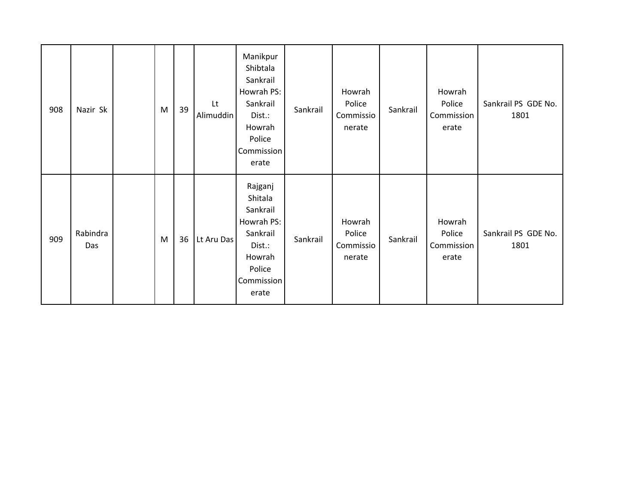| 908 | Nazir Sk        | M | 39 | Lt<br>Alimuddin | Manikpur<br>Shibtala<br>Sankrail<br>Howrah PS:<br>Sankrail<br>Dist.:<br>Howrah<br>Police<br>Commission<br>erate | Sankrail | Howrah<br>Police<br>Commissio<br>nerate | Sankrail | Howrah<br>Police<br>Commission<br>erate | Sankrail PS GDE No.<br>1801 |
|-----|-----------------|---|----|-----------------|-----------------------------------------------------------------------------------------------------------------|----------|-----------------------------------------|----------|-----------------------------------------|-----------------------------|
| 909 | Rabindra<br>Das | M | 36 | Lt Aru Das      | Rajganj<br>Shitala<br>Sankrail<br>Howrah PS:<br>Sankrail<br>Dist.:<br>Howrah<br>Police<br>Commission<br>erate   | Sankrail | Howrah<br>Police<br>Commissio<br>nerate | Sankrail | Howrah<br>Police<br>Commission<br>erate | Sankrail PS GDE No.<br>1801 |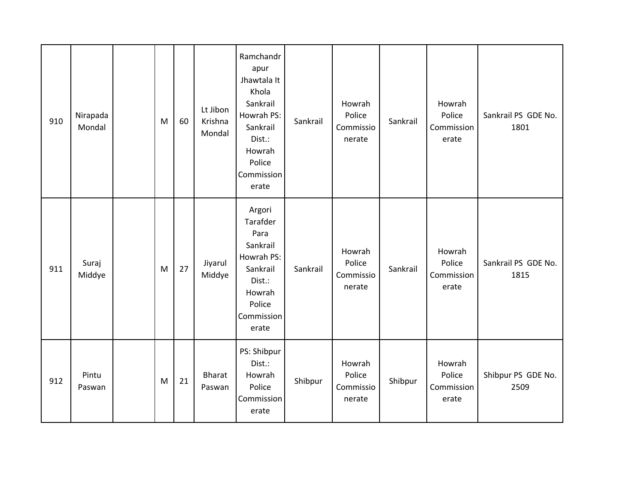| 910 | Nirapada<br>Mondal | M | 60 | Lt Jibon<br>Krishna<br>Mondal | Ramchandr<br>apur<br>Jhawtala It<br>Khola<br>Sankrail<br>Howrah PS:<br>Sankrail<br>Dist.:<br>Howrah<br>Police<br>Commission<br>erate | Sankrail | Howrah<br>Police<br>Commissio<br>nerate | Sankrail | Howrah<br>Police<br>Commission<br>erate | Sankrail PS GDE No.<br>1801 |
|-----|--------------------|---|----|-------------------------------|--------------------------------------------------------------------------------------------------------------------------------------|----------|-----------------------------------------|----------|-----------------------------------------|-----------------------------|
| 911 | Suraj<br>Middye    | M | 27 | Jiyarul<br>Middye             | Argori<br>Tarafder<br>Para<br>Sankrail<br>Howrah PS:<br>Sankrail<br>Dist.:<br>Howrah<br>Police<br>Commission<br>erate                | Sankrail | Howrah<br>Police<br>Commissio<br>nerate | Sankrail | Howrah<br>Police<br>Commission<br>erate | Sankrail PS GDE No.<br>1815 |
| 912 | Pintu<br>Paswan    | M | 21 | <b>Bharat</b><br>Paswan       | PS: Shibpur<br>Dist.:<br>Howrah<br>Police<br>Commission<br>erate                                                                     | Shibpur  | Howrah<br>Police<br>Commissio<br>nerate | Shibpur  | Howrah<br>Police<br>Commission<br>erate | Shibpur PS GDE No.<br>2509  |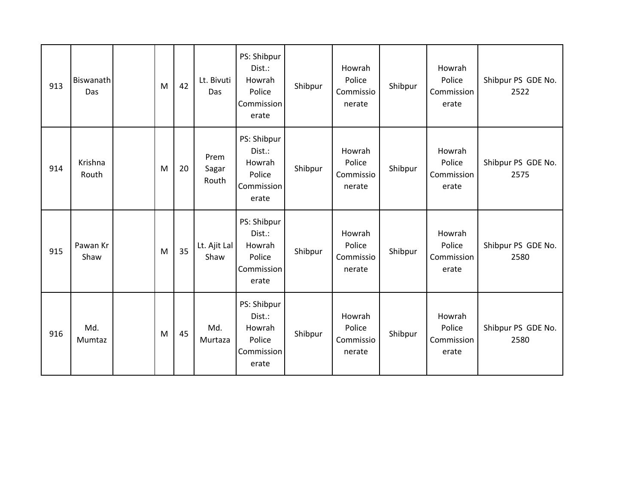| 913 | Biswanath<br>Das | M | 42 | Lt. Bivuti<br>Das      | PS: Shibpur<br>Dist.:<br>Howrah<br>Police<br>Commission<br>erate | Shibpur | Howrah<br>Police<br>Commissio<br>nerate | Shibpur | Howrah<br>Police<br>Commission<br>erate | Shibpur PS GDE No.<br>2522 |
|-----|------------------|---|----|------------------------|------------------------------------------------------------------|---------|-----------------------------------------|---------|-----------------------------------------|----------------------------|
| 914 | Krishna<br>Routh | M | 20 | Prem<br>Sagar<br>Routh | PS: Shibpur<br>Dist.:<br>Howrah<br>Police<br>Commission<br>erate | Shibpur | Howrah<br>Police<br>Commissio<br>nerate | Shibpur | Howrah<br>Police<br>Commission<br>erate | Shibpur PS GDE No.<br>2575 |
| 915 | Pawan Kr<br>Shaw | M | 35 | Lt. Ajit Lal<br>Shaw   | PS: Shibpur<br>Dist.:<br>Howrah<br>Police<br>Commission<br>erate | Shibpur | Howrah<br>Police<br>Commissio<br>nerate | Shibpur | Howrah<br>Police<br>Commission<br>erate | Shibpur PS GDE No.<br>2580 |
| 916 | Md.<br>Mumtaz    | M | 45 | Md.<br>Murtaza         | PS: Shibpur<br>Dist.:<br>Howrah<br>Police<br>Commission<br>erate | Shibpur | Howrah<br>Police<br>Commissio<br>nerate | Shibpur | Howrah<br>Police<br>Commission<br>erate | Shibpur PS GDE No.<br>2580 |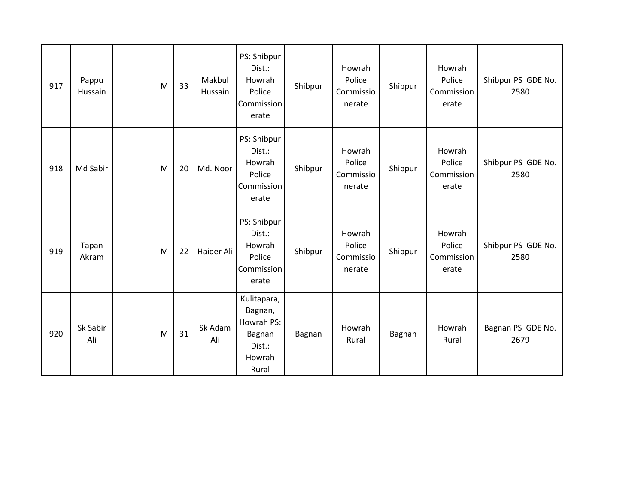| 917 | Pappu<br>Hussain | M | 33 | Makbul<br>Hussain | PS: Shibpur<br>Dist.:<br>Howrah<br>Police<br>Commission<br>erate            | Shibpur | Howrah<br>Police<br>Commissio<br>nerate | Shibpur | Howrah<br>Police<br>Commission<br>erate | Shibpur PS GDE No.<br>2580 |
|-----|------------------|---|----|-------------------|-----------------------------------------------------------------------------|---------|-----------------------------------------|---------|-----------------------------------------|----------------------------|
| 918 | Md Sabir         | M | 20 | Md. Noor          | PS: Shibpur<br>Dist.:<br>Howrah<br>Police<br>Commission<br>erate            | Shibpur | Howrah<br>Police<br>Commissio<br>nerate | Shibpur | Howrah<br>Police<br>Commission<br>erate | Shibpur PS GDE No.<br>2580 |
| 919 | Tapan<br>Akram   | M | 22 | Haider Ali        | PS: Shibpur<br>Dist.:<br>Howrah<br>Police<br>Commission<br>erate            | Shibpur | Howrah<br>Police<br>Commissio<br>nerate | Shibpur | Howrah<br>Police<br>Commission<br>erate | Shibpur PS GDE No.<br>2580 |
| 920 | Sk Sabir<br>Ali  | M | 31 | Sk Adam<br>Ali    | Kulitapara,<br>Bagnan,<br>Howrah PS:<br>Bagnan<br>Dist.:<br>Howrah<br>Rural | Bagnan  | Howrah<br>Rural                         | Bagnan  | Howrah<br>Rural                         | Bagnan PS GDE No.<br>2679  |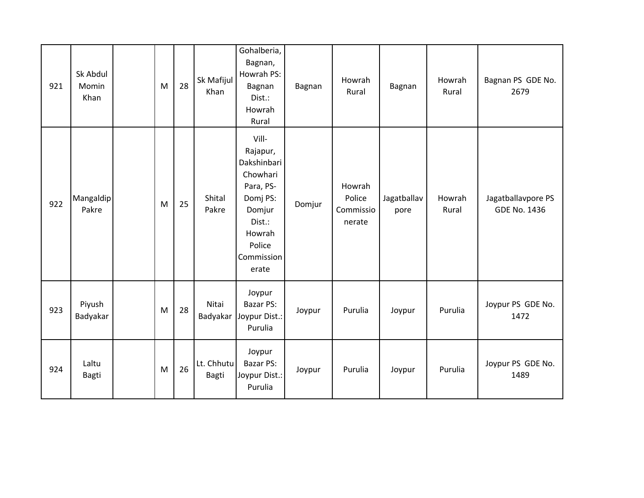| 921 | Sk Abdul<br>Momin<br>Khan | M | 28 | Sk Mafijul<br>Khan         | Gohalberia,<br>Bagnan,<br>Howrah PS:<br>Bagnan<br>Dist.:<br>Howrah<br>Rural                                                          | Bagnan | Howrah<br>Rural                         | Bagnan              | Howrah<br>Rural | Bagnan PS GDE No.<br>2679          |
|-----|---------------------------|---|----|----------------------------|--------------------------------------------------------------------------------------------------------------------------------------|--------|-----------------------------------------|---------------------|-----------------|------------------------------------|
| 922 | Mangaldip<br>Pakre        | M | 25 | Shital<br>Pakre            | Vill-<br>Rajapur,<br>Dakshinbari<br>Chowhari<br>Para, PS-<br>Domj PS:<br>Domjur<br>Dist.:<br>Howrah<br>Police<br>Commission<br>erate | Domjur | Howrah<br>Police<br>Commissio<br>nerate | Jagatballav<br>pore | Howrah<br>Rural | Jagatballavpore PS<br>GDE No. 1436 |
| 923 | Piyush<br>Badyakar        | M | 28 | Nitai<br>Badyakar          | Joypur<br><b>Bazar PS:</b><br>Joypur Dist.:<br>Purulia                                                                               | Joypur | Purulia                                 | Joypur              | Purulia         | Joypur PS GDE No.<br>1472          |
| 924 | Laltu<br><b>Bagti</b>     | M | 26 | Lt. Chhutu<br><b>Bagti</b> | Joypur<br><b>Bazar PS:</b><br>Joypur Dist.:<br>Purulia                                                                               | Joypur | Purulia                                 | Joypur              | Purulia         | Joypur PS GDE No.<br>1489          |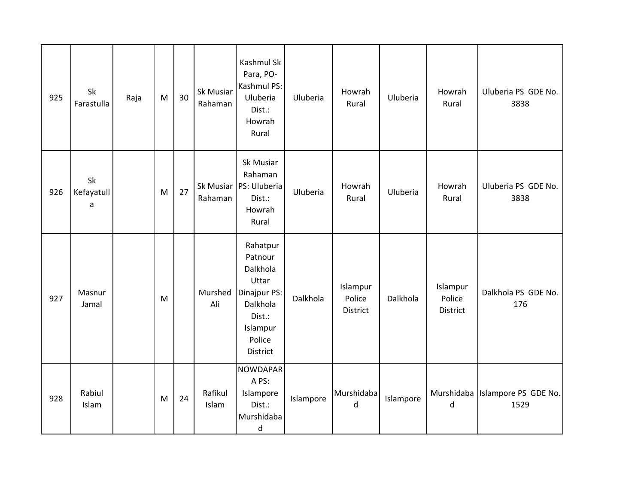| 925 | Sk<br>Farastulla      | Raja | M | 30 | Sk Musiar<br>Rahaman | Kashmul Sk<br>Para, PO-<br>Kashmul PS:<br>Uluberia<br>Dist.:<br>Howrah<br>Rural                                  | Uluberia  | Howrah<br>Rural                | Uluberia  | Howrah<br>Rural                | Uluberia PS GDE No.<br>3838  |
|-----|-----------------------|------|---|----|----------------------|------------------------------------------------------------------------------------------------------------------|-----------|--------------------------------|-----------|--------------------------------|------------------------------|
| 926 | Sk<br>Kefayatull<br>a |      | M | 27 | Rahaman              | Sk Musiar<br>Rahaman<br>Sk Musiar   PS: Uluberia<br>Dist.:<br>Howrah<br>Rural                                    | Uluberia  | Howrah<br>Rural                | Uluberia  | Howrah<br>Rural                | Uluberia PS GDE No.<br>3838  |
| 927 | Masnur<br>Jamal       |      | M |    | Murshed<br>Ali       | Rahatpur<br>Patnour<br>Dalkhola<br>Uttar<br>Dinajpur PS:<br>Dalkhola<br>Dist.:<br>Islampur<br>Police<br>District | Dalkhola  | Islampur<br>Police<br>District | Dalkhola  | Islampur<br>Police<br>District | Dalkhola PS GDE No.<br>176   |
| 928 | Rabiul<br>Islam       |      | M | 24 | Rafikul<br>Islam     | <b>NOWDAPAR</b><br>A PS:<br>Islampore<br>Dist.:<br>Murshidaba<br>$\operatorname{\mathsf{d}}$                     | Islampore | Murshidaba<br>d                | Islampore | Murshidaba<br>d                | Islampore PS GDE No.<br>1529 |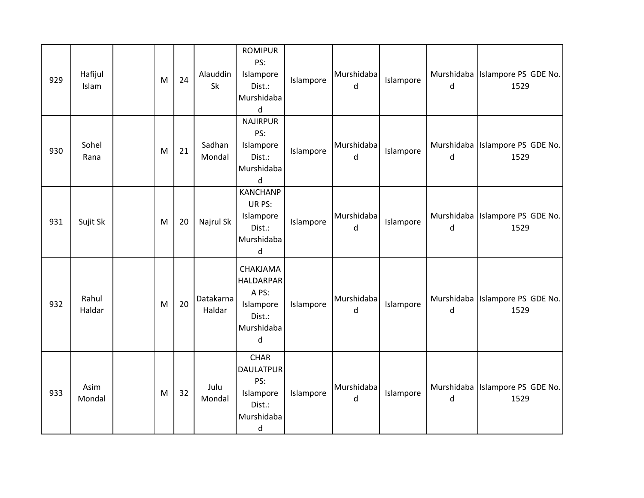| 929 | Hafijul<br>Islam | M | 24 | Alauddin<br>Sk      | <b>ROMIPUR</b><br>PS:<br>Islampore<br>Dist.:<br>Murshidaba<br>d                  | Islampore | Murshidaba<br>d | Islampore | d               | Murshidaba   Islampore PS GDE No.<br>1529 |
|-----|------------------|---|----|---------------------|----------------------------------------------------------------------------------|-----------|-----------------|-----------|-----------------|-------------------------------------------|
| 930 | Sohel<br>Rana    | M | 21 | Sadhan<br>Mondal    | <b>NAJIRPUR</b><br>PS:<br>Islampore<br>Dist.:<br>Murshidaba<br>d                 | Islampore | Murshidaba<br>d | Islampore | d               | Murshidaba Islampore PS GDE No.<br>1529   |
| 931 | Sujit Sk         | M | 20 | Najrul Sk           | <b>KANCHANP</b><br>UR PS:<br>Islampore<br>Dist.:<br>Murshidaba<br>$\sf d$        | Islampore | Murshidaba<br>d | Islampore | d               | Murshidaba   Islampore PS GDE No.<br>1529 |
| 932 | Rahul<br>Haldar  | M | 20 | Datakarna<br>Haldar | CHAKJAMA<br><b>HALDARPAR</b><br>A PS:<br>Islampore<br>Dist.:<br>Murshidaba<br>d  | Islampore | Murshidaba<br>d | Islampore | d               | Murshidaba Islampore PS GDE No.<br>1529   |
| 933 | Asim<br>Mondal   | M | 32 | Julu<br>Mondal      | <b>CHAR</b><br><b>DAULATPUR</b><br>PS:<br>Islampore<br>Dist.:<br>Murshidaba<br>d | Islampore | Murshidaba<br>d | Islampore | Murshidaba<br>d | Islampore PS GDE No.<br>1529              |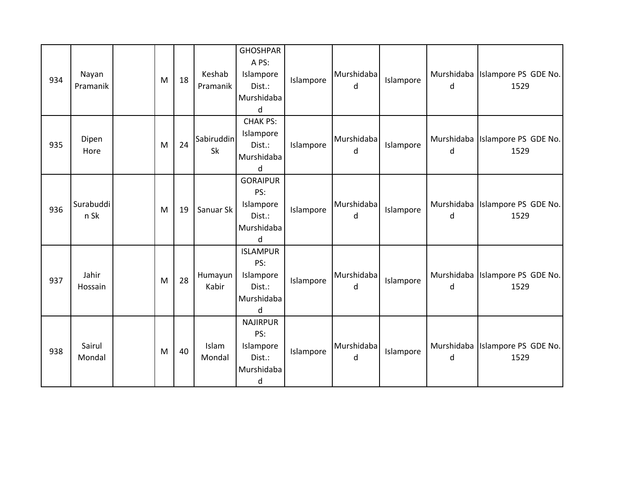| 934 | Nayan<br>Pramanik | M | 18 | Keshab<br>Pramanik | <b>GHOSHPAR</b><br>A PS:<br>Islampore<br>Dist.:<br>Murshidaba<br>d | Islampore | Murshidaba<br>d | Islampore | Murshidaba<br>d | Islampore PS GDE No.<br>1529 |
|-----|-------------------|---|----|--------------------|--------------------------------------------------------------------|-----------|-----------------|-----------|-----------------|------------------------------|
| 935 | Dipen<br>Hore     | M | 24 | Sabiruddin<br>Sk   | <b>CHAK PS:</b><br>Islampore<br>Dist.:<br>Murshidaba<br>d          | Islampore | Murshidaba<br>d | Islampore | Murshidaba<br>d | Islampore PS GDE No.<br>1529 |
| 936 | Surabuddi<br>n Sk | M | 19 | Sanuar Sk          | <b>GORAIPUR</b><br>PS:<br>Islampore<br>Dist.:<br>Murshidaba<br>d   | Islampore | Murshidaba<br>d | Islampore | Murshidaba<br>d | Islampore PS GDE No.<br>1529 |
| 937 | Jahir<br>Hossain  | M | 28 | Humayun<br>Kabir   | <b>ISLAMPUR</b><br>PS:<br>Islampore<br>Dist.:<br>Murshidaba<br>d   | Islampore | Murshidaba<br>d | Islampore | Murshidaba<br>d | Islampore PS GDE No.<br>1529 |
| 938 | Sairul<br>Mondal  | M | 40 | Islam<br>Mondal    | <b>NAJIRPUR</b><br>PS:<br>Islampore<br>Dist.:<br>Murshidaba<br>d   | Islampore | Murshidaba<br>d | Islampore | Murshidaba<br>d | Islampore PS GDE No.<br>1529 |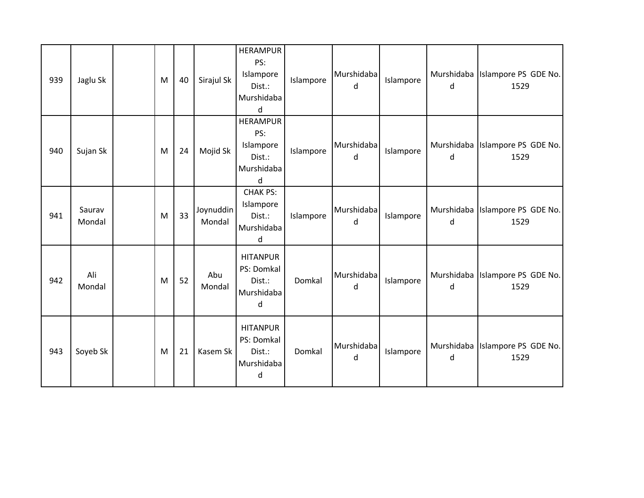| 939 | Jaglu Sk         | M | 40 | Sirajul Sk          | <b>HERAMPUR</b><br>PS:<br>Islampore<br>Dist.:<br>Murshidaba<br>$\sf d$ | Islampore | Murshidaba<br>d | Islampore | Murshidaba<br>d | Islampore PS GDE No.<br>1529 |
|-----|------------------|---|----|---------------------|------------------------------------------------------------------------|-----------|-----------------|-----------|-----------------|------------------------------|
| 940 | Sujan Sk         | M | 24 | Mojid Sk            | <b>HERAMPUR</b><br>PS:<br>Islampore<br>Dist.:<br>Murshidaba<br>$\sf d$ | Islampore | Murshidaba<br>d | Islampore | Murshidaba<br>d | Islampore PS GDE No.<br>1529 |
| 941 | Saurav<br>Mondal | M | 33 | Joynuddin<br>Mondal | <b>CHAK PS:</b><br>Islampore<br>Dist.:<br>Murshidaba<br>d              | Islampore | Murshidaba<br>d | Islampore | Murshidaba<br>d | Islampore PS GDE No.<br>1529 |
| 942 | Ali<br>Mondal    | M | 52 | Abu<br>Mondal       | <b>HITANPUR</b><br>PS: Domkal<br>Dist.:<br>Murshidaba<br>$\sf d$       | Domkal    | Murshidaba<br>d | Islampore | Murshidaba<br>d | Islampore PS GDE No.<br>1529 |
| 943 | Soyeb Sk         | M | 21 | Kasem Sk            | <b>HITANPUR</b><br>PS: Domkal<br>Dist.:<br>Murshidaba<br>d             | Domkal    | Murshidaba<br>d | Islampore | Murshidaba<br>d | Islampore PS GDE No.<br>1529 |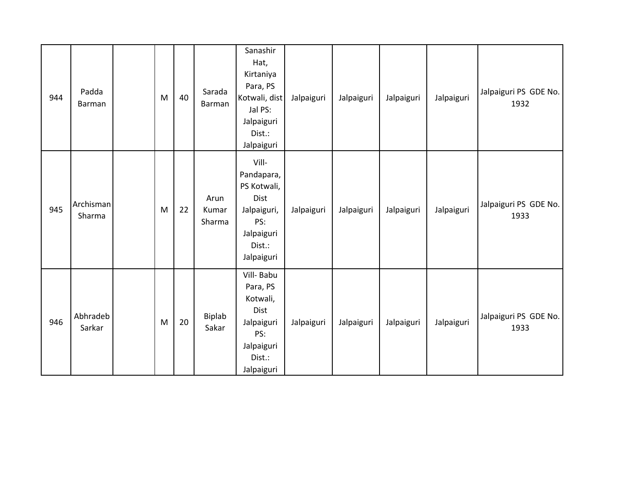| 944 | Padda<br>Barman     | M | 40 | Sarada<br>Barman        | Sanashir<br>Hat,<br>Kirtaniya<br>Para, PS<br>Kotwali, dist<br>Jal PS:<br>Jalpaiguri<br>Dist.:<br>Jalpaiguri   | Jalpaiguri | Jalpaiguri | Jalpaiguri | Jalpaiguri | Jalpaiguri PS GDE No.<br>1932 |
|-----|---------------------|---|----|-------------------------|---------------------------------------------------------------------------------------------------------------|------------|------------|------------|------------|-------------------------------|
| 945 | Archisman<br>Sharma | M | 22 | Arun<br>Kumar<br>Sharma | Vill-<br>Pandapara,<br>PS Kotwali,<br><b>Dist</b><br>Jalpaiguri,<br>PS:<br>Jalpaiguri<br>Dist.:<br>Jalpaiguri | Jalpaiguri | Jalpaiguri | Jalpaiguri | Jalpaiguri | Jalpaiguri PS GDE No.<br>1933 |
| 946 | Abhradeb<br>Sarkar  | M | 20 | Biplab<br>Sakar         | Vill-Babu<br>Para, PS<br>Kotwali,<br>Dist<br>Jalpaiguri<br>PS:<br>Jalpaiguri<br>Dist.:<br>Jalpaiguri          | Jalpaiguri | Jalpaiguri | Jalpaiguri | Jalpaiguri | Jalpaiguri PS GDE No.<br>1933 |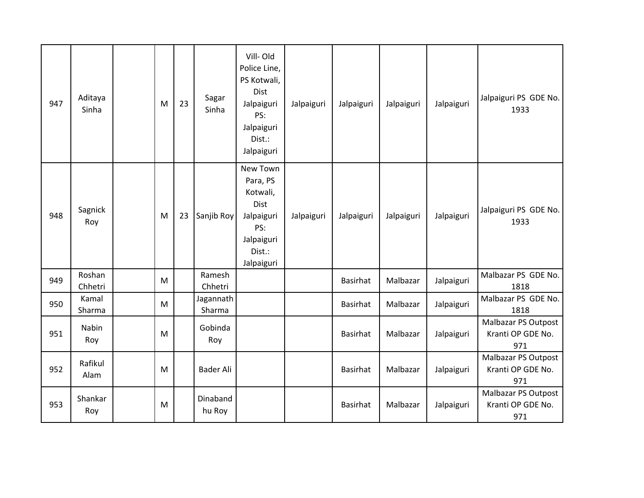| 947 | Aditaya<br>Sinha  | M | 23 | Sagar<br>Sinha      | Vill-Old<br>Police Line,<br>PS Kotwali,<br>Dist<br>Jalpaiguri<br>PS:<br>Jalpaiguri<br>Dist.:<br>Jalpaiguri | Jalpaiguri | Jalpaiguri      | Jalpaiguri | Jalpaiguri | Jalpaiguri PS GDE No.<br>1933                   |
|-----|-------------------|---|----|---------------------|------------------------------------------------------------------------------------------------------------|------------|-----------------|------------|------------|-------------------------------------------------|
| 948 | Sagnick<br>Roy    | M | 23 | Sanjib Roy          | New Town<br>Para, PS<br>Kotwali,<br>Dist<br>Jalpaiguri<br>PS:<br>Jalpaiguri<br>Dist.:<br>Jalpaiguri        | Jalpaiguri | Jalpaiguri      | Jalpaiguri | Jalpaiguri | Jalpaiguri PS GDE No.<br>1933                   |
| 949 | Roshan<br>Chhetri | M |    | Ramesh<br>Chhetri   |                                                                                                            |            | <b>Basirhat</b> | Malbazar   | Jalpaiguri | Malbazar PS GDE No.<br>1818                     |
| 950 | Kamal<br>Sharma   | M |    | Jagannath<br>Sharma |                                                                                                            |            | <b>Basirhat</b> | Malbazar   | Jalpaiguri | Malbazar PS GDE No.<br>1818                     |
| 951 | Nabin<br>Roy      | M |    | Gobinda<br>Roy      |                                                                                                            |            | <b>Basirhat</b> | Malbazar   | Jalpaiguri | Malbazar PS Outpost<br>Kranti OP GDE No.<br>971 |
| 952 | Rafikul<br>Alam   | M |    | <b>Bader Ali</b>    |                                                                                                            |            | <b>Basirhat</b> | Malbazar   | Jalpaiguri | Malbazar PS Outpost<br>Kranti OP GDE No.<br>971 |
| 953 | Shankar<br>Roy    | M |    | Dinaband<br>hu Roy  |                                                                                                            |            | <b>Basirhat</b> | Malbazar   | Jalpaiguri | Malbazar PS Outpost<br>Kranti OP GDE No.<br>971 |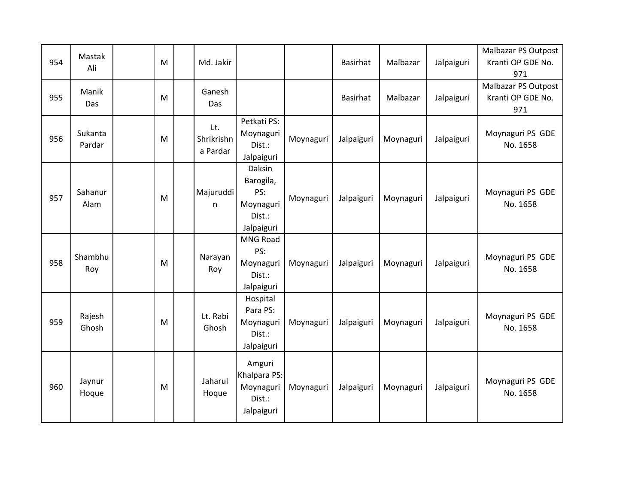| 954 | Mastak<br>Ali     | M | Md. Jakir                     |                                                                 |           | <b>Basirhat</b> | Malbazar  | Jalpaiguri | Malbazar PS Outpost<br>Kranti OP GDE No.<br>971        |
|-----|-------------------|---|-------------------------------|-----------------------------------------------------------------|-----------|-----------------|-----------|------------|--------------------------------------------------------|
| 955 | Manik<br>Das      | M | Ganesh<br>Das                 |                                                                 |           | <b>Basirhat</b> | Malbazar  | Jalpaiguri | <b>Malbazar PS Outpost</b><br>Kranti OP GDE No.<br>971 |
| 956 | Sukanta<br>Pardar | M | Lt.<br>Shrikrishn<br>a Pardar | Petkati PS:<br>Moynaguri<br>Dist.:<br>Jalpaiguri                | Moynaguri | Jalpaiguri      | Moynaguri | Jalpaiguri | Moynaguri PS GDE<br>No. 1658                           |
| 957 | Sahanur<br>Alam   | M | Majuruddi<br>n                | Daksin<br>Barogila,<br>PS:<br>Moynaguri<br>Dist.:<br>Jalpaiguri | Moynaguri | Jalpaiguri      | Moynaguri | Jalpaiguri | Moynaguri PS GDE<br>No. 1658                           |
| 958 | Shambhu<br>Roy    | M | Narayan<br>Roy                | MNG Road<br>PS:<br>Moynaguri<br>Dist.:<br>Jalpaiguri            | Moynaguri | Jalpaiguri      | Moynaguri | Jalpaiguri | Moynaguri PS GDE<br>No. 1658                           |
| 959 | Rajesh<br>Ghosh   | M | Lt. Rabi<br>Ghosh             | Hospital<br>Para PS:<br>Moynaguri<br>Dist.:<br>Jalpaiguri       | Moynaguri | Jalpaiguri      | Moynaguri | Jalpaiguri | Moynaguri PS GDE<br>No. 1658                           |
| 960 | Jaynur<br>Hoque   | M | Jaharul<br>Hoque              | Amguri<br>Khalpara PS:<br>Moynaguri<br>Dist.:<br>Jalpaiguri     | Moynaguri | Jalpaiguri      | Moynaguri | Jalpaiguri | Moynaguri PS GDE<br>No. 1658                           |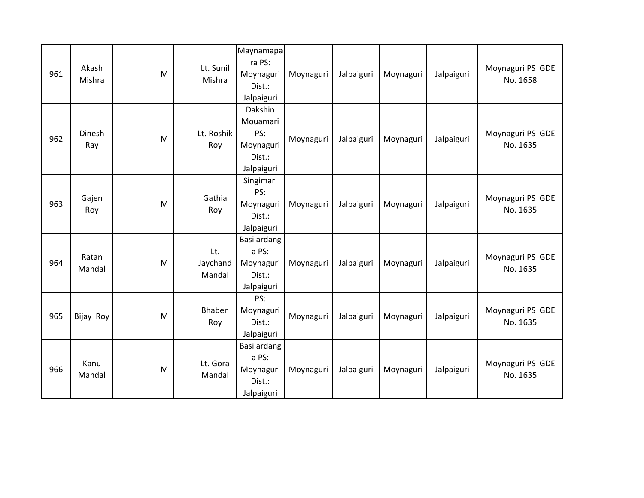| 961 | Akash<br>Mishra | M | Lt. Sunil<br>Mishra       | Maynamapa<br>ra PS:<br>Moynaguri<br>Dist.:<br>Jalpaiguri        | Moynaguri | Jalpaiguri | Moynaguri | Jalpaiguri | Moynaguri PS GDE<br>No. 1658 |
|-----|-----------------|---|---------------------------|-----------------------------------------------------------------|-----------|------------|-----------|------------|------------------------------|
| 962 | Dinesh<br>Ray   | M | Lt. Roshik<br>Roy         | Dakshin<br>Mouamari<br>PS:<br>Moynaguri<br>Dist.:<br>Jalpaiguri | Moynaguri | Jalpaiguri | Moynaguri | Jalpaiguri | Moynaguri PS GDE<br>No. 1635 |
| 963 | Gajen<br>Roy    | M | Gathia<br>Roy             | Singimari<br>PS:<br>Moynaguri<br>Dist.:<br>Jalpaiguri           | Moynaguri | Jalpaiguri | Moynaguri | Jalpaiguri | Moynaguri PS GDE<br>No. 1635 |
| 964 | Ratan<br>Mandal | M | Lt.<br>Jaychand<br>Mandal | Basilardang<br>a PS:<br>Moynaguri<br>Dist.:<br>Jalpaiguri       | Moynaguri | Jalpaiguri | Moynaguri | Jalpaiguri | Moynaguri PS GDE<br>No. 1635 |
| 965 | Bijay Roy       | M | Bhaben<br>Roy             | PS:<br>Moynaguri<br>Dist.:<br>Jalpaiguri                        | Moynaguri | Jalpaiguri | Moynaguri | Jalpaiguri | Moynaguri PS GDE<br>No. 1635 |
| 966 | Kanu<br>Mandal  | M | Lt. Gora<br>Mandal        | Basilardang<br>a PS:<br>Moynaguri<br>Dist.:<br>Jalpaiguri       | Moynaguri | Jalpaiguri | Moynaguri | Jalpaiguri | Moynaguri PS GDE<br>No. 1635 |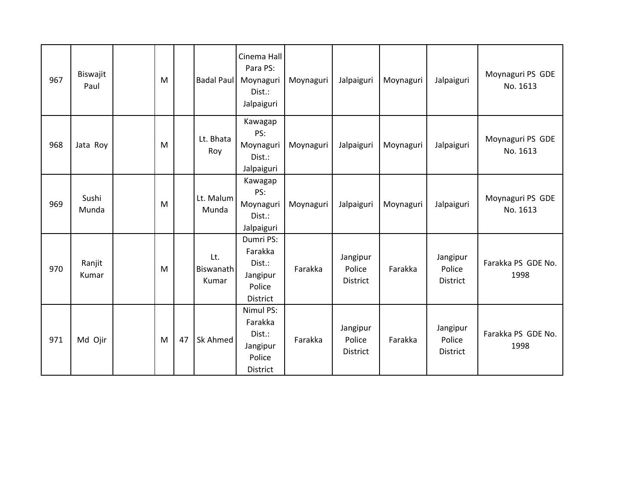| 967 | Biswajit<br>Paul | M |    | <b>Badal Paul</b>         | Cinema Hall<br>Para PS:<br>Moynaguri<br>Dist.:<br>Jalpaiguri     | Moynaguri | Jalpaiguri                            | Moynaguri | Jalpaiguri                            | Moynaguri PS GDE<br>No. 1613 |
|-----|------------------|---|----|---------------------------|------------------------------------------------------------------|-----------|---------------------------------------|-----------|---------------------------------------|------------------------------|
| 968 | Jata Roy         | M |    | Lt. Bhata<br>Roy          | Kawagap<br>PS:<br>Moynaguri<br>Dist.:<br>Jalpaiguri              | Moynaguri | Jalpaiguri                            | Moynaguri | Jalpaiguri                            | Moynaguri PS GDE<br>No. 1613 |
| 969 | Sushi<br>Munda   | M |    | Lt. Malum<br>Munda        | Kawagap<br>PS:<br>Moynaguri<br>Dist.:<br>Jalpaiguri              | Moynaguri | Jalpaiguri                            | Moynaguri | Jalpaiguri                            | Moynaguri PS GDE<br>No. 1613 |
| 970 | Ranjit<br>Kumar  | M |    | Lt.<br>Biswanath<br>Kumar | Dumri PS:<br>Farakka<br>Dist.:<br>Jangipur<br>Police<br>District | Farakka   | Jangipur<br>Police<br><b>District</b> | Farakka   | Jangipur<br>Police<br><b>District</b> | Farakka PS GDE No.<br>1998   |
| 971 | Md Ojir          | M | 47 | Sk Ahmed                  | Nimul PS:<br>Farakka<br>Dist.:<br>Jangipur<br>Police<br>District | Farakka   | Jangipur<br>Police<br>District        | Farakka   | Jangipur<br>Police<br>District        | Farakka PS GDE No.<br>1998   |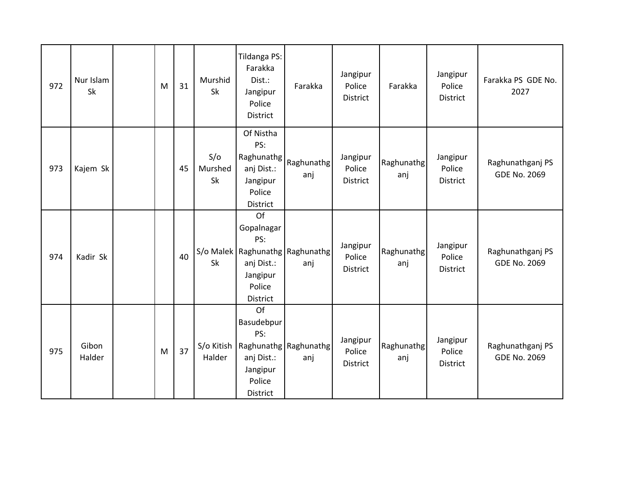| 972 | Nur Islam<br>Sk | M | 31 | Murshid<br>Sk               | Tildanga PS:<br>Farakka<br>Dist.:<br>Jangipur<br>Police<br>District            | Farakka                                       | Jangipur<br>Police<br><b>District</b> | Farakka           | Jangipur<br>Police<br><b>District</b> | Farakka PS GDE No.<br>2027              |
|-----|-----------------|---|----|-----------------------------|--------------------------------------------------------------------------------|-----------------------------------------------|---------------------------------------|-------------------|---------------------------------------|-----------------------------------------|
| 973 | Kajem Sk        |   | 45 | S/O<br>Murshed<br><b>Sk</b> | Of Nistha<br>PS:<br>Raghunathg<br>anj Dist.:<br>Jangipur<br>Police<br>District | Raghunathg<br>anj                             | Jangipur<br>Police<br>District        | Raghunathg<br>anj | Jangipur<br>Police<br><b>District</b> | Raghunathganj PS<br><b>GDE No. 2069</b> |
| 974 | Kadir Sk        |   | 40 | <b>Sk</b>                   | Of<br>Gopalnagar<br>PS:<br>anj Dist.:<br>Jangipur<br>Police<br>District        | S/o Malek   Raghunathg   Raghunathg<br>anj    | Jangipur<br>Police<br><b>District</b> | Raghunathg<br>anj | Jangipur<br>Police<br><b>District</b> | Raghunathganj PS<br><b>GDE No. 2069</b> |
| 975 | Gibon<br>Halder | M | 37 | Halder                      | Of<br>Basudebpur<br>PS:<br>anj Dist.:<br>Jangipur<br>Police<br>District        | S/o Kitish   Raghunathg   Raghunathg  <br>anj | Jangipur<br>Police<br><b>District</b> | Raghunathg<br>anj | Jangipur<br>Police<br><b>District</b> | Raghunathganj PS<br><b>GDE No. 2069</b> |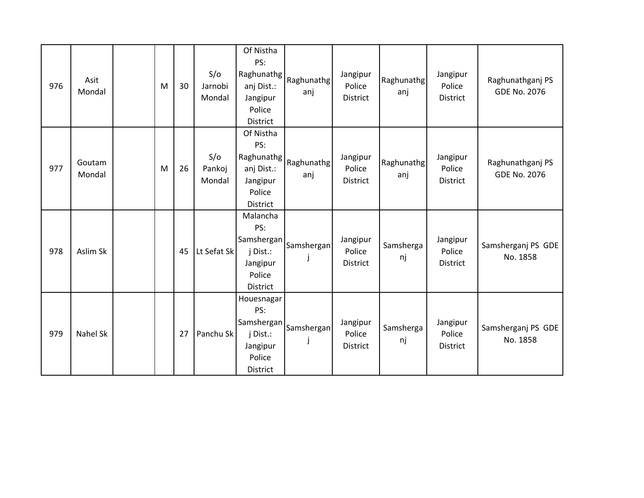| 976 | Asit<br>Mondal   | M | 30 | S/O<br>Jarnobi<br>Mondal | Of Nistha<br>PS:<br>Raghunathg<br>anj Dist.:<br>Jangipur<br>Police<br>District                                | Raghunathg<br>anj | Jangipur<br>Police<br>District        | Raghunathg<br>anj | Jangipur<br>Police<br>District        | Raghunathganj PS<br><b>GDE No. 2076</b> |
|-----|------------------|---|----|--------------------------|---------------------------------------------------------------------------------------------------------------|-------------------|---------------------------------------|-------------------|---------------------------------------|-----------------------------------------|
| 977 | Goutam<br>Mondal | M | 26 | S/O<br>Pankoj<br>Mondal  | Of Nistha<br>PS:<br>Raghunathg<br>anj Dist.:<br>Jangipur<br>Police<br>District                                | Raghunathg<br>anj | Jangipur<br>Police<br><b>District</b> | Raghunathg<br>anj | Jangipur<br>Police<br><b>District</b> | Raghunathganj PS<br><b>GDE No. 2076</b> |
| 978 | Aslim Sk         |   | 45 | Lt Sefat Sk              | Malancha<br>PS:<br>$ \textsf{Samshergan}  \textsf{Samshergan} $<br>j Dist.:<br>Jangipur<br>Police<br>District |                   | Jangipur<br>Police<br><b>District</b> | Samsherga<br>nj   | Jangipur<br>Police<br>District        | Samsherganj PS GDE<br>No. 1858          |
| 979 | Nahel Sk         |   | 27 | Panchu Sk                | Houesnagar<br>PS:<br>Samshergan Samshergan<br>j Dist.:<br>Jangipur<br>Police<br>District                      |                   | Jangipur<br>Police<br>District        | Samsherga<br>nj   | Jangipur<br>Police<br><b>District</b> | Samsherganj PS GDE<br>No. 1858          |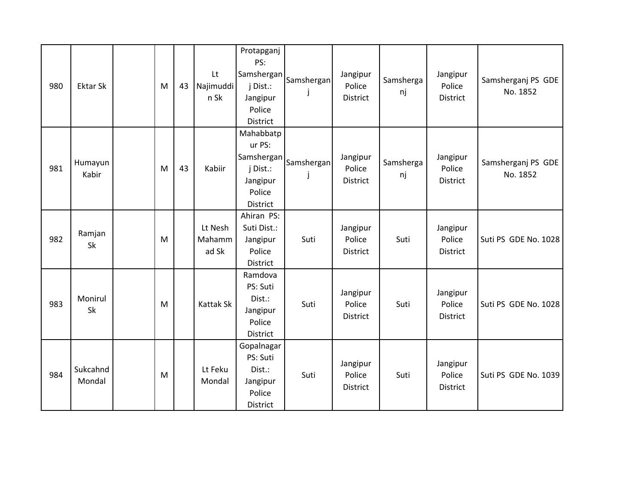| 980 | <b>Ektar Sk</b>    | M | 43 | Lt<br>Najimuddi<br>n Sk    | Protapganj<br>PS:<br>j Dist.:<br>Jangipur<br>Police<br>District    | $ \text{Samshergan}  \text{Samshergan} $                    | Jangipur<br>Police<br>District        | Samsherga<br>nj | Jangipur<br>Police<br>District | Samsherganj PS GDE<br>No. 1852 |
|-----|--------------------|---|----|----------------------------|--------------------------------------------------------------------|-------------------------------------------------------------|---------------------------------------|-----------------|--------------------------------|--------------------------------|
| 981 | Humayun<br>Kabir   | M | 43 | Kabiir                     | Mahabbatp<br>ur PS:<br>j Dist.:<br>Jangipur<br>Police<br>District  | $\left \text{Samshergan}\right _{\text{Samshergan}}\right $ | Jangipur<br>Police<br><b>District</b> | Samsherga<br>nj | Jangipur<br>Police<br>District | Samsherganj PS GDE<br>No. 1852 |
| 982 | Ramjan<br>Sk       | M |    | Lt Nesh<br>Mahamm<br>ad Sk | Ahiran PS:<br>Suti Dist.:<br>Jangipur<br>Police<br>District        | Suti                                                        | Jangipur<br>Police<br>District        | Suti            | Jangipur<br>Police<br>District | Suti PS GDE No. 1028           |
| 983 | Monirul<br>Sk      | M |    | Kattak Sk                  | Ramdova<br>PS: Suti<br>Dist.:<br>Jangipur<br>Police<br>District    | Suti                                                        | Jangipur<br>Police<br><b>District</b> | Suti            | Jangipur<br>Police<br>District | Suti PS GDE No. 1028           |
| 984 | Sukcahnd<br>Mondal | M |    | Lt Feku<br>Mondal          | Gopalnagar<br>PS: Suti<br>Dist.:<br>Jangipur<br>Police<br>District | Suti                                                        | Jangipur<br>Police<br>District        | Suti            | Jangipur<br>Police<br>District | Suti PS GDE No. 1039           |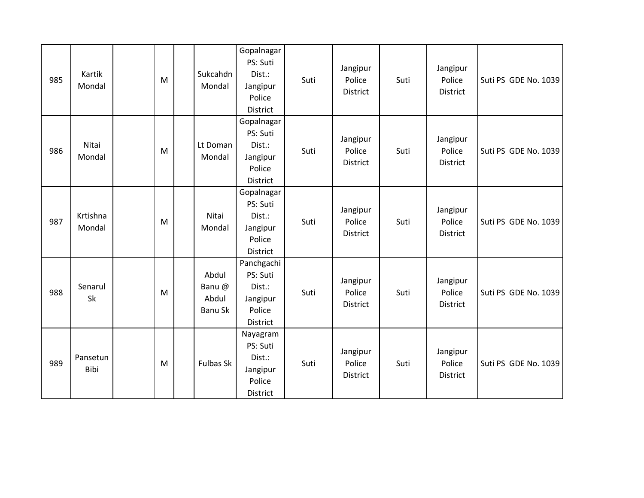| 985 | Kartik<br>Mondal   | M | Sukcahdn<br>Mondal                        | Gopalnagar<br>PS: Suti<br>Dist.:<br>Jangipur<br>Police<br>District | Suti | Jangipur<br>Police<br>District | Suti | Jangipur<br>Police<br>District        | Suti PS GDE No. 1039 |
|-----|--------------------|---|-------------------------------------------|--------------------------------------------------------------------|------|--------------------------------|------|---------------------------------------|----------------------|
| 986 | Nitai<br>Mondal    | M | Lt Doman<br>Mondal                        | Gopalnagar<br>PS: Suti<br>Dist.:<br>Jangipur<br>Police<br>District | Suti | Jangipur<br>Police<br>District | Suti | Jangipur<br>Police<br>District        | Suti PS GDE No. 1039 |
| 987 | Krtishna<br>Mondal | M | Nitai<br>Mondal                           | Gopalnagar<br>PS: Suti<br>Dist.:<br>Jangipur<br>Police<br>District | Suti | Jangipur<br>Police<br>District | Suti | Jangipur<br>Police<br>District        | Suti PS GDE No. 1039 |
| 988 | Senarul<br>Sk      | M | Abdul<br>Banu@<br>Abdul<br><b>Banu Sk</b> | Panchgachi<br>PS: Suti<br>Dist.:<br>Jangipur<br>Police<br>District | Suti | Jangipur<br>Police<br>District | Suti | Jangipur<br>Police<br><b>District</b> | Suti PS GDE No. 1039 |
| 989 | Pansetun<br>Bibi   | M | <b>Fulbas Sk</b>                          | Nayagram<br>PS: Suti<br>Dist.:<br>Jangipur<br>Police<br>District   | Suti | Jangipur<br>Police<br>District | Suti | Jangipur<br>Police<br>District        | Suti PS GDE No. 1039 |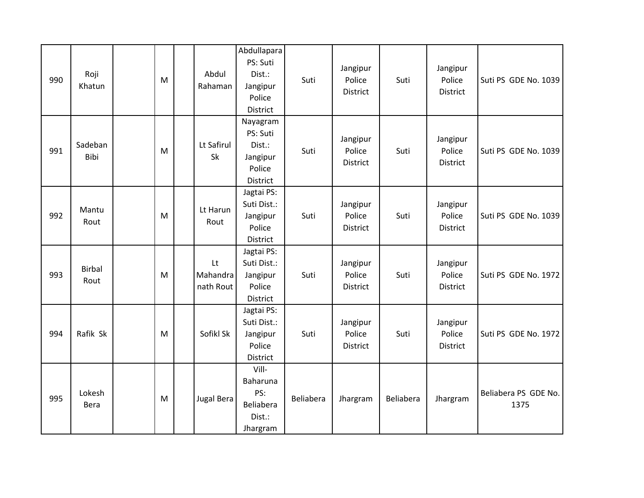| 990 | Roji<br>Khatun        | ${\sf M}$ | Abdul<br>Rahaman            | Abdullapara<br>PS: Suti<br>Dist.:<br>Jangipur<br>Police<br>District | Suti      | Jangipur<br>Police<br><b>District</b> | Suti      | Jangipur<br>Police<br><b>District</b> | Suti PS GDE No. 1039         |
|-----|-----------------------|-----------|-----------------------------|---------------------------------------------------------------------|-----------|---------------------------------------|-----------|---------------------------------------|------------------------------|
| 991 | Sadeban<br>Bibi       | M         | Lt Safirul<br>Sk            | Nayagram<br>PS: Suti<br>Dist.:<br>Jangipur<br>Police<br>District    | Suti      | Jangipur<br>Police<br><b>District</b> | Suti      | Jangipur<br>Police<br>District        | Suti PS GDE No. 1039         |
| 992 | Mantu<br>Rout         | M         | Lt Harun<br>Rout            | Jagtai PS:<br>Suti Dist.:<br>Jangipur<br>Police<br>District         | Suti      | Jangipur<br>Police<br>District        | Suti      | Jangipur<br>Police<br><b>District</b> | Suti PS GDE No. 1039         |
| 993 | <b>Birbal</b><br>Rout | M         | Lt<br>Mahandra<br>nath Rout | Jagtai PS:<br>Suti Dist.:<br>Jangipur<br>Police<br>District         | Suti      | Jangipur<br>Police<br><b>District</b> | Suti      | Jangipur<br>Police<br>District        | Suti PS GDE No. 1972         |
| 994 | Rafik Sk              | M         | Sofikl Sk                   | Jagtai PS:<br>Suti Dist.:<br>Jangipur<br>Police<br>District         | Suti      | Jangipur<br>Police<br>District        | Suti      | Jangipur<br>Police<br>District        | Suti PS GDE No. 1972         |
| 995 | Lokesh<br>Bera        | M         | <b>Jugal Bera</b>           | Vill-<br>Baharuna<br>PS:<br>Beliabera<br>Dist.:<br>Jhargram         | Beliabera | Jhargram                              | Beliabera | Jhargram                              | Beliabera PS GDE No.<br>1375 |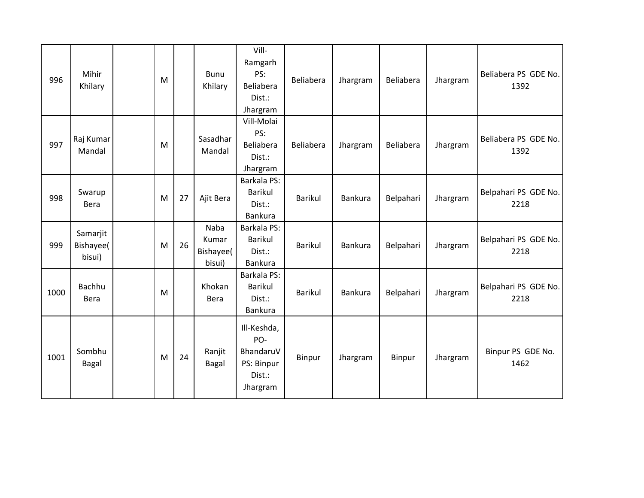| 996  | Mihir<br>Khilary                | M |    | <b>Bunu</b><br>Khilary               | Vill-<br>Ramgarh<br>PS:<br>Beliabera<br>Dist.:<br>Jhargram          | Beliabera      | Jhargram | Beliabera | Jhargram | Beliabera PS GDE No.<br>1392 |
|------|---------------------------------|---|----|--------------------------------------|---------------------------------------------------------------------|----------------|----------|-----------|----------|------------------------------|
| 997  | Raj Kumar<br>Mandal             | M |    | Sasadhar<br>Mandal                   | Vill-Molai<br>PS:<br>Beliabera<br>Dist.:<br>Jhargram                | Beliabera      | Jhargram | Beliabera | Jhargram | Beliabera PS GDE No.<br>1392 |
| 998  | Swarup<br>Bera                  | M | 27 | Ajit Bera                            | Barkala PS:<br><b>Barikul</b><br>Dist.:<br>Bankura                  | <b>Barikul</b> | Bankura  | Belpahari | Jhargram | Belpahari PS GDE No.<br>2218 |
| 999  | Samarjit<br>Bishayee(<br>bisui) | M | 26 | Naba<br>Kumar<br>Bishayee(<br>bisui) | Barkala PS:<br><b>Barikul</b><br>Dist.:<br><b>Bankura</b>           | <b>Barikul</b> | Bankura  | Belpahari | Jhargram | Belpahari PS GDE No.<br>2218 |
| 1000 | Bachhu<br>Bera                  | M |    | Khokan<br>Bera                       | Barkala PS:<br><b>Barikul</b><br>Dist.:<br><b>Bankura</b>           | <b>Barikul</b> | Bankura  | Belpahari | Jhargram | Belpahari PS GDE No.<br>2218 |
| 1001 | Sombhu<br>Bagal                 | M | 24 | Ranjit<br>Bagal                      | Ill-Keshda,<br>PO-<br>BhandaruV<br>PS: Binpur<br>Dist.:<br>Jhargram | Binpur         | Jhargram | Binpur    | Jhargram | Binpur PS GDE No.<br>1462    |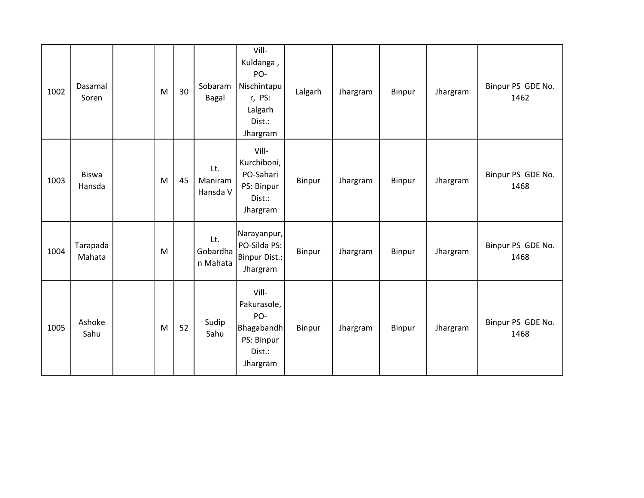| 1002 | Dasamal<br>Soren       | M | 30 | Sobaram<br>Bagal            | Vill-<br>Kuldanga,<br>PO-<br>Nischintapu<br>r, PS:<br>Lalgarh<br>Dist.:<br>Jhargram | Lalgarh | Jhargram | Binpur | Jhargram | Binpur PS GDE No.<br>1462 |
|------|------------------------|---|----|-----------------------------|-------------------------------------------------------------------------------------|---------|----------|--------|----------|---------------------------|
| 1003 | <b>Biswa</b><br>Hansda | M | 45 | Lt.<br>Maniram<br>Hansda V  | Vill-<br>Kurchiboni,<br>PO-Sahari<br>PS: Binpur<br>Dist.:<br>Jhargram               | Binpur  | Jhargram | Binpur | Jhargram | Binpur PS GDE No.<br>1468 |
| 1004 | Tarapada<br>Mahata     | M |    | Lt.<br>Gobardha<br>n Mahata | Narayanpur,<br>PO-Silda PS:<br><b>Binpur Dist.:</b><br>Jhargram                     | Binpur  | Jhargram | Binpur | Jhargram | Binpur PS GDE No.<br>1468 |
| 1005 | Ashoke<br>Sahu         | M | 52 | Sudip<br>Sahu               | Vill-<br>Pakurasole,<br>PO-<br>Bhagabandh<br>PS: Binpur<br>Dist.:<br>Jhargram       | Binpur  | Jhargram | Binpur | Jhargram | Binpur PS GDE No.<br>1468 |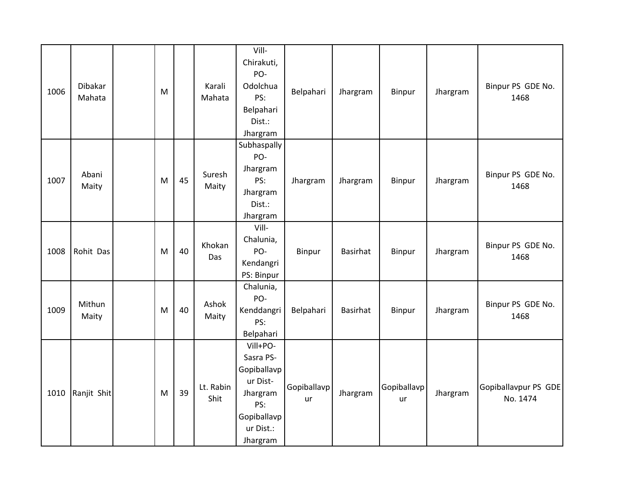| 1006 | Dibakar<br>Mahata | M |    | Karali<br>Mahata     | Vill-<br>Chirakuti,<br>PO-<br>Odolchua<br>PS:<br>Belpahari<br>Dist.:<br>Jhargram                            | Belpahari         | Jhargram | Binpur            | Jhargram | Binpur PS GDE No.<br>1468        |
|------|-------------------|---|----|----------------------|-------------------------------------------------------------------------------------------------------------|-------------------|----------|-------------------|----------|----------------------------------|
| 1007 | Abani<br>Maity    | M | 45 | Suresh<br>Maity      | Subhaspally<br>PO-<br>Jhargram<br>PS:<br>Jhargram<br>Dist.:<br>Jhargram                                     | Jhargram          | Jhargram | Binpur            | Jhargram | Binpur PS GDE No.<br>1468        |
| 1008 | Rohit Das         | M | 40 | Khokan<br><b>Das</b> | Vill-<br>Chalunia,<br>PO-<br>Kendangri<br>PS: Binpur                                                        | Binpur            | Basirhat | Binpur            | Jhargram | Binpur PS GDE No.<br>1468        |
| 1009 | Mithun<br>Maity   | M | 40 | Ashok<br>Maity       | Chalunia,<br>PO-<br>Kenddangri<br>PS:<br>Belpahari                                                          | Belpahari         | Basirhat | Binpur            | Jhargram | Binpur PS GDE No.<br>1468        |
| 1010 | Ranjit Shit       | M | 39 | Lt. Rabin<br>Shit    | Vill+PO-<br>Sasra PS-<br>Gopiballavp<br>ur Dist-<br>Jhargram<br>PS:<br>Gopiballavp<br>ur Dist.:<br>Jhargram | Gopiballavp<br>ur | Jhargram | Gopiballavp<br>ur | Jhargram | Gopiballavpur PS GDE<br>No. 1474 |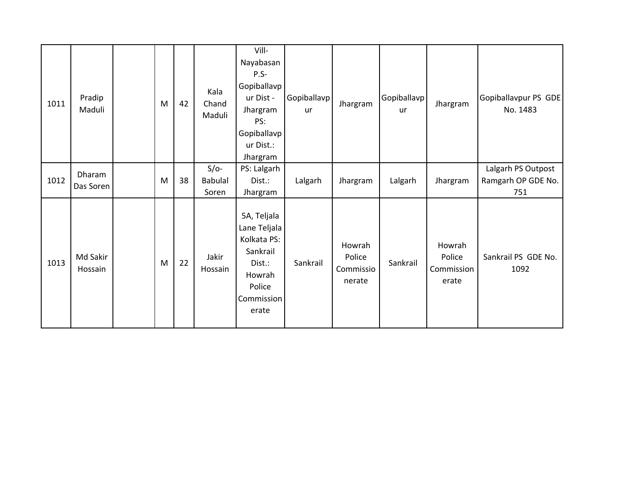| 1011 | Pradip<br>Maduli    | M | 42 | Kala<br>Chand<br>Maduli           | Vill-<br>Nayabasan<br>P.S-<br>Gopiballavp<br>ur Dist -<br>Jhargram<br>PS:<br>Gopiballavp<br>ur Dist.:<br>Jhargram | Gopiballavp<br>ur | Jhargram                                | Gopiballavp<br>ur | Jhargram                                | Gopiballavpur PS GDE<br>No. 1483                |
|------|---------------------|---|----|-----------------------------------|-------------------------------------------------------------------------------------------------------------------|-------------------|-----------------------------------------|-------------------|-----------------------------------------|-------------------------------------------------|
| 1012 | Dharam<br>Das Soren | M | 38 | $S/O-$<br><b>Babulal</b><br>Soren | PS: Lalgarh<br>Dist.:<br>Jhargram                                                                                 | Lalgarh           | Jhargram                                | Lalgarh           | Jhargram                                | Lalgarh PS Outpost<br>Ramgarh OP GDE No.<br>751 |
| 1013 | Md Sakir<br>Hossain | M | 22 | Jakir<br>Hossain                  | 5A, Teljala<br>Lane Teljala<br>Kolkata PS:<br>Sankrail<br>Dist.:<br>Howrah<br>Police<br>Commission<br>erate       | Sankrail          | Howrah<br>Police<br>Commissio<br>nerate | Sankrail          | Howrah<br>Police<br>Commission<br>erate | Sankrail PS GDE No.<br>1092                     |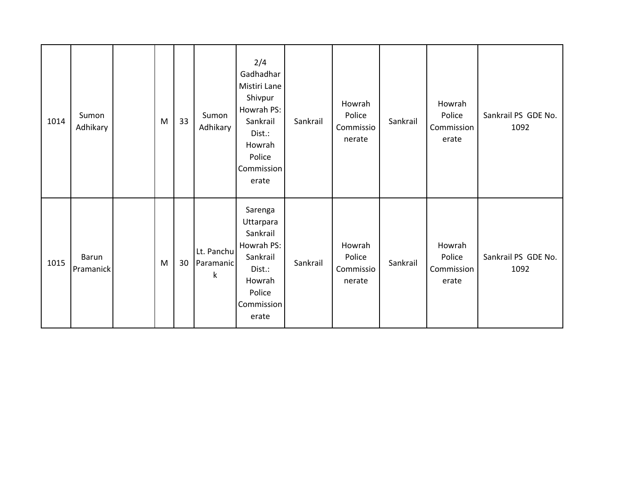| 1014 | Sumon<br>Adhikary  | M | 33 | Sumon<br>Adhikary            | 2/4<br>Gadhadhar<br>Mistiri Lane<br>Shivpur<br>Howrah PS:<br>Sankrail<br>Dist.:<br>Howrah<br>Police<br>Commission<br>erate | Sankrail | Howrah<br>Police<br>Commissio<br>nerate | Sankrail | Howrah<br>Police<br>Commission<br>erate | Sankrail PS GDE No.<br>1092 |
|------|--------------------|---|----|------------------------------|----------------------------------------------------------------------------------------------------------------------------|----------|-----------------------------------------|----------|-----------------------------------------|-----------------------------|
| 1015 | Barun<br>Pramanick | M | 30 | Lt. Panchu<br>Paramanic<br>k | Sarenga<br>Uttarpara<br>Sankrail<br>Howrah PS:<br>Sankrail<br>Dist.:<br>Howrah<br>Police<br>Commission<br>erate            | Sankrail | Howrah<br>Police<br>Commissio<br>nerate | Sankrail | Howrah<br>Police<br>Commission<br>erate | Sankrail PS GDE No.<br>1092 |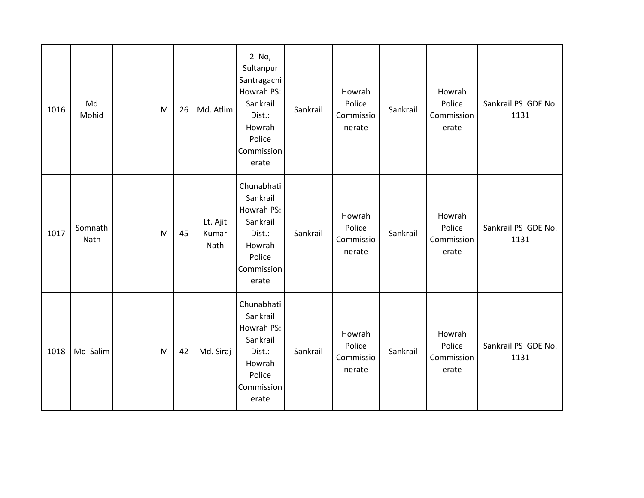| 1016 | Md<br>Mohid     | M | 26 | Md. Atlim                 | 2 No,<br>Sultanpur<br>Santragachi<br>Howrah PS:<br>Sankrail<br>Dist.:<br>Howrah<br>Police<br>Commission<br>erate | Sankrail | Howrah<br>Police<br>Commissio<br>nerate | Sankrail | Howrah<br>Police<br>Commission<br>erate | Sankrail PS GDE No.<br>1131 |
|------|-----------------|---|----|---------------------------|------------------------------------------------------------------------------------------------------------------|----------|-----------------------------------------|----------|-----------------------------------------|-----------------------------|
| 1017 | Somnath<br>Nath | M | 45 | Lt. Ajit<br>Kumar<br>Nath | Chunabhati<br>Sankrail<br>Howrah PS:<br>Sankrail<br>Dist.:<br>Howrah<br>Police<br>Commission<br>erate            | Sankrail | Howrah<br>Police<br>Commissio<br>nerate | Sankrail | Howrah<br>Police<br>Commission<br>erate | Sankrail PS GDE No.<br>1131 |
| 1018 | Md Salim        | M | 42 | Md. Siraj                 | Chunabhati<br>Sankrail<br>Howrah PS:<br>Sankrail<br>Dist.:<br>Howrah<br>Police<br>Commission<br>erate            | Sankrail | Howrah<br>Police<br>Commissio<br>nerate | Sankrail | Howrah<br>Police<br>Commission<br>erate | Sankrail PS GDE No.<br>1131 |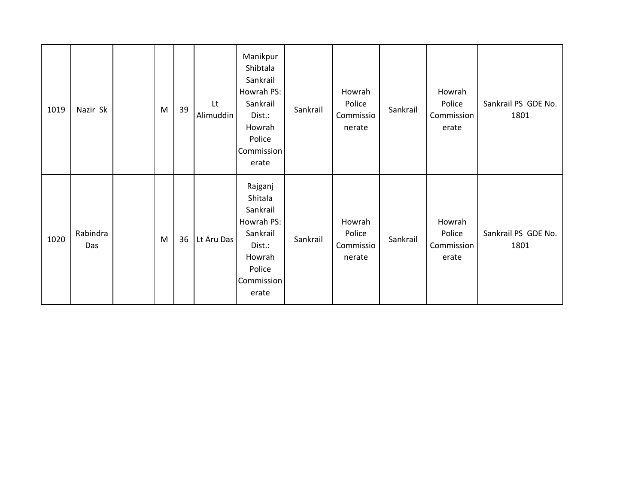| 1019 | Nazir Sk        | M | 39 | Lt<br>Alimuddin | Manikpur<br>Shibtala<br>Sankrail<br>Howrah PS:<br>Sankrail<br>Dist.:<br>Howrah<br>Police<br>Commission<br>erate | Sankrail | Howrah<br>Police<br>Commissio<br>nerate | Sankrail | Howrah<br>Police<br>Commission<br>erate | Sankrail PS GDE No.<br>1801 |
|------|-----------------|---|----|-----------------|-----------------------------------------------------------------------------------------------------------------|----------|-----------------------------------------|----------|-----------------------------------------|-----------------------------|
| 1020 | Rabindra<br>Das | M | 36 | Lt Aru Das      | Rajganj<br>Shitala<br>Sankrail<br>Howrah PS:<br>Sankrail<br>Dist.:<br>Howrah<br>Police<br>Commission<br>erate   | Sankrail | Howrah<br>Police<br>Commissio<br>nerate | Sankrail | Howrah<br>Police<br>Commission<br>erate | Sankrail PS GDE No.<br>1801 |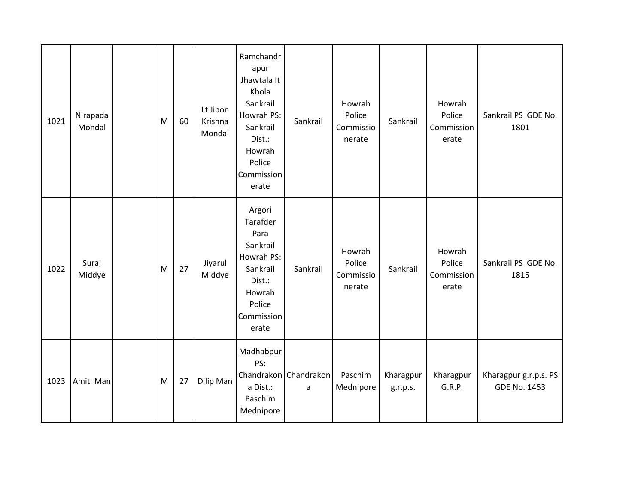| 1021 | Nirapada<br>Mondal | M         | 60 | Lt Jibon<br>Krishna<br>Mondal | Ramchandr<br>apur<br>Jhawtala It<br>Khola<br>Sankrail<br>Howrah PS:<br>Sankrail<br>Dist.:<br>Howrah<br>Police<br>Commission<br>erate | Sankrail                   | Howrah<br>Police<br>Commissio<br>nerate | Sankrail              | Howrah<br>Police<br>Commission<br>erate | Sankrail PS GDE No.<br>1801                  |
|------|--------------------|-----------|----|-------------------------------|--------------------------------------------------------------------------------------------------------------------------------------|----------------------------|-----------------------------------------|-----------------------|-----------------------------------------|----------------------------------------------|
| 1022 | Suraj<br>Middye    | M         | 27 | Jiyarul<br>Middye             | Argori<br>Tarafder<br>Para<br>Sankrail<br>Howrah PS:<br>Sankrail<br>Dist.:<br>Howrah<br>Police<br>Commission<br>erate                | Sankrail                   | Howrah<br>Police<br>Commissio<br>nerate | Sankrail              | Howrah<br>Police<br>Commission<br>erate | Sankrail PS GDE No.<br>1815                  |
| 1023 | Amit Man           | ${\sf M}$ | 27 | Dilip Man                     | Madhabpur<br>PS:<br>a Dist.:<br>Paschim<br>Mednipore                                                                                 | Chandrakon Chandrakon<br>a | Paschim<br>Mednipore                    | Kharagpur<br>g.r.p.s. | Kharagpur<br>G.R.P.                     | Kharagpur g.r.p.s. PS<br><b>GDE No. 1453</b> |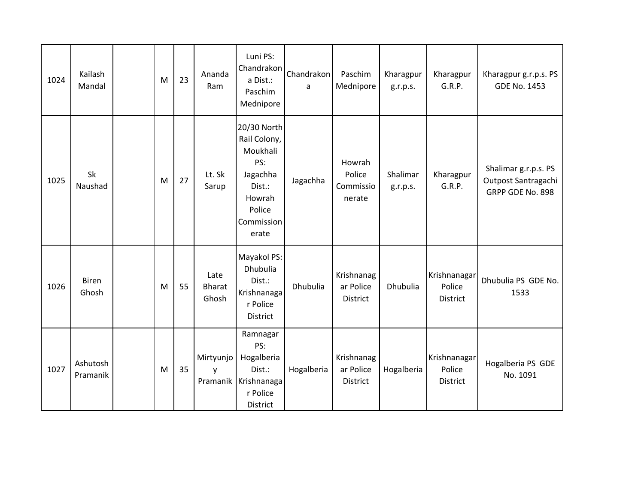| 1024 | Kailash<br>Mandal     | M | 23 | Ananda<br>Ram                  | Luni PS:<br>Chandrakon<br>a Dist.:<br>Paschim<br>Mednipore                                                      | Chandrakon<br>a | Paschim<br>Mednipore                       | Kharagpur<br>g.r.p.s. | Kharagpur<br>G.R.P.                       | Kharagpur g.r.p.s. PS<br>GDE No. 1453                           |
|------|-----------------------|---|----|--------------------------------|-----------------------------------------------------------------------------------------------------------------|-----------------|--------------------------------------------|-----------------------|-------------------------------------------|-----------------------------------------------------------------|
| 1025 | Sk<br>Naushad         | M | 27 | Lt. Sk<br>Sarup                | 20/30 North<br>Rail Colony,<br>Moukhali<br>PS:<br>Jagachha<br>Dist.:<br>Howrah<br>Police<br>Commission<br>erate | Jagachha        | Howrah<br>Police<br>Commissio<br>nerate    | Shalimar<br>g.r.p.s.  | Kharagpur<br>G.R.P.                       | Shalimar g.r.p.s. PS<br>Outpost Santragachi<br>GRPP GDE No. 898 |
| 1026 | <b>Biren</b><br>Ghosh | M | 55 | Late<br><b>Bharat</b><br>Ghosh | Mayakol PS:<br>Dhubulia<br>Dist.:<br>Krishnanaga<br>r Police<br>District                                        | <b>Dhubulia</b> | Krishnanag<br>ar Police<br>District        | <b>Dhubulia</b>       | Krishnanagar<br>Police<br>District        | Dhubulia PS GDE No.<br>1533                                     |
| 1027 | Ashutosh<br>Pramanik  | M | 35 | Mirtyunjo<br>$\mathsf{V}$      | Ramnagar<br>PS:<br>Hogalberia<br>Dist.:<br>Pramanik Krishnanaga<br>r Police<br>District                         | Hogalberia      | Krishnanag<br>ar Police<br><b>District</b> | Hogalberia            | Krishnanagar<br>Police<br><b>District</b> | Hogalberia PS GDE<br>No. 1091                                   |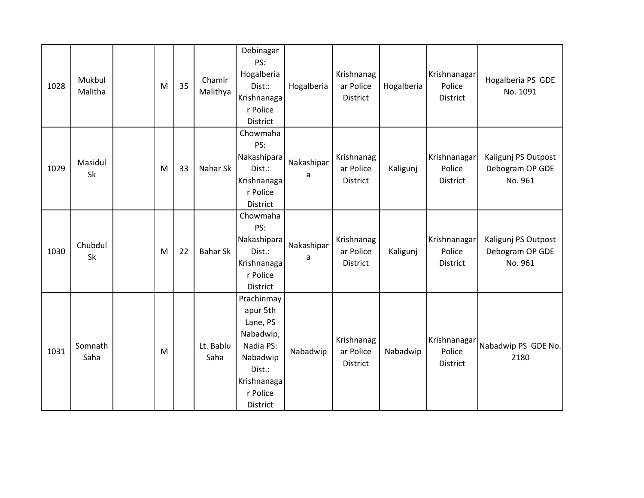| 1028 | Mukbul<br>Malitha | M | 35 | Chamir<br>Malithya | Debinagar<br>PS:<br>Hogalberia<br>Dist.:<br>Krishnanaga<br>r Police<br>District                                           | Hogalberia      | Krishnanag<br>ar Police<br><b>District</b> | Hogalberia | Krishnanagar<br>Police<br><b>District</b>  | Hogalberia PS GDE<br>No. 1091                     |
|------|-------------------|---|----|--------------------|---------------------------------------------------------------------------------------------------------------------------|-----------------|--------------------------------------------|------------|--------------------------------------------|---------------------------------------------------|
| 1029 | Masidul<br>Sk     | M | 33 | Nahar Sk           | Chowmaha<br>PS:<br>Nakashipara<br>Dist.:<br>Krishnanaga<br>r Police<br><b>District</b>                                    | Nakashipar<br>a | Krishnanag<br>ar Police<br>District        | Kaligunj   | Krishnanagar<br>Police<br>District         | Kaligunj PS Outpost<br>Debogram OP GDE<br>No. 961 |
| 1030 | Chubdul<br>Sk     | M | 22 | <b>Bahar Sk</b>    | Chowmaha<br>PS:<br>Nakashipara<br>Dist.:<br>Krishnanaga<br>r Police<br><b>District</b>                                    | Nakashipar<br>a | Krishnanag<br>ar Police<br><b>District</b> | Kaligunj   | Krishnanagar<br>Police<br><b>District</b>  | Kaligunj PS Outpost<br>Debogram OP GDE<br>No. 961 |
| 1031 | Somnath<br>Saha   | M |    | Lt. Bablu<br>Saha  | Prachinmay<br>apur 5th<br>Lane, PS<br>Nabadwip,<br>Nadia PS:<br>Nabadwip<br>Dist.:<br>Krishnanaga<br>r Police<br>District | Nabadwip        | Krishnanag<br>ar Police<br><b>District</b> | Nabadwip   | Krishnanagarl<br>Police<br><b>District</b> | Nabadwip PS GDE No.<br>2180                       |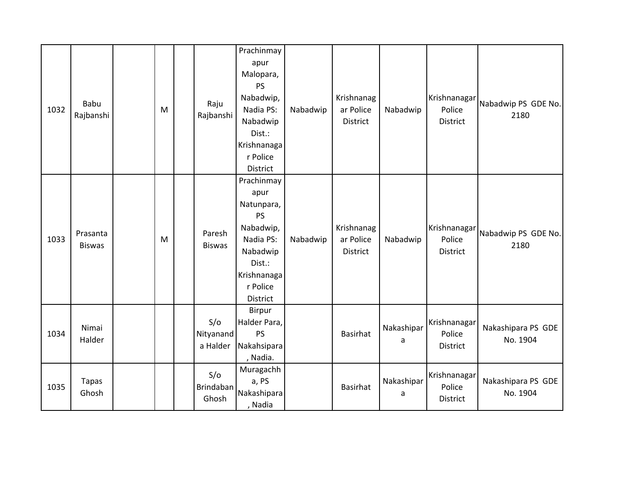|      |               |       |   |  |               | Prachinmay   |          |                 |            |                 |                     |  |
|------|---------------|-------|---|--|---------------|--------------|----------|-----------------|------------|-----------------|---------------------|--|
|      |               |       |   |  |               | apur         |          |                 |            |                 |                     |  |
|      |               |       |   |  |               | Malopara,    |          |                 |            |                 |                     |  |
|      |               |       |   |  |               | PS           |          |                 |            |                 |                     |  |
|      | Babu          |       |   |  | Raju          | Nabadwip,    |          | Krishnanag      |            | Krishnanagar    | Nabadwip PS GDE No. |  |
| 1032 | Rajbanshi     |       | M |  | Rajbanshi     | Nadia PS:    | Nabadwip | ar Police       | Nabadwip   | Police          | 2180                |  |
|      |               |       |   |  |               | Nabadwip     |          | District        |            | District        |                     |  |
|      |               |       |   |  |               | Dist.:       |          |                 |            |                 |                     |  |
|      |               |       |   |  |               | Krishnanaga  |          |                 |            |                 |                     |  |
|      |               |       |   |  |               | r Police     |          |                 |            |                 |                     |  |
|      |               |       |   |  |               | District     |          |                 |            |                 |                     |  |
|      |               |       |   |  |               | Prachinmay   |          |                 |            |                 |                     |  |
|      |               |       |   |  |               | apur         |          |                 |            |                 |                     |  |
|      |               |       |   |  |               | Natunpara,   |          |                 |            |                 |                     |  |
|      |               |       | M |  |               | <b>PS</b>    |          |                 |            |                 |                     |  |
|      | Prasanta      |       |   |  | Paresh        | Nabadwip,    |          | Krishnanag      |            | Krishnanagar    | Nabadwip PS GDE No. |  |
| 1033 | <b>Biswas</b> |       |   |  | <b>Biswas</b> | Nadia PS:    | Nabadwip | ar Police       | Nabadwip   | Police          | 2180                |  |
|      |               |       |   |  |               | Nabadwip     |          | District        |            | District        |                     |  |
|      |               |       |   |  |               | Dist.:       |          |                 |            |                 |                     |  |
|      |               |       |   |  |               | Krishnanaga  |          |                 |            |                 |                     |  |
|      |               |       |   |  |               | r Police     |          |                 |            |                 |                     |  |
|      |               |       |   |  |               | District     |          |                 |            |                 |                     |  |
|      |               |       |   |  |               | Birpur       |          |                 |            |                 |                     |  |
|      | Nimai         |       |   |  | S/O           | Halder Para, |          |                 | Nakashipar | Krishnanagar    | Nakashipara PS GDE  |  |
| 1034 | Halder        |       |   |  | Nityanand     | <b>PS</b>    |          | <b>Basirhat</b> | a          | Police          | No. 1904            |  |
|      |               |       |   |  | a Halder      | Nakahsipara  |          |                 |            | <b>District</b> |                     |  |
|      |               |       |   |  |               | , Nadia.     |          |                 |            |                 |                     |  |
| 1035 |               |       |   |  | S/O           | Muragachh    |          |                 |            | Krishnanagar    |                     |  |
|      | Tapas         |       |   |  | Brindaban     | a, PS        |          | <b>Basirhat</b> | Nakashipar | Police          | Nakashipara PS GDE  |  |
|      |               | Ghosh |   |  | Ghosh         | Nakashipara  |          |                 | a          | District        | No. 1904            |  |
|      |               |       |   |  |               |              | , Nadia  |                 |            |                 |                     |  |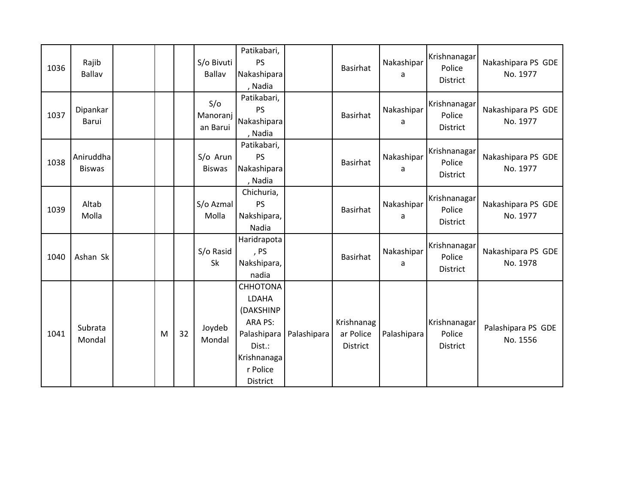| 1036 | Rajib<br><b>Ballav</b>     |   |    | S/o Bivuti<br>Ballav        | Patikabari,<br>PS<br>Nakashipara<br>, Nadia                                                                      |             | <b>Basirhat</b>                            | Nakashipar<br>a | Krishnanagar<br>Police<br>District        | Nakashipara PS GDE<br>No. 1977 |
|------|----------------------------|---|----|-----------------------------|------------------------------------------------------------------------------------------------------------------|-------------|--------------------------------------------|-----------------|-------------------------------------------|--------------------------------|
| 1037 | Dipankar<br>Barui          |   |    | S/O<br>Manoranj<br>an Barui | Patikabari,<br><b>PS</b><br>Nakashipara<br>, Nadia                                                               |             | <b>Basirhat</b>                            | Nakashipar<br>a | Krishnanagar<br>Police<br>District        | Nakashipara PS GDE<br>No. 1977 |
| 1038 | Aniruddha<br><b>Biswas</b> |   |    | S/o Arun<br><b>Biswas</b>   | Patikabari,<br><b>PS</b><br>Nakashipara<br>, Nadia                                                               |             | <b>Basirhat</b>                            | Nakashipar<br>a | Krishnanagar<br>Police<br><b>District</b> | Nakashipara PS GDE<br>No. 1977 |
| 1039 | Altab<br>Molla             |   |    | S/o Azmal<br>Molla          | Chichuria,<br><b>PS</b><br>Nakshipara,<br>Nadia                                                                  |             | <b>Basirhat</b>                            | Nakashipar<br>a | Krishnanagar<br>Police<br><b>District</b> | Nakashipara PS GDE<br>No. 1977 |
| 1040 | Ashan Sk                   |   |    | S/o Rasid<br>Sk             | Haridrapota<br>, PS<br>Nakshipara,<br>nadia                                                                      |             | <b>Basirhat</b>                            | Nakashipar<br>a | Krishnanagar<br>Police<br>District        | Nakashipara PS GDE<br>No. 1978 |
| 1041 | Subrata<br>Mondal          | M | 32 | Joydeb<br>Mondal            | <b>CHHOTONA</b><br>LDAHA<br>(DAKSHINP<br>ARA PS:<br>Palashipara<br>Dist.:<br>Krishnanaga<br>r Police<br>District | Palashipara | Krishnanag<br>ar Police<br><b>District</b> | Palashipara     | Krishnanagar<br>Police<br><b>District</b> | Palashipara PS GDE<br>No. 1556 |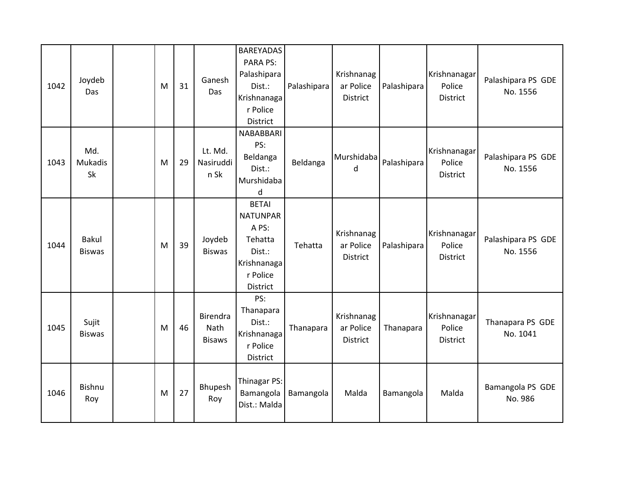| 1042 | Joydeb<br>Das                 | M | 31 | Ganesh<br>Das                     | <b>BAREYADAS</b><br>PARA PS:<br>Palashipara<br>Dist.:<br>Krishnanaga<br>r Police<br>District         | Palashipara | Krishnanag<br>ar Police<br>District        | Palashipara | Krishnanagar<br>Police<br><b>District</b> | Palashipara PS GDE<br>No. 1556 |
|------|-------------------------------|---|----|-----------------------------------|------------------------------------------------------------------------------------------------------|-------------|--------------------------------------------|-------------|-------------------------------------------|--------------------------------|
| 1043 | Md.<br>Mukadis<br>Sk          | M | 29 | Lt. Md.<br>Nasiruddi<br>n Sk      | NABABBARI<br>PS:<br>Beldanga<br>Dist.:<br>Murshidaba<br>d                                            | Beldanga    | Murshidaba<br>d                            | Palashipara | Krishnanagar<br>Police<br>District        | Palashipara PS GDE<br>No. 1556 |
| 1044 | <b>Bakul</b><br><b>Biswas</b> | M | 39 | Joydeb<br><b>Biswas</b>           | <b>BETAI</b><br><b>NATUNPAR</b><br>A PS:<br>Tehatta<br>Dist.:<br>Krishnanaga<br>r Police<br>District | Tehatta     | Krishnanag<br>ar Police<br><b>District</b> | Palashipara | Krishnanagar<br>Police<br><b>District</b> | Palashipara PS GDE<br>No. 1556 |
| 1045 | Sujit<br><b>Biswas</b>        | M | 46 | Birendra<br>Nath<br><b>Bisaws</b> | PS:<br>Thanapara<br>Dist.:<br>Krishnanaga<br>r Police<br>District                                    | Thanapara   | Krishnanag<br>ar Police<br>District        | Thanapara   | Krishnanagar<br>Police<br>District        | Thanapara PS GDE<br>No. 1041   |
| 1046 | <b>Bishnu</b><br>Roy          | M | 27 | Bhupesh<br>Roy                    | Thinagar PS:<br>Bamangola<br>Dist.: Malda                                                            | Bamangola   | Malda                                      | Bamangola   | Malda                                     | Bamangola PS GDE<br>No. 986    |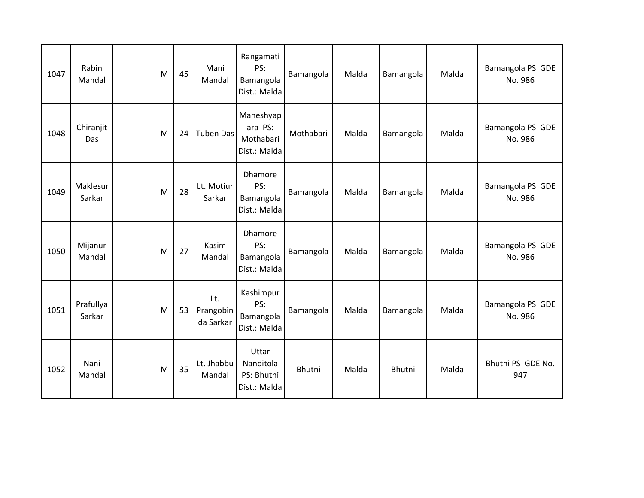| 1047 | Rabin<br>Mandal     | M | 45 | Mani<br>Mandal                | Rangamati<br>PS:<br>Bamangola<br>Dist.: Malda     | Bamangola | Malda | Bamangola | Malda | Bamangola PS GDE<br>No. 986 |
|------|---------------------|---|----|-------------------------------|---------------------------------------------------|-----------|-------|-----------|-------|-----------------------------|
| 1048 | Chiranjit<br>Das    | M | 24 | <b>Tuben Das</b>              | Maheshyap<br>ara PS:<br>Mothabari<br>Dist.: Malda | Mothabari | Malda | Bamangola | Malda | Bamangola PS GDE<br>No. 986 |
| 1049 | Maklesur<br>Sarkar  | M | 28 | Lt. Motiur<br>Sarkar          | Dhamore<br>PS:<br>Bamangola<br>Dist.: Malda       | Bamangola | Malda | Bamangola | Malda | Bamangola PS GDE<br>No. 986 |
| 1050 | Mijanur<br>Mandal   | M | 27 | Kasim<br>Mandal               | Dhamore<br>PS:<br>Bamangola<br>Dist.: Malda       | Bamangola | Malda | Bamangola | Malda | Bamangola PS GDE<br>No. 986 |
| 1051 | Prafullya<br>Sarkar | M | 53 | Lt.<br>Prangobin<br>da Sarkar | Kashimpur<br>PS:<br>Bamangola<br>Dist.: Malda     | Bamangola | Malda | Bamangola | Malda | Bamangola PS GDE<br>No. 986 |
| 1052 | Nani<br>Mandal      | M | 35 | Lt. Jhabbu<br>Mandal          | Uttar<br>Nanditola<br>PS: Bhutni<br>Dist.: Malda  | Bhutni    | Malda | Bhutni    | Malda | Bhutni PS GDE No.<br>947    |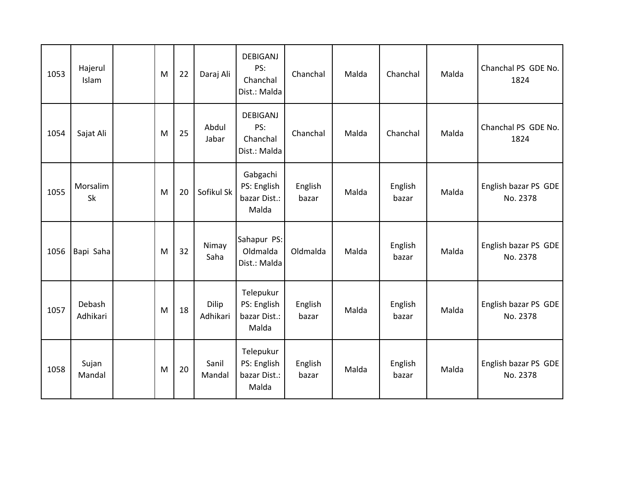| 1053 | Hajerul<br>Islam   | M | 22 | Daraj Ali         | <b>DEBIGANJ</b><br>PS:<br>Chanchal<br>Dist.: Malda | Chanchal         | Malda | Chanchal         | Malda | Chanchal PS GDE No.<br>1824      |
|------|--------------------|---|----|-------------------|----------------------------------------------------|------------------|-------|------------------|-------|----------------------------------|
| 1054 | Sajat Ali          | M | 25 | Abdul<br>Jabar    | DEBIGANJ<br>PS:<br>Chanchal<br>Dist.: Malda        | Chanchal         | Malda | Chanchal         | Malda | Chanchal PS GDE No.<br>1824      |
| 1055 | Morsalim<br>Sk     | M | 20 | Sofikul Sk        | Gabgachi<br>PS: English<br>bazar Dist.:<br>Malda   | English<br>bazar | Malda | English<br>bazar | Malda | English bazar PS GDE<br>No. 2378 |
| 1056 | Bapi Saha          | M | 32 | Nimay<br>Saha     | Sahapur PS:<br>Oldmalda<br>Dist.: Malda            | Oldmalda         | Malda | English<br>bazar | Malda | English bazar PS GDE<br>No. 2378 |
| 1057 | Debash<br>Adhikari | M | 18 | Dilip<br>Adhikari | Telepukur<br>PS: English<br>bazar Dist.:<br>Malda  | English<br>bazar | Malda | English<br>bazar | Malda | English bazar PS GDE<br>No. 2378 |
| 1058 | Sujan<br>Mandal    | M | 20 | Sanil<br>Mandal   | Telepukur<br>PS: English<br>bazar Dist.:<br>Malda  | English<br>bazar | Malda | English<br>bazar | Malda | English bazar PS GDE<br>No. 2378 |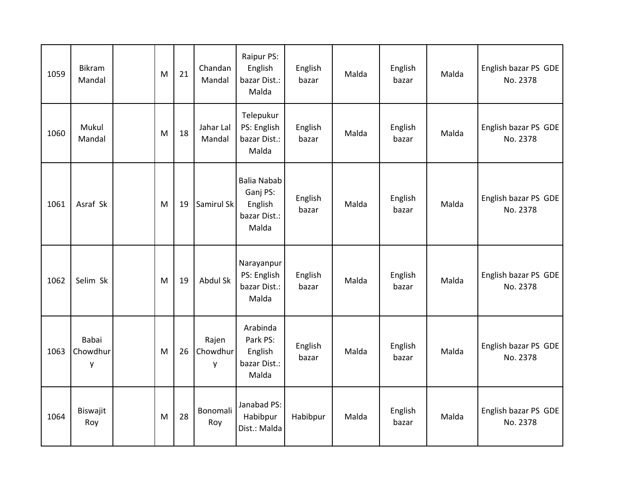| 1059 | Bikram<br>Mandal       | M | 21 | Chandan<br>Mandal      | Raipur PS:<br>English<br>bazar Dist.:<br>Malda                     | English<br>bazar | Malda | English<br>bazar | Malda | English bazar PS GDE<br>No. 2378 |
|------|------------------------|---|----|------------------------|--------------------------------------------------------------------|------------------|-------|------------------|-------|----------------------------------|
| 1060 | Mukul<br>Mandal        | M | 18 | Jahar Lal<br>Mandal    | Telepukur<br>PS: English<br>bazar Dist.:<br>Malda                  | English<br>bazar | Malda | English<br>bazar | Malda | English bazar PS GDE<br>No. 2378 |
| 1061 | Asraf Sk               | M | 19 | Samirul Sk             | <b>Balia Nabab</b><br>Ganj PS:<br>English<br>bazar Dist.:<br>Malda | English<br>bazar | Malda | English<br>bazar | Malda | English bazar PS GDE<br>No. 2378 |
| 1062 | Selim Sk               | M | 19 | <b>Abdul Sk</b>        | Narayanpur<br>PS: English<br>bazar Dist.:<br>Malda                 | English<br>bazar | Malda | English<br>bazar | Malda | English bazar PS GDE<br>No. 2378 |
| 1063 | Babai<br>Chowdhur<br>у | M | 26 | Rajen<br>Chowdhur<br>y | Arabinda<br>Park PS:<br>English<br>bazar Dist.:<br>Malda           | English<br>bazar | Malda | English<br>bazar | Malda | English bazar PS GDE<br>No. 2378 |
| 1064 | Biswajit<br>Roy        | M | 28 | Bonomali<br>Roy        | Janabad PS:<br>Habibpur<br>Dist.: Malda                            | Habibpur         | Malda | English<br>bazar | Malda | English bazar PS GDE<br>No. 2378 |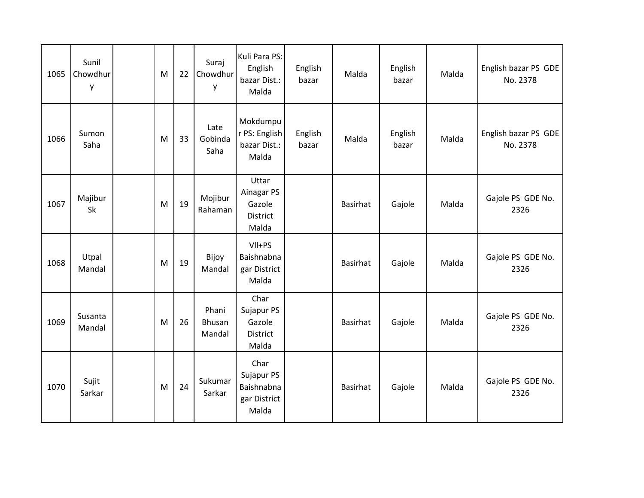| 1065 | Sunil<br>Chowdhur<br>у | M | 22 | Suraj<br>Chowdhur<br>y    | Kuli Para PS:<br>English<br>bazar Dist.:<br>Malda         | English<br>bazar | Malda           | English<br>bazar | Malda | English bazar PS GDE<br>No. 2378 |
|------|------------------------|---|----|---------------------------|-----------------------------------------------------------|------------------|-----------------|------------------|-------|----------------------------------|
| 1066 | Sumon<br>Saha          | M | 33 | Late<br>Gobinda<br>Saha   | Mokdumpu<br>r PS: English<br>bazar Dist.:<br>Malda        | English<br>bazar | Malda           | English<br>bazar | Malda | English bazar PS GDE<br>No. 2378 |
| 1067 | Majibur<br>Sk          | M | 19 | Mojibur<br>Rahaman        | Uttar<br>Ainagar PS<br>Gazole<br><b>District</b><br>Malda |                  | <b>Basirhat</b> | Gajole           | Malda | Gajole PS GDE No.<br>2326        |
| 1068 | Utpal<br>Mandal        | M | 19 | Bijoy<br>Mandal           | VII+PS<br>Baishnabna<br>gar District<br>Malda             |                  | <b>Basirhat</b> | Gajole           | Malda | Gajole PS GDE No.<br>2326        |
| 1069 | Susanta<br>Mandal      | M | 26 | Phani<br>Bhusan<br>Mandal | Char<br>Sujapur PS<br>Gazole<br>District<br>Malda         |                  | <b>Basirhat</b> | Gajole           | Malda | Gajole PS GDE No.<br>2326        |
| 1070 | Sujit<br>Sarkar        | M | 24 | Sukumar<br>Sarkar         | Char<br>Sujapur PS<br>Baishnabna<br>gar District<br>Malda |                  | <b>Basirhat</b> | Gajole           | Malda | Gajole PS GDE No.<br>2326        |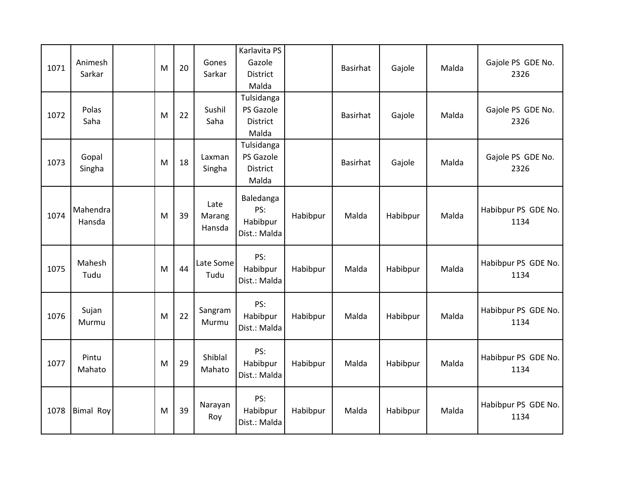| 1071 | Animesh<br>Sarkar  | M | 20 | Gones<br>Sarkar          | Karlavita PS<br>Gazole<br>District<br>Malda  |          | <b>Basirhat</b> | Gajole   | Malda | Gajole PS GDE No.<br>2326   |
|------|--------------------|---|----|--------------------------|----------------------------------------------|----------|-----------------|----------|-------|-----------------------------|
| 1072 | Polas<br>Saha      | M | 22 | Sushil<br>Saha           | Tulsidanga<br>PS Gazole<br>District<br>Malda |          | <b>Basirhat</b> | Gajole   | Malda | Gajole PS GDE No.<br>2326   |
| 1073 | Gopal<br>Singha    | M | 18 | Laxman<br>Singha         | Tulsidanga<br>PS Gazole<br>District<br>Malda |          | <b>Basirhat</b> | Gajole   | Malda | Gajole PS GDE No.<br>2326   |
| 1074 | Mahendra<br>Hansda | M | 39 | Late<br>Marang<br>Hansda | Baledanga<br>PS:<br>Habibpur<br>Dist.: Malda | Habibpur | Malda           | Habibpur | Malda | Habibpur PS GDE No.<br>1134 |
| 1075 | Mahesh<br>Tudu     | M | 44 | Late Some<br>Tudu        | PS:<br>Habibpur<br>Dist.: Malda              | Habibpur | Malda           | Habibpur | Malda | Habibpur PS GDE No.<br>1134 |
| 1076 | Sujan<br>Murmu     | M | 22 | Sangram<br>Murmu         | PS:<br>Habibpur<br>Dist.: Malda              | Habibpur | Malda           | Habibpur | Malda | Habibpur PS GDE No.<br>1134 |
| 1077 | Pintu<br>Mahato    | M | 29 | Shiblal<br>Mahato        | PS:<br>Habibpur<br>Dist.: Malda              | Habibpur | Malda           | Habibpur | Malda | Habibpur PS GDE No.<br>1134 |
| 1078 | <b>Bimal Roy</b>   | M | 39 | Narayan<br>Roy           | PS:<br>Habibpur<br>Dist.: Malda              | Habibpur | Malda           | Habibpur | Malda | Habibpur PS GDE No.<br>1134 |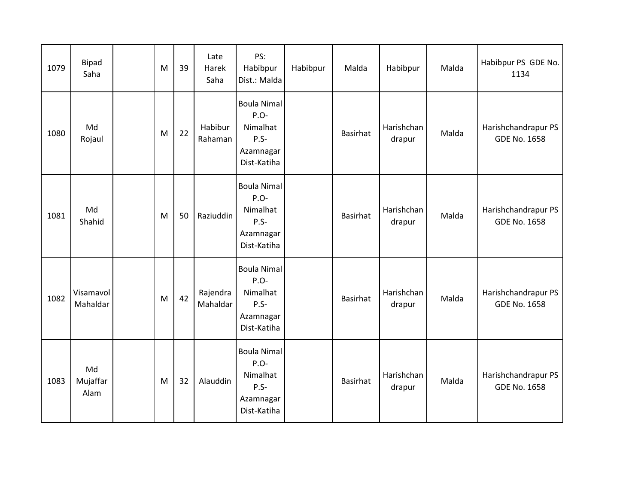| 1079 | Bipad<br>Saha          | M | 39 | Late<br>Harek<br>Saha | PS:<br>Habibpur<br>Dist.: Malda                                               | Habibpur | Malda           | Habibpur             | Malda | Habibpur PS GDE No.<br>1134                |
|------|------------------------|---|----|-----------------------|-------------------------------------------------------------------------------|----------|-----------------|----------------------|-------|--------------------------------------------|
| 1080 | Md<br>Rojaul           | M | 22 | Habibur<br>Rahaman    | <b>Boula Nimal</b><br>P.O-<br>Nimalhat<br>P.S-<br>Azamnagar<br>Dist-Katiha    |          | <b>Basirhat</b> | Harishchan<br>drapur | Malda | Harishchandrapur PS<br><b>GDE No. 1658</b> |
| 1081 | Md<br>Shahid           | M | 50 | Raziuddin             | <b>Boula Nimal</b><br>P.O-<br>Nimalhat<br>$P.S-$<br>Azamnagar<br>Dist-Katiha  |          | <b>Basirhat</b> | Harishchan<br>drapur | Malda | Harishchandrapur PS<br><b>GDE No. 1658</b> |
| 1082 | Visamavol<br>Mahaldar  | M | 42 | Rajendra<br>Mahaldar  | <b>Boula Nimal</b><br>P.O-<br>Nimalhat<br>$P.S -$<br>Azamnagar<br>Dist-Katiha |          | <b>Basirhat</b> | Harishchan<br>drapur | Malda | Harishchandrapur PS<br><b>GDE No. 1658</b> |
| 1083 | Md<br>Mujaffar<br>Alam | M | 32 | Alauddin              | <b>Boula Nimal</b><br>P.O-<br>Nimalhat<br>$P.S-$<br>Azamnagar<br>Dist-Katiha  |          | Basirhat        | Harishchan<br>drapur | Malda | Harishchandrapur PS<br><b>GDE No. 1658</b> |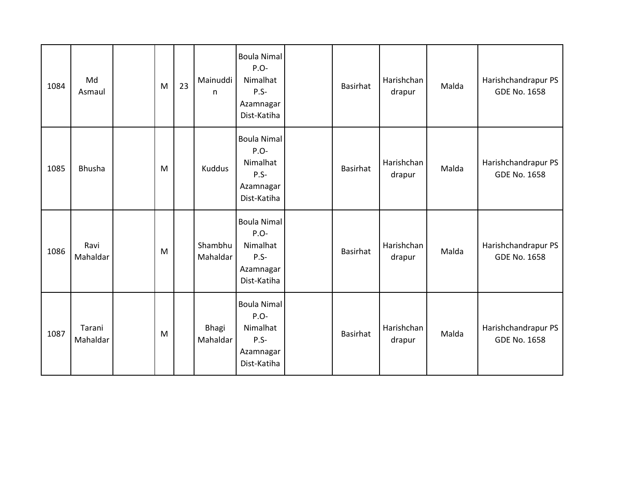| 1084 | Md<br>Asmaul       | M | 23 | Mainuddi<br>n       | Boula Nimal<br>P.O-<br>Nimalhat<br>$P.S-$<br>Azamnagar<br>Dist-Katiha        | Basirhat        | Harishchan<br>drapur | Malda | Harishchandrapur PS<br><b>GDE No. 1658</b> |
|------|--------------------|---|----|---------------------|------------------------------------------------------------------------------|-----------------|----------------------|-------|--------------------------------------------|
| 1085 | Bhusha             | M |    | <b>Kuddus</b>       | Boula Nimal<br>$P.O-$<br>Nimalhat<br>$P.S-$<br>Azamnagar<br>Dist-Katiha      | <b>Basirhat</b> | Harishchan<br>drapur | Malda | Harishchandrapur PS<br><b>GDE No. 1658</b> |
| 1086 | Ravi<br>Mahaldar   | M |    | Shambhu<br>Mahaldar | <b>Boula Nimal</b><br>P.O-<br>Nimalhat<br>$P.S-$<br>Azamnagar<br>Dist-Katiha | <b>Basirhat</b> | Harishchan<br>drapur | Malda | Harishchandrapur PS<br><b>GDE No. 1658</b> |
| 1087 | Tarani<br>Mahaldar | M |    | Bhagi<br>Mahaldar   | <b>Boula Nimal</b><br>P.O-<br>Nimalhat<br>$P.S-$<br>Azamnagar<br>Dist-Katiha | <b>Basirhat</b> | Harishchan<br>drapur | Malda | Harishchandrapur PS<br><b>GDE No. 1658</b> |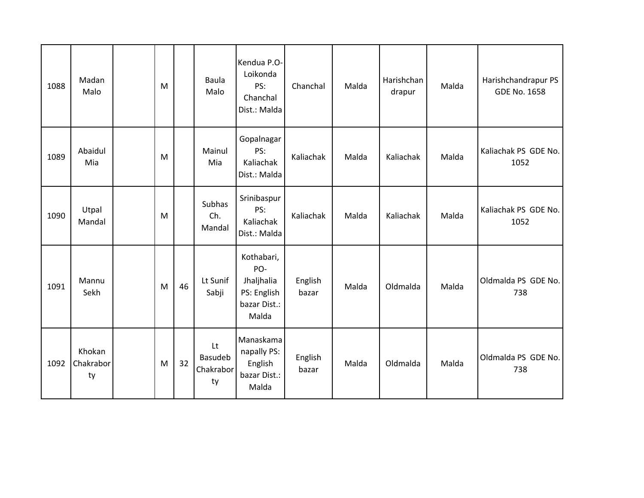| 1088 | Madan<br>Malo             | M |    | <b>Baula</b><br>Malo             | Kendua P.O-<br>Loikonda<br>PS:<br>Chanchal<br>Dist.: Malda              | Chanchal         | Malda | Harishchan<br>drapur | Malda | Harishchandrapur PS<br><b>GDE No. 1658</b> |
|------|---------------------------|---|----|----------------------------------|-------------------------------------------------------------------------|------------------|-------|----------------------|-------|--------------------------------------------|
| 1089 | Abaidul<br>Mia            | M |    | Mainul<br>Mia                    | Gopalnagar<br>PS:<br>Kaliachak<br>Dist.: Malda                          | Kaliachak        | Malda | Kaliachak            | Malda | Kaliachak PS GDE No.<br>1052               |
| 1090 | Utpal<br>Mandal           | M |    | Subhas<br>Ch.<br>Mandal          | Srinibaspur<br>PS:<br>Kaliachak<br>Dist.: Malda                         | Kaliachak        | Malda | Kaliachak            | Malda | Kaliachak PS GDE No.<br>1052               |
| 1091 | Mannu<br>Sekh             | M | 46 | Lt Sunif<br>Sabji                | Kothabari,<br>PO-<br>Jhaljhalia<br>PS: English<br>bazar Dist.:<br>Malda | English<br>bazar | Malda | Oldmalda             | Malda | Oldmalda PS GDE No.<br>738                 |
| 1092 | Khokan<br>Chakrabor<br>ty | M | 32 | Lt<br>Basudeb<br>Chakrabor<br>ty | Manaskama<br>napally PS:<br>English<br>bazar Dist.:<br>Malda            | English<br>bazar | Malda | Oldmalda             | Malda | Oldmalda PS GDE No.<br>738                 |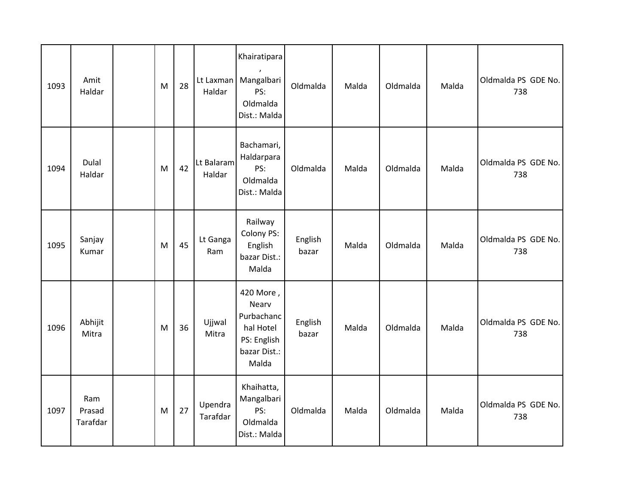| 1093 | Amit<br>Haldar            | M | 28 | Haldar               | Khairatipara<br>Lt Laxman   Mangalbari<br>PS:<br>Oldmalda<br>Dist.: Malda             | Oldmalda         | Malda | Oldmalda | Malda | Oldmalda PS GDE No.<br>738 |
|------|---------------------------|---|----|----------------------|---------------------------------------------------------------------------------------|------------------|-------|----------|-------|----------------------------|
| 1094 | Dulal<br>Haldar           | M | 42 | Lt Balaram<br>Haldar | Bachamari,<br>Haldarpara<br>PS:<br>Oldmalda<br>Dist.: Malda                           | Oldmalda         | Malda | Oldmalda | Malda | Oldmalda PS GDE No.<br>738 |
| 1095 | Sanjay<br>Kumar           | M | 45 | Lt Ganga<br>Ram      | Railway<br>Colony PS:<br>English<br>bazar Dist.:<br>Malda                             | English<br>bazar | Malda | Oldmalda | Malda | Oldmalda PS GDE No.<br>738 |
| 1096 | Abhijit<br>Mitra          | M | 36 | Ujjwal<br>Mitra      | 420 More,<br>Nearv<br>Purbachanc<br>hal Hotel<br>PS: English<br>bazar Dist.:<br>Malda | English<br>bazar | Malda | Oldmalda | Malda | Oldmalda PS GDE No.<br>738 |
| 1097 | Ram<br>Prasad<br>Tarafdar | M | 27 | Upendra<br>Tarafdar  | Khaihatta,<br>Mangalbari<br>PS:<br>Oldmalda<br>Dist.: Malda                           | Oldmalda         | Malda | Oldmalda | Malda | Oldmalda PS GDE No.<br>738 |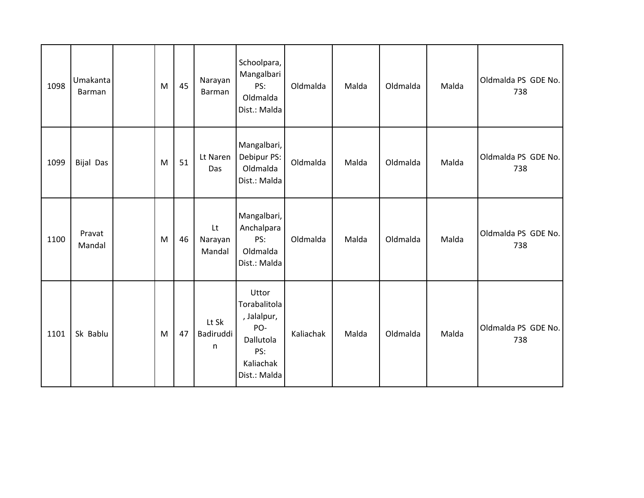| 1098 | Umakanta<br>Barman | M | 45 | Narayan<br>Barman       | Schoolpara,<br>Mangalbari<br>PS:<br>Oldmalda<br>Dist.: Malda                                 | Oldmalda  | Malda | Oldmalda | Malda | Oldmalda PS GDE No.<br>738 |
|------|--------------------|---|----|-------------------------|----------------------------------------------------------------------------------------------|-----------|-------|----------|-------|----------------------------|
| 1099 | <b>Bijal Das</b>   | M | 51 | Lt Naren<br>Das         | Mangalbari,<br>Debipur PS:<br>Oldmalda<br>Dist.: Malda                                       | Oldmalda  | Malda | Oldmalda | Malda | Oldmalda PS GDE No.<br>738 |
| 1100 | Pravat<br>Mandal   | M | 46 | Lt<br>Narayan<br>Mandal | Mangalbari,<br>Anchalpara<br>PS:<br>Oldmalda<br>Dist.: Malda                                 | Oldmalda  | Malda | Oldmalda | Malda | Oldmalda PS GDE No.<br>738 |
| 1101 | Sk Bablu           | M | 47 | Lt Sk<br>Badiruddi<br>n | Uttor<br>Torabalitola<br>, Jalalpur,<br>PO-<br>Dallutola<br>PS:<br>Kaliachak<br>Dist.: Malda | Kaliachak | Malda | Oldmalda | Malda | Oldmalda PS GDE No.<br>738 |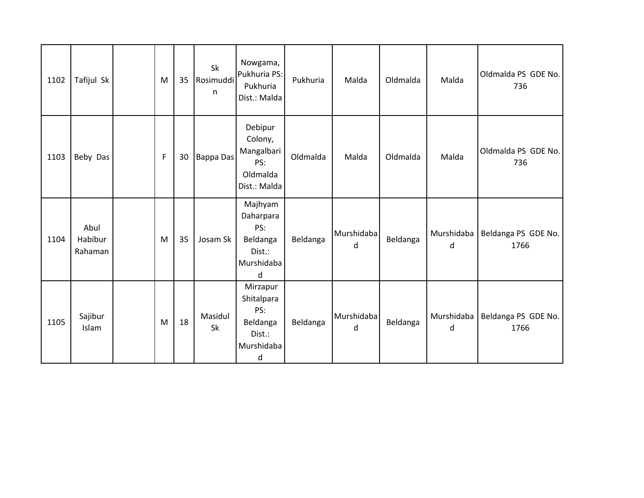| 1102 | Tafijul Sk                 | M           | 35 | Sk<br>Rosimuddi<br>n | Nowgama,<br>Pukhuria PS:<br>Pukhuria<br>Dist.: Malda                   | Pukhuria | Malda           | Oldmalda | Malda           | Oldmalda PS GDE No.<br>736  |
|------|----------------------------|-------------|----|----------------------|------------------------------------------------------------------------|----------|-----------------|----------|-----------------|-----------------------------|
| 1103 | Beby Das                   | $\mathsf F$ | 30 | <b>Bappa Das</b>     | Debipur<br>Colony,<br>Mangalbari<br>PS:<br>Oldmalda<br>Dist.: Malda    | Oldmalda | Malda           | Oldmalda | Malda           | Oldmalda PS GDE No.<br>736  |
| 1104 | Abul<br>Habibur<br>Rahaman | M           | 35 | Josam Sk             | Majhyam<br>Daharpara<br>PS:<br>Beldanga<br>Dist.:<br>Murshidaba<br>d   | Beldanga | Murshidaba<br>d | Beldanga | Murshidaba<br>d | Beldanga PS GDE No.<br>1766 |
| 1105 | Sajibur<br>Islam           | M           | 18 | Masidul<br>Sk        | Mirzapur<br>Shitalpara<br>PS:<br>Beldanga<br>Dist.:<br>Murshidaba<br>d | Beldanga | Murshidaba<br>d | Beldanga | Murshidaba<br>d | Beldanga PS GDE No.<br>1766 |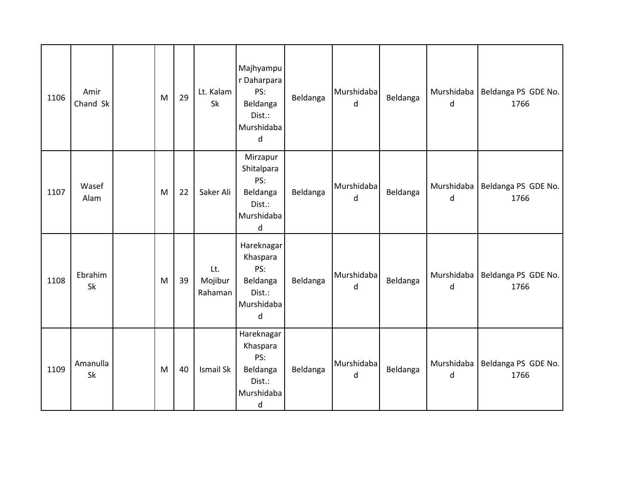| 1106 | Amir<br>Chand Sk | M | 29 | Lt. Kalam<br>Sk           | Majhyampu<br>r Daharpara<br>PS:<br>Beldanga<br>Dist.:<br>Murshidaba<br>d     | Beldanga | Murshidaba<br>d | Beldanga | Murshidaba<br>d | Beldanga PS GDE No.<br>1766 |
|------|------------------|---|----|---------------------------|------------------------------------------------------------------------------|----------|-----------------|----------|-----------------|-----------------------------|
| 1107 | Wasef<br>Alam    | M | 22 | Saker Ali                 | Mirzapur<br>Shitalpara<br>PS:<br>Beldanga<br>Dist.:<br>Murshidaba<br>$\sf d$ | Beldanga | Murshidaba<br>d | Beldanga | Murshidaba<br>d | Beldanga PS GDE No.<br>1766 |
| 1108 | Ebrahim<br>Sk    | M | 39 | Lt.<br>Mojibur<br>Rahaman | Hareknagar<br>Khaspara<br>PS:<br>Beldanga<br>Dist.:<br>Murshidaba<br>$\sf d$ | Beldanga | Murshidaba<br>d | Beldanga | Murshidaba<br>d | Beldanga PS GDE No.<br>1766 |
| 1109 | Amanulla<br>Sk   | M | 40 | Ismail Sk                 | Hareknagar<br>Khaspara<br>PS:<br>Beldanga<br>Dist.:<br>Murshidaba<br>$\sf d$ | Beldanga | Murshidaba<br>d | Beldanga | Murshidaba<br>d | Beldanga PS GDE No.<br>1766 |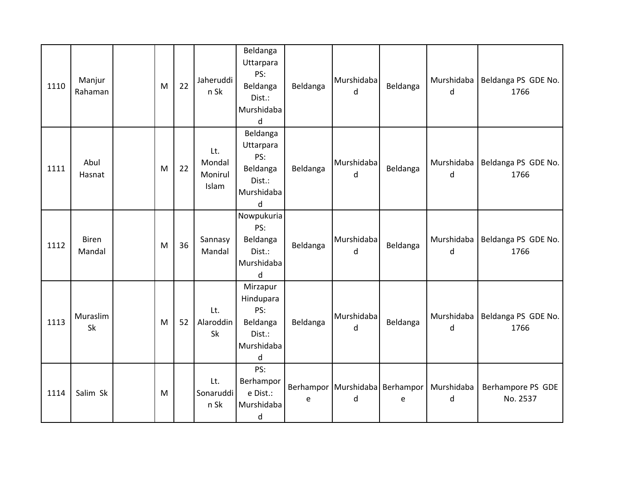| 1110 | Manjur<br>Rahaman      | M | 22 | Jaheruddi<br>n Sk                 | Beldanga<br>Uttarpara<br>PS:<br>Beldanga<br>Dist.:<br>Murshidaba<br>d | Beldanga | Murshidaba<br>d                     | Beldanga | Murshidaba<br>d | Beldanga PS GDE No.<br>1766   |
|------|------------------------|---|----|-----------------------------------|-----------------------------------------------------------------------|----------|-------------------------------------|----------|-----------------|-------------------------------|
| 1111 | Abul<br>Hasnat         | M | 22 | Lt.<br>Mondal<br>Monirul<br>Islam | Beldanga<br>Uttarpara<br>PS:<br>Beldanga<br>Dist.:<br>Murshidaba<br>d | Beldanga | Murshidaba<br>$\mathsf{d}$          | Beldanga | Murshidaba<br>d | Beldanga PS GDE No.<br>1766   |
| 1112 | <b>Biren</b><br>Mandal | M | 36 | Sannasy<br>Mandal                 | Nowpukuria<br>PS:<br>Beldanga<br>Dist.:<br>Murshidaba<br>$\sf d$      | Beldanga | Murshidaba<br>d                     | Beldanga | Murshidaba<br>d | Beldanga PS GDE No.<br>1766   |
| 1113 | Muraslim<br>Sk         | M | 52 | Lt.<br>Alaroddin<br>Sk            | Mirzapur<br>Hindupara<br>PS:<br>Beldanga<br>Dist.:<br>Murshidaba<br>d | Beldanga | Murshidaba<br>d                     | Beldanga | Murshidaba<br>d | Beldanga PS GDE No.<br>1766   |
| 1114 | Salim Sk               | M |    | Lt.<br>Sonaruddi<br>n Sk          | PS:<br>Berhampor<br>e Dist.:<br>Murshidaba<br>d                       | e        | Berhampor Murshidaba Berhampor<br>d | e        | Murshidaba<br>d | Berhampore PS GDE<br>No. 2537 |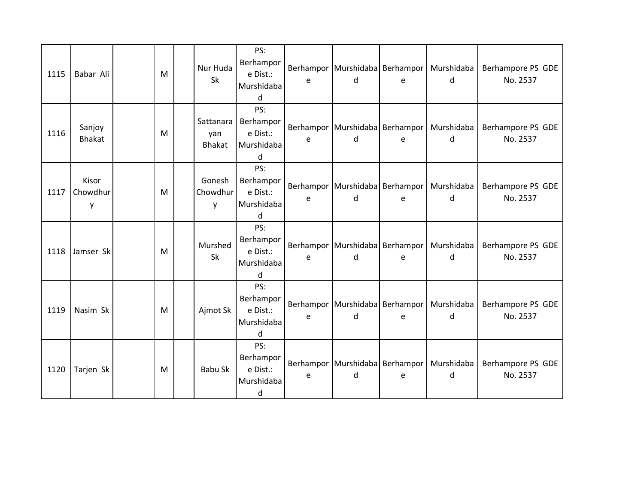| 1115 | Babar Ali               | M | Nur Huda<br><b>Sk</b>             | PS:<br>Berhampor<br>e Dist.:<br>Murshidaba<br>d | e | d                                         | e | Berhampor   Murshidaba   Berhampor   Murshidaba  <br>d | Berhampore PS GDE<br>No. 2537 |
|------|-------------------------|---|-----------------------------------|-------------------------------------------------|---|-------------------------------------------|---|--------------------------------------------------------|-------------------------------|
| 1116 | Sanjoy<br><b>Bhakat</b> | M | Sattanara<br>yan<br><b>Bhakat</b> | PS:<br>Berhampor<br>e Dist.:<br>Murshidaba<br>d | e | Berhampor   Murshidaba   Berhampor  <br>d | e | Murshidaba<br>d                                        | Berhampore PS GDE<br>No. 2537 |
| 1117 | Kisor<br>Chowdhur<br>у  | M | Gonesh<br>Chowdhur<br>y           | PS:<br>Berhampor<br>e Dist.:<br>Murshidaba<br>d | e | Berhampor Murshidaba Berhampor<br>d       | e | Murshidaba<br>d                                        | Berhampore PS GDE<br>No. 2537 |
| 1118 | Jamser Sk               | M | Murshed<br><b>Sk</b>              | PS:<br>Berhampor<br>e Dist.:<br>Murshidaba<br>d | e | d                                         | e | Berhampor Murshidaba Berhampor   Murshidaba  <br>d     | Berhampore PS GDE<br>No. 2537 |
| 1119 | Nasim Sk                | M | Ajmot Sk                          | PS:<br>Berhampor<br>e Dist.:<br>Murshidaba<br>d | e | Berhampor Murshidaba Berhampor<br>d       | e | Murshidaba<br>d                                        | Berhampore PS GDE<br>No. 2537 |
| 1120 | Tarjen Sk               | M | Babu Sk                           | PS:<br>Berhampor<br>e Dist.:<br>Murshidaba<br>d | e | Berhampor Murshidaba Berhampor<br>d       | e | Murshidaba<br>d                                        | Berhampore PS GDE<br>No. 2537 |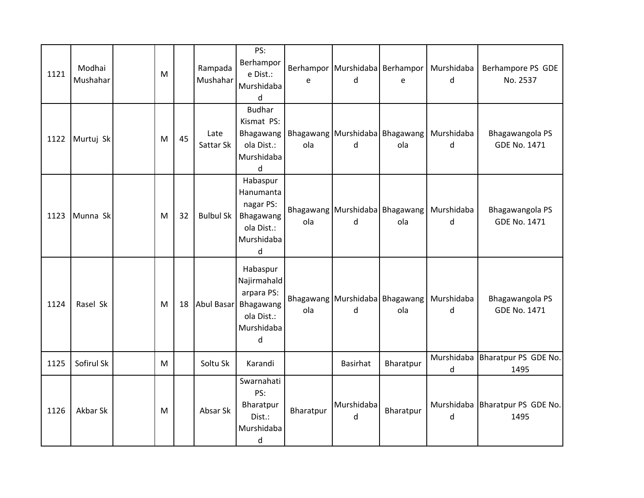| 1121 | Modhai<br>Mushahar | M |    | Rampada<br>Mushahar | PS:<br>Berhampor<br>e Dist.:<br>Murshidaba<br>d                                          | e         | d                                   | e         | Berhampor Murshidaba Berhampor Murshidaba<br>d | Berhampore PS GDE<br>No. 2537          |
|------|--------------------|---|----|---------------------|------------------------------------------------------------------------------------------|-----------|-------------------------------------|-----------|------------------------------------------------|----------------------------------------|
| 1122 | Murtuj Sk          | M | 45 | Late<br>Sattar Sk   | <b>Budhar</b><br>Kismat PS:<br><b>Bhagawang</b><br>ola Dist.:<br>Murshidaba<br>d         | ola       | Bhagawang Murshidaba Bhagawang<br>d | ola       | Murshidaba<br>d                                | Bhagawangola PS<br>GDE No. 1471        |
| 1123 | Munna Sk           | M | 32 | <b>Bulbul Sk</b>    | Habaspur<br>Hanumanta<br>nagar PS:<br>Bhagawang<br>ola Dist.:<br>Murshidaba<br>${\sf d}$ | ola       | Bhagawang Murshidaba Bhagawang<br>d | ola       | Murshidaba<br>d                                | Bhagawangola PS<br><b>GDE No. 1471</b> |
| 1124 | Rasel Sk           | M | 18 | <b>Abul Basar</b>   | Habaspur<br>Najirmahald<br>arpara PS:<br>Bhagawang<br>ola Dist.:<br>Murshidaba<br>d      | ola       | Bhagawang Murshidaba Bhagawang<br>d | ola       | Murshidaba<br>d                                | Bhagawangola PS<br>GDE No. 1471        |
| 1125 | Sofirul Sk         | M |    | Soltu Sk            | Karandi                                                                                  |           | <b>Basirhat</b>                     | Bharatpur | Murshidaba<br>d                                | Bharatpur PS GDE No.<br>1495           |
| 1126 | Akbar Sk           | M |    | Absar Sk            | Swarnahati<br>PS:<br>Bharatpur<br>Dist.:<br>Murshidaba<br>d                              | Bharatpur | Murshidaba<br>d                     | Bharatpur | Murshidaba<br>d                                | Bharatpur PS GDE No.<br>1495           |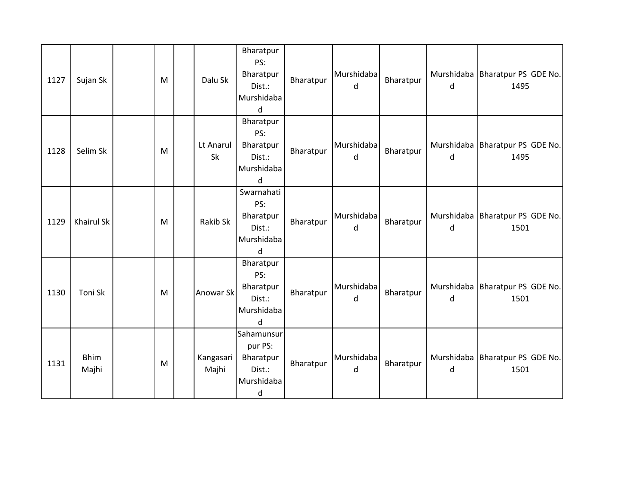| 1127 | Sujan Sk             | M | Dalu Sk            | Bharatpur<br>PS:<br>Bharatpur<br>Dist.:<br>Murshidaba<br>d      | Bharatpur | Murshidaba<br>d | Bharatpur | d | Murshidaba   Bharatpur PS GDE No.<br>1495 |
|------|----------------------|---|--------------------|-----------------------------------------------------------------|-----------|-----------------|-----------|---|-------------------------------------------|
| 1128 | Selim Sk             | M | Lt Anarul<br>Sk    | Bharatpur<br>PS:<br>Bharatpur<br>Dist.:<br>Murshidaba<br>d      | Bharatpur | Murshidaba<br>d | Bharatpur | d | Murshidaba   Bharatpur PS GDE No.<br>1495 |
| 1129 | <b>Khairul Sk</b>    | M | Rakib Sk           | Swarnahati<br>PS:<br>Bharatpur<br>Dist.:<br>Murshidaba<br>d     | Bharatpur | Murshidaba<br>d | Bharatpur | d | Murshidaba   Bharatpur PS GDE No.<br>1501 |
| 1130 | Toni Sk              | M | Anowar Sk          | Bharatpur<br>PS:<br>Bharatpur<br>Dist.:<br>Murshidaba<br>d      | Bharatpur | Murshidaba<br>d | Bharatpur | d | Murshidaba   Bharatpur PS GDE No.<br>1501 |
| 1131 | <b>Bhim</b><br>Majhi | M | Kangasari<br>Majhi | Sahamunsur<br>pur PS:<br>Bharatpur<br>Dist.:<br>Murshidaba<br>d | Bharatpur | Murshidaba<br>d | Bharatpur | d | Murshidaba Bharatpur PS GDE No.<br>1501   |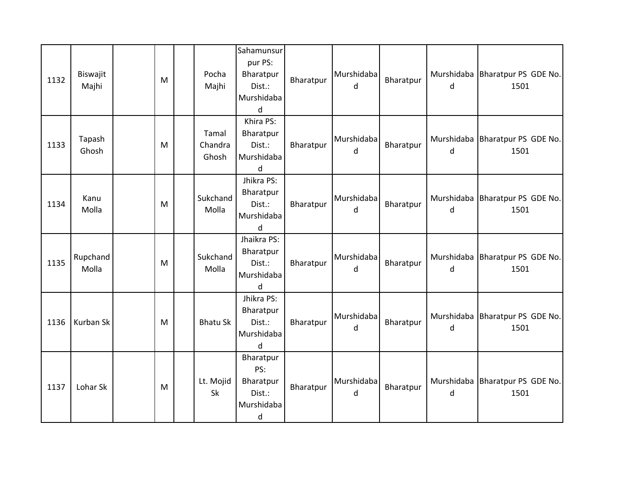| 1132 | Biswajit<br>Majhi | M | Pocha<br>Majhi            | Sahamunsur<br>pur PS:<br>Bharatpur<br>Dist.:<br>Murshidaba<br>d       | Bharatpur | Murshidaba<br>d | Bharatpur | Murshidaba<br>d | Bharatpur PS GDE No.<br>1501 |
|------|-------------------|---|---------------------------|-----------------------------------------------------------------------|-----------|-----------------|-----------|-----------------|------------------------------|
| 1133 | Tapash<br>Ghosh   | M | Tamal<br>Chandra<br>Ghosh | Khira PS:<br>Bharatpur<br>Dist.:<br>Murshidaba<br>$\mathsf{d}$        | Bharatpur | Murshidaba<br>d | Bharatpur | Murshidaba<br>d | Bharatpur PS GDE No.<br>1501 |
| 1134 | Kanu<br>Molla     | M | Sukchand<br>Molla         | Jhikra PS:<br>Bharatpur<br>Dist.:<br>Murshidaba<br>$\mathsf{d}$       | Bharatpur | Murshidaba<br>d | Bharatpur | Murshidaba<br>d | Bharatpur PS GDE No.<br>1501 |
| 1135 | Rupchand<br>Molla | M | Sukchand<br>Molla         | Jhaikra PS:<br>Bharatpur<br>Dist.:<br>Murshidaba<br>d                 | Bharatpur | Murshidaba<br>d | Bharatpur | Murshidaba<br>d | Bharatpur PS GDE No.<br>1501 |
| 1136 | Kurban Sk         | M | <b>Bhatu Sk</b>           | Jhikra PS:<br>Bharatpur<br>Dist.:<br>Murshidaba<br>$\sf d$            | Bharatpur | Murshidaba<br>d | Bharatpur | Murshidaba<br>d | Bharatpur PS GDE No.<br>1501 |
| 1137 | Lohar Sk          | M | Lt. Mojid<br><b>Sk</b>    | Bharatpur<br>PS:<br>Bharatpur<br>Dist.:<br>Murshidaba<br>$\mathsf{d}$ | Bharatpur | Murshidaba<br>d | Bharatpur | Murshidaba<br>d | Bharatpur PS GDE No.<br>1501 |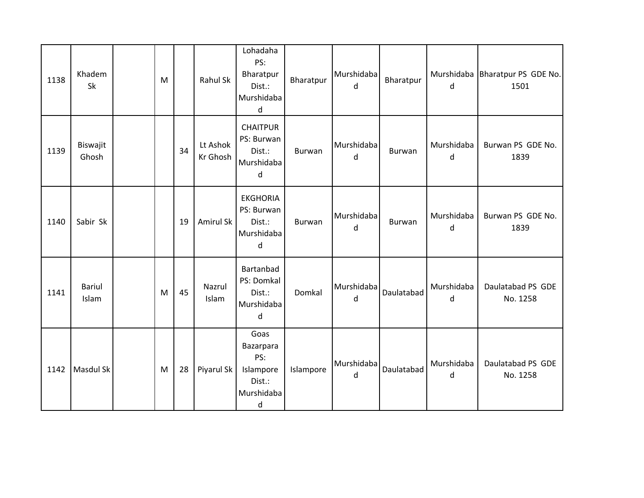| 1138 | Khadem<br>Sk           | M |    | Rahul Sk             | Lohadaha<br>PS:<br>Bharatpur<br>Dist.:<br>Murshidaba<br>$\sf d$    | Bharatpur | Murshidaba<br>d | Bharatpur     | Murshidaba<br>d | Bharatpur PS GDE No.<br>1501  |
|------|------------------------|---|----|----------------------|--------------------------------------------------------------------|-----------|-----------------|---------------|-----------------|-------------------------------|
| 1139 | Biswajit<br>Ghosh      |   | 34 | Lt Ashok<br>Kr Ghosh | <b>CHAITPUR</b><br>PS: Burwan<br>Dist.:<br>Murshidaba<br>d         | Burwan    | Murshidaba<br>d | Burwan        | Murshidaba<br>d | Burwan PS GDE No.<br>1839     |
| 1140 | Sabir Sk               |   | 19 | Amirul Sk            | <b>EKGHORIA</b><br>PS: Burwan<br>Dist.:<br>Murshidaba<br>$\sf d$   | Burwan    | Murshidaba<br>d | <b>Burwan</b> | Murshidaba<br>d | Burwan PS GDE No.<br>1839     |
| 1141 | <b>Bariul</b><br>Islam | M | 45 | Nazrul<br>Islam      | Bartanbad<br>PS: Domkal<br>Dist.:<br>Murshidaba<br>d               | Domkal    | Murshidaba<br>d | Daulatabad    | Murshidaba<br>d | Daulatabad PS GDE<br>No. 1258 |
| 1142 | Masdul Sk              | M | 28 | Piyarul Sk           | Goas<br>Bazarpara<br>PS:<br>Islampore<br>Dist.:<br>Murshidaba<br>d | Islampore | Murshidaba<br>d | Daulatabad    | Murshidaba<br>d | Daulatabad PS GDE<br>No. 1258 |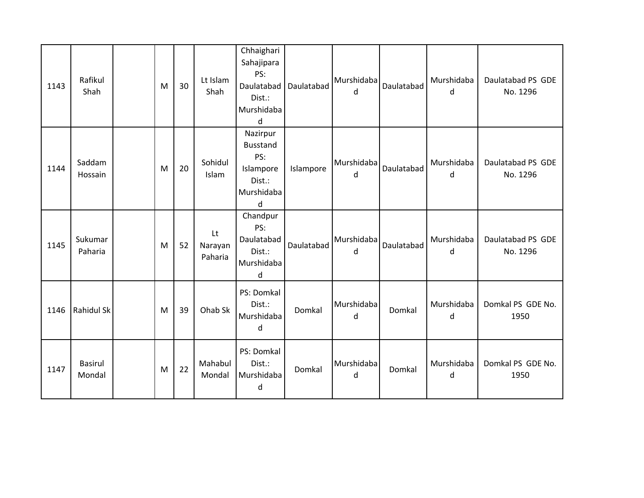| 1143 | Rafikul<br>Shah          | M | 30 | Lt Islam<br>Shah         | Chhaighari<br>Sahajipara<br>PS:<br>Daulatabad<br>Dist.:<br>Murshidaba<br>d         | Daulatabad | Murshidaba<br>d | Daulatabad | Murshidaba<br>d | Daulatabad PS GDE<br>No. 1296 |
|------|--------------------------|---|----|--------------------------|------------------------------------------------------------------------------------|------------|-----------------|------------|-----------------|-------------------------------|
| 1144 | Saddam<br>Hossain        | M | 20 | Sohidul<br>Islam         | Nazirpur<br><b>Busstand</b><br>PS:<br>Islampore<br>Dist.:<br>Murshidaba<br>$\sf d$ | Islampore  | Murshidaba<br>d | Daulatabad | Murshidaba<br>d | Daulatabad PS GDE<br>No. 1296 |
| 1145 | Sukumar<br>Paharia       | M | 52 | Lt<br>Narayan<br>Paharia | Chandpur<br>PS:<br>Daulatabad<br>Dist.:<br>Murshidaba<br>d                         | Daulatabad | Murshidaba<br>d | Daulatabad | Murshidaba<br>d | Daulatabad PS GDE<br>No. 1296 |
| 1146 | Rahidul Sk               | M | 39 | Ohab Sk                  | PS: Domkal<br>Dist.:<br>Murshidaba<br>d                                            | Domkal     | Murshidaba<br>d | Domkal     | Murshidaba<br>d | Domkal PS GDE No.<br>1950     |
| 1147 | <b>Basirul</b><br>Mondal | M | 22 | Mahabul<br>Mondal        | PS: Domkal<br>Dist.:<br>Murshidaba<br>d                                            | Domkal     | Murshidaba<br>d | Domkal     | Murshidaba<br>d | Domkal PS GDE No.<br>1950     |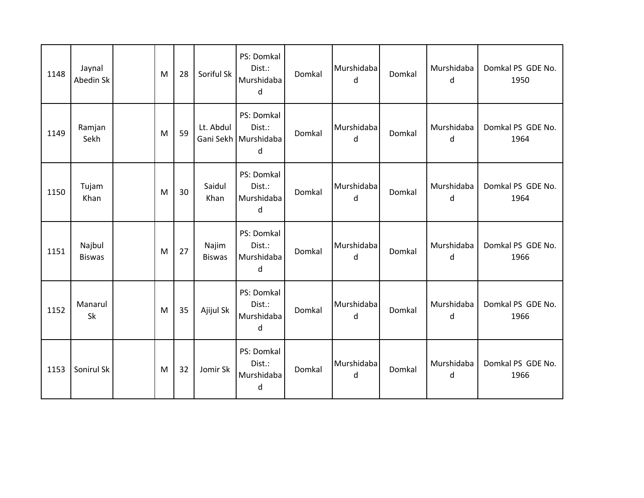| 1148 | Jaynal<br>Abedin Sk     | M | 28 | Soriful Sk             | PS: Domkal<br>Dist.:<br>Murshidaba<br>d             | Domkal | Murshidaba<br>d | Domkal | Murshidaba<br>d | Domkal PS GDE No.<br>1950 |
|------|-------------------------|---|----|------------------------|-----------------------------------------------------|--------|-----------------|--------|-----------------|---------------------------|
| 1149 | Ramjan<br>Sekh          | M | 59 | Lt. Abdul              | PS: Domkal<br>Dist.:<br>Gani Sekh   Murshidaba<br>d | Domkal | Murshidaba<br>d | Domkal | Murshidaba<br>d | Domkal PS GDE No.<br>1964 |
| 1150 | Tujam<br>Khan           | M | 30 | Saidul<br>Khan         | PS: Domkal<br>Dist.:<br>Murshidaba<br>d             | Domkal | Murshidaba<br>d | Domkal | Murshidaba<br>d | Domkal PS GDE No.<br>1964 |
| 1151 | Najbul<br><b>Biswas</b> | M | 27 | Najim<br><b>Biswas</b> | PS: Domkal<br>Dist.:<br>Murshidaba<br>d             | Domkal | Murshidaba<br>d | Domkal | Murshidaba<br>d | Domkal PS GDE No.<br>1966 |
| 1152 | Manarul<br>Sk           | M | 35 | Ajijul Sk              | PS: Domkal<br>Dist.:<br>Murshidaba<br>d             | Domkal | Murshidaba<br>d | Domkal | Murshidaba<br>d | Domkal PS GDE No.<br>1966 |
| 1153 | Sonirul Sk              | M | 32 | Jomir Sk               | PS: Domkal<br>Dist.:<br>Murshidaba<br>d             | Domkal | Murshidaba<br>d | Domkal | Murshidaba<br>d | Domkal PS GDE No.<br>1966 |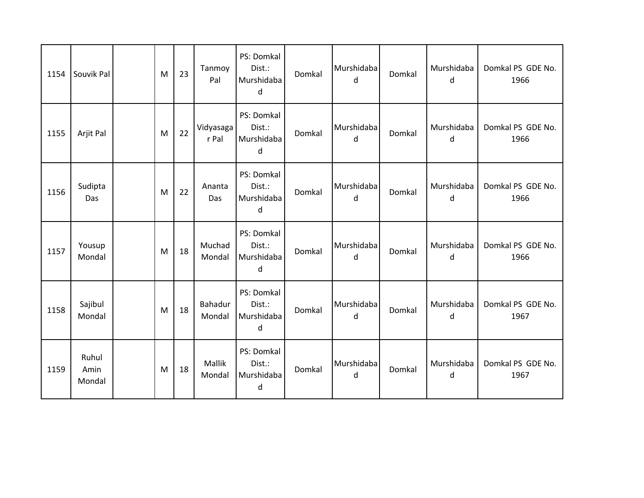| 1154 | Souvik Pal              | M | 23 | Tanmoy<br>Pal      | PS: Domkal<br>Dist.:<br>Murshidaba<br>d            | Domkal | Murshidaba<br>d | Domkal | Murshidaba<br>d | Domkal PS GDE No.<br>1966 |
|------|-------------------------|---|----|--------------------|----------------------------------------------------|--------|-----------------|--------|-----------------|---------------------------|
| 1155 | Arjit Pal               | M | 22 | Vidyasaga<br>r Pal | PS: Domkal<br>Dist.:<br>Murshidaba<br>d            | Domkal | Murshidaba<br>d | Domkal | Murshidaba<br>d | Domkal PS GDE No.<br>1966 |
| 1156 | Sudipta<br>Das          | M | 22 | Ananta<br>Das      | PS: Domkal<br>Dist.:<br>Murshidaba<br>d            | Domkal | Murshidaba<br>d | Domkal | Murshidaba<br>d | Domkal PS GDE No.<br>1966 |
| 1157 | Yousup<br>Mondal        | M | 18 | Muchad<br>Mondal   | PS: Domkal<br>Dist.:<br>Murshidaba<br>$\mathsf{d}$ | Domkal | Murshidaba<br>d | Domkal | Murshidaba<br>d | Domkal PS GDE No.<br>1966 |
| 1158 | Sajibul<br>Mondal       | M | 18 | Bahadur<br>Mondal  | PS: Domkal<br>Dist.:<br>Murshidaba<br>d            | Domkal | Murshidaba<br>d | Domkal | Murshidaba<br>d | Domkal PS GDE No.<br>1967 |
| 1159 | Ruhul<br>Amin<br>Mondal | M | 18 | Mallik<br>Mondal   | PS: Domkal<br>Dist.:<br>Murshidaba<br>d            | Domkal | Murshidaba<br>d | Domkal | Murshidaba<br>d | Domkal PS GDE No.<br>1967 |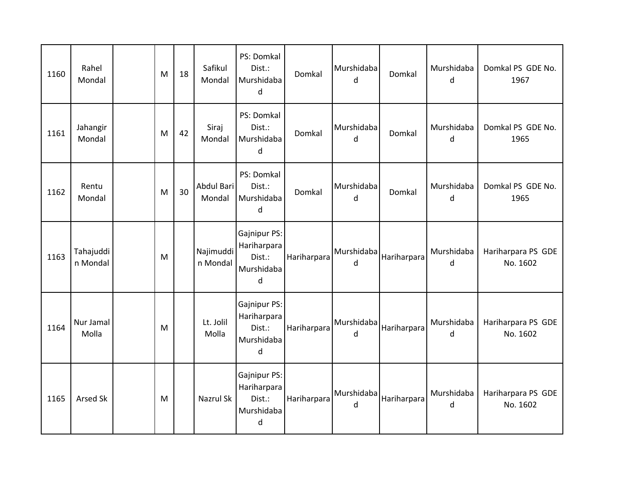| 1160 | Rahel<br>Mondal       | M | 18 | Safikul<br>Mondal     | PS: Domkal<br>Dist.:<br>Murshidaba<br>d                             | Domkal      | Murshidaba<br>d | Domkal      | Murshidaba<br>d | Domkal PS GDE No.<br>1967      |
|------|-----------------------|---|----|-----------------------|---------------------------------------------------------------------|-------------|-----------------|-------------|-----------------|--------------------------------|
| 1161 | Jahangir<br>Mondal    | M | 42 | Siraj<br>Mondal       | PS: Domkal<br>Dist.:<br>Murshidaba<br>d                             | Domkal      | Murshidaba<br>d | Domkal      | Murshidaba<br>d | Domkal PS GDE No.<br>1965      |
| 1162 | Rentu<br>Mondal       | M | 30 | Abdul Bari<br>Mondal  | PS: Domkal<br>Dist.:<br>Murshidaba<br>d                             | Domkal      | Murshidaba<br>d | Domkal      | Murshidaba<br>d | Domkal PS GDE No.<br>1965      |
| 1163 | Tahajuddi<br>n Mondal | M |    | Najimuddi<br>n Mondal | Gajnipur PS:<br>Hariharpara<br>Dist.:<br>Murshidaba<br>d            | Hariharpara | Murshidaba<br>d | Hariharpara | Murshidaba<br>d | Hariharpara PS GDE<br>No. 1602 |
| 1164 | Nur Jamal<br>Molla    | M |    | Lt. Jolil<br>Molla    | Gajnipur PS:<br>Hariharpara<br>Dist.:<br>Murshidaba<br>$\mathsf{d}$ | Hariharpara | Murshidaba<br>d | Hariharpara | Murshidaba<br>d | Hariharpara PS GDE<br>No. 1602 |
| 1165 | Arsed Sk              | M |    | Nazrul Sk             | Gajnipur PS:<br>Hariharpara<br>Dist.:<br>Murshidaba<br>d            | Hariharpara | Murshidaba<br>d | Hariharpara | Murshidaba<br>d | Hariharpara PS GDE<br>No. 1602 |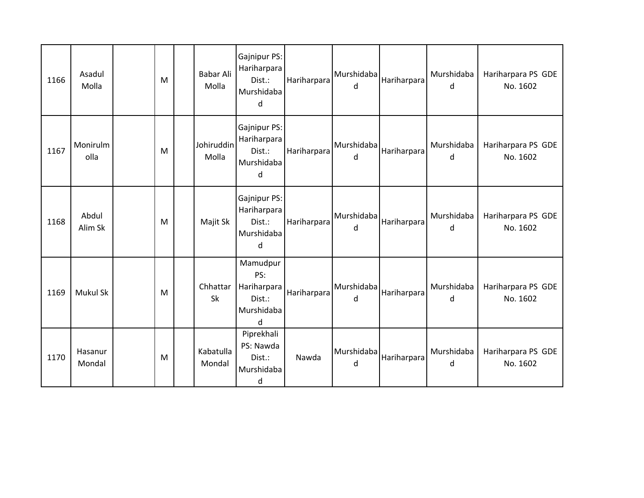| 1166 | Asadul<br>Molla   | M | Babar Ali<br>Molla    | Gajnipur PS:<br>Hariharpara<br>Dist.:<br>Murshidaba<br>d    | Hariharpara | Murshidaba<br>d | Hariharpara | Murshidaba<br>d | Hariharpara PS GDE<br>No. 1602 |
|------|-------------------|---|-----------------------|-------------------------------------------------------------|-------------|-----------------|-------------|-----------------|--------------------------------|
| 1167 | Monirulm<br>olla  | M | Johiruddin<br>Molla   | Gajnipur PS:<br>Hariharpara<br>Dist.:<br>Murshidaba<br>d    | Hariharpara | Murshidaba<br>d | Hariharpara | Murshidaba<br>d | Hariharpara PS GDE<br>No. 1602 |
| 1168 | Abdul<br>Alim Sk  | M | Majit Sk              | Gajnipur PS:<br>Hariharpara<br>Dist.:<br>Murshidaba<br>d    | Hariharpara | Murshidaba<br>d | Hariharpara | Murshidaba<br>d | Hariharpara PS GDE<br>No. 1602 |
| 1169 | Mukul Sk          | M | Chhattar<br><b>Sk</b> | Mamudpur<br>PS:<br>Hariharpara<br>Dist.:<br>Murshidaba<br>d | Hariharpara | Murshidaba<br>d | Hariharpara | Murshidaba<br>d | Hariharpara PS GDE<br>No. 1602 |
| 1170 | Hasanur<br>Mondal | M | Kabatulla<br>Mondal   | Piprekhali<br>PS: Nawda<br>Dist.:<br>Murshidaba<br>d        | Nawda       | Murshidaba<br>d | Hariharpara | Murshidaba<br>d | Hariharpara PS GDE<br>No. 1602 |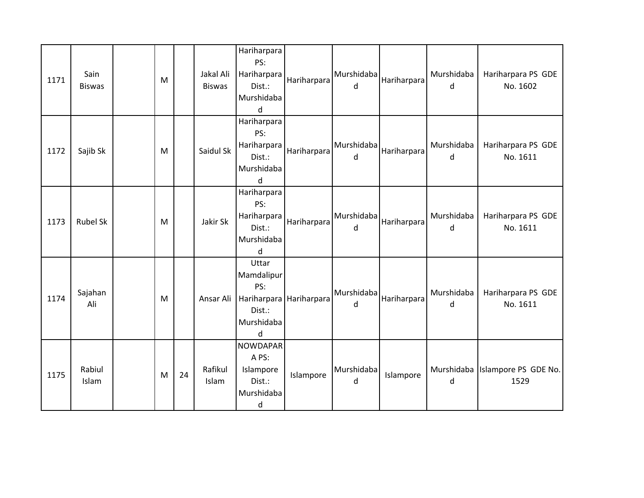| 1171 | Sain<br><b>Biswas</b> | M |    | Jakal Ali<br><b>Biswas</b> | Hariharpara<br>PS:<br>Hariharpara<br>Dist.:<br>Murshidaba<br>d           | Hariharpara             | Murshidaba<br>d | Hariharpara | Murshidaba<br>d | Hariharpara PS GDE<br>No. 1602 |
|------|-----------------------|---|----|----------------------------|--------------------------------------------------------------------------|-------------------------|-----------------|-------------|-----------------|--------------------------------|
| 1172 | Sajib Sk              | M |    | Saidul Sk                  | Hariharpara<br>PS:<br>Hariharpara<br>Dist.:<br>Murshidaba<br>d           | Hariharpara             | Murshidaba<br>d | Hariharpara | Murshidaba<br>d | Hariharpara PS GDE<br>No. 1611 |
| 1173 | <b>Rubel Sk</b>       | M |    | Jakir Sk                   | Hariharpara<br>PS:<br>Hariharpara<br>Dist.:<br>Murshidaba<br>d           | Hariharpara             | Murshidaba<br>d | Hariharpara | Murshidaba<br>d | Hariharpara PS GDE<br>No. 1611 |
| 1174 | Sajahan<br>Ali        | M |    | Ansar Ali                  | Uttar<br>Mamdalipur<br>PS:<br>Dist.:<br>Murshidaba<br>d                  | Hariharpara Hariharpara | Murshidaba<br>d | Hariharpara | Murshidaba<br>d | Hariharpara PS GDE<br>No. 1611 |
| 1175 | Rabiul<br>Islam       | M | 24 | Rafikul<br>Islam           | <b>NOWDAPAR</b><br>A PS:<br>Islampore<br>Dist.:<br>Murshidaba<br>$\sf d$ | Islampore               | Murshidaba<br>d | Islampore   | Murshidaba<br>d | Islampore PS GDE No.<br>1529   |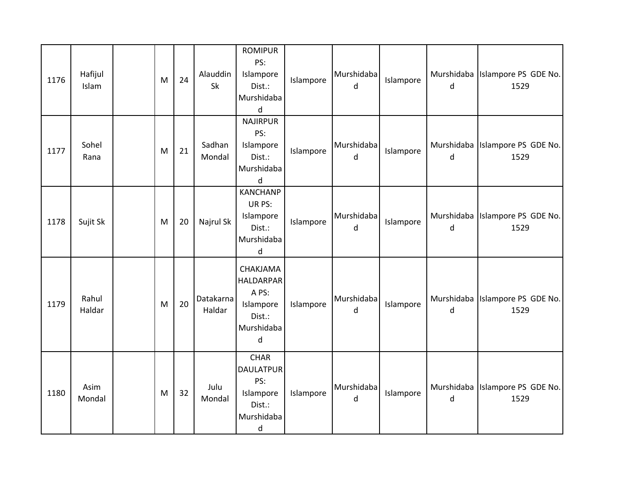| 1176 | Hafijul<br>Islam | M | 24 | Alauddin<br>Sk      | <b>ROMIPUR</b><br>PS:<br>Islampore<br>Dist.:<br>Murshidaba<br>$\sf d$                  | Islampore | Murshidaba<br>d | Islampore | d       | Murshidaba   Islampore PS GDE No.<br>1529 |
|------|------------------|---|----|---------------------|----------------------------------------------------------------------------------------|-----------|-----------------|-----------|---------|-------------------------------------------|
| 1177 | Sohel<br>Rana    | M | 21 | Sadhan<br>Mondal    | <b>NAJIRPUR</b><br>PS:<br>Islampore<br>Dist.:<br>Murshidaba<br>d                       | Islampore | Murshidaba<br>d | Islampore | $\sf d$ | Murshidaba   Islampore PS GDE No.<br>1529 |
| 1178 | Sujit Sk         | M | 20 | Najrul Sk           | <b>KANCHANP</b><br>UR PS:<br>Islampore<br>Dist.:<br>Murshidaba<br>$\sf d$              | Islampore | Murshidaba<br>d | Islampore | d       | Murshidaba   Islampore PS GDE No.<br>1529 |
| 1179 | Rahul<br>Haldar  | M | 20 | Datakarna<br>Haldar | CHAKJAMA<br><b>HALDARPAR</b><br>A PS:<br>Islampore<br>Dist.:<br>Murshidaba<br>d        | Islampore | Murshidaba<br>d | Islampore | d       | Murshidaba Islampore PS GDE No.<br>1529   |
| 1180 | Asim<br>Mondal   | M | 32 | Julu<br>Mondal      | <b>CHAR</b><br><b>DAULATPUR</b><br>PS:<br>Islampore<br>Dist.:<br>Murshidaba<br>$\sf d$ | Islampore | Murshidaba<br>d | Islampore | d       | Murshidaba Islampore PS GDE No.<br>1529   |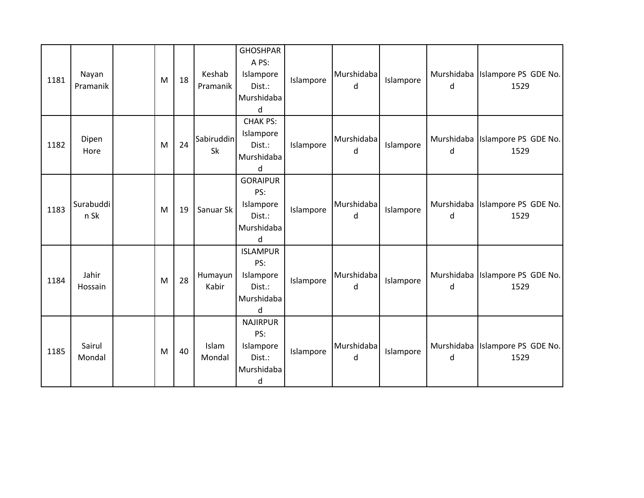| 1181 | Nayan<br>Pramanik | M | 18 | Keshab<br>Pramanik      | <b>GHOSHPAR</b><br>A PS:<br>Islampore<br>Dist.:<br>Murshidaba<br>d | Islampore | Murshidaba<br>d | Islampore | Murshidaba<br>d | Islampore PS GDE No.<br>1529 |
|------|-------------------|---|----|-------------------------|--------------------------------------------------------------------|-----------|-----------------|-----------|-----------------|------------------------------|
| 1182 | Dipen<br>Hore     | M | 24 | Sabiruddin<br><b>Sk</b> | <b>CHAK PS:</b><br>Islampore<br>Dist.:<br>Murshidaba<br>d          | Islampore | Murshidaba<br>d | Islampore | Murshidaba<br>d | Islampore PS GDE No.<br>1529 |
| 1183 | Surabuddi<br>n Sk | M | 19 | Sanuar Sk               | <b>GORAIPUR</b><br>PS:<br>Islampore<br>Dist.:<br>Murshidaba<br>d   | Islampore | Murshidaba<br>d | Islampore | Murshidaba<br>d | Islampore PS GDE No.<br>1529 |
| 1184 | Jahir<br>Hossain  | M | 28 | Humayun<br>Kabir        | <b>ISLAMPUR</b><br>PS:<br>Islampore<br>Dist.:<br>Murshidaba<br>d   | Islampore | Murshidaba<br>d | Islampore | Murshidaba<br>d | Islampore PS GDE No.<br>1529 |
| 1185 | Sairul<br>Mondal  | M | 40 | Islam<br>Mondal         | <b>NAJIRPUR</b><br>PS:<br>Islampore<br>Dist.:<br>Murshidaba<br>d   | Islampore | Murshidaba<br>d | Islampore | Murshidaba<br>d | Islampore PS GDE No.<br>1529 |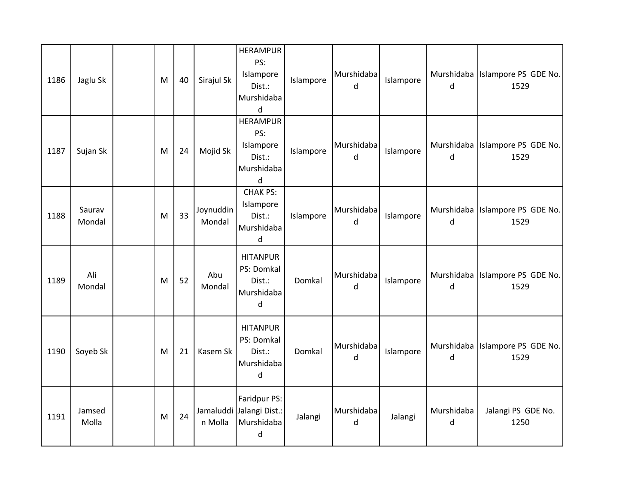| 1186 | Jaglu Sk         | M | 40 | Sirajul Sk          | <b>HERAMPUR</b><br>PS:<br>Islampore<br>Dist.:<br>Murshidaba<br>d     | Islampore | Murshidaba<br>d | Islampore | d               | Murshidaba   Islampore PS GDE No.<br>1529 |
|------|------------------|---|----|---------------------|----------------------------------------------------------------------|-----------|-----------------|-----------|-----------------|-------------------------------------------|
| 1187 | Sujan Sk         | M | 24 | Mojid Sk            | <b>HERAMPUR</b><br>PS:<br>Islampore<br>Dist.:<br>Murshidaba<br>d     | Islampore | Murshidaba<br>d | Islampore | Murshidaba<br>d | Islampore PS GDE No.<br>1529              |
| 1188 | Saurav<br>Mondal | M | 33 | Joynuddin<br>Mondal | <b>CHAK PS:</b><br>Islampore<br>Dist.:<br>Murshidaba<br>$\mathsf{d}$ | Islampore | Murshidaba<br>d | Islampore | Murshidaba<br>d | Islampore PS GDE No.<br>1529              |
| 1189 | Ali<br>Mondal    | M | 52 | Abu<br>Mondal       | <b>HITANPUR</b><br>PS: Domkal<br>Dist.:<br>Murshidaba<br>d           | Domkal    | Murshidaba<br>d | Islampore | Murshidaba<br>d | Islampore PS GDE No.<br>1529              |
| 1190 | Soyeb Sk         | M | 21 | Kasem Sk            | <b>HITANPUR</b><br>PS: Domkal<br>Dist.:<br>Murshidaba<br>d           | Domkal    | Murshidaba<br>d | Islampore | Murshidaba<br>d | Islampore PS GDE No.<br>1529              |
| 1191 | Jamsed<br>Molla  | M | 24 | n Molla             | Faridpur PS:<br>Jamaluddi Jalangi Dist.:<br>Murshidaba<br>$\sf d$    | Jalangi   | Murshidaba<br>d | Jalangi   | Murshidaba<br>d | Jalangi PS GDE No.<br>1250                |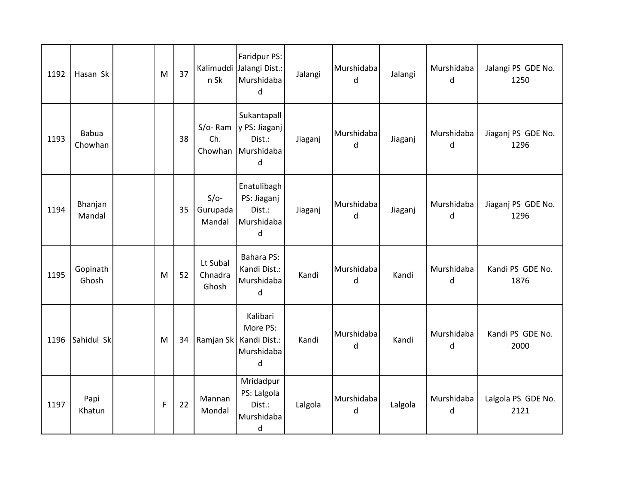| 1192 | Hasan Sk                | M           | 37 | n Sk                         | Faridpur PS:<br>Kalimuddi Jalangi Dist.:<br>Murshidaba<br>$\sf d$                      | Jalangi | Murshidaba<br>d | Jalangi | Murshidaba<br>d | Jalangi PS GDE No.<br>1250 |
|------|-------------------------|-------------|----|------------------------------|----------------------------------------------------------------------------------------|---------|-----------------|---------|-----------------|----------------------------|
| 1193 | <b>Babua</b><br>Chowhan |             | 38 | Ch.                          | Sukantapall<br>S/o-Ram   y PS: Jiaganj<br>Dist.:<br>Chowhan Murshidaba<br>$\mathsf{d}$ | Jiaganj | Murshidaba<br>d | Jiaganj | Murshidaba<br>d | Jiaganj PS GDE No.<br>1296 |
| 1194 | Bhanjan<br>Mandal       |             | 35 | $S/O-$<br>Gurupada<br>Mandal | Enatulibagh<br>PS: Jiaganj<br>Dist.:<br>Murshidaba<br>d                                | Jiaganj | Murshidaba<br>d | Jiaganj | Murshidaba<br>d | Jiaganj PS GDE No.<br>1296 |
| 1195 | Gopinath<br>Ghosh       | M           | 52 | Lt Subal<br>Chnadra<br>Ghosh | Bahara PS:<br>Kandi Dist.:<br>Murshidaba<br>d                                          | Kandi   | Murshidaba<br>d | Kandi   | Murshidaba<br>d | Kandi PS GDE No.<br>1876   |
| 1196 | Sahidul Sk              | M           | 34 | Ramjan Sk                    | Kalibari<br>More PS:<br>Kandi Dist.:<br>Murshidaba<br>$\sf d$                          | Kandi   | Murshidaba<br>d | Kandi   | Murshidaba<br>d | Kandi PS GDE No.<br>2000   |
| 1197 | Papi<br>Khatun          | $\mathsf F$ | 22 | Mannan<br>Mondal             | Mridadpur<br>PS: Lalgola<br>Dist.:<br>Murshidaba<br>d                                  | Lalgola | Murshidaba<br>d | Lalgola | Murshidaba<br>d | Lalgola PS GDE No.<br>2121 |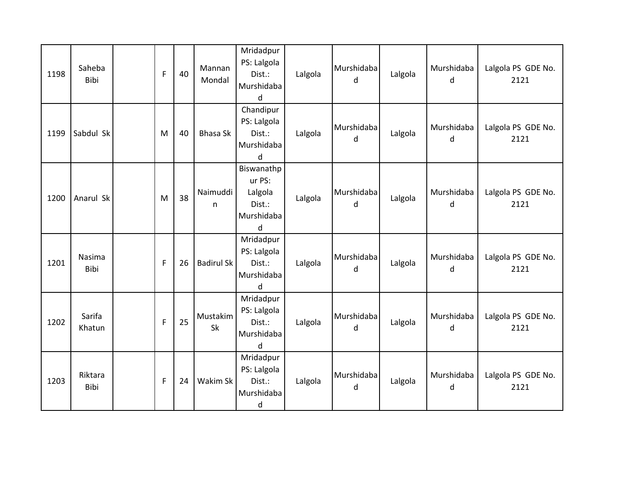| 1198 | Saheba<br>Bibi   | $\mathsf{F}$ | 40 | Mannan<br>Mondal  | Mridadpur<br>PS: Lalgola<br>Dist.:<br>Murshidaba<br>d        | Lalgola | Murshidaba<br>d | Lalgola | Murshidaba<br>d | Lalgola PS GDE No.<br>2121 |
|------|------------------|--------------|----|-------------------|--------------------------------------------------------------|---------|-----------------|---------|-----------------|----------------------------|
| 1199 | Sabdul Sk        | M            | 40 | <b>Bhasa Sk</b>   | Chandipur<br>PS: Lalgola<br>Dist.:<br>Murshidaba<br>d        | Lalgola | Murshidaba<br>d | Lalgola | Murshidaba<br>d | Lalgola PS GDE No.<br>2121 |
| 1200 | Anarul Sk        | M            | 38 | Naimuddi<br>n.    | Biswanathp<br>ur PS:<br>Lalgola<br>Dist.:<br>Murshidaba<br>d | Lalgola | Murshidaba<br>d | Lalgola | Murshidaba<br>d | Lalgola PS GDE No.<br>2121 |
| 1201 | Nasima<br>Bibi   | $\mathsf F$  | 26 | <b>Badirul Sk</b> | Mridadpur<br>PS: Lalgola<br>Dist.:<br>Murshidaba<br>d        | Lalgola | Murshidaba<br>d | Lalgola | Murshidaba<br>d | Lalgola PS GDE No.<br>2121 |
| 1202 | Sarifa<br>Khatun | $\mathsf F$  | 25 | Mustakim<br>Sk    | Mridadpur<br>PS: Lalgola<br>Dist.:<br>Murshidaba<br>d        | Lalgola | Murshidaba<br>d | Lalgola | Murshidaba<br>d | Lalgola PS GDE No.<br>2121 |
| 1203 | Riktara<br>Bibi  | $\mathsf{F}$ | 24 | Wakim Sk          | Mridadpur<br>PS: Lalgola<br>Dist.:<br>Murshidaba<br>d        | Lalgola | Murshidaba<br>d | Lalgola | Murshidaba<br>d | Lalgola PS GDE No.<br>2121 |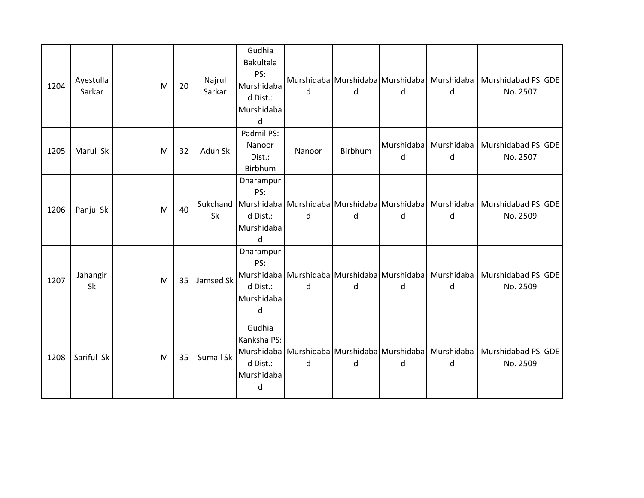| 1204 | Ayestulla<br>Sarkar | M | 20 | Najrul<br>Sarkar | Gudhia<br><b>Bakultala</b><br>PS:<br>Murshidaba<br>d Dist.:<br>Murshidaba<br>d | d                                                | d       | d | d | Murshidaba Murshidaba Murshidaba Murshidaba   Murshidabad PS GDE<br>No. 2507                               |
|------|---------------------|---|----|------------------|--------------------------------------------------------------------------------|--------------------------------------------------|---------|---|---|------------------------------------------------------------------------------------------------------------|
| 1205 | Marul Sk            | M | 32 | Adun Sk          | Padmil PS:<br>Nanoor<br>Dist.:<br>Birbhum                                      | Nanoor                                           | Birbhum | d | d | Murshidaba   Murshidaba   Murshidabad PS GDE<br>No. 2507                                                   |
| 1206 | Panju Sk            | M | 40 | Sk               | Dharampur<br>PS:<br>d Dist.:<br>Murshidaba<br>d                                | d                                                | d       | d | d | Sukchand   Murshidaba   Murshidaba   Murshidaba   Murshidaba   Murshidaba   Murshidabad PS GDE<br>No. 2509 |
| 1207 | Jahangir<br>Sk      | M | 35 | Jamsed Sk        | Dharampur<br>PS:<br>d Dist.:<br>Murshidaba<br>d                                | d                                                | d       | d | d | Murshidaba Murshidaba Murshidaba Murshidaba Murshidaba Murshidabad PS GDE<br>No. 2509                      |
| 1208 | Sariful Sk          | M | 35 | Sumail Sk        | Gudhia<br>Kanksha PS:<br>d Dist.:<br>Murshidaba<br>d                           | Murshidaba Murshidaba Murshidaba Murshidaba<br>d | d       | d | d | Murshidaba   Murshidabad PS GDE<br>No. 2509                                                                |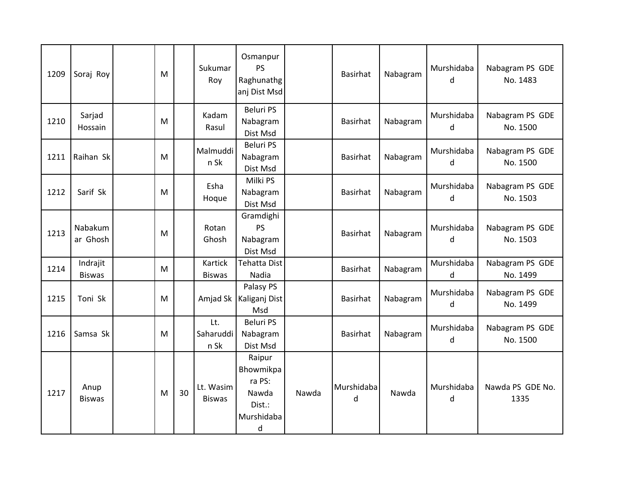| 1209 | Soraj Roy                 | M |    | Sukumar<br>Roy             | Osmanpur<br><b>PS</b><br>Raghunathg<br>anj Dist Msd                 |       | <b>Basirhat</b> | Nabagram | Murshidaba<br>d | Nabagram PS GDE<br>No. 1483 |
|------|---------------------------|---|----|----------------------------|---------------------------------------------------------------------|-------|-----------------|----------|-----------------|-----------------------------|
| 1210 | Sarjad<br>Hossain         | M |    | Kadam<br>Rasul             | <b>Beluri PS</b><br>Nabagram<br>Dist Msd                            |       | <b>Basirhat</b> | Nabagram | Murshidaba<br>d | Nabagram PS GDE<br>No. 1500 |
| 1211 | Raihan Sk                 | M |    | Malmuddi<br>n Sk           | <b>Beluri PS</b><br>Nabagram<br>Dist Msd                            |       | <b>Basirhat</b> | Nabagram | Murshidaba<br>d | Nabagram PS GDE<br>No. 1500 |
| 1212 | Sarif Sk                  | M |    | Esha<br>Hoque              | Milki PS<br>Nabagram<br>Dist Msd                                    |       | <b>Basirhat</b> | Nabagram | Murshidaba<br>d | Nabagram PS GDE<br>No. 1503 |
| 1213 | Nabakum<br>ar Ghosh       | M |    | Rotan<br>Ghosh             | Gramdighi<br><b>PS</b><br>Nabagram<br>Dist Msd                      |       | <b>Basirhat</b> | Nabagram | Murshidaba<br>d | Nabagram PS GDE<br>No. 1503 |
| 1214 | Indrajit<br><b>Biswas</b> | М |    | Kartick<br><b>Biswas</b>   | <b>Tehatta Dist</b><br>Nadia                                        |       | <b>Basirhat</b> | Nabagram | Murshidaba<br>d | Nabagram PS GDE<br>No. 1499 |
| 1215 | Toni Sk                   | M |    |                            | Palasy PS<br>Amjad Sk   Kaliganj Dist<br>Msd                        |       | <b>Basirhat</b> | Nabagram | Murshidaba<br>d | Nabagram PS GDE<br>No. 1499 |
| 1216 | Samsa Sk                  | M |    | Lt.<br>Saharuddi<br>n Sk   | <b>Beluri PS</b><br>Nabagram<br>Dist Msd                            |       | <b>Basirhat</b> | Nabagram | Murshidaba<br>d | Nabagram PS GDE<br>No. 1500 |
| 1217 | Anup<br><b>Biswas</b>     | M | 30 | Lt. Wasim<br><b>Biswas</b> | Raipur<br>Bhowmikpa<br>ra PS:<br>Nawda<br>Dist.:<br>Murshidaba<br>d | Nawda | Murshidaba<br>d | Nawda    | Murshidaba<br>d | Nawda PS GDE No.<br>1335    |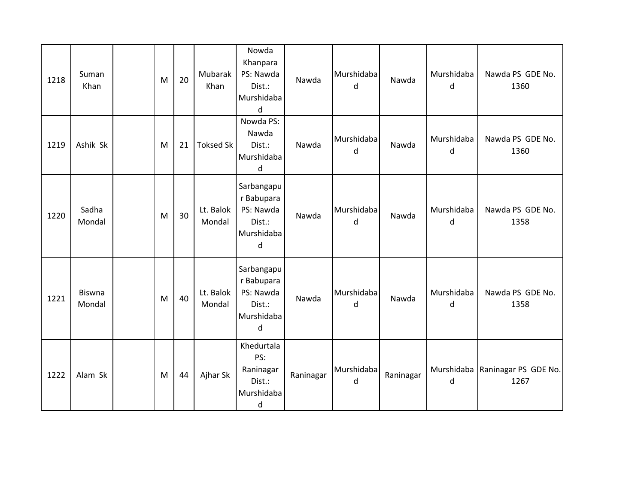| 1218 | Suman<br>Khan           | M | 20 | Mubarak<br>Khan     | Nowda<br>Khanpara<br>PS: Nawda<br>Dist.:<br>Murshidaba<br>d              | Nawda     | Murshidaba<br>d | Nawda     | Murshidaba<br>d | Nawda PS GDE No.<br>1360     |
|------|-------------------------|---|----|---------------------|--------------------------------------------------------------------------|-----------|-----------------|-----------|-----------------|------------------------------|
| 1219 | Ashik Sk                | M | 21 | <b>Toksed Sk</b>    | Nowda PS:<br>Nawda<br>Dist.:<br>Murshidaba<br>d                          | Nawda     | Murshidaba<br>d | Nawda     | Murshidaba<br>d | Nawda PS GDE No.<br>1360     |
| 1220 | Sadha<br>Mondal         | M | 30 | Lt. Balok<br>Mondal | Sarbangapu<br>r Babupara<br>PS: Nawda<br>Dist.:<br>Murshidaba<br>d       | Nawda     | Murshidaba<br>d | Nawda     | Murshidaba<br>d | Nawda PS GDE No.<br>1358     |
| 1221 | <b>Biswna</b><br>Mondal | M | 40 | Lt. Balok<br>Mondal | Sarbangapu<br>r Babupara<br>PS: Nawda<br>Dist.:<br>Murshidaba<br>$\sf d$ | Nawda     | Murshidaba<br>d | Nawda     | Murshidaba<br>d | Nawda PS GDE No.<br>1358     |
| 1222 | Alam Sk                 | M | 44 | Ajhar Sk            | Khedurtala<br>PS:<br>Raninagar<br>Dist.:<br>Murshidaba<br>d              | Raninagar | Murshidaba<br>d | Raninagar | Murshidaba<br>d | Raninagar PS GDE No.<br>1267 |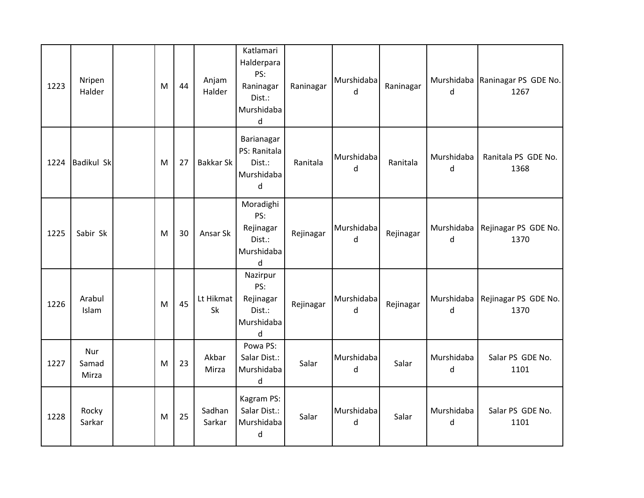| 1223 | Nripen<br>Halder      | M | 44 | Anjam<br>Halder  | Katlamari<br>Halderpara<br>PS:<br>Raninagar<br>Dist.:<br>Murshidaba<br>$\sf d$ | Raninagar | Murshidaba<br>d | Raninagar | Murshidaba<br>d | Raninagar PS GDE No.<br>1267 |
|------|-----------------------|---|----|------------------|--------------------------------------------------------------------------------|-----------|-----------------|-----------|-----------------|------------------------------|
| 1224 | <b>Badikul Sk</b>     | M | 27 | <b>Bakkar Sk</b> | Barianagar<br>PS: Ranitala<br>Dist.:<br>Murshidaba<br>$\sf d$                  | Ranitala  | Murshidaba<br>d | Ranitala  | Murshidaba<br>d | Ranitala PS GDE No.<br>1368  |
| 1225 | Sabir Sk              | M | 30 | Ansar Sk         | Moradighi<br>PS:<br>Rejinagar<br>Dist.:<br>Murshidaba<br>$\sf d$               | Rejinagar | Murshidaba<br>d | Rejinagar | Murshidaba<br>d | Rejinagar PS GDE No.<br>1370 |
| 1226 | Arabul<br>Islam       | M | 45 | Lt Hikmat<br>Sk  | Nazirpur<br>PS:<br>Rejinagar<br>Dist.:<br>Murshidaba<br>d                      | Rejinagar | Murshidaba<br>d | Rejinagar | Murshidaba<br>d | Rejinagar PS GDE No.<br>1370 |
| 1227 | Nur<br>Samad<br>Mirza | M | 23 | Akbar<br>Mirza   | Powa PS:<br>Salar Dist.:<br>Murshidaba<br>d                                    | Salar     | Murshidaba<br>d | Salar     | Murshidaba<br>d | Salar PS GDE No.<br>1101     |
| 1228 | Rocky<br>Sarkar       | M | 25 | Sadhan<br>Sarkar | Kagram PS:<br>Salar Dist.:<br>Murshidaba<br>d                                  | Salar     | Murshidaba<br>d | Salar     | Murshidaba<br>d | Salar PS GDE No.<br>1101     |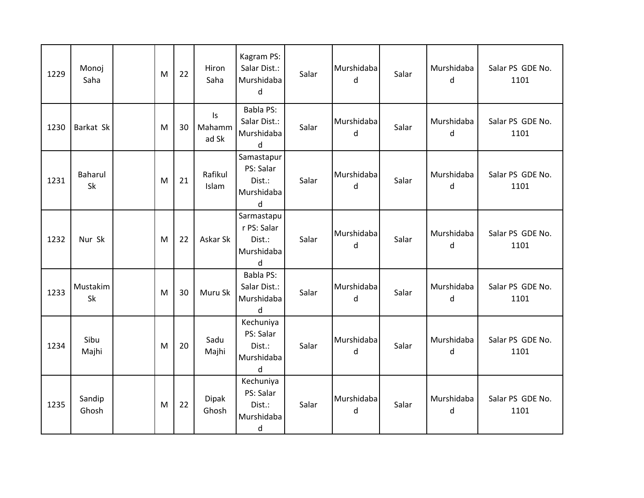| 1229 | Monoj<br>Saha   | M | 22 | Hiron<br>Saha         | Kagram PS:<br>Salar Dist.:<br>Murshidaba<br>d              | Salar | Murshidaba<br>d            | Salar | Murshidaba<br>d | Salar PS GDE No.<br>1101 |
|------|-----------------|---|----|-----------------------|------------------------------------------------------------|-------|----------------------------|-------|-----------------|--------------------------|
| 1230 | Barkat Sk       | M | 30 | Is<br>Mahamm<br>ad Sk | <b>Babla PS:</b><br>Salar Dist.:<br>Murshidaba<br>d        | Salar | Murshidaba<br>d            | Salar | Murshidaba<br>d | Salar PS GDE No.<br>1101 |
| 1231 | Baharul<br>Sk   | M | 21 | Rafikul<br>Islam      | Samastapur<br>PS: Salar<br>Dist.:<br>Murshidaba<br>$\sf d$ | Salar | Murshidaba<br>d            | Salar | Murshidaba<br>d | Salar PS GDE No.<br>1101 |
| 1232 | Nur Sk          | M | 22 | Askar Sk              | Sarmastapu<br>r PS: Salar<br>Dist.:<br>Murshidaba<br>d     | Salar | Murshidaba<br>d            | Salar | Murshidaba<br>d | Salar PS GDE No.<br>1101 |
| 1233 | Mustakim<br>Sk  | M | 30 | Muru Sk               | <b>Babla PS:</b><br>Salar Dist.:<br>Murshidaba<br>d        | Salar | Murshidaba<br>d            | Salar | Murshidaba<br>d | Salar PS GDE No.<br>1101 |
| 1234 | Sibu<br>Majhi   | M | 20 | Sadu<br>Majhi         | Kechuniya<br>PS: Salar<br>Dist.:<br>Murshidaba<br>$\sf d$  | Salar | Murshidaba<br>d            | Salar | Murshidaba<br>d | Salar PS GDE No.<br>1101 |
| 1235 | Sandip<br>Ghosh | M | 22 | <b>Dipak</b><br>Ghosh | Kechuniya<br>PS: Salar<br>Dist.:<br>Murshidaba<br>d        | Salar | Murshidaba<br>$\mathsf{d}$ | Salar | Murshidaba<br>d | Salar PS GDE No.<br>1101 |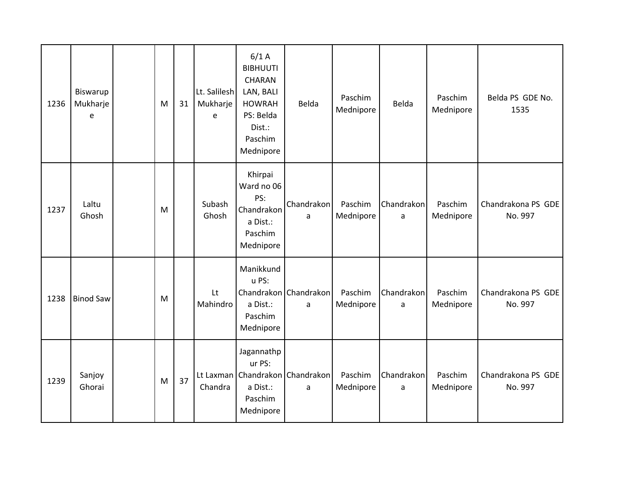| 1236 | Biswarup<br>Mukharje<br>e | M | 31 | Lt. Salilesh<br>Mukharje<br>e | 6/1A<br><b>BIBHUUTI</b><br><b>CHARAN</b><br>LAN, BALI<br><b>HOWRAH</b><br>PS: Belda<br>Dist.:<br>Paschim<br>Mednipore | Belda                                | Paschim<br>Mednipore | Belda           | Paschim<br>Mednipore | Belda PS GDE No.<br>1535      |
|------|---------------------------|---|----|-------------------------------|-----------------------------------------------------------------------------------------------------------------------|--------------------------------------|----------------------|-----------------|----------------------|-------------------------------|
| 1237 | Laltu<br>Ghosh            | M |    | Subash<br>Ghosh               | Khirpai<br>Ward no 06<br>PS:<br>Chandrakon<br>a Dist.:<br>Paschim<br>Mednipore                                        | Chandrakon<br>a                      | Paschim<br>Mednipore | Chandrakon<br>a | Paschim<br>Mednipore | Chandrakona PS GDE<br>No. 997 |
| 1238 | <b>Binod Saw</b>          | M |    | Lt<br>Mahindro                | Manikkund<br>u PS:<br>a Dist.:<br>Paschim<br>Mednipore                                                                | Chandrakon Chandrakon<br>a           | Paschim<br>Mednipore | Chandrakon<br>a | Paschim<br>Mednipore | Chandrakona PS GDE<br>No. 997 |
| 1239 | Sanjoy<br>Ghorai          | M | 37 | Chandra                       | Jagannathp<br>ur PS:<br>a Dist.:<br>Paschim<br>Mednipore                                                              | Lt Laxman Chandrakon Chandrakon<br>a | Paschim<br>Mednipore | Chandrakon<br>a | Paschim<br>Mednipore | Chandrakona PS GDE<br>No. 997 |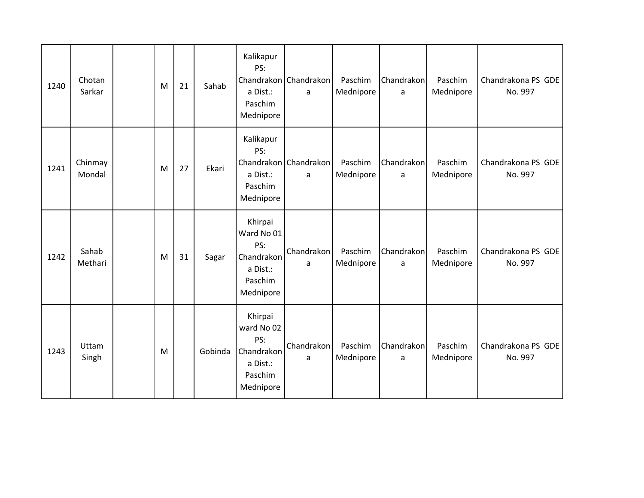| 1240 | Chotan<br>Sarkar  | M | 21 | Sahab   | Kalikapur<br>PS:<br>a Dist.:<br>Paschim<br>Mednipore                           | Chandrakon Chandrakon<br>a | Paschim<br>Mednipore | Chandrakon<br>a | Paschim<br>Mednipore | Chandrakona PS GDE<br>No. 997 |
|------|-------------------|---|----|---------|--------------------------------------------------------------------------------|----------------------------|----------------------|-----------------|----------------------|-------------------------------|
| 1241 | Chinmay<br>Mondal | M | 27 | Ekari   | Kalikapur<br>PS:<br>a Dist.:<br>Paschim<br>Mednipore                           | Chandrakon Chandrakon<br>a | Paschim<br>Mednipore | Chandrakon<br>a | Paschim<br>Mednipore | Chandrakona PS GDE<br>No. 997 |
| 1242 | Sahab<br>Methari  | M | 31 | Sagar   | Khirpai<br>Ward No 01<br>PS:<br>Chandrakon<br>a Dist.:<br>Paschim<br>Mednipore | Chandrakon<br>a            | Paschim<br>Mednipore | Chandrakon<br>a | Paschim<br>Mednipore | Chandrakona PS GDE<br>No. 997 |
| 1243 | Uttam<br>Singh    | M |    | Gobinda | Khirpai<br>ward No 02<br>PS:<br>Chandrakon<br>a Dist.:<br>Paschim<br>Mednipore | Chandrakon<br>a            | Paschim<br>Mednipore | Chandrakon<br>a | Paschim<br>Mednipore | Chandrakona PS GDE<br>No. 997 |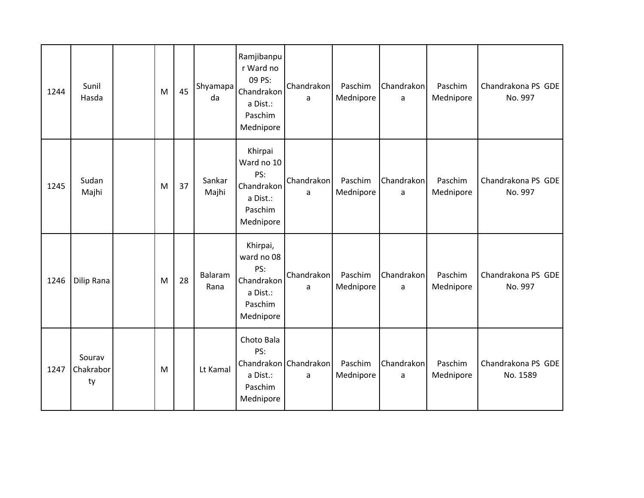| 1244 | Sunil<br>Hasda            | M | 45 | Shyamapa<br>da  | Ramjibanpu<br>r Ward no<br>09 PS:<br>Chandrakon<br>a Dist.:<br>Paschim<br>Mednipore | Chandrakon<br>a            | Paschim<br>Mednipore | Chandrakon<br>a | Paschim<br>Mednipore | Chandrakona PS GDE<br>No. 997  |
|------|---------------------------|---|----|-----------------|-------------------------------------------------------------------------------------|----------------------------|----------------------|-----------------|----------------------|--------------------------------|
| 1245 | Sudan<br>Majhi            | M | 37 | Sankar<br>Majhi | Khirpai<br>Ward no 10<br>PS:<br>Chandrakon<br>a Dist.:<br>Paschim<br>Mednipore      | Chandrakon<br>a            | Paschim<br>Mednipore | Chandrakon<br>a | Paschim<br>Mednipore | Chandrakona PS GDE<br>No. 997  |
| 1246 | Dilip Rana                | M | 28 | Balaram<br>Rana | Khirpai,<br>ward no 08<br>PS:<br>Chandrakon<br>a Dist.:<br>Paschim<br>Mednipore     | Chandrakon<br>a            | Paschim<br>Mednipore | Chandrakon<br>a | Paschim<br>Mednipore | Chandrakona PS GDE<br>No. 997  |
| 1247 | Sourav<br>Chakrabor<br>ty | M |    | Lt Kamal        | Choto Bala<br>PS:<br>a Dist.:<br>Paschim<br>Mednipore                               | Chandrakon Chandrakon<br>a | Paschim<br>Mednipore | Chandrakon<br>a | Paschim<br>Mednipore | Chandrakona PS GDE<br>No. 1589 |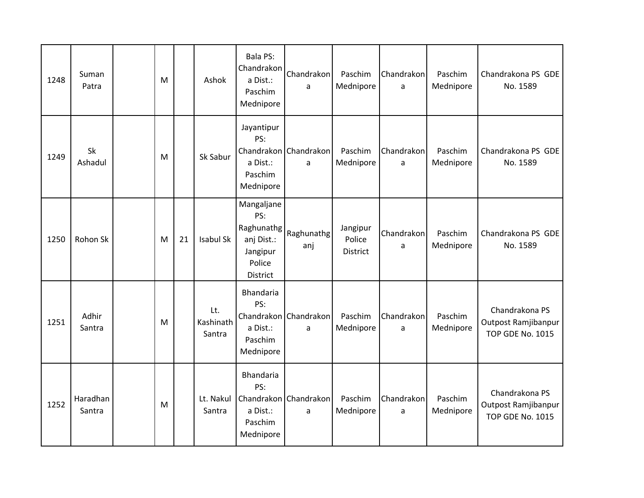| 1248 | Suman<br>Patra     | M |    | Ashok                      | Bala PS:<br>Chandrakon<br>a Dist.:<br>Paschim<br>Mednipore                             | Chandrakon<br>a            | Paschim<br>Mednipore                  | Chandrakon<br>a | Paschim<br>Mednipore | Chandrakona PS GDE<br>No. 1589                                   |
|------|--------------------|---|----|----------------------------|----------------------------------------------------------------------------------------|----------------------------|---------------------------------------|-----------------|----------------------|------------------------------------------------------------------|
| 1249 | Sk<br>Ashadul      | M |    | Sk Sabur                   | Jayantipur<br>PS:<br>a Dist.:<br>Paschim<br>Mednipore                                  | Chandrakon Chandrakon<br>a | Paschim<br>Mednipore                  | Chandrakon<br>a | Paschim<br>Mednipore | Chandrakona PS GDE<br>No. 1589                                   |
| 1250 | Rohon Sk           | M | 21 | Isabul Sk                  | Mangaljane<br>PS:<br>Raghunathg<br>anj Dist.:<br>Jangipur<br>Police<br><b>District</b> | Raghunathg<br>anj          | Jangipur<br>Police<br><b>District</b> | Chandrakon<br>a | Paschim<br>Mednipore | Chandrakona PS GDE<br>No. 1589                                   |
| 1251 | Adhir<br>Santra    | M |    | Lt.<br>Kashinath<br>Santra | Bhandaria<br>PS:<br>a Dist.:<br>Paschim<br>Mednipore                                   | Chandrakon Chandrakon<br>a | Paschim<br>Mednipore                  | Chandrakon<br>a | Paschim<br>Mednipore | Chandrakona PS<br>Outpost Ramjibanpur<br><b>TOP GDE No. 1015</b> |
| 1252 | Haradhan<br>Santra | M |    | Lt. Nakul<br>Santra        | Bhandaria<br>PS:<br>a Dist.:<br>Paschim<br>Mednipore                                   | Chandrakon Chandrakon<br>a | Paschim<br>Mednipore                  | Chandrakon<br>a | Paschim<br>Mednipore | Chandrakona PS<br>Outpost Ramjibanpur<br><b>TOP GDE No. 1015</b> |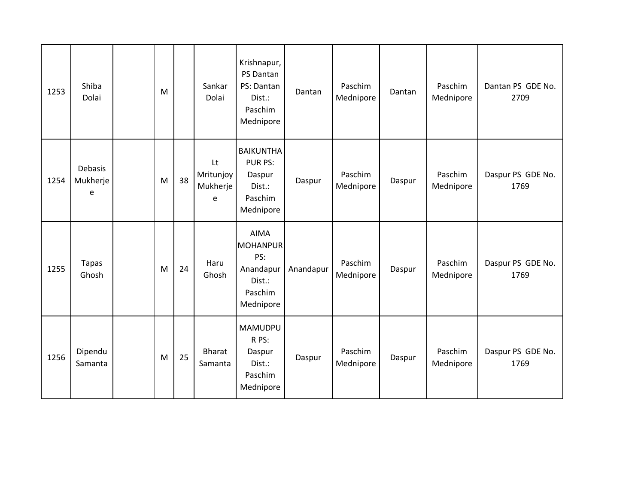| 1253 | Shiba<br>Dolai           | M |    | Sankar<br>Dolai                  | Krishnapur,<br>PS Dantan<br>PS: Dantan<br>Dist.:<br>Paschim<br>Mednipore       | Dantan    | Paschim<br>Mednipore | Dantan | Paschim<br>Mednipore | Dantan PS GDE No.<br>2709 |
|------|--------------------------|---|----|----------------------------------|--------------------------------------------------------------------------------|-----------|----------------------|--------|----------------------|---------------------------|
| 1254 | Debasis<br>Mukherje<br>e | M | 38 | Lt<br>Mritunjoy<br>Mukherje<br>e | <b>BAIKUNTHA</b><br><b>PUR PS:</b><br>Daspur<br>Dist.:<br>Paschim<br>Mednipore | Daspur    | Paschim<br>Mednipore | Daspur | Paschim<br>Mednipore | Daspur PS GDE No.<br>1769 |
| 1255 | <b>Tapas</b><br>Ghosh    | M | 24 | Haru<br>Ghosh                    | <b>AIMA</b><br>MOHANPUR<br>PS:<br>Anandapur<br>Dist.:<br>Paschim<br>Mednipore  | Anandapur | Paschim<br>Mednipore | Daspur | Paschim<br>Mednipore | Daspur PS GDE No.<br>1769 |
| 1256 | Dipendu<br>Samanta       | M | 25 | <b>Bharat</b><br>Samanta         | MAMUDPU<br>R PS:<br>Daspur<br>Dist.:<br>Paschim<br>Mednipore                   | Daspur    | Paschim<br>Mednipore | Daspur | Paschim<br>Mednipore | Daspur PS GDE No.<br>1769 |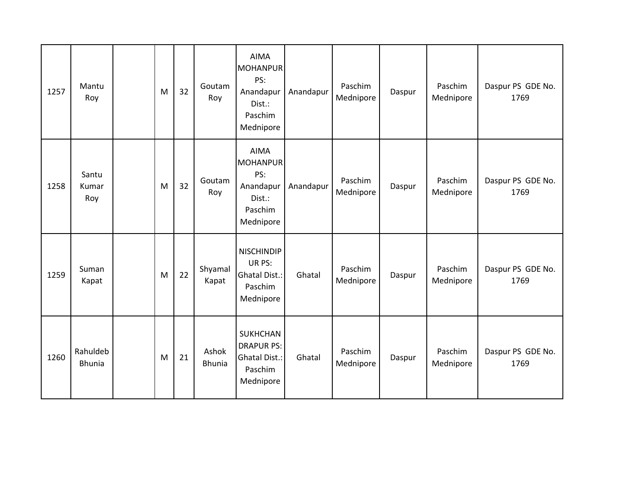| 1257 | Mantu<br>Roy              | M | 32 | Goutam<br>Roy          | <b>AIMA</b><br><b>MOHANPUR</b><br>PS:<br>Anandapur<br>Dist.:<br>Paschim<br>Mednipore | Anandapur | Paschim<br>Mednipore | Daspur | Paschim<br>Mednipore | Daspur PS GDE No.<br>1769 |
|------|---------------------------|---|----|------------------------|--------------------------------------------------------------------------------------|-----------|----------------------|--------|----------------------|---------------------------|
| 1258 | Santu<br>Kumar<br>Roy     | M | 32 | Goutam<br>Roy          | <b>AIMA</b><br><b>MOHANPUR</b><br>PS:<br>Anandapur<br>Dist.:<br>Paschim<br>Mednipore | Anandapur | Paschim<br>Mednipore | Daspur | Paschim<br>Mednipore | Daspur PS GDE No.<br>1769 |
| 1259 | Suman<br>Kapat            | M | 22 | Shyamal<br>Kapat       | <b>NISCHINDIP</b><br>UR PS:<br><b>Ghatal Dist.:</b><br>Paschim<br>Mednipore          | Ghatal    | Paschim<br>Mednipore | Daspur | Paschim<br>Mednipore | Daspur PS GDE No.<br>1769 |
| 1260 | Rahuldeb<br><b>Bhunia</b> | M | 21 | Ashok<br><b>Bhunia</b> | <b>SUKHCHAN</b><br><b>DRAPUR PS:</b><br><b>Ghatal Dist.:</b><br>Paschim<br>Mednipore | Ghatal    | Paschim<br>Mednipore | Daspur | Paschim<br>Mednipore | Daspur PS GDE No.<br>1769 |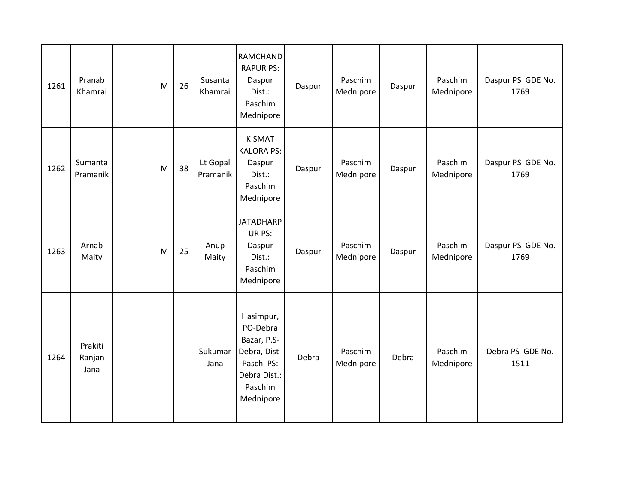| 1261 | Pranab<br>Khamrai         | M | 26 | Susanta<br>Khamrai   | <b>RAMCHAND</b><br><b>RAPUR PS:</b><br>Daspur<br>Dist.:<br>Paschim<br>Mednipore                            | Daspur | Paschim<br>Mednipore | Daspur | Paschim<br>Mednipore | Daspur PS GDE No.<br>1769 |
|------|---------------------------|---|----|----------------------|------------------------------------------------------------------------------------------------------------|--------|----------------------|--------|----------------------|---------------------------|
| 1262 | Sumanta<br>Pramanik       | M | 38 | Lt Gopal<br>Pramanik | <b>KISMAT</b><br><b>KALORA PS:</b><br>Daspur<br>Dist.:<br>Paschim<br>Mednipore                             | Daspur | Paschim<br>Mednipore | Daspur | Paschim<br>Mednipore | Daspur PS GDE No.<br>1769 |
| 1263 | Arnab<br>Maity            | M | 25 | Anup<br>Maity        | <b>JATADHARP</b><br>UR PS:<br>Daspur<br>Dist.:<br>Paschim<br>Mednipore                                     | Daspur | Paschim<br>Mednipore | Daspur | Paschim<br>Mednipore | Daspur PS GDE No.<br>1769 |
| 1264 | Prakiti<br>Ranjan<br>Jana |   |    | Sukumar<br>Jana      | Hasimpur,<br>PO-Debra<br>Bazar, P.S-<br>Debra, Dist-<br>Paschi PS:<br>Debra Dist.:<br>Paschim<br>Mednipore | Debra  | Paschim<br>Mednipore | Debra  | Paschim<br>Mednipore | Debra PS GDE No.<br>1511  |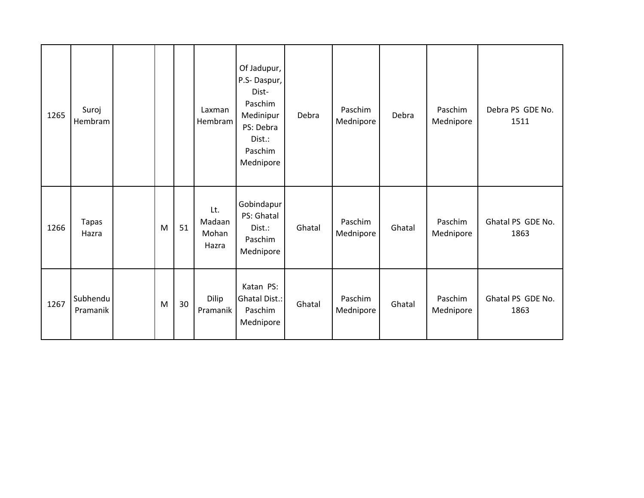| 1265 | Suroj<br>Hembram      |   |    | Laxman<br>Hembram               | Of Jadupur,<br>P.S-Daspur,<br>Dist-<br>Paschim<br>Medinipur<br>PS: Debra<br>Dist.:<br>Paschim<br>Mednipore | Debra  | Paschim<br>Mednipore | Debra  | Paschim<br>Mednipore | Debra PS GDE No.<br>1511  |
|------|-----------------------|---|----|---------------------------------|------------------------------------------------------------------------------------------------------------|--------|----------------------|--------|----------------------|---------------------------|
| 1266 | <b>Tapas</b><br>Hazra | M | 51 | Lt.<br>Madaan<br>Mohan<br>Hazra | Gobindapur<br>PS: Ghatal<br>Dist.:<br>Paschim<br>Mednipore                                                 | Ghatal | Paschim<br>Mednipore | Ghatal | Paschim<br>Mednipore | Ghatal PS GDE No.<br>1863 |
| 1267 | Subhendu<br>Pramanik  | M | 30 | Dilip<br>Pramanik               | Katan PS:<br>Ghatal Dist.:<br>Paschim<br>Mednipore                                                         | Ghatal | Paschim<br>Mednipore | Ghatal | Paschim<br>Mednipore | Ghatal PS GDE No.<br>1863 |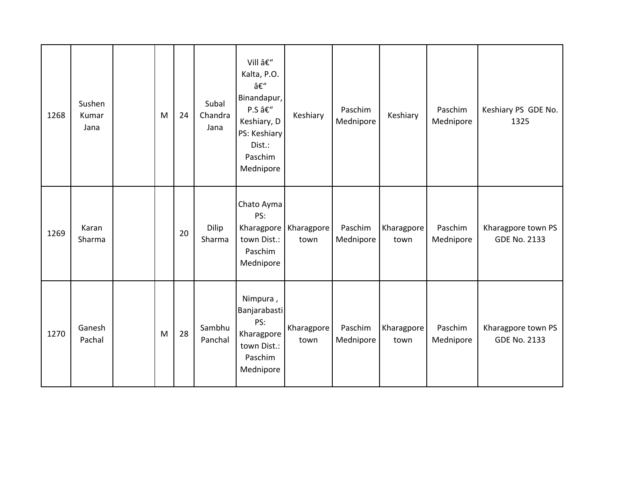| 1268 | Sushen<br>Kumar<br>Jana | M | 24 | Subal<br>Chandra<br>Jana | Vill –<br>Kalta, P.O.<br>–<br>Binandapur,<br>P.S –<br>Keshiary, D<br>PS: Keshiary<br>Dist.:<br>Paschim<br>Mednipore | Keshiary                        | Paschim<br>Mednipore | Keshiary           | Paschim<br>Mednipore | Keshiary PS GDE No.<br>1325               |
|------|-------------------------|---|----|--------------------------|---------------------------------------------------------------------------------------------------------------------|---------------------------------|----------------------|--------------------|----------------------|-------------------------------------------|
| 1269 | Karan<br>Sharma         |   | 20 | Dilip<br>Sharma          | Chato Ayma<br>PS:<br>town Dist.:<br>Paschim<br>Mednipore                                                            | Kharagpore   Kharagpore<br>town | Paschim<br>Mednipore | Kharagpore<br>town | Paschim<br>Mednipore | Kharagpore town PS<br><b>GDE No. 2133</b> |
| 1270 | Ganesh<br>Pachal        | M | 28 | Sambhu<br>Panchal        | Nimpura,<br>Banjarabasti<br>PS:<br>Kharagpore<br>town Dist.:<br>Paschim<br>Mednipore                                | Kharagpore<br>town              | Paschim<br>Mednipore | Kharagpore<br>town | Paschim<br>Mednipore | Kharagpore town PS<br><b>GDE No. 2133</b> |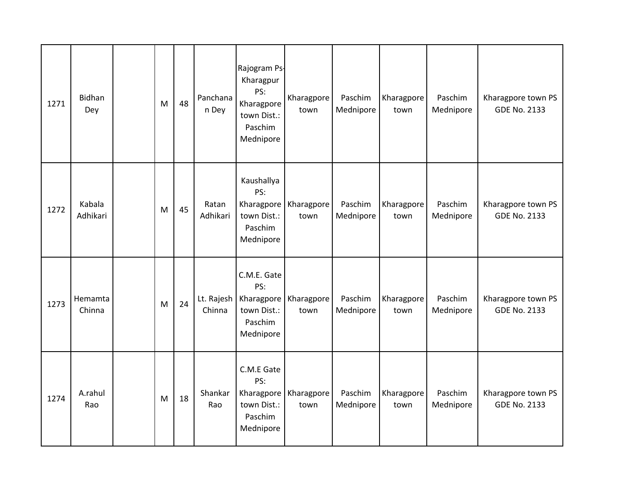| 1271 | <b>Bidhan</b><br>Dey | M | 48 | Panchana<br>n Dey    | Rajogram Ps-<br>Kharagpur<br>PS:<br>Kharagpore<br>town Dist.:<br>Paschim<br>Mednipore | Kharagpore<br>town              | Paschim<br>Mednipore | Kharagpore<br>town | Paschim<br>Mednipore | Kharagpore town PS<br><b>GDE No. 2133</b> |
|------|----------------------|---|----|----------------------|---------------------------------------------------------------------------------------|---------------------------------|----------------------|--------------------|----------------------|-------------------------------------------|
| 1272 | Kabala<br>Adhikari   | M | 45 | Ratan<br>Adhikari    | Kaushallya<br>PS:<br>town Dist.:<br>Paschim<br>Mednipore                              | Kharagpore   Kharagpore<br>town | Paschim<br>Mednipore | Kharagpore<br>town | Paschim<br>Mednipore | Kharagpore town PS<br><b>GDE No. 2133</b> |
| 1273 | Hemamta<br>Chinna    | M | 24 | Lt. Rajesh<br>Chinna | C.M.E. Gate<br>PS:<br>town Dist.:<br>Paschim<br>Mednipore                             | Kharagpore   Kharagpore<br>town | Paschim<br>Mednipore | Kharagpore<br>town | Paschim<br>Mednipore | Kharagpore town PS<br><b>GDE No. 2133</b> |
| 1274 | A.rahul<br>Rao       | M | 18 | Shankar<br>Rao       | C.M.E Gate<br>PS:<br>town Dist.:<br>Paschim<br>Mednipore                              | Kharagpore   Kharagpore<br>town | Paschim<br>Mednipore | Kharagpore<br>town | Paschim<br>Mednipore | Kharagpore town PS<br><b>GDE No. 2133</b> |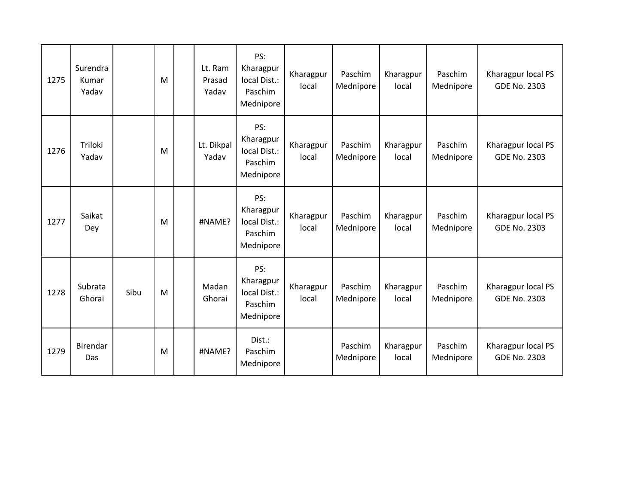| 1275 | Surendra<br>Kumar<br>Yadav |      | M | Lt. Ram<br>Prasad<br>Yadav | PS:<br>Kharagpur<br>local Dist.:<br>Paschim<br>Mednipore | Kharagpur<br>local | Paschim<br>Mednipore | Kharagpur<br>local | Paschim<br>Mednipore | Kharagpur local PS<br><b>GDE No. 2303</b> |
|------|----------------------------|------|---|----------------------------|----------------------------------------------------------|--------------------|----------------------|--------------------|----------------------|-------------------------------------------|
| 1276 | Triloki<br>Yadav           |      | M | Lt. Dikpal<br>Yadav        | PS:<br>Kharagpur<br>local Dist.:<br>Paschim<br>Mednipore | Kharagpur<br>local | Paschim<br>Mednipore | Kharagpur<br>local | Paschim<br>Mednipore | Kharagpur local PS<br><b>GDE No. 2303</b> |
| 1277 | Saikat<br>Dey              |      | M | #NAME?                     | PS:<br>Kharagpur<br>local Dist.:<br>Paschim<br>Mednipore | Kharagpur<br>local | Paschim<br>Mednipore | Kharagpur<br>local | Paschim<br>Mednipore | Kharagpur local PS<br><b>GDE No. 2303</b> |
| 1278 | Subrata<br>Ghorai          | Sibu | M | Madan<br>Ghorai            | PS:<br>Kharagpur<br>local Dist.:<br>Paschim<br>Mednipore | Kharagpur<br>local | Paschim<br>Mednipore | Kharagpur<br>local | Paschim<br>Mednipore | Kharagpur local PS<br><b>GDE No. 2303</b> |
| 1279 | <b>Birendar</b><br>Das     |      | M | #NAME?                     | Dist.:<br>Paschim<br>Mednipore                           |                    | Paschim<br>Mednipore | Kharagpur<br>local | Paschim<br>Mednipore | Kharagpur local PS<br><b>GDE No. 2303</b> |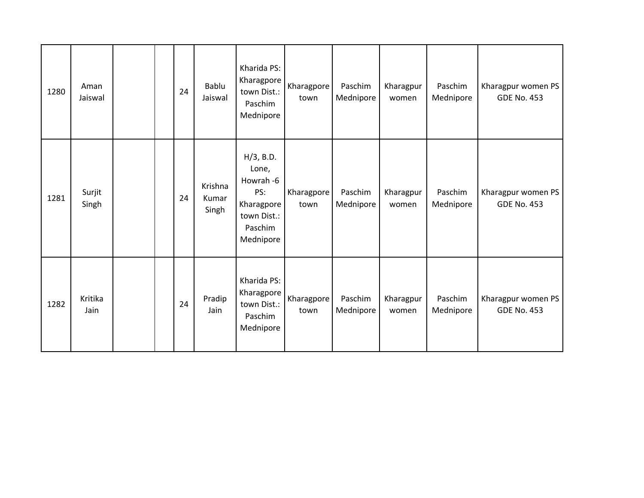| 1280 | Aman<br>Jaiswal |  | 24 | <b>Bablu</b><br>Jaiswal   | Kharida PS:<br>Kharagpore<br>town Dist.:<br>Paschim<br>Mednipore                               | Kharagpore<br>town | Paschim<br>Mednipore | Kharagpur<br>women | Paschim<br>Mednipore | Kharagpur women PS<br><b>GDE No. 453</b> |
|------|-----------------|--|----|---------------------------|------------------------------------------------------------------------------------------------|--------------------|----------------------|--------------------|----------------------|------------------------------------------|
| 1281 | Surjit<br>Singh |  | 24 | Krishna<br>Kumar<br>Singh | $H/3$ , B.D.<br>Lone,<br>Howrah -6<br>PS:<br>Kharagpore<br>town Dist.:<br>Paschim<br>Mednipore | Kharagpore<br>town | Paschim<br>Mednipore | Kharagpur<br>women | Paschim<br>Mednipore | Kharagpur women PS<br><b>GDE No. 453</b> |
| 1282 | Kritika<br>Jain |  | 24 | Pradip<br>Jain            | Kharida PS:<br>Kharagpore<br>town Dist.:<br>Paschim<br>Mednipore                               | Kharagpore<br>town | Paschim<br>Mednipore | Kharagpur<br>women | Paschim<br>Mednipore | Kharagpur women PS<br><b>GDE No. 453</b> |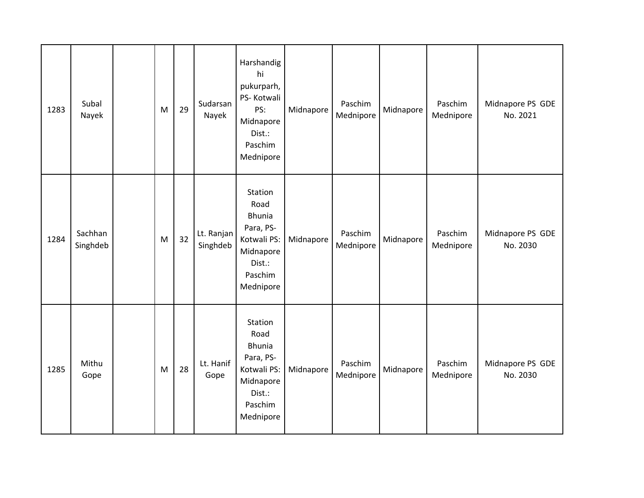| 1283 | Subal<br>Nayek      | M | 29 | Sudarsan<br>Nayek      | Harshandig<br>hi<br>pukurparh,<br>PS-Kotwali<br>PS:<br>Midnapore<br>Dist.:<br>Paschim<br>Mednipore          | Midnapore | Paschim<br>Mednipore | Midnapore | Paschim<br>Mednipore | Midnapore PS GDE<br>No. 2021 |
|------|---------------------|---|----|------------------------|-------------------------------------------------------------------------------------------------------------|-----------|----------------------|-----------|----------------------|------------------------------|
| 1284 | Sachhan<br>Singhdeb | M | 32 | Lt. Ranjan<br>Singhdeb | Station<br>Road<br><b>Bhunia</b><br>Para, PS-<br>Kotwali PS:<br>Midnapore<br>Dist.:<br>Paschim<br>Mednipore | Midnapore | Paschim<br>Mednipore | Midnapore | Paschim<br>Mednipore | Midnapore PS GDE<br>No. 2030 |
| 1285 | Mithu<br>Gope       | M | 28 | Lt. Hanif<br>Gope      | Station<br>Road<br><b>Bhunia</b><br>Para, PS-<br>Kotwali PS:<br>Midnapore<br>Dist.:<br>Paschim<br>Mednipore | Midnapore | Paschim<br>Mednipore | Midnapore | Paschim<br>Mednipore | Midnapore PS GDE<br>No. 2030 |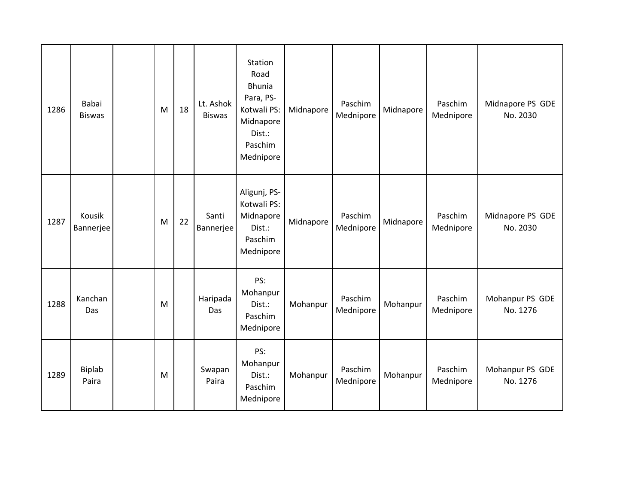| 1286 | Babai<br><b>Biswas</b> | M | 18 | Lt. Ashok<br><b>Biswas</b> | Station<br>Road<br><b>Bhunia</b><br>Para, PS-<br>Kotwali PS:<br>Midnapore<br>Dist.:<br>Paschim<br>Mednipore | Midnapore | Paschim<br>Mednipore | Midnapore | Paschim<br>Mednipore | Midnapore PS GDE<br>No. 2030 |
|------|------------------------|---|----|----------------------------|-------------------------------------------------------------------------------------------------------------|-----------|----------------------|-----------|----------------------|------------------------------|
| 1287 | Kousik<br>Bannerjee    | M | 22 | Santi<br>Bannerjee         | Aligunj, PS-<br>Kotwali PS:<br>Midnapore<br>Dist.:<br>Paschim<br>Mednipore                                  | Midnapore | Paschim<br>Mednipore | Midnapore | Paschim<br>Mednipore | Midnapore PS GDE<br>No. 2030 |
| 1288 | Kanchan<br>Das         | M |    | Haripada<br>Das            | PS:<br>Mohanpur<br>Dist.:<br>Paschim<br>Mednipore                                                           | Mohanpur  | Paschim<br>Mednipore | Mohanpur  | Paschim<br>Mednipore | Mohanpur PS GDE<br>No. 1276  |
| 1289 | Biplab<br>Paira        | M |    | Swapan<br>Paira            | PS:<br>Mohanpur<br>Dist.:<br>Paschim<br>Mednipore                                                           | Mohanpur  | Paschim<br>Mednipore | Mohanpur  | Paschim<br>Mednipore | Mohanpur PS GDE<br>No. 1276  |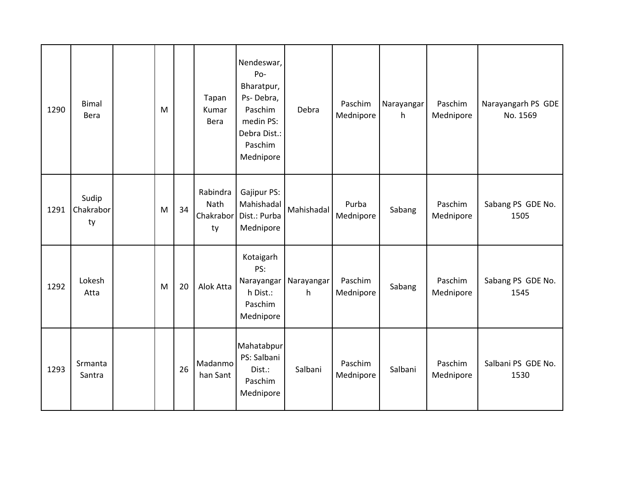| 1290 | <b>Bimal</b><br>Bera     | M |    | Tapan<br>Kumar<br>Bera              | Nendeswar,<br>Po-<br>Bharatpur,<br>Ps-Debra,<br>Paschim<br>medin PS:<br>Debra Dist.:<br>Paschim<br>Mednipore | Debra           | Paschim<br>Mednipore | Narayangar<br>h | Paschim<br>Mednipore | Narayangarh PS GDE<br>No. 1569 |
|------|--------------------------|---|----|-------------------------------------|--------------------------------------------------------------------------------------------------------------|-----------------|----------------------|-----------------|----------------------|--------------------------------|
| 1291 | Sudip<br>Chakrabor<br>ty | M | 34 | Rabindra<br>Nath<br>Chakrabor<br>ty | Gajipur PS:<br>Mahishadal<br>Dist.: Purba<br>Mednipore                                                       | Mahishadal      | Purba<br>Mednipore   | Sabang          | Paschim<br>Mednipore | Sabang PS GDE No.<br>1505      |
| 1292 | Lokesh<br>Atta           | M | 20 | Alok Atta                           | Kotaigarh<br>PS:<br>Narayangar<br>h Dist.:<br>Paschim<br>Mednipore                                           | Narayangar<br>h | Paschim<br>Mednipore | Sabang          | Paschim<br>Mednipore | Sabang PS GDE No.<br>1545      |
| 1293 | Srmanta<br>Santra        |   | 26 | Madanmo<br>han Sant                 | Mahatabpur<br>PS: Salbani<br>Dist.:<br>Paschim<br>Mednipore                                                  | Salbani         | Paschim<br>Mednipore | Salbani         | Paschim<br>Mednipore | Salbani PS GDE No.<br>1530     |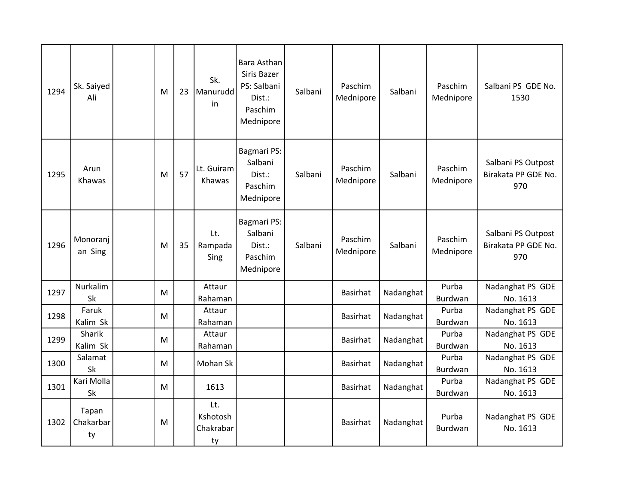| 1294 | Sk. Saiyed<br>Ali        | M | 23 | Sk.<br>Manurudd<br>in              | Bara Asthan<br>Siris Bazer<br>PS: Salbani<br>Dist.:<br>Paschim<br>Mednipore | Salbani | Paschim<br>Mednipore | Salbani   | Paschim<br>Mednipore    | Salbani PS GDE No.<br>1530                       |
|------|--------------------------|---|----|------------------------------------|-----------------------------------------------------------------------------|---------|----------------------|-----------|-------------------------|--------------------------------------------------|
| 1295 | Arun<br>Khawas           | M | 57 | Lt. Guiram<br>Khawas               | Bagmari PS:<br>Salbani<br>Dist.:<br>Paschim<br>Mednipore                    | Salbani | Paschim<br>Mednipore | Salbani   | Paschim<br>Mednipore    | Salbani PS Outpost<br>Birakata PP GDE No.<br>970 |
| 1296 | Monoranj<br>an Sing      | M | 35 | Lt.<br>Rampada<br>Sing             | <b>Bagmari PS:</b><br>Salbani<br>Dist.:<br>Paschim<br>Mednipore             | Salbani | Paschim<br>Mednipore | Salbani   | Paschim<br>Mednipore    | Salbani PS Outpost<br>Birakata PP GDE No.<br>970 |
| 1297 | Nurkalim<br>Sk           | M |    | Attaur<br>Rahaman                  |                                                                             |         | <b>Basirhat</b>      | Nadanghat | Purba<br>Burdwan        | Nadanghat PS GDE<br>No. 1613                     |
| 1298 | Faruk<br>Kalim Sk        | M |    | Attaur<br>Rahaman                  |                                                                             |         | <b>Basirhat</b>      | Nadanghat | Purba<br>Burdwan        | Nadanghat PS GDE<br>No. 1613                     |
| 1299 | Sharik<br>Kalim Sk       | M |    | Attaur<br>Rahaman                  |                                                                             |         | <b>Basirhat</b>      | Nadanghat | Purba<br>Burdwan        | Nadanghat PS GDE<br>No. 1613                     |
| 1300 | Salamat<br>Sk            | M |    | Mohan Sk                           |                                                                             |         | <b>Basirhat</b>      | Nadanghat | Purba<br><b>Burdwan</b> | Nadanghat PS GDE<br>No. 1613                     |
| 1301 | Kari Molla<br>Sk         | M |    | 1613                               |                                                                             |         | <b>Basirhat</b>      | Nadanghat | Purba<br>Burdwan        | Nadanghat PS GDE<br>No. 1613                     |
| 1302 | Tapan<br>Chakarbar<br>ty | M |    | Lt.<br>Kshotosh<br>Chakrabar<br>ty |                                                                             |         | <b>Basirhat</b>      | Nadanghat | Purba<br><b>Burdwan</b> | Nadanghat PS GDE<br>No. 1613                     |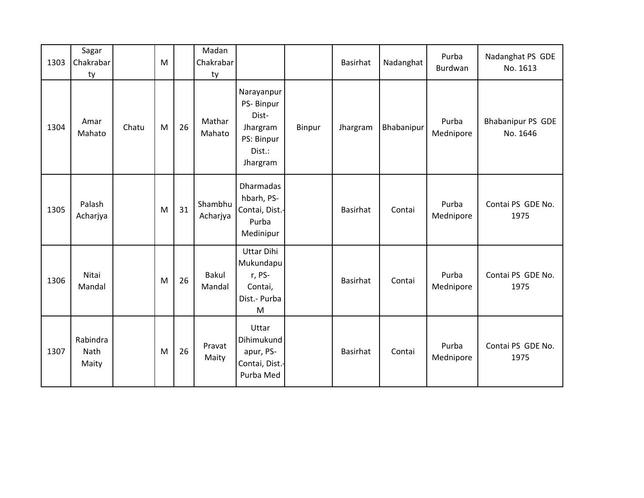| 1303 | Sagar<br>Chakrabar<br>ty  |       | M |    | Madan<br>Chakrabar<br>ty |                                                                                  |        | <b>Basirhat</b> | Nadanghat  | Purba<br>Burdwan   | Nadanghat PS GDE<br>No. 1613  |
|------|---------------------------|-------|---|----|--------------------------|----------------------------------------------------------------------------------|--------|-----------------|------------|--------------------|-------------------------------|
| 1304 | Amar<br>Mahato            | Chatu | M | 26 | Mathar<br>Mahato         | Narayanpur<br>PS-Binpur<br>Dist-<br>Jhargram<br>PS: Binpur<br>Dist.:<br>Jhargram | Binpur | Jhargram        | Bhabanipur | Purba<br>Mednipore | Bhabanipur PS GDE<br>No. 1646 |
| 1305 | Palash<br>Acharjya        |       | M | 31 | Shambhu<br>Acharjya      | Dharmadas<br>hbarh, PS-<br>Contai, Dist.-<br>Purba<br>Medinipur                  |        | <b>Basirhat</b> | Contai     | Purba<br>Mednipore | Contai PS GDE No.<br>1975     |
| 1306 | Nitai<br>Mandal           |       | M | 26 | <b>Bakul</b><br>Mandal   | <b>Uttar Dihi</b><br>Mukundapu<br>r, PS-<br>Contai,<br>Dist.- Purba<br>M         |        | Basirhat        | Contai     | Purba<br>Mednipore | Contai PS GDE No.<br>1975     |
| 1307 | Rabindra<br>Nath<br>Maity |       | M | 26 | Pravat<br>Maity          | Uttar<br>Dihimukund<br>apur, PS-<br>Contai, Dist.-<br>Purba Med                  |        | <b>Basirhat</b> | Contai     | Purba<br>Mednipore | Contai PS GDE No.<br>1975     |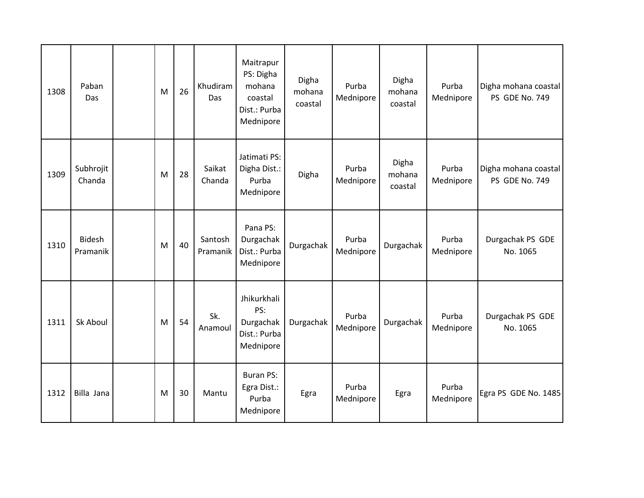| 1308 | Paban<br>Das              | M | 26 | Khudiram<br>Das     | Maitrapur<br>PS: Digha<br>mohana<br>coastal<br>Dist.: Purba<br>Mednipore | Digha<br>mohana<br>coastal | Purba<br>Mednipore | Digha<br>mohana<br>coastal | Purba<br>Mednipore | Digha mohana coastal<br>PS GDE No. 749 |
|------|---------------------------|---|----|---------------------|--------------------------------------------------------------------------|----------------------------|--------------------|----------------------------|--------------------|----------------------------------------|
| 1309 | Subhrojit<br>Chanda       | M | 28 | Saikat<br>Chanda    | Jatimati PS:<br>Digha Dist.:<br>Purba<br>Mednipore                       | Digha                      | Purba<br>Mednipore | Digha<br>mohana<br>coastal | Purba<br>Mednipore | Digha mohana coastal<br>PS GDE No. 749 |
| 1310 | <b>Bidesh</b><br>Pramanik | M | 40 | Santosh<br>Pramanik | Pana PS:<br>Durgachak<br>Dist.: Purba<br>Mednipore                       | Durgachak                  | Purba<br>Mednipore | Durgachak                  | Purba<br>Mednipore | Durgachak PS GDE<br>No. 1065           |
| 1311 | Sk Aboul                  | M | 54 | Sk.<br>Anamoul      | Jhikurkhali<br>PS:<br>Durgachak<br>Dist.: Purba<br>Mednipore             | Durgachak                  | Purba<br>Mednipore | Durgachak                  | Purba<br>Mednipore | Durgachak PS GDE<br>No. 1065           |
| 1312 | Billa Jana                | M | 30 | Mantu               | <b>Buran PS:</b><br>Egra Dist.:<br>Purba<br>Mednipore                    | Egra                       | Purba<br>Mednipore | Egra                       | Purba<br>Mednipore | Egra PS GDE No. 1485                   |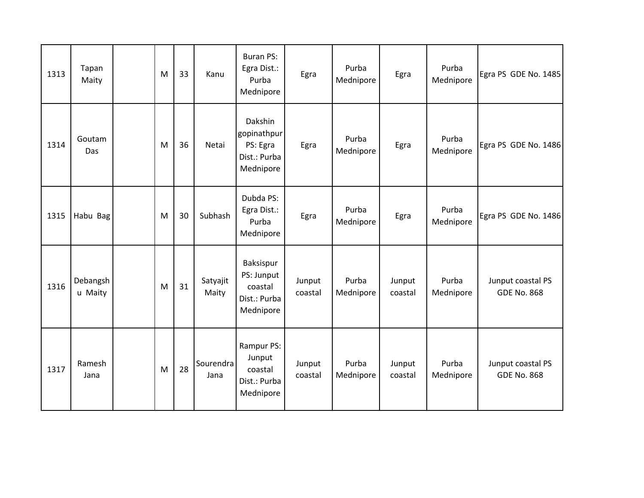| 1313 | Tapan<br>Maity      | M | 33 | Kanu              | <b>Buran PS:</b><br>Egra Dist.:<br>Purba<br>Mednipore           | Egra              | Purba<br>Mednipore | Egra              | Purba<br>Mednipore | Egra PS GDE No. 1485                    |
|------|---------------------|---|----|-------------------|-----------------------------------------------------------------|-------------------|--------------------|-------------------|--------------------|-----------------------------------------|
| 1314 | Goutam<br>Das       | M | 36 | Netai             | Dakshin<br>gopinathpur<br>PS: Egra<br>Dist.: Purba<br>Mednipore | Egra              | Purba<br>Mednipore | Egra              | Purba<br>Mednipore | Egra PS GDE No. 1486                    |
| 1315 | Habu Bag            | M | 30 | Subhash           | Dubda PS:<br>Egra Dist.:<br>Purba<br>Mednipore                  | Egra              | Purba<br>Mednipore | Egra              | Purba<br>Mednipore | Egra PS GDE No. 1486                    |
| 1316 | Debangsh<br>u Maity | M | 31 | Satyajit<br>Maity | Baksispur<br>PS: Junput<br>coastal<br>Dist.: Purba<br>Mednipore | Junput<br>coastal | Purba<br>Mednipore | Junput<br>coastal | Purba<br>Mednipore | Junput coastal PS<br><b>GDE No. 868</b> |
| 1317 | Ramesh<br>Jana      | M | 28 | Sourendra<br>Jana | Rampur PS:<br>Junput<br>coastal<br>Dist.: Purba<br>Mednipore    | Junput<br>coastal | Purba<br>Mednipore | Junput<br>coastal | Purba<br>Mednipore | Junput coastal PS<br><b>GDE No. 868</b> |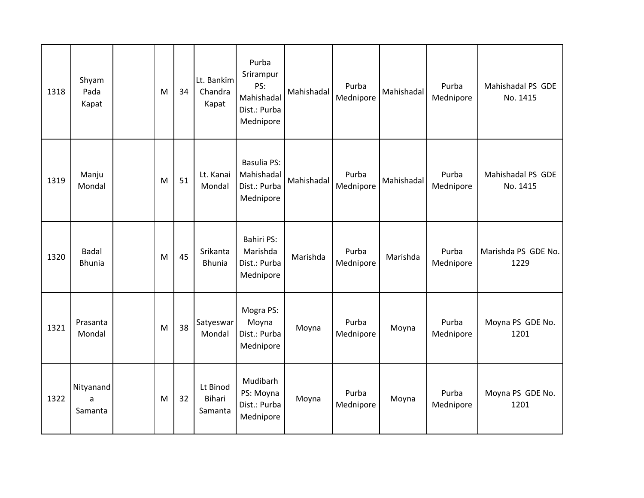| 1318 | Shyam<br>Pada<br>Kapat        | M | 34 | Lt. Bankim<br>Chandra<br>Kapat       | Purba<br>Srirampur<br>PS:<br>Mahishadal<br>Dist.: Purba<br>Mednipore | Mahishadal | Purba<br>Mednipore | Mahishadal | Purba<br>Mednipore | Mahishadal PS GDE<br>No. 1415 |
|------|-------------------------------|---|----|--------------------------------------|----------------------------------------------------------------------|------------|--------------------|------------|--------------------|-------------------------------|
| 1319 | Manju<br>Mondal               | M | 51 | Lt. Kanai<br>Mondal                  | <b>Basulia PS:</b><br>Mahishadal<br>Dist.: Purba<br>Mednipore        | Mahishadal | Purba<br>Mednipore | Mahishadal | Purba<br>Mednipore | Mahishadal PS GDE<br>No. 1415 |
| 1320 | <b>Badal</b><br><b>Bhunia</b> | M | 45 | Srikanta<br><b>Bhunia</b>            | <b>Bahiri PS:</b><br>Marishda<br>Dist.: Purba<br>Mednipore           | Marishda   | Purba<br>Mednipore | Marishda   | Purba<br>Mednipore | Marishda PS GDE No.<br>1229   |
| 1321 | Prasanta<br>Mondal            | M | 38 | Satyeswar<br>Mondal                  | Mogra PS:<br>Moyna<br>Dist.: Purba<br>Mednipore                      | Moyna      | Purba<br>Mednipore | Moyna      | Purba<br>Mednipore | Moyna PS GDE No.<br>1201      |
| 1322 | Nityanand<br>a<br>Samanta     | M | 32 | Lt Binod<br><b>Bihari</b><br>Samanta | Mudibarh<br>PS: Moyna<br>Dist.: Purba<br>Mednipore                   | Moyna      | Purba<br>Mednipore | Moyna      | Purba<br>Mednipore | Moyna PS GDE No.<br>1201      |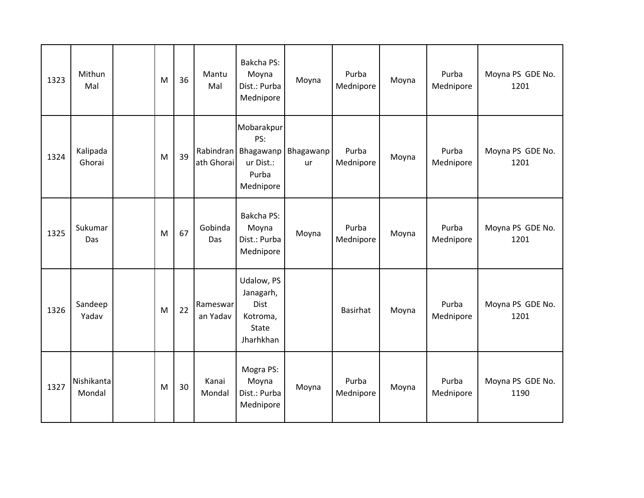| 1323 | Mithun<br>Mal        | M | 36 | Mantu<br>Mal          | Bakcha PS:<br>Moyna<br>Dist.: Purba<br>Mednipore                                | Moyna           | Purba<br>Mednipore | Moyna | Purba<br>Mednipore | Moyna PS GDE No.<br>1201 |
|------|----------------------|---|----|-----------------------|---------------------------------------------------------------------------------|-----------------|--------------------|-------|--------------------|--------------------------|
| 1324 | Kalipada<br>Ghorai   | M | 39 | ath Ghorai            | Mobarakpur<br>PS:<br>Rabindran Bhagawanp<br>ur Dist.:<br>Purba<br>Mednipore     | Bhagawanp<br>ur | Purba<br>Mednipore | Moyna | Purba<br>Mednipore | Moyna PS GDE No.<br>1201 |
| 1325 | Sukumar<br>Das       | M | 67 | Gobinda<br><b>Das</b> | <b>Bakcha PS:</b><br>Moyna<br>Dist.: Purba<br>Mednipore                         | Moyna           | Purba<br>Mednipore | Moyna | Purba<br>Mednipore | Moyna PS GDE No.<br>1201 |
| 1326 | Sandeep<br>Yadav     | M | 22 | Rameswar<br>an Yadav  | Udalow, PS<br>Janagarh,<br><b>Dist</b><br>Kotroma,<br><b>State</b><br>Jharhkhan |                 | Basirhat           | Moyna | Purba<br>Mednipore | Moyna PS GDE No.<br>1201 |
| 1327 | Nishikanta<br>Mondal | M | 30 | Kanai<br>Mondal       | Mogra PS:<br>Moyna<br>Dist.: Purba<br>Mednipore                                 | Moyna           | Purba<br>Mednipore | Moyna | Purba<br>Mednipore | Moyna PS GDE No.<br>1190 |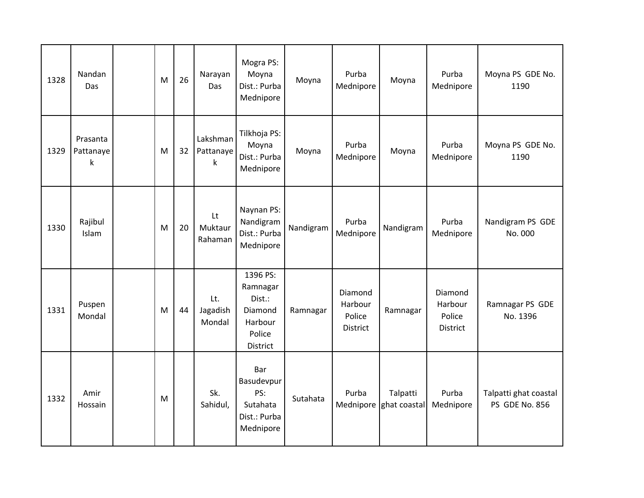| 1328 | Nandan<br>Das              | M | 26 | Narayan<br>Das             | Mogra PS:<br>Moyna<br>Dist.: Purba<br>Mednipore                            | Moyna     | Purba<br>Mednipore                              | Moyna                              | Purba<br>Mednipore                       | Moyna PS GDE No.<br>1190                |
|------|----------------------------|---|----|----------------------------|----------------------------------------------------------------------------|-----------|-------------------------------------------------|------------------------------------|------------------------------------------|-----------------------------------------|
| 1329 | Prasanta<br>Pattanaye<br>k | M | 32 | Lakshman<br>Pattanaye<br>k | Tilkhoja PS:<br>Moyna<br>Dist.: Purba<br>Mednipore                         | Moyna     | Purba<br>Mednipore                              | Moyna                              | Purba<br>Mednipore                       | Moyna PS GDE No.<br>1190                |
| 1330 | Rajibul<br>Islam           | M | 20 | Lt<br>Muktaur<br>Rahaman   | Naynan PS:<br>Nandigram<br>Dist.: Purba<br>Mednipore                       | Nandigram | Purba<br>Mednipore                              | Nandigram                          | Purba<br>Mednipore                       | Nandigram PS GDE<br>No. 000             |
| 1331 | Puspen<br>Mondal           | M | 44 | Lt.<br>Jagadish<br>Mondal  | 1396 PS:<br>Ramnagar<br>Dist.:<br>Diamond<br>Harbour<br>Police<br>District | Ramnagar  | Diamond<br>Harbour<br>Police<br><b>District</b> | Ramnagar                           | Diamond<br>Harbour<br>Police<br>District | Ramnagar PS GDE<br>No. 1396             |
| 1332 | Amir<br>Hossain            | M |    | Sk.<br>Sahidul,            | Bar<br>Basudevpur<br>PS:<br>Sutahata<br>Dist.: Purba<br>Mednipore          | Sutahata  | Purba                                           | Talpatti<br>Mednipore ghat coastal | Purba<br>Mednipore                       | Talpatti ghat coastal<br>PS GDE No. 856 |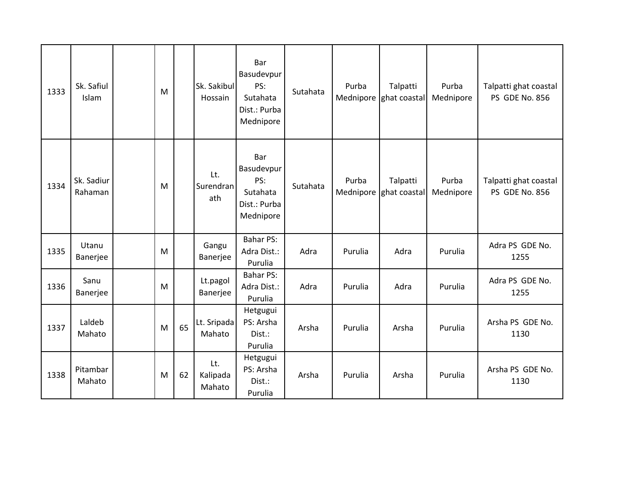| 1333 | Sk. Safiul<br>Islam   | M |    | Sk. Sakibul<br>Hossain    | Bar<br>Basudevpur<br>PS:<br>Sutahata<br>Dist.: Purba<br>Mednipore | Sutahata | Purba<br>Mednipore | Talpatti<br>ghat coastal | Purba<br>Mednipore | Talpatti ghat coastal<br>PS GDE No. 856        |
|------|-----------------------|---|----|---------------------------|-------------------------------------------------------------------|----------|--------------------|--------------------------|--------------------|------------------------------------------------|
| 1334 | Sk. Sadiur<br>Rahaman | M |    | Lt.<br>Surendran<br>ath   | Bar<br>Basudevpur<br>PS:<br>Sutahata<br>Dist.: Purba<br>Mednipore | Sutahata | Purba<br>Mednipore | Talpatti<br>ghat coastal | Purba<br>Mednipore | Talpatti ghat coastal<br><b>PS GDE No. 856</b> |
| 1335 | Utanu<br>Banerjee     | M |    | Gangu<br>Banerjee         | <b>Bahar PS:</b><br>Adra Dist.:<br>Purulia                        | Adra     | Purulia            | Adra                     | Purulia            | Adra PS GDE No.<br>1255                        |
| 1336 | Sanu<br>Banerjee      | M |    | Lt.pagol<br>Banerjee      | <b>Bahar PS:</b><br>Adra Dist.:<br>Purulia                        | Adra     | Purulia            | Adra                     | Purulia            | Adra PS GDE No.<br>1255                        |
| 1337 | Laldeb<br>Mahato      | M | 65 | Lt. Sripada<br>Mahato     | Hetgugui<br>PS: Arsha<br>Dist.:<br>Purulia                        | Arsha    | Purulia            | Arsha                    | Purulia            | Arsha PS GDE No.<br>1130                       |
| 1338 | Pitambar<br>Mahato    | M | 62 | Lt.<br>Kalipada<br>Mahato | Hetgugui<br>PS: Arsha<br>Dist.:<br>Purulia                        | Arsha    | Purulia            | Arsha                    | Purulia            | Arsha PS GDE No.<br>1130                       |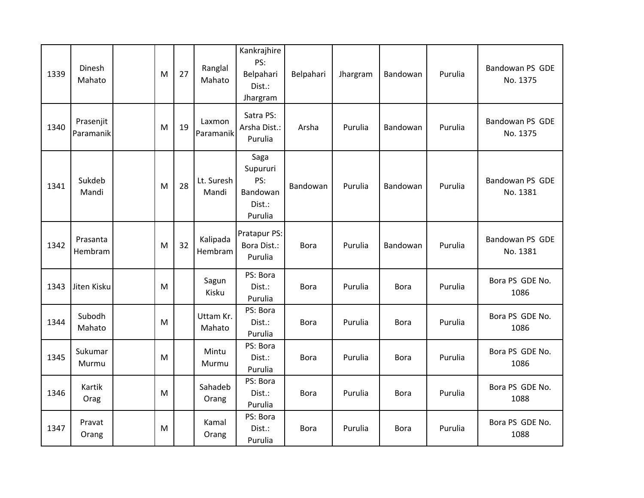| 1339 | Dinesh<br>Mahato       | M | 27 | Ranglal<br>Mahato   | Kankrajhire<br>PS:<br>Belpahari<br>Dist.:<br>Jhargram    | Belpahari   | Jhargram | Bandowan    | Purulia | Bandowan PS GDE<br>No. 1375 |
|------|------------------------|---|----|---------------------|----------------------------------------------------------|-------------|----------|-------------|---------|-----------------------------|
| 1340 | Prasenjit<br>Paramanik | M | 19 | Laxmon<br>Paramanik | Satra PS:<br>Arsha Dist.:<br>Purulia                     | Arsha       | Purulia  | Bandowan    | Purulia | Bandowan PS GDE<br>No. 1375 |
| 1341 | Sukdeb<br>Mandi        | M | 28 | Lt. Suresh<br>Mandi | Saga<br>Supururi<br>PS:<br>Bandowan<br>Dist.:<br>Purulia | Bandowan    | Purulia  | Bandowan    | Purulia | Bandowan PS GDE<br>No. 1381 |
| 1342 | Prasanta<br>Hembram    | M | 32 | Kalipada<br>Hembram | Pratapur PS:<br>Bora Dist.:<br>Purulia                   | <b>Bora</b> | Purulia  | Bandowan    | Purulia | Bandowan PS GDE<br>No. 1381 |
| 1343 | Jiten Kisku            | M |    | Sagun<br>Kisku      | PS: Bora<br>Dist.:<br>Purulia                            | <b>Bora</b> | Purulia  | <b>Bora</b> | Purulia | Bora PS GDE No.<br>1086     |
| 1344 | Subodh<br>Mahato       | M |    | Uttam Kr.<br>Mahato | PS: Bora<br>Dist.:<br>Purulia                            | <b>Bora</b> | Purulia  | <b>Bora</b> | Purulia | Bora PS GDE No.<br>1086     |
| 1345 | Sukumar<br>Murmu       | M |    | Mintu<br>Murmu      | PS: Bora<br>Dist.:<br>Purulia                            | <b>Bora</b> | Purulia  | <b>Bora</b> | Purulia | Bora PS GDE No.<br>1086     |
| 1346 | Kartik<br>Orag         | M |    | Sahadeb<br>Orang    | PS: Bora<br>Dist.:<br>Purulia                            | <b>Bora</b> | Purulia  | <b>Bora</b> | Purulia | Bora PS GDE No.<br>1088     |
| 1347 | Pravat<br>Orang        | M |    | Kamal<br>Orang      | PS: Bora<br>Dist.:<br>Purulia                            | <b>Bora</b> | Purulia  | <b>Bora</b> | Purulia | Bora PS GDE No.<br>1088     |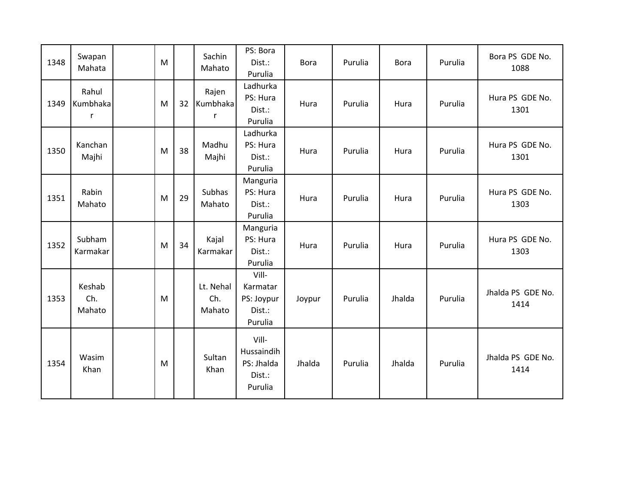| 1348 | Swapan<br>Mahata        | M |    | Sachin<br>Mahato           | PS: Bora<br>Dist.:<br>Purulia                          | <b>Bora</b> | Purulia | <b>Bora</b> | Purulia | Bora PS GDE No.<br>1088   |
|------|-------------------------|---|----|----------------------------|--------------------------------------------------------|-------------|---------|-------------|---------|---------------------------|
| 1349 | Rahul<br>Kumbhaka<br>r  | M | 32 | Rajen<br>Kumbhaka<br>r     | Ladhurka<br>PS: Hura<br>Dist.:<br>Purulia              | Hura        | Purulia | Hura        | Purulia | Hura PS GDE No.<br>1301   |
| 1350 | Kanchan<br>Majhi        | M | 38 | Madhu<br>Majhi             | Ladhurka<br>PS: Hura<br>Dist.:<br>Purulia              | Hura        | Purulia | Hura        | Purulia | Hura PS GDE No.<br>1301   |
| 1351 | Rabin<br>Mahato         | M | 29 | Subhas<br>Mahato           | Manguria<br>PS: Hura<br>Dist.:<br>Purulia              | Hura        | Purulia | Hura        | Purulia | Hura PS GDE No.<br>1303   |
| 1352 | Subham<br>Karmakar      | M | 34 | Kajal<br>Karmakar          | Manguria<br>PS: Hura<br>Dist.:<br>Purulia              | Hura        | Purulia | Hura        | Purulia | Hura PS GDE No.<br>1303   |
| 1353 | Keshab<br>Ch.<br>Mahato | M |    | Lt. Nehal<br>Ch.<br>Mahato | Vill-<br>Karmatar<br>PS: Joypur<br>Dist.:<br>Purulia   | Joypur      | Purulia | Jhalda      | Purulia | Jhalda PS GDE No.<br>1414 |
| 1354 | Wasim<br>Khan           | M |    | Sultan<br>Khan             | Vill-<br>Hussaindih<br>PS: Jhalda<br>Dist.:<br>Purulia | Jhalda      | Purulia | Jhalda      | Purulia | Jhalda PS GDE No.<br>1414 |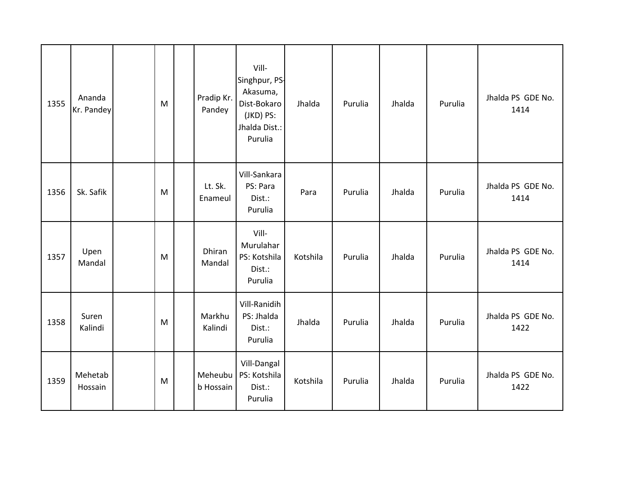| 1355 | Ananda<br>Kr. Pandey | M | Pradip Kr.<br>Pandey | Vill-<br>Singhpur, PS-<br>Akasuma,<br>Dist-Bokaro<br>(JKD) PS:<br>Jhalda Dist.:<br>Purulia | Jhalda   | Purulia | Jhalda | Purulia | Jhalda PS GDE No.<br>1414 |
|------|----------------------|---|----------------------|--------------------------------------------------------------------------------------------|----------|---------|--------|---------|---------------------------|
| 1356 | Sk. Safik            | M | Lt. Sk.<br>Enameul   | Vill-Sankara<br>PS: Para<br>Dist.:<br>Purulia                                              | Para     | Purulia | Jhalda | Purulia | Jhalda PS GDE No.<br>1414 |
| 1357 | Upen<br>Mandal       | M | Dhiran<br>Mandal     | Vill-<br>Murulahar<br>PS: Kotshila<br>Dist.:<br>Purulia                                    | Kotshila | Purulia | Jhalda | Purulia | Jhalda PS GDE No.<br>1414 |
| 1358 | Suren<br>Kalindi     | M | Markhu<br>Kalindi    | Vill-Ranidih<br>PS: Jhalda<br>Dist.:<br>Purulia                                            | Jhalda   | Purulia | Jhalda | Purulia | Jhalda PS GDE No.<br>1422 |
| 1359 | Mehetab<br>Hossain   | M | Meheubu<br>b Hossain | Vill-Dangal<br>PS: Kotshila<br>Dist.:<br>Purulia                                           | Kotshila | Purulia | Jhalda | Purulia | Jhalda PS GDE No.<br>1422 |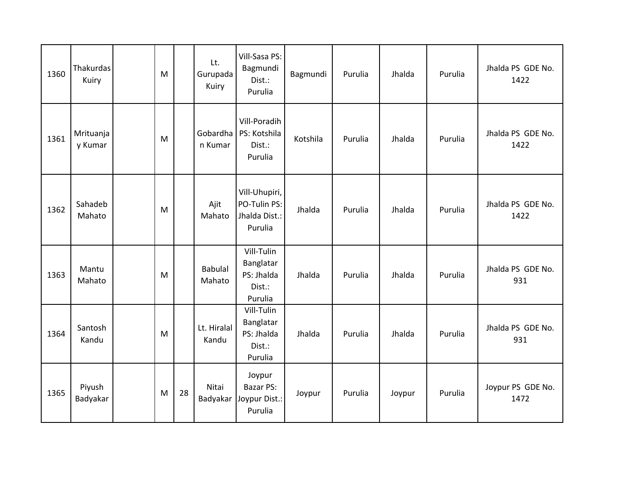| 1360 | Thakurdas<br>Kuiry   | M |    | Lt.<br>Gurupada<br>Kuiry | Vill-Sasa PS:<br>Bagmundi<br>Dist.:<br>Purulia             | Bagmundi | Purulia | Jhalda | Purulia | Jhalda PS GDE No.<br>1422 |
|------|----------------------|---|----|--------------------------|------------------------------------------------------------|----------|---------|--------|---------|---------------------------|
| 1361 | Mrituanja<br>y Kumar | M |    | Gobardha<br>n Kumar      | Vill-Poradih<br>PS: Kotshila<br>Dist.:<br>Purulia          | Kotshila | Purulia | Jhalda | Purulia | Jhalda PS GDE No.<br>1422 |
| 1362 | Sahadeb<br>Mahato    | M |    | Ajit<br>Mahato           | Vill-Uhupiri,<br>PO-Tulin PS:<br>Jhalda Dist.:<br>Purulia  | Jhalda   | Purulia | Jhalda | Purulia | Jhalda PS GDE No.<br>1422 |
| 1363 | Mantu<br>Mahato      | M |    | <b>Babulal</b><br>Mahato | Vill-Tulin<br>Banglatar<br>PS: Jhalda<br>Dist.:<br>Purulia | Jhalda   | Purulia | Jhalda | Purulia | Jhalda PS GDE No.<br>931  |
| 1364 | Santosh<br>Kandu     | M |    | Lt. Hiralal<br>Kandu     | Vill-Tulin<br>Banglatar<br>PS: Jhalda<br>Dist.:<br>Purulia | Jhalda   | Purulia | Jhalda | Purulia | Jhalda PS GDE No.<br>931  |
| 1365 | Piyush<br>Badyakar   | M | 28 | Nitai<br>Badyakar        | Joypur<br>Bazar PS:<br>Joypur Dist.:<br>Purulia            | Joypur   | Purulia | Joypur | Purulia | Joypur PS GDE No.<br>1472 |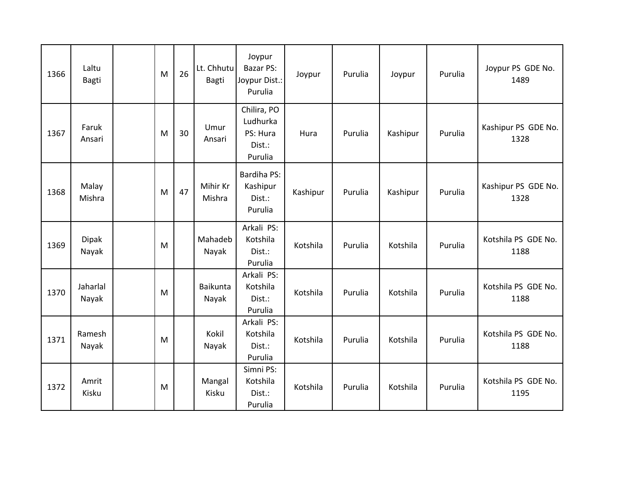| 1366 | Laltu<br><b>Bagti</b> | M | 26 | Lt. Chhutu<br><b>Bagti</b> | Joypur<br><b>Bazar PS:</b><br>Joypur Dist.:<br>Purulia   | Joypur   | Purulia | Joypur   | Purulia | Joypur PS GDE No.<br>1489   |
|------|-----------------------|---|----|----------------------------|----------------------------------------------------------|----------|---------|----------|---------|-----------------------------|
| 1367 | Faruk<br>Ansari       | M | 30 | Umur<br>Ansari             | Chilira, PO<br>Ludhurka<br>PS: Hura<br>Dist.:<br>Purulia | Hura     | Purulia | Kashipur | Purulia | Kashipur PS GDE No.<br>1328 |
| 1368 | Malay<br>Mishra       | M | 47 | Mihir Kr<br>Mishra         | Bardiha PS:<br>Kashipur<br>Dist.:<br>Purulia             | Kashipur | Purulia | Kashipur | Purulia | Kashipur PS GDE No.<br>1328 |
| 1369 | <b>Dipak</b><br>Nayak | M |    | Mahadeb<br>Nayak           | Arkali PS:<br>Kotshila<br>Dist.:<br>Purulia              | Kotshila | Purulia | Kotshila | Purulia | Kotshila PS GDE No.<br>1188 |
| 1370 | Jaharlal<br>Nayak     | M |    | Baikunta<br>Nayak          | Arkali PS:<br>Kotshila<br>Dist.:<br>Purulia              | Kotshila | Purulia | Kotshila | Purulia | Kotshila PS GDE No.<br>1188 |
| 1371 | Ramesh<br>Nayak       | M |    | Kokil<br>Nayak             | Arkali PS:<br>Kotshila<br>Dist.:<br>Purulia              | Kotshila | Purulia | Kotshila | Purulia | Kotshila PS GDE No.<br>1188 |
| 1372 | Amrit<br>Kisku        | M |    | Mangal<br>Kisku            | Simni PS:<br>Kotshila<br>Dist.:<br>Purulia               | Kotshila | Purulia | Kotshila | Purulia | Kotshila PS GDE No.<br>1195 |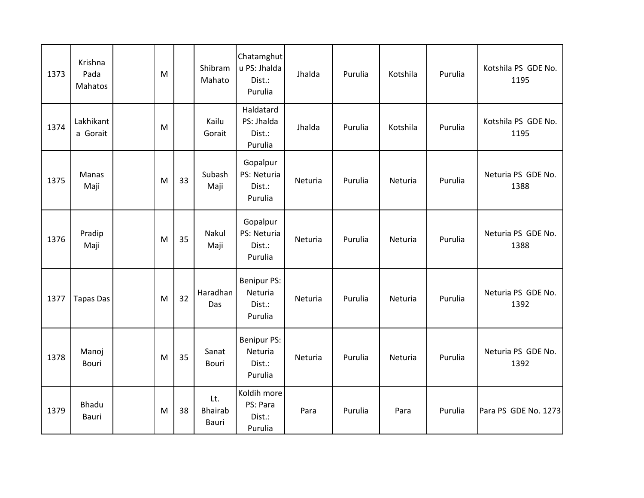| 1373 | Krishna<br>Pada<br>Mahatos | M |    | Shibram<br>Mahato              | Chatamghut<br>u PS: Jhalda<br>Dist.:<br>Purulia    | Jhalda  | Purulia | Kotshila | Purulia | Kotshila PS GDE No.<br>1195 |
|------|----------------------------|---|----|--------------------------------|----------------------------------------------------|---------|---------|----------|---------|-----------------------------|
| 1374 | Lakhikant<br>a Gorait      | M |    | Kailu<br>Gorait                | Haldatard<br>PS: Jhalda<br>Dist.:<br>Purulia       | Jhalda  | Purulia | Kotshila | Purulia | Kotshila PS GDE No.<br>1195 |
| 1375 | Manas<br>Maji              | M | 33 | Subash<br>Maji                 | Gopalpur<br>PS: Neturia<br>Dist.:<br>Purulia       | Neturia | Purulia | Neturia  | Purulia | Neturia PS GDE No.<br>1388  |
| 1376 | Pradip<br>Maji             | M | 35 | Nakul<br>Maji                  | Gopalpur<br>PS: Neturia<br>Dist.:<br>Purulia       | Neturia | Purulia | Neturia  | Purulia | Neturia PS GDE No.<br>1388  |
| 1377 | <b>Tapas Das</b>           | M | 32 | Haradhan<br>Das                | <b>Benipur PS:</b><br>Neturia<br>Dist.:<br>Purulia | Neturia | Purulia | Neturia  | Purulia | Neturia PS GDE No.<br>1392  |
| 1378 | Manoj<br><b>Bouri</b>      | M | 35 | Sanat<br><b>Bouri</b>          | Benipur PS:<br>Neturia<br>Dist.:<br>Purulia        | Neturia | Purulia | Neturia  | Purulia | Neturia PS GDE No.<br>1392  |
| 1379 | Bhadu<br>Bauri             | M | 38 | Lt.<br><b>Bhairab</b><br>Bauri | Koldih more<br>PS: Para<br>Dist.:<br>Purulia       | Para    | Purulia | Para     | Purulia | Para PS GDE No. 1273        |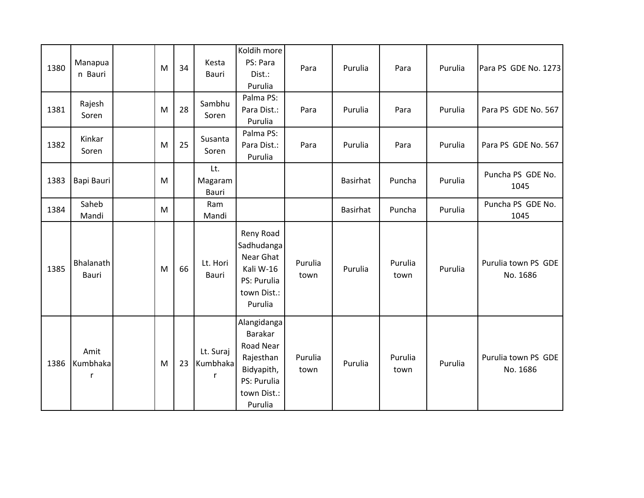| 1380 | Manapua<br>n Bauri    | M | 34 | Kesta<br>Bauri             | Koldih more<br>PS: Para<br>Dist.:<br>Purulia                                                            | Para            | Purulia         | Para            | Purulia | Para PS GDE No. 1273            |
|------|-----------------------|---|----|----------------------------|---------------------------------------------------------------------------------------------------------|-----------------|-----------------|-----------------|---------|---------------------------------|
| 1381 | Rajesh<br>Soren       | M | 28 | Sambhu<br>Soren            | Palma PS:<br>Para Dist.:<br>Purulia                                                                     | Para            | Purulia         | Para            | Purulia | Para PS GDE No. 567             |
| 1382 | Kinkar<br>Soren       | M | 25 | Susanta<br>Soren           | Palma PS:<br>Para Dist.:<br>Purulia                                                                     | Para            | Purulia         | Para            | Purulia | Para PS GDE No. 567             |
| 1383 | Bapi Bauri            | M |    | Lt.<br>Magaram<br>Bauri    |                                                                                                         |                 | <b>Basirhat</b> | Puncha          | Purulia | Puncha PS GDE No.<br>1045       |
| 1384 | Saheb<br>Mandi        | M |    | Ram<br>Mandi               |                                                                                                         |                 | <b>Basirhat</b> | Puncha          | Purulia | Puncha PS GDE No.<br>1045       |
| 1385 | Bhalanath<br>Bauri    | M | 66 | Lt. Hori<br>Bauri          | Reny Road<br>Sadhudanga<br>Near Ghat<br>Kali W-16<br>PS: Purulia<br>town Dist.:<br>Purulia              | Purulia<br>town | Purulia         | Purulia<br>town | Purulia | Purulia town PS GDE<br>No. 1686 |
| 1386 | Amit<br>Kumbhaka<br>r | M | 23 | Lt. Suraj<br>Kumbhaka<br>r | Alangidanga<br>Barakar<br>Road Near<br>Rajesthan<br>Bidyapith,<br>PS: Purulia<br>town Dist.:<br>Purulia | Purulia<br>town | Purulia         | Purulia<br>town | Purulia | Purulia town PS GDE<br>No. 1686 |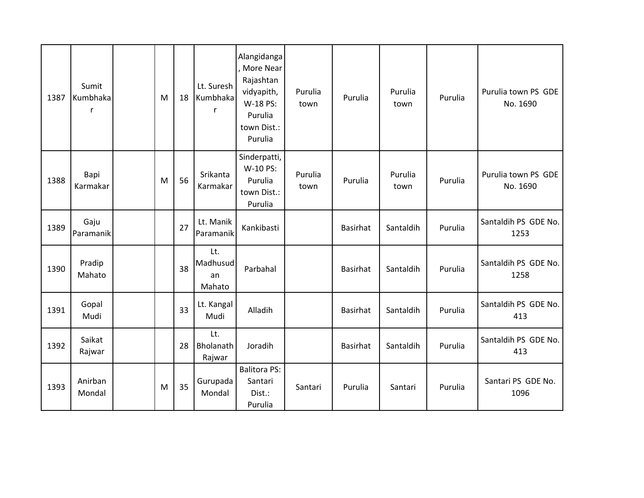| 1387 | Sumit<br>Kumbhaka<br>$\mathsf{r}$ | M | 18 | Lt. Suresh<br>Kumbhaka<br>r     | Alangidanga<br>More Near<br>Rajashtan<br>vidyapith,<br>W-18 PS:<br>Purulia<br>town Dist.:<br>Purulia | Purulia<br>town | Purulia         | Purulia<br>town | Purulia | Purulia town PS GDE<br>No. 1690 |
|------|-----------------------------------|---|----|---------------------------------|------------------------------------------------------------------------------------------------------|-----------------|-----------------|-----------------|---------|---------------------------------|
| 1388 | Bapi<br>Karmakar                  | M | 56 | Srikanta<br>Karmakar            | Sinderpatti,<br>W-10 PS:<br>Purulia<br>town Dist.:<br>Purulia                                        | Purulia<br>town | Purulia         | Purulia<br>town | Purulia | Purulia town PS GDE<br>No. 1690 |
| 1389 | Gaju<br>Paramanik                 |   | 27 | Lt. Manik<br>Paramanik          | Kankibasti                                                                                           |                 | <b>Basirhat</b> | Santaldih       | Purulia | Santaldih PS GDE No.<br>1253    |
| 1390 | Pradip<br>Mahato                  |   | 38 | Lt.<br>Madhusud<br>an<br>Mahato | Parbahal                                                                                             |                 | <b>Basirhat</b> | Santaldih       | Purulia | Santaldih PS GDE No.<br>1258    |
| 1391 | Gopal<br>Mudi                     |   | 33 | Lt. Kangal<br>Mudi              | Alladih                                                                                              |                 | <b>Basirhat</b> | Santaldih       | Purulia | Santaldih PS GDE No.<br>413     |
| 1392 | Saikat<br>Rajwar                  |   | 28 | Lt.<br>Bholanath<br>Rajwar      | Joradih                                                                                              |                 | <b>Basirhat</b> | Santaldih       | Purulia | Santaldih PS GDE No.<br>413     |
| 1393 | Anirban<br>Mondal                 | M | 35 | Gurupada<br>Mondal              | <b>Balitora PS:</b><br>Santari<br>Dist.:<br>Purulia                                                  | Santari         | Purulia         | Santari         | Purulia | Santari PS GDE No.<br>1096      |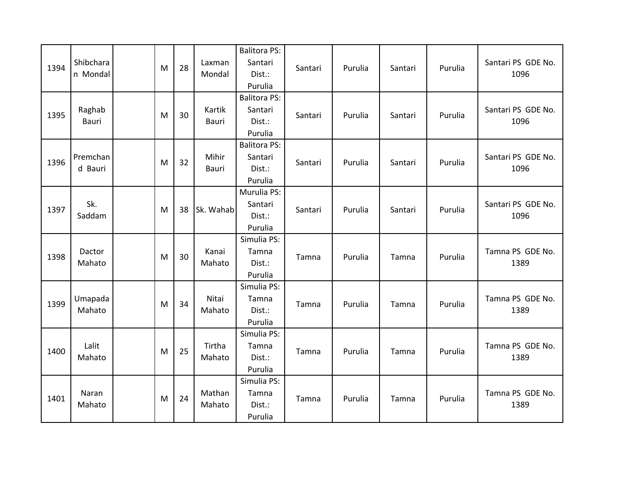| 1394 | Shibchara<br>n Mondal  | M | 28 | Laxman<br>Mondal | <b>Balitora PS:</b><br>Santari<br>Dist.:<br>Purulia | Santari | Purulia | Santari | Purulia | Santari PS GDE No.<br>1096 |
|------|------------------------|---|----|------------------|-----------------------------------------------------|---------|---------|---------|---------|----------------------------|
| 1395 | Raghab<br><b>Bauri</b> | M | 30 | Kartik<br>Bauri  | <b>Balitora PS:</b><br>Santari<br>Dist.:<br>Purulia | Santari | Purulia | Santari | Purulia | Santari PS GDE No.<br>1096 |
| 1396 | Premchan<br>d Bauri    | M | 32 | Mihir<br>Bauri   | <b>Balitora PS:</b><br>Santari<br>Dist.:<br>Purulia | Santari | Purulia | Santari | Purulia | Santari PS GDE No.<br>1096 |
| 1397 | Sk.<br>Saddam          | M | 38 | Sk. Wahab        | Murulia PS:<br>Santari<br>Dist.:<br>Purulia         | Santari | Purulia | Santari | Purulia | Santari PS GDE No.<br>1096 |
| 1398 | Dactor<br>Mahato       | M | 30 | Kanai<br>Mahato  | Simulia PS:<br>Tamna<br>Dist.:<br>Purulia           | Tamna   | Purulia | Tamna   | Purulia | Tamna PS GDE No.<br>1389   |
| 1399 | Umapada<br>Mahato      | M | 34 | Nitai<br>Mahato  | Simulia PS:<br>Tamna<br>Dist.:<br>Purulia           | Tamna   | Purulia | Tamna   | Purulia | Tamna PS GDE No.<br>1389   |
| 1400 | Lalit<br>Mahato        | M | 25 | Tirtha<br>Mahato | Simulia PS:<br>Tamna<br>Dist.:<br>Purulia           | Tamna   | Purulia | Tamna   | Purulia | Tamna PS GDE No.<br>1389   |
| 1401 | Naran<br>Mahato        | M | 24 | Mathan<br>Mahato | Simulia PS:<br>Tamna<br>Dist.:<br>Purulia           | Tamna   | Purulia | Tamna   | Purulia | Tamna PS GDE No.<br>1389   |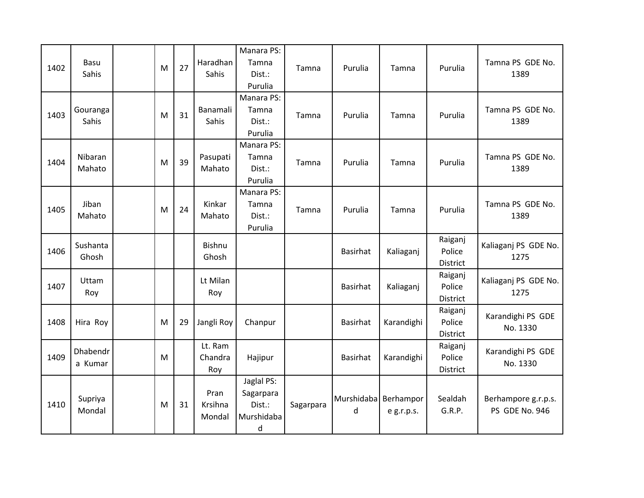| 1402 | Basu<br>Sahis       | M | 27 | Haradhan<br>Sahis         | Manara PS:<br>Tamna<br>Dist.:<br>Purulia             | Tamna     | Purulia         | Tamna                   | Purulia                       | Tamna PS GDE No.<br>1389              |
|------|---------------------|---|----|---------------------------|------------------------------------------------------|-----------|-----------------|-------------------------|-------------------------------|---------------------------------------|
| 1403 | Gouranga<br>Sahis   | M | 31 | Banamali<br>Sahis         | Manara PS:<br>Tamna<br>Dist.:<br>Purulia             | Tamna     | Purulia         | Tamna                   | Purulia                       | Tamna PS GDE No.<br>1389              |
| 1404 | Nibaran<br>Mahato   | M | 39 | Pasupati<br>Mahato        | Manara PS:<br>Tamna<br>Dist.:<br>Purulia             | Tamna     | Purulia         | Tamna                   | Purulia                       | Tamna PS GDE No.<br>1389              |
| 1405 | Jiban<br>Mahato     | M | 24 | Kinkar<br>Mahato          | Manara PS:<br>Tamna<br>Dist.:<br>Purulia             | Tamna     | Purulia         | Tamna                   | Purulia                       | Tamna PS GDE No.<br>1389              |
| 1406 | Sushanta<br>Ghosh   |   |    | Bishnu<br>Ghosh           |                                                      |           | <b>Basirhat</b> | Kaliaganj               | Raiganj<br>Police<br>District | Kaliaganj PS GDE No.<br>1275          |
| 1407 | Uttam<br>Roy        |   |    | Lt Milan<br>Roy           |                                                      |           | <b>Basirhat</b> | Kaliaganj               | Raiganj<br>Police<br>District | Kaliaganj PS GDE No.<br>1275          |
| 1408 | Hira Roy            | M | 29 | Jangli Roy                | Chanpur                                              |           | <b>Basirhat</b> | Karandighi              | Raiganj<br>Police<br>District | Karandighi PS GDE<br>No. 1330         |
| 1409 | Dhabendr<br>a Kumar | M |    | Lt. Ram<br>Chandra<br>Roy | Hajipur                                              |           | <b>Basirhat</b> | Karandighi              | Raiganj<br>Police<br>District | Karandighi PS GDE<br>No. 1330         |
| 1410 | Supriya<br>Mondal   | M | 31 | Pran<br>Krsihna<br>Mondal | Jaglal PS:<br>Sagarpara<br>Dist.:<br>Murshidaba<br>d | Sagarpara | Murshidaba<br>d | Berhampor<br>e g.r.p.s. | Sealdah<br>G.R.P.             | Berhampore g.r.p.s.<br>PS GDE No. 946 |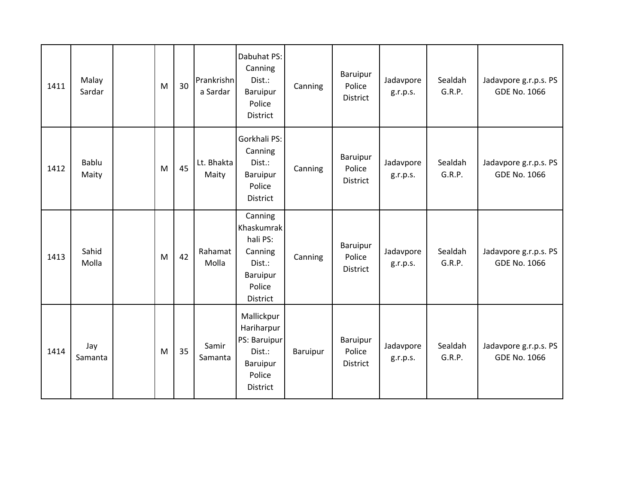| 1411 | Malay<br>Sardar | M | 30 | Prankrishn<br>a Sardar | Dabuhat PS:<br>Canning<br>Dist.:<br><b>Baruipur</b><br>Police<br>District                   | Canning  | <b>Baruipur</b><br>Police<br><b>District</b> | Jadavpore<br>g.r.p.s. | Sealdah<br>G.R.P. | Jadavpore g.r.p.s. PS<br><b>GDE No. 1066</b> |
|------|-----------------|---|----|------------------------|---------------------------------------------------------------------------------------------|----------|----------------------------------------------|-----------------------|-------------------|----------------------------------------------|
| 1412 | Bablu<br>Maity  | M | 45 | Lt. Bhakta<br>Maity    | Gorkhali PS:<br>Canning<br>Dist.:<br><b>Baruipur</b><br>Police<br>District                  | Canning  | Baruipur<br>Police<br><b>District</b>        | Jadavpore<br>g.r.p.s. | Sealdah<br>G.R.P. | Jadavpore g.r.p.s. PS<br><b>GDE No. 1066</b> |
| 1413 | Sahid<br>Molla  | M | 42 | Rahamat<br>Molla       | Canning<br>Khaskumrak<br>hali PS:<br>Canning<br>Dist.:<br>Baruipur<br>Police<br>District    | Canning  | <b>Baruipur</b><br>Police<br>District        | Jadavpore<br>g.r.p.s. | Sealdah<br>G.R.P. | Jadavpore g.r.p.s. PS<br><b>GDE No. 1066</b> |
| 1414 | Jay<br>Samanta  | M | 35 | Samir<br>Samanta       | Mallickpur<br>Hariharpur<br>PS: Baruipur<br>Dist.:<br>Baruipur<br>Police<br><b>District</b> | Baruipur | <b>Baruipur</b><br>Police<br><b>District</b> | Jadavpore<br>g.r.p.s. | Sealdah<br>G.R.P. | Jadavpore g.r.p.s. PS<br><b>GDE No. 1066</b> |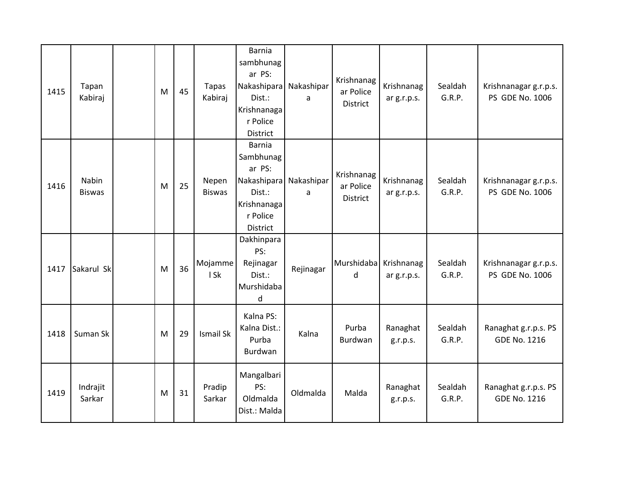| 1415 | Tapan<br>Kabiraj       | M | 45 | <b>Tapas</b><br>Kabiraj | <b>Barnia</b><br>sambhunag<br>ar PS:<br>Nakashipara<br>Dist.:<br>Krishnanaga<br>r Police<br>District | Nakashipar<br>a | Krishnanag<br>ar Police<br><b>District</b> | Krishnanag<br>ar g.r.p.s. | Sealdah<br>G.R.P. | Krishnanagar g.r.p.s.<br>PS GDE No. 1006    |
|------|------------------------|---|----|-------------------------|------------------------------------------------------------------------------------------------------|-----------------|--------------------------------------------|---------------------------|-------------------|---------------------------------------------|
| 1416 | Nabin<br><b>Biswas</b> | M | 25 | Nepen<br><b>Biswas</b>  | <b>Barnia</b><br>Sambhunag<br>ar PS:<br>Nakashipara<br>Dist.:<br>Krishnanaga<br>r Police<br>District | Nakashipar<br>a | Krishnanag<br>ar Police<br><b>District</b> | Krishnanag<br>ar g.r.p.s. | Sealdah<br>G.R.P. | Krishnanagar g.r.p.s.<br>PS GDE No. 1006    |
| 1417 | Sakarul Sk             | M | 36 | Mojamme<br>I Sk         | Dakhinpara<br>PS:<br>Rejinagar<br>Dist.:<br>Murshidaba<br>d                                          | Rejinagar       | Murshidaba<br>d                            | Krishnanag<br>ar g.r.p.s. | Sealdah<br>G.R.P. | Krishnanagar g.r.p.s.<br>PS GDE No. 1006    |
| 1418 | Suman Sk               | M | 29 | <b>Ismail Sk</b>        | Kalna PS:<br>Kalna Dist.:<br>Purba<br>Burdwan                                                        | Kalna           | Purba<br>Burdwan                           | Ranaghat<br>g.r.p.s.      | Sealdah<br>G.R.P. | Ranaghat g.r.p.s. PS<br><b>GDE No. 1216</b> |
| 1419 | Indrajit<br>Sarkar     | M | 31 | Pradip<br>Sarkar        | Mangalbari<br>PS:<br>Oldmalda<br>Dist.: Malda                                                        | Oldmalda        | Malda                                      | Ranaghat<br>g.r.p.s.      | Sealdah<br>G.R.P. | Ranaghat g.r.p.s. PS<br><b>GDE No. 1216</b> |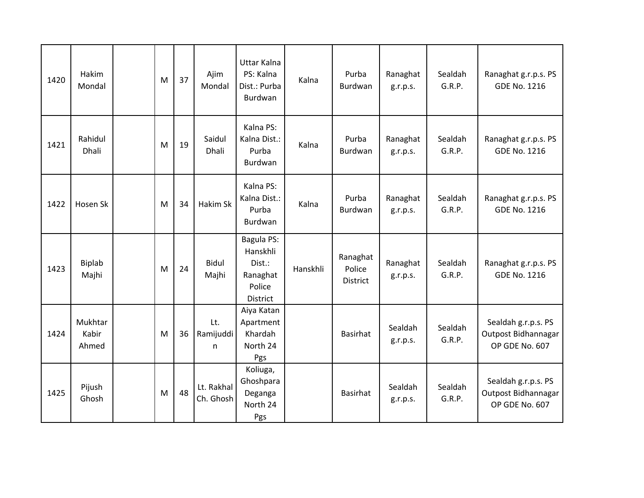| 1420 | Hakim<br>Mondal           | M | 37 | Ajim<br>Mondal          | Uttar Kalna<br>PS: Kalna<br>Dist.: Purba<br>Burdwan                | Kalna    | Purba<br>Burdwan                      | Ranaghat<br>g.r.p.s. | Sealdah<br>G.R.P. | Ranaghat g.r.p.s. PS<br><b>GDE No. 1216</b>                         |
|------|---------------------------|---|----|-------------------------|--------------------------------------------------------------------|----------|---------------------------------------|----------------------|-------------------|---------------------------------------------------------------------|
| 1421 | Rahidul<br>Dhali          | M | 19 | Saidul<br>Dhali         | Kalna PS:<br>Kalna Dist.:<br>Purba<br>Burdwan                      | Kalna    | Purba<br>Burdwan                      | Ranaghat<br>g.r.p.s. | Sealdah<br>G.R.P. | Ranaghat g.r.p.s. PS<br><b>GDE No. 1216</b>                         |
| 1422 | Hosen Sk                  | M | 34 | Hakim Sk                | Kalna PS:<br>Kalna Dist.:<br>Purba<br>Burdwan                      | Kalna    | Purba<br>Burdwan                      | Ranaghat<br>g.r.p.s. | Sealdah<br>G.R.P. | Ranaghat g.r.p.s. PS<br><b>GDE No. 1216</b>                         |
| 1423 | <b>Biplab</b><br>Majhi    | M | 24 | Bidul<br>Majhi          | Bagula PS:<br>Hanskhli<br>Dist.:<br>Ranaghat<br>Police<br>District | Hanskhli | Ranaghat<br>Police<br><b>District</b> | Ranaghat<br>g.r.p.s. | Sealdah<br>G.R.P. | Ranaghat g.r.p.s. PS<br><b>GDE No. 1216</b>                         |
| 1424 | Mukhtar<br>Kabir<br>Ahmed | M | 36 | Lt.<br>Ramijuddi<br>n   | Aiya Katan<br>Apartment<br>Khardah<br>North 24<br>Pgs              |          | <b>Basirhat</b>                       | Sealdah<br>g.r.p.s.  | Sealdah<br>G.R.P. | Sealdah g.r.p.s. PS<br>Outpost Bidhannagar<br>OP GDE No. 607        |
| 1425 | Pijush<br>Ghosh           | M | 48 | Lt. Rakhal<br>Ch. Ghosh | Koliuga,<br>Ghoshpara<br>Deganga<br>North 24<br>Pgs                |          | <b>Basirhat</b>                       | Sealdah<br>g.r.p.s.  | Sealdah<br>G.R.P. | Sealdah g.r.p.s. PS<br>Outpost Bidhannagar<br><b>OP GDE No. 607</b> |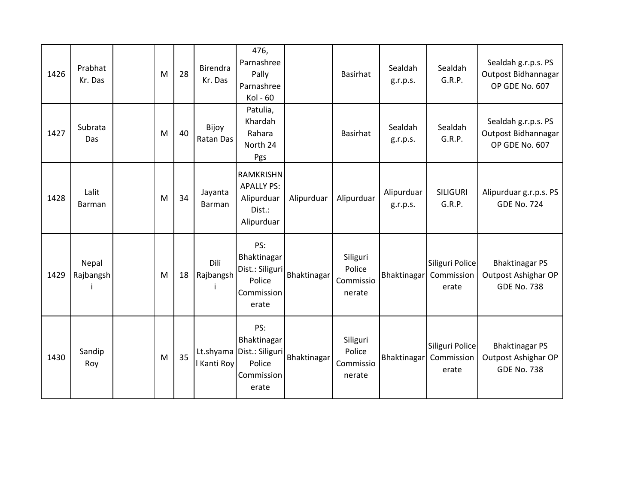| 1426 | Prabhat<br>Kr. Das | M | 28 | Birendra<br>Kr. Das | 476,<br>Parnashree<br>Pally<br>Parnashree<br>Kol - 60                            |             | <b>Basirhat</b>                           | Sealdah<br>g.r.p.s.    | Sealdah<br>G.R.P.                      | Sealdah g.r.p.s. PS<br>Outpost Bidhannagar<br>OP GDE No. 607       |
|------|--------------------|---|----|---------------------|----------------------------------------------------------------------------------|-------------|-------------------------------------------|------------------------|----------------------------------------|--------------------------------------------------------------------|
| 1427 | Subrata<br>Das     | M | 40 | Bijoy<br>Ratan Das  | Patulia,<br>Khardah<br>Rahara<br>North 24<br>Pgs                                 |             | <b>Basirhat</b>                           | Sealdah<br>g.r.p.s.    | Sealdah<br>G.R.P.                      | Sealdah g.r.p.s. PS<br>Outpost Bidhannagar<br>OP GDE No. 607       |
| 1428 | Lalit<br>Barman    | M | 34 | Jayanta<br>Barman   | <b>RAMKRISHN</b><br><b>APALLY PS:</b><br>Alipurduar<br>Dist.:<br>Alipurduar      | Alipurduar  | Alipurduar                                | Alipurduar<br>g.r.p.s. | <b>SILIGURI</b><br>G.R.P.              | Alipurduar g.r.p.s. PS<br><b>GDE No. 724</b>                       |
| 1429 | Nepal<br>Rajbangsh | M | 18 | Dili<br>Rajbangsh   | PS:<br>Bhaktinagar<br>Dist.: Siliguri<br>Police<br>Commission<br>erate           | Bhaktinagar | Siliguri<br>Police<br>Commissio<br>nerate | <b>Bhaktinagar</b>     | Siliguri Police<br>Commission<br>erate | <b>Bhaktinagar PS</b><br>Outpost Ashighar OP<br><b>GDE No. 738</b> |
| 1430 | Sandip<br>Roy      | M | 35 | Kanti Roy           | PS:<br>Bhaktinagar<br>Lt.shyama Dist.: Siliguri<br>Police<br>Commission<br>erate | Bhaktinagar | Siliguri<br>Police<br>Commissio<br>nerate | Bhaktinagar            | Siliguri Police<br>Commission<br>erate | <b>Bhaktinagar PS</b><br>Outpost Ashighar OP<br><b>GDE No. 738</b> |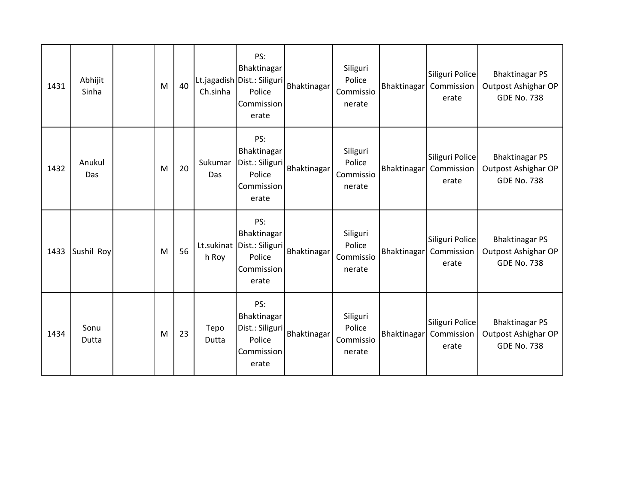| 1431 | Abhijit<br>Sinha | M | 40 | Ch.sinha       | PS:<br>Bhaktinagar<br>Lt.jagadish Dist.: Siliguri<br>Police<br>Commission<br>erate | Bhaktinagar | Siliguri<br>Police<br>Commissio<br>nerate | Bhaktinagar | Siliguri Police<br>Commission<br>erate | <b>Bhaktinagar PS</b><br>Outpost Ashighar OP<br><b>GDE No. 738</b> |
|------|------------------|---|----|----------------|------------------------------------------------------------------------------------|-------------|-------------------------------------------|-------------|----------------------------------------|--------------------------------------------------------------------|
| 1432 | Anukul<br>Das    | M | 20 | Sukumar<br>Das | PS:<br>Bhaktinagar<br>Dist.: Siliguri<br>Police<br>Commission<br>erate             | Bhaktinagar | Siliguri<br>Police<br>Commissio<br>nerate | Bhaktinagar | Siliguri Police<br>Commission<br>erate | <b>Bhaktinagar PS</b><br>Outpost Ashighar OP<br><b>GDE No. 738</b> |
| 1433 | Sushil Roy       | M | 56 | h Roy          | PS:<br>Bhaktinagar<br>Lt.sukinat Dist.: Siliguri<br>Police<br>Commission<br>erate  | Bhaktinagar | Siliguri<br>Police<br>Commissio<br>nerate | Bhaktinagar | Siliguri Police<br>Commission<br>erate | <b>Bhaktinagar PS</b><br>Outpost Ashighar OP<br><b>GDE No. 738</b> |
| 1434 | Sonu<br>Dutta    | M | 23 | Tepo<br>Dutta  | PS:<br>Bhaktinagar<br>Dist.: Siliguri<br>Police<br>Commission<br>erate             | Bhaktinagar | Siliguri<br>Police<br>Commissio<br>nerate | Bhaktinagar | Siliguri Police<br>Commission<br>erate | <b>Bhaktinagar PS</b><br>Outpost Ashighar OP<br><b>GDE No. 738</b> |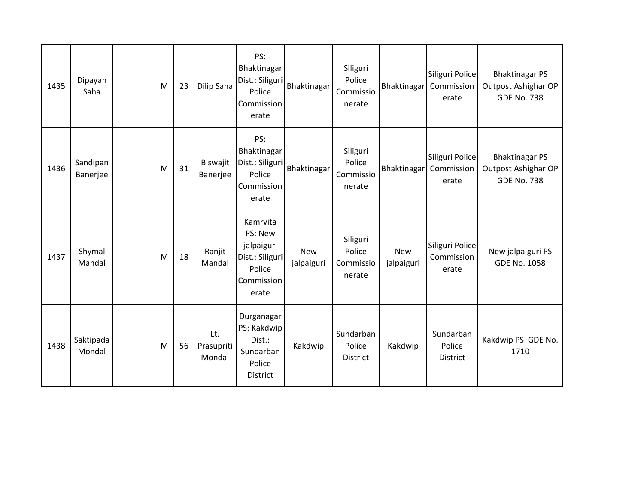| 1435 | Dipayan<br>Saha      | M | 23 | Dilip Saha                  | PS:<br>Bhaktinagar<br>Dist.: Siliguri<br>Police<br>Commission<br>erate                | Bhaktinagar              | Siliguri<br>Police<br>Commissio<br>nerate | Bhaktinagar              | Siliguri Police<br>Commission<br>erate | <b>Bhaktinagar PS</b><br>Outpost Ashighar OP<br><b>GDE No. 738</b> |
|------|----------------------|---|----|-----------------------------|---------------------------------------------------------------------------------------|--------------------------|-------------------------------------------|--------------------------|----------------------------------------|--------------------------------------------------------------------|
| 1436 | Sandipan<br>Banerjee | M | 31 | Biswajit<br>Banerjee        | PS:<br>Bhaktinagar<br>Dist.: Siliguri<br>Police<br>Commission<br>erate                | Bhaktinagar              | Siliguri<br>Police<br>Commissio<br>nerate | Bhaktinagar              | Siliguri Police<br>Commission<br>erate | <b>Bhaktinagar PS</b><br>Outpost Ashighar OP<br><b>GDE No. 738</b> |
| 1437 | Shymal<br>Mandal     | M | 18 | Ranjit<br>Mandal            | Kamrvita<br>PS: New<br>jalpaiguri<br>Dist.: Siliguri<br>Police<br>Commission<br>erate | <b>New</b><br>jalpaiguri | Siliguri<br>Police<br>Commissio<br>nerate | <b>New</b><br>jalpaiguri | Siliguri Police<br>Commission<br>erate | New jalpaiguri PS<br><b>GDE No. 1058</b>                           |
| 1438 | Saktipada<br>Mondal  | M | 56 | Lt.<br>Prasupriti<br>Mondal | Durganagar<br>PS: Kakdwip<br>Dist.:<br>Sundarban<br>Police<br>District                | Kakdwip                  | Sundarban<br>Police<br><b>District</b>    | Kakdwip                  | Sundarban<br>Police<br><b>District</b> | Kakdwip PS GDE No.<br>1710                                         |